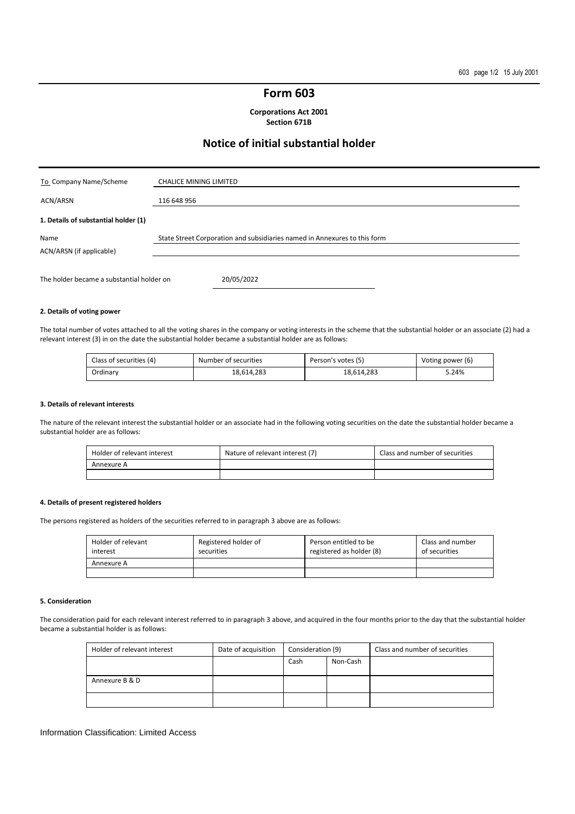## **Form 603**

**Corporations Act 2001 Section 671B** 

# **Notice of initial substantial holder**

| To Company Name/Scheme                    | <b>CHALICE MINING LIMITED</b>                                             |
|-------------------------------------------|---------------------------------------------------------------------------|
| ACN/ARSN                                  | 116 648 956                                                               |
| 1. Details of substantial holder (1)      |                                                                           |
| Name<br>ACN/ARSN (if applicable)          | State Street Corporation and subsidiaries named in Annexures to this form |
| The holder became a substantial holder on | 20/05/2022                                                                |

#### **2. Details of voting power**

The total number of votes attached to all the voting shares in the company or voting interests in the scheme that the substantial holder or an associate (2) had a relevant interest (3) in on the date the substantial holder became a substantial holder are as follows:

| Class of securities (4) | Number of securities | Person's votes (5) | Voting power (6) |
|-------------------------|----------------------|--------------------|------------------|
| Ordinary                | 18,614,283           | 18.614.283         | 5.24%            |

#### **3. Details of relevant interests**

The nature of the relevant interest the substantial holder or an associate had in the following voting securities on the date the substantial holder became a substantial holder are as follows:

| Holder of relevant interest | Nature of relevant interest (7) | Class and number of securities |
|-----------------------------|---------------------------------|--------------------------------|
| Annexure A                  |                                 |                                |
|                             |                                 |                                |

## **4. Details of present registered holders**

The persons registered as holders of the securities referred to in paragraph 3 above are as follows:

| Holder of relevant<br>interest | Registered holder of<br>securities | Person entitled to be<br>registered as holder (8) | Class and number<br>of securities |
|--------------------------------|------------------------------------|---------------------------------------------------|-----------------------------------|
| Annexure A                     |                                    |                                                   |                                   |
|                                |                                    |                                                   |                                   |

#### **5. Consideration**

The consideration paid for each relevant interest referred to in paragraph 3 above, and acquired in the four months prior to the day that the substantial holder became a substantial holder is as follows:

| Holder of relevant interest | Date of acquisition | Consideration (9) |          | Class and number of securities |
|-----------------------------|---------------------|-------------------|----------|--------------------------------|
|                             |                     | Cash              | Non-Cash |                                |
|                             |                     |                   |          |                                |
| Annexure B & D              |                     |                   |          |                                |
|                             |                     |                   |          |                                |

#### Information Classification: Limited Access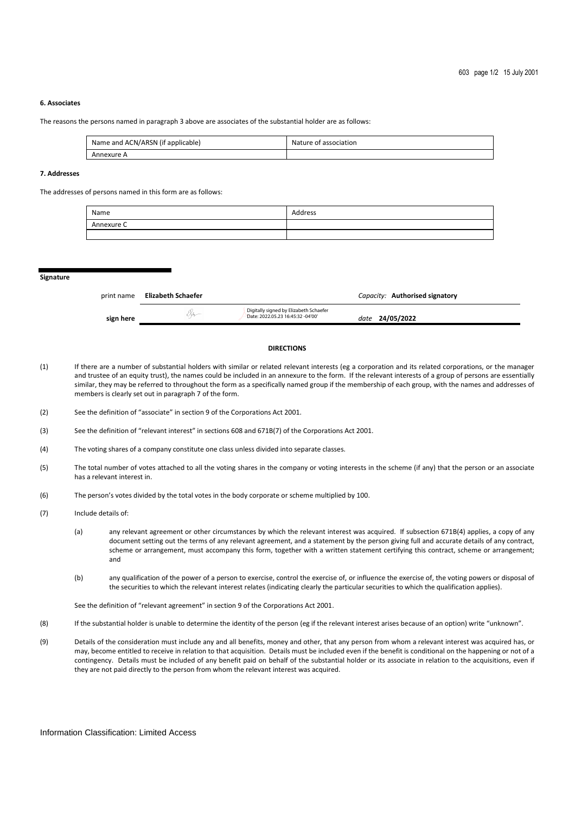#### **6. Associates**

The reasons the persons named in paragraph 3 above are associates of the substantial holder are as follows:

| Name and ACN/ARSN (if applicable) | Nature of association |
|-----------------------------------|-----------------------|
| Annexure A                        |                       |

#### **7. Addresses**

The addresses of persons named in this form are as follows:

| Name       | Address |
|------------|---------|
| Annexure C |         |
|            |         |

**Signature** 

| print name | Elizabeth Schaefer |                                                                             | Capacity: Authorised signatory |
|------------|--------------------|-----------------------------------------------------------------------------|--------------------------------|
| sign here  |                    | Digitally signed by Elizabeth Schaefer<br>Date: 2022.05.23 16:45:32 -04'00' | date 24/05/2022                |

#### **DIRECTIONS**

- (1) If there are a number of substantial holders with similar or related relevant interests (eg a corporation and its related corporations, or the manager and trustee of an equity trust), the names could be included in an annexure to the form. If the relevant interests of a group of persons are essentially similar, they may be referred to throughout the form as a specifically named group if the membership of each group, with the names and addresses of members is clearly set out in paragraph 7 of the form.
- (2) See the definition of "associate" in section 9 of the Corporations Act 2001.
- (3) See the definition of "relevant interest" in sections 608 and 671B(7) of the Corporations Act 2001.
- (4) The voting shares of a company constitute one class unless divided into separate classes.
- (5) The total number of votes attached to all the voting shares in the company or voting interests in the scheme (if any) that the person or an associate has a relevant interest in.
- (6) The person's votes divided by the total votes in the body corporate or scheme multiplied by 100.
- (7) Include details of:
	- (a) any relevant agreement or other circumstances by which the relevant interest was acquired. If subsection 671B(4) applies, a copy of any document setting out the terms of any relevant agreement, and a statement by the person giving full and accurate details of any contract, scheme or arrangement, must accompany this form, together with a written statement certifying this contract, scheme or arrangement; and
	- (b) any qualification of the power of a person to exercise, control the exercise of, or influence the exercise of, the voting powers or disposal of the securities to which the relevant interest relates (indicating clearly the particular securities to which the qualification applies).

See the definition of "relevant agreement" in section 9 of the Corporations Act 2001.

- (8) If the substantial holder is unable to determine the identity of the person (eg if the relevant interest arises because of an option) write "unknown".
- (9) Details of the consideration must include any and all benefits, money and other, that any person from whom a relevant interest was acquired has, or may, become entitled to receive in relation to that acquisition. Details must be included even if the benefit is conditional on the happening or not of a contingency. Details must be included of any benefit paid on behalf of the substantial holder or its associate in relation to the acquisitions, even if they are not paid directly to the person from whom the relevant interest was acquired.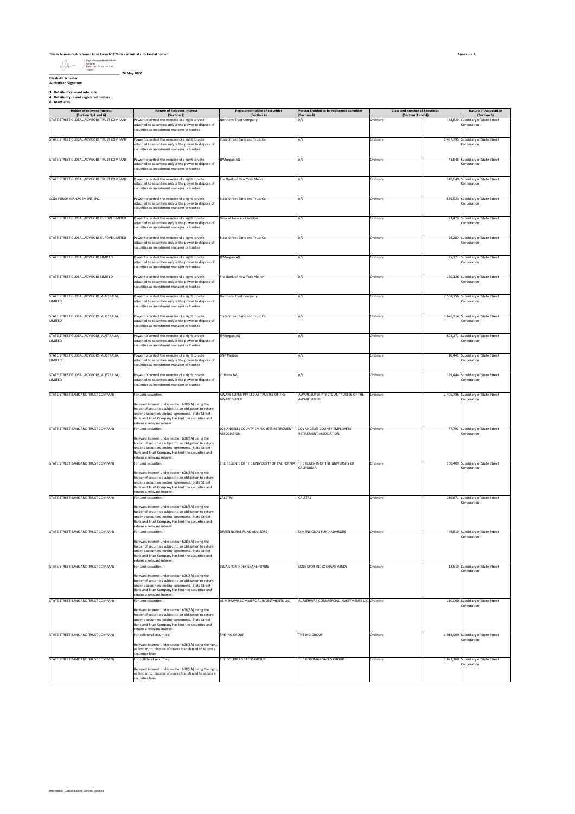## **This is Annexure A referred to in Form 603 Notice of initial substantial holder**

Digitally signed by Elizabeth Schaefer Date: 2022.05.23 16:47:36 -04'00'

**\_\_\_\_\_\_\_\_\_\_\_\_\_\_\_\_\_\_\_\_\_\_\_\_\_\_\_\_\_\_\_\_\_\_\_\_\_\_ 24 May 2022 Elizabeth Schaefer Authorised Signatory**

**3. Details of relevant interests 4. Details of present registered holders 6. Associates**

| <b>Holder of relevant interest</b><br>(Section 3, 4 and 6) | <b>Nature of Relevant Interest</b><br>(Section 3)                                                                                                                                                                                                       | <b>Registered Holder of securities</b><br>(Section 4)                        | Person Entitled to be registered as holder<br>(Section 4)   | Class and number of Securities<br>(Section 3 and 4) |        | <b>Nature of Association</b><br>(Section 6)         |
|------------------------------------------------------------|---------------------------------------------------------------------------------------------------------------------------------------------------------------------------------------------------------------------------------------------------------|------------------------------------------------------------------------------|-------------------------------------------------------------|-----------------------------------------------------|--------|-----------------------------------------------------|
| STATE STREET GLOBAL ADVISORS TRUST COMPANY                 | ower to control the exercise of a right to vote                                                                                                                                                                                                         | <b>Iorthern Trust Company</b>                                                | ı/a                                                         | Ordinary                                            | 38,629 | <b>Subsidiary of State Street</b>                   |
|                                                            | attached to securities and/or the power to dispose of<br>securities as investment manager or trustee                                                                                                                                                    |                                                                              |                                                             |                                                     |        | Corporation                                         |
| STATE STREET GLOBAL ADVISORS TRUST COMPANY                 | Power to control the exercise of a right to vote<br>attached to securities and/or the power to dispose of<br>securities as investment manager or trustee                                                                                                | State Street Bank and Trust Co                                               | n/a                                                         | Ordinary                                            |        | 1,497,795 Subsidiary of State Street<br>Corporation |
| STATE STREET GLOBAL ADVISORS TRUST COMPANY                 | Power to control the exercise of a right to vote<br>attached to securities and/or the power to dispose of<br>securities as investment manager or trustee                                                                                                | PMorgan AG                                                                   | n/a                                                         | Ordinary                                            |        | 41,848 Subsidiary of State Street<br>Corporation    |
| STATE STREET GLOBAL ADVISORS TRUST COMPANY                 | Power to control the exercise of a right to vote<br>attached to securities and/or the power to dispose of<br>securities as investment manager or trustee                                                                                                | The Bank of New York Mellon                                                  | n/a                                                         | Ordinary                                            |        | 140.049 Subsidiary of State Street<br>Corporation   |
| SSGA FUNDS MANAGEMENT, INC.                                | Power to control the exercise of a right to vote                                                                                                                                                                                                        | State Street Bank and Trust Co                                               | ٦/a                                                         | Ordinary                                            |        | 839,523 Subsidiary of State Street                  |
|                                                            | attached to securities and/or the power to dispose of<br>securities as investment manager or trustee                                                                                                                                                    |                                                                              |                                                             |                                                     |        | Corporation                                         |
| STATE STREET GLOBAL ADVISORS EUROPE LIMITED                | Power to control the exercise of a right to vote<br>attached to securities and/or the power to dispose of<br>securities as investment manager or trustee                                                                                                | Bank of New York Mellon                                                      | n/a                                                         | Ordinary                                            |        | 23,470 Subsidiary of State Street<br>Corporation    |
| STATE STREET GLOBAL ADVISORS EUROPE LIMITED                | Power to control the exercise of a right to vote<br>attached to securities and/or the power to dispose of<br>securities as investment manager or trustee                                                                                                | State Street Bank and Trust Co                                               | n/a                                                         | Ordinary                                            |        | 28,280 Subsidiary of State Street<br>Corporation    |
| STATE STREET GLOBAL ADVISORS LIMITED                       | Power to control the exercise of a right to vote<br>attached to securities and/or the power to dispose of<br>securities as investment manager or trustee                                                                                                | JPMorgan AG                                                                  | n/a                                                         | Ordinary                                            |        | 25,773 Subsidiary of State Street<br>Corporation    |
| STATE STREET GLOBAL ADVISORS LIMITED                       | ower to control the exercise of a right to vote<br>attached to securities and/or the power to dispose of<br>securities as investment manager or trustee                                                                                                 | he Bank of New York Mellon                                                   | n/a                                                         | Ordinary                                            |        | 130,126 Subsidiary of State Street<br>Corporation   |
| STATE STREET GLOBAL ADVISORS, AUSTRALIA,<br>LIMITED        | Power to control the exercise of a right to vote<br>attached to securities and/or the power to dispose of<br>securities as investment manager or trustee                                                                                                | Northern Trust Company                                                       | n/a                                                         | Ordinary                                            |        | 2,558,756 Subsidiary of State Street<br>Corporation |
| STATE STREET GLOBAL ADVISORS, AUSTRALIA,<br>LIMITED        | Power to control the exercise of a right to vote<br>attached to securities and/or the power to dispose of<br>securities as investment manager or trustee                                                                                                | State Street Bank and Trust Co                                               | n/a                                                         | Ordinary                                            |        | 3,676,314 Subsidiary of State Street<br>Corporation |
| STATE STREET GLOBAL ADVISORS, AUSTRALIA,<br>LIMITED        | Power to control the exercise of a right to vote<br>attached to securities and/or the power to dispose of<br>securities as investment manager or trustee                                                                                                | <b>IPMorgan AG</b>                                                           | n/a                                                         | Ordinary                                            |        | 824,171 Subsidiary of State Street<br>Corporation   |
| STATE STREET GLOBAL ADVISORS, AUSTRALIA,<br>LIMITED        | Power to control the exercise of a right to vote<br>attached to securities and/or the power to dispose of<br>securities as investment manager or trustee                                                                                                | <b>BNP Paribas</b>                                                           | n/a                                                         | Ordinary                                            |        | 10,441 Subsidiary of State Street<br>Corporation    |
| STATE STREET GLOBAL ADVISORS, AUSTRALIA,                   | Power to control the exercise of a right to vote                                                                                                                                                                                                        | Citibank NA                                                                  | n/a                                                         | Ordinary                                            |        | 129,444 Subsidiary of State Street                  |
| <b>LIMITED</b>                                             | attached to securities and/or the power to dispose of<br>securities as investment manager or trustee                                                                                                                                                    |                                                                              |                                                             |                                                     |        | Corporation                                         |
| STATE STREET BANK AND TRUST COMPANY                        | For Lent securities:<br>televant interest under section 608(8A) being the<br>holder of securities subject to an obligation to return<br>under a securities lending agreement. State Street<br>Bank and Trust Company has lent the securities and        | AWARE SUPER PTY LTD AS TRUSTEE OF THE<br><b>AWARE SUPER</b>                  | AWARE SUPER PTY LTD AS TRUSTEE OF THE<br><b>AWARE SUPER</b> | Ordinary                                            |        | 2,406,786 Subsidiary of State Street<br>Corporation |
| STATE STREET BANK AND TRUST COMPANY                        | retains a relevant interest<br>For Lent securities:<br>Relevant interest under section 608(8A) being the<br>holder of securities subject to an obligation to return                                                                                     | LOS ANGELES COUNTY EMPLOYEES RETIREMENT<br>SSOCIATION                        | LOS ANGELES COUNTY EMPLOYEES<br>RETIREMENT ASSOCIATION      | Ordinary                                            |        | 47,791 Subsidiary of State Street<br>Corporation    |
| STATE STREET BANK AND TRUST COMPANY                        | under a securities lending agreement. State Street<br>Bank and Trust Company has lent the securities and<br>retains a relevant interest<br>For Lent securities:                                                                                         | THE REGENTS OF THE UNIVERSITY OF CALIFORNIA THE REGENTS OF THE UNIVERSITY OF |                                                             | Ordinary                                            |        | 100,409 Subsidiary of State Street                  |
|                                                            | Relevant interest under section 608(8A) being the<br>holder of securities subject to an obligation to return<br>under a securities lending agreement. State Street<br>Bank and Trust Company has lent the securities and                                |                                                                              | <b>ALIFORNIA</b>                                            |                                                     |        | Corporation                                         |
| STATE STREET BANK AND TRUST COMPANY                        | retains a relevant interest<br>For Lent securities:                                                                                                                                                                                                     | CALSTRS                                                                      | CALSTRS                                                     | Ordinary                                            |        | 180,671 Subsidiary of State Street                  |
|                                                            | Relevant interest under section 608(8A) being the<br>holder of securities subject to an obligation to return<br>under a securities lending agreement. State Street<br>Bank and Trust Company has lent the securities and                                |                                                                              |                                                             |                                                     |        | Corporation                                         |
| STATE STREET BANK AND TRUST COMPANY                        | retains a relevant interest<br>or Lent securities:                                                                                                                                                                                                      | DIMENSIONAL FUND ADVISORS                                                    | DIMENSIONAL FUND ADVISORS                                   | Ordinary                                            |        | 49,819 Subsidiary of State Street                   |
|                                                            | Relevant interest under section 608(8A) being the<br>holder of securities subject to an obligation to return<br>under a securities lending agreement. State Street<br>Bank and Trust Company has lent the securities and<br>retains a relevant interest |                                                                              |                                                             |                                                     |        | Corporation                                         |
| STATE STREET RANK AND TRUST COMPANY                        | For Lent securities:<br>Relevant interest under section 608(8A) being the<br>holder of securities subject to an obligation to return<br>under a securities lending agreement. State Street<br>Bank and Trust Company has lent the securities and        | SSGA SPDR INDEX SHARE FUNDS                                                  | SSGA SPDR INDEX SHARE FUNDS                                 | Ordinary                                            |        | 12,519 Subsidiary of State Street<br>Corporation    |
| STATE STREET BANK AND TRUST COMPANY                        | retains a relevant interest<br>For Lent securities:                                                                                                                                                                                                     | AL MEHWAR COMMERCIAL INVESTMENTS LLC                                         | AL MEHWAR COMMERCIAL INVESTMENTS LLC Ordinary               |                                                     |        | 110,000 Subsidiary of State Street<br>Corporation   |
|                                                            | Relevant interest under section 608(8A) being the<br>holder of securities subject to an obligation to return<br>under a securities lending agreement. State Street<br>Bank and Trust Company has lent the securities and<br>retains a relevant interest |                                                                              |                                                             |                                                     |        |                                                     |
| STATE STREET BANK AND TRUST COMPANY                        | For collateral securities:<br>Relevant interest under section 608(8A) being the right,<br>as lender, to dispose of shares transferred to secure a                                                                                                       | THE ING GROUP                                                                | THE ING GROUP                                               | Ordinary                                            |        | 1,913,909 Subsidiary of State Street<br>Corporation |
| STATE STREET BANK AND TRUST COMPANY                        | securities Ioan<br>or collateral securities                                                                                                                                                                                                             | <b>HE GOLDMAN SACHS GROUP</b>                                                | HE GOLDMAN SACHS GROUP                                      | Ordinary                                            |        | 3,827,760 Subsidiary of State Street<br>Corporation |
|                                                            | Relevant interest under section 608(8A) being the right,<br>as lender, to dispose of shares transferred to secure a<br>securities Ioan                                                                                                                  |                                                                              |                                                             |                                                     |        |                                                     |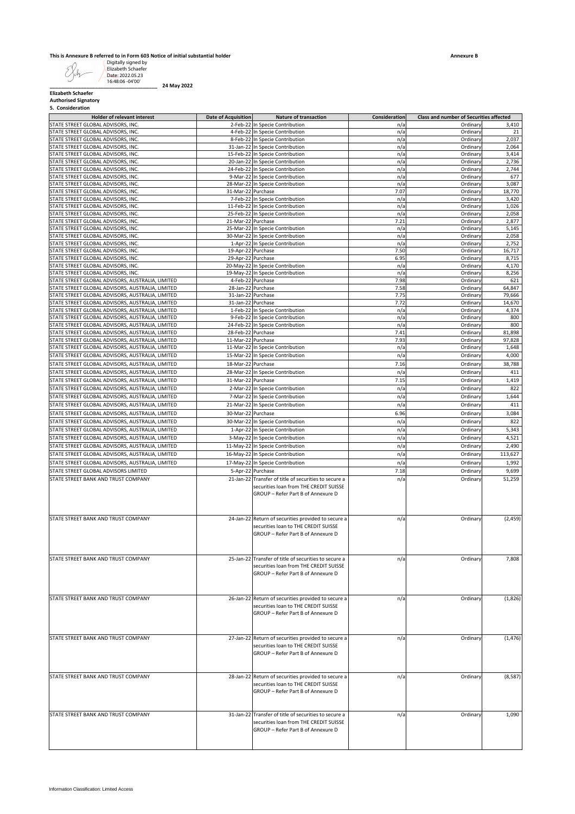#### **This is Annexure B referred to in Form 603 Notice of initial substantial holder**

| <b>Authorised Signatory</b>                                                                          |                            |                                                                                                                                       |                 |                                         |                  |
|------------------------------------------------------------------------------------------------------|----------------------------|---------------------------------------------------------------------------------------------------------------------------------------|-----------------|-----------------------------------------|------------------|
| 5. Consideration<br><b>Holder of relevant interest</b>                                               | <b>Date of Acquisition</b> | <b>Nature of transaction</b>                                                                                                          | Consideration   | Class and number of Securities affected |                  |
| STATE STREET GLOBAL ADVISORS, INC.                                                                   |                            | 2-Feb-22 In Specie Contribution                                                                                                       | n/a             | Ordinary                                | 3,410            |
| STATE STREET GLOBAL ADVISORS, INC.                                                                   |                            | 4-Feb-22 In Specie Contribution                                                                                                       | n/a             | Ordinary                                | 21               |
| STATE STREET GLOBAL ADVISORS, INC.                                                                   |                            | 8-Feb-22 In Specie Contribution                                                                                                       | n/a             | Ordinary                                | 2,037            |
| STATE STREET GLOBAL ADVISORS, INC.                                                                   |                            | 31-Jan-22 In Specie Contribution                                                                                                      | n/a             | Ordinary                                | 2,064            |
| STATE STREET GLOBAL ADVISORS, INC.<br>STATE STREET GLOBAL ADVISORS, INC.                             |                            | 15-Feb-22 In Specie Contribution<br>20-Jan-22 In Specie Contribution                                                                  | n/a<br>n/a      | Ordinary<br>Ordinary                    | 3,414<br>2,736   |
| STATE STREET GLOBAL ADVISORS, INC.                                                                   |                            | 24-Feb-22 In Specie Contribution                                                                                                      | n/a             | Ordinary                                | 2,744            |
| STATE STREET GLOBAL ADVISORS, INC.                                                                   |                            | 9-Mar-22 In Specie Contribution                                                                                                       | n/a             | Ordinary                                | 677              |
| STATE STREET GLOBAL ADVISORS, INC.                                                                   |                            | 28-Mar-22 In Specie Contribution                                                                                                      | n/a             | Ordinary                                | 3,087            |
| STATE STREET GLOBAL ADVISORS, INC.                                                                   |                            | 31-Mar-22 Purchase                                                                                                                    | 7.07            | Ordinary                                | 18,770           |
| STATE STREET GLOBAL ADVISORS, INC.                                                                   |                            | 7-Feb-22 In Specie Contribution                                                                                                       | n/a             | Ordinary                                | 3,420            |
| STATE STREET GLOBAL ADVISORS, INC.<br>STATE STREET GLOBAL ADVISORS, INC.                             |                            | 11-Feb-22 In Specie Contribution<br>25-Feb-22 In Specie Contribution                                                                  | n/a<br>n/a      | Ordinary<br>Ordinary                    | 1,026<br>2,058   |
| STATE STREET GLOBAL ADVISORS, INC.                                                                   |                            | 21-Mar-22 Purchase                                                                                                                    | 7.21            | Ordinary                                | 2,877            |
| STATE STREET GLOBAL ADVISORS, INC.                                                                   |                            | 25-Mar-22 In Specie Contribution                                                                                                      | n/a             | Ordinary                                | 5,145            |
| STATE STREET GLOBAL ADVISORS, INC                                                                    |                            | 30-Mar-22 In Specie Contribution                                                                                                      | n/a             | Ordinary                                | 2,058            |
| STATE STREET GLOBAL ADVISORS, INC.                                                                   |                            | 1-Apr-22 In Specie Contribution                                                                                                       | n/a             | Ordinary                                | 2,752            |
| STATE STREET GLOBAL ADVISORS, INC.                                                                   |                            | 19-Apr-22 Purchase                                                                                                                    | 7.50            | Ordinary                                | 16,717           |
| STATE STREET GLOBAL ADVISORS, INC.<br>STATE STREET GLOBAL ADVISORS, INC.                             |                            | 29-Apr-22 Purchase<br>20-May-22 In Specie Contribution                                                                                | 6.95<br>n/a     | Ordinary<br>Ordinary                    | 8,715<br>4,170   |
| STATE STREET GLOBAL ADVISORS, INC.                                                                   |                            | 19-May-22 In Specie Contribution                                                                                                      | n/a             | Ordinary                                | 8,256            |
| STATE STREET GLOBAL ADVISORS, AUSTRALIA, LIMITED                                                     |                            | 4-Feb-22 Purchase                                                                                                                     | 7.98            | Ordinary                                | 621              |
| STATE STREET GLOBAL ADVISORS, AUSTRALIA, LIMITED                                                     |                            | 28-Jan-22 Purchase                                                                                                                    | 7.58            | Ordinary                                | 64,847           |
| STATE STREET GLOBAL ADVISORS, AUSTRALIA, LIMITED                                                     |                            | 31-Jan-22 Purchase                                                                                                                    | 7.75            | Ordinary                                | 79,666           |
| STATE STREET GLOBAL ADVISORS, AUSTRALIA, LIMITED                                                     |                            | 31-Jan-22 Purchase                                                                                                                    | 7.72            | Ordinary                                | 14,670           |
| STATE STREET GLOBAL ADVISORS, AUSTRALIA, LIMITED<br>STATE STREET GLOBAL ADVISORS, AUSTRALIA, LIMITED |                            | 1-Feb-22 In Specie Contribution<br>9-Feb-22 In Specie Contribution                                                                    | n/a<br>n/a      | Ordinary<br>Ordinary                    | 4,374<br>800     |
| STATE STREET GLOBAL ADVISORS, AUSTRALIA, LIMITED                                                     |                            | 24-Feb-22 In Specie Contribution                                                                                                      | n/a             | Ordinary                                | 800              |
| STATE STREET GLOBAL ADVISORS, AUSTRALIA, LIMITED                                                     |                            | 28-Feb-22 Purchase                                                                                                                    | 7.41            | Ordinary                                | 81,898           |
| STATE STREET GLOBAL ADVISORS, AUSTRALIA, LIMITED                                                     | 11-Mar-22 Purchase         |                                                                                                                                       | 7.93            | Ordinary                                | 97,828           |
| STATE STREET GLOBAL ADVISORS, AUSTRALIA, LIMITED                                                     |                            | 11-Mar-22 In Specie Contribution                                                                                                      | n/a             | Ordinary                                | 1,648            |
| STATE STREET GLOBAL ADVISORS, AUSTRALIA, LIMITED                                                     |                            | 15-Mar-22 In Specie Contribution                                                                                                      | n/a             | Ordinary                                | 4,000            |
| STATE STREET GLOBAL ADVISORS, AUSTRALIA, LIMITED                                                     | 18-Mar-22 Purchase         |                                                                                                                                       | 7.16            | Ordinary                                | 38,788           |
| STATE STREET GLOBAL ADVISORS, AUSTRALIA, LIMITED                                                     |                            | 28-Mar-22 In Specie Contribution                                                                                                      | n/a             | Ordinary                                | 411              |
| STATE STREET GLOBAL ADVISORS, AUSTRALIA, LIMITED                                                     |                            | 31-Mar-22 Purchase                                                                                                                    | 7.15            | Ordinary                                | 1,419            |
| STATE STREET GLOBAL ADVISORS, AUSTRALIA, LIMITED                                                     |                            | 2-Mar-22 In Specie Contribution                                                                                                       | n/a             | Ordinary                                | 822              |
| STATE STREET GLOBAL ADVISORS, AUSTRALIA, LIMITED                                                     |                            | 7-Mar-22 In Specie Contribution                                                                                                       | n/a             | Ordinary                                | 1,644            |
| STATE STREET GLOBAL ADVISORS, AUSTRALIA, LIMITED                                                     | 21-Mar-22                  | In Specie Contribution                                                                                                                | n/a             | Ordinary                                | 411              |
| STATE STREET GLOBAL ADVISORS, AUSTRALIA, LIMITED                                                     |                            | 30-Mar-22 Purchase                                                                                                                    | 6.96            | Ordinary                                | 3,084            |
| STATE STREET GLOBAL ADVISORS, AUSTRALIA, LIMITED                                                     |                            | 30-Mar-22 In Specie Contribution                                                                                                      | n/a             | Ordinary                                | 822              |
| STATE STREET GLOBAL ADVISORS, AUSTRALIA, LIMITED<br>STATE STREET GLOBAL ADVISORS, AUSTRALIA, LIMITED |                            | 1-Apr-22 In Specie Contribution                                                                                                       | n/a             | Ordinary                                | 5,343            |
| STATE STREET GLOBAL ADVISORS, AUSTRALIA, LIMITED                                                     |                            | 3-May-22 In Specie Contribution<br>11-May-22 In Specie Contribution                                                                   | n/a             | Ordinary<br>Ordinary                    | 4,521            |
| STATE STREET GLOBAL ADVISORS, AUSTRALIA, LIMITED                                                     |                            | 16-May-22 In Specie Contribution                                                                                                      | n/a<br>n/a      | Ordinary                                | 2,490<br>113,627 |
| STATE STREET GLOBAL ADVISORS, AUSTRALIA, LIMITED                                                     |                            | 17-May-22 In Specie Contribution                                                                                                      | n/a             | Ordinary                                | 1,992            |
| STATE STREET GLOBAL ADVISORS LIMITED                                                                 | 5-Apr-22                   | Purchase                                                                                                                              | 7.18            | Ordinary                                | 9,699            |
| STATE STREET BANK AND TRUST COMPANY                                                                  | 21-Jan-22                  | Transfer of title of securities to secure a                                                                                           | $n/\varepsilon$ | Ordinary                                | 51,259           |
|                                                                                                      |                            | securities loan from THE CREDIT SUISSE<br>GROUP - Refer Part B of Annexure D                                                          |                 |                                         |                  |
| STATE STREET BANK AND TRUST COMPANY                                                                  |                            | 24-Jan-22 Return of securities provided to secure a<br>securities loan to THE CREDIT SUISSE<br>GROUP - Refer Part B of Annexure D     | n/a             | Ordinary                                | (2, 459)         |
| STATE STREET BANK AND TRUST COMPANY                                                                  |                            | 25-Jan-22 Transfer of title of securities to secure a<br>securities loan from THE CREDIT SUISSE<br>GROUP - Refer Part B of Annexure D | n/a             | Ordinary                                | 7,808            |
| STATE STREET BANK AND TRUST COMPANY                                                                  |                            | 26-Jan-22 Return of securities provided to secure a<br>securities loan to THE CREDIT SUISSE<br>GROUP - Refer Part B of Annexure D     | n/a             | Ordinary                                | (1,826)          |
| STATE STREET BANK AND TRUST COMPANY                                                                  |                            | 27-Jan-22 Return of securities provided to secure a<br>securities loan to THE CREDIT SUISSE<br>GROUP - Refer Part B of Annexure D     | n/a             | Ordinary                                | (1, 476)         |
| STATE STREET BANK AND TRUST COMPANY                                                                  |                            | 28-Jan-22 Return of securities provided to secure a<br>securities loan to THE CREDIT SUISSE<br>GROUP - Refer Part B of Annexure D     | n/a             | Ordinary                                | (8,587)          |
| STATE STREET BANK AND TRUST COMPANY                                                                  |                            | 31-Jan-22 Transfer of title of securities to secure a<br>securities loan from THE CREDIT SUISSE<br>GROUP - Refer Part B of Annexure D | n/a             | Ordinary                                | 1,090            |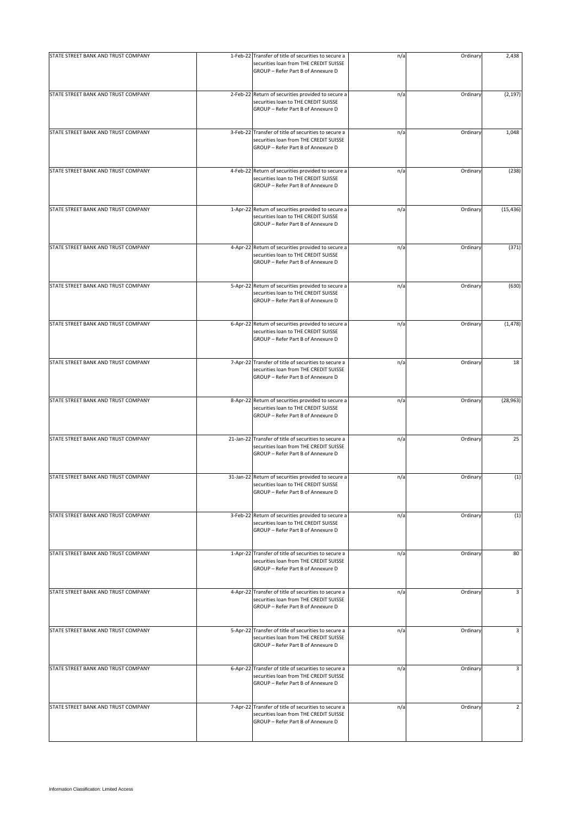| STATE STREET BANK AND TRUST COMPANY | 1-Feb-22 Transfer of title of securities to secure a<br>securities loan from THE CREDIT SUISSE<br>GROUP - Refer Part B of Annexure D  | n/a | Ordinary | 2,438     |
|-------------------------------------|---------------------------------------------------------------------------------------------------------------------------------------|-----|----------|-----------|
| STATE STREET BANK AND TRUST COMPANY | 2-Feb-22 Return of securities provided to secure a<br>securities loan to THE CREDIT SUISSE<br>GROUP - Refer Part B of Annexure D      | n/a | Ordinary | (2, 197)  |
| STATE STREET BANK AND TRUST COMPANY | 3-Feb-22 Transfer of title of securities to secure a<br>securities loan from THE CREDIT SUISSE<br>GROUP - Refer Part B of Annexure D  | n/a | Ordinary | 1,048     |
| STATE STREET BANK AND TRUST COMPANY | 4-Feb-22 Return of securities provided to secure a<br>securities loan to THE CREDIT SUISSE<br>GROUP - Refer Part B of Annexure D      | n/a | Ordinary | (238)     |
| STATE STREET BANK AND TRUST COMPANY | 1-Apr-22 Return of securities provided to secure a<br>securities loan to THE CREDIT SUISSE<br>GROUP - Refer Part B of Annexure D      | n/a | Ordinary | (15, 436) |
| STATE STREET BANK AND TRUST COMPANY | 4-Apr-22 Return of securities provided to secure a<br>securities loan to THE CREDIT SUISSE<br>GROUP - Refer Part B of Annexure D      | n/a | Ordinary | (371)     |
| STATE STREET BANK AND TRUST COMPANY | 5-Apr-22 Return of securities provided to secure a<br>securities loan to THE CREDIT SUISSE<br>GROUP - Refer Part B of Annexure D      | n/a | Ordinary | (630)     |
| STATE STREET BANK AND TRUST COMPANY | 6-Apr-22 Return of securities provided to secure a<br>securities loan to THE CREDIT SUISSE<br>GROUP - Refer Part B of Annexure D      | n/a | Ordinary | (1, 478)  |
| STATE STREET BANK AND TRUST COMPANY | 7-Apr-22 Transfer of title of securities to secure a<br>securities loan from THE CREDIT SUISSE<br>GROUP - Refer Part B of Annexure D  | n/a | Ordinary | 18        |
| STATE STREET BANK AND TRUST COMPANY | 8-Apr-22 Return of securities provided to secure a<br>securities loan to THE CREDIT SUISSE<br>GROUP - Refer Part B of Annexure D      | n/a | Ordinary | (28, 963) |
| STATE STREET BANK AND TRUST COMPANY | 21-Jan-22 Transfer of title of securities to secure a<br>securities loan from THE CREDIT SUISSE<br>GROUP - Refer Part B of Annexure D | n/a | Ordinary | 25        |
| STATE STREET BANK AND TRUST COMPANY | 31-Jan-22 Return of securities provided to secure a<br>securities loan to THE CREDIT SUISSE<br>GROUP - Refer Part B of Annexure D     | n/a | Ordinary | (1)       |
| STATE STREET BANK AND TRUST COMPANY | 3-Feb-22 Return of securities provided to secure a<br>securities loan to THE CREDIT SUISSE<br>GROUP - Refer Part B of Annexure D      | n/a | Ordinary | (1)       |
| STATE STREET BANK AND TRUST COMPANY | 1-Apr-22 Transfer of title of securities to secure a<br>securities loan from THE CREDIT SUISSE<br>GROUP - Refer Part B of Annexure D  | n/a | Ordinary | 80        |
| STATE STREET BANK AND TRUST COMPANY | 4-Apr-22 Transfer of title of securities to secure a<br>securities loan from THE CREDIT SUISSE<br>GROUP - Refer Part B of Annexure D  | n/a | Ordinary | 3         |
| STATE STREET BANK AND TRUST COMPANY | 5-Apr-22 Transfer of title of securities to secure a<br>securities loan from THE CREDIT SUISSE<br>GROUP - Refer Part B of Annexure D  | n/a | Ordinary | 3         |
| STATE STREET BANK AND TRUST COMPANY | 6-Apr-22 Transfer of title of securities to secure a<br>securities loan from THE CREDIT SUISSE<br>GROUP - Refer Part B of Annexure D  | n/a | Ordinary | 3         |
| STATE STREET BANK AND TRUST COMPANY | 7-Apr-22 Transfer of title of securities to secure a<br>securities loan from THE CREDIT SUISSE<br>GROUP - Refer Part B of Annexure D  | n/a | Ordinary | 2         |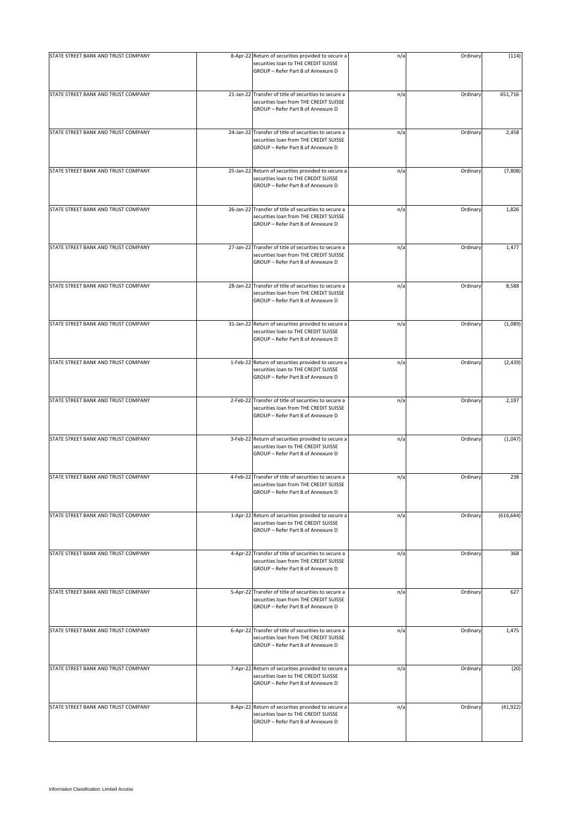| STATE STREET BANK AND TRUST COMPANY | 8-Apr-22 Return of securities provided to secure a<br>securities loan to THE CREDIT SUISSE<br>GROUP - Refer Part B of Annexure D      | n/a | Ordinary | (114)      |
|-------------------------------------|---------------------------------------------------------------------------------------------------------------------------------------|-----|----------|------------|
| STATE STREET BANK AND TRUST COMPANY | 21-Jan-22 Transfer of title of securities to secure a                                                                                 | n/a | Ordinary | 651,716    |
|                                     | securities loan from THE CREDIT SUISSE<br>GROUP - Refer Part B of Annexure D                                                          |     |          |            |
| STATE STREET BANK AND TRUST COMPANY | 24-Jan-22 Transfer of title of securities to secure a<br>securities loan from THE CREDIT SUISSE<br>GROUP - Refer Part B of Annexure D | n/a | Ordinary | 2,458      |
| STATE STREET BANK AND TRUST COMPANY | 25-Jan-22 Return of securities provided to secure a<br>securities loan to THE CREDIT SUISSE<br>GROUP - Refer Part B of Annexure D     | n/a | Ordinary | (7,808)    |
| STATE STREET BANK AND TRUST COMPANY | 26-Jan-22 Transfer of title of securities to secure a<br>securities loan from THE CREDIT SUISSE<br>GROUP - Refer Part B of Annexure D | n/a | Ordinary | 1,826      |
| STATE STREET BANK AND TRUST COMPANY | 27-Jan-22 Transfer of title of securities to secure a<br>securities loan from THE CREDIT SUISSE<br>GROUP - Refer Part B of Annexure D | n/a | Ordinary | 1,477      |
| STATE STREET BANK AND TRUST COMPANY | 28-Jan-22 Transfer of title of securities to secure a<br>securities loan from THE CREDIT SUISSE<br>GROUP - Refer Part B of Annexure D | n/a | Ordinary | 8,588      |
| STATE STREET BANK AND TRUST COMPANY | 31-Jan-22 Return of securities provided to secure a<br>securities loan to THE CREDIT SUISSE<br>GROUP - Refer Part B of Annexure D     | n/a | Ordinary | (1,089)    |
| STATE STREET BANK AND TRUST COMPANY | 1-Feb-22 Return of securities provided to secure a<br>securities loan to THE CREDIT SUISSE<br>GROUP - Refer Part B of Annexure D      | n/a | Ordinary | (2, 439)   |
| STATE STREET BANK AND TRUST COMPANY | 2-Feb-22 Transfer of title of securities to secure a<br>securities loan from THE CREDIT SUISSE<br>GROUP - Refer Part B of Annexure D  | n/a | Ordinary | 2,197      |
| STATE STREET BANK AND TRUST COMPANY | 3-Feb-22 Return of securities provided to secure a<br>securities loan to THE CREDIT SUISSE<br>GROUP - Refer Part B of Annexure D      | n/a | Ordinary | (1,047)    |
| STATE STREET BANK AND TRUST COMPANY | 4-Feb-22 Transfer of title of securities to secure a<br>ecurities loan from THE CREDIT SUISSE<br>GROUP - Refer Part B of Annexure D   | n/a | Ordinary | 238        |
| STATE STREET BANK AND TRUST COMPANY | 1-Apr-22 Return of securities provided to secure a<br>securities loan to THE CREDIT SUISSE<br>GROUP - Refer Part B of Annexure D      | n/a | Ordinary | (616, 644) |
| STATE STREET BANK AND TRUST COMPANY | 4-Apr-22 Transfer of title of securities to secure a<br>securities loan from THE CREDIT SUISSE<br>GROUP - Refer Part B of Annexure D  | n/a | Ordinary | 368        |
| STATE STREET BANK AND TRUST COMPANY | 5-Apr-22 Transfer of title of securities to secure a<br>securities loan from THE CREDIT SUISSE<br>GROUP - Refer Part B of Annexure D  | n/a | Ordinary | 627        |
| STATE STREET BANK AND TRUST COMPANY | 6-Apr-22 Transfer of title of securities to secure a<br>securities loan from THE CREDIT SUISSE<br>GROUP - Refer Part B of Annexure D  | n/a | Ordinary | 1,475      |
| STATE STREET BANK AND TRUST COMPANY | 7-Apr-22 Return of securities provided to secure a<br>securities loan to THE CREDIT SUISSE<br>GROUP - Refer Part B of Annexure D      | n/a | Ordinary | (20)       |
| STATE STREET BANK AND TRUST COMPANY | 8-Apr-22 Return of securities provided to secure a<br>securities loan to THE CREDIT SUISSE<br>GROUP - Refer Part B of Annexure D      | n/a | Ordinary | (41, 922)  |
|                                     |                                                                                                                                       |     |          |            |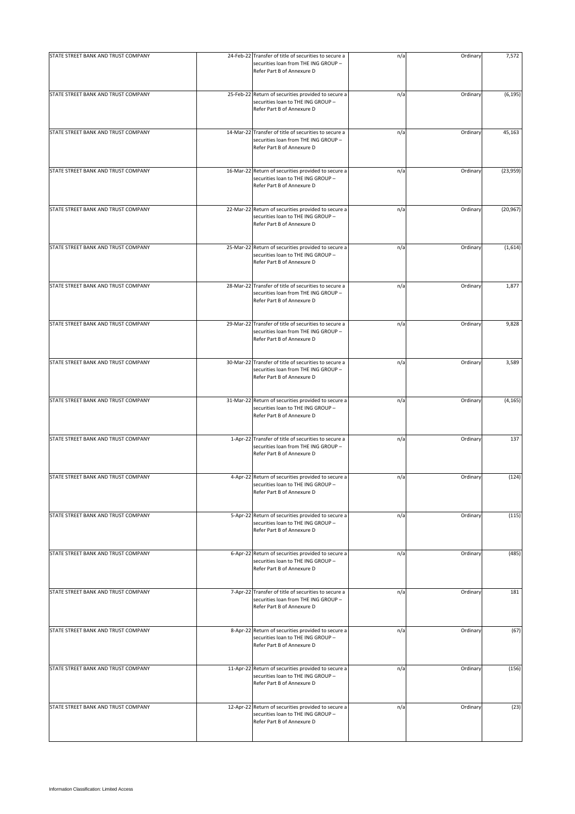| STATE STREET BANK AND TRUST COMPANY | 24-Feb-22 Transfer of title of securities to secure a<br>securities loan from THE ING GROUP -<br>Refer Part B of Annexure D | n/a | Ordinary | 7,572     |
|-------------------------------------|-----------------------------------------------------------------------------------------------------------------------------|-----|----------|-----------|
| STATE STREET BANK AND TRUST COMPANY | 25-Feb-22 Return of securities provided to secure a<br>securities loan to THE ING GROUP -<br>Refer Part B of Annexure D     | n/a | Ordinary | (6, 195)  |
| STATE STREET BANK AND TRUST COMPANY | 14-Mar-22 Transfer of title of securities to secure a<br>securities loan from THE ING GROUP -<br>Refer Part B of Annexure D | n/a | Ordinary | 45,163    |
| STATE STREET BANK AND TRUST COMPANY | 16-Mar-22 Return of securities provided to secure a<br>securities loan to THE ING GROUP -<br>Refer Part B of Annexure D     | n/a | Ordinary | (23, 959) |
| STATE STREET BANK AND TRUST COMPANY | 22-Mar-22 Return of securities provided to secure a<br>securities loan to THE ING GROUP -<br>Refer Part B of Annexure D     | n/a | Ordinary | (20, 967) |
| STATE STREET BANK AND TRUST COMPANY | 25-Mar-22 Return of securities provided to secure a<br>securities loan to THE ING GROUP -<br>Refer Part B of Annexure D     | n/a | Ordinary | (1,614)   |
| STATE STREET BANK AND TRUST COMPANY | 28-Mar-22 Transfer of title of securities to secure a<br>securities loan from THE ING GROUP -<br>Refer Part B of Annexure D | n/a | Ordinary | 1,877     |
| STATE STREET BANK AND TRUST COMPANY | 29-Mar-22 Transfer of title of securities to secure a<br>securities loan from THE ING GROUP -<br>Refer Part B of Annexure D | n/a | Ordinary | 9,828     |
| STATE STREET BANK AND TRUST COMPANY | 30-Mar-22 Transfer of title of securities to secure a<br>securities loan from THE ING GROUP -<br>Refer Part B of Annexure D | n/a | Ordinary | 3,589     |
| STATE STREET BANK AND TRUST COMPANY | 31-Mar-22 Return of securities provided to secure a<br>securities loan to THE ING GROUP -<br>Refer Part B of Annexure D     | n/a | Ordinary | (4, 165)  |
| STATE STREET BANK AND TRUST COMPANY | 1-Apr-22 Transfer of title of securities to secure a<br>securities loan from THE ING GROUP -<br>Refer Part B of Annexure D  | n/a | Ordinary | 137       |
| STATE STREET BANK AND TRUST COMPANY | 4-Apr-22 Return of securities provided to secure a<br>securities loan to THE ING GROUP<br>Refer Part B of Annexure D        | n/a | Ordinary | (124)     |
| STATE STREET BANK AND TRUST COMPANY | 5-Apr-22 Return of securities provided to secure a<br>securities loan to THE ING GROUP -<br>Refer Part B of Annexure D      | n/a | Ordinary | (115)     |
| STATE STREET BANK AND TRUST COMPANY | 6-Apr-22 Return of securities provided to secure a<br>securities loan to THE ING GROUP -<br>Refer Part B of Annexure D      | n/a | Ordinary | (485)     |
| STATE STREET BANK AND TRUST COMPANY | 7-Apr-22 Transfer of title of securities to secure a<br>securities loan from THE ING GROUP -<br>Refer Part B of Annexure D  | n/a | Ordinary | 181       |
| STATE STREET BANK AND TRUST COMPANY | 8-Apr-22 Return of securities provided to secure a<br>securities loan to THE ING GROUP -<br>Refer Part B of Annexure D      | n/a | Ordinary | (67)      |
| STATE STREET BANK AND TRUST COMPANY | 11-Apr-22 Return of securities provided to secure a<br>securities loan to THE ING GROUP -<br>Refer Part B of Annexure D     | n/a | Ordinary | (156)     |
| STATE STREET BANK AND TRUST COMPANY | 12-Apr-22 Return of securities provided to secure a<br>securities loan to THE ING GROUP -<br>Refer Part B of Annexure D     | n/a | Ordinary | (23)      |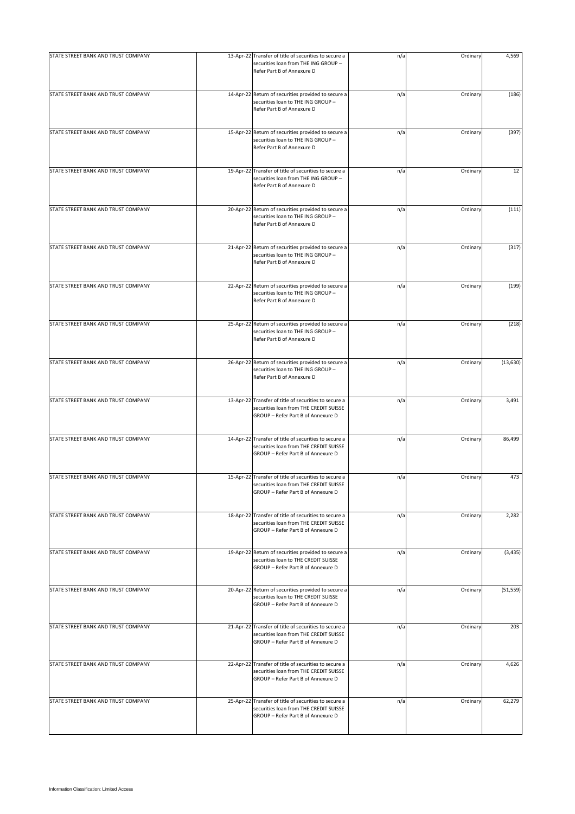| STATE STREET BANK AND TRUST COMPANY | 13-Apr-22 Transfer of title of securities to secure a<br>securities loan from THE ING GROUP -                                         | n/a | Ordinary | 4,569     |
|-------------------------------------|---------------------------------------------------------------------------------------------------------------------------------------|-----|----------|-----------|
|                                     | Refer Part B of Annexure D                                                                                                            |     |          |           |
| STATE STREET BANK AND TRUST COMPANY | 14-Apr-22 Return of securities provided to secure a<br>securities loan to THE ING GROUP -<br>Refer Part B of Annexure D               | n/a | Ordinary | (186)     |
| STATE STREET BANK AND TRUST COMPANY | 15-Apr-22 Return of securities provided to secure a<br>securities loan to THE ING GROUP -<br>Refer Part B of Annexure D               | n/a | Ordinary | (397)     |
| STATE STREET BANK AND TRUST COMPANY | 19-Apr-22 Transfer of title of securities to secure a<br>securities loan from THE ING GROUP -<br>Refer Part B of Annexure D           | n/a | Ordinary | 12        |
| STATE STREET BANK AND TRUST COMPANY | 20-Apr-22 Return of securities provided to secure a<br>securities loan to THE ING GROUP -<br>Refer Part B of Annexure D               | n/a | Ordinary | (111)     |
| STATE STREET BANK AND TRUST COMPANY | 21-Apr-22 Return of securities provided to secure a<br>securities loan to THE ING GROUP -<br>Refer Part B of Annexure D               | n/a | Ordinary | (317)     |
| STATE STREET BANK AND TRUST COMPANY | 22-Apr-22 Return of securities provided to secure a<br>securities loan to THE ING GROUP -<br>Refer Part B of Annexure D               | n/a | Ordinary | (199)     |
| STATE STREET BANK AND TRUST COMPANY | 25-Apr-22 Return of securities provided to secure a<br>securities loan to THE ING GROUP -<br>Refer Part B of Annexure D               | n/a | Ordinary | (218)     |
| STATE STREET BANK AND TRUST COMPANY | 26-Apr-22 Return of securities provided to secure a<br>securities loan to THE ING GROUP -<br>Refer Part B of Annexure D               | n/a | Ordinary | (13, 630) |
| STATE STREET BANK AND TRUST COMPANY | 13-Apr-22 Transfer of title of securities to secure a<br>securities loan from THE CREDIT SUISSE<br>GROUP - Refer Part B of Annexure D | n/a | Ordinary | 3,491     |
| STATE STREET BANK AND TRUST COMPANY | 14-Apr-22 Transfer of title of securities to secure a<br>securities loan from THE CREDIT SUISSE<br>GROUP - Refer Part B of Annexure D | n/a | Ordinary | 86,499    |
| STATE STREET BANK AND TRUST COMPANY | 15-Apr-22 Transfer of title of securities to secure a<br>ecurities loan from THE CREDIT SUISSE<br>GROUP - Refer Part B of Annexure D  | n/a | Ordinary | 473       |
| STATE STREET BANK AND TRUST COMPANY | 18-Apr-22 Transfer of title of securities to secure a<br>securities loan from THE CREDIT SUISSE<br>GROUP - Refer Part B of Annexure D | n/a | Ordinary | 2,282     |
| STATE STREET BANK AND TRUST COMPANY | 19-Apr-22 Return of securities provided to secure a<br>securities loan to THE CREDIT SUISSE<br>GROUP - Refer Part B of Annexure D     | n/a | Ordinary | (3, 435)  |
| STATE STREET BANK AND TRUST COMPANY | 20-Apr-22 Return of securities provided to secure a<br>securities loan to THE CREDIT SUISSE<br>GROUP - Refer Part B of Annexure D     | n/a | Ordinary | (51, 559) |
| STATE STREET BANK AND TRUST COMPANY | 21-Apr-22 Transfer of title of securities to secure a<br>securities loan from THE CREDIT SUISSE<br>GROUP - Refer Part B of Annexure D | n/a | Ordinary | 203       |
| STATE STREET BANK AND TRUST COMPANY | 22-Apr-22 Transfer of title of securities to secure a<br>securities loan from THE CREDIT SUISSE<br>GROUP - Refer Part B of Annexure D | n/a | Ordinary | 4,626     |
| STATE STREET BANK AND TRUST COMPANY | 25-Apr-22 Transfer of title of securities to secure a<br>securities loan from THE CREDIT SUISSE<br>GROUP - Refer Part B of Annexure D | n/a | Ordinary | 62,279    |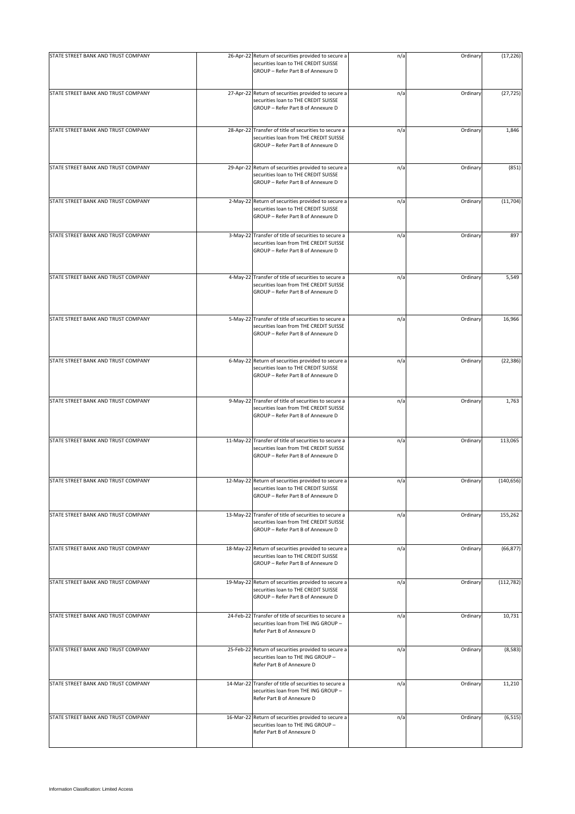| STATE STREET BANK AND TRUST COMPANY | 26-Apr-22 Return of securities provided to secure a<br>securities loan to THE CREDIT SUISSE                                           | n/a | Ordinary | (17, 226)  |
|-------------------------------------|---------------------------------------------------------------------------------------------------------------------------------------|-----|----------|------------|
|                                     | GROUP - Refer Part B of Annexure D                                                                                                    |     |          |            |
| STATE STREET BANK AND TRUST COMPANY | 27-Apr-22 Return of securities provided to secure a<br>securities loan to THE CREDIT SUISSE<br>GROUP - Refer Part B of Annexure D     | n/a | Ordinary | (27, 725)  |
| STATE STREET BANK AND TRUST COMPANY | 28-Apr-22 Transfer of title of securities to secure a<br>securities loan from THE CREDIT SUISSE<br>GROUP - Refer Part B of Annexure D | n/a | Ordinary | 1,846      |
| STATE STREET BANK AND TRUST COMPANY | 29-Apr-22 Return of securities provided to secure a<br>securities loan to THE CREDIT SUISSE<br>GROUP - Refer Part B of Annexure D     | n/a | Ordinary | (851)      |
| STATE STREET BANK AND TRUST COMPANY | 2-May-22 Return of securities provided to secure a<br>securities loan to THE CREDIT SUISSE<br>GROUP - Refer Part B of Annexure D      | n/a | Ordinary | (11, 704)  |
| STATE STREET BANK AND TRUST COMPANY | 3-May-22 Transfer of title of securities to secure a<br>securities loan from THE CREDIT SUISSE<br>GROUP - Refer Part B of Annexure D  | n/a | Ordinary | 897        |
| STATE STREET BANK AND TRUST COMPANY | 4-May-22 Transfer of title of securities to secure a<br>securities loan from THE CREDIT SUISSE<br>GROUP - Refer Part B of Annexure D  | n/a | Ordinary | 5,549      |
| STATE STREET BANK AND TRUST COMPANY | 5-May-22 Transfer of title of securities to secure a<br>securities loan from THE CREDIT SUISSE<br>GROUP - Refer Part B of Annexure D  | n/a | Ordinary | 16,966     |
| STATE STREET BANK AND TRUST COMPANY | 6-May-22 Return of securities provided to secure a<br>securities loan to THE CREDIT SUISSE<br>GROUP - Refer Part B of Annexure D      | n/a | Ordinary | (22, 386)  |
| STATE STREET BANK AND TRUST COMPANY | 9-May-22 Transfer of title of securities to secure a<br>securities loan from THE CREDIT SUISSE<br>GROUP - Refer Part B of Annexure D  | n/a | Ordinary | 1,763      |
| STATE STREET BANK AND TRUST COMPANY | 11-May-22 Transfer of title of securities to secure a<br>securities loan from THE CREDIT SUISSE<br>GROUP - Refer Part B of Annexure D | n/a | Ordinary | 113,065    |
| STATE STREET BANK AND TRUST COMPANY | 12-May-22 Return of securities provided to secure a<br>securities loan to THE CREDIT SUISSE<br>GROUP - Refer Part B of Annexure D     | n/a | Ordinary | (140, 656) |
| STATE STREET BANK AND TRUST COMPANY | 13-May-22 Transfer of title of securities to secure a<br>securities loan from THE CREDIT SUISSE<br>GROUP - Refer Part B of Annexure D | n/a | Ordinary | 155,262    |
| STATE STREET BANK AND TRUST COMPANY | 18-May-22 Return of securities provided to secure a<br>securities loan to THE CREDIT SUISSE<br>GROUP - Refer Part B of Annexure D     | n/a | Ordinary | (66, 877)  |
| STATE STREET BANK AND TRUST COMPANY | 19-May-22 Return of securities provided to secure a<br>securities loan to THE CREDIT SUISSE<br>GROUP - Refer Part B of Annexure D     | n/a | Ordinary | (112, 782) |
| STATE STREET BANK AND TRUST COMPANY | 24-Feb-22 Transfer of title of securities to secure a<br>securities loan from THE ING GROUP -<br>Refer Part B of Annexure D           | n/a | Ordinary | 10,731     |
| STATE STREET BANK AND TRUST COMPANY | 25-Feb-22 Return of securities provided to secure a<br>securities loan to THE ING GROUP -<br>Refer Part B of Annexure D               | n/a | Ordinary | (8,583)    |
| STATE STREET BANK AND TRUST COMPANY | 14-Mar-22 Transfer of title of securities to secure a<br>securities loan from THE ING GROUP -<br>Refer Part B of Annexure D           | n/a | Ordinary | 11,210     |
| STATE STREET BANK AND TRUST COMPANY | 16-Mar-22 Return of securities provided to secure a<br>securities loan to THE ING GROUP -<br>Refer Part B of Annexure D               | n/a | Ordinary | (6, 515)   |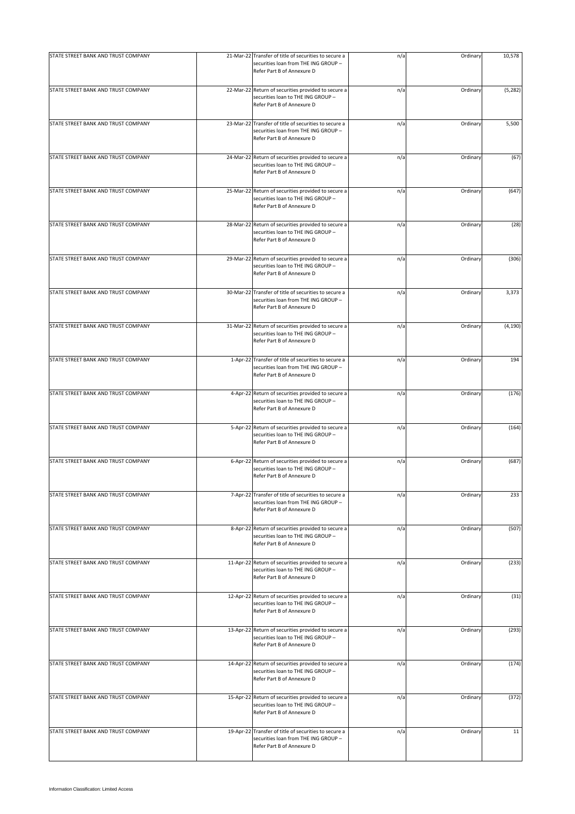| STATE STREET BANK AND TRUST COMPANY | 21-Mar-22 Transfer of title of securities to secure a<br>securities loan from THE ING GROUP -<br>Refer Part B of Annexure D | n/a | Ordinary | 10,578   |
|-------------------------------------|-----------------------------------------------------------------------------------------------------------------------------|-----|----------|----------|
| STATE STREET BANK AND TRUST COMPANY | 22-Mar-22 Return of securities provided to secure a<br>securities loan to THE ING GROUP -<br>Refer Part B of Annexure D     | n/a | Ordinary | (5, 282) |
| STATE STREET BANK AND TRUST COMPANY | 23-Mar-22 Transfer of title of securities to secure a<br>securities loan from THE ING GROUP -<br>Refer Part B of Annexure D | n/a | Ordinary | 5,500    |
| STATE STREET BANK AND TRUST COMPANY | 24-Mar-22 Return of securities provided to secure a<br>securities loan to THE ING GROUP -<br>Refer Part B of Annexure D     | n/a | Ordinary | (67)     |
| STATE STREET BANK AND TRUST COMPANY | 25-Mar-22 Return of securities provided to secure a<br>securities loan to THE ING GROUP -<br>Refer Part B of Annexure D     | n/a | Ordinary | (647)    |
| STATE STREET BANK AND TRUST COMPANY | 28-Mar-22 Return of securities provided to secure a<br>securities loan to THE ING GROUP -<br>Refer Part B of Annexure D     | n/a | Ordinary | (28)     |
| STATE STREET BANK AND TRUST COMPANY | 29-Mar-22 Return of securities provided to secure a<br>securities loan to THE ING GROUP -<br>Refer Part B of Annexure D     | n/a | Ordinary | (306)    |
| STATE STREET BANK AND TRUST COMPANY | 30-Mar-22 Transfer of title of securities to secure a<br>securities loan from THE ING GROUP -<br>Refer Part B of Annexure D | n/a | Ordinary | 3,373    |
| STATE STREET BANK AND TRUST COMPANY | 31-Mar-22 Return of securities provided to secure a<br>securities loan to THE ING GROUP -<br>Refer Part B of Annexure D     | n/a | Ordinary | (4, 190) |
| STATE STREET BANK AND TRUST COMPANY | 1-Apr-22 Transfer of title of securities to secure a<br>securities loan from THE ING GROUP -<br>Refer Part B of Annexure D  | n/a | Ordinary | 194      |
| STATE STREET BANK AND TRUST COMPANY | 4-Apr-22 Return of securities provided to secure a<br>securities loan to THE ING GROUP -<br>Refer Part B of Annexure D      | n/a | Ordinary | (176)    |
| STATE STREET BANK AND TRUST COMPANY | 5-Apr-22 Return of securities provided to secure a<br>securities loan to THE ING GROUP -<br>Refer Part B of Annexure D      | n/a | Ordinary | (164)    |
| STATE STREET BANK AND TRUST COMPANY | 6-Apr-22 Return of securities provided to secure a<br>securities loan to THE ING GROUP -<br>Refer Part B of Annexure D      | n/a | Ordinary | (687)    |
| STATE STREET BANK AND TRUST COMPANY | 7-Apr-22 Transfer of title of securities to secure a<br>securities loan from THE ING GROUP -<br>Refer Part B of Annexure D  | n/a | Ordinary | 233      |
| STATE STREET BANK AND TRUST COMPANY | 8-Apr-22 Return of securities provided to secure a<br>securities loan to THE ING GROUP -<br>Refer Part B of Annexure D      | n/a | Ordinary | (507)    |
| STATE STREET BANK AND TRUST COMPANY | 11-Apr-22 Return of securities provided to secure a<br>securities loan to THE ING GROUP -<br>Refer Part B of Annexure D     | n/a | Ordinary | (233)    |
| STATE STREET BANK AND TRUST COMPANY | 12-Apr-22 Return of securities provided to secure a<br>securities loan to THE ING GROUP -<br>Refer Part B of Annexure D     | n/a | Ordinary | (31)     |
| STATE STREET BANK AND TRUST COMPANY | 13-Apr-22 Return of securities provided to secure a<br>securities loan to THE ING GROUP -<br>Refer Part B of Annexure D     | n/a | Ordinary | (293)    |
| STATE STREET BANK AND TRUST COMPANY | 14-Apr-22 Return of securities provided to secure a<br>securities loan to THE ING GROUP -<br>Refer Part B of Annexure D     | n/a | Ordinary | (174)    |
| STATE STREET BANK AND TRUST COMPANY | 15-Apr-22 Return of securities provided to secure a<br>securities loan to THE ING GROUP -<br>Refer Part B of Annexure D     | n/a | Ordinary | (372)    |
| STATE STREET BANK AND TRUST COMPANY | 19-Apr-22 Transfer of title of securities to secure a<br>securities loan from THE ING GROUP -<br>Refer Part B of Annexure D | n/a | Ordinary | 11       |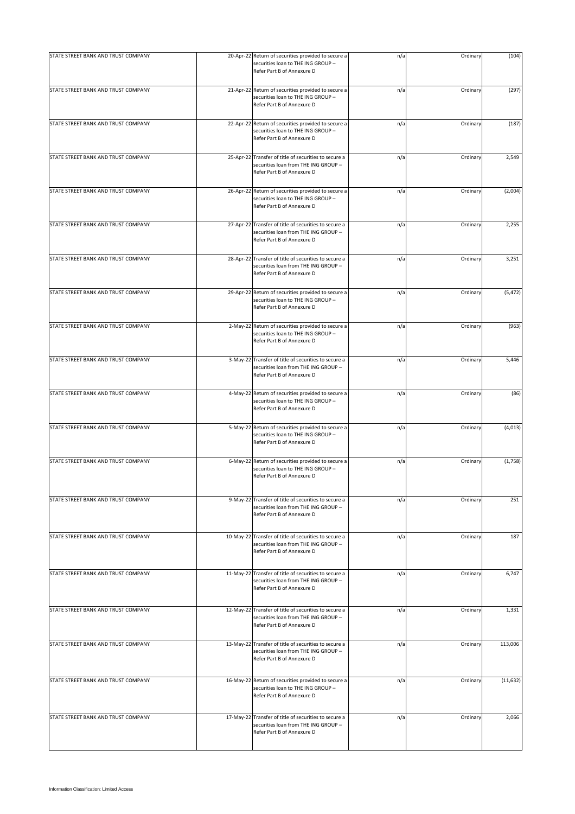| STATE STREET BANK AND TRUST COMPANY | 20-Apr-22 Return of securities provided to secure a<br>securities loan to THE ING GROUP -<br>Refer Part B of Annexure D     | n/a | Ordinary | (104)     |
|-------------------------------------|-----------------------------------------------------------------------------------------------------------------------------|-----|----------|-----------|
| STATE STREET BANK AND TRUST COMPANY | 21-Apr-22 Return of securities provided to secure a<br>securities loan to THE ING GROUP -<br>Refer Part B of Annexure D     | n/a | Ordinary | (297)     |
| STATE STREET BANK AND TRUST COMPANY | 22-Apr-22 Return of securities provided to secure a<br>securities loan to THE ING GROUP -<br>Refer Part B of Annexure D     | n/a | Ordinary | (187)     |
| STATE STREET BANK AND TRUST COMPANY | 25-Apr-22 Transfer of title of securities to secure a<br>securities loan from THE ING GROUP -<br>Refer Part B of Annexure D | n/a | Ordinary | 2,549     |
| STATE STREET BANK AND TRUST COMPANY | 26-Apr-22 Return of securities provided to secure a<br>securities loan to THE ING GROUP -<br>Refer Part B of Annexure D     | n/a | Ordinary | (2,004)   |
| STATE STREET BANK AND TRUST COMPANY | 27-Apr-22 Transfer of title of securities to secure a<br>securities loan from THE ING GROUP -<br>Refer Part B of Annexure D | n/a | Ordinary | 2,255     |
| STATE STREET BANK AND TRUST COMPANY | 28-Apr-22 Transfer of title of securities to secure a<br>securities loan from THE ING GROUP -<br>Refer Part B of Annexure D | n/a | Ordinary | 3,251     |
| STATE STREET BANK AND TRUST COMPANY | 29-Apr-22 Return of securities provided to secure a<br>securities loan to THE ING GROUP -<br>Refer Part B of Annexure D     | n/a | Ordinary | (5, 472)  |
| STATE STREET BANK AND TRUST COMPANY | 2-May-22 Return of securities provided to secure a<br>securities loan to THE ING GROUP -<br>Refer Part B of Annexure D      | n/a | Ordinary | (963)     |
| STATE STREET BANK AND TRUST COMPANY | 3-May-22 Transfer of title of securities to secure a<br>securities loan from THE ING GROUP -<br>Refer Part B of Annexure D  | n/a | Ordinary | 5,446     |
| STATE STREET BANK AND TRUST COMPANY | 4-May-22 Return of securities provided to secure a<br>securities loan to THE ING GROUP -<br>Refer Part B of Annexure D      | n/a | Ordinary | (86)      |
| STATE STREET BANK AND TRUST COMPANY | 5-May-22 Return of securities provided to secure a<br>securities loan to THE ING GROUP -<br>Refer Part B of Annexure D      | n/a | Ordinary | (4,013)   |
| STATE STREET BANK AND TRUST COMPANY | 6-May-22 Return of securities provided to secure a<br>securities loan to THE ING GROUP -<br>Refer Part B of Annexure D      | n/a | Ordinary | (1,758)   |
| STATE STREET BANK AND TRUST COMPANY | 9-May-22 Transfer of title of securities to secure a<br>securities loan from THE ING GROUP -<br>Refer Part B of Annexure D  | n/a | Ordinary | 251       |
| STATE STREET BANK AND TRUST COMPANY | 10-May-22 Transfer of title of securities to secure a<br>securities loan from THE ING GROUP -<br>Refer Part B of Annexure D | n/a | Ordinary | 187       |
| STATE STREET BANK AND TRUST COMPANY | 11-May-22 Transfer of title of securities to secure a<br>securities loan from THE ING GROUP -<br>Refer Part B of Annexure D | n/a | Ordinary | 6,747     |
| STATE STREET BANK AND TRUST COMPANY | 12-May-22 Transfer of title of securities to secure a<br>securities loan from THE ING GROUP -<br>Refer Part B of Annexure D | n/a | Ordinary | 1,331     |
| STATE STREET BANK AND TRUST COMPANY | 13-May-22 Transfer of title of securities to secure a<br>securities loan from THE ING GROUP -<br>Refer Part B of Annexure D | n/a | Ordinary | 113,006   |
| STATE STREET BANK AND TRUST COMPANY | 16-May-22 Return of securities provided to secure a<br>securities loan to THE ING GROUP -<br>Refer Part B of Annexure D     | n/a | Ordinary | (11, 632) |
| STATE STREET BANK AND TRUST COMPANY | 17-May-22 Transfer of title of securities to secure a<br>securities loan from THE ING GROUP -<br>Refer Part B of Annexure D | n/a | Ordinary | 2,066     |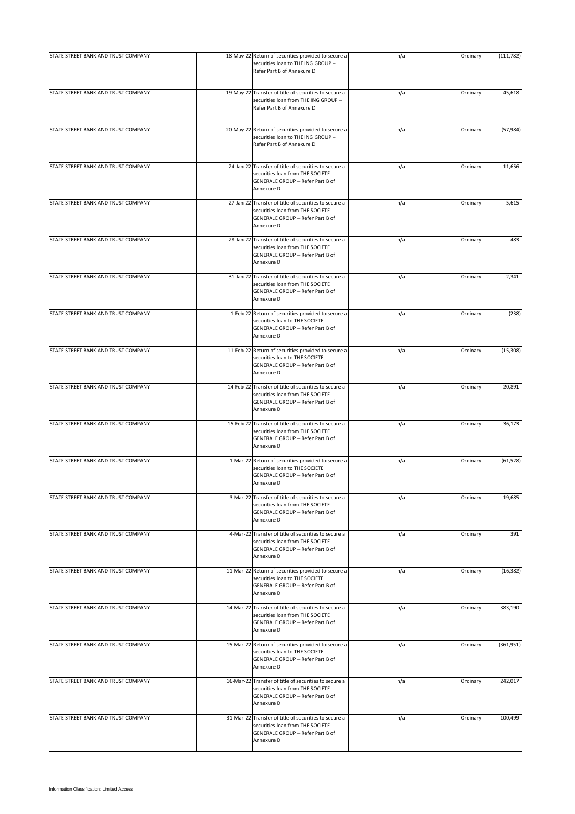| STATE STREET BANK AND TRUST COMPANY | 18-May-22 Return of securities provided to secure a<br>securities loan to THE ING GROUP -                                                         | n/a | Ordinary | (111, 782) |
|-------------------------------------|---------------------------------------------------------------------------------------------------------------------------------------------------|-----|----------|------------|
|                                     | Refer Part B of Annexure D                                                                                                                        |     |          |            |
| STATE STREET BANK AND TRUST COMPANY | 19-May-22 Transfer of title of securities to secure a<br>securities loan from THE ING GROUP -<br>Refer Part B of Annexure D                       | n/a | Ordinary | 45,618     |
| STATE STREET BANK AND TRUST COMPANY | 20-May-22 Return of securities provided to secure a<br>securities loan to THE ING GROUP -<br>Refer Part B of Annexure D                           | n/a | Ordinary | (57, 984)  |
| STATE STREET BANK AND TRUST COMPANY | 24-Jan-22 Transfer of title of securities to secure a<br>securities loan from THE SOCIETE<br>GENERALE GROUP - Refer Part B of<br>Annexure D       | n/a | Ordinary | 11,656     |
| STATE STREET BANK AND TRUST COMPANY | 27-Jan-22 Transfer of title of securities to secure a<br>securities loan from THE SOCIETE<br>GENERALE GROUP - Refer Part B of<br>Annexure D       | n/a | Ordinary | 5,615      |
| STATE STREET BANK AND TRUST COMPANY | 28-Jan-22 Transfer of title of securities to secure a<br>securities loan from THE SOCIETE<br>GENERALE GROUP - Refer Part B of<br>Annexure D       | n/a | Ordinary | 483        |
| STATE STREET BANK AND TRUST COMPANY | 31-Jan-22 Transfer of title of securities to secure a<br>securities loan from THE SOCIETE<br>GENERALE GROUP - Refer Part B of<br>Annexure D       | n/a | Ordinary | 2,341      |
| STATE STREET BANK AND TRUST COMPANY | 1-Feb-22 Return of securities provided to secure a<br>securities loan to THE SOCIETE<br><b>GENERALE GROUP - Refer Part B of</b><br>Annexure D     | n/a | Ordinary | (238)      |
| STATE STREET BANK AND TRUST COMPANY | 11-Feb-22 Return of securities provided to secure a<br>securities loan to THE SOCIETE<br>GENERALE GROUP - Refer Part B of<br>Annexure D           | n/a | Ordinary | (15, 308)  |
| STATE STREET BANK AND TRUST COMPANY | 14-Feb-22 Transfer of title of securities to secure a<br>securities loan from THE SOCIETE<br>GENERALE GROUP - Refer Part B of<br>Annexure D       | n/a | Ordinary | 20,891     |
| STATE STREET BANK AND TRUST COMPANY | 15-Feb-22 Transfer of title of securities to secure a<br>securities loan from THE SOCIETE<br>GENERALE GROUP - Refer Part B of<br>Annexure D       | n/a | Ordinary | 36,173     |
| STATE STREET BANK AND TRUST COMPANY | 1-Mar-22 Return of securities provided to secure a<br>securities loan to THE SOCIETE<br>GENERALE GROUP - Refer Part B of<br>Annexure D            | n/a | Ordinary | (61, 528)  |
| STATE STREET BANK AND TRUST COMPANY | 3-Mar-22 Transfer of title of securities to secure a<br>securities loan from THE SOCIETE<br><b>GENERALE GROUP - Refer Part B of</b><br>Annexure D | n/a | Ordinary | 19,685     |
| STATE STREET BANK AND TRUST COMPANY | 4-Mar-22 Transfer of title of securities to secure a<br>securities loan from THE SOCIETE<br>GENERALE GROUP - Refer Part B of<br>Annexure D        | n/a | Ordinary | 391        |
| STATE STREET BANK AND TRUST COMPANY | 11-Mar-22 Return of securities provided to secure a<br>securities loan to THE SOCIETE<br><b>GENERALE GROUP - Refer Part B of</b><br>Annexure D    | n/a | Ordinary | (16, 382)  |
| STATE STREET BANK AND TRUST COMPANY | 14-Mar-22 Transfer of title of securities to secure a<br>securities loan from THE SOCIETE<br>GENERALE GROUP - Refer Part B of<br>Annexure D       | n/a | Ordinary | 383,190    |
| STATE STREET BANK AND TRUST COMPANY | 15-Mar-22 Return of securities provided to secure a<br>securities loan to THE SOCIETE<br>GENERALE GROUP - Refer Part B of<br>Annexure D           | n/a | Ordinary | (361, 951) |
| STATE STREET BANK AND TRUST COMPANY | 16-Mar-22 Transfer of title of securities to secure a<br>securities loan from THE SOCIETE<br>GENERALE GROUP - Refer Part B of<br>Annexure D       | n/a | Ordinary | 242,017    |
| STATE STREET BANK AND TRUST COMPANY | 31-Mar-22 Transfer of title of securities to secure a<br>securities loan from THE SOCIETE<br>GENERALE GROUP - Refer Part B of<br>Annexure D       | n/a | Ordinary | 100,499    |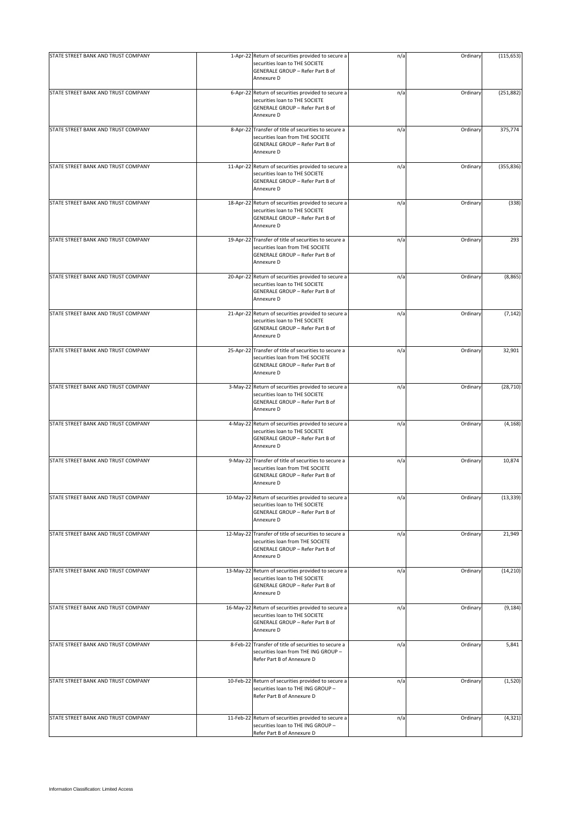| STATE STREET BANK AND TRUST COMPANY | 1-Apr-22 Return of securities provided to secure a<br>securities loan to THE SOCIETE<br>GENERALE GROUP - Refer Part B of<br>Annexure D         | n/a | Ordinary | (115, 653) |
|-------------------------------------|------------------------------------------------------------------------------------------------------------------------------------------------|-----|----------|------------|
| STATE STREET BANK AND TRUST COMPANY | 6-Apr-22 Return of securities provided to secure a<br>securities loan to THE SOCIETE<br>GENERALE GROUP - Refer Part B of<br>Annexure D         | n/a | Ordinary | (251, 882) |
| STATE STREET BANK AND TRUST COMPANY | 8-Apr-22 Transfer of title of securities to secure a<br>securities loan from THE SOCIETE<br>GENERALE GROUP - Refer Part B of<br>Annexure D     | n/a | Ordinary | 375,774    |
| STATE STREET BANK AND TRUST COMPANY | 11-Apr-22 Return of securities provided to secure a<br>securities loan to THE SOCIETE<br>GENERALE GROUP - Refer Part B of<br>Annexure D        | n/a | Ordinary | (355, 836) |
| STATE STREET BANK AND TRUST COMPANY | 18-Apr-22 Return of securities provided to secure a<br>securities loan to THE SOCIETE<br>GENERALE GROUP - Refer Part B of<br>Annexure D        | n/a | Ordinary | (338)      |
| STATE STREET BANK AND TRUST COMPANY | 19-Apr-22 Transfer of title of securities to secure a<br>securities loan from THE SOCIETE<br>GENERALE GROUP - Refer Part B of<br>Annexure D    | n/a | Ordinary | 293        |
| STATE STREET BANK AND TRUST COMPANY | 20-Apr-22 Return of securities provided to secure a<br>securities loan to THE SOCIETE<br><b>GENERALE GROUP - Refer Part B of</b><br>Annexure D | n/a | Ordinary | (8, 865)   |
| STATE STREET BANK AND TRUST COMPANY | 21-Apr-22 Return of securities provided to secure a<br>securities loan to THE SOCIETE<br><b>GENERALE GROUP - Refer Part B of</b><br>Annexure D | n/a | Ordinary | (7, 142)   |
| STATE STREET BANK AND TRUST COMPANY | 25-Apr-22 Transfer of title of securities to secure a<br>securities loan from THE SOCIETE<br>GENERALE GROUP - Refer Part B of<br>Annexure D    | n/a | Ordinary | 32,901     |
| STATE STREET BANK AND TRUST COMPANY | 3-May-22 Return of securities provided to secure a<br>securities loan to THE SOCIETE<br>GENERALE GROUP - Refer Part B of<br>Annexure D         | n/a | Ordinary | (28, 710)  |
| STATE STREET BANK AND TRUST COMPANY | 4-May-22 Return of securities provided to secure a<br>securities loan to THE SOCIETE<br>GENERALE GROUP - Refer Part B of<br>Annexure D         | n/a | Ordinary | (4, 168)   |
| STATE STREET BANK AND TRUST COMPANY | 9-May-22 Transfer of title of securities to secure a<br>securities loan from THE SOCIETE<br>GENERALE GROUP - Refer Part B of<br>Annexure D     | n/a | Ordinary | 10,874     |
| STATE STREET BANK AND TRUST COMPANY | 10-May-22 Return of securities provided to secure a<br>securities loan to THE SOCIETE<br><b>GENERALE GROUP - Refer Part B of</b><br>Annexure D | n/a | Ordinary | (13, 339)  |
| STATE STREET BANK AND TRUST COMPANY | 12-May-22 Transfer of title of securities to secure a<br>securities loan from THE SOCIETE<br>GENERALE GROUP - Refer Part B of<br>Annexure D    | n/a | Ordinary | 21,949     |
| STATE STREET BANK AND TRUST COMPANY | 13-May-22 Return of securities provided to secure a<br>securities loan to THE SOCIETE<br>GENERALE GROUP - Refer Part B of<br>Annexure D        | n/a | Ordinary | (14, 210)  |
| STATE STREET BANK AND TRUST COMPANY | 16-May-22 Return of securities provided to secure a<br>securities loan to THE SOCIETE<br>GENERALE GROUP - Refer Part B of<br>Annexure D        | n/a | Ordinary | (9, 184)   |
| STATE STREET BANK AND TRUST COMPANY | 8-Feb-22 Transfer of title of securities to secure a<br>securities loan from THE ING GROUP -<br>Refer Part B of Annexure D                     | n/a | Ordinary | 5,841      |
| STATE STREET BANK AND TRUST COMPANY | 10-Feb-22 Return of securities provided to secure a<br>securities loan to THE ING GROUP -<br>Refer Part B of Annexure D                        | n/a | Ordinary | (1,520)    |
| STATE STREET BANK AND TRUST COMPANY | 11-Feb-22 Return of securities provided to secure a<br>securities loan to THE ING GROUP -<br>Refer Part B of Annexure D                        | n/a | Ordinary | (4, 321)   |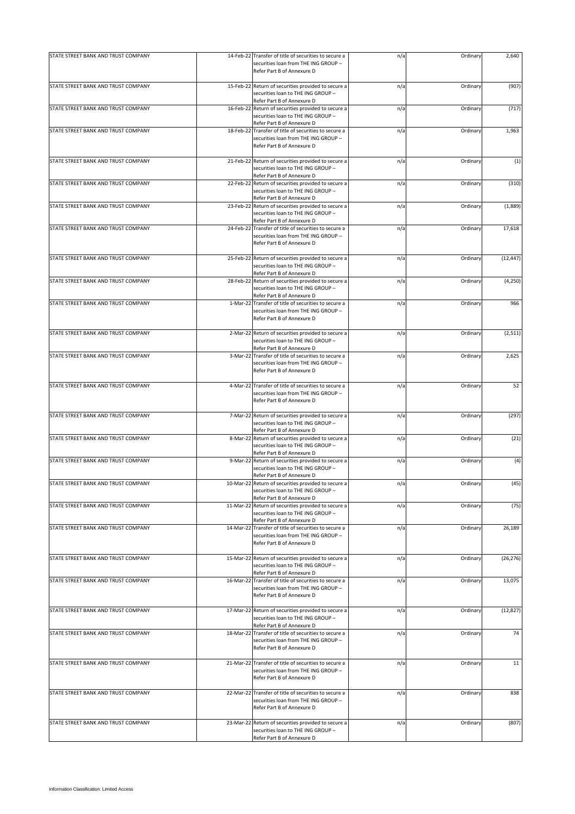| STATE STREET BANK AND TRUST COMPANY |           | 14-Feb-22 Transfer of title of securities to secure a<br>securities loan from THE ING GROUP -<br>Refer Part B of Annexure D                           | n/a | Ordinary | 2,640     |
|-------------------------------------|-----------|-------------------------------------------------------------------------------------------------------------------------------------------------------|-----|----------|-----------|
| STATE STREET BANK AND TRUST COMPANY |           | 15-Feb-22 Return of securities provided to secure a<br>securities loan to THE ING GROUP -                                                             | n/a | Ordinary | (907)     |
| STATE STREET BANK AND TRUST COMPANY |           | Refer Part B of Annexure D<br>16-Feb-22 Return of securities provided to secure a<br>securities loan to THE ING GROUP -<br>Refer Part B of Annexure D | n/a | Ordinary | (717)     |
| STATE STREET BANK AND TRUST COMPANY | 18-Feb-22 | Transfer of title of securities to secure a<br>securities loan from THE ING GROUP -<br>Refer Part B of Annexure D                                     | n/a | Ordinary | 1,963     |
| STATE STREET BANK AND TRUST COMPANY |           | 21-Feb-22 Return of securities provided to secure a<br>securities loan to THE ING GROUP -<br>Refer Part B of Annexure D                               | n/a | Ordinary | (1)       |
| STATE STREET BANK AND TRUST COMPANY |           | 22-Feb-22 Return of securities provided to secure a<br>securities loan to THE ING GROUP -<br>Refer Part B of Annexure D                               | n/a | Ordinary | (310)     |
| STATE STREET BANK AND TRUST COMPANY |           | 23-Feb-22 Return of securities provided to secure a<br>securities loan to THE ING GROUP -<br>Refer Part B of Annexure D                               | n/a | Ordinary | (1,889)   |
| STATE STREET BANK AND TRUST COMPANY |           | 24-Feb-22 Transfer of title of securities to secure a<br>securities loan from THE ING GROUP -<br>Refer Part B of Annexure D                           | n/a | Ordinary | 17,618    |
| STATE STREET BANK AND TRUST COMPANY |           | 25-Feb-22 Return of securities provided to secure a<br>securities loan to THE ING GROUP -<br>Refer Part B of Annexure D                               | n/a | Ordinary | (12, 447) |
| STATE STREET BANK AND TRUST COMPANY |           | 28-Feb-22 Return of securities provided to secure a<br>securities loan to THE ING GROUP -<br>Refer Part B of Annexure D                               | n/a | Ordinary | (4, 250)  |
| STATE STREET BANK AND TRUST COMPANY |           | 1-Mar-22 Transfer of title of securities to secure a<br>securities loan from THE ING GROUP -<br>Refer Part B of Annexure D                            | n/a | Ordinary | 966       |
| STATE STREET BANK AND TRUST COMPANY |           | 2-Mar-22 Return of securities provided to secure a<br>securities loan to THE ING GROUP -<br>Refer Part B of Annexure D                                | n/a | Ordinary | (2, 511)  |
| STATE STREET BANK AND TRUST COMPANY |           | 3-Mar-22 Transfer of title of securities to secure a<br>securities loan from THE ING GROUP -<br>Refer Part B of Annexure D                            | n/a | Ordinary | 2,625     |
| STATE STREET BANK AND TRUST COMPANY |           | 4-Mar-22 Transfer of title of securities to secure a<br>securities loan from THE ING GROUP -<br>Refer Part B of Annexure D                            | n/a | Ordinary | 52        |
| STATE STREET BANK AND TRUST COMPANY |           | 7-Mar-22 Return of securities provided to secure a<br>securities loan to THE ING GROUP -<br>Refer Part B of Annexure D                                | n/a | Ordinary | (297)     |
| STATE STREET BANK AND TRUST COMPANY |           | 8-Mar-22 Return of securities provided to secure a<br>securities loan to THE ING GROUP -<br>Refer Part B of Annexure D                                | n/a | Ordinary | (21)      |
| STATE STREET BANK AND TRUST COMPANY |           | 9-Mar-22 Return of securities provided to secure a<br>securities loan to THE ING GROUP -<br>Refer Part B of Annexure D                                | n/a | Ordinary | (4)       |
| STATE STREET BANK AND TRUST COMPANY |           | 10-Mar-22 Return of securities provided to secure a<br>securities loan to THE ING GROUP -<br>Refer Part B of Annexure D                               | n/a | Ordinary | (45)      |
| STATE STREET BANK AND TRUST COMPANY |           | 11-Mar-22 Return of securities provided to secure a<br>securities loan to THE ING GROUP -<br>Refer Part B of Annexure D                               | n/a | Ordinary | (75)      |
| STATE STREET BANK AND TRUST COMPANY |           | 14-Mar-22 Transfer of title of securities to secure a<br>securities loan from THE ING GROUP -<br>Refer Part B of Annexure D                           | n/a | Ordinary | 26,189    |
| STATE STREET BANK AND TRUST COMPANY |           | 15-Mar-22 Return of securities provided to secure a<br>securities loan to THE ING GROUP -<br>Refer Part B of Annexure D                               | n/a | Ordinary | (26, 276) |
| STATE STREET BANK AND TRUST COMPANY |           | 16-Mar-22 Transfer of title of securities to secure a<br>securities loan from THE ING GROUP -<br>Refer Part B of Annexure D                           | n/a | Ordinary | 13,075    |
| STATE STREET BANK AND TRUST COMPANY |           | 17-Mar-22 Return of securities provided to secure a<br>securities loan to THE ING GROUP -<br>Refer Part B of Annexure D                               | n/a | Ordinary | (12, 827) |
| STATE STREET BANK AND TRUST COMPANY |           | 18-Mar-22 Transfer of title of securities to secure a<br>securities loan from THE ING GROUP -<br>Refer Part B of Annexure D                           | n/a | Ordinary | 74        |
| STATE STREET BANK AND TRUST COMPANY |           | 21-Mar-22 Transfer of title of securities to secure a<br>securities loan from THE ING GROUP -<br>Refer Part B of Annexure D                           | n/a | Ordinary | 11        |
| STATE STREET BANK AND TRUST COMPANY |           | 22-Mar-22 Transfer of title of securities to secure a<br>securities loan from THE ING GROUP -<br>Refer Part B of Annexure D                           | n/a | Ordinary | 838       |
| STATE STREET BANK AND TRUST COMPANY |           | 23-Mar-22 Return of securities provided to secure a<br>securities loan to THE ING GROUP -<br>Refer Part B of Annexure D                               | n/a | Ordinary | (807)     |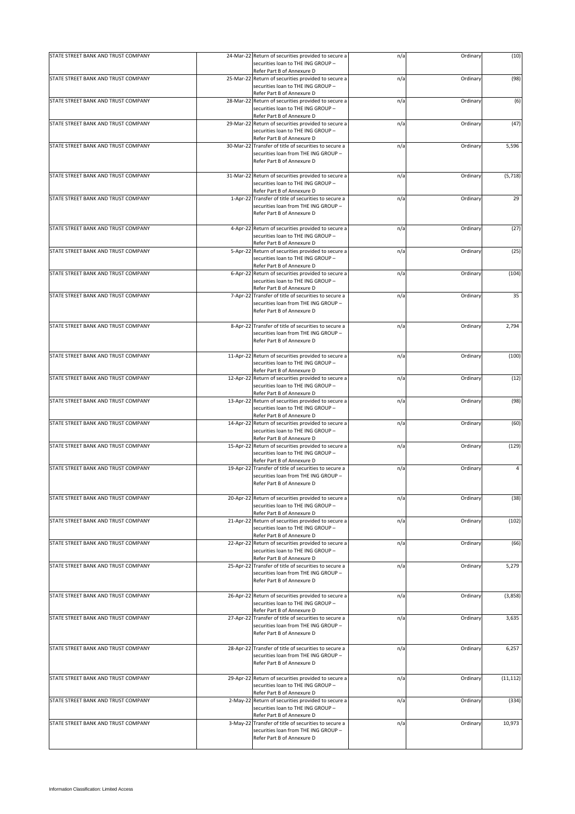| STATE STREET BANK AND TRUST COMPANY | 24-Mar-22 Return of securities provided to secure a<br>securities loan to THE ING GROUP -                                   | n/a | Ordinary | (10)      |
|-------------------------------------|-----------------------------------------------------------------------------------------------------------------------------|-----|----------|-----------|
|                                     | Refer Part B of Annexure D                                                                                                  |     |          |           |
| STATE STREET BANK AND TRUST COMPANY | 25-Mar-22 Return of securities provided to secure a<br>securities loan to THE ING GROUP -<br>Refer Part B of Annexure D     | n/a | Ordinary | (98)      |
| STATE STREET BANK AND TRUST COMPANY | 28-Mar-22 Return of securities provided to secure a<br>securities loan to THE ING GROUP -                                   | n/a | Ordinary | (6)       |
| STATE STREET BANK AND TRUST COMPANY | Refer Part B of Annexure D<br>29-Mar-22 Return of securities provided to secure a<br>securities loan to THE ING GROUP -     | n/a | Ordinary | (47)      |
|                                     | Refer Part B of Annexure D                                                                                                  |     |          |           |
| STATE STREET BANK AND TRUST COMPANY | 30-Mar-22 Transfer of title of securities to secure a<br>securities loan from THE ING GROUP -<br>Refer Part B of Annexure D | n/a | Ordinary | 5,596     |
| STATE STREET BANK AND TRUST COMPANY | 31-Mar-22 Return of securities provided to secure a<br>securities loan to THE ING GROUP -<br>Refer Part B of Annexure D     | n/a | Ordinary | (5,718)   |
| STATE STREET BANK AND TRUST COMPANY | 1-Apr-22 Transfer of title of securities to secure a<br>securities loan from THE ING GROUP -<br>Refer Part B of Annexure D  | n/a | Ordinary | 29        |
| STATE STREET BANK AND TRUST COMPANY | 4-Apr-22 Return of securities provided to secure a<br>securities loan to THE ING GROUP -<br>Refer Part B of Annexure D      | n/a | Ordinary | (27)      |
| STATE STREET BANK AND TRUST COMPANY | 5-Apr-22 Return of securities provided to secure a<br>securities loan to THE ING GROUP -<br>Refer Part B of Annexure D      | n/a | Ordinary | (25)      |
| STATE STREET BANK AND TRUST COMPANY | 6-Apr-22 Return of securities provided to secure a<br>securities loan to THE ING GROUP -<br>Refer Part B of Annexure D      | n/a | Ordinary | (104)     |
| STATE STREET BANK AND TRUST COMPANY | 7-Apr-22 Transfer of title of securities to secure a<br>securities loan from THE ING GROUP -<br>Refer Part B of Annexure D  | n/a | Ordinary | 35        |
| STATE STREET BANK AND TRUST COMPANY | 8-Apr-22 Transfer of title of securities to secure a<br>securities loan from THE ING GROUP -<br>Refer Part B of Annexure D  | n/a | Ordinary | 2,794     |
| STATE STREET BANK AND TRUST COMPANY | 11-Apr-22 Return of securities provided to secure a<br>securities loan to THE ING GROUP -<br>Refer Part B of Annexure D     | n/a | Ordinary | (100)     |
| STATE STREET BANK AND TRUST COMPANY | 12-Apr-22 Return of securities provided to secure a<br>securities loan to THE ING GROUP -<br>Refer Part B of Annexure D     | n/a | Ordinary | (12)      |
| STATE STREET BANK AND TRUST COMPANY | 13-Apr-22 Return of securities provided to secure a<br>securities loan to THE ING GROUP -<br>Refer Part B of Annexure D     | n/a | Ordinary | (98)      |
| STATE STREET BANK AND TRUST COMPANY | 14-Apr-22 Return of securities provided to secure a<br>securities loan to THE ING GROUP -<br>Refer Part B of Annexure D     | n/a | Ordinary | (60)      |
| STATE STREET BANK AND TRUST COMPANY | 15-Apr-22 Return of securities provided to secure a<br>securities loan to THE ING GROUP -<br>Refer Part B of Annexure D     | n/a | Ordinary | (129)     |
| STATE STREET BANK AND TRUST COMPANY | 19-Apr-22 Transfer of title of securities to secure a<br>securities loan from THE ING GROUP -<br>Refer Part B of Annexure D | n/a | Ordinary | 4         |
| STATE STREET BANK AND TRUST COMPANY | 20-Apr-22 Return of securities provided to secure a<br>securities loan to THE ING GROUP -<br>Refer Part B of Annexure D     | n/a | Ordinary | (38)      |
| STATE STREET BANK AND TRUST COMPANY | 21-Apr-22 Return of securities provided to secure a<br>securities loan to THE ING GROUP -<br>Refer Part B of Annexure D     | n/a | Ordinary | (102)     |
| STATE STREET BANK AND TRUST COMPANY | 22-Apr-22 Return of securities provided to secure a<br>securities loan to THE ING GROUP -<br>Refer Part B of Annexure D     | n/a | Ordinary | (66)      |
| STATE STREET BANK AND TRUST COMPANY | 25-Apr-22 Transfer of title of securities to secure a<br>securities loan from THE ING GROUP -<br>Refer Part B of Annexure D | n/a | Ordinary | 5,279     |
| STATE STREET BANK AND TRUST COMPANY | 26-Apr-22 Return of securities provided to secure a<br>securities loan to THE ING GROUP -<br>Refer Part B of Annexure D     | n/a | Ordinary | (3,858)   |
| STATE STREET BANK AND TRUST COMPANY | 27-Apr-22 Transfer of title of securities to secure a<br>securities loan from THE ING GROUP -<br>Refer Part B of Annexure D | n/a | Ordinary | 3,635     |
| STATE STREET BANK AND TRUST COMPANY | 28-Apr-22 Transfer of title of securities to secure a<br>securities loan from THE ING GROUP -<br>Refer Part B of Annexure D | n/a | Ordinary | 6,257     |
| STATE STREET BANK AND TRUST COMPANY | 29-Apr-22 Return of securities provided to secure a<br>securities loan to THE ING GROUP -<br>Refer Part B of Annexure D     | n/a | Ordinary | (11, 112) |
| STATE STREET BANK AND TRUST COMPANY | 2-May-22 Return of securities provided to secure a<br>securities loan to THE ING GROUP -<br>Refer Part B of Annexure D      | n/a | Ordinary | (334)     |
| STATE STREET BANK AND TRUST COMPANY | 3-May-22 Transfer of title of securities to secure a<br>securities loan from THE ING GROUP -<br>Refer Part B of Annexure D  | n/a | Ordinary | 10,973    |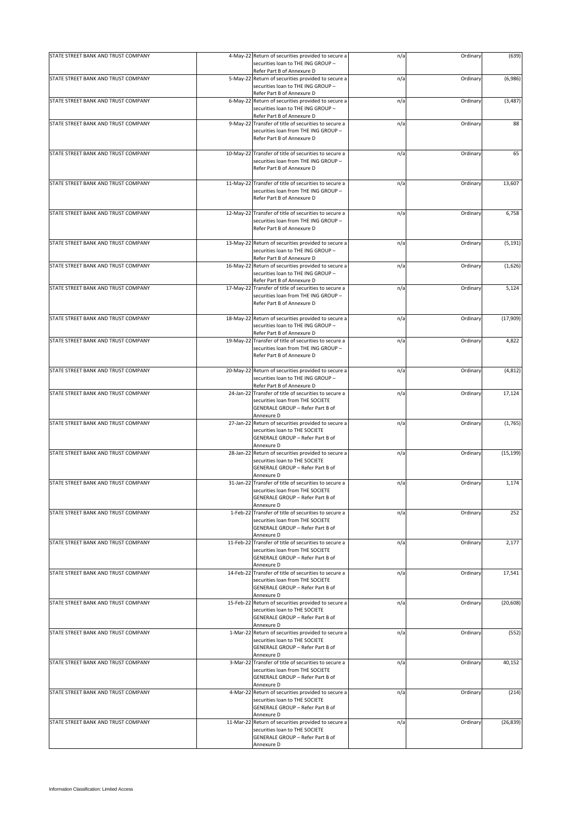| STATE STREET BANK AND TRUST COMPANY | 4-May-22 Return of securities provided to secure a<br>securities loan to THE ING GROUP -                               | n/a | Ordinary | (639)     |
|-------------------------------------|------------------------------------------------------------------------------------------------------------------------|-----|----------|-----------|
| STATE STREET BANK AND TRUST COMPANY | Refer Part B of Annexure D<br>5-May-22 Return of securities provided to secure a                                       | n/a | Ordinary | (6,986)   |
|                                     | securities loan to THE ING GROUP -<br>Refer Part B of Annexure D                                                       |     |          |           |
| STATE STREET BANK AND TRUST COMPANY | 6-May-22 Return of securities provided to secure a<br>securities loan to THE ING GROUP -<br>Refer Part B of Annexure D | n/a | Ordinary | (3, 487)  |
| STATE STREET BANK AND TRUST COMPANY | 9-May-22 Transfer of title of securities to secure a                                                                   | n/a | Ordinary | 88        |
|                                     | securities loan from THE ING GROUP -<br>Refer Part B of Annexure D                                                     |     |          |           |
| STATE STREET BANK AND TRUST COMPANY | 10-May-22 Transfer of title of securities to secure a                                                                  | n/a | Ordinary | 65        |
|                                     | securities loan from THE ING GROUP -<br>Refer Part B of Annexure D                                                     |     |          |           |
| STATE STREET BANK AND TRUST COMPANY | 11-May-22 Transfer of title of securities to secure a                                                                  | n/a | Ordinary | 13,607    |
|                                     | securities loan from THE ING GROUP -<br>Refer Part B of Annexure D                                                     |     |          |           |
| STATE STREET BANK AND TRUST COMPANY | 12-May-22 Transfer of title of securities to secure a                                                                  | n/a | Ordinary | 6,758     |
|                                     | securities loan from THE ING GROUP -<br>Refer Part B of Annexure D                                                     |     |          |           |
| STATE STREET BANK AND TRUST COMPANY | 13-May-22 Return of securities provided to secure a                                                                    | n/a | Ordinary | (5, 191)  |
|                                     | securities loan to THE ING GROUP -                                                                                     |     |          |           |
|                                     | Refer Part B of Annexure D                                                                                             |     |          |           |
| STATE STREET BANK AND TRUST COMPANY | 16-May-22 Return of securities provided to secure a                                                                    | n/a | Ordinary | (1,626)   |
|                                     | securities loan to THE ING GROUP -<br>Refer Part B of Annexure D                                                       |     |          |           |
| STATE STREET BANK AND TRUST COMPANY | 17-May-22 Transfer of title of securities to secure a                                                                  | n/a | Ordinary | 5,124     |
|                                     | securities loan from THE ING GROUP -<br>Refer Part B of Annexure D                                                     |     |          |           |
| STATE STREET BANK AND TRUST COMPANY | 18-May-22 Return of securities provided to secure a                                                                    | n/a | Ordinary | (17,909)  |
|                                     | securities loan to THE ING GROUP -<br>Refer Part B of Annexure D                                                       |     |          |           |
| STATE STREET BANK AND TRUST COMPANY | 19-May-22 Transfer of title of securities to secure a                                                                  | n/a | Ordinary | 4,822     |
|                                     | securities loan from THE ING GROUP -<br>Refer Part B of Annexure D                                                     |     |          |           |
| STATE STREET BANK AND TRUST COMPANY | 20-May-22 Return of securities provided to secure a                                                                    | n/a | Ordinary | (4, 812)  |
|                                     | securities loan to THE ING GROUP -                                                                                     |     |          |           |
| STATE STREET BANK AND TRUST COMPANY | Refer Part B of Annexure D<br>24-Jan-22 Transfer of title of securities to secure a                                    | n/a | Ordinary | 17,124    |
|                                     | securities loan from THE SOCIETE                                                                                       |     |          |           |
|                                     | GENERALE GROUP - Refer Part B of                                                                                       |     |          |           |
|                                     | Annexure D                                                                                                             |     |          |           |
| STATE STREET BANK AND TRUST COMPANY | 27-Jan-22 Return of securities provided to secure a                                                                    | n/a | Ordinary | (1,765)   |
|                                     | securities loan to THE SOCIETE                                                                                         |     |          |           |
|                                     | GENERALE GROUP - Refer Part B of                                                                                       |     |          |           |
| STATE STREET BANK AND TRUST COMPANY | Annexure D<br>28-Jan-22 Return of securities provided to secure a                                                      |     |          |           |
|                                     | securities loan to THE SOCIETE                                                                                         | n/a | Ordinary | (15, 199) |
|                                     | GENERALE GROUP - Refer Part B of                                                                                       |     |          |           |
|                                     | Annexure D                                                                                                             |     |          |           |
| STATE STREET BANK AND TRUST COMPANY | 31-Jan-22 Transfer of title of securities to secure a                                                                  | n/a | Ordinary | 1,174     |
|                                     | securities loan from THE SOCIETE                                                                                       |     |          |           |
|                                     | GENERALE GROUP - Refer Part B of                                                                                       |     |          |           |
|                                     | Annexure D<br>1-Feb-22 Transfer of title of securities to secure a                                                     |     |          |           |
| STATE STREET BANK AND TRUST COMPANY | securities loan from THE SOCIETE                                                                                       | n/a | Ordinary | 252       |
|                                     | GENERALE GROUP - Refer Part B of                                                                                       |     |          |           |
|                                     | Annexure D                                                                                                             |     |          |           |
| STATE STREET BANK AND TRUST COMPANY | 11-Feb-22 Transfer of title of securities to secure a                                                                  | n/a | Ordinary | 2,177     |
|                                     | securities loan from THE SOCIETE                                                                                       |     |          |           |
|                                     | GENERALE GROUP - Refer Part B of<br>Annexure D                                                                         |     |          |           |
| STATE STREET BANK AND TRUST COMPANY | 14-Feb-22 Transfer of title of securities to secure a                                                                  | n/a | Ordinary | 17,541    |
|                                     | securities loan from THE SOCIETE                                                                                       |     |          |           |
|                                     | GENERALE GROUP - Refer Part B of                                                                                       |     |          |           |
|                                     | Annexure D                                                                                                             |     |          |           |
| STATE STREET BANK AND TRUST COMPANY | 15-Feb-22 Return of securities provided to secure a                                                                    | n/a | Ordinary | (20, 608) |
|                                     | securities loan to THE SOCIETE                                                                                         |     |          |           |
|                                     | GENERALE GROUP - Refer Part B of<br>Annexure D                                                                         |     |          |           |
| STATE STREET BANK AND TRUST COMPANY | 1-Mar-22 Return of securities provided to secure a                                                                     | n/a | Ordinary | (552)     |
|                                     | securities loan to THE SOCIETE                                                                                         |     |          |           |
|                                     | GENERALE GROUP - Refer Part B of                                                                                       |     |          |           |
|                                     | Annexure D                                                                                                             |     |          |           |
| STATE STREET BANK AND TRUST COMPANY | 3-Mar-22 Transfer of title of securities to secure a                                                                   | n/a | Ordinary | 40,152    |
|                                     | securities loan from THE SOCIETE                                                                                       |     |          |           |
|                                     | GENERALE GROUP - Refer Part B of<br>Annexure D                                                                         |     |          |           |
| STATE STREET BANK AND TRUST COMPANY | 4-Mar-22 Return of securities provided to secure a                                                                     | n/a | Ordinary | (214)     |
|                                     | securities loan to THE SOCIETE                                                                                         |     |          |           |
|                                     | GENERALE GROUP - Refer Part B of                                                                                       |     |          |           |
|                                     | Annexure D                                                                                                             |     |          |           |
| STATE STREET BANK AND TRUST COMPANY | 11-Mar-22 Return of securities provided to secure a                                                                    | n/a | Ordinary | (26, 839) |
|                                     | securities loan to THE SOCIETE<br>GENERALE GROUP - Refer Part B of                                                     |     |          |           |
|                                     | Annexure D                                                                                                             |     |          |           |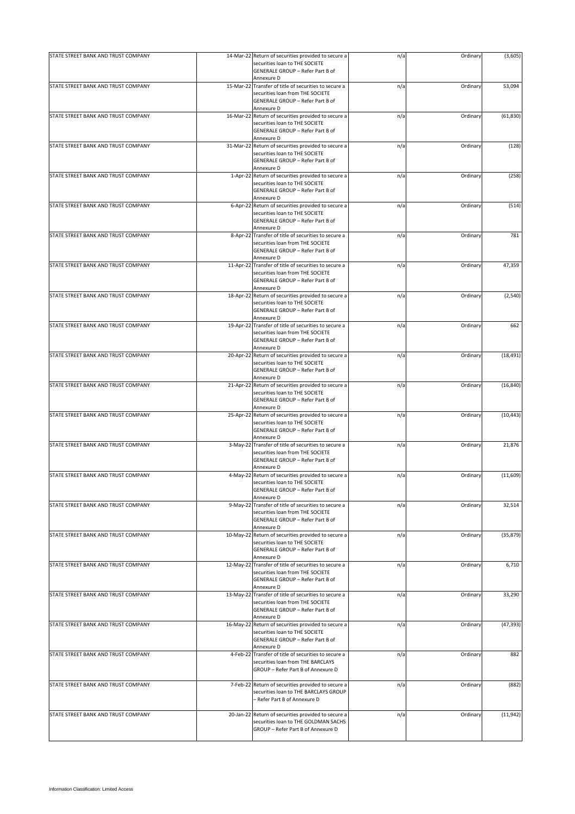| STATE STREET BANK AND TRUST COMPANY | 14-Mar-22 Return of securities provided to secure a<br>securities loan to THE SOCIETE | n/a | Ordinary | (3,605)   |
|-------------------------------------|---------------------------------------------------------------------------------------|-----|----------|-----------|
|                                     | GENERALE GROUP - Refer Part B of                                                      |     |          |           |
| STATE STREET BANK AND TRUST COMPANY | Annexure D<br>15-Mar-22 Transfer of title of securities to secure a                   | n/a | Ordinary | 53,094    |
|                                     | securities loan from THE SOCIETE                                                      |     |          |           |
|                                     | GENERALE GROUP - Refer Part B of<br>Annexure D                                        |     |          |           |
| STATE STREET BANK AND TRUST COMPANY | 16-Mar-22 Return of securities provided to secure a                                   | n/a | Ordinary | (61, 830) |
|                                     | securities loan to THE SOCIETE                                                        |     |          |           |
|                                     | GENERALE GROUP - Refer Part B of                                                      |     |          |           |
| STATE STREET BANK AND TRUST COMPANY | Annexure D<br>31-Mar-22 Return of securities provided to secure a                     | n/a | Ordinary | (128)     |
|                                     | securities loan to THE SOCIETE                                                        |     |          |           |
|                                     | GENERALE GROUP - Refer Part B of                                                      |     |          |           |
| STATE STREET BANK AND TRUST COMPANY | Annexure D<br>1-Apr-22 Return of securities provided to secure a                      | n/a | Ordinary | (258)     |
|                                     | securities loan to THE SOCIETE                                                        |     |          |           |
|                                     | GENERALE GROUP - Refer Part B of<br>Annexure D                                        |     |          |           |
| STATE STREET BANK AND TRUST COMPANY | 6-Apr-22 Return of securities provided to secure a                                    | n/a | Ordinary | (514)     |
|                                     | securities loan to THE SOCIETE                                                        |     |          |           |
|                                     | GENERALE GROUP - Refer Part B of<br>Annexure D                                        |     |          |           |
| STATE STREET BANK AND TRUST COMPANY | 8-Apr-22 Transfer of title of securities to secure a                                  | n/a | Ordinary | 781       |
|                                     | securities loan from THE SOCIETE                                                      |     |          |           |
|                                     | GENERALE GROUP - Refer Part B of<br>Annexure D                                        |     |          |           |
| STATE STREET BANK AND TRUST COMPANY | 11-Apr-22 Transfer of title of securities to secure a                                 | n/a | Ordinary | 47,359    |
|                                     | securities loan from THE SOCIETE                                                      |     |          |           |
|                                     | GENERALE GROUP - Refer Part B of<br>Annexure D                                        |     |          |           |
| STATE STREET BANK AND TRUST COMPANY | 18-Apr-22 Return of securities provided to secure a                                   | n/a | Ordinary | (2, 540)  |
|                                     | securities loan to THE SOCIETE                                                        |     |          |           |
|                                     | GENERALE GROUP - Refer Part B of<br>Annexure D                                        |     |          |           |
| STATE STREET BANK AND TRUST COMPANY | 19-Apr-22 Transfer of title of securities to secure a                                 | n/a | Ordinary | 662       |
|                                     | securities loan from THE SOCIETE                                                      |     |          |           |
|                                     | GENERALE GROUP - Refer Part B of<br>Annexure D                                        |     |          |           |
| STATE STREET BANK AND TRUST COMPANY | 20-Apr-22 Return of securities provided to secure a                                   | n/a | Ordinary | (18, 491) |
|                                     | securities loan to THE SOCIETE                                                        |     |          |           |
|                                     | GENERALE GROUP - Refer Part B of<br>Annexure D                                        |     |          |           |
| STATE STREET BANK AND TRUST COMPANY | 21-Apr-22 Return of securities provided to secure a                                   | n/a | Ordinary | (16, 840) |
|                                     | securities loan to THE SOCIETE                                                        |     |          |           |
|                                     | GENERALE GROUP - Refer Part B of<br>Annexure D                                        |     |          |           |
| STATE STREET BANK AND TRUST COMPANY | 25-Apr-22 Return of securities provided to secure a                                   | n/a | Ordinary | (10, 443) |
|                                     | securities loan to THE SOCIETE                                                        |     |          |           |
|                                     | GENERALE GROUP - Refer Part B of<br>Annexure D                                        |     |          |           |
| STATE STREET BANK AND TRUST COMPANY | 3-May-22 Transfer of title of securities to secure a                                  | n/a | Ordinary | 21,876    |
|                                     | securities loan from THE SOCIETE<br>GENERALE GROUP - Refer Part B of                  |     |          |           |
|                                     | Annexure D                                                                            |     |          |           |
| STATE STREET BANK AND TRUST COMPANY | 4-May-22 Return of securities provided to secure a                                    | n/a | Ordinary | (11, 609) |
|                                     | securities loan to THE SOCIETE<br>GENERALE GROUP - Refer Part B of                    |     |          |           |
|                                     | Annexure D                                                                            |     |          |           |
| STATE STREET BANK AND TRUST COMPANY | 9-May-22 Transfer of title of securities to secure a                                  | n/a | Ordinary | 32,514    |
|                                     | securities loan from THE SOCIETE<br>GENERALE GROUP - Refer Part B of                  |     |          |           |
|                                     | Annexure D                                                                            |     |          |           |
| STATE STREET BANK AND TRUST COMPANY | 10-May-22 Return of securities provided to secure a                                   | n/a | Ordinary | (35, 879) |
|                                     | securities loan to THE SOCIETE<br>GENERALE GROUP - Refer Part B of                    |     |          |           |
|                                     | Annexure D                                                                            |     |          |           |
| STATE STREET BANK AND TRUST COMPANY | 12-May-22 Transfer of title of securities to secure a                                 | n/a | Ordinary | 6,710     |
|                                     | securities loan from THE SOCIETE<br>GENERALE GROUP - Refer Part B of                  |     |          |           |
|                                     | Annexure D                                                                            |     |          |           |
| STATE STREET BANK AND TRUST COMPANY | 13-May-22 Transfer of title of securities to secure a                                 | n/a | Ordinary | 33,290    |
|                                     | securities loan from THE SOCIETE<br>GENERALE GROUP - Refer Part B of                  |     |          |           |
|                                     | Annexure D                                                                            |     |          |           |
| STATE STREET BANK AND TRUST COMPANY | 16-May-22 Return of securities provided to secure a                                   | n/a | Ordinary | (47, 393) |
|                                     | securities loan to THE SOCIETE<br>GENERALE GROUP - Refer Part B of                    |     |          |           |
|                                     | Annexure D                                                                            |     |          |           |
| STATE STREET BANK AND TRUST COMPANY | 4-Feb-22 Transfer of title of securities to secure a                                  | n/a | Ordinary | 882       |
|                                     | securities loan from THE BARCLAYS<br>GROUP - Refer Part B of Annexure D               |     |          |           |
|                                     |                                                                                       |     |          |           |
| STATE STREET BANK AND TRUST COMPANY | 7-Feb-22 Return of securities provided to secure a                                    | n/a | Ordinary | (882)     |
|                                     | securities loan to THE BARCLAYS GROUP<br>- Refer Part B of Annexure D                 |     |          |           |
|                                     |                                                                                       |     |          |           |
| STATE STREET BANK AND TRUST COMPANY | 20-Jan-22 Return of securities provided to secure a                                   | n/a | Ordinary | (11, 942) |
|                                     | securities loan to THE GOLDMAN SACHS<br>GROUP - Refer Part B of Annexure D            |     |          |           |
|                                     |                                                                                       |     |          |           |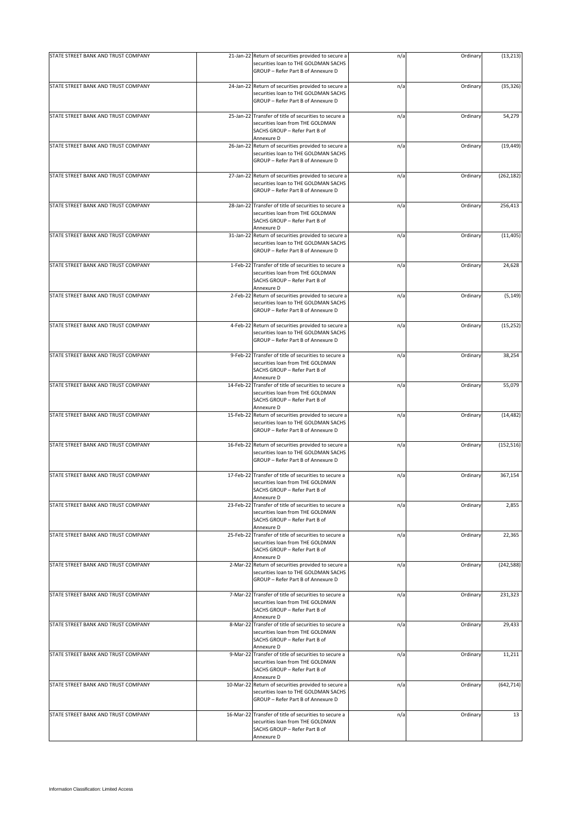| STATE STREET BANK AND TRUST COMPANY | 21-Jan-22 Return of securities provided to secure a<br>securities loan to THE GOLDMAN SACHS<br>GROUP - Refer Part B of Annexure D        | n/a | Ordinary | (13, 213)  |
|-------------------------------------|------------------------------------------------------------------------------------------------------------------------------------------|-----|----------|------------|
| STATE STREET BANK AND TRUST COMPANY | 24-Jan-22 Return of securities provided to secure a<br>securities loan to THE GOLDMAN SACHS<br>GROUP - Refer Part B of Annexure D        | n/a | Ordinary | (35, 326)  |
| STATE STREET BANK AND TRUST COMPANY | 25-Jan-22 Transfer of title of securities to secure a<br>securities loan from THE GOLDMAN<br>SACHS GROUP - Refer Part B of<br>Annexure D | n/a | Ordinary | 54,279     |
| STATE STREET BANK AND TRUST COMPANY | 26-Jan-22 Return of securities provided to secure a<br>securities loan to THE GOLDMAN SACHS<br>GROUP - Refer Part B of Annexure D        | n/a | Ordinary | (19, 449)  |
| STATE STREET BANK AND TRUST COMPANY | 27-Jan-22 Return of securities provided to secure a<br>securities loan to THE GOLDMAN SACHS<br>GROUP - Refer Part B of Annexure D        | n/a | Ordinary | (262, 182) |
| STATE STREET BANK AND TRUST COMPANY | 28-Jan-22 Transfer of title of securities to secure a<br>securities loan from THE GOLDMAN<br>SACHS GROUP - Refer Part B of<br>Annexure D | n/a | Ordinary | 256,413    |
| STATE STREET BANK AND TRUST COMPANY | 31-Jan-22 Return of securities provided to secure a<br>securities loan to THE GOLDMAN SACHS<br>GROUP - Refer Part B of Annexure D        | n/a | Ordinary | (11, 405)  |
| STATE STREET BANK AND TRUST COMPANY | 1-Feb-22 Transfer of title of securities to secure a<br>securities loan from THE GOLDMAN<br>SACHS GROUP - Refer Part B of<br>Annexure D  | n/a | Ordinary | 24,628     |
| STATE STREET BANK AND TRUST COMPANY | 2-Feb-22 Return of securities provided to secure a<br>securities loan to THE GOLDMAN SACHS<br>GROUP - Refer Part B of Annexure D         | n/a | Ordinary | (5, 149)   |
| STATE STREET BANK AND TRUST COMPANY | 4-Feb-22 Return of securities provided to secure a<br>securities loan to THE GOLDMAN SACHS<br>GROUP - Refer Part B of Annexure D         | n/a | Ordinary | (15, 252)  |
| STATE STREET BANK AND TRUST COMPANY | 9-Feb-22 Transfer of title of securities to secure a<br>securities loan from THE GOLDMAN<br>SACHS GROUP - Refer Part B of<br>Annexure D  | n/a | Ordinary | 38,254     |
| STATE STREET BANK AND TRUST COMPANY | 14-Feb-22 Transfer of title of securities to secure a<br>securities loan from THE GOLDMAN<br>SACHS GROUP - Refer Part B of<br>Annexure D | n/a | Ordinary | 55,079     |
| STATE STREET BANK AND TRUST COMPANY | 15-Feb-22 Return of securities provided to secure a<br>securities loan to THE GOLDMAN SACHS<br>GROUP - Refer Part B of Annexure D        | n/a | Ordinary | (14, 482)  |
| STATE STREET BANK AND TRUST COMPANY | 16-Feb-22 Return of securities provided to secure a<br>securities loan to THE GOLDMAN SACHS<br>GROUP - Refer Part B of Annexure D        | n/a | Ordinary | (152, 516) |
| STATE STREET BANK AND TRUST COMPANY | 17-Feb-22 Transfer of title of securities to secure a<br>securities loan from THE GOLDMAN<br>SACHS GROUP - Refer Part B of<br>Annexure D | n/a | Ordinary | 367,154    |
| STATE STREET BANK AND TRUST COMPANY | 23-Feb-22 Transfer of title of securities to secure a<br>securities loan from THE GOLDMAN<br>SACHS GROUP - Refer Part B of<br>Annexure D | n/a | Ordinary | 2,855      |
| STATE STREET BANK AND TRUST COMPANY | 25-Feb-22 Transfer of title of securities to secure a<br>securities loan from THE GOLDMAN<br>SACHS GROUP - Refer Part B of<br>Annexure D | n/a | Ordinary | 22,365     |
| STATE STREET BANK AND TRUST COMPANY | 2-Mar-22 Return of securities provided to secure a<br>securities loan to THE GOLDMAN SACHS<br>GROUP - Refer Part B of Annexure D         | n/a | Ordinary | (242, 588) |
| STATE STREET BANK AND TRUST COMPANY | 7-Mar-22 Transfer of title of securities to secure a<br>securities loan from THE GOLDMAN<br>SACHS GROUP - Refer Part B of<br>Annexure D  | n/a | Ordinary | 231,323    |
| STATE STREET BANK AND TRUST COMPANY | 8-Mar-22 Transfer of title of securities to secure a<br>securities loan from THE GOLDMAN<br>SACHS GROUP - Refer Part B of<br>Annexure D  | n/a | Ordinary | 29,433     |
| STATE STREET BANK AND TRUST COMPANY | 9-Mar-22 Transfer of title of securities to secure a<br>securities loan from THE GOLDMAN<br>SACHS GROUP - Refer Part B of<br>Annexure D  | n/a | Ordinary | 11,211     |
| STATE STREET BANK AND TRUST COMPANY | 10-Mar-22 Return of securities provided to secure a<br>securities loan to THE GOLDMAN SACHS<br>GROUP - Refer Part B of Annexure D        | n/a | Ordinary | (642, 714) |
| STATE STREET BANK AND TRUST COMPANY | 16-Mar-22 Transfer of title of securities to secure a<br>securities loan from THE GOLDMAN<br>SACHS GROUP - Refer Part B of<br>Annexure D | n/a | Ordinary | 13         |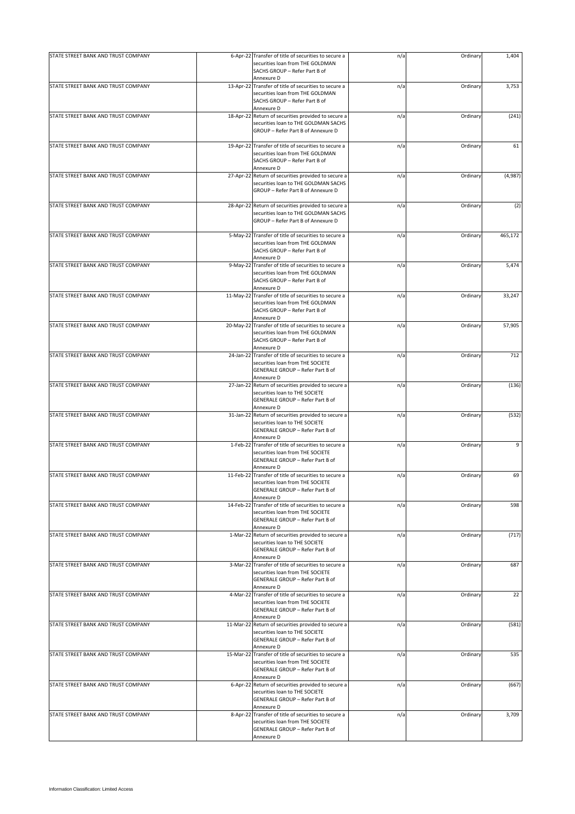| STATE STREET BANK AND TRUST COMPANY |           | 6-Apr-22 Transfer of title of securities to secure a<br>securities loan from THE GOLDMAN<br>SACHS GROUP - Refer Part B of<br>Annexure D                  | n/a | Ordinary | 1,404   |
|-------------------------------------|-----------|----------------------------------------------------------------------------------------------------------------------------------------------------------|-----|----------|---------|
| STATE STREET BANK AND TRUST COMPANY |           | 13-Apr-22 Transfer of title of securities to secure a<br>securities loan from THE GOLDMAN<br>SACHS GROUP - Refer Part B of<br>Annexure D                 | n/a | Ordinary | 3,753   |
| STATE STREET BANK AND TRUST COMPANY | 18-Apr-22 | Return of securities provided to secure a<br>securities loan to THE GOLDMAN SACHS<br>GROUP - Refer Part B of Annexure D                                  | n/a | Ordinary | (241)   |
| STATE STREET BANK AND TRUST COMPANY |           | 19-Apr-22 Transfer of title of securities to secure a<br>securities loan from THE GOLDMAN<br>SACHS GROUP - Refer Part B of<br>Annexure D                 | n/a | Ordinary | 61      |
| STATE STREET BANK AND TRUST COMPANY |           | 27-Apr-22 Return of securities provided to secure a<br>securities loan to THE GOLDMAN SACHS<br>GROUP - Refer Part B of Annexure D                        | n/a | Ordinary | (4,987) |
| STATE STREET BANK AND TRUST COMPANY |           | 28-Apr-22 Return of securities provided to secure a<br>securities loan to THE GOLDMAN SACHS<br>GROUP - Refer Part B of Annexure D                        | n/a | Ordinary | (2)     |
| STATE STREET BANK AND TRUST COMPANY |           | 5-May-22 Transfer of title of securities to secure a<br>securities loan from THE GOLDMAN<br>SACHS GROUP - Refer Part B of<br>Annexure D                  | n/a | Ordinary | 465,172 |
| STATE STREET BANK AND TRUST COMPANY |           | 9-May-22 Transfer of title of securities to secure a<br>securities loan from THE GOLDMAN<br>SACHS GROUP - Refer Part B of<br>Annexure D                  | n/a | Ordinary | 5,474   |
| STATE STREET BANK AND TRUST COMPANY |           | 11-May-22 Transfer of title of securities to secure a<br>securities loan from THE GOLDMAN<br>SACHS GROUP - Refer Part B of<br>Annexure D                 | n/a | Ordinary | 33,247  |
| STATE STREET BANK AND TRUST COMPANY |           | 20-May-22 Transfer of title of securities to secure a<br>securities loan from THE GOLDMAN<br>SACHS GROUP - Refer Part B of<br>Annexure D                 | n/a | Ordinary | 57,905  |
| STATE STREET BANK AND TRUST COMPANY |           | 24-Jan-22 Transfer of title of securities to secure a<br>securities loan from THE SOCIETE<br>GENERALE GROUP - Refer Part B of<br>Annexure D              | n/a | Ordinary | 712     |
| STATE STREET BANK AND TRUST COMPANY |           | 27-Jan-22 Return of securities provided to secure a<br>securities loan to THE SOCIETE<br>GENERALE GROUP - Refer Part B of                                | n/a | Ordinary | (136)   |
| STATE STREET BANK AND TRUST COMPANY |           | Annexure D<br>31-Jan-22 Return of securities provided to secure a<br>securities loan to THE SOCIETE<br>GENERALE GROUP - Refer Part B of                  | n/a | Ordinary | (532)   |
| STATE STREET BANK AND TRUST COMPANY |           | Annexure D<br>1-Feb-22 Transfer of title of securities to secure a<br>securities loan from THE SOCIETE<br>GENERALE GROUP - Refer Part B of<br>Annexure D | n/a | Ordinary | 9       |
| STATE STREET BANK AND TRUST COMPANY |           | 11-Feb-22 Transfer of title of securities to secure a<br>securities loan from THE SOCIETE<br>GENERALE GROUP - Refer Part B of<br>Annexure D              | n/a | Ordinary | 69      |
| STATE STREET BANK AND TRUST COMPANY |           | 14-Feb-22 Transfer of title of securities to secure a<br>securities loan from THE SOCIETE<br>GENERALE GROUP - Refer Part B of<br>Annexure D              | n/a | Ordinary | 598     |
| STATE STREET BANK AND TRUST COMPANY |           | 1-Mar-22 Return of securities provided to secure a<br>securities loan to THE SOCIETE<br><b>GENERALE GROUP - Refer Part B of</b><br>Annexure D            | n/a | Ordinary | (717)   |
| STATE STREET BANK AND TRUST COMPANY |           | 3-Mar-22 Transfer of title of securities to secure a<br>securities loan from THE SOCIETE<br>GENERALE GROUP - Refer Part B of<br>Annexure D               | n/a | Ordinary | 687     |
| STATE STREET BANK AND TRUST COMPANY |           | 4-Mar-22 Transfer of title of securities to secure a<br>securities loan from THE SOCIETE<br>GENERALE GROUP - Refer Part B of<br>Annexure D               | n/a | Ordinary | 22      |
| STATE STREET BANK AND TRUST COMPANY |           | 11-Mar-22 Return of securities provided to secure a<br>securities loan to THE SOCIETE<br>GENERALE GROUP - Refer Part B of<br>Annexure D                  | n/a | Ordinary | (581)   |
| STATE STREET BANK AND TRUST COMPANY |           | 15-Mar-22 Transfer of title of securities to secure a<br>securities loan from THE SOCIETE<br>GENERALE GROUP - Refer Part B of<br>Annexure D              | n/a | Ordinary | 535     |
| STATE STREET BANK AND TRUST COMPANY |           | 6-Apr-22 Return of securities provided to secure a<br>securities loan to THE SOCIETE<br>GENERALE GROUP - Refer Part B of<br>Annexure D                   | n/a | Ordinary | (667)   |
| STATE STREET BANK AND TRUST COMPANY |           | 8-Apr-22 Transfer of title of securities to secure a<br>securities loan from THE SOCIETE<br>GENERALE GROUP - Refer Part B of<br>Annexure D               | n/a | Ordinary | 3,709   |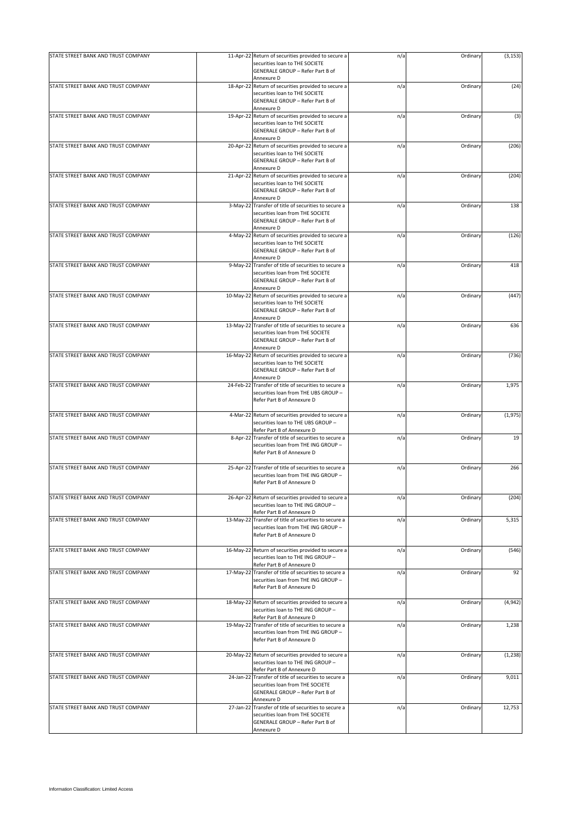| STATE STREET BANK AND TRUST COMPANY |           | 11-Apr-22 Return of securities provided to secure a<br>securities loan to THE SOCIETE        | n/a | Ordinary | (3, 153) |
|-------------------------------------|-----------|----------------------------------------------------------------------------------------------|-----|----------|----------|
|                                     |           | GENERALE GROUP - Refer Part B of<br>Annexure D                                               |     |          |          |
| STATE STREET BANK AND TRUST COMPANY |           | 18-Apr-22 Return of securities provided to secure a                                          | n/a | Ordinary | (24)     |
|                                     |           | securities loan to THE SOCIETE                                                               |     |          |          |
|                                     |           | GENERALE GROUP - Refer Part B of                                                             |     |          |          |
|                                     |           | Annexure D                                                                                   |     |          |          |
| STATE STREET BANK AND TRUST COMPANY | 19-Apr-22 | Return of securities provided to secure a                                                    | n/a | Ordinary | (3)      |
|                                     |           | securities loan to THE SOCIETE<br>GENERALE GROUP - Refer Part B of                           |     |          |          |
|                                     |           | Annexure D                                                                                   |     |          |          |
| STATE STREET BANK AND TRUST COMPANY |           | 20-Apr-22 Return of securities provided to secure a                                          | n/a | Ordinary | (206)    |
|                                     |           | securities loan to THE SOCIETE                                                               |     |          |          |
|                                     |           | GENERALE GROUP - Refer Part B of                                                             |     |          |          |
|                                     |           | Annexure D                                                                                   |     |          |          |
| STATE STREET BANK AND TRUST COMPANY |           | 21-Apr-22 Return of securities provided to secure a                                          | n/a | Ordinary | (204)    |
|                                     |           | securities loan to THE SOCIETE                                                               |     |          |          |
|                                     |           | <b>GENERALE GROUP - Refer Part B of</b>                                                      |     |          |          |
| STATE STREET BANK AND TRUST COMPANY |           | Annexure D<br>3-May-22 Transfer of title of securities to secure a                           | n/a | Ordinary | 138      |
|                                     |           | securities loan from THE SOCIETE                                                             |     |          |          |
|                                     |           | GENERALE GROUP - Refer Part B of                                                             |     |          |          |
|                                     |           | Annexure D                                                                                   |     |          |          |
| STATE STREET BANK AND TRUST COMPANY |           | 4-May-22 Return of securities provided to secure a                                           | n/a | Ordinary | (126)    |
|                                     |           | securities loan to THE SOCIETE                                                               |     |          |          |
|                                     |           | GENERALE GROUP - Refer Part B of                                                             |     |          |          |
|                                     |           | Annexure D                                                                                   |     |          |          |
| STATE STREET BANK AND TRUST COMPANY |           | 9-May-22 Transfer of title of securities to secure a                                         | n/a | Ordinary | 418      |
|                                     |           | securities loan from THE SOCIETE                                                             |     |          |          |
|                                     |           | GENERALE GROUP - Refer Part B of<br>Annexure D                                               |     |          |          |
| STATE STREET BANK AND TRUST COMPANY |           | 10-May-22 Return of securities provided to secure a                                          | n/a | Ordinary | (447)    |
|                                     |           | securities loan to THE SOCIETE                                                               |     |          |          |
|                                     |           | GENERALE GROUP - Refer Part B of                                                             |     |          |          |
|                                     |           | Annexure D                                                                                   |     |          |          |
| STATE STREET BANK AND TRUST COMPANY |           | 13-May-22 Transfer of title of securities to secure a                                        | n/a | Ordinary | 636      |
|                                     |           | securities loan from THE SOCIETE                                                             |     |          |          |
|                                     |           | GENERALE GROUP - Refer Part B of                                                             |     |          |          |
|                                     |           | Annexure D                                                                                   |     |          |          |
| STATE STREET BANK AND TRUST COMPANY |           | 16-May-22 Return of securities provided to secure a                                          | n/a | Ordinary | (736)    |
|                                     |           | securities loan to THE SOCIETE<br>GENERALE GROUP - Refer Part B of                           |     |          |          |
|                                     |           | Annexure D                                                                                   |     |          |          |
| STATE STREET BANK AND TRUST COMPANY |           | 24-Feb-22 Transfer of title of securities to secure a                                        | n/a | Ordinary | 1,975    |
|                                     |           | securities loan from THE UBS GROUP -                                                         |     |          |          |
|                                     |           | Refer Part B of Annexure D                                                                   |     |          |          |
|                                     |           |                                                                                              |     |          |          |
| STATE STREET BANK AND TRUST COMPANY |           | 4-Mar-22 Return of securities provided to secure a                                           | n/a | Ordinary | (1, 975) |
|                                     |           | securities loan to THE UBS GROUP -                                                           |     |          |          |
|                                     |           | Refer Part B of Annexure D                                                                   |     |          |          |
| STATE STREET BANK AND TRUST COMPANY |           | 8-Apr-22 Transfer of title of securities to secure a<br>securities loan from THE ING GROUP - | n/a | Ordinary | 19       |
|                                     |           | Refer Part B of Annexure D                                                                   |     |          |          |
|                                     |           |                                                                                              |     |          |          |
| STATE STREET BANK AND TRUST COMPANY |           | 25-Apr-22 Transfer of title of securities to secure a                                        | n/a | Ordinary | 266      |
|                                     |           | securities loan from THE ING GROUP -                                                         |     |          |          |
|                                     |           | Refer Part B of Annexure D                                                                   |     |          |          |
|                                     |           |                                                                                              |     |          |          |
| STATE STREET BANK AND TRUST COMPANY |           | 26-Apr-22 Return of securities provided to secure a                                          | n/a | Ordinary | (204)    |
|                                     |           | securities loan to THE ING GROUP -<br>Refer Part B of Annexure D                             |     |          |          |
| STATE STREET BANK AND TRUST COMPANY |           | 13-May-22 Transfer of title of securities to secure a                                        | n/a | Ordinary | 5,315    |
|                                     |           | securities loan from THE ING GROUP -                                                         |     |          |          |
|                                     |           | Refer Part B of Annexure D                                                                   |     |          |          |
|                                     |           |                                                                                              |     |          |          |
| STATE STREET BANK AND TRUST COMPANY |           | 16-May-22 Return of securities provided to secure a                                          | n/a | Ordinary | (546)    |
|                                     |           | securities loan to THE ING GROUP -                                                           |     |          |          |
|                                     |           | Refer Part B of Annexure D                                                                   |     |          |          |
| STATE STREET BANK AND TRUST COMPANY |           | 17-May-22 Transfer of title of securities to secure a                                        | n/a | Ordinary | 92       |
|                                     |           | securities loan from THE ING GROUP -                                                         |     |          |          |
|                                     |           | Refer Part B of Annexure D                                                                   |     |          |          |
| STATE STREET BANK AND TRUST COMPANY |           | 18-May-22 Return of securities provided to secure a                                          | n/a | Ordinary | (4,942)  |
|                                     |           | securities loan to THE ING GROUP -                                                           |     |          |          |
|                                     |           | Refer Part B of Annexure D                                                                   |     |          |          |
| STATE STREET BANK AND TRUST COMPANY |           | 19-May-22 Transfer of title of securities to secure a                                        | n/a | Ordinary | 1,238    |
|                                     |           | securities loan from THE ING GROUP -                                                         |     |          |          |
|                                     |           | Refer Part B of Annexure D                                                                   |     |          |          |
|                                     |           |                                                                                              |     |          |          |
| STATE STREET BANK AND TRUST COMPANY |           | 20-May-22 Return of securities provided to secure a                                          | n/a | Ordinary | (1, 238) |
|                                     |           | securities loan to THE ING GROUP -                                                           |     |          |          |
|                                     |           | Refer Part B of Annexure D                                                                   |     |          |          |
| STATE STREET BANK AND TRUST COMPANY |           | 24-Jan-22 Transfer of title of securities to secure a<br>securities loan from THE SOCIETE    | n/a | Ordinary | 9,011    |
|                                     |           | GENERALE GROUP - Refer Part B of                                                             |     |          |          |
|                                     |           | Annexure D                                                                                   |     |          |          |
| STATE STREET BANK AND TRUST COMPANY |           | 27-Jan-22 Transfer of title of securities to secure a                                        | n/a | Ordinary | 12,753   |
|                                     |           | securities loan from THE SOCIETE                                                             |     |          |          |
|                                     |           | GENERALE GROUP - Refer Part B of                                                             |     |          |          |
|                                     |           | Annexure D                                                                                   |     |          |          |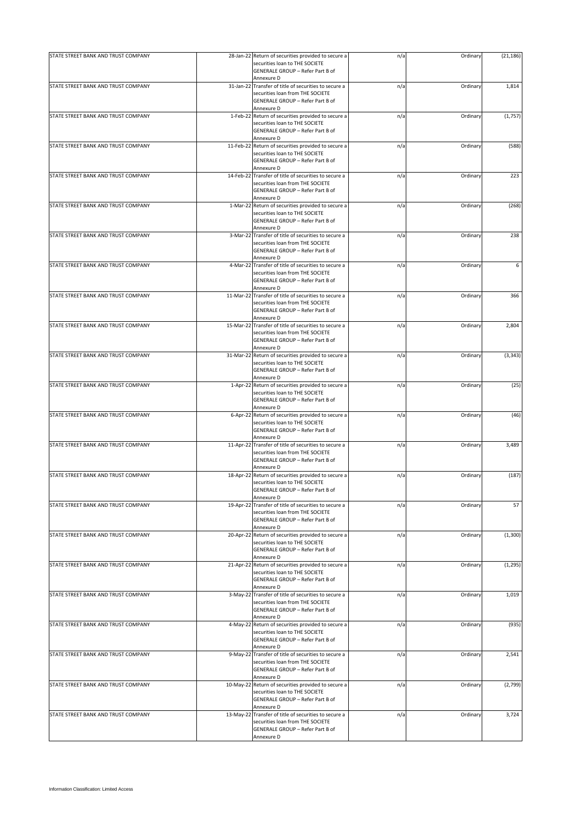| STATE STREET BANK AND TRUST COMPANY | 28-Jan-22 Return of securities provided to secure a<br>securities loan to THE SOCIETE<br>GENERALE GROUP - Refer Part B of | n/a | Ordinary | (21, 186) |
|-------------------------------------|---------------------------------------------------------------------------------------------------------------------------|-----|----------|-----------|
|                                     | Annexure D                                                                                                                |     |          |           |
| STATE STREET BANK AND TRUST COMPANY | 31-Jan-22 Transfer of title of securities to secure a<br>securities loan from THE SOCIETE                                 | n/a | Ordinary | 1,814     |
|                                     | GENERALE GROUP - Refer Part B of                                                                                          |     |          |           |
|                                     | Annexure D                                                                                                                |     |          |           |
| STATE STREET BANK AND TRUST COMPANY | 1-Feb-22 Return of securities provided to secure a                                                                        | n/a | Ordinary | (1,757)   |
|                                     | securities loan to THE SOCIETE                                                                                            |     |          |           |
|                                     | GENERALE GROUP - Refer Part B of                                                                                          |     |          |           |
|                                     | Annexure D                                                                                                                |     |          |           |
| STATE STREET BANK AND TRUST COMPANY | 11-Feb-22 Return of securities provided to secure a                                                                       | n/a | Ordinary | (588)     |
|                                     | securities loan to THE SOCIETE                                                                                            |     |          |           |
|                                     | GENERALE GROUP - Refer Part B of                                                                                          |     |          |           |
|                                     | Annexure D                                                                                                                |     |          |           |
| STATE STREET BANK AND TRUST COMPANY | 14-Feb-22 Transfer of title of securities to secure a                                                                     |     |          | 223       |
|                                     |                                                                                                                           | n/a | Ordinary |           |
|                                     | securities loan from THE SOCIETE                                                                                          |     |          |           |
|                                     | GENERALE GROUP - Refer Part B of                                                                                          |     |          |           |
|                                     | Annexure D                                                                                                                |     |          |           |
| STATE STREET BANK AND TRUST COMPANY | 1-Mar-22 Return of securities provided to secure a                                                                        | n/a | Ordinary | (268)     |
|                                     | securities loan to THE SOCIETE                                                                                            |     |          |           |
|                                     | GENERALE GROUP - Refer Part B of                                                                                          |     |          |           |
|                                     | Annexure D                                                                                                                |     |          |           |
| STATE STREET BANK AND TRUST COMPANY | 3-Mar-22 Transfer of title of securities to secure a                                                                      | n/a | Ordinary | 238       |
|                                     | securities loan from THE SOCIETE                                                                                          |     |          |           |
|                                     |                                                                                                                           |     |          |           |
|                                     | GENERALE GROUP - Refer Part B of                                                                                          |     |          |           |
|                                     | Annexure D                                                                                                                |     |          |           |
| STATE STREET BANK AND TRUST COMPANY | 4-Mar-22 Transfer of title of securities to secure a                                                                      | n/a | Ordinary | 6         |
|                                     | securities loan from THE SOCIETE                                                                                          |     |          |           |
|                                     | GENERALE GROUP - Refer Part B of                                                                                          |     |          |           |
|                                     | Annexure D                                                                                                                |     |          |           |
| STATE STREET BANK AND TRUST COMPANY | 11-Mar-22 Transfer of title of securities to secure a                                                                     | n/a | Ordinary | 366       |
|                                     | securities loan from THE SOCIETE                                                                                          |     |          |           |
|                                     | GENERALE GROUP - Refer Part B of                                                                                          |     |          |           |
|                                     |                                                                                                                           |     |          |           |
|                                     | Annexure D                                                                                                                |     |          |           |
| STATE STREET BANK AND TRUST COMPANY | 15-Mar-22 Transfer of title of securities to secure a                                                                     | n/a | Ordinary | 2,804     |
|                                     | securities loan from THE SOCIETE                                                                                          |     |          |           |
|                                     | GENERALE GROUP - Refer Part B of                                                                                          |     |          |           |
|                                     | Annexure D                                                                                                                |     |          |           |
| STATE STREET BANK AND TRUST COMPANY | 31-Mar-22 Return of securities provided to secure a                                                                       | n/a | Ordinary | (3, 343)  |
|                                     | securities loan to THE SOCIETE                                                                                            |     |          |           |
|                                     | GENERALE GROUP - Refer Part B of                                                                                          |     |          |           |
|                                     |                                                                                                                           |     |          |           |
|                                     | Annexure D                                                                                                                |     |          |           |
| STATE STREET BANK AND TRUST COMPANY | 1-Apr-22 Return of securities provided to secure a                                                                        | n/a | Ordinary | (25)      |
|                                     | securities loan to THE SOCIETE                                                                                            |     |          |           |
|                                     | GENERALE GROUP - Refer Part B of                                                                                          |     |          |           |
|                                     | Annexure D                                                                                                                |     |          |           |
| STATE STREET BANK AND TRUST COMPANY | 6-Apr-22 Return of securities provided to secure a                                                                        | n/a | Ordinary | (46)      |
|                                     | securities loan to THE SOCIETE                                                                                            |     |          |           |
|                                     | GENERALE GROUP - Refer Part B of                                                                                          |     |          |           |
|                                     | Annexure D                                                                                                                |     |          |           |
| STATE STREET BANK AND TRUST COMPANY | 11-Apr-22 Transfer of title of securities to secure a                                                                     | n/a | Ordinary | 3,489     |
|                                     |                                                                                                                           |     |          |           |
|                                     | securities loan from THE SOCIETE                                                                                          |     |          |           |
|                                     | GENERALE GROUP - Refer Part B of                                                                                          |     |          |           |
|                                     | Annexure D                                                                                                                |     |          |           |
| STATE STREET BANK AND TRUST COMPANY | 18-Apr-22 Return of securities provided to secure a                                                                       | n/a | Ordinary | (187)     |
|                                     | securities loan to THE SOCIETE                                                                                            |     |          |           |
|                                     | GENERALE GROUP - Refer Part B of                                                                                          |     |          |           |
|                                     | Annexure D                                                                                                                |     |          |           |
| STATE STREET BANK AND TRUST COMPANY | 19-Apr-22 Transfer of title of securities to secure a                                                                     | n/a | Ordinary | 57        |
|                                     | securities loan from THE SOCIETE                                                                                          |     |          |           |
|                                     |                                                                                                                           |     |          |           |
|                                     | GENERALE GROUP - Refer Part B of                                                                                          |     |          |           |
|                                     | Annexure D                                                                                                                |     |          |           |
| STATE STREET BANK AND TRUST COMPANY | 20-Apr-22 Return of securities provided to secure a                                                                       | n/a | Ordinary | (1, 300)  |
|                                     | securities loan to THE SOCIETE                                                                                            |     |          |           |
|                                     | GENERALE GROUP - Refer Part B of                                                                                          |     |          |           |
|                                     | Annexure D                                                                                                                |     |          |           |
| STATE STREET BANK AND TRUST COMPANY | 21-Apr-22 Return of securities provided to secure a                                                                       | n/a | Ordinary | (1, 295)  |
|                                     | securities loan to THE SOCIETE                                                                                            |     |          |           |
|                                     | GENERALE GROUP - Refer Part B of                                                                                          |     |          |           |
|                                     | Annexure D                                                                                                                |     |          |           |
|                                     |                                                                                                                           |     |          |           |
| STATE STREET BANK AND TRUST COMPANY | 3-May-22 Transfer of title of securities to secure a                                                                      | n/a | Ordinary | 1,019     |
|                                     | securities loan from THE SOCIETE                                                                                          |     |          |           |
|                                     | GENERALE GROUP - Refer Part B of                                                                                          |     |          |           |
|                                     | Annexure D                                                                                                                |     |          |           |
| STATE STREET BANK AND TRUST COMPANY | 4-May-22 Return of securities provided to secure a                                                                        | n/a | Ordinary | (935)     |
|                                     | securities loan to THE SOCIETE                                                                                            |     |          |           |
|                                     | GENERALE GROUP - Refer Part B of                                                                                          |     |          |           |
|                                     |                                                                                                                           |     |          |           |
|                                     | Annexure D                                                                                                                |     |          |           |
| STATE STREET BANK AND TRUST COMPANY | 9-May-22 Transfer of title of securities to secure a                                                                      | n/a | Ordinary | 2,541     |
|                                     | securities loan from THE SOCIETE                                                                                          |     |          |           |
|                                     | GENERALE GROUP - Refer Part B of                                                                                          |     |          |           |
|                                     | Annexure D                                                                                                                |     |          |           |
| STATE STREET BANK AND TRUST COMPANY | 10-May-22 Return of securities provided to secure a                                                                       | n/a | Ordinary | (2,799)   |
|                                     | securities loan to THE SOCIETE                                                                                            |     |          |           |
|                                     | GENERALE GROUP - Refer Part B of                                                                                          |     |          |           |
|                                     |                                                                                                                           |     |          |           |
|                                     | Annexure D                                                                                                                |     |          |           |
| STATE STREET BANK AND TRUST COMPANY | 13-May-22 Transfer of title of securities to secure a                                                                     | n/a | Ordinary | 3,724     |
|                                     | securities loan from THE SOCIETE                                                                                          |     |          |           |
|                                     | GENERALE GROUP - Refer Part B of                                                                                          |     |          |           |
|                                     | Annexure D                                                                                                                |     |          |           |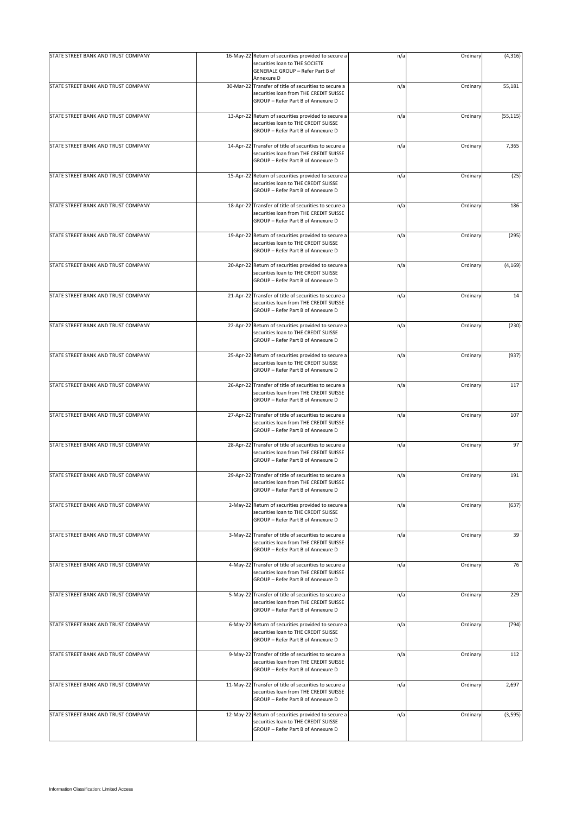| STATE STREET BANK AND TRUST COMPANY | 16-May-22 Return of securities provided to secure a<br>securities loan to THE SOCIETE                                                 | n/a | Ordinary | (4, 316)  |
|-------------------------------------|---------------------------------------------------------------------------------------------------------------------------------------|-----|----------|-----------|
|                                     | GENERALE GROUP - Refer Part B of<br>Annexure D                                                                                        |     |          |           |
| STATE STREET BANK AND TRUST COMPANY | 30-Mar-22 Transfer of title of securities to secure a<br>securities loan from THE CREDIT SUISSE<br>GROUP - Refer Part B of Annexure D | n/a | Ordinary | 55,181    |
| STATE STREET BANK AND TRUST COMPANY | 13-Apr-22 Return of securities provided to secure a<br>securities loan to THE CREDIT SUISSE<br>GROUP - Refer Part B of Annexure D     | n/a | Ordinary | (55, 115) |
| STATE STREET BANK AND TRUST COMPANY | 14-Apr-22 Transfer of title of securities to secure a<br>securities loan from THE CREDIT SUISSE<br>GROUP - Refer Part B of Annexure D | n/a | Ordinary | 7,365     |
| STATE STREET BANK AND TRUST COMPANY | 15-Apr-22 Return of securities provided to secure a<br>securities loan to THE CREDIT SUISSE<br>GROUP - Refer Part B of Annexure D     | n/a | Ordinary | (25)      |
| STATE STREET BANK AND TRUST COMPANY | 18-Apr-22 Transfer of title of securities to secure a<br>securities loan from THE CREDIT SUISSE<br>GROUP - Refer Part B of Annexure D | n/a | Ordinary | 186       |
| STATE STREET BANK AND TRUST COMPANY | 19-Apr-22 Return of securities provided to secure a<br>securities loan to THE CREDIT SUISSE<br>GROUP - Refer Part B of Annexure D     | n/a | Ordinary | (295)     |
| STATE STREET BANK AND TRUST COMPANY | 20-Apr-22 Return of securities provided to secure a<br>securities loan to THE CREDIT SUISSE<br>GROUP - Refer Part B of Annexure D     | n/a | Ordinary | (4, 169)  |
| STATE STREET BANK AND TRUST COMPANY | 21-Apr-22 Transfer of title of securities to secure a<br>securities loan from THE CREDIT SUISSE<br>GROUP - Refer Part B of Annexure D | n/a | Ordinary | 14        |
| STATE STREET BANK AND TRUST COMPANY | 22-Apr-22 Return of securities provided to secure a<br>securities loan to THE CREDIT SUISSE<br>GROUP - Refer Part B of Annexure D     | n/a | Ordinary | (230)     |
| STATE STREET BANK AND TRUST COMPANY | 25-Apr-22 Return of securities provided to secure a<br>securities loan to THE CREDIT SUISSE<br>GROUP - Refer Part B of Annexure D     | n/a | Ordinary | (937)     |
| STATE STREET BANK AND TRUST COMPANY | 26-Apr-22 Transfer of title of securities to secure a<br>securities loan from THE CREDIT SUISSE<br>GROUP - Refer Part B of Annexure D | n/a | Ordinary | 117       |
| STATE STREET BANK AND TRUST COMPANY | 27-Apr-22 Transfer of title of securities to secure a<br>securities loan from THE CREDIT SUISSE<br>GROUP - Refer Part B of Annexure D | n/a | Ordinary | 107       |
| STATE STREET BANK AND TRUST COMPANY | 28-Apr-22 Transfer of title of securities to secure a<br>securities loan from THE CREDIT SUISSE<br>GROUP - Refer Part B of Annexure D | n/a | Ordinary | 97        |
| STATE STREET BANK AND TRUST COMPANY | 29-Apr-22 Transfer of title of securities to secure a<br>securities loan from THE CREDIT SUISSE<br>GROUP - Refer Part B of Annexure D | n/a | Ordinary | 191       |
| STATE STREET BANK AND TRUST COMPANY | 2-May-22 Return of securities provided to secure a<br>securities loan to THE CREDIT SUISSE<br>GROUP - Refer Part B of Annexure D      | n/a | Ordinary | (637)     |
| STATE STREET BANK AND TRUST COMPANY | 3-May-22 Transfer of title of securities to secure a<br>securities loan from THE CREDIT SUISSE<br>GROUP - Refer Part B of Annexure D  | n/a | Ordinary | 39        |
| STATE STREET BANK AND TRUST COMPANY | 4-May-22 Transfer of title of securities to secure a<br>securities loan from THE CREDIT SUISSE<br>GROUP - Refer Part B of Annexure D  | n/a | Ordinary | 76        |
| STATE STREET BANK AND TRUST COMPANY | 5-May-22 Transfer of title of securities to secure a<br>securities loan from THE CREDIT SUISSE<br>GROUP - Refer Part B of Annexure D  | n/a | Ordinary | 229       |
| STATE STREET BANK AND TRUST COMPANY | 6-May-22 Return of securities provided to secure a<br>securities loan to THE CREDIT SUISSE<br>GROUP - Refer Part B of Annexure D      | n/a | Ordinary | (794)     |
| STATE STREET BANK AND TRUST COMPANY | 9-May-22 Transfer of title of securities to secure a<br>securities loan from THE CREDIT SUISSE<br>GROUP - Refer Part B of Annexure D  | n/a | Ordinary | 112       |
| STATE STREET BANK AND TRUST COMPANY | 11-May-22 Transfer of title of securities to secure a<br>securities loan from THE CREDIT SUISSE<br>GROUP - Refer Part B of Annexure D | n/a | Ordinary | 2,697     |
| STATE STREET BANK AND TRUST COMPANY | 12-May-22 Return of securities provided to secure a<br>securities loan to THE CREDIT SUISSE<br>GROUP - Refer Part B of Annexure D     | n/a | Ordinary | (3, 595)  |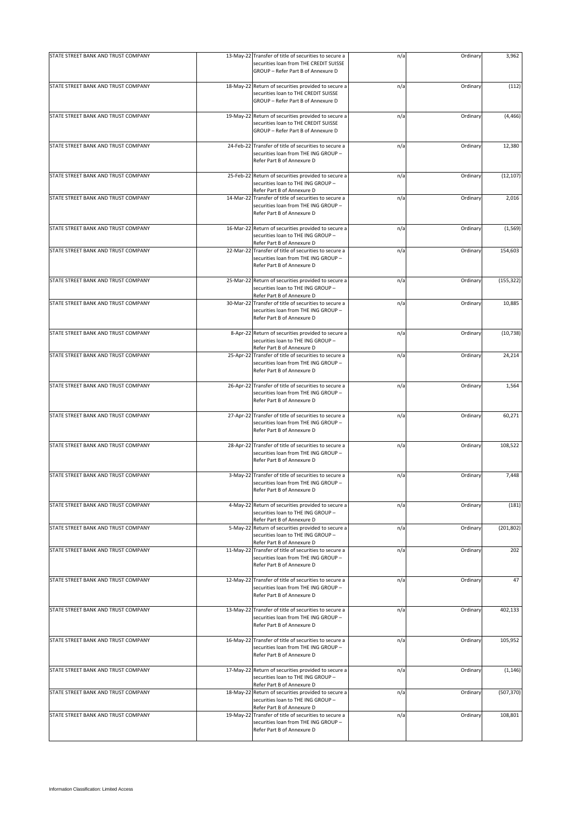| STATE STREET BANK AND TRUST COMPANY |           | 13-May-22 Transfer of title of securities to secure a<br>securities loan from THE CREDIT SUISSE<br>GROUP - Refer Part B of Annexure D | n/a | Ordinary | 3,962      |
|-------------------------------------|-----------|---------------------------------------------------------------------------------------------------------------------------------------|-----|----------|------------|
| STATE STREET BANK AND TRUST COMPANY |           | 18-May-22 Return of securities provided to secure a<br>securities loan to THE CREDIT SUISSE<br>GROUP - Refer Part B of Annexure D     | n/a | Ordinary | (112)      |
| STATE STREET BANK AND TRUST COMPANY | 19-May-22 | Return of securities provided to secure a<br>securities loan to THE CREDIT SUISSE<br>GROUP - Refer Part B of Annexure D               | n/a | Ordinary | (4, 466)   |
| STATE STREET BANK AND TRUST COMPANY |           | 24-Feb-22 Transfer of title of securities to secure a<br>securities loan from THE ING GROUP -<br>Refer Part B of Annexure D           | n/a | Ordinary | 12,380     |
| STATE STREET BANK AND TRUST COMPANY |           | 25-Feb-22 Return of securities provided to secure a<br>securities loan to THE ING GROUP -<br>Refer Part B of Annexure D               | n/a | Ordinary | (12, 107)  |
| STATE STREET BANK AND TRUST COMPANY |           | 14-Mar-22 Transfer of title of securities to secure a<br>securities loan from THE ING GROUP -<br>Refer Part B of Annexure D           | n/a | Ordinary | 2,016      |
| STATE STREET BANK AND TRUST COMPANY |           | 16-Mar-22 Return of securities provided to secure a<br>securities loan to THE ING GROUP -<br>Refer Part B of Annexure D               | n/a | Ordinary | (1, 569)   |
| STATE STREET BANK AND TRUST COMPANY |           | 22-Mar-22 Transfer of title of securities to secure a<br>securities loan from THE ING GROUP -<br>Refer Part B of Annexure D           | n/a | Ordinary | 154,603    |
| STATE STREET BANK AND TRUST COMPANY |           | 25-Mar-22 Return of securities provided to secure a<br>securities loan to THE ING GROUP -<br>Refer Part B of Annexure D               | n/a | Ordinary | (155, 322) |
| STATE STREET BANK AND TRUST COMPANY |           | 30-Mar-22 Transfer of title of securities to secure a<br>securities loan from THE ING GROUP -<br>Refer Part B of Annexure D           | n/a | Ordinary | 10,885     |
| STATE STREET BANK AND TRUST COMPANY |           | 8-Apr-22 Return of securities provided to secure a<br>securities loan to THE ING GROUP -<br>Refer Part B of Annexure D                | n/a | Ordinary | (10, 738)  |
| STATE STREET BANK AND TRUST COMPANY |           | 25-Apr-22 Transfer of title of securities to secure a<br>securities loan from THE ING GROUP -<br>Refer Part B of Annexure D           | n/a | Ordinary | 24,214     |
| STATE STREET BANK AND TRUST COMPANY |           | 26-Apr-22 Transfer of title of securities to secure a<br>securities loan from THE ING GROUP -<br>Refer Part B of Annexure D           | n/a | Ordinary | 1,564      |
| STATE STREET BANK AND TRUST COMPANY |           | 27-Apr-22 Transfer of title of securities to secure a<br>securities loan from THE ING GROUP -<br>Refer Part B of Annexure D           | n/a | Ordinary | 60,271     |
| STATE STREET BANK AND TRUST COMPANY |           | 28-Apr-22 Transfer of title of securities to secure a<br>securities loan from THE ING GROUP -<br>Refer Part B of Annexure D           | n/a | Ordinary | 108,522    |
| STATE STREET BANK AND TRUST COMPANY |           | 3-May-22 Transfer of title of securities to secure a<br>securities loan from THE ING GROUP -<br>Refer Part B of Annexure D            | n/a | Ordinary | 7,448      |
| STATE STREET BANK AND TRUST COMPANY |           | 4-May-22 Return of securities provided to secure a<br>securities loan to THE ING GROUP -<br>Refer Part B of Annexure D                | n/a | Ordinary | (181)      |
| STATE STREET BANK AND TRUST COMPANY |           | 5-May-22 Return of securities provided to secure a<br>securities loan to THE ING GROUP -<br>Refer Part B of Annexure D                | n/a | Ordinary | (201, 802) |
| STATE STREET BANK AND TRUST COMPANY |           | 11-May-22 Transfer of title of securities to secure a<br>securities loan from THE ING GROUP -<br>Refer Part B of Annexure D           | n/a | Ordinary | 202        |
| STATE STREET BANK AND TRUST COMPANY | 12-May-22 | Transfer of title of securities to secure a<br>securities loan from THE ING GROUP -<br>Refer Part B of Annexure D                     | n/a | Ordinary | 47         |
| STATE STREET BANK AND TRUST COMPANY |           | 13-May-22 Transfer of title of securities to secure a<br>securities loan from THE ING GROUP -<br>Refer Part B of Annexure D           | n/a | Ordinary | 402,133    |
| STATE STREET BANK AND TRUST COMPANY |           | 16-May-22 Transfer of title of securities to secure a<br>securities loan from THE ING GROUP -<br>Refer Part B of Annexure D           | n/a | Ordinary | 105,952    |
| STATE STREET BANK AND TRUST COMPANY |           | 17-May-22 Return of securities provided to secure a<br>securities loan to THE ING GROUP -<br>Refer Part B of Annexure D               | n/a | Ordinary | (1, 146)   |
| STATE STREET BANK AND TRUST COMPANY |           | 18-May-22 Return of securities provided to secure a<br>securities loan to THE ING GROUP -<br>Refer Part B of Annexure D               | n/a | Ordinary | (507, 370) |
| STATE STREET BANK AND TRUST COMPANY |           | 19-May-22 Transfer of title of securities to secure a<br>securities loan from THE ING GROUP -<br>Refer Part B of Annexure D           | n/a | Ordinary | 108,801    |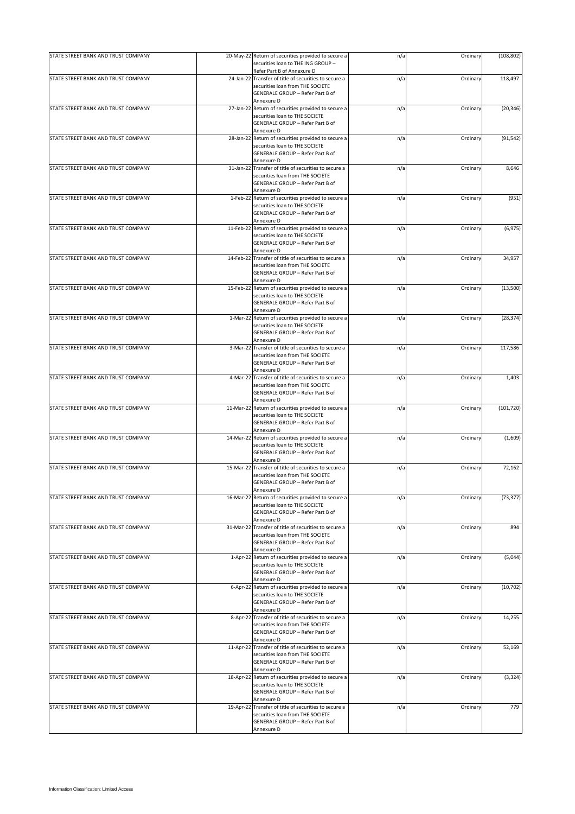| STATE STREET BANK AND TRUST COMPANY |           | 20-May-22 Return of securities provided to secure a<br>securities loan to THE ING GROUP -<br>Refer Part B of Annexure D                                   | n/a | Ordinary | (108, 802) |
|-------------------------------------|-----------|-----------------------------------------------------------------------------------------------------------------------------------------------------------|-----|----------|------------|
| STATE STREET BANK AND TRUST COMPANY |           | 24-Jan-22 Transfer of title of securities to secure a<br>securities loan from THE SOCIETE<br>GENERALE GROUP - Refer Part B of<br>Annexure D               | n/a | Ordinary | 118,497    |
| STATE STREET BANK AND TRUST COMPANY |           | 27-Jan-22 Return of securities provided to secure a<br>securities loan to THE SOCIETE<br>GENERALE GROUP - Refer Part B of<br>Annexure D                   | n/a | Ordinary | (20, 346)  |
| STATE STREET BANK AND TRUST COMPANY |           | 28-Jan-22 Return of securities provided to secure a<br>securities loan to THE SOCIETE<br>GENERALE GROUP - Refer Part B of<br>Annexure D                   | n/a | Ordinary | (91, 542)  |
| STATE STREET BANK AND TRUST COMPANY |           | 31-Jan-22 Transfer of title of securities to secure a<br>securities loan from THE SOCIETE<br>GENERALE GROUP - Refer Part B of<br>Annexure D               | n/a | Ordinary | 8,646      |
| STATE STREET BANK AND TRUST COMPANY |           | 1-Feb-22 Return of securities provided to secure a<br>securities loan to THE SOCIETE<br>GENERALE GROUP - Refer Part B of<br>Annexure D                    | n/a | Ordinary | (951)      |
| STATE STREET BANK AND TRUST COMPANY |           | 11-Feb-22 Return of securities provided to secure a<br>securities loan to THE SOCIETE<br>GENERALE GROUP - Refer Part B of<br>Annexure D                   | n/a | Ordinary | (6, 975)   |
| STATE STREET BANK AND TRUST COMPANY |           | 14-Feb-22 Transfer of title of securities to secure a<br>securities loan from THE SOCIETE<br>GENERALE GROUP - Refer Part B of<br>Annexure D               | n/a | Ordinary | 34,957     |
| STATE STREET BANK AND TRUST COMPANY |           | 15-Feb-22 Return of securities provided to secure a<br>securities loan to THE SOCIETE<br>GENERALE GROUP - Refer Part B of<br>Annexure D                   | n/a | Ordinary | (13,500)   |
| STATE STREET BANK AND TRUST COMPANY |           | 1-Mar-22 Return of securities provided to secure a<br>securities loan to THE SOCIETE<br>GENERALE GROUP - Refer Part B of<br>Annexure D                    | n/a | Ordinary | (28, 374)  |
| STATE STREET BANK AND TRUST COMPANY |           | 3-Mar-22 Transfer of title of securities to secure a<br>securities loan from THE SOCIETE<br>GENERALE GROUP - Refer Part B of<br>Annexure D                | n/a | Ordinary | 117,586    |
| STATE STREET BANK AND TRUST COMPANY |           | 4-Mar-22 Transfer of title of securities to secure a<br>securities loan from THE SOCIETE<br>GENERALE GROUP - Refer Part B of<br>Annexure D                | n/a | Ordinary | 1,403      |
| STATE STREET BANK AND TRUST COMPANY |           | 11-Mar-22 Return of securities provided to secure a<br>securities loan to THE SOCIETE<br>GENERALE GROUP - Refer Part B of<br>Annexure D                   | n/a | Ordinary | (101, 720) |
| STATE STREET BANK AND TRUST COMPANY |           | 14-Mar-22 Return of securities provided to secure a<br>securities loan to THE SOCIETE<br>GENERALE GROUP - Refer Part B of                                 | n/a | Ordinary | (1,609)    |
| STATE STREET BANK AND TRUST COMPANY |           | Annexure D<br>15-Mar-22 Transfer of title of securities to secure a<br>securities loan from THE SOCIETE<br>GENERALE GROUP - Refer Part B of               | n/a | Ordinary | 72,162     |
| STATE STREET BANK AND TRUST COMPANY | 16-Mar-22 | Annexure D<br>Return of securities provided to secure a<br>securities loan to THE SOCIETE<br><b>GENERALE GROUP - Refer Part B of</b>                      | n/a | Ordinary | (73, 377)  |
| STATE STREET BANK AND TRUST COMPANY |           | Annexure D<br>31-Mar-22 Transfer of title of securities to secure a<br>securities loan from THE SOCIETE<br>GENERALE GROUP - Refer Part B of<br>Annexure D | n/a | Ordinary | 894        |
| STATE STREET BANK AND TRUST COMPANY |           | 1-Apr-22 Return of securities provided to secure a<br>securities loan to THE SOCIETE<br>GENERALE GROUP - Refer Part B of<br>Annexure D                    | n/a | Ordinary | (5,044)    |
| STATE STREET BANK AND TRUST COMPANY |           | 6-Apr-22 Return of securities provided to secure a<br>securities loan to THE SOCIETE<br>GENERALE GROUP - Refer Part B of<br>Annexure D                    | n/a | Ordinary | (10, 702)  |
| STATE STREET BANK AND TRUST COMPANY |           | 8-Apr-22 Transfer of title of securities to secure a<br>securities loan from THE SOCIETE<br>GENERALE GROUP - Refer Part B of<br>Annexure D                | n/a | Ordinary | 14,255     |
| STATE STREET BANK AND TRUST COMPANY |           | 11-Apr-22 Transfer of title of securities to secure a<br>securities loan from THE SOCIETE<br>GENERALE GROUP - Refer Part B of<br>Annexure D               | n/a | Ordinary | 52,169     |
| STATE STREET BANK AND TRUST COMPANY |           | 18-Apr-22 Return of securities provided to secure a<br>securities loan to THE SOCIETE<br>GENERALE GROUP - Refer Part B of<br>Annexure D                   | n/a | Ordinary | (3, 324)   |
| STATE STREET BANK AND TRUST COMPANY |           | 19-Apr-22 Transfer of title of securities to secure a<br>securities loan from THE SOCIETE<br>GENERALE GROUP - Refer Part B of<br>Annexure D               | n/a | Ordinary | 779        |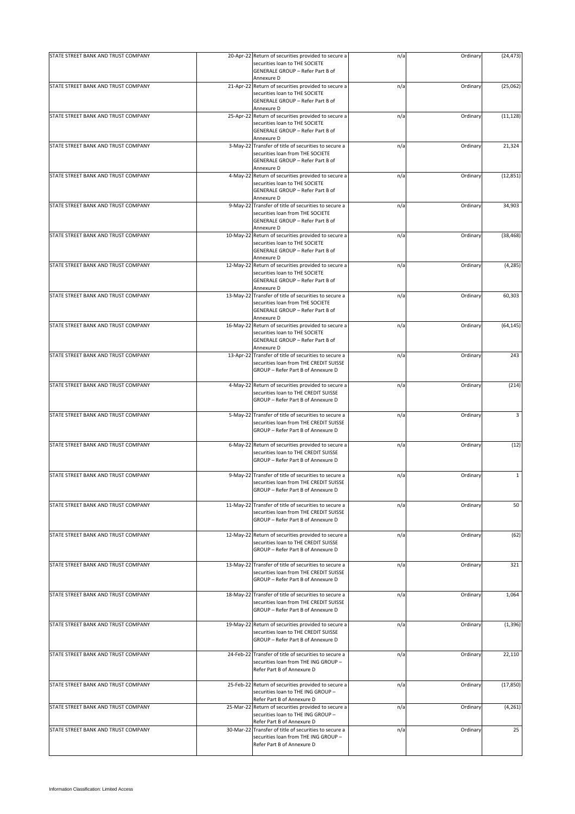| STATE STREET BANK AND TRUST COMPANY | 20-Apr-22 Return of securities provided to secure a<br>securities loan to THE SOCIETE                                                                 | n/a | Ordinary | (24, 473)    |
|-------------------------------------|-------------------------------------------------------------------------------------------------------------------------------------------------------|-----|----------|--------------|
|                                     | GENERALE GROUP - Refer Part B of<br>Annexure D                                                                                                        |     |          |              |
| STATE STREET BANK AND TRUST COMPANY | 21-Apr-22 Return of securities provided to secure a<br>securities loan to THE SOCIETE<br>GENERALE GROUP - Refer Part B of                             | n/a | Ordinary | (25,062)     |
| STATE STREET BANK AND TRUST COMPANY | Annexure D<br>25-Apr-22 Return of securities provided to secure a<br>securities loan to THE SOCIETE                                                   | n/a | Ordinary | (11, 128)    |
|                                     | GENERALE GROUP - Refer Part B of<br>Annexure D                                                                                                        |     |          |              |
| STATE STREET BANK AND TRUST COMPANY | 3-May-22 Transfer of title of securities to secure a<br>securities loan from THE SOCIETE<br>GENERALE GROUP - Refer Part B of                          | n/a | Ordinary | 21,324       |
| STATE STREET BANK AND TRUST COMPANY | Annexure D<br>4-May-22 Return of securities provided to secure a                                                                                      | n/a | Ordinary | (12, 851)    |
|                                     | securities loan to THE SOCIETE<br><b>GENERALE GROUP - Refer Part B of</b><br>Annexure D                                                               |     |          |              |
| STATE STREET BANK AND TRUST COMPANY | 9-May-22 Transfer of title of securities to secure a<br>securities loan from THE SOCIETE<br>GENERALE GROUP - Refer Part B of<br>Annexure D            | n/a | Ordinary | 34,903       |
| STATE STREET BANK AND TRUST COMPANY | 10-May-22 Return of securities provided to secure a<br>securities loan to THE SOCIETE<br>GENERALE GROUP - Refer Part B of                             | n/a | Ordinary | (38, 468)    |
| STATE STREET BANK AND TRUST COMPANY | Annexure D<br>12-May-22 Return of securities provided to secure a<br>securities loan to THE SOCIETE<br>GENERALE GROUP - Refer Part B of               | n/a | Ordinary | (4, 285)     |
| STATE STREET BANK AND TRUST COMPANY | Annexure D<br>13-May-22 Transfer of title of securities to secure a<br>securities loan from THE SOCIETE<br>GENERALE GROUP - Refer Part B of           | n/a | Ordinary | 60,303       |
| STATE STREET BANK AND TRUST COMPANY | Annexure D<br>16-May-22 Return of securities provided to secure a<br>securities loan to THE SOCIETE<br>GENERALE GROUP - Refer Part B of<br>Annexure D | n/a | Ordinary | (64, 145)    |
| STATE STREET BANK AND TRUST COMPANY | 13-Apr-22 Transfer of title of securities to secure a<br>securities loan from THE CREDIT SUISSE<br>GROUP - Refer Part B of Annexure D                 | n/a | Ordinary | 243          |
| STATE STREET BANK AND TRUST COMPANY | 4-May-22 Return of securities provided to secure a<br>securities loan to THE CREDIT SUISSE<br>GROUP - Refer Part B of Annexure D                      | n/a | Ordinary | (214)        |
| STATE STREET BANK AND TRUST COMPANY | 5-May-22 Transfer of title of securities to secure a<br>securities loan from THE CREDIT SUISSE<br>GROUP - Refer Part B of Annexure D                  | n/a | Ordinary | 3            |
| STATE STREET BANK AND TRUST COMPANY | 6-May-22 Return of securities provided to secure a<br>securities loan to THE CREDIT SUISSE<br>GROUP - Refer Part B of Annexure D                      | n/a | Ordinary | (12)         |
| STATE STREET BANK AND TRUST COMPANY | 9-May-22 Transfer of title of securities to secure a<br>securities loan from THE CREDIT SUISSE<br>GROUP - Refer Part B of Annexure D                  | n/a | Ordinary | $\mathbf{1}$ |
| STATE STREET BANK AND TRUST COMPANY | 11-May-22 Transfer of title of securities to secure a<br>securities loan from THE CREDIT SUISSE<br>GROUP - Refer Part B of Annexure D                 | n/a | Ordinary | 50           |
| STATE STREET BANK AND TRUST COMPANY | 12-May-22 Return of securities provided to secure a<br>securities loan to THE CREDIT SUISSE<br>GROUP - Refer Part B of Annexure D                     | n/a | Ordinary | (62)         |
| STATE STREET BANK AND TRUST COMPANY | 13-May-22 Transfer of title of securities to secure a<br>securities loan from THE CREDIT SUISSE<br>GROUP - Refer Part B of Annexure D                 | n/a | Ordinary | 321          |
| STATE STREET BANK AND TRUST COMPANY | 18-May-22 Transfer of title of securities to secure a<br>securities loan from THE CREDIT SUISSE<br>GROUP - Refer Part B of Annexure D                 | n/a | Ordinary | 1,064        |
| STATE STREET BANK AND TRUST COMPANY | 19-May-22 Return of securities provided to secure a<br>securities loan to THE CREDIT SUISSE<br>GROUP - Refer Part B of Annexure D                     | n/a | Ordinary | (1, 396)     |
| STATE STREET BANK AND TRUST COMPANY | 24-Feb-22 Transfer of title of securities to secure a<br>securities loan from THE ING GROUP -<br>Refer Part B of Annexure D                           | n/a | Ordinary | 22,110       |
| STATE STREET BANK AND TRUST COMPANY | 25-Feb-22 Return of securities provided to secure a<br>securities loan to THE ING GROUP -<br>Refer Part B of Annexure D                               | n/a | Ordinary | (17, 850)    |
| STATE STREET BANK AND TRUST COMPANY | 25-Mar-22 Return of securities provided to secure a<br>securities loan to THE ING GROUP -<br>Refer Part B of Annexure D                               | n/a | Ordinary | (4, 261)     |
| STATE STREET BANK AND TRUST COMPANY | 30-Mar-22 Transfer of title of securities to secure a<br>securities loan from THE ING GROUP -<br>Refer Part B of Annexure D                           | n/a | Ordinary | 25           |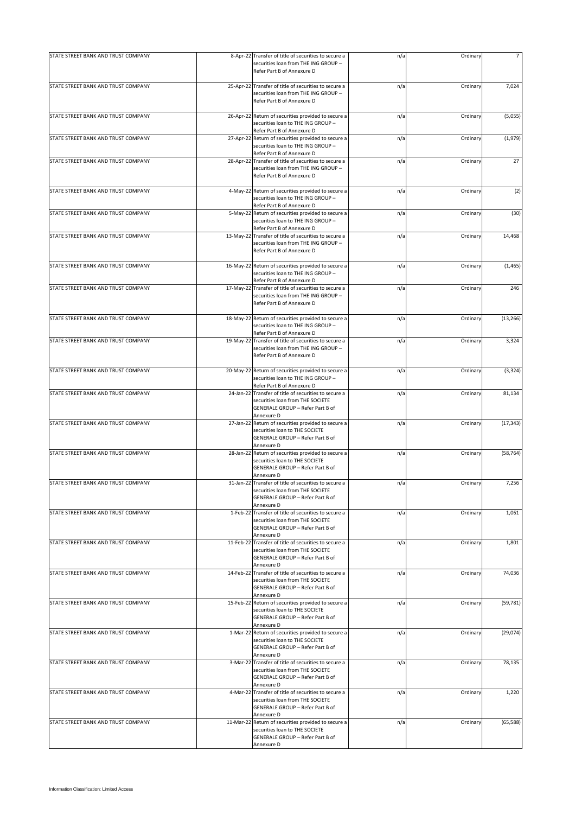| STATE STREET BANK AND TRUST COMPANY | 8-Apr-22 Transfer of title of securities to secure a                                                                                       | n/a | Ordinary |           |
|-------------------------------------|--------------------------------------------------------------------------------------------------------------------------------------------|-----|----------|-----------|
|                                     | securities loan from THE ING GROUP -<br>Refer Part B of Annexure D                                                                         |     |          |           |
| STATE STREET BANK AND TRUST COMPANY | 25-Apr-22 Transfer of title of securities to secure a<br>securities loan from THE ING GROUP -                                              | n/a | Ordinary | 7,024     |
|                                     | Refer Part B of Annexure D                                                                                                                 |     |          |           |
| STATE STREET BANK AND TRUST COMPANY | 26-Apr-22 Return of securities provided to secure a<br>securities loan to THE ING GROUP -                                                  | n/a | Ordinary | (5,055)   |
| STATE STREET BANK AND TRUST COMPANY | Refer Part B of Annexure D<br>27-Apr-22 Return of securities provided to secure a<br>securities loan to THE ING GROUP -                    | n/a | Ordinary | (1,979)   |
| STATE STREET BANK AND TRUST COMPANY | Refer Part B of Annexure D<br>28-Apr-22 Transfer of title of securities to secure a                                                        | n/a | Ordinary | 27        |
|                                     | securities loan from THE ING GROUP -<br>Refer Part B of Annexure D                                                                         |     |          |           |
| STATE STREET BANK AND TRUST COMPANY | 4-May-22 Return of securities provided to secure a<br>securities loan to THE ING GROUP -<br>Refer Part B of Annexure D                     | n/a | Ordinary | (2)       |
| STATE STREET BANK AND TRUST COMPANY | 5-May-22 Return of securities provided to secure a<br>securities loan to THE ING GROUP -<br>Refer Part B of Annexure D                     | n/a | Ordinary | (30)      |
| STATE STREET BANK AND TRUST COMPANY | 13-May-22 Transfer of title of securities to secure a<br>securities loan from THE ING GROUP -<br>Refer Part B of Annexure D                | n/a | Ordinary | 14,468    |
| STATE STREET BANK AND TRUST COMPANY | 16-May-22 Return of securities provided to secure a<br>securities loan to THE ING GROUP -<br>Refer Part B of Annexure D                    | n/a | Ordinary | (1, 465)  |
| STATE STREET BANK AND TRUST COMPANY | 17-May-22 Transfer of title of securities to secure a<br>securities loan from THE ING GROUP -                                              | n/a | Ordinary | 246       |
|                                     | Refer Part B of Annexure D                                                                                                                 |     |          |           |
| STATE STREET BANK AND TRUST COMPANY | 18-May-22 Return of securities provided to secure a<br>securities loan to THE ING GROUP -<br>Refer Part B of Annexure D                    | n/a | Ordinary | (13, 266) |
| STATE STREET BANK AND TRUST COMPANY | 19-May-22 Transfer of title of securities to secure a<br>securities loan from THE ING GROUP -<br>Refer Part B of Annexure D                | n/a | Ordinary | 3,324     |
| STATE STREET BANK AND TRUST COMPANY | 20-May-22 Return of securities provided to secure a<br>securities loan to THE ING GROUP -<br>Refer Part B of Annexure D                    | n/a | Ordinary | (3, 324)  |
| STATE STREET BANK AND TRUST COMPANY | 24-Jan-22 Transfer of title of securities to secure a<br>securities loan from THE SOCIETE                                                  | n/a | Ordinary | 81,134    |
|                                     | GENERALE GROUP - Refer Part B of<br>Annexure D                                                                                             |     |          |           |
| STATE STREET BANK AND TRUST COMPANY | 27-Jan-22 Return of securities provided to secure a<br>securities loan to THE SOCIETE                                                      | n/a | Ordinary | (17, 343) |
|                                     | GENERALE GROUP - Refer Part B of<br>Annexure D                                                                                             |     |          |           |
| STATE STREET BANK AND TRUST COMPANY | 28-Jan-22 Return of securities provided to secure a<br>securities loan to THE SOCIETE                                                      | n/a | Ordinary | (58, 764) |
|                                     | GENERALE GROUP - Refer Part B of<br>Annexure D                                                                                             |     |          |           |
| STATE STREET BANK AND TRUST COMPANY | 31-Jan-22 Transfer of title of securities to secure a<br>securities loan from THE SOCIETE                                                  | n/a | Ordinary | 7,256     |
|                                     | GENERALE GROUP - Refer Part B of<br>Annexure D                                                                                             |     |          |           |
| STATE STREET BANK AND TRUST COMPANY | 1-Feb-22 Transfer of title of securities to secure a<br>securities loan from THE SOCIETE                                                   | n/a | Ordinary | 1,061     |
|                                     | GENERALE GROUP - Refer Part B of<br>Annexure D                                                                                             |     |          |           |
| STATE STREET BANK AND TRUST COMPANY | 11-Feb-22 Transfer of title of securities to secure a<br>securities loan from THE SOCIETE                                                  | n/a | Ordinary | 1,801     |
|                                     | GENERALE GROUP - Refer Part B of<br>Annexure D                                                                                             |     |          |           |
| STATE STREET BANK AND TRUST COMPANY | 14-Feb-22 Transfer of title of securities to secure a<br>securities loan from THE SOCIETE<br>GENERALE GROUP - Refer Part B of              | n/a | Ordinary | 74,036    |
| STATE STREET BANK AND TRUST COMPANY | Annexure D<br>15-Feb-22 Return of securities provided to secure a                                                                          | n/a | Ordinary | (59, 781) |
|                                     | securities loan to THE SOCIETE<br>GENERALE GROUP - Refer Part B of<br>Annexure D                                                           |     |          |           |
| STATE STREET BANK AND TRUST COMPANY | 1-Mar-22 Return of securities provided to secure a<br>securities loan to THE SOCIETE<br>GENERALE GROUP - Refer Part B of<br>Annexure D     | n/a | Ordinary | (29, 074) |
| STATE STREET BANK AND TRUST COMPANY | 3-Mar-22 Transfer of title of securities to secure a<br>securities loan from THE SOCIETE<br>GENERALE GROUP - Refer Part B of<br>Annexure D | n/a | Ordinary | 78,135    |
| STATE STREET BANK AND TRUST COMPANY | 4-Mar-22 Transfer of title of securities to secure a<br>securities loan from THE SOCIETE<br>GENERALE GROUP - Refer Part B of<br>Annexure D | n/a | Ordinary | 1,220     |
| STATE STREET BANK AND TRUST COMPANY | 11-Mar-22 Return of securities provided to secure a<br>securities loan to THE SOCIETE<br>GENERALE GROUP - Refer Part B of<br>Annexure D    | n/a | Ordinary | (65, 588) |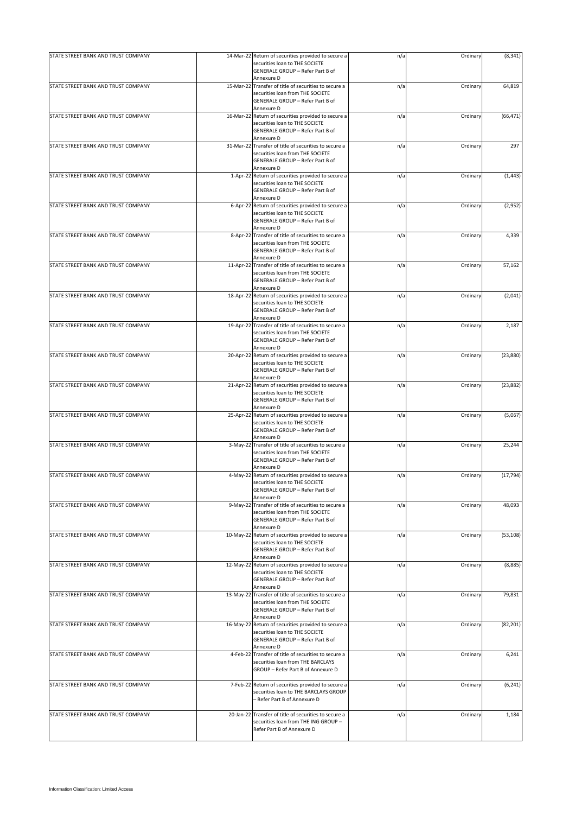| STATE STREET BANK AND TRUST COMPANY | 14-Mar-22 Return of securities provided to secure a                                                                                        |     | Ordinary | (8, 341)  |
|-------------------------------------|--------------------------------------------------------------------------------------------------------------------------------------------|-----|----------|-----------|
|                                     | securities loan to THE SOCIETE<br>GENERALE GROUP - Refer Part B of                                                                         | n/a |          |           |
|                                     | Annexure D                                                                                                                                 |     |          |           |
| STATE STREET BANK AND TRUST COMPANY | 15-Mar-22 Transfer of title of securities to secure a<br>securities loan from THE SOCIETE<br>GENERALE GROUP - Refer Part B of              | n/a | Ordinary | 64,819    |
|                                     | Annexure D                                                                                                                                 |     |          |           |
| STATE STREET BANK AND TRUST COMPANY | 16-Mar-22 Return of securities provided to secure a<br>securities loan to THE SOCIETE<br>GENERALE GROUP - Refer Part B of                  | n/a | Ordinary | (66, 471) |
|                                     | Annexure D                                                                                                                                 |     |          |           |
|                                     |                                                                                                                                            |     |          |           |
| STATE STREET BANK AND TRUST COMPANY | 31-Mar-22 Transfer of title of securities to secure a<br>securities loan from THE SOCIETE<br>GENERALE GROUP - Refer Part B of              | n/a | Ordinary | 297       |
|                                     | Annexure D                                                                                                                                 |     |          |           |
| STATE STREET BANK AND TRUST COMPANY | 1-Apr-22 Return of securities provided to secure a<br>securities loan to THE SOCIETE<br>GENERALE GROUP - Refer Part B of<br>Annexure D     | n/a | Ordinary | (1, 443)  |
|                                     |                                                                                                                                            |     |          |           |
| STATE STREET BANK AND TRUST COMPANY | 6-Apr-22 Return of securities provided to secure a<br>securities loan to THE SOCIETE<br>GENERALE GROUP - Refer Part B of<br>Annexure D     | n/a | Ordinary | (2,952)   |
|                                     |                                                                                                                                            |     |          |           |
| STATE STREET BANK AND TRUST COMPANY | 8-Apr-22 Transfer of title of securities to secure a<br>securities loan from THE SOCIETE<br>GENERALE GROUP - Refer Part B of<br>Annexure D | n/a | Ordinary | 4,339     |
| STATE STREET BANK AND TRUST COMPANY | 11-Apr-22 Transfer of title of securities to secure a                                                                                      | n/a | Ordinary | 57,162    |
|                                     | securities loan from THE SOCIETE<br>GENERALE GROUP - Refer Part B of<br>Annexure D                                                         |     |          |           |
| STATE STREET BANK AND TRUST COMPANY | 18-Apr-22 Return of securities provided to secure a                                                                                        | n/a | Ordinary | (2,041)   |
|                                     | securities loan to THE SOCIETE<br>GENERALE GROUP - Refer Part B of<br>Annexure D                                                           |     |          |           |
| STATE STREET BANK AND TRUST COMPANY | 19-Apr-22 Transfer of title of securities to secure a                                                                                      | n/a | Ordinary | 2,187     |
|                                     | securities loan from THE SOCIETE<br>GENERALE GROUP - Refer Part B of<br>Annexure D                                                         |     |          |           |
| STATE STREET BANK AND TRUST COMPANY | 20-Apr-22 Return of securities provided to secure a                                                                                        | n/a | Ordinary | (23,880)  |
|                                     | securities loan to THE SOCIETE<br>GENERALE GROUP - Refer Part B of<br>Annexure D                                                           |     |          |           |
| STATE STREET BANK AND TRUST COMPANY | 21-Apr-22 Return of securities provided to secure a                                                                                        | n/a | Ordinary | (23, 882) |
|                                     | securities loan to THE SOCIETE<br>GENERALE GROUP - Refer Part B of<br>Annexure D                                                           |     |          |           |
|                                     |                                                                                                                                            |     |          |           |
| STATE STREET BANK AND TRUST COMPANY | 25-Apr-22 Return of securities provided to secure a<br>securities loan to THE SOCIETE<br>GENERALE GROUP - Refer Part B of<br>Annexure D    | n/a | Ordinary | (5,067)   |
| STATE STREET BANK AND TRUST COMPANY | 3-May-22 Transfer of title of securities to secure a                                                                                       | n/a | Ordinary | 25,244    |
|                                     | securities loan from THE SOCIETE<br>GENERALE GROUP - Refer Part B of<br>Annexure D                                                         |     |          |           |
| STATE STREET BANK AND TRUST COMPANY | 4-May-22 Return of securities provided to secure a                                                                                         |     | Ordinary | (17, 794) |
|                                     | securities loan to THE SOCIETE<br>GENERALE GROUP - Refer Part B of<br>Annexure D                                                           | n/a |          |           |
| STATE STREET BANK AND TRUST COMPANY | 9-May-22 Transfer of title of securities to secure a                                                                                       | n/a | Ordinary | 48,093    |
|                                     | securities loan from THE SOCIETE<br>GENERALE GROUP - Refer Part B of<br>Annexure D                                                         |     |          |           |
| STATE STREET BANK AND TRUST COMPANY | 10-May-22 Return of securities provided to secure a                                                                                        | n/a | Ordinary | (53, 108) |
|                                     | securities loan to THE SOCIETE<br>GENERALE GROUP - Refer Part B of<br>Annexure D                                                           |     |          |           |
| STATE STREET BANK AND TRUST COMPANY | 12-May-22 Return of securities provided to secure a                                                                                        | n/a | Ordinary | (8,885)   |
|                                     | securities loan to THE SOCIETE<br>GENERALE GROUP - Refer Part B of<br>Annexure D                                                           |     |          |           |
| STATE STREET BANK AND TRUST COMPANY | 13-May-22 Transfer of title of securities to secure a                                                                                      | n/a | Ordinary | 79,831    |
|                                     | securities loan from THE SOCIETE<br>GENERALE GROUP - Refer Part B of<br>Annexure D                                                         |     |          |           |
| STATE STREET BANK AND TRUST COMPANY | 16-May-22 Return of securities provided to secure a<br>securities loan to THE SOCIETE<br>GENERALE GROUP - Refer Part B of<br>Annexure D    | n/a | Ordinary | (82, 201) |
| STATE STREET BANK AND TRUST COMPANY | 4-Feb-22 Transfer of title of securities to secure a<br>securities loan from THE BARCLAYS<br>GROUP - Refer Part B of Annexure D            | n/a | Ordinary | 6,241     |
|                                     |                                                                                                                                            |     |          |           |
| STATE STREET BANK AND TRUST COMPANY | 7-Feb-22 Return of securities provided to secure a<br>securities loan to THE BARCLAYS GROUP<br>- Refer Part B of Annexure D                | n/a | Ordinary | (6, 241)  |
|                                     |                                                                                                                                            |     |          |           |
| STATE STREET BANK AND TRUST COMPANY | 20-Jan-22 Transfer of title of securities to secure a<br>securities loan from THE ING GROUP -<br>Refer Part B of Annexure D                | n/a | Ordinary | 1,184     |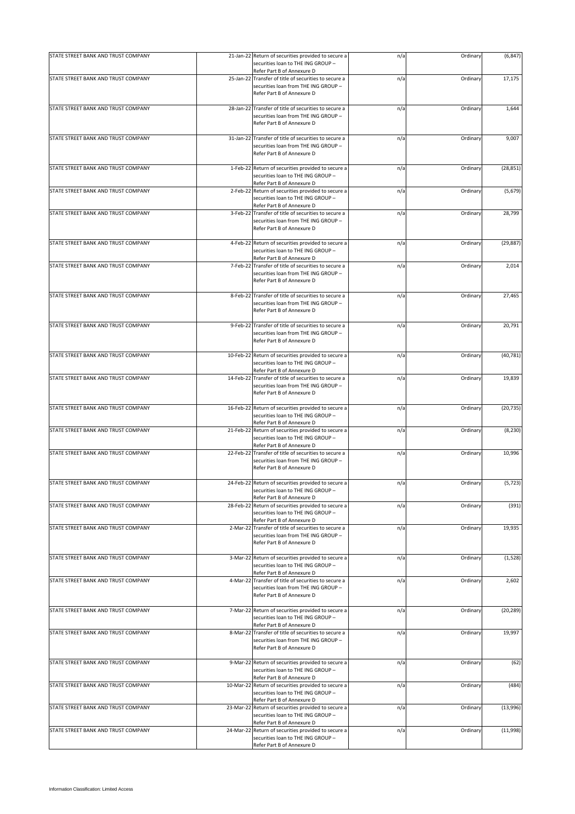| STATE STREET BANK AND TRUST COMPANY | 21-Jan-22 Return of securities provided to secure a<br>securities loan to THE ING GROUP -                                   | n/a | Ordinary | (6, 847)  |
|-------------------------------------|-----------------------------------------------------------------------------------------------------------------------------|-----|----------|-----------|
|                                     | Refer Part B of Annexure D                                                                                                  |     |          |           |
| STATE STREET BANK AND TRUST COMPANY | 25-Jan-22 Transfer of title of securities to secure a<br>securities loan from THE ING GROUP -<br>Refer Part B of Annexure D | n/a | Ordinary | 17,175    |
| STATE STREET BANK AND TRUST COMPANY | 28-Jan-22 Transfer of title of securities to secure a<br>securities loan from THE ING GROUP -<br>Refer Part B of Annexure D | n/a | Ordinary | 1,644     |
| STATE STREET BANK AND TRUST COMPANY | 31-Jan-22 Transfer of title of securities to secure a<br>securities loan from THE ING GROUP -<br>Refer Part B of Annexure D | n/a | Ordinary | 9,007     |
| STATE STREET BANK AND TRUST COMPANY | 1-Feb-22 Return of securities provided to secure a<br>securities loan to THE ING GROUP -<br>Refer Part B of Annexure D      | n/a | Ordinary | (28, 851) |
| STATE STREET BANK AND TRUST COMPANY | 2-Feb-22 Return of securities provided to secure a<br>securities loan to THE ING GROUP -<br>Refer Part B of Annexure D      | n/a | Ordinary | (5,679)   |
| STATE STREET BANK AND TRUST COMPANY | 3-Feb-22 Transfer of title of securities to secure a<br>securities loan from THE ING GROUP -<br>Refer Part B of Annexure D  | n/a | Ordinary | 28,799    |
| STATE STREET BANK AND TRUST COMPANY | 4-Feb-22 Return of securities provided to secure a<br>securities loan to THE ING GROUP -<br>Refer Part B of Annexure D      | n/a | Ordinary | (29, 887) |
| STATE STREET BANK AND TRUST COMPANY | 7-Feb-22 Transfer of title of securities to secure a<br>securities loan from THE ING GROUP -<br>Refer Part B of Annexure D  | n/a | Ordinary | 2,014     |
| STATE STREET BANK AND TRUST COMPANY | 8-Feb-22 Transfer of title of securities to secure a<br>securities loan from THE ING GROUP -<br>Refer Part B of Annexure D  | n/a | Ordinary | 27,465    |
| STATE STREET BANK AND TRUST COMPANY | 9-Feb-22 Transfer of title of securities to secure a<br>securities loan from THE ING GROUP -<br>Refer Part B of Annexure D  | n/a | Ordinary | 20,791    |
| STATE STREET BANK AND TRUST COMPANY | 10-Feb-22 Return of securities provided to secure a<br>securities loan to THE ING GROUP -<br>Refer Part B of Annexure D     | n/a | Ordinary | (40, 781) |
| STATE STREET BANK AND TRUST COMPANY | 14-Feb-22 Transfer of title of securities to secure a<br>securities loan from THE ING GROUP -<br>Refer Part B of Annexure D | n/a | Ordinary | 19,839    |
| STATE STREET BANK AND TRUST COMPANY | 16-Feb-22 Return of securities provided to secure a<br>securities loan to THE ING GROUP -<br>Refer Part B of Annexure D     | n/a | Ordinary | (20, 735) |
| STATE STREET BANK AND TRUST COMPANY | 21-Feb-22 Return of securities provided to secure a<br>securities loan to THE ING GROUP -<br>Refer Part B of Annexure D     | n/a | Ordinary | (8, 230)  |
| STATE STREET BANK AND TRUST COMPANY | 22-Feb-22 Transfer of title of securities to secure a<br>securities loan from THE ING GROUP -<br>Refer Part B of Annexure D | n/a | Ordinary | 10,996    |
| STATE STREET BANK AND TRUST COMPANY | 24-Feb-22 Return of securities provided to secure a<br>securities loan to THE ING GROUP -<br>Refer Part B of Annexure D     | n/a | Ordinary | (5, 723)  |
| STATE STREET BANK AND TRUST COMPANY | 28-Feb-22 Return of securities provided to secure a<br>securities loan to THE ING GROUP -<br>Refer Part B of Annexure D     | n/a | Ordinary | (391)     |
| STATE STREET BANK AND TRUST COMPANY | 2-Mar-22 Transfer of title of securities to secure a<br>securities loan from THE ING GROUP -<br>Refer Part B of Annexure D  | n/a | Ordinary | 19,935    |
| STATE STREET BANK AND TRUST COMPANY | 3-Mar-22 Return of securities provided to secure a<br>securities loan to THE ING GROUP -<br>Refer Part B of Annexure D      | n/a | Ordinary | (1, 528)  |
| STATE STREET BANK AND TRUST COMPANY | 4-Mar-22 Transfer of title of securities to secure a<br>securities loan from THE ING GROUP -<br>Refer Part B of Annexure D  | n/a | Ordinary | 2,602     |
| STATE STREET BANK AND TRUST COMPANY | 7-Mar-22 Return of securities provided to secure a<br>securities loan to THE ING GROUP -<br>Refer Part B of Annexure D      | n/a | Ordinary | (20, 289) |
| STATE STREET BANK AND TRUST COMPANY | 8-Mar-22 Transfer of title of securities to secure a<br>securities loan from THE ING GROUP -<br>Refer Part B of Annexure D  | n/a | Ordinary | 19,997    |
| STATE STREET BANK AND TRUST COMPANY | 9-Mar-22 Return of securities provided to secure a<br>securities loan to THE ING GROUP -<br>Refer Part B of Annexure D      | n/a | Ordinary | (62)      |
| STATE STREET BANK AND TRUST COMPANY | 10-Mar-22 Return of securities provided to secure a<br>securities loan to THE ING GROUP -<br>Refer Part B of Annexure D     | n/a | Ordinary | (484)     |
| STATE STREET BANK AND TRUST COMPANY | 23-Mar-22 Return of securities provided to secure a<br>securities loan to THE ING GROUP -<br>Refer Part B of Annexure D     | n/a | Ordinary | (13,996)  |
| STATE STREET BANK AND TRUST COMPANY | 24-Mar-22 Return of securities provided to secure a<br>securities loan to THE ING GROUP -<br>Refer Part B of Annexure D     | n/a | Ordinary | (11,998)  |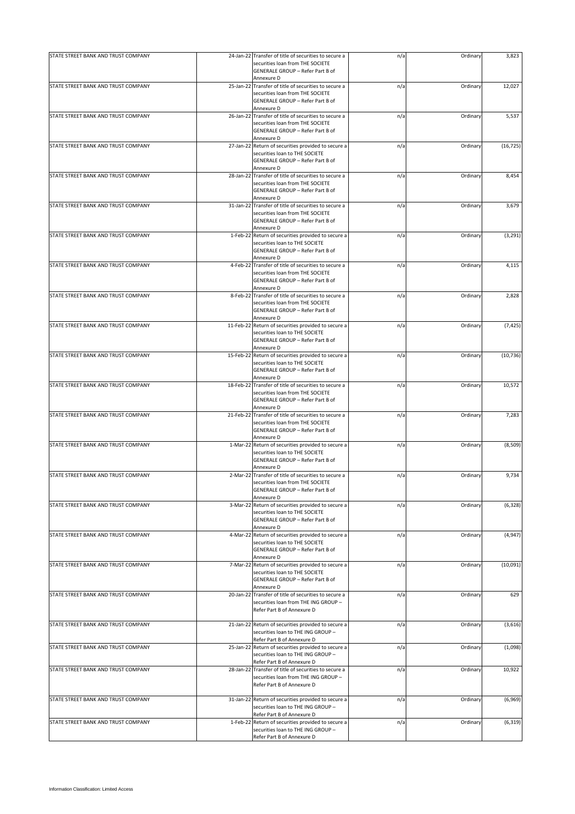| STATE STREET BANK AND TRUST COMPANY | 24-Jan-22 Transfer of title of securities to secure a<br>securities loan from THE SOCIETE<br>GENERALE GROUP - Refer Part B of               | n/a | Ordinary | 3,823     |
|-------------------------------------|---------------------------------------------------------------------------------------------------------------------------------------------|-----|----------|-----------|
|                                     | Annexure D                                                                                                                                  |     |          |           |
| STATE STREET BANK AND TRUST COMPANY | 25-Jan-22 Transfer of title of securities to secure a<br>securities loan from THE SOCIETE                                                   | n/a | Ordinary | 12,027    |
|                                     | GENERALE GROUP - Refer Part B of<br>Annexure D                                                                                              |     |          |           |
| STATE STREET BANK AND TRUST COMPANY | 26-Jan-22 Transfer of title of securities to secure a                                                                                       | n/a | Ordinary | 5,537     |
|                                     | securities loan from THE SOCIETE<br>GENERALE GROUP - Refer Part B of                                                                        |     |          |           |
|                                     | Annexure D                                                                                                                                  |     |          |           |
| STATE STREET BANK AND TRUST COMPANY | 27-Jan-22 Return of securities provided to secure a                                                                                         | n/a | Ordinary | (16, 725) |
|                                     | securities loan to THE SOCIETE<br>GENERALE GROUP - Refer Part B of                                                                          |     |          |           |
|                                     | Annexure D                                                                                                                                  |     |          |           |
| STATE STREET BANK AND TRUST COMPANY | 28-Jan-22 Transfer of title of securities to secure a<br>securities loan from THE SOCIETE<br>GENERALE GROUP - Refer Part B of<br>Annexure D | n/a | Ordinary | 8,454     |
|                                     |                                                                                                                                             |     |          |           |
| STATE STREET BANK AND TRUST COMPANY | 31-Jan-22 Transfer of title of securities to secure a<br>securities loan from THE SOCIETE<br>GENERALE GROUP - Refer Part B of<br>Annexure D | n/a | Ordinary | 3,679     |
| STATE STREET BANK AND TRUST COMPANY |                                                                                                                                             |     |          |           |
|                                     | 1-Feb-22 Return of securities provided to secure a<br>securities loan to THE SOCIETE<br>GENERALE GROUP - Refer Part B of<br>Annexure D      | n/a | Ordinary | (3, 291)  |
| STATE STREET BANK AND TRUST COMPANY | 4-Feb-22 Transfer of title of securities to secure a                                                                                        | n/a | Ordinary | 4,115     |
|                                     | securities loan from THE SOCIETE<br>GENERALE GROUP - Refer Part B of<br>Annexure D                                                          |     |          |           |
|                                     |                                                                                                                                             |     |          |           |
| STATE STREET BANK AND TRUST COMPANY | 8-Feb-22 Transfer of title of securities to secure a<br>securities loan from THE SOCIETE<br>GENERALE GROUP - Refer Part B of<br>Annexure D  | n/a | Ordinary | 2,828     |
| STATE STREET BANK AND TRUST COMPANY | 11-Feb-22 Return of securities provided to secure a                                                                                         | n/a | Ordinary | (7, 425)  |
|                                     | securities loan to THE SOCIETE<br>GENERALE GROUP - Refer Part B of<br>Annexure D                                                            |     |          |           |
| STATE STREET BANK AND TRUST COMPANY | 15-Feb-22 Return of securities provided to secure a                                                                                         | n/a | Ordinary | (10, 736) |
|                                     | securities loan to THE SOCIETE<br>GENERALE GROUP - Refer Part B of<br>Annexure D                                                            |     |          |           |
| STATE STREET BANK AND TRUST COMPANY | 18-Feb-22 Transfer of title of securities to secure a                                                                                       | n/a | Ordinary | 10,572    |
|                                     | securities loan from THE SOCIETE<br>GENERALE GROUP - Refer Part B of                                                                        |     |          |           |
|                                     | Annexure D                                                                                                                                  |     |          |           |
| STATE STREET BANK AND TRUST COMPANY | 21-Feb-22 Transfer of title of securities to secure a<br>securities loan from THE SOCIETE<br>GENERALE GROUP - Refer Part B of<br>Annexure D | n/a | Ordinary | 7,283     |
|                                     |                                                                                                                                             |     |          |           |
| STATE STREET BANK AND TRUST COMPANY | 1-Mar-22 Return of securities provided to secure a<br>securities loan to THE SOCIETE<br>GENERALE GROUP - Refer Part B of<br>Annexure D      | n/a | Ordinary | (8,509)   |
|                                     |                                                                                                                                             |     |          |           |
| STATE STREET BANK AND TRUST COMPANY | 2-Mar-22 Transfer of title of securities to secure a<br>securities loan from THE SOCIETE<br>GENERALE GROUP - Refer Part B of                | n/a | Ordinary | 9,734     |
|                                     | Annexure D                                                                                                                                  |     |          |           |
| STATE STREET BANK AND TRUST COMPANY | 3-Mar-22 Return of securities provided to secure a<br>securities loan to THE SOCIETE<br>GENERALE GROUP - Refer Part B of                    | n/a | Ordinary | (6, 328)  |
|                                     | Annexure D                                                                                                                                  |     |          |           |
| STATE STREET BANK AND TRUST COMPANY | 4-Mar-22 Return of securities provided to secure a<br>securities loan to THE SOCIETE<br>GENERALE GROUP - Refer Part B of                    | n/a | Ordinary | (4,947)   |
|                                     | Annexure D                                                                                                                                  |     |          |           |
| STATE STREET BANK AND TRUST COMPANY | 7-Mar-22 Return of securities provided to secure a<br>securities loan to THE SOCIETE<br>GENERALE GROUP - Refer Part B of<br>Annexure D      | n/a | Ordinary | (10,091)  |
|                                     |                                                                                                                                             |     |          |           |
| STATE STREET BANK AND TRUST COMPANY | 20-Jan-22 Transfer of title of securities to secure a<br>securities loan from THE ING GROUP -<br>Refer Part B of Annexure D                 | n/a | Ordinary | 629       |
| STATE STREET BANK AND TRUST COMPANY | 21-Jan-22 Return of securities provided to secure a                                                                                         | n/a | Ordinary | (3,616)   |
|                                     | securities loan to THE ING GROUP -<br>Refer Part B of Annexure D                                                                            |     |          |           |
| STATE STREET BANK AND TRUST COMPANY | 25-Jan-22 Return of securities provided to secure a<br>securities loan to THE ING GROUP -<br>Refer Part B of Annexure D                     | n/a | Ordinary | (1,098)   |
| STATE STREET BANK AND TRUST COMPANY | 28-Jan-22 Transfer of title of securities to secure a<br>securities loan from THE ING GROUP -<br>Refer Part B of Annexure D                 | n/a | Ordinary | 10,922    |
|                                     |                                                                                                                                             |     |          |           |
| STATE STREET BANK AND TRUST COMPANY | 31-Jan-22 Return of securities provided to secure a<br>securities loan to THE ING GROUP -<br>Refer Part B of Annexure D                     | n/a | Ordinary | (6,969)   |
| STATE STREET BANK AND TRUST COMPANY | 1-Feb-22 Return of securities provided to secure a<br>securities loan to THE ING GROUP -<br>Refer Part B of Annexure D                      | n/a | Ordinary | (6, 319)  |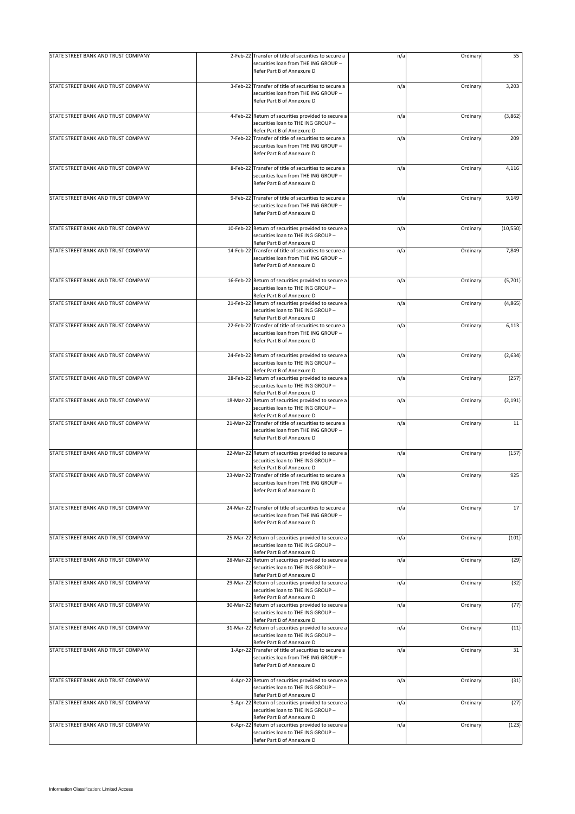| STATE STREET BANK AND TRUST COMPANY | 2-Feb-22 Transfer of title of securities to secure a                                                                        | n/a | Ordinary | 55        |
|-------------------------------------|-----------------------------------------------------------------------------------------------------------------------------|-----|----------|-----------|
|                                     | securities loan from THE ING GROUP -<br>Refer Part B of Annexure D                                                          |     |          |           |
|                                     |                                                                                                                             |     |          |           |
| STATE STREET BANK AND TRUST COMPANY | 3-Feb-22 Transfer of title of securities to secure a<br>securities loan from THE ING GROUP -<br>Refer Part B of Annexure D  | n/a | Ordinary | 3,203     |
| STATE STREET BANK AND TRUST COMPANY | 4-Feb-22 Return of securities provided to secure a<br>securities loan to THE ING GROUP -<br>Refer Part B of Annexure D      | n/a | Ordinary | (3,862)   |
| STATE STREET BANK AND TRUST COMPANY | 7-Feb-22 Transfer of title of securities to secure a<br>securities loan from THE ING GROUP -<br>Refer Part B of Annexure D  | n/a | Ordinary | 209       |
| STATE STREET BANK AND TRUST COMPANY | 8-Feb-22 Transfer of title of securities to secure a<br>securities loan from THE ING GROUP -<br>Refer Part B of Annexure D  | n/a | Ordinary | 4,116     |
| STATE STREET BANK AND TRUST COMPANY | 9-Feb-22 Transfer of title of securities to secure a<br>securities loan from THE ING GROUP -<br>Refer Part B of Annexure D  | n/a | Ordinary | 9,149     |
| STATE STREET BANK AND TRUST COMPANY | 10-Feb-22 Return of securities provided to secure a<br>securities loan to THE ING GROUP -<br>Refer Part B of Annexure D     | n/a | Ordinary | (10, 550) |
| STATE STREET BANK AND TRUST COMPANY | 14-Feb-22 Transfer of title of securities to secure a<br>securities loan from THE ING GROUP -<br>Refer Part B of Annexure D | n/a | Ordinary | 7,849     |
| STATE STREET BANK AND TRUST COMPANY | 16-Feb-22 Return of securities provided to secure a<br>securities loan to THE ING GROUP -<br>Refer Part B of Annexure D     | n/a | Ordinary | (5,701)   |
| STATE STREET BANK AND TRUST COMPANY | 21-Feb-22 Return of securities provided to secure a<br>securities loan to THE ING GROUP -<br>Refer Part B of Annexure D     | n/a | Ordinary | (4,865)   |
| STATE STREET BANK AND TRUST COMPANY | 22-Feb-22 Transfer of title of securities to secure a<br>securities loan from THE ING GROUP -<br>Refer Part B of Annexure D | n/a | Ordinary | 6,113     |
| STATE STREET BANK AND TRUST COMPANY | 24-Feb-22 Return of securities provided to secure a<br>securities loan to THE ING GROUP -<br>Refer Part B of Annexure D     | n/a | Ordinary | (2,634)   |
| STATE STREET BANK AND TRUST COMPANY | 28-Feb-22 Return of securities provided to secure a<br>securities loan to THE ING GROUP -<br>Refer Part B of Annexure D     | n/a | Ordinary | (257)     |
| STATE STREET BANK AND TRUST COMPANY | 18-Mar-22 Return of securities provided to secure a<br>securities loan to THE ING GROUP -<br>Refer Part B of Annexure D     | n/a | Ordinary | (2, 191)  |
| STATE STREET BANK AND TRUST COMPANY | 21-Mar-22 Transfer of title of securities to secure a<br>securities loan from THE ING GROUP -<br>Refer Part B of Annexure D | n/a | Ordinary | 11        |
| STATE STREET BANK AND TRUST COMPANY | 22-Mar-22 Return of securities provided to secure a<br>securities loan to THE ING GROUP -<br>Refer Part B of Annexure D     | n/a | Ordinary | (157)     |
| STATE STREET BANK AND TRUST COMPANY | 23-Mar-22 Transfer of title of securities to secure a<br>securities loan from THE ING GROUP -<br>Refer Part B of Annexure D | n/a | Ordinary | 925       |
| STATE STREET BANK AND TRUST COMPANY | 24-Mar-22 Transfer of title of securities to secure a<br>securities loan from THE ING GROUP -<br>Refer Part B of Annexure D | n/a | Ordinary | 17        |
| STATE STREET BANK AND TRUST COMPANY | 25-Mar-22 Return of securities provided to secure a<br>securities loan to THE ING GROUP -<br>Refer Part B of Annexure D     | n/a | Ordinary | (101)     |
| STATE STREET BANK AND TRUST COMPANY | 28-Mar-22 Return of securities provided to secure a<br>securities loan to THE ING GROUP -<br>Refer Part B of Annexure D     | n/a | Ordinary | (29)      |
| STATE STREET BANK AND TRUST COMPANY | 29-Mar-22 Return of securities provided to secure a<br>securities loan to THE ING GROUP -<br>Refer Part B of Annexure D     | n/a | Ordinary | (32)      |
| STATE STREET BANK AND TRUST COMPANY | 30-Mar-22 Return of securities provided to secure a<br>securities loan to THE ING GROUP -<br>Refer Part B of Annexure D     | n/a | Ordinary | (77)      |
| STATE STREET BANK AND TRUST COMPANY | 31-Mar-22 Return of securities provided to secure a<br>securities loan to THE ING GROUP -<br>Refer Part B of Annexure D     | n/a | Ordinary | (11)      |
| STATE STREET BANK AND TRUST COMPANY | 1-Apr-22 Transfer of title of securities to secure a<br>securities loan from THE ING GROUP -<br>Refer Part B of Annexure D  | n/a | Ordinary | 31        |
| STATE STREET BANK AND TRUST COMPANY | 4-Apr-22 Return of securities provided to secure a<br>securities loan to THE ING GROUP -<br>Refer Part B of Annexure D      | n/a | Ordinary | (31)      |
| STATE STREET BANK AND TRUST COMPANY | 5-Apr-22 Return of securities provided to secure a<br>securities loan to THE ING GROUP -<br>Refer Part B of Annexure D      | n/a | Ordinary | (27)      |
| STATE STREET BANK AND TRUST COMPANY | 6-Apr-22 Return of securities provided to secure a<br>securities loan to THE ING GROUP -<br>Refer Part B of Annexure D      | n/a | Ordinary | (123)     |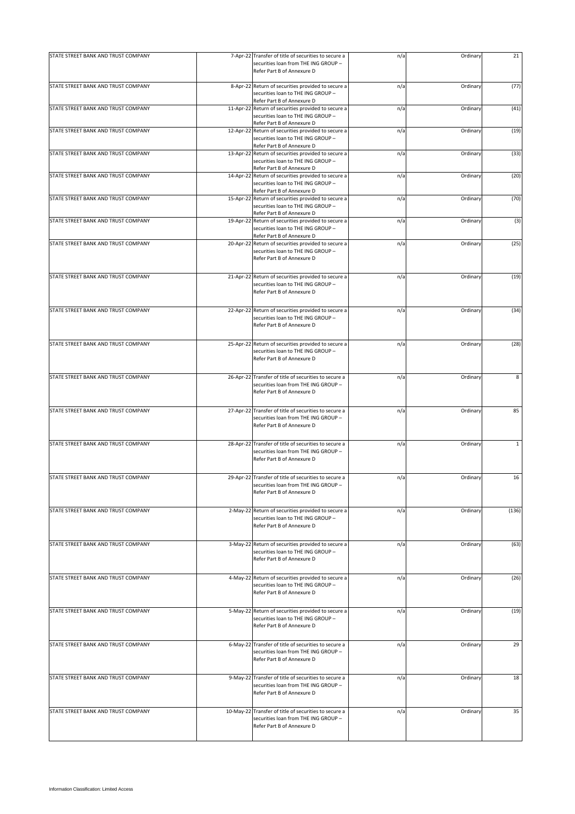| STATE STREET BANK AND TRUST COMPANY | 7-Apr-22 Transfer of title of securities to secure a<br>securities loan from THE ING GROUP -                                | n/a | Ordinary | 21           |
|-------------------------------------|-----------------------------------------------------------------------------------------------------------------------------|-----|----------|--------------|
|                                     | Refer Part B of Annexure D                                                                                                  |     |          |              |
| STATE STREET BANK AND TRUST COMPANY | 8-Apr-22 Return of securities provided to secure a<br>securities loan to THE ING GROUP -<br>Refer Part B of Annexure D      | n/a | Ordinary | (77)         |
| STATE STREET BANK AND TRUST COMPANY | 11-Apr-22 Return of securities provided to secure a<br>securities loan to THE ING GROUP -<br>Refer Part B of Annexure D     | n/a | Ordinary | (41)         |
| STATE STREET BANK AND TRUST COMPANY | 12-Apr-22 Return of securities provided to secure a<br>securities loan to THE ING GROUP -<br>Refer Part B of Annexure D     | n/a | Ordinary | (19)         |
| STATE STREET BANK AND TRUST COMPANY | 13-Apr-22 Return of securities provided to secure a<br>securities loan to THE ING GROUP -<br>Refer Part B of Annexure D     | n/a | Ordinary | (33)         |
| STATE STREET BANK AND TRUST COMPANY | 14-Apr-22 Return of securities provided to secure a<br>securities loan to THE ING GROUP -<br>Refer Part B of Annexure D     | n/a | Ordinary | (20)         |
| STATE STREET BANK AND TRUST COMPANY | 15-Apr-22 Return of securities provided to secure a<br>securities loan to THE ING GROUP -<br>Refer Part B of Annexure D     | n/a | Ordinary | (70)         |
| STATE STREET BANK AND TRUST COMPANY | 19-Apr-22 Return of securities provided to secure a<br>securities loan to THE ING GROUP -<br>Refer Part B of Annexure D     | n/a | Ordinary | (3)          |
| STATE STREET BANK AND TRUST COMPANY | 20-Apr-22 Return of securities provided to secure a<br>securities loan to THE ING GROUP -<br>Refer Part B of Annexure D     | n/a | Ordinary | (25)         |
| STATE STREET BANK AND TRUST COMPANY | 21-Apr-22 Return of securities provided to secure a<br>securities loan to THE ING GROUP -<br>Refer Part B of Annexure D     | n/a | Ordinary | (19)         |
| STATE STREET BANK AND TRUST COMPANY | 22-Apr-22 Return of securities provided to secure a<br>securities loan to THE ING GROUP -<br>Refer Part B of Annexure D     | n/a | Ordinary | (34)         |
| STATE STREET BANK AND TRUST COMPANY | 25-Apr-22 Return of securities provided to secure a<br>securities loan to THE ING GROUP -<br>Refer Part B of Annexure D     | n/a | Ordinary | (28)         |
| STATE STREET BANK AND TRUST COMPANY | 26-Apr-22 Transfer of title of securities to secure a<br>securities loan from THE ING GROUP -<br>Refer Part B of Annexure D | n/a | Ordinary | 8            |
| STATE STREET BANK AND TRUST COMPANY | 27-Apr-22 Transfer of title of securities to secure a<br>securities loan from THE ING GROUP -<br>Refer Part B of Annexure D | n/a | Ordinary | 85           |
| STATE STREET BANK AND TRUST COMPANY | 28-Apr-22 Transfer of title of securities to secure a<br>securities loan from THE ING GROUP -<br>Refer Part B of Annexure D | n/a | Ordinary | $\mathbf{1}$ |
| STATE STREET BANK AND TRUST COMPANY | 29-Apr-22 Transfer of title of securities to secure a<br>securities loan from THE ING GROUP -<br>Refer Part B of Annexure D | n/a | Ordinary | 16           |
| STATE STREET BANK AND TRUST COMPANY | 2-May-22 Return of securities provided to secure a<br>securities loan to THE ING GROUP -<br>Refer Part B of Annexure D      | n/a | Ordinary | (136)        |
| STATE STREET BANK AND TRUST COMPANY | 3-May-22 Return of securities provided to secure a<br>securities loan to THE ING GROUP -<br>Refer Part B of Annexure D      | n/a | Ordinary | (63)         |
| STATE STREET BANK AND TRUST COMPANY | 4-May-22 Return of securities provided to secure a<br>securities loan to THE ING GROUP -<br>Refer Part B of Annexure D      | n/a | Ordinary | (26)         |
| STATE STREET BANK AND TRUST COMPANY | 5-May-22 Return of securities provided to secure a<br>securities loan to THE ING GROUP -<br>Refer Part B of Annexure D      | n/a | Ordinary | (19)         |
| STATE STREET BANK AND TRUST COMPANY | 6-May-22 Transfer of title of securities to secure a<br>securities loan from THE ING GROUP -<br>Refer Part B of Annexure D  | n/a | Ordinary | 29           |
| STATE STREET BANK AND TRUST COMPANY | 9-May-22 Transfer of title of securities to secure a<br>securities loan from THE ING GROUP -<br>Refer Part B of Annexure D  | n/a | Ordinary | 18           |
| STATE STREET BANK AND TRUST COMPANY | 10-May-22 Transfer of title of securities to secure a<br>securities loan from THE ING GROUP -<br>Refer Part B of Annexure D | n/a | Ordinary | 35           |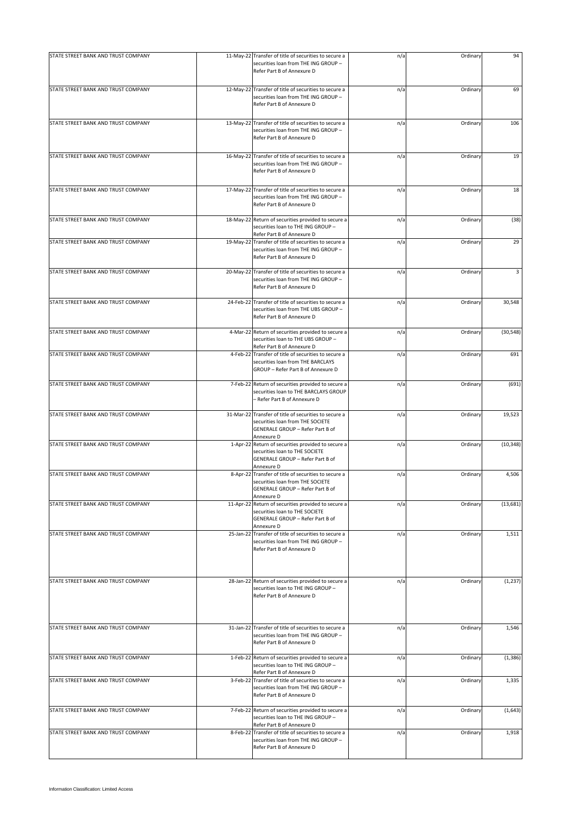| STATE STREET BANK AND TRUST COMPANY | 11-May-22 Transfer of title of securities to secure a<br>securities loan from THE ING GROUP -<br>Refer Part B of Annexure D                 | n/a | Ordinary | 94        |
|-------------------------------------|---------------------------------------------------------------------------------------------------------------------------------------------|-----|----------|-----------|
| STATE STREET BANK AND TRUST COMPANY | 12-May-22 Transfer of title of securities to secure a<br>securities loan from THE ING GROUP -<br>Refer Part B of Annexure D                 | n/a | Ordinary | 69        |
| STATE STREET BANK AND TRUST COMPANY | 13-May-22 Transfer of title of securities to secure a<br>securities loan from THE ING GROUP -<br>Refer Part B of Annexure D                 | n/a | Ordinary | 106       |
| STATE STREET BANK AND TRUST COMPANY | 16-May-22 Transfer of title of securities to secure a<br>securities loan from THE ING GROUP -<br>Refer Part B of Annexure D                 | n/a | Ordinary | 19        |
| STATE STREET BANK AND TRUST COMPANY | 17-May-22 Transfer of title of securities to secure a<br>securities loan from THE ING GROUP -<br>Refer Part B of Annexure D                 | n/a | Ordinary | 18        |
| STATE STREET BANK AND TRUST COMPANY | 18-May-22 Return of securities provided to secure a<br>securities loan to THE ING GROUP -<br>Refer Part B of Annexure D                     | n/a | Ordinary | (38)      |
| STATE STREET BANK AND TRUST COMPANY | 19-May-22 Transfer of title of securities to secure a<br>securities loan from THE ING GROUP -<br>Refer Part B of Annexure D                 | n/a | Ordinary | 29        |
| STATE STREET BANK AND TRUST COMPANY | 20-May-22 Transfer of title of securities to secure a<br>securities loan from THE ING GROUP -<br>Refer Part B of Annexure D                 | n/a | Ordinary | 3         |
| STATE STREET BANK AND TRUST COMPANY | 24-Feb-22 Transfer of title of securities to secure a<br>securities loan from THE UBS GROUP -<br>Refer Part B of Annexure D                 | n/a | Ordinary | 30,548    |
| STATE STREET BANK AND TRUST COMPANY | 4-Mar-22 Return of securities provided to secure a<br>securities loan to THE UBS GROUP -<br>Refer Part B of Annexure D                      | n/a | Ordinary | (30, 548) |
| STATE STREET BANK AND TRUST COMPANY | 4-Feb-22 Transfer of title of securities to secure a<br>securities loan from THE BARCLAYS<br>GROUP - Refer Part B of Annexure D             | n/a | Ordinary | 691       |
| STATE STREET BANK AND TRUST COMPANY | 7-Feb-22 Return of securities provided to secure a<br>securities loan to THE BARCLAYS GROUP<br>- Refer Part B of Annexure D                 | n/a | Ordinary | (691)     |
| STATE STREET BANK AND TRUST COMPANY | 31-Mar-22 Transfer of title of securities to secure a<br>securities loan from THE SOCIETE<br>GENERALE GROUP - Refer Part B of<br>Annexure D | n/a | Ordinary | 19,523    |
| STATE STREET BANK AND TRUST COMPANY | 1-Apr-22 Return of securities provided to secure a<br>securities loan to THE SOCIETE<br>GENERALE GROUP - Refer Part B of<br>Annexure D      | n/a | Ordinary | (10, 348) |
| STATE STREET BANK AND TRUST COMPANY | 8-Apr-22 Transfer of title of securities to secure a<br>securities loan from THE SOCIETE<br>GENERALE GROUP - Refer Part B of<br>Annexure D  | n/a | Ordinary | 4,506     |
| STATE STREET BANK AND TRUST COMPANY | 11-Apr-22 Return of securities provided to secure a<br>securities loan to THE SOCIETE<br>GENERALE GROUP - Refer Part B of<br>Annexure D     | n/a | Ordinary | (13,681)  |
| STATE STREET BANK AND TRUST COMPANY | 25-Jan-22 Transfer of title of securities to secure a<br>securities loan from THE ING GROUP -<br>Refer Part B of Annexure D                 | n/a | Ordinary | 1,511     |
| STATE STREET BANK AND TRUST COMPANY | 28-Jan-22 Return of securities provided to secure a<br>securities loan to THE ING GROUP -<br>Refer Part B of Annexure D                     | n/a | Ordinary | (1, 237)  |
| STATE STREET BANK AND TRUST COMPANY | 31-Jan-22 Transfer of title of securities to secure a<br>securities loan from THE ING GROUP -<br>Refer Part B of Annexure D                 | n/a | Ordinary | 1,546     |
| STATE STREET BANK AND TRUST COMPANY | 1-Feb-22 Return of securities provided to secure a<br>securities loan to THE ING GROUP -<br>Refer Part B of Annexure D                      | n/a | Ordinary | (1, 386)  |
| STATE STREET BANK AND TRUST COMPANY | 3-Feb-22 Transfer of title of securities to secure a<br>securities loan from THE ING GROUP -<br>Refer Part B of Annexure D                  | n/a | Ordinary | 1,335     |
| STATE STREET BANK AND TRUST COMPANY | 7-Feb-22 Return of securities provided to secure a<br>securities loan to THE ING GROUP -<br>Refer Part B of Annexure D                      | n/a | Ordinary | (1,643)   |
| STATE STREET BANK AND TRUST COMPANY | 8-Feb-22 Transfer of title of securities to secure a<br>securities loan from THE ING GROUP -<br>Refer Part B of Annexure D                  | n/a | Ordinary | 1,918     |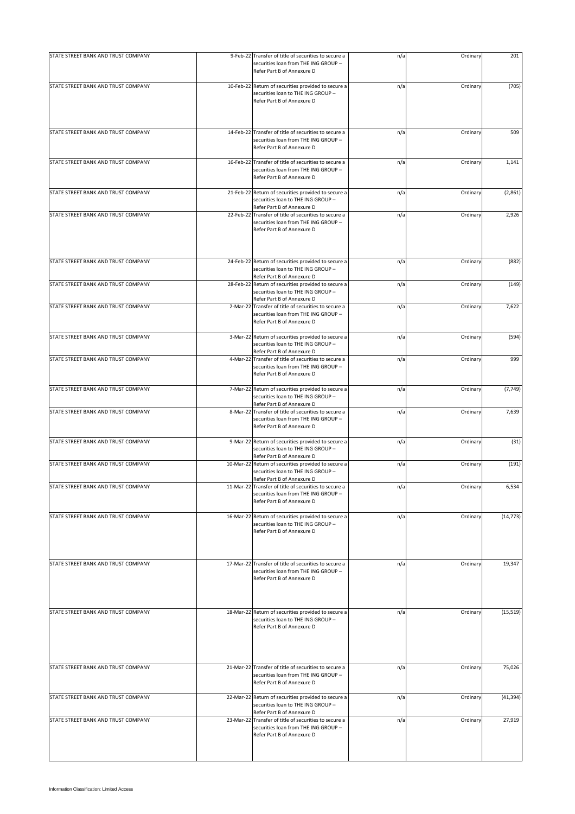| STATE STREET BANK AND TRUST COMPANY | 9-Feb-22 Transfer of title of securities to secure a<br>securities loan from THE ING GROUP -<br>Refer Part B of Annexure D  | n/a | Ordinary | 201       |
|-------------------------------------|-----------------------------------------------------------------------------------------------------------------------------|-----|----------|-----------|
| STATE STREET BANK AND TRUST COMPANY | 10-Feb-22 Return of securities provided to secure a<br>securities loan to THE ING GROUP -<br>Refer Part B of Annexure D     | n/a | Ordinary | (705)     |
| STATE STREET BANK AND TRUST COMPANY | 14-Feb-22 Transfer of title of securities to secure a<br>securities loan from THE ING GROUP -<br>Refer Part B of Annexure D | n/a | Ordinary | 509       |
| STATE STREET BANK AND TRUST COMPANY | 16-Feb-22 Transfer of title of securities to secure a<br>securities loan from THE ING GROUP -<br>Refer Part B of Annexure D | n/a | Ordinary | 1,141     |
| STATE STREET BANK AND TRUST COMPANY | 21-Feb-22 Return of securities provided to secure a<br>securities loan to THE ING GROUP -<br>Refer Part B of Annexure D     | n/a | Ordinary | (2,861)   |
| STATE STREET BANK AND TRUST COMPANY | 22-Feb-22 Transfer of title of securities to secure a<br>securities loan from THE ING GROUP -<br>Refer Part B of Annexure D | n/a | Ordinary | 2,926     |
| STATE STREET BANK AND TRUST COMPANY | 24-Feb-22 Return of securities provided to secure a<br>securities loan to THE ING GROUP -<br>Refer Part B of Annexure D     | n/a | Ordinary | (882)     |
| STATE STREET BANK AND TRUST COMPANY | 28-Feb-22 Return of securities provided to secure a<br>securities loan to THE ING GROUP -<br>Refer Part B of Annexure D     | n/a | Ordinary | (149)     |
| STATE STREET BANK AND TRUST COMPANY | 2-Mar-22 Transfer of title of securities to secure a<br>securities loan from THE ING GROUP -<br>Refer Part B of Annexure D  | n/a | Ordinary | 7,622     |
| STATE STREET BANK AND TRUST COMPANY | 3-Mar-22 Return of securities provided to secure a<br>securities loan to THE ING GROUP -<br>Refer Part B of Annexure D      | n/a | Ordinary | (594)     |
| STATE STREET BANK AND TRUST COMPANY | 4-Mar-22 Transfer of title of securities to secure a<br>securities loan from THE ING GROUP -<br>Refer Part B of Annexure D  | n/a | Ordinary | 999       |
| STATE STREET BANK AND TRUST COMPANY | 7-Mar-22 Return of securities provided to secure a<br>securities loan to THE ING GROUP -<br>Refer Part B of Annexure D      | n/a | Ordinary | (7, 749)  |
| STATE STREET BANK AND TRUST COMPANY | 8-Mar-22 Transfer of title of securities to secure a<br>securities loan from THE ING GROUP -<br>Refer Part B of Annexure D  | n/a | Ordinary | 7,639     |
| STATE STREET BANK AND TRUST COMPANY | 9-Mar-22 Return of securities provided to secure a<br>securities loan to THE ING GROUP -<br>Refer Part B of Annexure D      | n/a | Ordinary | (31)      |
| STATE STREET BANK AND TRUST COMPANY | 10-Mar-22 Return of securities provided to secure a<br>securities loan to THE ING GROUP -<br>Refer Part B of Annexure D     | n/a | Ordinary | (191)     |
| STATE STREET BANK AND TRUST COMPANY | 11-Mar-22 Transfer of title of securities to secure a<br>securities loan from THE ING GROUP -<br>Refer Part B of Annexure D | n/a | Ordinary | 6,534     |
| STATE STREET BANK AND TRUST COMPANY | 16-Mar-22 Return of securities provided to secure a<br>securities loan to THE ING GROUP -<br>Refer Part B of Annexure D     | n/a | Ordinary | (14, 773) |
| STATE STREET BANK AND TRUST COMPANY | 17-Mar-22 Transfer of title of securities to secure a<br>securities loan from THE ING GROUP -<br>Refer Part B of Annexure D | n/a | Ordinary | 19,347    |
| STATE STREET BANK AND TRUST COMPANY | 18-Mar-22 Return of securities provided to secure a<br>securities loan to THE ING GROUP -<br>Refer Part B of Annexure D     | n/a | Ordinary | (15, 519) |
| STATE STREET BANK AND TRUST COMPANY | 21-Mar-22 Transfer of title of securities to secure a<br>securities loan from THE ING GROUP -<br>Refer Part B of Annexure D | n/a | Ordinary | 75,026    |
| STATE STREET BANK AND TRUST COMPANY | 22-Mar-22 Return of securities provided to secure a<br>securities loan to THE ING GROUP -<br>Refer Part B of Annexure D     | n/a | Ordinary | (41, 394) |
| STATE STREET BANK AND TRUST COMPANY | 23-Mar-22 Transfer of title of securities to secure a<br>securities loan from THE ING GROUP -<br>Refer Part B of Annexure D | n/a | Ordinary | 27,919    |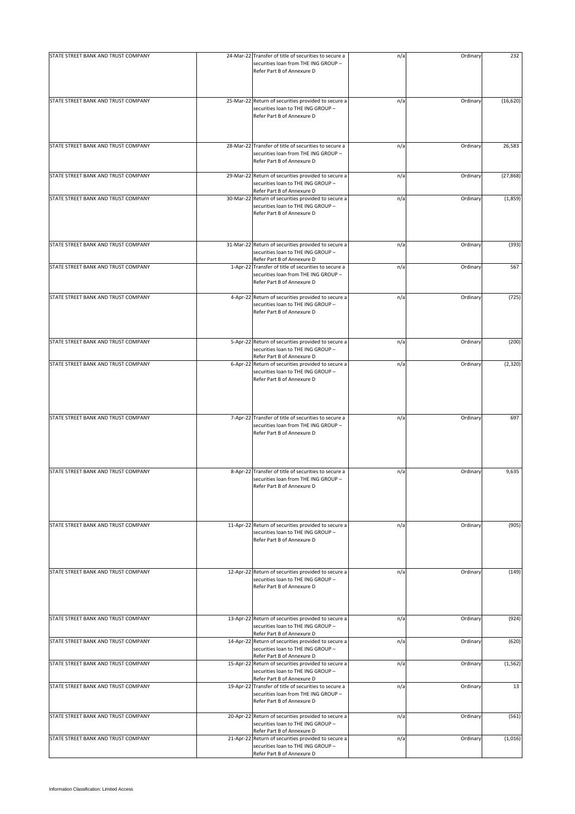|                                     |                                                                                                                             |     | Ordinary |           |
|-------------------------------------|-----------------------------------------------------------------------------------------------------------------------------|-----|----------|-----------|
| STATE STREET BANK AND TRUST COMPANY | 24-Mar-22 Transfer of title of securities to secure a<br>securities loan from THE ING GROUP -<br>Refer Part B of Annexure D | n/a |          | 232       |
| STATE STREET BANK AND TRUST COMPANY | 25-Mar-22 Return of securities provided to secure a<br>securities loan to THE ING GROUP -<br>Refer Part B of Annexure D     | n/a | Ordinary | (16, 620) |
| STATE STREET BANK AND TRUST COMPANY | 28-Mar-22 Transfer of title of securities to secure a<br>securities loan from THE ING GROUP -<br>Refer Part B of Annexure D | n/a | Ordinary | 26,583    |
| STATE STREET BANK AND TRUST COMPANY | 29-Mar-22 Return of securities provided to secure a<br>securities loan to THE ING GROUP -<br>Refer Part B of Annexure D     | n/a | Ordinary | (27, 868) |
| STATE STREET BANK AND TRUST COMPANY | 30-Mar-22 Return of securities provided to secure a<br>securities loan to THE ING GROUP -<br>Refer Part B of Annexure D     | n/a | Ordinary | (1,859)   |
| STATE STREET BANK AND TRUST COMPANY | 31-Mar-22 Return of securities provided to secure a<br>securities loan to THE ING GROUP -<br>Refer Part B of Annexure D     | n/a | Ordinary | (393)     |
| STATE STREET BANK AND TRUST COMPANY | 1-Apr-22 Transfer of title of securities to secure a<br>securities loan from THE ING GROUP -<br>Refer Part B of Annexure D  | n/a | Ordinary | 567       |
| STATE STREET BANK AND TRUST COMPANY | 4-Apr-22 Return of securities provided to secure a<br>securities loan to THE ING GROUP -<br>Refer Part B of Annexure D      | n/a | Ordinary | (725)     |
| STATE STREET BANK AND TRUST COMPANY | 5-Apr-22 Return of securities provided to secure a<br>securities loan to THE ING GROUP -<br>Refer Part B of Annexure D      | n/a | Ordinary | (200)     |
| STATE STREET BANK AND TRUST COMPANY | 6-Apr-22 Return of securities provided to secure a<br>securities loan to THE ING GROUP -<br>Refer Part B of Annexure D      | n/a | Ordinary | (2, 320)  |
| STATE STREET BANK AND TRUST COMPANY | 7-Apr-22 Transfer of title of securities to secure a<br>securities loan from THE ING GROUP -<br>Refer Part B of Annexure D  | n/a | Ordinary | 697       |
| STATE STREET BANK AND TRUST COMPANY | 8-Apr-22 Transfer of title of securities to secure a<br>securities loan from THE ING GROUP -<br>Refer Part B of Annexure D  | n/a | Ordinary | 9,635     |
| STATE STREET BANK AND TRUST COMPANY | 11-Apr-22 Return of securities provided to secure a<br>securities loan to THE ING GROUP -<br>Refer Part B of Annexure D     | n/a | Ordinary | (905)     |
| STATE STREET BANK AND TRUST COMPANY | 12-Apr-22 Return of securities provided to secure a<br>securities loan to THE ING GROUP -<br>Refer Part B of Annexure D     | n/a | Ordinary | (149)     |
| STATE STREET BANK AND TRUST COMPANY | 13-Apr-22 Return of securities provided to secure a<br>securities loan to THE ING GROUP -<br>Refer Part B of Annexure D     | n/a | Ordinary | (924)     |
| STATE STREET BANK AND TRUST COMPANY | 14-Apr-22 Return of securities provided to secure a<br>securities loan to THE ING GROUP -<br>Refer Part B of Annexure D     | n/a | Ordinary | (620)     |
| STATE STREET BANK AND TRUST COMPANY | 15-Apr-22 Return of securities provided to secure a<br>securities loan to THE ING GROUP -<br>Refer Part B of Annexure D     | n/a | Ordinary | (1, 562)  |
| STATE STREET BANK AND TRUST COMPANY | 19-Apr-22 Transfer of title of securities to secure a<br>securities loan from THE ING GROUP -<br>Refer Part B of Annexure D | n/a | Ordinary | 13        |
| STATE STREET BANK AND TRUST COMPANY | 20-Apr-22 Return of securities provided to secure a<br>securities loan to THE ING GROUP -<br>Refer Part B of Annexure D     | n/a | Ordinary | (561)     |
| STATE STREET BANK AND TRUST COMPANY | 21-Apr-22 Return of securities provided to secure a<br>securities loan to THE ING GROUP -<br>Refer Part B of Annexure D     | n/a | Ordinary | (1,016)   |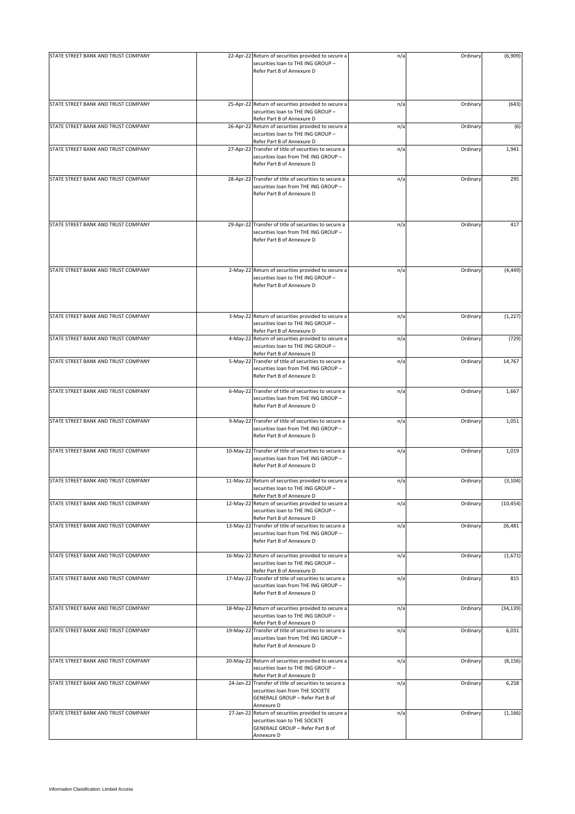| STATE STREET BANK AND TRUST COMPANY | 22-Apr-22 Return of securities provided to secure a<br>securities loan to THE ING GROUP -                                                   | n/a | Ordinary | (6,909)   |
|-------------------------------------|---------------------------------------------------------------------------------------------------------------------------------------------|-----|----------|-----------|
|                                     | Refer Part B of Annexure D                                                                                                                  |     |          |           |
| STATE STREET BANK AND TRUST COMPANY | 25-Apr-22 Return of securities provided to secure a<br>securities loan to THE ING GROUP -<br>Refer Part B of Annexure D                     | n/a | Ordinary | (643)     |
| STATE STREET BANK AND TRUST COMPANY | 26-Apr-22 Return of securities provided to secure a<br>securities loan to THE ING GROUP -<br>Refer Part B of Annexure D                     | n/a | Ordinary | (6)       |
| STATE STREET BANK AND TRUST COMPANY | 27-Apr-22 Transfer of title of securities to secure a<br>securities loan from THE ING GROUP -<br>Refer Part B of Annexure D                 | n/a | Ordinary | 1,941     |
| STATE STREET BANK AND TRUST COMPANY | 28-Apr-22 Transfer of title of securities to secure a<br>securities loan from THE ING GROUP -<br>Refer Part B of Annexure D                 | n/a | Ordinary | 295       |
| STATE STREET BANK AND TRUST COMPANY | 29-Apr-22 Transfer of title of securities to secure a<br>securities loan from THE ING GROUP -<br>Refer Part B of Annexure D                 | n/a | Ordinary | 417       |
| STATE STREET BANK AND TRUST COMPANY | 2-May-22 Return of securities provided to secure a<br>securities loan to THE ING GROUP -<br>Refer Part B of Annexure D                      | n/a | Ordinary | (4, 449)  |
| STATE STREET BANK AND TRUST COMPANY | 3-May-22 Return of securities provided to secure a<br>securities loan to THE ING GROUP -<br>Refer Part B of Annexure D                      | n/a | Ordinary | (1, 227)  |
| STATE STREET BANK AND TRUST COMPANY | 4-May-22 Return of securities provided to secure a<br>securities loan to THE ING GROUP -<br>Refer Part B of Annexure D                      | n/a | Ordinary | (729)     |
| STATE STREET BANK AND TRUST COMPANY | 5-May-22 Transfer of title of securities to secure a<br>securities loan from THE ING GROUP -<br>Refer Part B of Annexure D                  | n/a | Ordinary | 14,767    |
| STATE STREET BANK AND TRUST COMPANY | 6-May-22 Transfer of title of securities to secure a<br>securities loan from THE ING GROUP -<br>Refer Part B of Annexure D                  | n/a | Ordinary | 1,667     |
| STATE STREET BANK AND TRUST COMPANY | 9-May-22 Transfer of title of securities to secure a<br>securities loan from THE ING GROUP -<br>Refer Part B of Annexure D                  | n/a | Ordinary | 1,051     |
| STATE STREET BANK AND TRUST COMPANY | 10-May-22 Transfer of title of securities to secure a<br>securities loan from THE ING GROUP -<br>Refer Part B of Annexure D                 | n/a | Ordinary | 1,019     |
| STATE STREET BANK AND TRUST COMPANY | 11-May-22 Return of securities provided to secure a<br>securities loan to THE ING GROUP -<br>Refer Part B of Annexure D                     | n/a | Ordinary | (3, 104)  |
| STATE STREET BANK AND TRUST COMPANY | 12-May-22 Return of securities provided to secure a<br>securities loan to THE ING GROUP -<br>Refer Part B of Annexure D                     | n/a | Ordinary | (10, 454) |
| STATE STREET BANK AND TRUST COMPANY | 13-May-22 Transfer of title of securities to secure a<br>securities loan from THE ING GROUP -<br>Refer Part B of Annexure D                 | n/a | Ordinary | 26,481    |
| STATE STREET BANK AND TRUST COMPANY | 16-May-22 Return of securities provided to secure a<br>securities loan to THE ING GROUP -<br>Refer Part B of Annexure D                     | n/a | Ordinary | (1,671)   |
| STATE STREET BANK AND TRUST COMPANY | 17-May-22 Transfer of title of securities to secure a<br>securities loan from THE ING GROUP -<br>Refer Part B of Annexure D                 | n/a | Ordinary | 815       |
| STATE STREET BANK AND TRUST COMPANY | 18-May-22 Return of securities provided to secure a<br>securities loan to THE ING GROUP -<br>Refer Part B of Annexure D                     | n/a | Ordinary | (34, 139) |
| STATE STREET BANK AND TRUST COMPANY | 19-May-22 Transfer of title of securities to secure a<br>securities loan from THE ING GROUP -<br>Refer Part B of Annexure D                 | n/a | Ordinary | 6,031     |
| STATE STREET BANK AND TRUST COMPANY | 20-May-22 Return of securities provided to secure a<br>securities loan to THE ING GROUP -<br>Refer Part B of Annexure D                     | n/a | Ordinary | (8, 156)  |
| STATE STREET BANK AND TRUST COMPANY | 24-Jan-22 Transfer of title of securities to secure a<br>securities loan from THE SOCIETE<br>GENERALE GROUP - Refer Part B of<br>Annexure D | n/a | Ordinary | 6,258     |
| STATE STREET BANK AND TRUST COMPANY | 27-Jan-22 Return of securities provided to secure a<br>securities loan to THE SOCIETE<br>GENERALE GROUP - Refer Part B of<br>Annexure D     | n/a | Ordinary | (1, 166)  |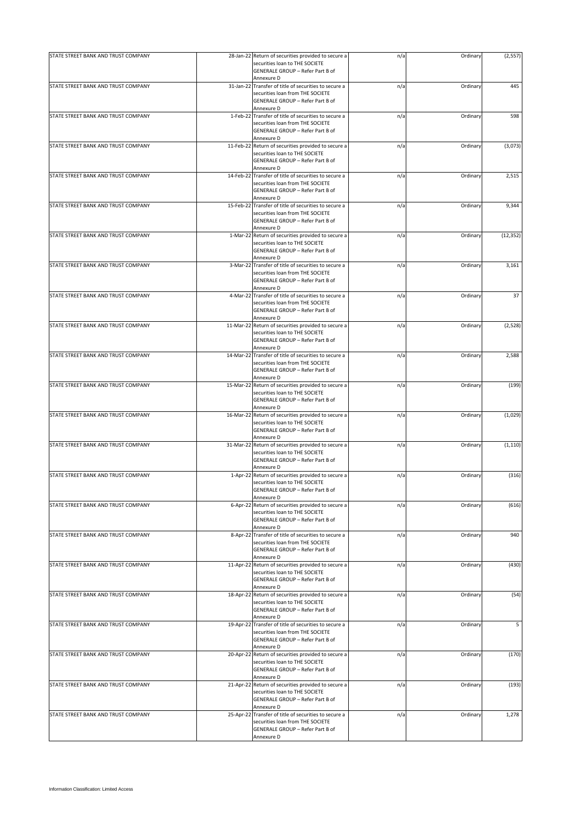| STATE STREET BANK AND TRUST COMPANY | 28-Jan-22 Return of securities provided to secure a<br>securities loan to THE SOCIETE                                         | n/a | Ordinary | (2, 557)  |
|-------------------------------------|-------------------------------------------------------------------------------------------------------------------------------|-----|----------|-----------|
|                                     | GENERALE GROUP - Refer Part B of                                                                                              |     |          |           |
| STATE STREET BANK AND TRUST COMPANY | Annexure D<br>31-Jan-22 Transfer of title of securities to secure a<br>securities loan from THE SOCIETE                       | n/a | Ordinary | 445       |
|                                     | GENERALE GROUP - Refer Part B of<br>Annexure D                                                                                |     |          |           |
| STATE STREET BANK AND TRUST COMPANY | 1-Feb-22 Transfer of title of securities to secure a                                                                          | n/a | Ordinary | 598       |
|                                     | securities loan from THE SOCIETE<br>GENERALE GROUP - Refer Part B of                                                          |     |          |           |
|                                     | Annexure D                                                                                                                    |     |          |           |
| STATE STREET BANK AND TRUST COMPANY | 11-Feb-22 Return of securities provided to secure a                                                                           | n/a | Ordinary | (3,073)   |
|                                     | securities loan to THE SOCIETE<br>GENERALE GROUP - Refer Part B of                                                            |     |          |           |
|                                     | Annexure D                                                                                                                    |     |          |           |
| STATE STREET BANK AND TRUST COMPANY | 14-Feb-22 Transfer of title of securities to secure a<br>securities loan from THE SOCIETE<br>GENERALE GROUP - Refer Part B of | n/a | Ordinary | 2,515     |
|                                     | Annexure D                                                                                                                    |     |          |           |
| STATE STREET BANK AND TRUST COMPANY | 15-Feb-22 Transfer of title of securities to secure a                                                                         | n/a | Ordinary | 9,344     |
|                                     | securities loan from THE SOCIETE<br>GENERALE GROUP - Refer Part B of<br>Annexure D                                            |     |          |           |
| STATE STREET BANK AND TRUST COMPANY | 1-Mar-22 Return of securities provided to secure a                                                                            | n/a | Ordinary | (12, 352) |
|                                     | securities loan to THE SOCIETE<br>GENERALE GROUP - Refer Part B of<br>Annexure D                                              |     |          |           |
|                                     |                                                                                                                               |     |          |           |
| STATE STREET BANK AND TRUST COMPANY | 3-Mar-22 Transfer of title of securities to secure a<br>securities loan from THE SOCIETE<br>GENERALE GROUP - Refer Part B of  | n/a | Ordinary | 3,161     |
|                                     | Annexure D                                                                                                                    |     |          |           |
| STATE STREET BANK AND TRUST COMPANY | 4-Mar-22 Transfer of title of securities to secure a<br>securities loan from THE SOCIETE<br>GENERALE GROUP - Refer Part B of  | n/a | Ordinary | 37        |
|                                     | Annexure D                                                                                                                    |     |          |           |
| STATE STREET BANK AND TRUST COMPANY | 11-Mar-22 Return of securities provided to secure a<br>securities loan to THE SOCIETE<br>GENERALE GROUP - Refer Part B of     | n/a | Ordinary | (2,528)   |
|                                     | Annexure D                                                                                                                    |     |          |           |
| STATE STREET BANK AND TRUST COMPANY | 14-Mar-22 Transfer of title of securities to secure a<br>securities loan from THE SOCIETE<br>GENERALE GROUP - Refer Part B of | n/a | Ordinary | 2,588     |
|                                     | Annexure D                                                                                                                    |     |          |           |
| STATE STREET BANK AND TRUST COMPANY | 15-Mar-22 Return of securities provided to secure a                                                                           | n/a | Ordinary | (199)     |
|                                     | securities loan to THE SOCIETE<br>GENERALE GROUP - Refer Part B of                                                            |     |          |           |
|                                     | Annexure D                                                                                                                    |     |          |           |
| STATE STREET BANK AND TRUST COMPANY | 16-Mar-22 Return of securities provided to secure a<br>securities loan to THE SOCIETE<br>GENERALE GROUP - Refer Part B of     | n/a | Ordinary | (1,029)   |
|                                     | Annexure D                                                                                                                    |     |          |           |
| STATE STREET BANK AND TRUST COMPANY | 31-Mar-22 Return of securities provided to secure a<br>securities loan to THE SOCIETE                                         | n/a | Ordinary | (1, 110)  |
|                                     |                                                                                                                               |     |          |           |
|                                     | GENERALE GROUP - Refer Part B of                                                                                              |     |          |           |
|                                     | Annexure D                                                                                                                    |     |          |           |
| STATE STREET BANK AND TRUST COMPANY | 1-Apr-22 Return of securities provided to secure a                                                                            | n/a | Ordinary | (316)     |
|                                     | securities loan to THE SOCIETE                                                                                                |     |          |           |
|                                     | GENERALE GROUP - Refer Part B of                                                                                              |     |          |           |
|                                     | Annexure D                                                                                                                    |     |          |           |
| STATE STREET BANK AND TRUST COMPANY | 6-Apr-22 Return of securities provided to secure a                                                                            | n/a | Ordinary | (616)     |
|                                     | securities loan to THE SOCIETE                                                                                                |     |          |           |
|                                     | GENERALE GROUP - Refer Part B of<br>Annexure D                                                                                |     |          |           |
| STATE STREET BANK AND TRUST COMPANY | 8-Apr-22 Transfer of title of securities to secure a                                                                          | n/a | Ordinary | 940       |
|                                     | securities loan from THE SOCIETE                                                                                              |     |          |           |
|                                     | GENERALE GROUP - Refer Part B of<br>Annexure D                                                                                |     |          |           |
| STATE STREET BANK AND TRUST COMPANY | 11-Apr-22 Return of securities provided to secure a                                                                           | n/a | Ordinary | (430)     |
|                                     | securities loan to THE SOCIETE                                                                                                |     |          |           |
|                                     | GENERALE GROUP - Refer Part B of                                                                                              |     |          |           |
|                                     | Annexure D                                                                                                                    |     |          |           |
| STATE STREET BANK AND TRUST COMPANY | 18-Apr-22 Return of securities provided to secure a                                                                           | n/a | Ordinary | (54)      |
|                                     | securities loan to THE SOCIETE                                                                                                |     |          |           |
|                                     | GENERALE GROUP - Refer Part B of<br>Annexure D                                                                                |     |          |           |
| STATE STREET BANK AND TRUST COMPANY | 19-Apr-22 Transfer of title of securities to secure a                                                                         |     | Ordinary | 5         |
|                                     | securities loan from THE SOCIETE                                                                                              | n/a |          |           |
|                                     | GENERALE GROUP - Refer Part B of                                                                                              |     |          |           |
|                                     | Annexure D                                                                                                                    |     |          |           |
| STATE STREET BANK AND TRUST COMPANY | 20-Apr-22 Return of securities provided to secure a                                                                           | n/a | Ordinary | (170)     |
|                                     | securities loan to THE SOCIETE<br>GENERALE GROUP - Refer Part B of                                                            |     |          |           |
|                                     | Annexure D                                                                                                                    |     |          |           |
| STATE STREET BANK AND TRUST COMPANY | 21-Apr-22 Return of securities provided to secure a                                                                           | n/a | Ordinary | (193)     |
|                                     | securities loan to THE SOCIETE                                                                                                |     |          |           |
|                                     | GENERALE GROUP - Refer Part B of                                                                                              |     |          |           |
|                                     | Annexure D                                                                                                                    |     |          |           |
| STATE STREET BANK AND TRUST COMPANY | 25-Apr-22 Transfer of title of securities to secure a                                                                         | n/a | Ordinary | 1,278     |
|                                     | securities loan from THE SOCIETE                                                                                              |     |          |           |
|                                     | GENERALE GROUP - Refer Part B of                                                                                              |     |          |           |
|                                     | Annexure D                                                                                                                    |     |          |           |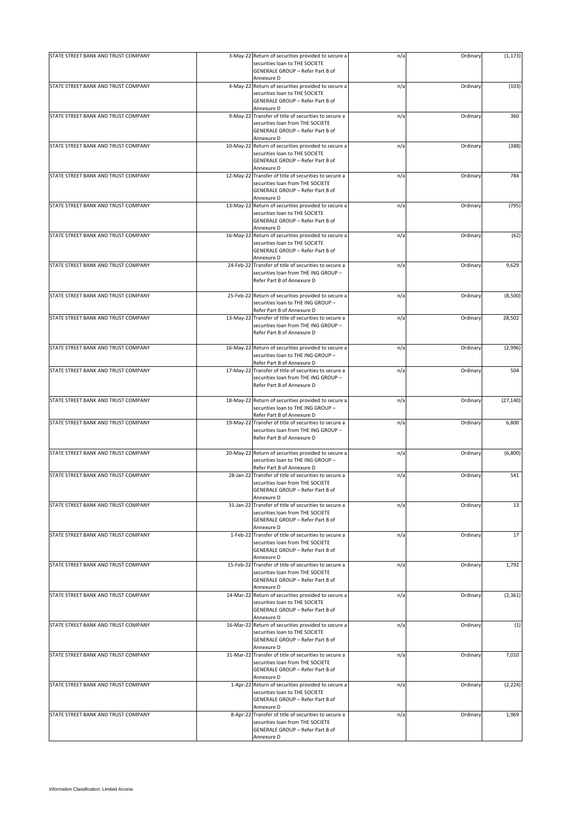| STATE STREET BANK AND TRUST COMPANY | 3-May-22 Return of securities provided to secure a<br>securities loan to THE SOCIETE<br>GENERALE GROUP - Refer Part B of                    | n/a | Ordinary | (1, 173)  |
|-------------------------------------|---------------------------------------------------------------------------------------------------------------------------------------------|-----|----------|-----------|
|                                     | Annexure D                                                                                                                                  |     |          |           |
| STATE STREET BANK AND TRUST COMPANY | 4-May-22 Return of securities provided to secure a<br>securities loan to THE SOCIETE<br>GENERALE GROUP - Refer Part B of                    | n/a | Ordinary | (103)     |
|                                     | Annexure D                                                                                                                                  |     |          |           |
| STATE STREET BANK AND TRUST COMPANY | 9-May-22 Transfer of title of securities to secure a<br>securities loan from THE SOCIETE<br>GENERALE GROUP - Refer Part B of<br>Annexure D  | n/a | Ordinary | 360       |
| STATE STREET BANK AND TRUST COMPANY | 10-May-22 Return of securities provided to secure a                                                                                         | n/a | Ordinary | (388)     |
|                                     | securities loan to THE SOCIETE<br>GENERALE GROUP - Refer Part B of<br>Annexure D                                                            |     |          |           |
| STATE STREET BANK AND TRUST COMPANY | 12-May-22 Transfer of title of securities to secure a<br>securities loan from THE SOCIETE<br>GENERALE GROUP - Refer Part B of<br>Annexure D | n/a | Ordinary | 784       |
| STATE STREET BANK AND TRUST COMPANY | 13-May-22 Return of securities provided to secure a<br>securities loan to THE SOCIETE<br>GENERALE GROUP - Refer Part B of<br>Annexure D     | n/a | Ordinary | (795)     |
| STATE STREET BANK AND TRUST COMPANY |                                                                                                                                             |     | Ordinary | (62)      |
|                                     | 16-May-22 Return of securities provided to secure a<br>securities loan to THE SOCIETE<br>GENERALE GROUP - Refer Part B of<br>Annexure D     | n/a |          |           |
| STATE STREET BANK AND TRUST COMPANY | 24-Feb-22 Transfer of title of securities to secure a<br>securities loan from THE ING GROUP -<br>Refer Part B of Annexure D                 | n/a | Ordinary | 9,629     |
| STATE STREET BANK AND TRUST COMPANY | 25-Feb-22 Return of securities provided to secure a<br>securities loan to THE ING GROUP -<br>Refer Part B of Annexure D                     | n/a | Ordinary | (8,500)   |
| STATE STREET BANK AND TRUST COMPANY | 13-May-22 Transfer of title of securities to secure a                                                                                       | n/a | Ordinary | 28,502    |
|                                     | securities loan from THE ING GROUP -<br>Refer Part B of Annexure D                                                                          |     |          |           |
| STATE STREET BANK AND TRUST COMPANY | 16-May-22 Return of securities provided to secure a<br>securities loan to THE ING GROUP -<br>Refer Part B of Annexure D                     | n/a | Ordinary | (2,996)   |
| STATE STREET BANK AND TRUST COMPANY | 17-May-22 Transfer of title of securities to secure a<br>securities loan from THE ING GROUP -<br>Refer Part B of Annexure D                 | n/a | Ordinary | 504       |
| STATE STREET BANK AND TRUST COMPANY | 18-May-22 Return of securities provided to secure a<br>securities loan to THE ING GROUP -<br>Refer Part B of Annexure D                     | n/a | Ordinary | (27, 140) |
| STATE STREET BANK AND TRUST COMPANY | 19-May-22 Transfer of title of securities to secure a<br>securities loan from THE ING GROUP -<br>Refer Part B of Annexure D                 | n/a | Ordinary | 6,800     |
| STATE STREET BANK AND TRUST COMPANY | 20-May-22 Return of securities provided to secure a<br>securities loan to THE ING GROUP -<br>Refer Part B of Annexure D                     | n/a | Ordinary | (6,800)   |
| STATE STREET BANK AND TRUST COMPANY | 28-Jan-22 Transfer of title of securities to secure a<br>securities loan from THE SOCIETE<br>GENERALE GROUP - Refer Part B of<br>Annexure D | n/a | Ordinary | 541       |
| STATE STREET BANK AND TRUST COMPANY | 31-Jan-22 Transfer of title of securities to secure a<br>securities loan from THE SOCIETE<br>GENERALE GROUP - Refer Part B of               | n/a | Ordinary | 13        |
|                                     | Annexure D                                                                                                                                  |     |          |           |
| STATE STREET BANK AND TRUST COMPANY | 1-Feb-22 Transfer of title of securities to secure a<br>securities loan from THE SOCIETE<br>GENERALE GROUP - Refer Part B of<br>Annexure D  | n/a | Ordinary | 17        |
| STATE STREET BANK AND TRUST COMPANY | 15-Feb-22 Transfer of title of securities to secure a<br>securities loan from THE SOCIETE<br>GENERALE GROUP - Refer Part B of<br>Annexure D | n/a | Ordinary | 1,792     |
| STATE STREET BANK AND TRUST COMPANY | 14-Mar-22 Return of securities provided to secure a                                                                                         | n/a | Ordinary | (2, 361)  |
|                                     | securities loan to THE SOCIETE<br>GENERALE GROUP - Refer Part B of<br>Annexure D                                                            |     |          |           |
| STATE STREET BANK AND TRUST COMPANY | 16-Mar-22 Return of securities provided to secure a<br>securities loan to THE SOCIETE<br>GENERALE GROUP - Refer Part B of<br>Annexure D     | n/a | Ordinary | (1)       |
| STATE STREET BANK AND TRUST COMPANY | 31-Mar-22 Transfer of title of securities to secure a<br>securities loan from THE SOCIETE<br>GENERALE GROUP - Refer Part B of<br>Annexure D | n/a | Ordinary | 7,010     |
| STATE STREET BANK AND TRUST COMPANY | 1-Apr-22 Return of securities provided to secure a<br>securities loan to THE SOCIETE<br>GENERALE GROUP - Refer Part B of<br>Annexure D      | n/a | Ordinary | (2, 224)  |
| STATE STREET BANK AND TRUST COMPANY | 8-Apr-22 Transfer of title of securities to secure a<br>securities loan from THE SOCIETE<br>GENERALE GROUP - Refer Part B of<br>Annexure D  | n/a | Ordinary | 1,969     |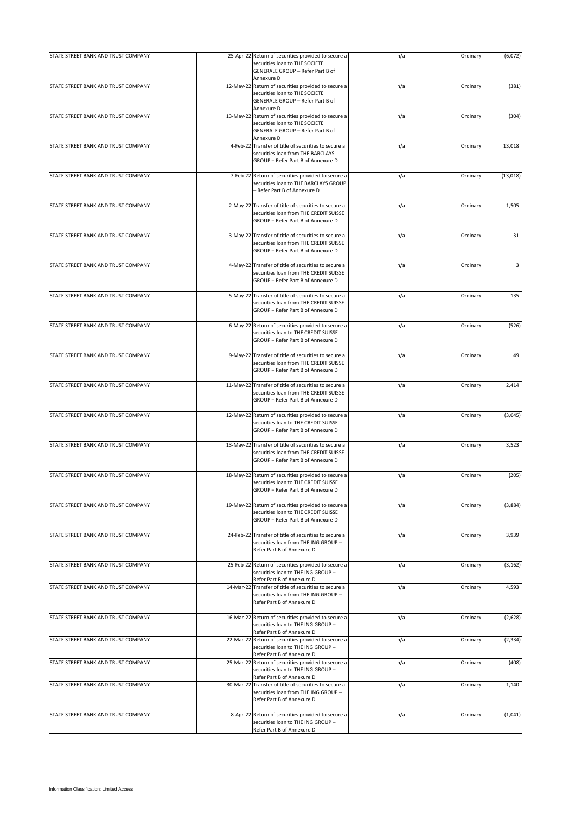| STATE STREET BANK AND TRUST COMPANY |           | 25-Apr-22 Return of securities provided to secure a<br>securities loan to THE SOCIETE                                                   | n/a | Ordinary | (6,072)   |
|-------------------------------------|-----------|-----------------------------------------------------------------------------------------------------------------------------------------|-----|----------|-----------|
| STATE STREET BANK AND TRUST COMPANY |           | GENERALE GROUP - Refer Part B of<br>Annexure D                                                                                          |     |          |           |
|                                     | 12-May-22 | Return of securities provided to secure a<br>securities loan to THE SOCIETE<br>GENERALE GROUP - Refer Part B of<br>Annexure D           | n/a | Ordinary | (381)     |
| STATE STREET BANK AND TRUST COMPANY |           | 13-May-22 Return of securities provided to secure a<br>securities loan to THE SOCIETE<br>GENERALE GROUP - Refer Part B of<br>Annexure D | n/a | Ordinary | (304)     |
| STATE STREET BANK AND TRUST COMPANY |           | 4-Feb-22 Transfer of title of securities to secure a<br>securities loan from THE BARCLAYS<br>GROUP - Refer Part B of Annexure D         | n/a | Ordinary | 13,018    |
| STATE STREET BANK AND TRUST COMPANY |           | 7-Feb-22 Return of securities provided to secure a<br>securities loan to THE BARCLAYS GROUP<br>- Refer Part B of Annexure D             | n/a | Ordinary | (13, 018) |
| STATE STREET BANK AND TRUST COMPANY |           | 2-May-22 Transfer of title of securities to secure a<br>securities loan from THE CREDIT SUISSE<br>GROUP - Refer Part B of Annexure D    | n/a | Ordinary | 1,505     |
| STATE STREET BANK AND TRUST COMPANY |           | 3-May-22 Transfer of title of securities to secure a<br>securities loan from THE CREDIT SUISSE<br>GROUP - Refer Part B of Annexure D    | n/a | Ordinary | 31        |
| STATE STREET BANK AND TRUST COMPANY |           | 4-May-22 Transfer of title of securities to secure a<br>securities loan from THE CREDIT SUISSE<br>GROUP - Refer Part B of Annexure D    | n/a | Ordinary | 3         |
| STATE STREET BANK AND TRUST COMPANY | 5-May-22  | Transfer of title of securities to secure a<br>securities loan from THE CREDIT SUISSE<br>GROUP - Refer Part B of Annexure D             | n/a | Ordinary | 135       |
| STATE STREET BANK AND TRUST COMPANY |           | 6-May-22 Return of securities provided to secure a<br>securities loan to THE CREDIT SUISSE<br>GROUP - Refer Part B of Annexure D        | n/a | Ordinary | (526)     |
| STATE STREET BANK AND TRUST COMPANY |           | 9-May-22 Transfer of title of securities to secure a<br>securities loan from THE CREDIT SUISSE<br>GROUP - Refer Part B of Annexure D    | n/a | Ordinary | 49        |
| STATE STREET BANK AND TRUST COMPANY |           | 11-May-22 Transfer of title of securities to secure a<br>securities loan from THE CREDIT SUISSE<br>GROUP - Refer Part B of Annexure D   | n/a | Ordinary | 2,414     |
| STATE STREET BANK AND TRUST COMPANY |           | 12-May-22 Return of securities provided to secure a<br>securities loan to THE CREDIT SUISSE<br>GROUP - Refer Part B of Annexure D       | n/a | Ordinary | (3,045)   |
| STATE STREET BANK AND TRUST COMPANY |           | 13-May-22 Transfer of title of securities to secure a<br>securities loan from THE CREDIT SUISSE<br>GROUP - Refer Part B of Annexure D   | n/a | Ordinary | 3,523     |
| STATE STREET BANK AND TRUST COMPANY |           | 18-May-22 Return of securities provided to secure a<br>securities loan to THE CREDIT SUISSE<br>GROUP - Refer Part B of Annexure D       | n/a | Ordinary | (205)     |
| STATE STREET BANK AND TRUST COMPANY |           | 19-May-22 Return of securities provided to secure a<br>securities loan to THE CREDIT SUISSE<br>GROUP - Refer Part B of Annexure D       | n/a | Ordinary | (3,884)   |
| STATE STREET BANK AND TRUST COMPANY |           | 24-Feb-22 Transfer of title of securities to secure a<br>securities loan from THE ING GROUP -<br>Refer Part B of Annexure D             | n/a | Ordinary | 3,939     |
| STATE STREET BANK AND TRUST COMPANY |           | 25-Feb-22 Return of securities provided to secure a<br>securities loan to THE ING GROUP -<br>Refer Part B of Annexure D                 | n/a | Ordinary | (3, 162)  |
| STATE STREET BANK AND TRUST COMPANY |           | 14-Mar-22 Transfer of title of securities to secure a<br>securities loan from THE ING GROUP -<br>Refer Part B of Annexure D             | n/a | Ordinary | 4,593     |
| STATE STREET BANK AND TRUST COMPANY |           | 16-Mar-22 Return of securities provided to secure a<br>securities loan to THE ING GROUP -<br>Refer Part B of Annexure D                 | n/a | Ordinary | (2,628)   |
| STATE STREET BANK AND TRUST COMPANY |           | 22-Mar-22 Return of securities provided to secure a<br>securities loan to THE ING GROUP -<br>Refer Part B of Annexure D                 | n/a | Ordinary | (2, 334)  |
| STATE STREET BANK AND TRUST COMPANY |           | 25-Mar-22 Return of securities provided to secure a<br>securities loan to THE ING GROUP -<br>Refer Part B of Annexure D                 | n/a | Ordinary | (408)     |
| STATE STREET BANK AND TRUST COMPANY |           | 30-Mar-22 Transfer of title of securities to secure a<br>securities loan from THE ING GROUP -<br>Refer Part B of Annexure D             | n/a | Ordinary | 1,140     |
| STATE STREET BANK AND TRUST COMPANY |           | 8-Apr-22 Return of securities provided to secure a<br>securities loan to THE ING GROUP -<br>Refer Part B of Annexure D                  | n/a | Ordinary | (1,041)   |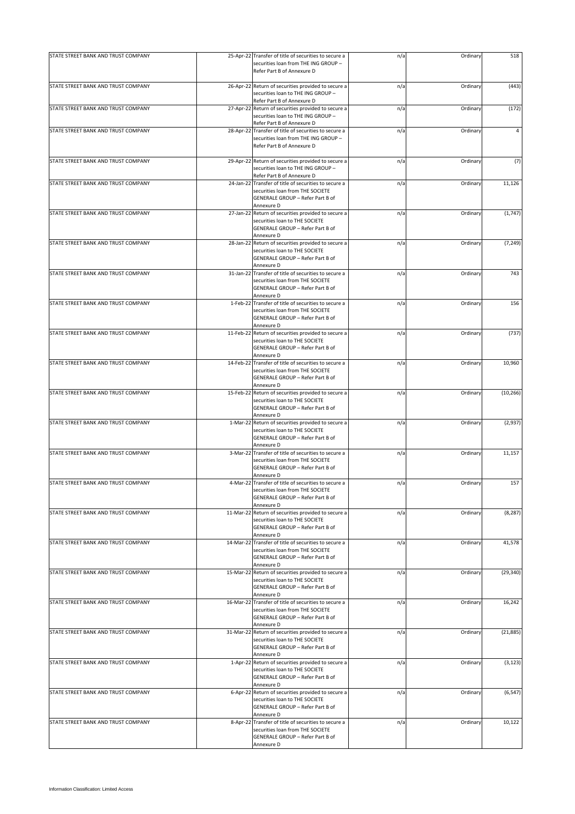| STATE STREET BANK AND TRUST COMPANY | 25-Apr-22 Transfer of title of securities to secure a<br>securities loan from THE ING GROUP -                                                            | n/a | Ordinary | 518       |
|-------------------------------------|----------------------------------------------------------------------------------------------------------------------------------------------------------|-----|----------|-----------|
|                                     | Refer Part B of Annexure D                                                                                                                               |     |          |           |
| STATE STREET BANK AND TRUST COMPANY | 26-Apr-22 Return of securities provided to secure a<br>securities loan to THE ING GROUP -<br>Refer Part B of Annexure D                                  | n/a | Ordinary | (443)     |
| STATE STREET BANK AND TRUST COMPANY | 27-Apr-22 Return of securities provided to secure a<br>securities loan to THE ING GROUP -<br>Refer Part B of Annexure D                                  | n/a | Ordinary | (172)     |
| STATE STREET BANK AND TRUST COMPANY | 28-Apr-22 Transfer of title of securities to secure a<br>securities loan from THE ING GROUP -<br>Refer Part B of Annexure D                              | n/a | Ordinary |           |
| STATE STREET BANK AND TRUST COMPANY | 29-Apr-22 Return of securities provided to secure a<br>securities loan to THE ING GROUP -<br>Refer Part B of Annexure D                                  | n/a | Ordinary | (7)       |
| STATE STREET BANK AND TRUST COMPANY | 24-Jan-22 Transfer of title of securities to secure a<br>securities loan from THE SOCIETE<br>GENERALE GROUP - Refer Part B of<br>Annexure D              | n/a | Ordinary | 11,126    |
| STATE STREET BANK AND TRUST COMPANY | 27-Jan-22 Return of securities provided to secure a<br>securities loan to THE SOCIETE<br>GENERALE GROUP - Refer Part B of<br>Annexure D                  | n/a | Ordinary | (1,747)   |
| STATE STREET BANK AND TRUST COMPANY | 28-Jan-22 Return of securities provided to secure a<br>securities loan to THE SOCIETE<br>GENERALE GROUP - Refer Part B of<br>Annexure D                  | n/a | Ordinary | (7, 249)  |
| STATE STREET BANK AND TRUST COMPANY | 31-Jan-22 Transfer of title of securities to secure a<br>securities loan from THE SOCIETE<br>GENERALE GROUP - Refer Part B of                            | n/a | Ordinary | 743       |
| STATE STREET BANK AND TRUST COMPANY | Annexure D<br>1-Feb-22 Transfer of title of securities to secure a<br>securities loan from THE SOCIETE<br>GENERALE GROUP - Refer Part B of<br>Annexure D | n/a | Ordinary | 156       |
| STATE STREET BANK AND TRUST COMPANY | 11-Feb-22 Return of securities provided to secure a<br>securities loan to THE SOCIETE<br>GENERALE GROUP - Refer Part B of<br>Annexure D                  | n/a | Ordinary | (737)     |
| STATE STREET BANK AND TRUST COMPANY | 14-Feb-22 Transfer of title of securities to secure a<br>securities loan from THE SOCIETE<br>GENERALE GROUP - Refer Part B of<br>Annexure D              | n/a | Ordinary | 10,960    |
| STATE STREET BANK AND TRUST COMPANY | 15-Feb-22 Return of securities provided to secure a<br>securities loan to THE SOCIETE<br>GENERALE GROUP - Refer Part B of<br>Annexure D                  | n/a | Ordinary | (10, 266) |
| STATE STREET BANK AND TRUST COMPANY | 1-Mar-22 Return of securities provided to secure a<br>securities loan to THE SOCIETE<br>GENERALE GROUP - Refer Part B of<br>Annexure D                   | n/a | Ordinary | (2,937)   |
| STATE STREET BANK AND TRUST COMPANY | 3-Mar-22 Transfer of title of securities to secure a<br>securities loan from THE SOCIETE<br>GENERALE GROUP - Refer Part B of<br>Annexure D               | n/a | Ordinary | 11,157    |
| STATE STREET BANK AND TRUST COMPANY | 4-Mar-22 Transfer of title of securities to secure a<br>securities loan from THE SOCIETE<br>GENERALE GROUP - Refer Part B of<br>Annexure D               | n/a | Ordinary | 157       |
| STATE STREET BANK AND TRUST COMPANY | 11-Mar-22 Return of securities provided to secure a<br>securities loan to THE SOCIETE<br>GENERALE GROUP - Refer Part B of<br>Annexure D                  | n/a | Ordinary | (8, 287)  |
| STATE STREET BANK AND TRUST COMPANY | 14-Mar-22 Transfer of title of securities to secure a<br>securities loan from THE SOCIETE<br>GENERALE GROUP - Refer Part B of<br>Annexure D              | n/a | Ordinary | 41,578    |
| STATE STREET BANK AND TRUST COMPANY | 15-Mar-22 Return of securities provided to secure a<br>securities loan to THE SOCIETE<br>GENERALE GROUP - Refer Part B of<br>Annexure D                  | n/a | Ordinary | (29, 340) |
| STATE STREET BANK AND TRUST COMPANY | 16-Mar-22 Transfer of title of securities to secure a<br>securities loan from THE SOCIETE<br>GENERALE GROUP - Refer Part B of<br>Annexure D              | n/a | Ordinary | 16,242    |
| STATE STREET BANK AND TRUST COMPANY | 31-Mar-22 Return of securities provided to secure a<br>securities loan to THE SOCIETE<br>GENERALE GROUP - Refer Part B of<br>Annexure D                  | n/a | Ordinary | (21, 885) |
| STATE STREET BANK AND TRUST COMPANY | 1-Apr-22 Return of securities provided to secure a<br>securities loan to THE SOCIETE<br>GENERALE GROUP - Refer Part B of<br>Annexure D                   | n/a | Ordinary | (3, 123)  |
| STATE STREET BANK AND TRUST COMPANY | 6-Apr-22 Return of securities provided to secure a<br>securities loan to THE SOCIETE<br>GENERALE GROUP - Refer Part B of<br>Annexure D                   | n/a | Ordinary | (6, 547)  |
| STATE STREET BANK AND TRUST COMPANY | 8-Apr-22 Transfer of title of securities to secure a<br>securities loan from THE SOCIETE<br>GENERALE GROUP - Refer Part B of<br>Annexure D               | n/a | Ordinary | 10,122    |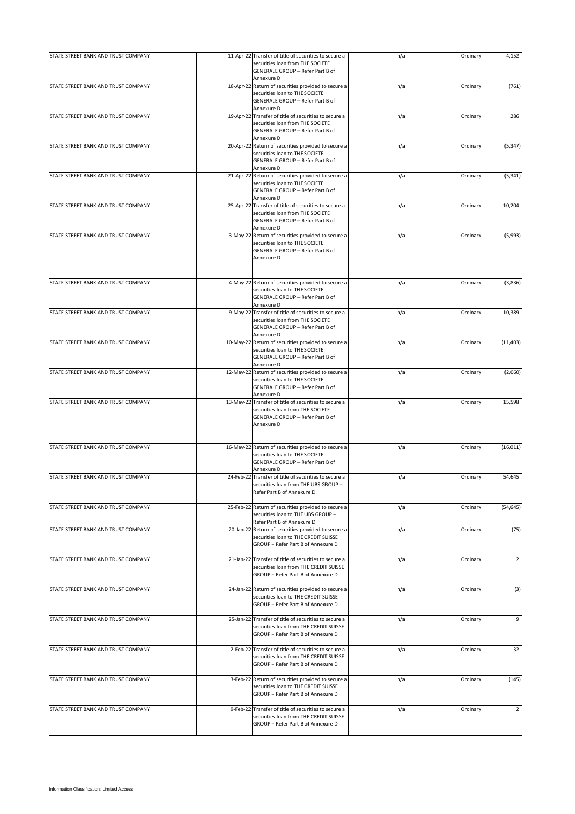| STATE STREET BANK AND TRUST COMPANY | 11-Apr-22 Transfer of title of securities to secure a                                                                                          | n/a | Ordinary | 4,152          |
|-------------------------------------|------------------------------------------------------------------------------------------------------------------------------------------------|-----|----------|----------------|
|                                     | securities loan from THE SOCIETE<br>GENERALE GROUP - Refer Part B of                                                                           |     |          |                |
|                                     | Annexure D                                                                                                                                     |     |          |                |
| STATE STREET BANK AND TRUST COMPANY | 18-Apr-22 Return of securities provided to secure a<br>securities loan to THE SOCIETE<br><b>GENERALE GROUP - Refer Part B of</b><br>Annexure D | n/a | Ordinary | (761)          |
| STATE STREET BANK AND TRUST COMPANY | 19-Apr-22 Transfer of title of securities to secure a                                                                                          | n/a | Ordinary | 286            |
|                                     | securities loan from THE SOCIETE<br>GENERALE GROUP - Refer Part B of<br>Annexure D                                                             |     |          |                |
| STATE STREET BANK AND TRUST COMPANY | 20-Apr-22 Return of securities provided to secure a                                                                                            | n/a | Ordinary | (5, 347)       |
|                                     | securities loan to THE SOCIETE<br>GENERALE GROUP - Refer Part B of<br>Annexure D                                                               |     |          |                |
| STATE STREET BANK AND TRUST COMPANY | 21-Apr-22 Return of securities provided to secure a<br>securities loan to THE SOCIETE<br>GENERALE GROUP - Refer Part B of<br>Annexure D        | n/a | Ordinary | (5, 341)       |
| STATE STREET BANK AND TRUST COMPANY | 25-Apr-22 Transfer of title of securities to secure a                                                                                          | n/a | Ordinary | 10,204         |
|                                     | securities loan from THE SOCIETE<br>GENERALE GROUP - Refer Part B of<br>Annexure D                                                             |     |          |                |
| STATE STREET BANK AND TRUST COMPANY | 3-May-22 Return of securities provided to secure a<br>securities loan to THE SOCIETE<br>GENERALE GROUP - Refer Part B of<br>Annexure D         | n/a | Ordinary | (5,993)        |
|                                     |                                                                                                                                                |     |          |                |
| STATE STREET BANK AND TRUST COMPANY | 4-May-22 Return of securities provided to secure a<br>securities loan to THE SOCIETE<br>GENERALE GROUP - Refer Part B of                       | n/a | Ordinary | (3,836)        |
|                                     | Annexure D                                                                                                                                     |     |          |                |
| STATE STREET BANK AND TRUST COMPANY | 9-May-22 Transfer of title of securities to secure a<br>securities loan from THE SOCIETE<br>GENERALE GROUP - Refer Part B of                   | n/a | Ordinary | 10,389         |
|                                     | Annexure D                                                                                                                                     |     |          |                |
| STATE STREET BANK AND TRUST COMPANY | 10-May-22 Return of securities provided to secure a<br>securities loan to THE SOCIETE<br>GENERALE GROUP - Refer Part B of                      | n/a | Ordinary | (11, 403)      |
|                                     | Annexure D                                                                                                                                     |     |          |                |
| STATE STREET BANK AND TRUST COMPANY | 12-May-22 Return of securities provided to secure a<br>securities loan to THE SOCIETE<br>GENERALE GROUP - Refer Part B of<br>Annexure D        | n/a | Ordinary | (2,060)        |
| STATE STREET BANK AND TRUST COMPANY | 13-May-22 Transfer of title of securities to secure a                                                                                          | n/a | Ordinary | 15,598         |
|                                     | securities loan from THE SOCIETE<br>GENERALE GROUP - Refer Part B of<br>Annexure D                                                             |     |          |                |
|                                     |                                                                                                                                                |     |          |                |
| STATE STREET BANK AND TRUST COMPANY | 16-May-22 Return of securities provided to secure a<br>securities loan to THE SOCIETE<br>GENERALE GROUP - Refer Part B of<br>Annexure D        | n/a | Ordinary | (16, 011)      |
| STATE STREET BANK AND TRUST COMPANY | 24-Feb-22 Transfer of title of securities to secure a<br>securities loan from THE UBS GROUP -<br>Refer Part B of Annexure D                    | n/a | Ordinary | 54,645         |
| STATE STREET BANK AND TRUST COMPANY | 25-Feb-22 Return of securities provided to secure a<br>securities loan to THE UBS GROUP -<br>Refer Part B of Annexure D                        | n/a | Ordinary | (54, 645)      |
| STATE STREET BANK AND TRUST COMPANY | 20-Jan-22 Return of securities provided to secure a                                                                                            | n/a | Ordinary | (75)           |
|                                     | securities loan to THE CREDIT SUISSE<br>GROUP - Refer Part B of Annexure D                                                                     |     |          |                |
| STATE STREET BANK AND TRUST COMPANY | 21-Jan-22 Transfer of title of securities to secure a<br>securities loan from THE CREDIT SUISSE<br>GROUP - Refer Part B of Annexure D          | n/a | Ordinary | $\overline{2}$ |
|                                     |                                                                                                                                                |     |          |                |
| STATE STREET BANK AND TRUST COMPANY | 24-Jan-22 Return of securities provided to secure a<br>securities loan to THE CREDIT SUISSE<br>GROUP - Refer Part B of Annexure D              | n/a | Ordinary | (3)            |
| STATE STREET BANK AND TRUST COMPANY |                                                                                                                                                |     |          | 9              |
|                                     | 25-Jan-22 Transfer of title of securities to secure a<br>securities loan from THE CREDIT SUISSE<br>GROUP - Refer Part B of Annexure D          | n/a | Ordinary |                |
| STATE STREET BANK AND TRUST COMPANY | 2-Feb-22 Transfer of title of securities to secure a<br>securities loan from THE CREDIT SUISSE<br>GROUP - Refer Part B of Annexure D           | n/a | Ordinary | 32             |
| STATE STREET BANK AND TRUST COMPANY | 3-Feb-22 Return of securities provided to secure a<br>securities loan to THE CREDIT SUISSE<br>GROUP - Refer Part B of Annexure D               | n/a | Ordinary | (145)          |
| STATE STREET BANK AND TRUST COMPANY | 9-Feb-22 Transfer of title of securities to secure a<br>securities loan from THE CREDIT SUISSE<br>GROUP - Refer Part B of Annexure D           | n/a | Ordinary | 2              |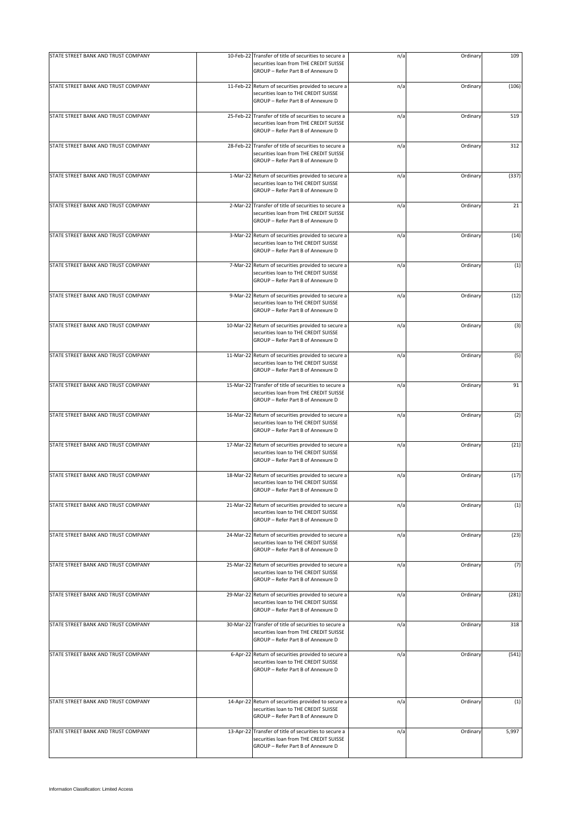| STATE STREET BANK AND TRUST COMPANY | 10-Feb-22 Transfer of title of securities to secure a<br>securities loan from THE CREDIT SUISSE<br>GROUP - Refer Part B of Annexure D | n/a | Ordinary | 109   |
|-------------------------------------|---------------------------------------------------------------------------------------------------------------------------------------|-----|----------|-------|
| STATE STREET BANK AND TRUST COMPANY | 11-Feb-22 Return of securities provided to secure a<br>securities loan to THE CREDIT SUISSE<br>GROUP - Refer Part B of Annexure D     | n/a | Ordinary | (106) |
| STATE STREET BANK AND TRUST COMPANY | 25-Feb-22 Transfer of title of securities to secure a<br>securities loan from THE CREDIT SUISSE<br>GROUP - Refer Part B of Annexure D | n/a | Ordinary | 519   |
| STATE STREET BANK AND TRUST COMPANY | 28-Feb-22 Transfer of title of securities to secure a<br>securities loan from THE CREDIT SUISSE<br>GROUP - Refer Part B of Annexure D | n/a | Ordinary | 312   |
| STATE STREET BANK AND TRUST COMPANY | 1-Mar-22 Return of securities provided to secure a<br>securities loan to THE CREDIT SUISSE<br>GROUP - Refer Part B of Annexure D      | n/a | Ordinary | (337) |
| STATE STREET BANK AND TRUST COMPANY | 2-Mar-22 Transfer of title of securities to secure a<br>securities loan from THE CREDIT SUISSE<br>GROUP - Refer Part B of Annexure D  | n/a | Ordinary | 21    |
| STATE STREET BANK AND TRUST COMPANY | 3-Mar-22 Return of securities provided to secure a<br>securities loan to THE CREDIT SUISSE<br>GROUP - Refer Part B of Annexure D      | n/a | Ordinary | (14)  |
| STATE STREET BANK AND TRUST COMPANY | 7-Mar-22 Return of securities provided to secure a<br>securities loan to THE CREDIT SUISSE<br>GROUP - Refer Part B of Annexure D      | n/a | Ordinary | (1)   |
| STATE STREET BANK AND TRUST COMPANY | 9-Mar-22 Return of securities provided to secure a<br>securities loan to THE CREDIT SUISSE<br>GROUP - Refer Part B of Annexure D      | n/a | Ordinary | (12)  |
| STATE STREET BANK AND TRUST COMPANY | 10-Mar-22 Return of securities provided to secure a<br>securities loan to THE CREDIT SUISSE<br>GROUP - Refer Part B of Annexure D     | n/a | Ordinary | (3)   |
| STATE STREET BANK AND TRUST COMPANY | 11-Mar-22 Return of securities provided to secure a<br>securities loan to THE CREDIT SUISSE<br>GROUP - Refer Part B of Annexure D     | n/a | Ordinary | (5)   |
| STATE STREET BANK AND TRUST COMPANY | 15-Mar-22 Transfer of title of securities to secure a<br>securities loan from THE CREDIT SUISSE<br>GROUP - Refer Part B of Annexure D | n/a | Ordinary | 91    |
| STATE STREET BANK AND TRUST COMPANY | 16-Mar-22 Return of securities provided to secure a<br>securities loan to THE CREDIT SUISSE<br>GROUP - Refer Part B of Annexure D     | n/a | Ordinary | (2)   |
| STATE STREET BANK AND TRUST COMPANY | 17-Mar-22 Return of securities provided to secure a<br>securities loan to THE CREDIT SUISSE<br>GROUP - Refer Part B of Annexure D     | n/a | Ordinary | (21)  |
| STATE STREET BANK AND TRUST COMPANY | 18-Mar-22 Return of securities provided to secure a<br>securities loan to THE CREDIT SUISSE<br>GROUP - Refer Part B of Annexure D     | n/a | Ordinary | (17)  |
| STATE STREET BANK AND TRUST COMPANY | 21-Mar-22 Return of securities provided to secure a<br>securities loan to THE CREDIT SUISSE<br>GROUP - Refer Part B of Annexure D     | n/a | Ordinary | (1)   |
| STATE STREET BANK AND TRUST COMPANY | 24-Mar-22 Return of securities provided to secure a<br>securities loan to THE CREDIT SUISSE<br>GROUP - Refer Part B of Annexure D     | n/a | Ordinary | (23)  |
| STATE STREET BANK AND TRUST COMPANY | 25-Mar-22 Return of securities provided to secure a<br>securities loan to THE CREDIT SUISSE<br>GROUP - Refer Part B of Annexure D     | n/a | Ordinary | (7)   |
| STATE STREET BANK AND TRUST COMPANY | 29-Mar-22 Return of securities provided to secure a<br>securities loan to THE CREDIT SUISSE<br>GROUP - Refer Part B of Annexure D     | n/a | Ordinary | (281) |
| STATE STREET BANK AND TRUST COMPANY | 30-Mar-22 Transfer of title of securities to secure a<br>securities loan from THE CREDIT SUISSE<br>GROUP - Refer Part B of Annexure D | n/a | Ordinary | 318   |
| STATE STREET BANK AND TRUST COMPANY | 6-Apr-22 Return of securities provided to secure a<br>securities loan to THE CREDIT SUISSE<br>GROUP - Refer Part B of Annexure D      | n/a | Ordinary | (541) |
| STATE STREET BANK AND TRUST COMPANY | 14-Apr-22 Return of securities provided to secure a<br>securities loan to THE CREDIT SUISSE<br>GROUP - Refer Part B of Annexure D     | n/a | Ordinary | (1)   |
| STATE STREET BANK AND TRUST COMPANY | 13-Apr-22 Transfer of title of securities to secure a<br>securities loan from THE CREDIT SUISSE<br>GROUP - Refer Part B of Annexure D | n/a | Ordinary | 5,997 |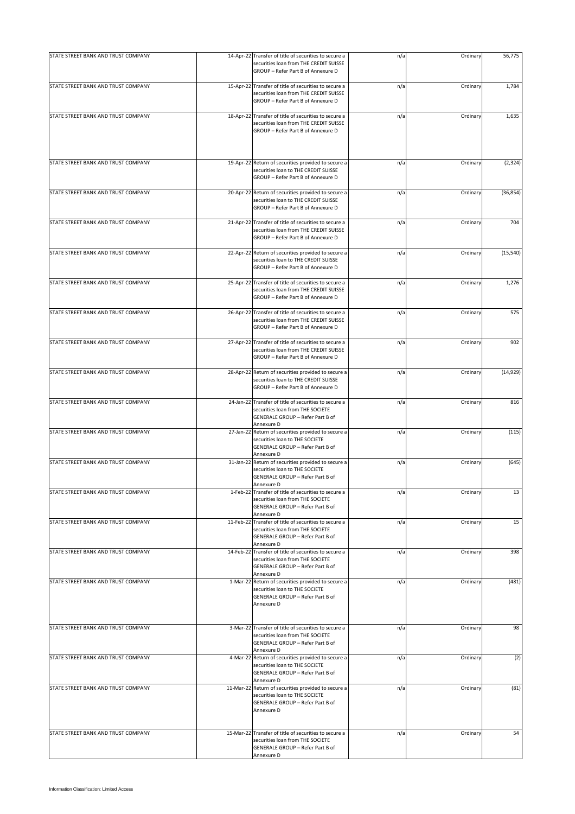| STATE STREET BANK AND TRUST COMPANY | 14-Apr-22 Transfer of title of securities to secure a                                                                                       | n/a | Ordinary | 56,775    |
|-------------------------------------|---------------------------------------------------------------------------------------------------------------------------------------------|-----|----------|-----------|
|                                     | securities loan from THE CREDIT SUISSE<br>GROUP - Refer Part B of Annexure D                                                                |     |          |           |
| STATE STREET BANK AND TRUST COMPANY | 15-Apr-22 Transfer of title of securities to secure a<br>securities loan from THE CREDIT SUISSE<br>GROUP - Refer Part B of Annexure D       | n/a | Ordinary | 1,784     |
| STATE STREET BANK AND TRUST COMPANY | 18-Apr-22 Transfer of title of securities to secure a<br>securities loan from THE CREDIT SUISSE<br>GROUP - Refer Part B of Annexure D       | n/a | Ordinary | 1,635     |
| STATE STREET BANK AND TRUST COMPANY | 19-Apr-22 Return of securities provided to secure a<br>securities loan to THE CREDIT SUISSE<br>GROUP - Refer Part B of Annexure D           | n/a | Ordinary | (2, 324)  |
| STATE STREET BANK AND TRUST COMPANY | 20-Apr-22 Return of securities provided to secure a<br>securities loan to THE CREDIT SUISSE<br>GROUP - Refer Part B of Annexure D           | n/a | Ordinary | (36, 854) |
| STATE STREET BANK AND TRUST COMPANY | 21-Apr-22 Transfer of title of securities to secure a<br>securities loan from THE CREDIT SUISSE<br>GROUP - Refer Part B of Annexure D       | n/a | Ordinary | 704       |
| STATE STREET BANK AND TRUST COMPANY | 22-Apr-22 Return of securities provided to secure a<br>securities loan to THE CREDIT SUISSE<br>GROUP - Refer Part B of Annexure D           | n/a | Ordinary | (15, 540) |
| STATE STREET BANK AND TRUST COMPANY | 25-Apr-22 Transfer of title of securities to secure a<br>securities loan from THE CREDIT SUISSE<br>GROUP - Refer Part B of Annexure D       | n/a | Ordinary | 1,276     |
| STATE STREET BANK AND TRUST COMPANY | 26-Apr-22 Transfer of title of securities to secure a<br>securities loan from THE CREDIT SUISSE<br>GROUP - Refer Part B of Annexure D       | n/a | Ordinary | 575       |
| STATE STREET BANK AND TRUST COMPANY | 27-Apr-22 Transfer of title of securities to secure a<br>securities loan from THE CREDIT SUISSE<br>GROUP - Refer Part B of Annexure D       | n/a | Ordinary | 902       |
| STATE STREET BANK AND TRUST COMPANY | 28-Apr-22 Return of securities provided to secure a<br>securities loan to THE CREDIT SUISSE<br>GROUP - Refer Part B of Annexure D           | n/a | Ordinary | (14, 929) |
| STATE STREET BANK AND TRUST COMPANY | 24-Jan-22 Transfer of title of securities to secure a<br>securities loan from THE SOCIETE<br>GENERALE GROUP - Refer Part B of<br>Annexure D | n/a | Ordinary | 816       |
| STATE STREET BANK AND TRUST COMPANY | 27-Jan-22 Return of securities provided to secure a<br>securities loan to THE SOCIETE<br>GENERALE GROUP - Refer Part B of<br>Annexure D     | n/a | Ordinary | (115)     |
| STATE STREET BANK AND TRUST COMPANY | 31-Jan-22 Return of securities provided to secure a<br>securities loan to THE SOCIETE<br>GENERALE GROUP - Refer Part B of<br>Annexure D     | n/a | Ordinary | (645)     |
| STATE STREET BANK AND TRUST COMPANY | 1-Feb-22 Transfer of title of securities to secure a<br>securities loan from THE SOCIETE<br>GENERALE GROUP - Refer Part B of<br>Annexure D  | n/a | Ordinary | 13        |
| STATE STREET BANK AND TRUST COMPANY | 11-Feb-22 Transfer of title of securities to secure a<br>securities loan from THE SOCIETE<br>GENERALE GROUP - Refer Part B of<br>Annexure D | n/a | Ordinary | 15        |
| STATE STREET BANK AND TRUST COMPANY | 14-Feb-22 Transfer of title of securities to secure a<br>securities loan from THE SOCIETE<br>GENERALE GROUP - Refer Part B of<br>Annexure D | n/a | Ordinary | 398       |
| STATE STREET BANK AND TRUST COMPANY | 1-Mar-22 Return of securities provided to secure a<br>securities loan to THE SOCIETE<br>GENERALE GROUP - Refer Part B of<br>Annexure D      | n/a | Ordinary | (481)     |
| STATE STREET BANK AND TRUST COMPANY | 3-Mar-22 Transfer of title of securities to secure a<br>securities loan from THE SOCIETE<br>GENERALE GROUP - Refer Part B of<br>Annexure D  | n/a | Ordinary | 98        |
| STATE STREET BANK AND TRUST COMPANY | 4-Mar-22 Return of securities provided to secure a<br>securities loan to THE SOCIETE<br>GENERALE GROUP - Refer Part B of<br>Annexure D      | n/a | Ordinary | (2)       |
| STATE STREET BANK AND TRUST COMPANY | 11-Mar-22 Return of securities provided to secure a<br>securities loan to THE SOCIETE<br>GENERALE GROUP - Refer Part B of<br>Annexure D     | n/a | Ordinary | (81)      |
| STATE STREET BANK AND TRUST COMPANY | 15-Mar-22 Transfer of title of securities to secure a<br>securities loan from THE SOCIETE<br>GENERALE GROUP - Refer Part B of<br>Annexure D | n/a | Ordinary | 54        |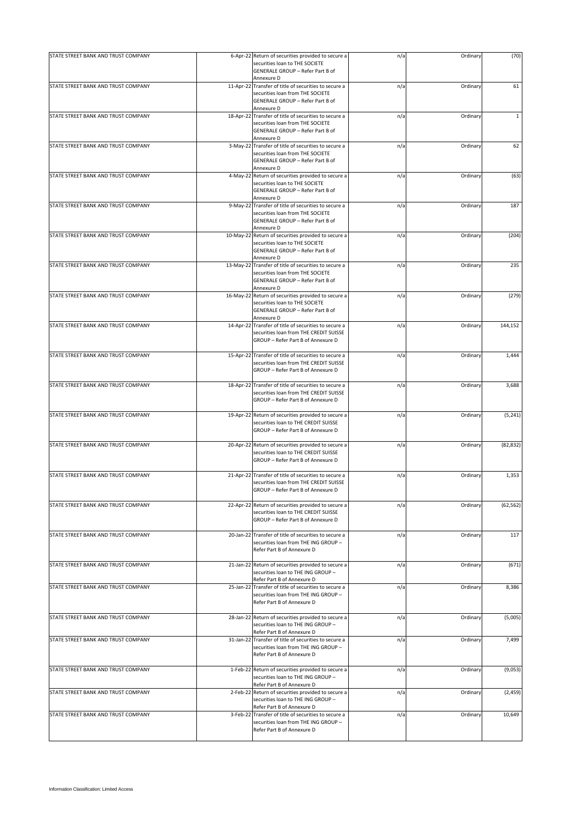| STATE STREET BANK AND TRUST COMPANY | 6-Apr-22 Return of securities provided to secure a                                                                                      | n/a | Ordinary | (70)         |
|-------------------------------------|-----------------------------------------------------------------------------------------------------------------------------------------|-----|----------|--------------|
|                                     | securities loan to THE SOCIETE<br>GENERALE GROUP - Refer Part B of<br>Annexure D                                                        |     |          |              |
| STATE STREET BANK AND TRUST COMPANY | 11-Apr-22 Transfer of title of securities to secure a                                                                                   | n/a | Ordinary | 61           |
|                                     | securities loan from THE SOCIETE<br>GENERALE GROUP - Refer Part B of<br>Annexure D                                                      |     |          |              |
| STATE STREET BANK AND TRUST COMPANY | 18-Apr-22 Transfer of title of securities to secure a                                                                                   | n/a | Ordinary | $\mathbf{1}$ |
|                                     | securities loan from THE SOCIETE<br>GENERALE GROUP - Refer Part B of<br>Annexure D                                                      |     |          |              |
| STATE STREET BANK AND TRUST COMPANY | 3-May-22 Transfer of title of securities to secure a                                                                                    | n/a | Ordinary | 62           |
|                                     | securities loan from THE SOCIETE<br>GENERALE GROUP - Refer Part B of<br>Annexure D                                                      |     |          |              |
| STATE STREET BANK AND TRUST COMPANY | 4-May-22 Return of securities provided to secure a<br>securities loan to THE SOCIETE<br>GENERALE GROUP - Refer Part B of<br>Annexure D  | n/a | Ordinary | (63)         |
| STATE STREET BANK AND TRUST COMPANY | 9-May-22 Transfer of title of securities to secure a<br>securities loan from THE SOCIETE<br>GENERALE GROUP - Refer Part B of            | n/a | Ordinary | 187          |
|                                     | Annexure D                                                                                                                              |     |          |              |
| STATE STREET BANK AND TRUST COMPANY | 10-May-22 Return of securities provided to secure a<br>securities loan to THE SOCIETE<br>GENERALE GROUP - Refer Part B of<br>Annexure D | n/a | Ordinary | (204)        |
| STATE STREET BANK AND TRUST COMPANY | 13-May-22 Transfer of title of securities to secure a<br>securities loan from THE SOCIETE<br><b>GENERALE GROUP - Refer Part B of</b>    | n/a | Ordinary | 235          |
| STATE STREET BANK AND TRUST COMPANY | Annexure D<br>16-May-22 Return of securities provided to secure a                                                                       |     |          | (279)        |
|                                     | securities loan to THE SOCIETE<br>GENERALE GROUP - Refer Part B of<br>Annexure D                                                        | n/a | Ordinary |              |
| STATE STREET BANK AND TRUST COMPANY | 14-Apr-22 Transfer of title of securities to secure a<br>securities loan from THE CREDIT SUISSE<br>GROUP - Refer Part B of Annexure D   | n/a | Ordinary | 144,152      |
|                                     |                                                                                                                                         |     |          |              |
| STATE STREET BANK AND TRUST COMPANY | 15-Apr-22 Transfer of title of securities to secure a<br>securities loan from THE CREDIT SUISSE<br>GROUP - Refer Part B of Annexure D   | n/a | Ordinary | 1,444        |
| STATE STREET BANK AND TRUST COMPANY |                                                                                                                                         |     |          |              |
|                                     | 18-Apr-22 Transfer of title of securities to secure a<br>securities loan from THE CREDIT SUISSE<br>GROUP - Refer Part B of Annexure D   | n/a | Ordinary | 3,688        |
| STATE STREET BANK AND TRUST COMPANY | 19-Apr-22 Return of securities provided to secure a                                                                                     | n/a | Ordinary | (5, 241)     |
|                                     | securities loan to THE CREDIT SUISSE<br>GROUP - Refer Part B of Annexure D                                                              |     |          |              |
| STATE STREET BANK AND TRUST COMPANY | 20-Apr-22 Return of securities provided to secure a                                                                                     | n/a | Ordinary | (82, 832)    |
|                                     | securities loan to THE CREDIT SUISSE<br>GROUP - Refer Part B of Annexure D                                                              |     |          |              |
| STATE STREET BANK AND TRUST COMPANY | 21-Apr-22 Transfer of title of securities to secure a                                                                                   | n/a | Ordinary | 1,353        |
|                                     | securities loan from THE CREDIT SUISSE<br>GROUP - Refer Part B of Annexure D                                                            |     |          |              |
| STATE STREET BANK AND TRUST COMPANY | 22-Apr-22 Return of securities provided to secure a                                                                                     | n/a | Ordinary | (62, 562)    |
|                                     | securities loan to THE CREDIT SUISSE<br>GROUP - Refer Part B of Annexure D                                                              |     |          |              |
| STATE STREET BANK AND TRUST COMPANY | 20-Jan-22 Transfer of title of securities to secure a<br>securities loan from THE ING GROUP -<br>Refer Part B of Annexure D             | n/a | Ordinary | 117          |
| STATE STREET BANK AND TRUST COMPANY | 21-Jan-22 Return of securities provided to secure a                                                                                     | n/a | Ordinary | (671)        |
|                                     | securities loan to THE ING GROUP -<br>Refer Part B of Annexure D                                                                        |     |          |              |
| STATE STREET BANK AND TRUST COMPANY | 25-Jan-22 Transfer of title of securities to secure a<br>securities loan from THE ING GROUP -<br>Refer Part B of Annexure D             | n/a | Ordinary | 8,386        |
| STATE STREET BANK AND TRUST COMPANY | 28-Jan-22 Return of securities provided to secure a                                                                                     | n/a | Ordinary | (5,005)      |
|                                     | securities loan to THE ING GROUP -<br>Refer Part B of Annexure D                                                                        |     |          |              |
| STATE STREET BANK AND TRUST COMPANY | 31-Jan-22 Transfer of title of securities to secure a<br>securities loan from THE ING GROUP -<br>Refer Part B of Annexure D             | n/a | Ordinary | 7,499        |
| STATE STREET BANK AND TRUST COMPANY | 1-Feb-22 Return of securities provided to secure a<br>securities loan to THE ING GROUP -<br>Refer Part B of Annexure D                  | n/a | Ordinary | (9,053)      |
| STATE STREET BANK AND TRUST COMPANY | 2-Feb-22 Return of securities provided to secure a<br>securities loan to THE ING GROUP -<br>Refer Part B of Annexure D                  | n/a | Ordinary | (2, 459)     |
| STATE STREET BANK AND TRUST COMPANY | 3-Feb-22 Transfer of title of securities to secure a<br>securities loan from THE ING GROUP -<br>Refer Part B of Annexure D              | n/a | Ordinary | 10,649       |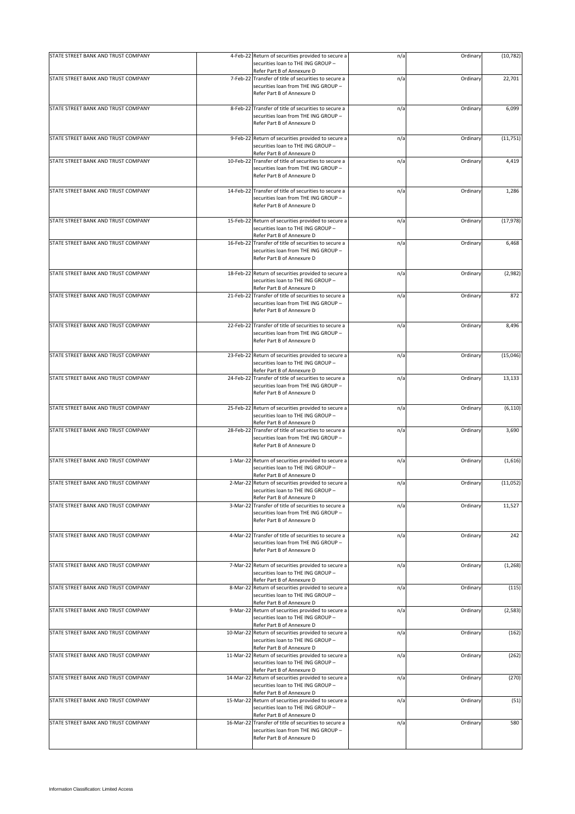| STATE STREET BANK AND TRUST COMPANY | 4-Feb-22 Return of securities provided to secure a<br>securities loan to THE ING GROUP -                                    | n/a | Ordinary | (10, 782) |
|-------------------------------------|-----------------------------------------------------------------------------------------------------------------------------|-----|----------|-----------|
|                                     | Refer Part B of Annexure D                                                                                                  |     |          |           |
| STATE STREET BANK AND TRUST COMPANY | 7-Feb-22 Transfer of title of securities to secure a<br>securities loan from THE ING GROUP -<br>Refer Part B of Annexure D  | n/a | Ordinary | 22,701    |
| STATE STREET BANK AND TRUST COMPANY | 8-Feb-22 Transfer of title of securities to secure a<br>securities loan from THE ING GROUP -<br>Refer Part B of Annexure D  | n/a | Ordinary | 6,099     |
| STATE STREET BANK AND TRUST COMPANY | 9-Feb-22 Return of securities provided to secure a<br>securities loan to THE ING GROUP -<br>Refer Part B of Annexure D      | n/a | Ordinary | (11, 751) |
| STATE STREET BANK AND TRUST COMPANY | 10-Feb-22 Transfer of title of securities to secure a<br>securities loan from THE ING GROUP -<br>Refer Part B of Annexure D | n/a | Ordinary | 4,419     |
| STATE STREET BANK AND TRUST COMPANY | 14-Feb-22 Transfer of title of securities to secure a<br>securities loan from THE ING GROUP -<br>Refer Part B of Annexure D | n/a | Ordinary | 1,286     |
| STATE STREET BANK AND TRUST COMPANY | 15-Feb-22 Return of securities provided to secure a<br>securities loan to THE ING GROUP -<br>Refer Part B of Annexure D     | n/a | Ordinary | (17, 978) |
| STATE STREET BANK AND TRUST COMPANY | 16-Feb-22 Transfer of title of securities to secure a<br>securities loan from THE ING GROUP -<br>Refer Part B of Annexure D | n/a | Ordinary | 6,468     |
| STATE STREET BANK AND TRUST COMPANY | 18-Feb-22 Return of securities provided to secure a<br>securities loan to THE ING GROUP -<br>Refer Part B of Annexure D     | n/a | Ordinary | (2,982)   |
| STATE STREET BANK AND TRUST COMPANY | 21-Feb-22 Transfer of title of securities to secure a<br>securities loan from THE ING GROUP -<br>Refer Part B of Annexure D | n/a | Ordinary | 872       |
| STATE STREET BANK AND TRUST COMPANY | 22-Feb-22 Transfer of title of securities to secure a<br>securities loan from THE ING GROUP -<br>Refer Part B of Annexure D | n/a | Ordinary | 8,496     |
| STATE STREET BANK AND TRUST COMPANY | 23-Feb-22 Return of securities provided to secure a<br>securities loan to THE ING GROUP -<br>Refer Part B of Annexure D     | n/a | Ordinary | (15,046)  |
| STATE STREET BANK AND TRUST COMPANY | 24-Feb-22 Transfer of title of securities to secure a<br>securities loan from THE ING GROUP -<br>Refer Part B of Annexure D | n/a | Ordinary | 13,133    |
| STATE STREET BANK AND TRUST COMPANY | 25-Feb-22 Return of securities provided to secure a<br>securities loan to THE ING GROUP -<br>Refer Part B of Annexure D     | n/a | Ordinary | (6, 110)  |
| STATE STREET BANK AND TRUST COMPANY | 28-Feb-22 Transfer of title of securities to secure a<br>securities loan from THE ING GROUP -<br>Refer Part B of Annexure D | n/a | Ordinary | 3,690     |
| STATE STREET BANK AND TRUST COMPANY | 1-Mar-22 Return of securities provided to secure a<br>securities loan to THE ING GROUP -<br>Refer Part B of Annexure D      | n/a | Ordinary | (1,616)   |
| STATE STREET BANK AND TRUST COMPANY | 2-Mar-22 Return of securities provided to secure a<br>securities loan to THE ING GROUP -<br>Refer Part B of Annexure D      | n/a | Ordinary | (11,052)  |
| STATE STREET BANK AND TRUST COMPANY | 3-Mar-22 Transfer of title of securities to secure a<br>securities loan from THE ING GROUP -<br>Refer Part B of Annexure D  | n/a | Ordinary | 11,527    |
| STATE STREET BANK AND TRUST COMPANY | 4-Mar-22 Transfer of title of securities to secure a<br>securities loan from THE ING GROUP -<br>Refer Part B of Annexure D  | n/a | Ordinary | 242       |
| STATE STREET BANK AND TRUST COMPANY | 7-Mar-22 Return of securities provided to secure a<br>securities loan to THE ING GROUP -<br>Refer Part B of Annexure D      | n/a | Ordinary | (1, 268)  |
| STATE STREET BANK AND TRUST COMPANY | 8-Mar-22 Return of securities provided to secure a<br>securities loan to THE ING GROUP -<br>Refer Part B of Annexure D      | n/a | Ordinary | (115)     |
| STATE STREET BANK AND TRUST COMPANY | 9-Mar-22 Return of securities provided to secure a<br>securities loan to THE ING GROUP -<br>Refer Part B of Annexure D      | n/a | Ordinary | (2, 583)  |
| STATE STREET BANK AND TRUST COMPANY | 10-Mar-22 Return of securities provided to secure a<br>securities loan to THE ING GROUP -<br>Refer Part B of Annexure D     | n/a | Ordinary | (162)     |
| STATE STREET BANK AND TRUST COMPANY | 11-Mar-22 Return of securities provided to secure a<br>securities loan to THE ING GROUP -<br>Refer Part B of Annexure D     | n/a | Ordinary | (262)     |
| STATE STREET BANK AND TRUST COMPANY | 14-Mar-22 Return of securities provided to secure a<br>securities loan to THE ING GROUP -<br>Refer Part B of Annexure D     | n/a | Ordinary | (270)     |
| STATE STREET BANK AND TRUST COMPANY | 15-Mar-22 Return of securities provided to secure a<br>securities loan to THE ING GROUP -<br>Refer Part B of Annexure D     | n/a | Ordinary | (51)      |
| STATE STREET BANK AND TRUST COMPANY | 16-Mar-22 Transfer of title of securities to secure a<br>securities loan from THE ING GROUP -<br>Refer Part B of Annexure D | n/a | Ordinary | 580       |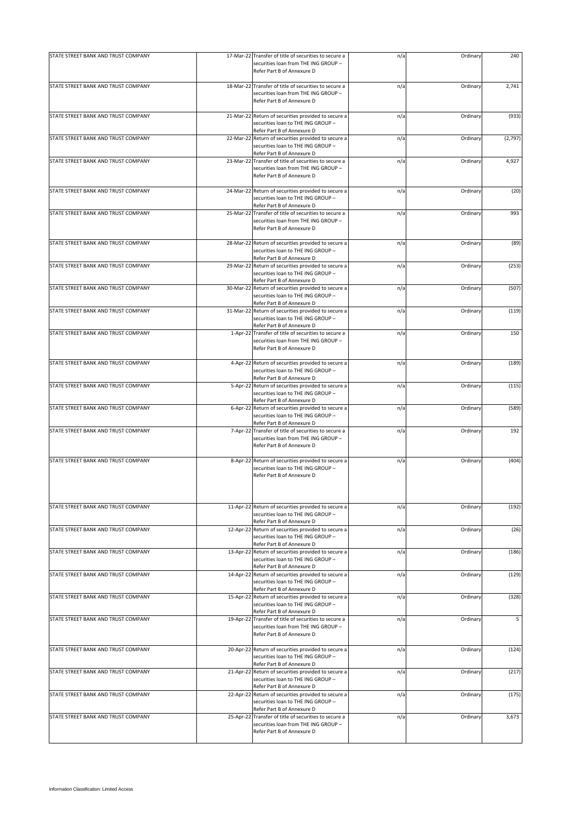| STATE STREET BANK AND TRUST COMPANY | 17-Mar-22 Transfer of title of securities to secure a<br>securities loan from THE ING GROUP -<br>Refer Part B of Annexure D | n/a | Ordinary | 240     |
|-------------------------------------|-----------------------------------------------------------------------------------------------------------------------------|-----|----------|---------|
|                                     |                                                                                                                             |     |          |         |
| STATE STREET BANK AND TRUST COMPANY | 18-Mar-22 Transfer of title of securities to secure a<br>securities loan from THE ING GROUP -<br>Refer Part B of Annexure D | n/a | Ordinary | 2,741   |
| STATE STREET BANK AND TRUST COMPANY | 21-Mar-22 Return of securities provided to secure a<br>securities loan to THE ING GROUP -<br>Refer Part B of Annexure D     | n/a | Ordinary | (933)   |
| STATE STREET BANK AND TRUST COMPANY | 22-Mar-22 Return of securities provided to secure a<br>securities loan to THE ING GROUP -<br>Refer Part B of Annexure D     | n/a | Ordinary | (2,797) |
| STATE STREET BANK AND TRUST COMPANY | 23-Mar-22 Transfer of title of securities to secure a<br>securities loan from THE ING GROUP -<br>Refer Part B of Annexure D | n/a | Ordinary | 4,927   |
| STATE STREET BANK AND TRUST COMPANY | 24-Mar-22 Return of securities provided to secure a<br>securities loan to THE ING GROUP -<br>Refer Part B of Annexure D     | n/a | Ordinary | (20)    |
| STATE STREET BANK AND TRUST COMPANY | 25-Mar-22 Transfer of title of securities to secure a<br>securities loan from THE ING GROUP -<br>Refer Part B of Annexure D | n/a | Ordinary | 993     |
| STATE STREET BANK AND TRUST COMPANY | 28-Mar-22 Return of securities provided to secure a<br>securities loan to THE ING GROUP -<br>Refer Part B of Annexure D     | n/a | Ordinary | (89)    |
| STATE STREET BANK AND TRUST COMPANY | 29-Mar-22 Return of securities provided to secure a<br>securities loan to THE ING GROUP -<br>Refer Part B of Annexure D     | n/a | Ordinary | (253)   |
| STATE STREET BANK AND TRUST COMPANY | 30-Mar-22 Return of securities provided to secure a<br>securities loan to THE ING GROUP -<br>Refer Part B of Annexure D     | n/a | Ordinary | (507)   |
| STATE STREET BANK AND TRUST COMPANY | 31-Mar-22 Return of securities provided to secure a<br>securities loan to THE ING GROUP -<br>Refer Part B of Annexure D     | n/a | Ordinary | (119)   |
| STATE STREET BANK AND TRUST COMPANY | 1-Apr-22 Transfer of title of securities to secure a<br>securities loan from THE ING GROUP -<br>Refer Part B of Annexure D  | n/a | Ordinary | 150     |
| STATE STREET BANK AND TRUST COMPANY | 4-Apr-22 Return of securities provided to secure a<br>securities loan to THE ING GROUP -<br>Refer Part B of Annexure D      | n/a | Ordinary | (189)   |
| STATE STREET BANK AND TRUST COMPANY | 5-Apr-22 Return of securities provided to secure a<br>securities loan to THE ING GROUP -<br>Refer Part B of Annexure D      | n/a | Ordinary | (115)   |
| STATE STREET BANK AND TRUST COMPANY | 6-Apr-22 Return of securities provided to secure a<br>securities loan to THE ING GROUP -<br>Refer Part B of Annexure D      | n/a | Ordinary | (589)   |
| STATE STREET BANK AND TRUST COMPANY | 7-Apr-22 Transfer of title of securities to secure a<br>securities loan from THE ING GROUP -<br>Refer Part B of Annexure D  | n/a | Ordinary | 192     |
| STATE STREET BANK AND TRUST COMPANY | 8-Apr-22 Return of securities provided to secure a<br>securities loan to THE ING GROUP -<br>Refer Part B of Annexure D      | n/a | Ordinary | (404)   |
| STATE STREET BANK AND TRUST COMPANY | 11-Apr-22 Return of securities provided to secure a<br>securities loan to THE ING GROUP -<br>Refer Part B of Annexure D     | n/a | Ordinary | (192)   |
| STATE STREET BANK AND TRUST COMPANY | 12-Apr-22 Return of securities provided to secure a<br>securities loan to THE ING GROUP -<br>Refer Part B of Annexure D     | n/a | Ordinary | (26)    |
| STATE STREET BANK AND TRUST COMPANY | 13-Apr-22 Return of securities provided to secure a<br>securities loan to THE ING GROUP -<br>Refer Part B of Annexure D     | n/a | Ordinary | (186)   |
| STATE STREET BANK AND TRUST COMPANY | 14-Apr-22 Return of securities provided to secure a<br>securities loan to THE ING GROUP -<br>Refer Part B of Annexure D     | n/a | Ordinary | (129)   |
| STATE STREET BANK AND TRUST COMPANY | 15-Apr-22 Return of securities provided to secure a<br>securities loan to THE ING GROUP -<br>Refer Part B of Annexure D     | n/a | Ordinary | (328)   |
| STATE STREET BANK AND TRUST COMPANY | 19-Apr-22 Transfer of title of securities to secure a<br>securities loan from THE ING GROUP -<br>Refer Part B of Annexure D | n/a | Ordinary | 5       |
| STATE STREET BANK AND TRUST COMPANY | 20-Apr-22 Return of securities provided to secure a<br>securities loan to THE ING GROUP -<br>Refer Part B of Annexure D     | n/a | Ordinary | (124)   |
| STATE STREET BANK AND TRUST COMPANY | 21-Apr-22 Return of securities provided to secure a<br>securities loan to THE ING GROUP -<br>Refer Part B of Annexure D     | n/a | Ordinary | (217)   |
| STATE STREET BANK AND TRUST COMPANY | 22-Apr-22 Return of securities provided to secure a<br>securities loan to THE ING GROUP -<br>Refer Part B of Annexure D     | n/a | Ordinary | (175)   |
| STATE STREET BANK AND TRUST COMPANY | 25-Apr-22 Transfer of title of securities to secure a<br>securities loan from THE ING GROUP -<br>Refer Part B of Annexure D | n/a | Ordinary | 3,673   |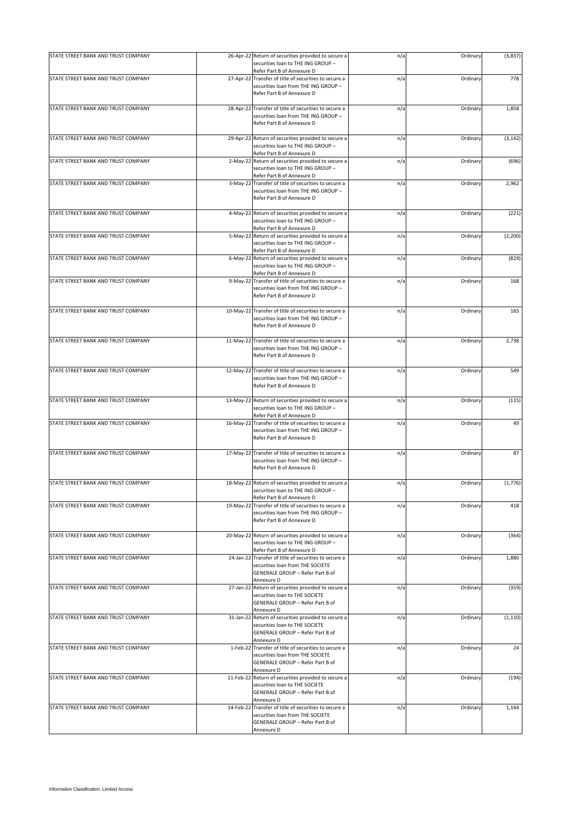| STATE STREET BANK AND TRUST COMPANY |          | 26-Apr-22 Return of securities provided to secure a<br>securities loan to THE ING GROUP -                                                   | n/a | Ordinary | (3,837)  |
|-------------------------------------|----------|---------------------------------------------------------------------------------------------------------------------------------------------|-----|----------|----------|
|                                     |          | Refer Part B of Annexure D                                                                                                                  |     |          |          |
| STATE STREET BANK AND TRUST COMPANY |          | 27-Apr-22 Transfer of title of securities to secure a<br>securities loan from THE ING GROUP -<br>Refer Part B of Annexure D                 | n/a | Ordinary | 778      |
| STATE STREET BANK AND TRUST COMPANY |          | 28-Apr-22 Transfer of title of securities to secure a<br>securities loan from THE ING GROUP -<br>Refer Part B of Annexure D                 | n/a | Ordinary | 1,858    |
| STATE STREET BANK AND TRUST COMPANY |          | 29-Apr-22 Return of securities provided to secure a<br>securities loan to THE ING GROUP -<br>Refer Part B of Annexure D                     | n/a | Ordinary | (3, 142) |
| STATE STREET BANK AND TRUST COMPANY |          | 2-May-22 Return of securities provided to secure a<br>securities loan to THE ING GROUP -<br>Refer Part B of Annexure D                      | n/a | Ordinary | (696)    |
| STATE STREET BANK AND TRUST COMPANY |          | 3-May-22 Transfer of title of securities to secure a<br>securities loan from THE ING GROUP -<br>Refer Part B of Annexure D                  | n/a | Ordinary | 2,962    |
| STATE STREET BANK AND TRUST COMPANY |          | 4-May-22 Return of securities provided to secure a<br>securities loan to THE ING GROUP -<br>Refer Part B of Annexure D                      | n/a | Ordinary | (221)    |
| STATE STREET BANK AND TRUST COMPANY |          | 5-May-22 Return of securities provided to secure a<br>securities loan to THE ING GROUP -<br>Refer Part B of Annexure D                      | n/a | Ordinary | (2, 200) |
| STATE STREET BANK AND TRUST COMPANY | 6-May-22 | Return of securities provided to secure a<br>securities loan to THE ING GROUP -<br>Refer Part B of Annexure D                               | n/a | Ordinary | (829)    |
| STATE STREET BANK AND TRUST COMPANY |          | 9-May-22 Transfer of title of securities to secure a<br>securities loan from THE ING GROUP -<br>Refer Part B of Annexure D                  | n/a | Ordinary | 168      |
| STATE STREET BANK AND TRUST COMPANY |          | 10-May-22 Transfer of title of securities to secure a<br>securities loan from THE ING GROUP -<br>Refer Part B of Annexure D                 | n/a | Ordinary | 165      |
| STATE STREET BANK AND TRUST COMPANY |          | 11-May-22 Transfer of title of securities to secure a<br>securities loan from THE ING GROUP -<br>Refer Part B of Annexure D                 | n/a | Ordinary | 2,738    |
| STATE STREET BANK AND TRUST COMPANY |          | 12-May-22 Transfer of title of securities to secure a<br>securities loan from THE ING GROUP -<br>Refer Part B of Annexure D                 | n/a | Ordinary | 549      |
| STATE STREET BANK AND TRUST COMPANY |          | 13-May-22 Return of securities provided to secure a<br>securities loan to THE ING GROUP -<br>Refer Part B of Annexure D                     | n/a | Ordinary | (115)    |
| STATE STREET BANK AND TRUST COMPANY |          | 16-May-22 Transfer of title of securities to secure a<br>securities loan from THE ING GROUP -<br>Refer Part B of Annexure D                 | n/a | Ordinary | 49       |
| STATE STREET BANK AND TRUST COMPANY |          | 17-May-22 Transfer of title of securities to secure a<br>securities loan from THE ING GROUP -<br>Refer Part B of Annexure D                 | n/a | Ordinary | 87       |
| STATE STREET BANK AND TRUST COMPANY |          | 18-May-22 Return of securities provided to secure a<br>securities loan to THE ING GROUP -<br>Refer Part B of Annexure D                     | n/a | Ordinary | (1,776)  |
| STATE STREET BANK AND TRUST COMPANY |          | 19-May-22 Transfer of title of securities to secure a<br>securities loan from THE ING GROUP -<br>Refer Part B of Annexure D                 | n/a | Ordinary | 418      |
| STATE STREET BANK AND TRUST COMPANY |          | 20-May-22 Return of securities provided to secure a<br>securities loan to THE ING GROUP -<br>Refer Part B of Annexure D                     | n/a | Ordinary | (364)    |
| STATE STREET BANK AND TRUST COMPANY |          | 24-Jan-22 Transfer of title of securities to secure a<br>securities loan from THE SOCIETE<br>GENERALE GROUP - Refer Part B of<br>Annexure D | n/a | Ordinary | 1,880    |
| STATE STREET BANK AND TRUST COMPANY |          | 27-Jan-22 Return of securities provided to secure a<br>securities loan to THE SOCIETE<br>GENERALE GROUP - Refer Part B of<br>Annexure D     | n/a | Ordinary | (359)    |
| STATE STREET BANK AND TRUST COMPANY |          | 31-Jan-22 Return of securities provided to secure a<br>securities loan to THE SOCIETE<br>GENERALE GROUP - Refer Part B of<br>Annexure D     | n/a | Ordinary | (1, 110) |
| STATE STREET BANK AND TRUST COMPANY |          | 1-Feb-22 Transfer of title of securities to secure a<br>securities loan from THE SOCIETE<br>GENERALE GROUP - Refer Part B of<br>Annexure D  | n/a | Ordinary | 24       |
| STATE STREET BANK AND TRUST COMPANY |          | 11-Feb-22 Return of securities provided to secure a<br>securities loan to THE SOCIETE<br>GENERALE GROUP - Refer Part B of<br>Annexure D     | n/a | Ordinary | (194)    |
| STATE STREET BANK AND TRUST COMPANY |          | 14-Feb-22 Transfer of title of securities to secure a<br>securities loan from THE SOCIETE<br>GENERALE GROUP - Refer Part B of<br>Annexure D | n/a | Ordinary | 1,144    |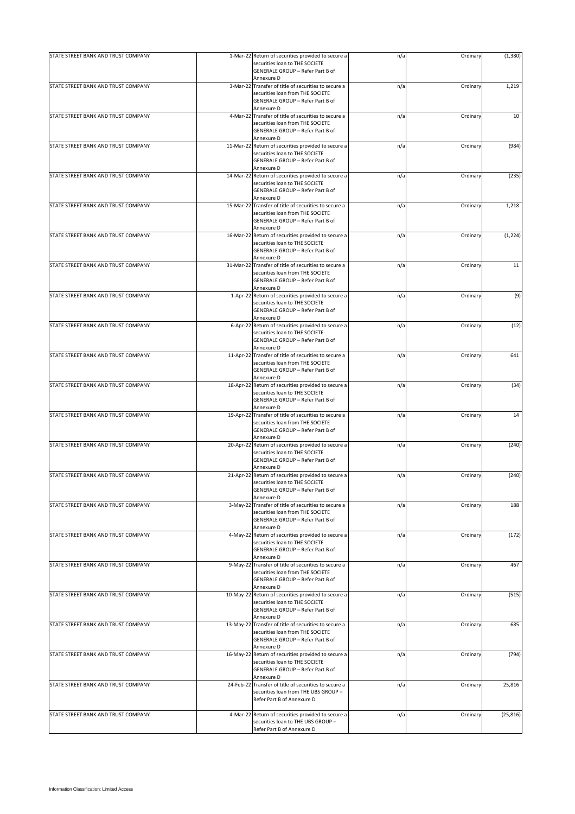| STATE STREET BANK AND TRUST COMPANY | 1-Mar-22 Return of securities provided to secure a<br>securities loan to THE SOCIETE | n/a | Ordinary | (1, 380)  |
|-------------------------------------|--------------------------------------------------------------------------------------|-----|----------|-----------|
|                                     | GENERALE GROUP - Refer Part B of<br>Annexure D                                       |     |          |           |
| STATE STREET BANK AND TRUST COMPANY | 3-Mar-22 Transfer of title of securities to secure a                                 | n/a | Ordinary | 1,219     |
|                                     | securities loan from THE SOCIETE                                                     |     |          |           |
|                                     | GENERALE GROUP - Refer Part B of                                                     |     |          |           |
|                                     | Annexure D                                                                           |     |          |           |
| STATE STREET BANK AND TRUST COMPANY | 4-Mar-22 Transfer of title of securities to secure a                                 | n/a | Ordinary | 10        |
|                                     | securities loan from THE SOCIETE<br>GENERALE GROUP - Refer Part B of                 |     |          |           |
|                                     | Annexure D                                                                           |     |          |           |
| STATE STREET BANK AND TRUST COMPANY | 11-Mar-22 Return of securities provided to secure a                                  | n/a | Ordinary | (984)     |
|                                     | securities loan to THE SOCIETE                                                       |     |          |           |
|                                     | GENERALE GROUP - Refer Part B of                                                     |     |          |           |
|                                     | Annexure D                                                                           |     |          |           |
| STATE STREET BANK AND TRUST COMPANY | 14-Mar-22 Return of securities provided to secure a                                  | n/a | Ordinary | (235)     |
|                                     | securities loan to THE SOCIETE                                                       |     |          |           |
|                                     | GENERALE GROUP - Refer Part B of                                                     |     |          |           |
|                                     | Annexure D                                                                           |     |          |           |
| STATE STREET BANK AND TRUST COMPANY | 15-Mar-22 Transfer of title of securities to secure a                                | n/a | Ordinary | 1,218     |
|                                     | securities loan from THE SOCIETE                                                     |     |          |           |
|                                     | GENERALE GROUP - Refer Part B of                                                     |     |          |           |
|                                     | Annexure D                                                                           |     |          |           |
| STATE STREET BANK AND TRUST COMPANY | 16-Mar-22 Return of securities provided to secure a                                  | n/a | Ordinary | (1, 224)  |
|                                     | securities loan to THE SOCIETE                                                       |     |          |           |
|                                     | GENERALE GROUP - Refer Part B of                                                     |     |          |           |
|                                     | Annexure D                                                                           |     |          |           |
| STATE STREET BANK AND TRUST COMPANY | 31-Mar-22 Transfer of title of securities to secure a                                | n/a | Ordinary | 11        |
|                                     | securities loan from THE SOCIETE                                                     |     |          |           |
|                                     | GENERALE GROUP - Refer Part B of                                                     |     |          |           |
| STATE STREET BANK AND TRUST COMPANY | Annexure D<br>1-Apr-22 Return of securities provided to secure a                     | n/a | Ordinary | (9)       |
|                                     | securities loan to THE SOCIETE                                                       |     |          |           |
|                                     | GENERALE GROUP - Refer Part B of                                                     |     |          |           |
|                                     | Annexure D                                                                           |     |          |           |
| STATE STREET BANK AND TRUST COMPANY | 6-Apr-22 Return of securities provided to secure a                                   | n/a | Ordinary | (12)      |
|                                     | securities loan to THE SOCIETE                                                       |     |          |           |
|                                     | GENERALE GROUP - Refer Part B of                                                     |     |          |           |
|                                     | Annexure D                                                                           |     |          |           |
| STATE STREET BANK AND TRUST COMPANY | 11-Apr-22 Transfer of title of securities to secure a                                | n/a | Ordinary | 641       |
|                                     | securities loan from THE SOCIETE                                                     |     |          |           |
|                                     | GENERALE GROUP - Refer Part B of                                                     |     |          |           |
|                                     | Annexure D                                                                           |     |          |           |
| STATE STREET BANK AND TRUST COMPANY | 18-Apr-22 Return of securities provided to secure a                                  | n/a | Ordinary | (34)      |
|                                     | securities loan to THE SOCIETE                                                       |     |          |           |
|                                     | GENERALE GROUP - Refer Part B of                                                     |     |          |           |
| STATE STREET BANK AND TRUST COMPANY | Annexure D<br>19-Apr-22 Transfer of title of securities to secure a                  |     | Ordinary | 14        |
|                                     | securities loan from THE SOCIETE                                                     | n/a |          |           |
|                                     | GENERALE GROUP - Refer Part B of                                                     |     |          |           |
|                                     | Annexure D                                                                           |     |          |           |
| STATE STREET BANK AND TRUST COMPANY | 20-Apr-22 Return of securities provided to secure a                                  | n/a | Ordinary | (240)     |
|                                     | securities loan to THE SOCIETE                                                       |     |          |           |
|                                     | GENERALE GROUP - Refer Part B of                                                     |     |          |           |
|                                     | Annexure D                                                                           |     |          |           |
| STATE STREET BANK AND TRUST COMPANY | 21-Apr-22 Return of securities provided to secure a                                  | n/a | Ordinary | (240)     |
|                                     | securities loan to THE SOCIETE                                                       |     |          |           |
|                                     | GENERALE GROUP - Refer Part B of                                                     |     |          |           |
|                                     | Annexure D                                                                           |     |          |           |
| STATE STREET BANK AND TRUST COMPANY | 3-May-22 Transfer of title of securities to secure a                                 | n/a | Ordinary | 188       |
|                                     | securities loan from THE SOCIETE                                                     |     |          |           |
|                                     | GENERALE GROUP - Refer Part B of                                                     |     |          |           |
|                                     | Annexure D                                                                           |     |          |           |
| STATE STREET BANK AND TRUST COMPANY | 4-May-22 Return of securities provided to secure a<br>securities loan to THE SOCIETE | n/a | Ordinary | (172)     |
|                                     | GENERALE GROUP - Refer Part B of                                                     |     |          |           |
|                                     | Annexure D                                                                           |     |          |           |
| STATE STREET BANK AND TRUST COMPANY | 9-May-22 Transfer of title of securities to secure a                                 | n/a | Ordinary | 467       |
|                                     | securities loan from THE SOCIETE                                                     |     |          |           |
|                                     | GENERALE GROUP - Refer Part B of                                                     |     |          |           |
|                                     | Annexure D                                                                           |     |          |           |
| STATE STREET BANK AND TRUST COMPANY | 10-May-22 Return of securities provided to secure a                                  | n/a | Ordinary | (515)     |
|                                     | securities loan to THE SOCIETE                                                       |     |          |           |
|                                     | GENERALE GROUP - Refer Part B of                                                     |     |          |           |
|                                     | Annexure D                                                                           |     |          |           |
| STATE STREET BANK AND TRUST COMPANY | 13-May-22 Transfer of title of securities to secure a                                | n/a | Ordinary | 685       |
|                                     | securities loan from THE SOCIETE                                                     |     |          |           |
|                                     | GENERALE GROUP - Refer Part B of                                                     |     |          |           |
|                                     | Annexure D                                                                           |     |          |           |
| STATE STREET BANK AND TRUST COMPANY | 16-May-22 Return of securities provided to secure a                                  | n/a | Ordinary | (794)     |
|                                     | securities loan to THE SOCIETE                                                       |     |          |           |
|                                     | GENERALE GROUP - Refer Part B of                                                     |     |          |           |
| STATE STREET BANK AND TRUST COMPANY | Annexure D<br>24-Feb-22 Transfer of title of securities to secure a                  | n/a | Ordinary | 25,816    |
|                                     | securities loan from THE UBS GROUP -                                                 |     |          |           |
|                                     | Refer Part B of Annexure D                                                           |     |          |           |
|                                     |                                                                                      |     |          |           |
| STATE STREET BANK AND TRUST COMPANY | 4-Mar-22 Return of securities provided to secure a                                   | n/a | Ordinary | (25, 816) |
|                                     | securities loan to THE UBS GROUP -                                                   |     |          |           |
|                                     | Refer Part B of Annexure D                                                           |     |          |           |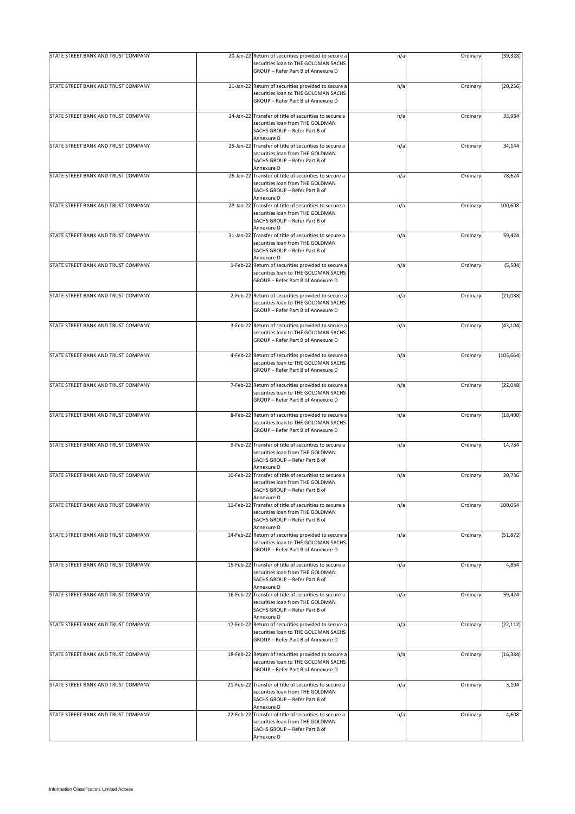| STATE STREET BANK AND TRUST COMPANY | 20-Jan-22 Return of securities provided to secure a<br>securities loan to THE GOLDMAN SACHS<br>GROUP - Refer Part B of Annexure D        | n/a | Ordinary | (39, 328)  |
|-------------------------------------|------------------------------------------------------------------------------------------------------------------------------------------|-----|----------|------------|
| STATE STREET BANK AND TRUST COMPANY | 21-Jan-22 Return of securities provided to secure a<br>securities loan to THE GOLDMAN SACHS<br>GROUP - Refer Part B of Annexure D        | n/a | Ordinary | (20, 256)  |
| STATE STREET BANK AND TRUST COMPANY | 24-Jan-22 Transfer of title of securities to secure a<br>securities loan from THE GOLDMAN<br>SACHS GROUP - Refer Part B of<br>Annexure D | n/a | Ordinary | 33,984     |
| STATE STREET BANK AND TRUST COMPANY | 25-Jan-22 Transfer of title of securities to secure a<br>securities loan from THE GOLDMAN<br>SACHS GROUP - Refer Part B of<br>Annexure D | n/a | Ordinary | 34,144     |
| STATE STREET BANK AND TRUST COMPANY | 26-Jan-22 Transfer of title of securities to secure a<br>securities loan from THE GOLDMAN<br>SACHS GROUP - Refer Part B of<br>Annexure D | n/a | Ordinary | 78,624     |
| STATE STREET BANK AND TRUST COMPANY | 28-Jan-22 Transfer of title of securities to secure a<br>securities loan from THE GOLDMAN<br>SACHS GROUP - Refer Part B of<br>Annexure D | n/a | Ordinary | 100,608    |
| STATE STREET BANK AND TRUST COMPANY | 31-Jan-22 Transfer of title of securities to secure a<br>securities loan from THE GOLDMAN<br>SACHS GROUP - Refer Part B of<br>Annexure D | n/a | Ordinary | 59,424     |
| STATE STREET BANK AND TRUST COMPANY | 1-Feb-22 Return of securities provided to secure a<br>securities loan to THE GOLDMAN SACHS<br>GROUP - Refer Part B of Annexure D         | n/a | Ordinary | (5, 504)   |
| STATE STREET BANK AND TRUST COMPANY | 2-Feb-22 Return of securities provided to secure a<br>securities loan to THE GOLDMAN SACHS<br>GROUP - Refer Part B of Annexure D         | n/a | Ordinary | (21,088)   |
| STATE STREET BANK AND TRUST COMPANY | 3-Feb-22 Return of securities provided to secure a<br>securities loan to THE GOLDMAN SACHS<br>GROUP - Refer Part B of Annexure D         | n/a | Ordinary | (43, 104)  |
| STATE STREET BANK AND TRUST COMPANY | 4-Feb-22 Return of securities provided to secure a<br>securities loan to THE GOLDMAN SACHS<br>GROUP - Refer Part B of Annexure D         | n/a | Ordinary | (105, 664) |
| STATE STREET BANK AND TRUST COMPANY | 7-Feb-22 Return of securities provided to secure a<br>securities loan to THE GOLDMAN SACHS<br>GROUP - Refer Part B of Annexure D         | n/a | Ordinary | (22, 048)  |
| STATE STREET BANK AND TRUST COMPANY | 8-Feb-22 Return of securities provided to secure a<br>securities loan to THE GOLDMAN SACHS<br>GROUP - Refer Part B of Annexure D         | n/a | Ordinary | (18, 400)  |
| STATE STREET BANK AND TRUST COMPANY | 9-Feb-22 Transfer of title of securities to secure a<br>securities loan from THE GOLDMAN<br>SACHS GROUP - Refer Part B of<br>Annexure D  | n/a | Ordinary | 14,784     |
| STATE STREET BANK AND TRUST COMPANY | 10-Feb-22 Transfer of title of securities to secure a<br>securities loan from THE GOLDMAN<br>SACHS GROUP - Refer Part B of<br>Annexure D | n/a | Ordinary | 20,736     |
| STATE STREET BANK AND TRUST COMPANY | 11-Feb-22 Transfer of title of securities to secure a<br>securities loan from THE GOLDMAN<br>SACHS GROUP - Refer Part B of<br>Annexure D | n/a | Ordinary | 100,064    |
| STATE STREET BANK AND TRUST COMPANY | 14-Feb-22 Return of securities provided to secure a<br>securities loan to THE GOLDMAN SACHS<br>GROUP - Refer Part B of Annexure D        | n/a | Ordinary | (51, 872)  |
| STATE STREET BANK AND TRUST COMPANY | 15-Feb-22 Transfer of title of securities to secure a<br>securities loan from THE GOLDMAN<br>SACHS GROUP - Refer Part B of<br>Annexure D | n/a | Ordinary | 4,864      |
| STATE STREET BANK AND TRUST COMPANY | 16-Feb-22 Transfer of title of securities to secure a<br>securities loan from THE GOLDMAN<br>SACHS GROUP - Refer Part B of<br>Annexure D | n/a | Ordinary | 59,424     |
| STATE STREET BANK AND TRUST COMPANY | 17-Feb-22 Return of securities provided to secure a<br>securities loan to THE GOLDMAN SACHS<br>GROUP - Refer Part B of Annexure D        | n/a | Ordinary | (22, 112)  |
| STATE STREET BANK AND TRUST COMPANY | 18-Feb-22 Return of securities provided to secure a<br>securities loan to THE GOLDMAN SACHS<br>GROUP - Refer Part B of Annexure D        | n/a | Ordinary | (16, 384)  |
| STATE STREET BANK AND TRUST COMPANY | 21-Feb-22 Transfer of title of securities to secure a<br>securities loan from THE GOLDMAN<br>SACHS GROUP - Refer Part B of<br>Annexure D | n/a | Ordinary | 3,104      |
| STATE STREET BANK AND TRUST COMPANY | 22-Feb-22 Transfer of title of securities to secure a<br>securities loan from THE GOLDMAN<br>SACHS GROUP - Refer Part B of<br>Annexure D | n/a | Ordinary | 4,608      |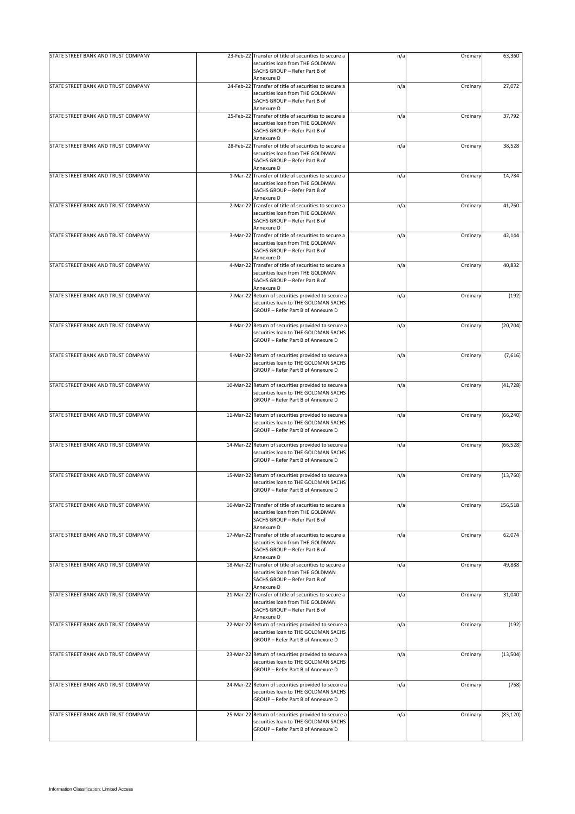| STATE STREET BANK AND TRUST COMPANY | 23-Feb-22 Transfer of title of securities to secure a                                                                                    |     | Ordinary | 63,360    |
|-------------------------------------|------------------------------------------------------------------------------------------------------------------------------------------|-----|----------|-----------|
|                                     | securities loan from THE GOLDMAN<br>SACHS GROUP - Refer Part B of<br>Annexure D                                                          | n/a |          |           |
|                                     |                                                                                                                                          |     |          |           |
| STATE STREET BANK AND TRUST COMPANY | 24-Feb-22 Transfer of title of securities to secure a<br>securities loan from THE GOLDMAN<br>SACHS GROUP - Refer Part B of<br>Annexure D | n/a | Ordinary | 27,072    |
| STATE STREET BANK AND TRUST COMPANY | 25-Feb-22 Transfer of title of securities to secure a                                                                                    | n/a | Ordinary | 37,792    |
|                                     | securities loan from THE GOLDMAN<br>SACHS GROUP - Refer Part B of<br>Annexure D                                                          |     |          |           |
| STATE STREET BANK AND TRUST COMPANY | 28-Feb-22 Transfer of title of securities to secure a                                                                                    | n/a | Ordinary | 38,528    |
|                                     | securities loan from THE GOLDMAN<br>SACHS GROUP - Refer Part B of<br>Annexure D                                                          |     |          |           |
| STATE STREET BANK AND TRUST COMPANY | 1-Mar-22 Transfer of title of securities to secure a<br>securities loan from THE GOLDMAN<br>SACHS GROUP - Refer Part B of<br>Annexure D  | n/a | Ordinary | 14,784    |
| STATE STREET BANK AND TRUST COMPANY | 2-Mar-22 Transfer of title of securities to secure a                                                                                     |     | Ordinary | 41,760    |
|                                     | securities loan from THE GOLDMAN<br>SACHS GROUP - Refer Part B of<br>Annexure D                                                          | n/a |          |           |
| STATE STREET BANK AND TRUST COMPANY | 3-Mar-22 Transfer of title of securities to secure a                                                                                     | n/a | Ordinary | 42,144    |
|                                     | securities loan from THE GOLDMAN<br>SACHS GROUP - Refer Part B of<br>Annexure D                                                          |     |          |           |
| STATE STREET BANK AND TRUST COMPANY | 4-Mar-22 Transfer of title of securities to secure a                                                                                     | n/a | Ordinary | 40,832    |
|                                     | securities loan from THE GOLDMAN<br>SACHS GROUP - Refer Part B of<br>Annexure D                                                          |     |          |           |
| STATE STREET BANK AND TRUST COMPANY | 7-Mar-22 Return of securities provided to secure a                                                                                       | n/a | Ordinary | (192)     |
|                                     | securities loan to THE GOLDMAN SACHS<br>GROUP - Refer Part B of Annexure D                                                               |     |          |           |
| STATE STREET BANK AND TRUST COMPANY | 8-Mar-22 Return of securities provided to secure a                                                                                       | n/a | Ordinary | (20, 704) |
|                                     | securities loan to THE GOLDMAN SACHS<br>GROUP - Refer Part B of Annexure D                                                               |     |          |           |
| STATE STREET BANK AND TRUST COMPANY | 9-Mar-22 Return of securities provided to secure a                                                                                       | n/a | Ordinary | (7,616)   |
|                                     | securities loan to THE GOLDMAN SACHS<br>GROUP - Refer Part B of Annexure D                                                               |     |          |           |
| STATE STREET BANK AND TRUST COMPANY | 10-Mar-22 Return of securities provided to secure a                                                                                      | n/a | Ordinary | (41, 728) |
|                                     | securities loan to THE GOLDMAN SACHS<br>GROUP - Refer Part B of Annexure D                                                               |     |          |           |
| STATE STREET BANK AND TRUST COMPANY | 11-Mar-22 Return of securities provided to secure a                                                                                      | n/a | Ordinary | (66, 240) |
|                                     | securities loan to THE GOLDMAN SACHS<br>GROUP - Refer Part B of Annexure D                                                               |     |          |           |
| STATE STREET BANK AND TRUST COMPANY | 14-Mar-22 Return of securities provided to secure a                                                                                      | n/a | Ordinary | (66, 528) |
|                                     | securities loan to THE GOLDMAN SACHS<br>GROUP - Refer Part B of Annexure D                                                               |     |          |           |
| STATE STREET BANK AND TRUST COMPANY | 15-Mar-22 Return of securities provided to secure a                                                                                      | n/a | Ordinary | (13, 760) |
|                                     | securities loan to THE GOLDMAN SACHS<br>GROUP - Refer Part B of Annexure D                                                               |     |          |           |
| STATE STREET BANK AND TRUST COMPANY | 16-Mar-22 Transfer of title of securities to secure a                                                                                    | n/a | Ordinary | 156,518   |
|                                     | securities loan from THE GOLDMAN<br>SACHS GROUP - Refer Part B of<br>Annexure D                                                          |     |          |           |
| STATE STREET BANK AND TRUST COMPANY | 17-Mar-22 Transfer of title of securities to secure a                                                                                    | n/a | Ordinary | 62,074    |
|                                     | securities loan from THE GOLDMAN<br>SACHS GROUP - Refer Part B of<br>Annexure D                                                          |     |          |           |
| STATE STREET BANK AND TRUST COMPANY | 18-Mar-22 Transfer of title of securities to secure a                                                                                    | n/a | Ordinary | 49,888    |
|                                     | securities loan from THE GOLDMAN<br>SACHS GROUP - Refer Part B of<br>Annexure D                                                          |     |          |           |
| STATE STREET BANK AND TRUST COMPANY | 21-Mar-22 Transfer of title of securities to secure a<br>securities loan from THE GOLDMAN<br>SACHS GROUP - Refer Part B of<br>Annexure D | n/a | Ordinary | 31,040    |
| STATE STREET BANK AND TRUST COMPANY | 22-Mar-22 Return of securities provided to secure a                                                                                      | n/a | Ordinary | (192)     |
|                                     | securities loan to THE GOLDMAN SACHS<br>GROUP - Refer Part B of Annexure D                                                               |     |          |           |
| STATE STREET BANK AND TRUST COMPANY | 23-Mar-22 Return of securities provided to secure a                                                                                      | n/a | Ordinary | (13, 504) |
|                                     | securities loan to THE GOLDMAN SACHS<br>GROUP - Refer Part B of Annexure D                                                               |     |          |           |
| STATE STREET BANK AND TRUST COMPANY | 24-Mar-22 Return of securities provided to secure a                                                                                      | n/a | Ordinary | (768)     |
|                                     | securities loan to THE GOLDMAN SACHS<br>GROUP - Refer Part B of Annexure D                                                               |     |          |           |
| STATE STREET BANK AND TRUST COMPANY | 25-Mar-22 Return of securities provided to secure a                                                                                      | n/a | Ordinary | (83, 120) |
|                                     | securities loan to THE GOLDMAN SACHS<br>GROUP - Refer Part B of Annexure D                                                               |     |          |           |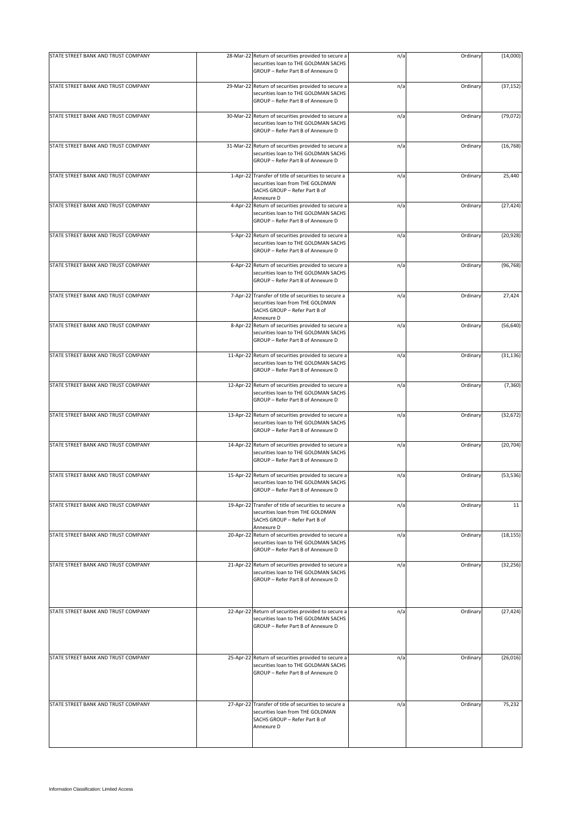| STATE STREET BANK AND TRUST COMPANY | 28-Mar-22 Return of securities provided to secure a<br>securities loan to THE GOLDMAN SACHS<br>GROUP - Refer Part B of Annexure D        | n/a | Ordinary | (14,000)  |
|-------------------------------------|------------------------------------------------------------------------------------------------------------------------------------------|-----|----------|-----------|
| STATE STREET BANK AND TRUST COMPANY | 29-Mar-22 Return of securities provided to secure a<br>securities loan to THE GOLDMAN SACHS<br>GROUP - Refer Part B of Annexure D        | n/a | Ordinary | (37, 152) |
| STATE STREET BANK AND TRUST COMPANY | 30-Mar-22 Return of securities provided to secure a<br>securities loan to THE GOLDMAN SACHS<br>GROUP - Refer Part B of Annexure D        | n/a | Ordinary | (79, 072) |
| STATE STREET BANK AND TRUST COMPANY | 31-Mar-22 Return of securities provided to secure a<br>securities loan to THE GOLDMAN SACHS<br>GROUP - Refer Part B of Annexure D        | n/a | Ordinary | (16, 768) |
| STATE STREET BANK AND TRUST COMPANY | 1-Apr-22 Transfer of title of securities to secure a<br>securities loan from THE GOLDMAN<br>SACHS GROUP - Refer Part B of<br>Annexure D  | n/a | Ordinary | 25,440    |
| STATE STREET BANK AND TRUST COMPANY | 4-Apr-22 Return of securities provided to secure a<br>securities loan to THE GOLDMAN SACHS<br>GROUP - Refer Part B of Annexure D         | n/a | Ordinary | (27, 424) |
| STATE STREET BANK AND TRUST COMPANY | 5-Apr-22 Return of securities provided to secure a<br>securities loan to THE GOLDMAN SACHS<br>GROUP - Refer Part B of Annexure D         | n/a | Ordinary | (20, 928) |
| STATE STREET BANK AND TRUST COMPANY | 6-Apr-22 Return of securities provided to secure a<br>securities loan to THE GOLDMAN SACHS<br>GROUP - Refer Part B of Annexure D         | n/a | Ordinary | (96, 768) |
| STATE STREET BANK AND TRUST COMPANY | 7-Apr-22 Transfer of title of securities to secure a<br>securities loan from THE GOLDMAN<br>SACHS GROUP - Refer Part B of<br>Annexure D  | n/a | Ordinary | 27,424    |
| STATE STREET BANK AND TRUST COMPANY | 8-Apr-22 Return of securities provided to secure a<br>securities loan to THE GOLDMAN SACHS<br>GROUP - Refer Part B of Annexure D         | n/a | Ordinary | (56, 640) |
| STATE STREET BANK AND TRUST COMPANY | 11-Apr-22 Return of securities provided to secure a<br>securities loan to THE GOLDMAN SACHS<br>GROUP - Refer Part B of Annexure D        | n/a | Ordinary | (31, 136) |
| STATE STREET BANK AND TRUST COMPANY | 12-Apr-22 Return of securities provided to secure a<br>securities loan to THE GOLDMAN SACHS<br>GROUP - Refer Part B of Annexure D        | n/a | Ordinary | (7, 360)  |
| STATE STREET BANK AND TRUST COMPANY | 13-Apr-22 Return of securities provided to secure a<br>securities loan to THE GOLDMAN SACHS<br>GROUP - Refer Part B of Annexure D        | n/a | Ordinary | (32, 672) |
| STATE STREET BANK AND TRUST COMPANY | 14-Apr-22 Return of securities provided to secure a<br>securities loan to THE GOLDMAN SACHS<br>GROUP - Refer Part B of Annexure D        | n/a | Ordinary | (20, 704) |
| STATE STREET BANK AND TRUST COMPANY | 15-Apr-22 Return of securities provided to secure a<br>securities loan to THE GOLDMAN SACHS<br>GROUP - Refer Part B of Annexure D        | n/a | Ordinary | (53, 536) |
| STATE STREET BANK AND TRUST COMPANY | 19-Apr-22 Transfer of title of securities to secure a<br>securities loan from THE GOLDMAN<br>SACHS GROUP - Refer Part B of<br>Annexure D | n/a | Ordinary | 11        |
| STATE STREET BANK AND TRUST COMPANY | 20-Apr-22 Return of securities provided to secure a<br>securities loan to THE GOLDMAN SACHS<br>GROUP - Refer Part B of Annexure D        | n/a | Ordinary | (18, 155) |
| STATE STREET BANK AND TRUST COMPANY | 21-Apr-22 Return of securities provided to secure a<br>securities loan to THE GOLDMAN SACHS<br>GROUP - Refer Part B of Annexure D        | n/a | Ordinary | (32, 256) |
| STATE STREET BANK AND TRUST COMPANY | 22-Apr-22 Return of securities provided to secure a<br>securities loan to THE GOLDMAN SACHS<br>GROUP - Refer Part B of Annexure D        | n/a | Ordinary | (27, 424) |
| STATE STREET BANK AND TRUST COMPANY | 25-Apr-22 Return of securities provided to secure a<br>securities loan to THE GOLDMAN SACHS<br>GROUP - Refer Part B of Annexure D        | n/a | Ordinary | (26, 016) |
| STATE STREET BANK AND TRUST COMPANY | 27-Apr-22 Transfer of title of securities to secure a<br>securities loan from THE GOLDMAN<br>SACHS GROUP - Refer Part B of<br>Annexure D | n/a | Ordinary | 75,232    |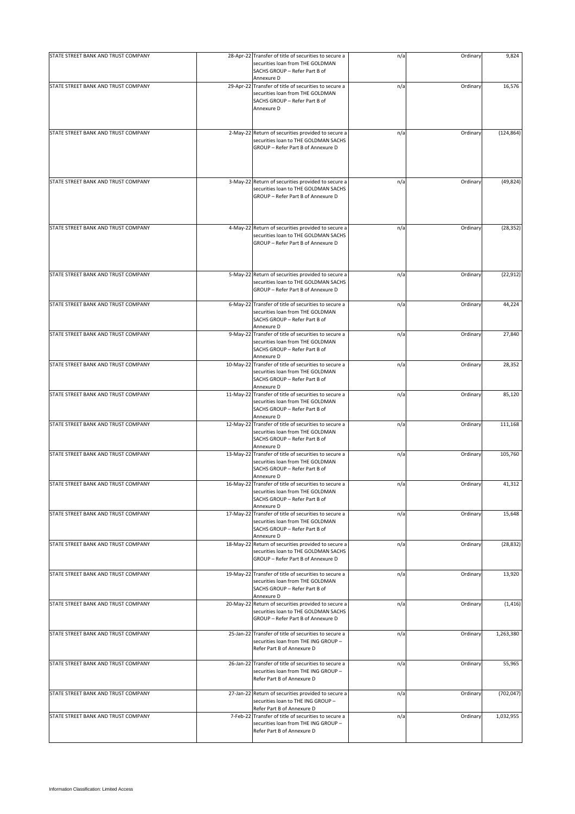| STATE STREET BANK AND TRUST COMPANY                                        |           | 28-Apr-22 Transfer of title of securities to secure a<br>securities loan from THE GOLDMAN                                                                                       | n/a        | Ordinary             | 9,824                   |
|----------------------------------------------------------------------------|-----------|---------------------------------------------------------------------------------------------------------------------------------------------------------------------------------|------------|----------------------|-------------------------|
|                                                                            |           | SACHS GROUP - Refer Part B of<br>Annexure D                                                                                                                                     |            |                      |                         |
| STATE STREET BANK AND TRUST COMPANY                                        |           | 29-Apr-22 Transfer of title of securities to secure a<br>securities loan from THE GOLDMAN<br>SACHS GROUP - Refer Part B of<br>Annexure D                                        | n/a        | Ordinary             | 16,576                  |
| STATE STREET BANK AND TRUST COMPANY                                        |           | 2-May-22 Return of securities provided to secure a<br>securities loan to THE GOLDMAN SACHS<br>GROUP - Refer Part B of Annexure D                                                | n/a        | Ordinary             | (124, 864)              |
| STATE STREET BANK AND TRUST COMPANY                                        |           | 3-May-22 Return of securities provided to secure a<br>securities loan to THE GOLDMAN SACHS<br>GROUP - Refer Part B of Annexure D                                                | n/a        | Ordinary             | (49, 824)               |
| STATE STREET BANK AND TRUST COMPANY                                        |           | 4-May-22 Return of securities provided to secure a<br>securities loan to THE GOLDMAN SACHS<br>GROUP - Refer Part B of Annexure D                                                | n/a        | Ordinary             | (28, 352)               |
| STATE STREET BANK AND TRUST COMPANY                                        |           | 5-May-22 Return of securities provided to secure a<br>securities loan to THE GOLDMAN SACHS<br>GROUP - Refer Part B of Annexure D                                                | n/a        | Ordinary             | (22, 912)               |
| STATE STREET BANK AND TRUST COMPANY                                        |           | 6-May-22 Transfer of title of securities to secure a<br>securities loan from THE GOLDMAN<br>SACHS GROUP - Refer Part B of<br>Annexure D                                         | n/a        | Ordinary             | 44,224                  |
| STATE STREET BANK AND TRUST COMPANY                                        |           | 9-May-22 Transfer of title of securities to secure a<br>securities loan from THE GOLDMAN<br>SACHS GROUP - Refer Part B of<br>Annexure D                                         | n/a        | Ordinary             | 27,840                  |
| STATE STREET BANK AND TRUST COMPANY                                        |           | 10-May-22 Transfer of title of securities to secure a<br>securities loan from THE GOLDMAN<br>SACHS GROUP - Refer Part B of<br>Annexure D                                        | n/a        | Ordinary             | 28,352                  |
| STATE STREET BANK AND TRUST COMPANY                                        |           | 11-May-22 Transfer of title of securities to secure a<br>securities loan from THE GOLDMAN<br>SACHS GROUP - Refer Part B of<br>Annexure D                                        | n/a        | Ordinary             | 85,120                  |
| STATE STREET BANK AND TRUST COMPANY                                        |           | 12-May-22 Transfer of title of securities to secure a<br>securities loan from THE GOLDMAN<br>SACHS GROUP - Refer Part B of<br>Annexure D                                        | n/a        | Ordinary             | 111,168                 |
| STATE STREET BANK AND TRUST COMPANY                                        |           | 13-May-22 Transfer of title of securities to secure a<br>securities loan from THE GOLDMAN<br>SACHS GROUP - Refer Part B of<br>Annexure D                                        | n/a        | Ordinary             | 105,760                 |
| STATE STREET BANK AND TRUST COMPANY                                        | 16-May-22 | Transfer of title of securities to secure a<br>securities loan from THE GOLDMAN<br>SACHS GROUP - Refer Part B of<br>Annexure D                                                  | n/a        | Ordinary             | 41,312                  |
| STATE STREET BANK AND TRUST COMPANY                                        |           | 17-May-22 Transfer of title of securities to secure a<br>securities loan from THE GOLDMAN<br>SACHS GROUP - Refer Part B of<br>Annexure D                                        | n/a        | Ordinary             | 15,648                  |
| STATE STREET BANK AND TRUST COMPANY                                        |           | 18-May-22 Return of securities provided to secure a<br>securities loan to THE GOLDMAN SACHS<br>GROUP - Refer Part B of Annexure D                                               | n/a        | Ordinary             | (28, 832)               |
| STATE STREET BANK AND TRUST COMPANY                                        |           | 19-May-22 Transfer of title of securities to secure a<br>securities loan from THE GOLDMAN<br>SACHS GROUP - Refer Part B of<br>Annexure D                                        | n/a        | Ordinary             | 13,920                  |
| STATE STREET BANK AND TRUST COMPANY                                        |           | 20-May-22 Return of securities provided to secure a<br>securities loan to THE GOLDMAN SACHS<br>GROUP - Refer Part B of Annexure D                                               | n/a        | Ordinary             | (1, 416)                |
| STATE STREET BANK AND TRUST COMPANY                                        |           | 25-Jan-22 Transfer of title of securities to secure a<br>securities loan from THE ING GROUP -<br>Refer Part B of Annexure D                                                     | n/a        | Ordinary             | 1,263,380               |
| STATE STREET BANK AND TRUST COMPANY                                        |           | 26-Jan-22 Transfer of title of securities to secure a<br>securities loan from THE ING GROUP -<br>Refer Part B of Annexure D                                                     | n/a        | Ordinary             | 55,965                  |
| STATE STREET BANK AND TRUST COMPANY<br>STATE STREET BANK AND TRUST COMPANY |           | 27-Jan-22 Return of securities provided to secure a<br>securities loan to THE ING GROUP -<br>Refer Part B of Annexure D<br>7-Feb-22 Transfer of title of securities to secure a | n/a<br>n/a | Ordinary<br>Ordinary | (702, 047)<br>1,032,955 |
|                                                                            |           | securities loan from THE ING GROUP -<br>Refer Part B of Annexure D                                                                                                              |            |                      |                         |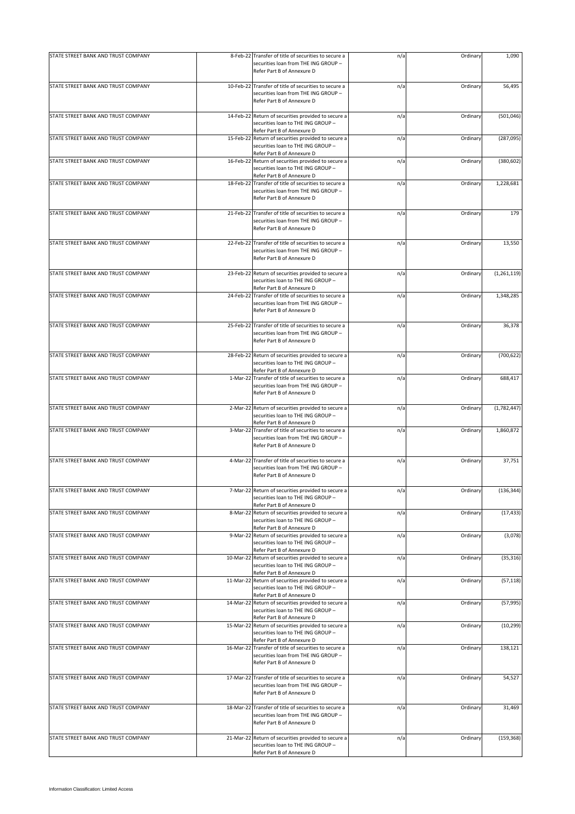| STATE STREET BANK AND TRUST COMPANY | 8-Feb-22 Transfer of title of securities to secure a                                                                        | n/a | Ordinary | 1,090         |
|-------------------------------------|-----------------------------------------------------------------------------------------------------------------------------|-----|----------|---------------|
|                                     | securities loan from THE ING GROUP -<br>Refer Part B of Annexure D                                                          |     |          |               |
| STATE STREET BANK AND TRUST COMPANY | 10-Feb-22 Transfer of title of securities to secure a                                                                       | n/a | Ordinary | 56,495        |
|                                     | securities loan from THE ING GROUP -<br>Refer Part B of Annexure D                                                          |     |          |               |
| STATE STREET BANK AND TRUST COMPANY | 14-Feb-22 Return of securities provided to secure a<br>securities loan to THE ING GROUP -                                   | n/a | Ordinary | (501, 046)    |
| STATE STREET BANK AND TRUST COMPANY | Refer Part B of Annexure D<br>15-Feb-22 Return of securities provided to secure a                                           | n/a | Ordinary | (287,095)     |
|                                     | securities loan to THE ING GROUP -<br>Refer Part B of Annexure D                                                            |     |          |               |
| STATE STREET BANK AND TRUST COMPANY | 16-Feb-22 Return of securities provided to secure a                                                                         | n/a | Ordinary | (380, 602)    |
|                                     | securities loan to THE ING GROUP -<br>Refer Part B of Annexure D                                                            |     |          |               |
| STATE STREET BANK AND TRUST COMPANY | 18-Feb-22 Transfer of title of securities to secure a<br>securities loan from THE ING GROUP -<br>Refer Part B of Annexure D | n/a | Ordinary | 1,228,681     |
| STATE STREET BANK AND TRUST COMPANY | 21-Feb-22 Transfer of title of securities to secure a<br>securities loan from THE ING GROUP -<br>Refer Part B of Annexure D | n/a | Ordinary | 179           |
| STATE STREET BANK AND TRUST COMPANY | 22-Feb-22 Transfer of title of securities to secure a<br>securities loan from THE ING GROUP -<br>Refer Part B of Annexure D | n/a | Ordinary | 13,550        |
| STATE STREET BANK AND TRUST COMPANY | 23-Feb-22 Return of securities provided to secure a<br>securities loan to THE ING GROUP -<br>Refer Part B of Annexure D     | n/a | Ordinary | (1, 261, 119) |
| STATE STREET BANK AND TRUST COMPANY | 24-Feb-22 Transfer of title of securities to secure a<br>securities loan from THE ING GROUP -<br>Refer Part B of Annexure D | n/a | Ordinary | 1,348,285     |
| STATE STREET BANK AND TRUST COMPANY | 25-Feb-22 Transfer of title of securities to secure a<br>securities loan from THE ING GROUP -<br>Refer Part B of Annexure D | n/a | Ordinary | 36,378        |
| STATE STREET BANK AND TRUST COMPANY | 28-Feb-22 Return of securities provided to secure a<br>securities loan to THE ING GROUP -<br>Refer Part B of Annexure D     | n/a | Ordinary | (700, 622)    |
| STATE STREET BANK AND TRUST COMPANY | 1-Mar-22 Transfer of title of securities to secure a<br>securities loan from THE ING GROUP -<br>Refer Part B of Annexure D  | n/a | Ordinary | 688,417       |
| STATE STREET BANK AND TRUST COMPANY | 2-Mar-22 Return of securities provided to secure a<br>securities loan to THE ING GROUP -<br>Refer Part B of Annexure D      | n/a | Ordinary | (1,782,447)   |
| STATE STREET BANK AND TRUST COMPANY | 3-Mar-22 Transfer of title of securities to secure a<br>securities loan from THE ING GROUP -<br>Refer Part B of Annexure D  | n/a | Ordinary | 1,860,872     |
| STATE STREET BANK AND TRUST COMPANY | 4-Mar-22 Transfer of title of securities to secure a<br>securities loan from THE ING GROUP -<br>Refer Part B of Annexure D  | n/a | Ordinary | 37,751        |
| STATE STREET BANK AND TRUST COMPANY | 7-Mar-22 Return of securities provided to secure a<br>securities loan to THE ING GROUP -<br>Refer Part B of Annexure D      | n/a | Ordinary | (136, 344)    |
| STATE STREET BANK AND TRUST COMPANY | 8-Mar-22 Return of securities provided to secure a<br>securities loan to THE ING GROUP -<br>Refer Part B of Annexure D      | n/a | Ordinary | (17, 433)     |
| STATE STREET BANK AND TRUST COMPANY | 9-Mar-22 Return of securities provided to secure a<br>securities loan to THE ING GROUP -<br>Refer Part B of Annexure D      | n/a | Ordinary | (3,078)       |
| STATE STREET BANK AND TRUST COMPANY | 10-Mar-22 Return of securities provided to secure a<br>securities loan to THE ING GROUP -<br>Refer Part B of Annexure D     | n/a | Ordinary | (35, 316)     |
| STATE STREET BANK AND TRUST COMPANY | 11-Mar-22 Return of securities provided to secure a<br>securities loan to THE ING GROUP -<br>Refer Part B of Annexure D     | n/a | Ordinary | (57, 118)     |
| STATE STREET BANK AND TRUST COMPANY | 14-Mar-22 Return of securities provided to secure a<br>securities loan to THE ING GROUP -<br>Refer Part B of Annexure D     | n/a | Ordinary | (57, 995)     |
| STATE STREET BANK AND TRUST COMPANY | 15-Mar-22 Return of securities provided to secure a<br>securities loan to THE ING GROUP -<br>Refer Part B of Annexure D     | n/a | Ordinary | (10, 299)     |
| STATE STREET BANK AND TRUST COMPANY | 16-Mar-22 Transfer of title of securities to secure a<br>securities loan from THE ING GROUP -<br>Refer Part B of Annexure D | n/a | Ordinary | 138,121       |
| STATE STREET BANK AND TRUST COMPANY | 17-Mar-22 Transfer of title of securities to secure a<br>securities loan from THE ING GROUP -<br>Refer Part B of Annexure D | n/a | Ordinary | 54,527        |
| STATE STREET BANK AND TRUST COMPANY | 18-Mar-22 Transfer of title of securities to secure a<br>securities loan from THE ING GROUP -<br>Refer Part B of Annexure D | n/a | Ordinary | 31,469        |
| STATE STREET BANK AND TRUST COMPANY | 21-Mar-22 Return of securities provided to secure a<br>securities loan to THE ING GROUP -<br>Refer Part B of Annexure D     | n/a | Ordinary | (159, 368)    |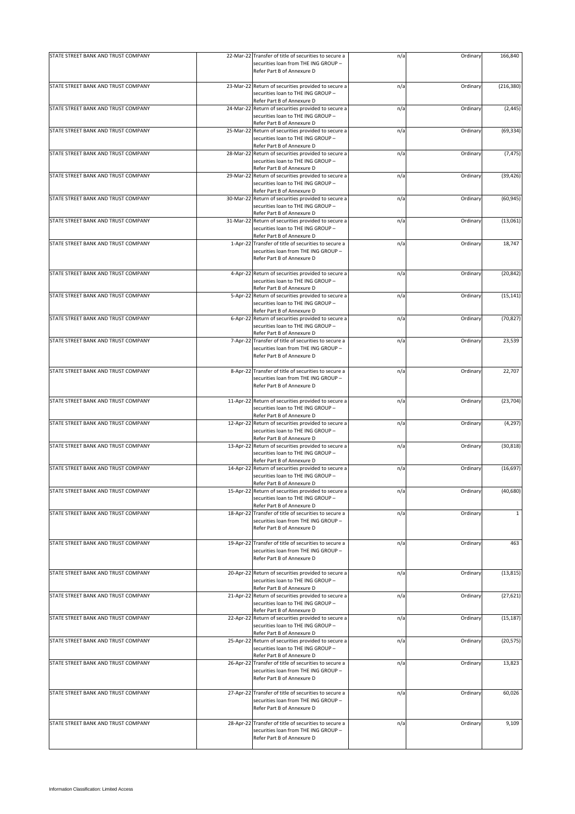| STATE STREET BANK AND TRUST COMPANY | 22-Mar-22 Transfer of title of securities to secure a<br>securities loan from THE ING GROUP -<br>Refer Part B of Annexure D                           | n/a | Ordinary | 166,840      |
|-------------------------------------|-------------------------------------------------------------------------------------------------------------------------------------------------------|-----|----------|--------------|
| STATE STREET BANK AND TRUST COMPANY | 23-Mar-22 Return of securities provided to secure a<br>securities loan to THE ING GROUP -                                                             | n/a | Ordinary | (216, 380)   |
| STATE STREET BANK AND TRUST COMPANY | Refer Part B of Annexure D<br>24-Mar-22 Return of securities provided to secure a<br>securities loan to THE ING GROUP -<br>Refer Part B of Annexure D | n/a | Ordinary | (2, 445)     |
| STATE STREET BANK AND TRUST COMPANY | 25-Mar-22 Return of securities provided to secure a<br>securities loan to THE ING GROUP -<br>Refer Part B of Annexure D                               | n/a | Ordinary | (69, 334)    |
| STATE STREET BANK AND TRUST COMPANY | 28-Mar-22 Return of securities provided to secure a<br>securities loan to THE ING GROUP -<br>Refer Part B of Annexure D                               | n/a | Ordinary | (7, 475)     |
| STATE STREET BANK AND TRUST COMPANY | 29-Mar-22 Return of securities provided to secure a<br>securities loan to THE ING GROUP -<br>Refer Part B of Annexure D                               | n/a | Ordinary | (39, 426)    |
| STATE STREET BANK AND TRUST COMPANY | 30-Mar-22 Return of securities provided to secure a<br>securities loan to THE ING GROUP -<br>Refer Part B of Annexure D                               | n/a | Ordinary | (60, 945)    |
| STATE STREET BANK AND TRUST COMPANY | 31-Mar-22 Return of securities provided to secure a<br>securities loan to THE ING GROUP -<br>Refer Part B of Annexure D                               | n/a | Ordinary | (13,061)     |
| STATE STREET BANK AND TRUST COMPANY | 1-Apr-22 Transfer of title of securities to secure a<br>securities loan from THE ING GROUP -<br>Refer Part B of Annexure D                            | n/a | Ordinary | 18,747       |
| STATE STREET BANK AND TRUST COMPANY | 4-Apr-22 Return of securities provided to secure a<br>securities loan to THE ING GROUP -<br>Refer Part B of Annexure D                                | n/a | Ordinary | (20, 842)    |
| STATE STREET BANK AND TRUST COMPANY | 5-Apr-22 Return of securities provided to secure a<br>securities loan to THE ING GROUP -<br>Refer Part B of Annexure D                                | n/a | Ordinary | (15, 141)    |
| STATE STREET BANK AND TRUST COMPANY | 6-Apr-22 Return of securities provided to secure a<br>securities loan to THE ING GROUP -<br>Refer Part B of Annexure D                                | n/a | Ordinary | (70, 827)    |
| STATE STREET BANK AND TRUST COMPANY | 7-Apr-22 Transfer of title of securities to secure a<br>securities loan from THE ING GROUP -<br>Refer Part B of Annexure D                            | n/a | Ordinary | 23,539       |
| STATE STREET BANK AND TRUST COMPANY | 8-Apr-22 Transfer of title of securities to secure a<br>securities loan from THE ING GROUP -<br>Refer Part B of Annexure D                            | n/a | Ordinary | 22,707       |
| STATE STREET BANK AND TRUST COMPANY | 11-Apr-22 Return of securities provided to secure a<br>securities loan to THE ING GROUP -<br>Refer Part B of Annexure D                               | n/a | Ordinary | (23, 704)    |
| STATE STREET BANK AND TRUST COMPANY | 12-Apr-22 Return of securities provided to secure a<br>securities loan to THE ING GROUP -<br>Refer Part B of Annexure D                               | n/a | Ordinary | (4, 297)     |
| STATE STREET BANK AND TRUST COMPANY | 13-Apr-22 Return of securities provided to secure a<br>securities loan to THE ING GROUP -<br>Refer Part B of Annexure D                               | n/a | Ordinary | (30, 818)    |
| STATE STREET BANK AND TRUST COMPANY | 14-Apr-22 Return of securities provided to secure a<br>securities loan to THE ING GROUP -<br>Refer Part B of Annexure D                               | n/a | Ordinary | (16, 697)    |
| STATE STREET BANK AND TRUST COMPANY | 15-Apr-22 Return of securities provided to secure a<br>securities loan to THE ING GROUP -<br>Refer Part B of Annexure D                               | n/a | Ordinary | (40, 680)    |
| STATE STREET BANK AND TRUST COMPANY | 18-Apr-22 Transfer of title of securities to secure a<br>securities loan from THE ING GROUP -<br>Refer Part B of Annexure D                           | n/a | Ordinary | $\mathbf{1}$ |
| STATE STREET BANK AND TRUST COMPANY | 19-Apr-22 Transfer of title of securities to secure a<br>securities loan from THE ING GROUP -<br>Refer Part B of Annexure D                           | n/a | Ordinary | 463          |
| STATE STREET BANK AND TRUST COMPANY | 20-Apr-22 Return of securities provided to secure a<br>securities loan to THE ING GROUP -<br>Refer Part B of Annexure D                               | n/a | Ordinary | (13, 815)    |
| STATE STREET BANK AND TRUST COMPANY | 21-Apr-22 Return of securities provided to secure a<br>securities loan to THE ING GROUP -<br>Refer Part B of Annexure D                               | n/a | Ordinary | (27, 621)    |
| STATE STREET BANK AND TRUST COMPANY | 22-Apr-22 Return of securities provided to secure a<br>securities loan to THE ING GROUP -<br>Refer Part B of Annexure D                               | n/a | Ordinary | (15, 187)    |
| STATE STREET BANK AND TRUST COMPANY | 25-Apr-22 Return of securities provided to secure a<br>securities loan to THE ING GROUP -<br>Refer Part B of Annexure D                               | n/a | Ordinary | (20, 575)    |
| STATE STREET BANK AND TRUST COMPANY | 26-Apr-22 Transfer of title of securities to secure a<br>securities loan from THE ING GROUP -<br>Refer Part B of Annexure D                           | n/a | Ordinary | 13,823       |
| STATE STREET BANK AND TRUST COMPANY | 27-Apr-22 Transfer of title of securities to secure a<br>securities loan from THE ING GROUP -<br>Refer Part B of Annexure D                           | n/a | Ordinary | 60,026       |
| STATE STREET BANK AND TRUST COMPANY | 28-Apr-22 Transfer of title of securities to secure a<br>securities loan from THE ING GROUP -<br>Refer Part B of Annexure D                           | n/a | Ordinary | 9,109        |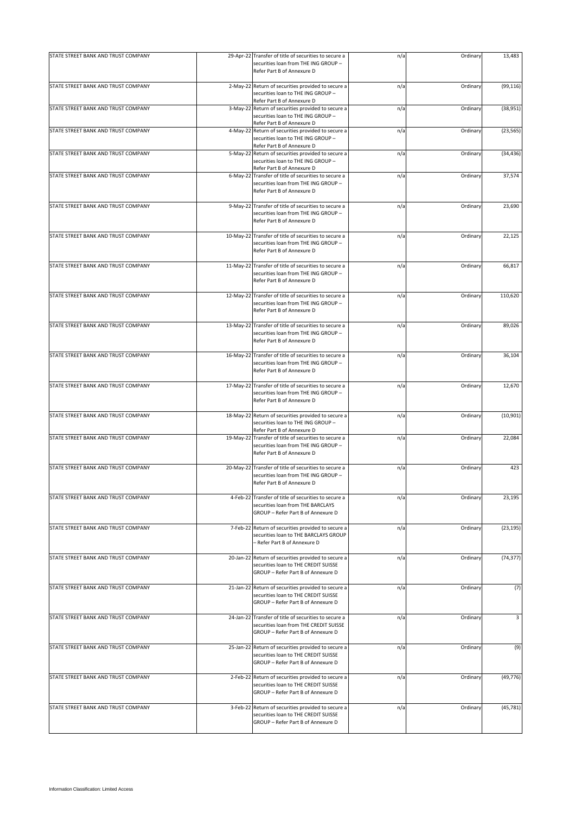| STATE STREET BANK AND TRUST COMPANY | 29-Apr-22 Transfer of title of securities to secure a<br>securities loan from THE ING GROUP -<br>Refer Part B of Annexure D           | n/a | Ordinary | 13,483    |
|-------------------------------------|---------------------------------------------------------------------------------------------------------------------------------------|-----|----------|-----------|
| STATE STREET BANK AND TRUST COMPANY | 2-May-22 Return of securities provided to secure a                                                                                    | n/a | Ordinary | (99, 116) |
|                                     | securities loan to THE ING GROUP -<br>Refer Part B of Annexure D                                                                      |     |          |           |
| STATE STREET BANK AND TRUST COMPANY | 3-May-22 Return of securities provided to secure a<br>securities loan to THE ING GROUP -<br>Refer Part B of Annexure D                | n/a | Ordinary | (38, 951) |
| STATE STREET BANK AND TRUST COMPANY | 4-May-22 Return of securities provided to secure a<br>securities loan to THE ING GROUP -<br>Refer Part B of Annexure D                | n/a | Ordinary | (23, 565) |
| STATE STREET BANK AND TRUST COMPANY | 5-May-22 Return of securities provided to secure a<br>securities loan to THE ING GROUP -<br>Refer Part B of Annexure D                | n/a | Ordinary | (34, 436) |
| STATE STREET BANK AND TRUST COMPANY | 6-May-22 Transfer of title of securities to secure a<br>securities loan from THE ING GROUP -<br>Refer Part B of Annexure D            | n/a | Ordinary | 37,574    |
| STATE STREET BANK AND TRUST COMPANY | 9-May-22 Transfer of title of securities to secure a<br>securities loan from THE ING GROUP -<br>Refer Part B of Annexure D            | n/a | Ordinary | 23,690    |
| STATE STREET BANK AND TRUST COMPANY | 10-May-22 Transfer of title of securities to secure a<br>securities loan from THE ING GROUP -<br>Refer Part B of Annexure D           | n/a | Ordinary | 22,125    |
| STATE STREET BANK AND TRUST COMPANY | 11-May-22 Transfer of title of securities to secure a<br>securities loan from THE ING GROUP -<br>Refer Part B of Annexure D           | n/a | Ordinary | 66,817    |
| STATE STREET BANK AND TRUST COMPANY | 12-May-22 Transfer of title of securities to secure a<br>securities loan from THE ING GROUP -<br>Refer Part B of Annexure D           | n/a | Ordinary | 110,620   |
| STATE STREET BANK AND TRUST COMPANY | 13-May-22 Transfer of title of securities to secure a<br>securities loan from THE ING GROUP -<br>Refer Part B of Annexure D           | n/a | Ordinary | 89,026    |
| STATE STREET BANK AND TRUST COMPANY | 16-May-22 Transfer of title of securities to secure a<br>securities loan from THE ING GROUP -<br>Refer Part B of Annexure D           | n/a | Ordinary | 36,104    |
| STATE STREET BANK AND TRUST COMPANY | 17-May-22 Transfer of title of securities to secure a<br>securities loan from THE ING GROUP -<br>Refer Part B of Annexure D           | n/a | Ordinary | 12,670    |
| STATE STREET BANK AND TRUST COMPANY | 18-May-22 Return of securities provided to secure a<br>securities loan to THE ING GROUP -<br>Refer Part B of Annexure D               | n/a | Ordinary | (10, 901) |
| STATE STREET BANK AND TRUST COMPANY | 19-May-22 Transfer of title of securities to secure a<br>securities loan from THE ING GROUP -<br>Refer Part B of Annexure D           | n/a | Ordinary | 22,084    |
| STATE STREET BANK AND TRUST COMPANY | 20-May-22 Transfer of title of securities to secure a<br>securities loan from THE ING GROUP -<br>Refer Part B of Annexure D           | n/a | Ordinary | 423       |
| STATE STREET BANK AND TRUST COMPANY | 4-Feb-22 Transfer of title of securities to secure a<br>securities loan from THE BARCLAYS<br>GROUP - Refer Part B of Annexure D       | n/a | Ordinary | 23,195    |
| STATE STREET BANK AND TRUST COMPANY | 7-Feb-22 Return of securities provided to secure a<br>securities loan to THE BARCLAYS GROUP<br>- Refer Part B of Annexure D           | n/a | Ordinary | (23, 195) |
| STATE STREET BANK AND TRUST COMPANY | 20-Jan-22 Return of securities provided to secure a<br>securities loan to THE CREDIT SUISSE<br>GROUP - Refer Part B of Annexure D     | n/a | Ordinary | (74, 377) |
| STATE STREET BANK AND TRUST COMPANY | 21-Jan-22 Return of securities provided to secure a<br>securities loan to THE CREDIT SUISSE<br>GROUP - Refer Part B of Annexure D     | n/a | Ordinary | (7)       |
| STATE STREET BANK AND TRUST COMPANY | 24-Jan-22 Transfer of title of securities to secure a<br>securities loan from THE CREDIT SUISSE<br>GROUP - Refer Part B of Annexure D | n/a | Ordinary | 3         |
| STATE STREET BANK AND TRUST COMPANY | 25-Jan-22 Return of securities provided to secure a<br>securities loan to THE CREDIT SUISSE<br>GROUP - Refer Part B of Annexure D     | n/a | Ordinary | (9)       |
| STATE STREET BANK AND TRUST COMPANY | 2-Feb-22 Return of securities provided to secure a<br>securities loan to THE CREDIT SUISSE<br>GROUP - Refer Part B of Annexure D      | n/a | Ordinary | (49, 776) |
| STATE STREET BANK AND TRUST COMPANY | 3-Feb-22 Return of securities provided to secure a<br>securities loan to THE CREDIT SUISSE<br>GROUP - Refer Part B of Annexure D      | n/a | Ordinary | (45, 781) |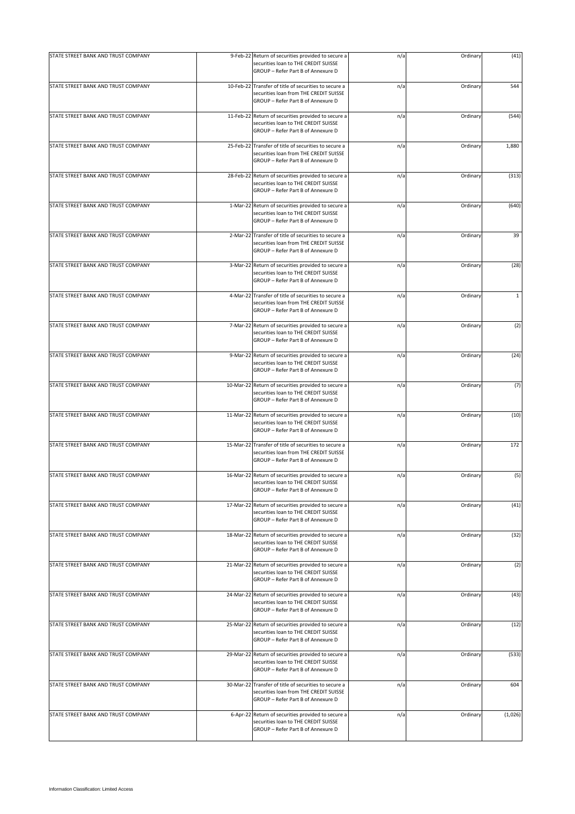| STATE STREET BANK AND TRUST COMPANY | 9-Feb-22 Return of securities provided to secure a                                                                                    | n/a | Ordinary | (41)         |
|-------------------------------------|---------------------------------------------------------------------------------------------------------------------------------------|-----|----------|--------------|
|                                     | securities loan to THE CREDIT SUISSE<br>GROUP - Refer Part B of Annexure D                                                            |     |          |              |
| STATE STREET BANK AND TRUST COMPANY | 10-Feb-22 Transfer of title of securities to secure a<br>securities loan from THE CREDIT SUISSE<br>GROUP - Refer Part B of Annexure D | n/a | Ordinary | 544          |
| STATE STREET BANK AND TRUST COMPANY | 11-Feb-22 Return of securities provided to secure a<br>securities loan to THE CREDIT SUISSE<br>GROUP - Refer Part B of Annexure D     | n/a | Ordinary | (544)        |
| STATE STREET BANK AND TRUST COMPANY | 25-Feb-22 Transfer of title of securities to secure a<br>securities loan from THE CREDIT SUISSE<br>GROUP - Refer Part B of Annexure D | n/a | Ordinary | 1,880        |
| STATE STREET BANK AND TRUST COMPANY | 28-Feb-22 Return of securities provided to secure a<br>securities loan to THE CREDIT SUISSE<br>GROUP - Refer Part B of Annexure D     | n/a | Ordinary | (313)        |
| STATE STREET BANK AND TRUST COMPANY | 1-Mar-22 Return of securities provided to secure a<br>securities loan to THE CREDIT SUISSE<br>GROUP - Refer Part B of Annexure D      | n/a | Ordinary | (640)        |
| STATE STREET BANK AND TRUST COMPANY | 2-Mar-22 Transfer of title of securities to secure a<br>securities loan from THE CREDIT SUISSE<br>GROUP - Refer Part B of Annexure D  | n/a | Ordinary | 39           |
| STATE STREET BANK AND TRUST COMPANY | 3-Mar-22 Return of securities provided to secure a<br>securities loan to THE CREDIT SUISSE<br>GROUP - Refer Part B of Annexure D      | n/a | Ordinary | (28)         |
| STATE STREET BANK AND TRUST COMPANY | 4-Mar-22 Transfer of title of securities to secure a<br>securities loan from THE CREDIT SUISSE<br>GROUP - Refer Part B of Annexure D  | n/a | Ordinary | $\mathbf{1}$ |
| STATE STREET BANK AND TRUST COMPANY | 7-Mar-22 Return of securities provided to secure a<br>securities loan to THE CREDIT SUISSE<br>GROUP - Refer Part B of Annexure D      | n/a | Ordinary | (2)          |
| STATE STREET BANK AND TRUST COMPANY | 9-Mar-22 Return of securities provided to secure a<br>securities loan to THE CREDIT SUISSE<br>GROUP - Refer Part B of Annexure D      | n/a | Ordinary | (24)         |
| STATE STREET BANK AND TRUST COMPANY | 10-Mar-22 Return of securities provided to secure a<br>securities loan to THE CREDIT SUISSE<br>GROUP - Refer Part B of Annexure D     | n/a | Ordinary | (7)          |
| STATE STREET BANK AND TRUST COMPANY | 11-Mar-22 Return of securities provided to secure a<br>securities loan to THE CREDIT SUISSE<br>GROUP - Refer Part B of Annexure D     | n/a | Ordinary | (10)         |
| STATE STREET BANK AND TRUST COMPANY | 15-Mar-22 Transfer of title of securities to secure a<br>securities loan from THE CREDIT SUISSE<br>GROUP - Refer Part B of Annexure D | n/a | Ordinary | 172          |
| STATE STREET BANK AND TRUST COMPANY | 16-Mar-22 Return of securities provided to secure a<br>securities loan to THE CREDIT SUISSE<br>GROUP - Refer Part B of Annexure D     | n/a | Ordinary | (5)          |
| STATE STREET BANK AND TRUST COMPANY | 17-Mar-22 Return of securities provided to secure a<br>securities loan to THE CREDIT SUISSE<br>GROUP - Refer Part B of Annexure D     | n/a | Ordinary | (41)         |
| STATE STREET BANK AND TRUST COMPANY | 18-Mar-22 Return of securities provided to secure a<br>securities loan to THE CREDIT SUISSE<br>GROUP - Refer Part B of Annexure D     | n/a | Ordinary | (32)         |
| STATE STREET BANK AND TRUST COMPANY | 21-Mar-22 Return of securities provided to secure a<br>securities loan to THE CREDIT SUISSE<br>GROUP - Refer Part B of Annexure D     | n/a | Ordinary | (2)          |
| STATE STREET BANK AND TRUST COMPANY | 24-Mar-22 Return of securities provided to secure a<br>securities loan to THE CREDIT SUISSE<br>GROUP - Refer Part B of Annexure D     | n/a | Ordinary | (43)         |
| STATE STREET BANK AND TRUST COMPANY | 25-Mar-22 Return of securities provided to secure a<br>securities loan to THE CREDIT SUISSE<br>GROUP - Refer Part B of Annexure D     | n/a | Ordinary | (12)         |
| STATE STREET BANK AND TRUST COMPANY | 29-Mar-22 Return of securities provided to secure a<br>securities loan to THE CREDIT SUISSE<br>GROUP - Refer Part B of Annexure D     | n/a | Ordinary | (533)        |
| STATE STREET BANK AND TRUST COMPANY | 30-Mar-22 Transfer of title of securities to secure a<br>securities loan from THE CREDIT SUISSE<br>GROUP - Refer Part B of Annexure D | n/a | Ordinary | 604          |
| STATE STREET BANK AND TRUST COMPANY | 6-Apr-22 Return of securities provided to secure a<br>securities loan to THE CREDIT SUISSE<br>GROUP - Refer Part B of Annexure D      | n/a | Ordinary | (1,026)      |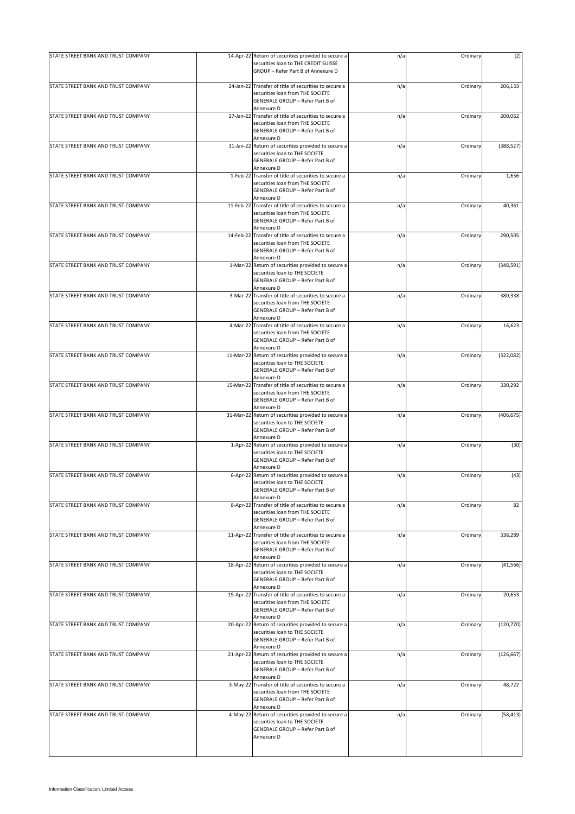| STATE STREET BANK AND TRUST COMPANY | 14-Apr-22 Return of securities provided to secure a<br>securities loan to THE CREDIT SUISSE | n/a | Ordinary | (2)        |
|-------------------------------------|---------------------------------------------------------------------------------------------|-----|----------|------------|
|                                     | GROUP - Refer Part B of Annexure D                                                          |     |          |            |
| STATE STREET BANK AND TRUST COMPANY | 24-Jan-22 Transfer of title of securities to secure a<br>securities loan from THE SOCIETE   | n/a | Ordinary | 206,133    |
|                                     | GENERALE GROUP - Refer Part B of<br>Annexure D                                              |     |          |            |
| STATE STREET BANK AND TRUST COMPANY | 27-Jan-22 Transfer of title of securities to secure a                                       | n/a | Ordinary | 200,062    |
|                                     | securities loan from THE SOCIETE<br>GENERALE GROUP - Refer Part B of                        |     |          |            |
| STATE STREET BANK AND TRUST COMPANY | Annexure D<br>31-Jan-22 Return of securities provided to secure a                           | n/a | Ordinary | (388, 527) |
|                                     | securities loan to THE SOCIETE<br>GENERALE GROUP - Refer Part B of                          |     |          |            |
|                                     | Annexure D                                                                                  |     |          |            |
| STATE STREET BANK AND TRUST COMPANY | 1-Feb-22 Transfer of title of securities to secure a<br>securities loan from THE SOCIETE    | n/a | Ordinary | 1,656      |
|                                     | GENERALE GROUP - Refer Part B of                                                            |     |          |            |
| STATE STREET BANK AND TRUST COMPANY | Annexure D<br>11-Feb-22 Transfer of title of securities to secure a                         | n/a | Ordinary | 40,361     |
|                                     | securities loan from THE SOCIETE<br>GENERALE GROUP - Refer Part B of                        |     |          |            |
|                                     | Annexure D                                                                                  |     |          |            |
| STATE STREET BANK AND TRUST COMPANY | 14-Feb-22 Transfer of title of securities to secure a<br>securities loan from THE SOCIETE   | n/a | Ordinary | 290,505    |
|                                     | GENERALE GROUP - Refer Part B of<br>Annexure D                                              |     |          |            |
| STATE STREET BANK AND TRUST COMPANY | 1-Mar-22 Return of securities provided to secure a                                          | n/a | Ordinary | (348, 591) |
|                                     | securities loan to THE SOCIETE<br>GENERALE GROUP - Refer Part B of                          |     |          |            |
|                                     | Annexure D                                                                                  |     |          |            |
| STATE STREET BANK AND TRUST COMPANY | 3-Mar-22 Transfer of title of securities to secure a<br>securities loan from THE SOCIETE    | n/a | Ordinary | 380,338    |
|                                     | GENERALE GROUP - Refer Part B of<br>Annexure D                                              |     |          |            |
| STATE STREET BANK AND TRUST COMPANY | 4-Mar-22 Transfer of title of securities to secure a                                        | n/a | Ordinary | 16,623     |
|                                     | securities loan from THE SOCIETE<br>GENERALE GROUP - Refer Part B of                        |     |          |            |
| STATE STREET BANK AND TRUST COMPANY | Annexure D<br>11-Mar-22 Return of securities provided to secure a                           |     |          | (322,082)  |
|                                     | securities loan to THE SOCIETE                                                              | n/a | Ordinary |            |
|                                     | GENERALE GROUP - Refer Part B of<br>Annexure D                                              |     |          |            |
| STATE STREET BANK AND TRUST COMPANY | 15-Mar-22 Transfer of title of securities to secure a                                       | n/a | Ordinary | 330,292    |
|                                     | securities loan from THE SOCIETE<br>GENERALE GROUP - Refer Part B of                        |     |          |            |
| STATE STREET BANK AND TRUST COMPANY | Annexure D<br>31-Mar-22 Return of securities provided to secure a                           | n/a | Ordinary | (406, 675) |
|                                     | securities loan to THE SOCIETE                                                              |     |          |            |
|                                     | GENERALE GROUP - Refer Part B of<br>Annexure D                                              |     |          |            |
| STATE STREET BANK AND TRUST COMPANY | 1-Apr-22 Return of securities provided to secure a<br>securities loan to THE SOCIETE        | n/a | Ordinary | (30)       |
|                                     | GENERALE GROUP - Refer Part B of                                                            |     |          |            |
| STATE STREET BANK AND TRUST COMPANY | Annexure D<br>6-Apr-22 Return of securities provided to secure a                            | n/a | Ordinary | (43)       |
|                                     | securities loan to THE SOCIETE<br>GENERALE GROUP - Refer Part B of                          |     |          |            |
|                                     | Annexure D                                                                                  |     |          |            |
| STATE STREET BANK AND TRUST COMPANY | 8-Apr-22 Transfer of title of securities to secure a<br>securities loan from THE SOCIETE    | n/a | Ordinary | 82         |
|                                     | GENERALE GROUP - Refer Part B of<br>Annexure D                                              |     |          |            |
| STATE STREET BANK AND TRUST COMPANY | 11-Apr-22 Transfer of title of securities to secure a                                       | n/a | Ordinary | 338,289    |
|                                     | securities loan from THE SOCIETE<br>GENERALE GROUP - Refer Part B of                        |     |          |            |
| STATE STREET BANK AND TRUST COMPANY | Annexure D<br>18-Apr-22 Return of securities provided to secure a                           | n/a | Ordinary | (41, 566)  |
|                                     | securities loan to THE SOCIETE                                                              |     |          |            |
|                                     | GENERALE GROUP - Refer Part B of<br>Annexure D                                              |     |          |            |
| STATE STREET BANK AND TRUST COMPANY | 19-Apr-22 Transfer of title of securities to secure a<br>securities loan from THE SOCIETE   | n/a | Ordinary | 20,653     |
|                                     | GENERALE GROUP - Refer Part B of                                                            |     |          |            |
| STATE STREET BANK AND TRUST COMPANY | Annexure D<br>20-Apr-22 Return of securities provided to secure a                           | n/a | Ordinary | (120, 770) |
|                                     | securities loan to THE SOCIETE<br>GENERALE GROUP - Refer Part B of                          |     |          |            |
|                                     | Annexure D                                                                                  |     |          |            |
| STATE STREET BANK AND TRUST COMPANY | 21-Apr-22 Return of securities provided to secure a<br>securities loan to THE SOCIETE       | n/a | Ordinary | (126, 667) |
|                                     | GENERALE GROUP - Refer Part B of                                                            |     |          |            |
| STATE STREET BANK AND TRUST COMPANY | Annexure D<br>3-May-22 Transfer of title of securities to secure a                          | n/a | Ordinary | 48,722     |
|                                     | securities loan from THE SOCIETE<br>GENERALE GROUP - Refer Part B of                        |     |          |            |
|                                     | Annexure D                                                                                  |     |          |            |
| STATE STREET BANK AND TRUST COMPANY | 4-May-22 Return of securities provided to secure a<br>securities loan to THE SOCIETE        | n/a | Ordinary | (58, 413)  |
|                                     | GENERALE GROUP - Refer Part B of<br>Annexure D                                              |     |          |            |
|                                     |                                                                                             |     |          |            |
|                                     |                                                                                             |     |          |            |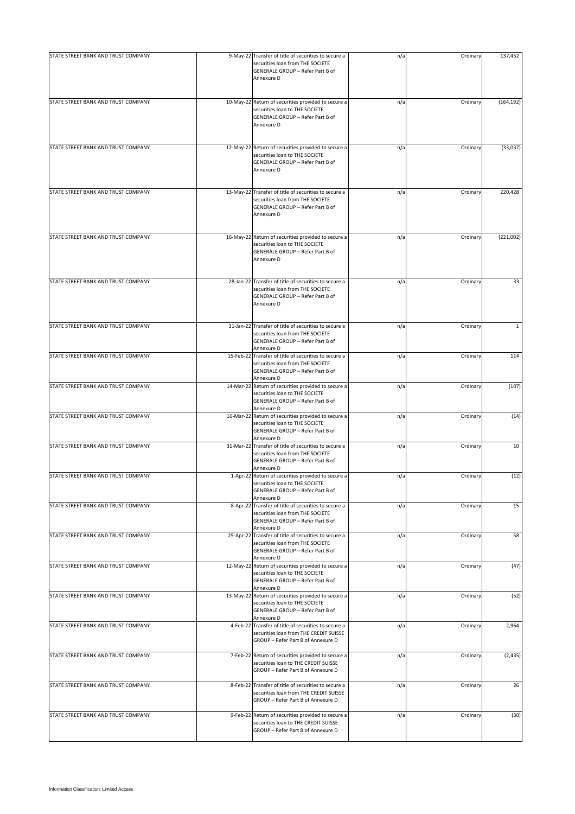| STATE STREET BANK AND TRUST COMPANY | 9-May-22 Transfer of title of securities to secure a                                                                                           | n/a | Ordinary | 137,452      |
|-------------------------------------|------------------------------------------------------------------------------------------------------------------------------------------------|-----|----------|--------------|
|                                     | securities loan from THE SOCIETE<br>GENERALE GROUP - Refer Part B of<br>Annexure D                                                             |     |          |              |
|                                     |                                                                                                                                                |     |          |              |
| STATE STREET BANK AND TRUST COMPANY | 10-May-22 Return of securities provided to secure a<br>securities loan to THE SOCIETE<br>GENERALE GROUP - Refer Part B of<br>Annexure D        | n/a | Ordinary | (164, 192)   |
| STATE STREET BANK AND TRUST COMPANY | 12-May-22 Return of securities provided to secure a<br>securities loan to THE SOCIETE<br><b>GENERALE GROUP - Refer Part B of</b><br>Annexure D | n/a | Ordinary | (33,037)     |
| STATE STREET BANK AND TRUST COMPANY | 13-May-22 Transfer of title of securities to secure a<br>securities loan from THE SOCIETE<br>GENERALE GROUP - Refer Part B of<br>Annexure D    | n/a | Ordinary | 220,428      |
| STATE STREET BANK AND TRUST COMPANY | 16-May-22 Return of securities provided to secure a<br>securities loan to THE SOCIETE<br><b>GENERALE GROUP - Refer Part B of</b><br>Annexure D | n/a | Ordinary | (221,002)    |
| STATE STREET BANK AND TRUST COMPANY | 28-Jan-22 Transfer of title of securities to secure a<br>securities loan from THE SOCIETE<br>GENERALE GROUP - Refer Part B of<br>Annexure D    | n/a | Ordinary | 33           |
| STATE STREET BANK AND TRUST COMPANY | 31-Jan-22 Transfer of title of securities to secure a<br>securities loan from THE SOCIETE<br>GENERALE GROUP - Refer Part B of<br>Annexure D    | n/a | Ordinary | $\mathbf{1}$ |
| STATE STREET BANK AND TRUST COMPANY | 15-Feb-22 Transfer of title of securities to secure a<br>securities loan from THE SOCIETE<br>GENERALE GROUP - Refer Part B of<br>Annexure D    | n/a | Ordinary | 114          |
| STATE STREET BANK AND TRUST COMPANY | 14-Mar-22 Return of securities provided to secure a<br>securities loan to THE SOCIETE<br>GENERALE GROUP - Refer Part B of<br>Annexure D        | n/a | Ordinary | (107)        |
| STATE STREET BANK AND TRUST COMPANY | 16-Mar-22 Return of securities provided to secure a<br>securities loan to THE SOCIETE<br>GENERALE GROUP - Refer Part B of<br>Annexure D        | n/a | Ordinary | (14)         |
| STATE STREET BANK AND TRUST COMPANY | 31-Mar-22 Transfer of title of securities to secure a<br>securities loan from THE SOCIETE<br>GENERALE GROUP - Refer Part B of<br>Annexure D    | n/a | Ordinary | 10           |
| STATE STREET BANK AND TRUST COMPANY | 1-Apr-22 Return of securities provided to secure a<br>securities loan to THE SOCIETE<br>GENERALE GROUP - Refer Part B of<br>Annexure D         | n/a | Ordinary | (12)         |
| STATE STREET BANK AND TRUST COMPANY | 8-Apr-22 Transfer of title of securities to secure a<br>securities loan from THE SOCIETE<br>GENERALE GROUP - Refer Part B of<br>Annexure D     | n/a | Ordinary | 15           |
| STATE STREET BANK AND TRUST COMPANY | 25-Apr-22 Transfer of title of securities to secure a<br>securities loan from THE SOCIETE<br>GENERALE GROUP - Refer Part B of<br>Annexure D    | n/a | Ordinary | 58           |
| STATE STREET BANK AND TRUST COMPANY | 12-May-22 Return of securities provided to secure a<br>securities loan to THE SOCIETE<br><b>GENERALE GROUP - Refer Part B of</b><br>Annexure D | n/a | Ordinary | (47)         |
| STATE STREET BANK AND TRUST COMPANY | 13-May-22 Return of securities provided to secure a<br>securities loan to THE SOCIETE<br>GENERALE GROUP - Refer Part B of<br>Annexure D        | n/a | Ordinary | (52)         |
| STATE STREET BANK AND TRUST COMPANY | 4-Feb-22 Transfer of title of securities to secure a<br>securities loan from THE CREDIT SUISSE<br>GROUP - Refer Part B of Annexure D           | n/a | Ordinary | 2,964        |
| STATE STREET BANK AND TRUST COMPANY | 7-Feb-22 Return of securities provided to secure a<br>securities loan to THE CREDIT SUISSE<br>GROUP - Refer Part B of Annexure D               | n/a | Ordinary | (2, 435)     |
| STATE STREET BANK AND TRUST COMPANY | 8-Feb-22 Transfer of title of securities to secure a<br>securities loan from THE CREDIT SUISSE<br>GROUP - Refer Part B of Annexure D           | n/a | Ordinary | 26           |
| STATE STREET BANK AND TRUST COMPANY | 9-Feb-22 Return of securities provided to secure a<br>securities loan to THE CREDIT SUISSE<br>GROUP - Refer Part B of Annexure D               | n/a | Ordinary | (30)         |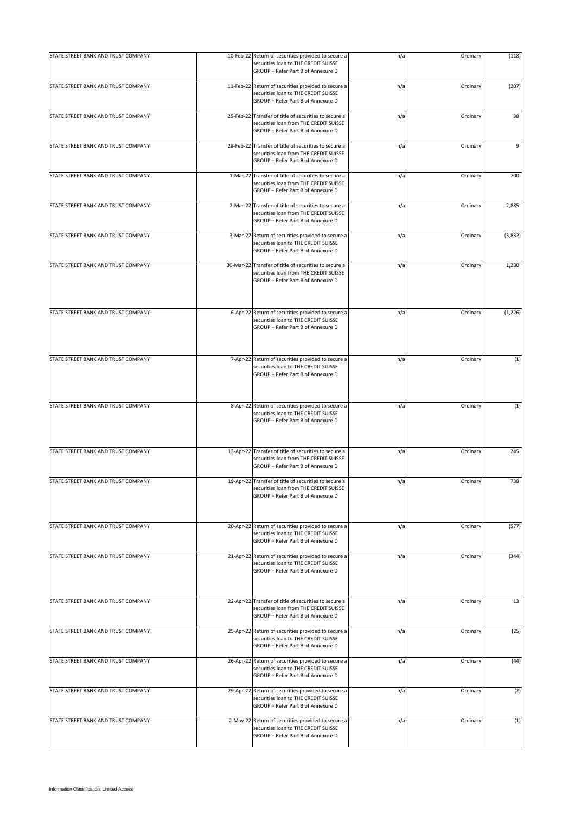| STATE STREET BANK AND TRUST COMPANY | 10-Feb-22 Return of securities provided to secure a<br>securities loan to THE CREDIT SUISSE<br>GROUP - Refer Part B of Annexure D     | n/a | Ordinary | (118)    |
|-------------------------------------|---------------------------------------------------------------------------------------------------------------------------------------|-----|----------|----------|
| STATE STREET BANK AND TRUST COMPANY | 11-Feb-22 Return of securities provided to secure a<br>securities loan to THE CREDIT SUISSE<br>GROUP - Refer Part B of Annexure D     | n/a | Ordinary | (207)    |
| STATE STREET BANK AND TRUST COMPANY | 25-Feb-22 Transfer of title of securities to secure a<br>securities loan from THE CREDIT SUISSE<br>GROUP - Refer Part B of Annexure D | n/a | Ordinary | 38       |
| STATE STREET BANK AND TRUST COMPANY | 28-Feb-22 Transfer of title of securities to secure a<br>securities loan from THE CREDIT SUISSE<br>GROUP - Refer Part B of Annexure D | n/a | Ordinary | 9        |
| STATE STREET BANK AND TRUST COMPANY | 1-Mar-22 Transfer of title of securities to secure a<br>securities loan from THE CREDIT SUISSE<br>GROUP - Refer Part B of Annexure D  | n/a | Ordinary | 700      |
| STATE STREET BANK AND TRUST COMPANY | 2-Mar-22 Transfer of title of securities to secure a<br>securities loan from THE CREDIT SUISSE<br>GROUP - Refer Part B of Annexure D  | n/a | Ordinary | 2,885    |
| STATE STREET BANK AND TRUST COMPANY | 3-Mar-22 Return of securities provided to secure a<br>securities loan to THE CREDIT SUISSE<br>GROUP - Refer Part B of Annexure D      | n/a | Ordinary | (3,832)  |
| STATE STREET BANK AND TRUST COMPANY | 30-Mar-22 Transfer of title of securities to secure a<br>securities loan from THE CREDIT SUISSE<br>GROUP - Refer Part B of Annexure D | n/a | Ordinary | 1,230    |
| STATE STREET BANK AND TRUST COMPANY | 6-Apr-22 Return of securities provided to secure a<br>securities loan to THE CREDIT SUISSE<br>GROUP - Refer Part B of Annexure D      | n/a | Ordinary | (1, 226) |
| STATE STREET BANK AND TRUST COMPANY | 7-Apr-22 Return of securities provided to secure a<br>securities loan to THE CREDIT SUISSE<br>GROUP - Refer Part B of Annexure D      | n/a | Ordinary | (1)      |
| STATE STREET BANK AND TRUST COMPANY | 8-Apr-22 Return of securities provided to secure a<br>securities loan to THE CREDIT SUISSE<br>GROUP - Refer Part B of Annexure D      | n/a | Ordinary | (1)      |
| STATE STREET BANK AND TRUST COMPANY | 13-Apr-22 Transfer of title of securities to secure a<br>securities loan from THE CREDIT SUISSE<br>GROUP - Refer Part B of Annexure D | n/a | Ordinary | 245      |
| STATE STREET BANK AND TRUST COMPANY | 19-Apr-22 Transfer of title of securities to secure a<br>securities loan from THE CREDIT SUISSE<br>GROUP - Refer Part B of Annexure D | n/a | Ordinary | 738      |
| STATE STREET BANK AND TRUST COMPANY | 20-Apr-22 Return of securities provided to secure a<br>securities loan to THE CREDIT SUISSE<br>GROUP - Refer Part B of Annexure D     | n/a | Ordinary | (577)    |
| STATE STREET BANK AND TRUST COMPANY | 21-Apr-22 Return of securities provided to secure a<br>securities loan to THE CREDIT SUISSE<br>GROUP - Refer Part B of Annexure D     | n/a | Ordinary | (344)    |
| STATE STREET BANK AND TRUST COMPANY | 22-Apr-22 Transfer of title of securities to secure a<br>securities loan from THE CREDIT SUISSE<br>GROUP - Refer Part B of Annexure D | n/a | Ordinary | 13       |
| STATE STREET BANK AND TRUST COMPANY | 25-Apr-22 Return of securities provided to secure a<br>securities loan to THE CREDIT SUISSE<br>GROUP - Refer Part B of Annexure D     | n/a | Ordinary | (25)     |
| STATE STREET BANK AND TRUST COMPANY | 26-Apr-22 Return of securities provided to secure a<br>securities loan to THE CREDIT SUISSE<br>GROUP - Refer Part B of Annexure D     | n/a | Ordinary | (44)     |
| STATE STREET BANK AND TRUST COMPANY | 29-Apr-22 Return of securities provided to secure a<br>securities loan to THE CREDIT SUISSE<br>GROUP - Refer Part B of Annexure D     | n/a | Ordinary | (2)      |
| STATE STREET BANK AND TRUST COMPANY | 2-May-22 Return of securities provided to secure a<br>securities loan to THE CREDIT SUISSE<br>GROUP - Refer Part B of Annexure D      | n/a | Ordinary | (1)      |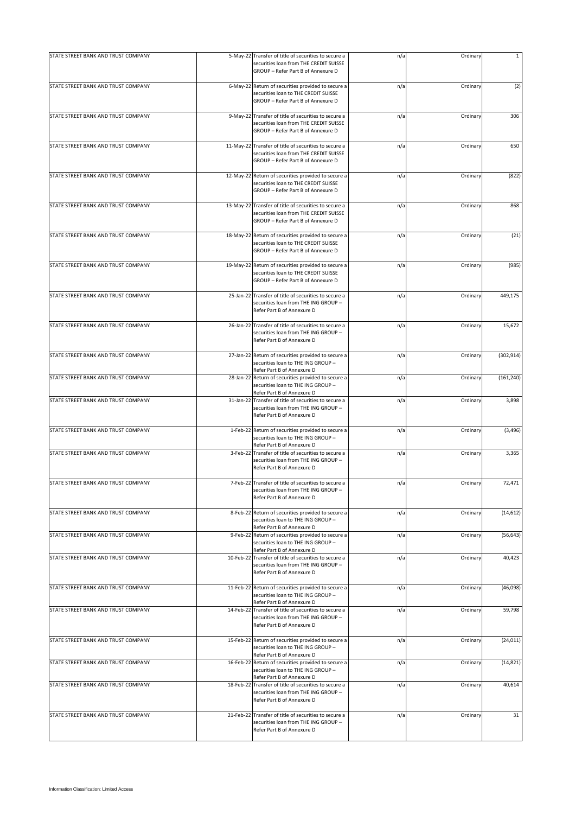| STATE STREET BANK AND TRUST COMPANY | 5-May-22 Transfer of title of securities to secure a<br>securities loan from THE CREDIT SUISSE<br>GROUP - Refer Part B of Annexure D  | n/a | Ordinary | $\mathbf{1}$ |
|-------------------------------------|---------------------------------------------------------------------------------------------------------------------------------------|-----|----------|--------------|
| STATE STREET BANK AND TRUST COMPANY | 6-May-22 Return of securities provided to secure a<br>securities loan to THE CREDIT SUISSE<br>GROUP - Refer Part B of Annexure D      | n/a | Ordinary | (2)          |
| STATE STREET BANK AND TRUST COMPANY | 9-May-22 Transfer of title of securities to secure a<br>securities loan from THE CREDIT SUISSE<br>GROUP - Refer Part B of Annexure D  | n/a | Ordinary | 306          |
| STATE STREET BANK AND TRUST COMPANY | 11-May-22 Transfer of title of securities to secure a<br>securities loan from THE CREDIT SUISSE<br>GROUP - Refer Part B of Annexure D | n/a | Ordinary | 650          |
| STATE STREET BANK AND TRUST COMPANY | 12-May-22 Return of securities provided to secure a<br>securities loan to THE CREDIT SUISSE<br>GROUP - Refer Part B of Annexure D     | n/a | Ordinary | (822)        |
| STATE STREET BANK AND TRUST COMPANY | 13-May-22 Transfer of title of securities to secure a<br>securities loan from THE CREDIT SUISSE<br>GROUP - Refer Part B of Annexure D | n/a | Ordinary | 868          |
| STATE STREET BANK AND TRUST COMPANY | 18-May-22 Return of securities provided to secure a<br>securities loan to THE CREDIT SUISSE<br>GROUP - Refer Part B of Annexure D     | n/a | Ordinary | (21)         |
| STATE STREET BANK AND TRUST COMPANY | 19-May-22 Return of securities provided to secure a<br>securities loan to THE CREDIT SUISSE<br>GROUP - Refer Part B of Annexure D     | n/a | Ordinary | (985)        |
| STATE STREET BANK AND TRUST COMPANY | 25-Jan-22 Transfer of title of securities to secure a<br>securities loan from THE ING GROUP -<br>Refer Part B of Annexure D           | n/a | Ordinary | 449,175      |
| STATE STREET BANK AND TRUST COMPANY | 26-Jan-22 Transfer of title of securities to secure a<br>securities loan from THE ING GROUP -<br>Refer Part B of Annexure D           | n/a | Ordinary | 15,672       |
| STATE STREET BANK AND TRUST COMPANY | 27-Jan-22 Return of securities provided to secure a<br>securities loan to THE ING GROUP -<br>Refer Part B of Annexure D               | n/a | Ordinary | (302, 914)   |
| STATE STREET BANK AND TRUST COMPANY | 28-Jan-22 Return of securities provided to secure a<br>securities loan to THE ING GROUP -<br>Refer Part B of Annexure D               | n/a | Ordinary | (161, 240)   |
| STATE STREET BANK AND TRUST COMPANY | 31-Jan-22 Transfer of title of securities to secure a<br>securities loan from THE ING GROUP -<br>Refer Part B of Annexure D           | n/a | Ordinary | 3,898        |
| STATE STREET BANK AND TRUST COMPANY | 1-Feb-22 Return of securities provided to secure a<br>securities loan to THE ING GROUP -<br>Refer Part B of Annexure D                | n/a | Ordinary | (3, 496)     |
| STATE STREET BANK AND TRUST COMPANY | 3-Feb-22 Transfer of title of securities to secure a<br>securities loan from THE ING GROUP -<br>Refer Part B of Annexure D            | n/a | Ordinary | 3,365        |
| STATE STREET BANK AND TRUST COMPANY | 7-Feb-22 Transfer of title of securities to secure a<br>securities loan from THE ING GROUP -<br>Refer Part B of Annexure D            | n/a | Ordinary | 72,471       |
| STATE STREET BANK AND TRUST COMPANY | 8-Feb-22 Return of securities provided to secure a<br>securities loan to THE ING GROUP -<br>Refer Part B of Annexure D                | n/a | Ordinary | (14, 612)    |
| STATE STREET BANK AND TRUST COMPANY | 9-Feb-22 Return of securities provided to secure a<br>securities loan to THE ING GROUP -<br>Refer Part B of Annexure D                | n/a | Ordinary | (56, 643)    |
| STATE STREET BANK AND TRUST COMPANY | 10-Feb-22 Transfer of title of securities to secure a<br>securities loan from THE ING GROUP -<br>Refer Part B of Annexure D           | n/a | Ordinary | 40,423       |
| STATE STREET BANK AND TRUST COMPANY | 11-Feb-22 Return of securities provided to secure a<br>securities loan to THE ING GROUP -<br>Refer Part B of Annexure D               | n/a | Ordinary | (46,098)     |
| STATE STREET BANK AND TRUST COMPANY | 14-Feb-22 Transfer of title of securities to secure a<br>securities loan from THE ING GROUP -<br>Refer Part B of Annexure D           | n/a | Ordinary | 59,798       |
| STATE STREET BANK AND TRUST COMPANY | 15-Feb-22 Return of securities provided to secure a<br>securities loan to THE ING GROUP -<br>Refer Part B of Annexure D               | n/a | Ordinary | (24, 011)    |
| STATE STREET BANK AND TRUST COMPANY | 16-Feb-22 Return of securities provided to secure a<br>securities loan to THE ING GROUP -<br>Refer Part B of Annexure D               | n/a | Ordinary | (14, 821)    |
| STATE STREET BANK AND TRUST COMPANY |                                                                                                                                       |     |          |              |
|                                     | 18-Feb-22 Transfer of title of securities to secure a<br>securities loan from THE ING GROUP -<br>Refer Part B of Annexure D           | n/a | Ordinary | 40,614       |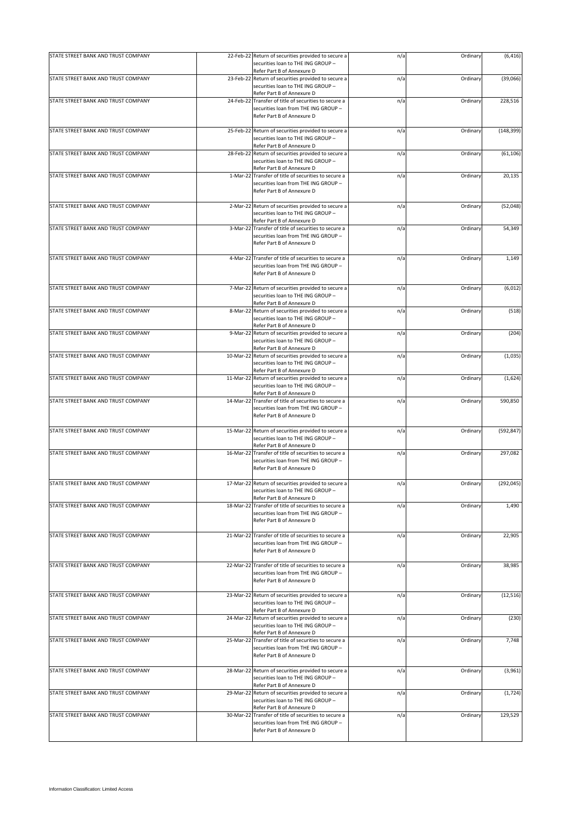| STATE STREET BANK AND TRUST COMPANY | 22-Feb-22 Return of securities provided to secure a<br>securities loan to THE ING GROUP -<br>Refer Part B of Annexure D     | n/a | Ordinary | (6, 416)   |
|-------------------------------------|-----------------------------------------------------------------------------------------------------------------------------|-----|----------|------------|
| STATE STREET BANK AND TRUST COMPANY | 23-Feb-22 Return of securities provided to secure a<br>securities loan to THE ING GROUP -<br>Refer Part B of Annexure D     | n/a | Ordinary | (39,066)   |
| STATE STREET BANK AND TRUST COMPANY | 24-Feb-22 Transfer of title of securities to secure a<br>securities loan from THE ING GROUP -<br>Refer Part B of Annexure D | n/a | Ordinary | 228,516    |
| STATE STREET BANK AND TRUST COMPANY | 25-Feb-22 Return of securities provided to secure a<br>securities loan to THE ING GROUP -<br>Refer Part B of Annexure D     | n/a | Ordinary | (148, 399) |
| STATE STREET BANK AND TRUST COMPANY | 28-Feb-22 Return of securities provided to secure a<br>securities loan to THE ING GROUP -<br>Refer Part B of Annexure D     | n/a | Ordinary | (61, 106)  |
| STATE STREET BANK AND TRUST COMPANY | 1-Mar-22 Transfer of title of securities to secure a<br>securities loan from THE ING GROUP -<br>Refer Part B of Annexure D  | n/a | Ordinary | 20,135     |
| STATE STREET BANK AND TRUST COMPANY | 2-Mar-22 Return of securities provided to secure a<br>securities loan to THE ING GROUP -<br>Refer Part B of Annexure D      | n/a | Ordinary | (52,048)   |
| STATE STREET BANK AND TRUST COMPANY | 3-Mar-22 Transfer of title of securities to secure a<br>securities loan from THE ING GROUP -<br>Refer Part B of Annexure D  | n/a | Ordinary | 54,349     |
| STATE STREET BANK AND TRUST COMPANY | 4-Mar-22 Transfer of title of securities to secure a<br>securities loan from THE ING GROUP -<br>Refer Part B of Annexure D  | n/a | Ordinary | 1,149      |
| STATE STREET BANK AND TRUST COMPANY | 7-Mar-22 Return of securities provided to secure a<br>securities loan to THE ING GROUP -<br>Refer Part B of Annexure D      | n/a | Ordinary | (6,012)    |
| STATE STREET BANK AND TRUST COMPANY | 8-Mar-22 Return of securities provided to secure a<br>securities loan to THE ING GROUP -<br>Refer Part B of Annexure D      | n/a | Ordinary | (518)      |
| STATE STREET BANK AND TRUST COMPANY | 9-Mar-22 Return of securities provided to secure a<br>securities loan to THE ING GROUP -<br>Refer Part B of Annexure D      | n/a | Ordinary | (204)      |
| STATE STREET BANK AND TRUST COMPANY | 10-Mar-22 Return of securities provided to secure a<br>securities loan to THE ING GROUP -<br>Refer Part B of Annexure D     | n/a | Ordinary | (1,035)    |
| STATE STREET BANK AND TRUST COMPANY | 11-Mar-22 Return of securities provided to secure a<br>securities loan to THE ING GROUP -<br>Refer Part B of Annexure D     | n/a | Ordinary | (1,624)    |
| STATE STREET BANK AND TRUST COMPANY | 14-Mar-22 Transfer of title of securities to secure a<br>securities loan from THE ING GROUP -<br>Refer Part B of Annexure D | n/a | Ordinary | 590,850    |
| STATE STREET BANK AND TRUST COMPANY | 15-Mar-22 Return of securities provided to secure a<br>securities loan to THE ING GROUP -<br>Refer Part B of Annexure D     | n/a | Ordinary | (592, 847) |
| STATE STREET BANK AND TRUST COMPANY | 16-Mar-22 Transfer of title of securities to secure a<br>securities loan from THE ING GROUP -<br>Refer Part B of Annexure D | n/a | Ordinary | 297,082    |
| STATE STREET BANK AND TRUST COMPANY | 17-Mar-22 Return of securities provided to secure a<br>securities loan to THE ING GROUP -<br>Refer Part B of Annexure D     | n/a | Ordinary | (292, 045) |
| STATE STREET BANK AND TRUST COMPANY | 18-Mar-22 Transfer of title of securities to secure a<br>securities loan from THE ING GROUP -<br>Refer Part B of Annexure D | n/a | Ordinary | 1,490      |
| STATE STREET BANK AND TRUST COMPANY | 21-Mar-22 Transfer of title of securities to secure a<br>securities loan from THE ING GROUP -<br>Refer Part B of Annexure D | n/a | Ordinary | 22,905     |
| STATE STREET BANK AND TRUST COMPANY | 22-Mar-22 Transfer of title of securities to secure a<br>securities loan from THE ING GROUP -<br>Refer Part B of Annexure D | n/a | Ordinary | 38,985     |
| STATE STREET BANK AND TRUST COMPANY | 23-Mar-22 Return of securities provided to secure a<br>securities loan to THE ING GROUP -<br>Refer Part B of Annexure D     | n/a | Ordinary | (12, 516)  |
| STATE STREET BANK AND TRUST COMPANY | 24-Mar-22 Return of securities provided to secure a<br>securities loan to THE ING GROUP -<br>Refer Part B of Annexure D     | n/a | Ordinary | (230)      |
| STATE STREET BANK AND TRUST COMPANY | 25-Mar-22 Transfer of title of securities to secure a<br>securities loan from THE ING GROUP -<br>Refer Part B of Annexure D | n/a | Ordinary | 7,748      |
| STATE STREET BANK AND TRUST COMPANY | 28-Mar-22 Return of securities provided to secure a<br>securities loan to THE ING GROUP -<br>Refer Part B of Annexure D     | n/a | Ordinary | (3,961)    |
| STATE STREET BANK AND TRUST COMPANY | 29-Mar-22 Return of securities provided to secure a<br>securities loan to THE ING GROUP -<br>Refer Part B of Annexure D     | n/a | Ordinary | (1,724)    |
| STATE STREET BANK AND TRUST COMPANY | 30-Mar-22 Transfer of title of securities to secure a<br>securities loan from THE ING GROUP -<br>Refer Part B of Annexure D | n/a | Ordinary | 129,529    |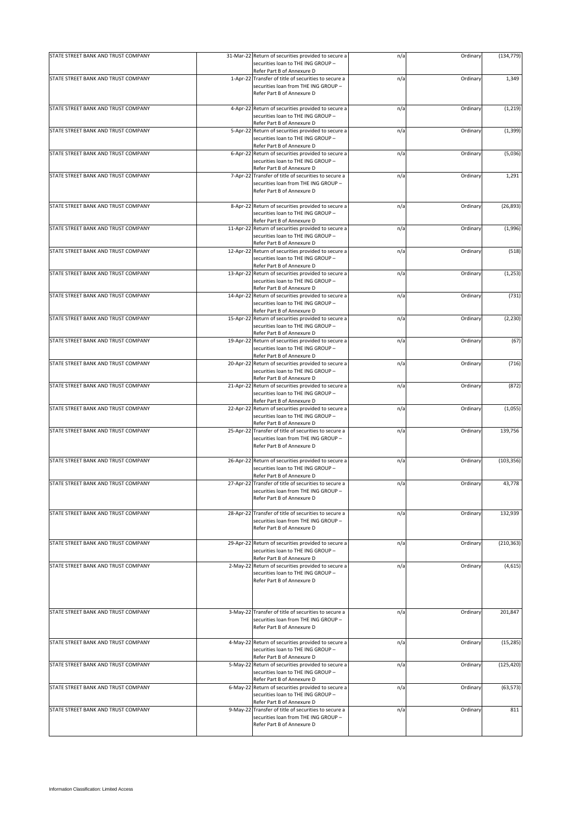| STATE STREET BANK AND TRUST COMPANY | 31-Mar-22 Return of securities provided to secure a<br>securities loan to THE ING GROUP -                                                                | n/a | Ordinary | (134, 779) |
|-------------------------------------|----------------------------------------------------------------------------------------------------------------------------------------------------------|-----|----------|------------|
|                                     | Refer Part B of Annexure D                                                                                                                               |     |          |            |
| STATE STREET BANK AND TRUST COMPANY | 1-Apr-22 Transfer of title of securities to secure a<br>securities loan from THE ING GROUP -<br>Refer Part B of Annexure D                               | n/a | Ordinary | 1,349      |
| STATE STREET BANK AND TRUST COMPANY | 4-Apr-22 Return of securities provided to secure a<br>securities loan to THE ING GROUP -<br>Refer Part B of Annexure D                                   | n/a | Ordinary | (1, 219)   |
| STATE STREET BANK AND TRUST COMPANY | 5-Apr-22 Return of securities provided to secure a<br>securities loan to THE ING GROUP -<br>Refer Part B of Annexure D                                   | n/a | Ordinary | (1, 399)   |
| STATE STREET BANK AND TRUST COMPANY | 6-Apr-22 Return of securities provided to secure a<br>securities loan to THE ING GROUP -                                                                 | n/a | Ordinary | (5,036)    |
| STATE STREET BANK AND TRUST COMPANY | Refer Part B of Annexure D<br>7-Apr-22 Transfer of title of securities to secure a<br>securities loan from THE ING GROUP -<br>Refer Part B of Annexure D | n/a | Ordinary | 1,291      |
| STATE STREET BANK AND TRUST COMPANY | 8-Apr-22 Return of securities provided to secure a<br>securities loan to THE ING GROUP -<br>Refer Part B of Annexure D                                   | n/a | Ordinary | (26, 893)  |
| STATE STREET BANK AND TRUST COMPANY | 11-Apr-22 Return of securities provided to secure a<br>securities loan to THE ING GROUP -<br>Refer Part B of Annexure D                                  | n/a | Ordinary | (1,996)    |
| STATE STREET BANK AND TRUST COMPANY | 12-Apr-22 Return of securities provided to secure a<br>securities loan to THE ING GROUP -<br>Refer Part B of Annexure D                                  | n/a | Ordinary | (518)      |
| STATE STREET BANK AND TRUST COMPANY | 13-Apr-22 Return of securities provided to secure a<br>securities loan to THE ING GROUP -<br>Refer Part B of Annexure D                                  | n/a | Ordinary | (1, 253)   |
| STATE STREET BANK AND TRUST COMPANY | 14-Apr-22 Return of securities provided to secure a<br>securities loan to THE ING GROUP -<br>Refer Part B of Annexure D                                  | n/a | Ordinary | (731)      |
| STATE STREET BANK AND TRUST COMPANY | 15-Apr-22 Return of securities provided to secure a<br>securities loan to THE ING GROUP -<br>Refer Part B of Annexure D                                  | n/a | Ordinary | (2, 230)   |
| STATE STREET BANK AND TRUST COMPANY | 19-Apr-22 Return of securities provided to secure a<br>securities loan to THE ING GROUP -<br>Refer Part B of Annexure D                                  | n/a | Ordinary | (67)       |
| STATE STREET BANK AND TRUST COMPANY | 20-Apr-22 Return of securities provided to secure a<br>securities loan to THE ING GROUP -<br>Refer Part B of Annexure D                                  | n/a | Ordinary | (716)      |
| STATE STREET BANK AND TRUST COMPANY | 21-Apr-22 Return of securities provided to secure a<br>securities loan to THE ING GROUP -<br>Refer Part B of Annexure D                                  | n/a | Ordinary | (872)      |
| STATE STREET BANK AND TRUST COMPANY | 22-Apr-22 Return of securities provided to secure a<br>securities loan to THE ING GROUP -<br>Refer Part B of Annexure D                                  | n/a | Ordinary | (1,055)    |
| STATE STREET BANK AND TRUST COMPANY | 25-Apr-22 Transfer of title of securities to secure a<br>securities loan from THE ING GROUP -<br>Refer Part B of Annexure D                              | n/a | Ordinary | 139,756    |
| STATE STREET BANK AND TRUST COMPANY | 26-Apr-22 Return of securities provided to secure a<br>securities loan to THE ING GROUP -<br>Refer Part B of Annexure D                                  | n/a | Ordinary | (103, 356) |
| STATE STREET BANK AND TRUST COMPANY | 27-Apr-22 Transfer of title of securities to secure a<br>securities loan from THE ING GROUP -<br>Refer Part B of Annexure D                              | n/a | Ordinary | 43,778     |
| STATE STREET BANK AND TRUST COMPANY | 28-Apr-22 Transfer of title of securities to secure a<br>securities loan from THE ING GROUP -<br>Refer Part B of Annexure D                              | n/a | Ordinary | 132,939    |
| STATE STREET BANK AND TRUST COMPANY | 29-Apr-22 Return of securities provided to secure a<br>securities loan to THE ING GROUP -<br>Refer Part B of Annexure D                                  | n/a | Ordinary | (210, 363) |
| STATE STREET BANK AND TRUST COMPANY | 2-May-22 Return of securities provided to secure a<br>securities loan to THE ING GROUP -<br>Refer Part B of Annexure D                                   | n/a | Ordinary | (4,615)    |
| STATE STREET BANK AND TRUST COMPANY | 3-May-22 Transfer of title of securities to secure a<br>securities loan from THE ING GROUP -<br>Refer Part B of Annexure D                               | n/a | Ordinary | 201,847    |
| STATE STREET BANK AND TRUST COMPANY | 4-May-22 Return of securities provided to secure a<br>securities loan to THE ING GROUP -<br>Refer Part B of Annexure D                                   | n/a | Ordinary | (15, 285)  |
| STATE STREET BANK AND TRUST COMPANY | 5-May-22 Return of securities provided to secure a<br>securities loan to THE ING GROUP -<br>Refer Part B of Annexure D                                   | n/a | Ordinary | (125, 420) |
| STATE STREET BANK AND TRUST COMPANY | 6-May-22 Return of securities provided to secure a<br>securities loan to THE ING GROUP -<br>Refer Part B of Annexure D                                   | n/a | Ordinary | (63, 573)  |
| STATE STREET BANK AND TRUST COMPANY | 9-May-22 Transfer of title of securities to secure a<br>securities loan from THE ING GROUP -<br>Refer Part B of Annexure D                               | n/a | Ordinary | 811        |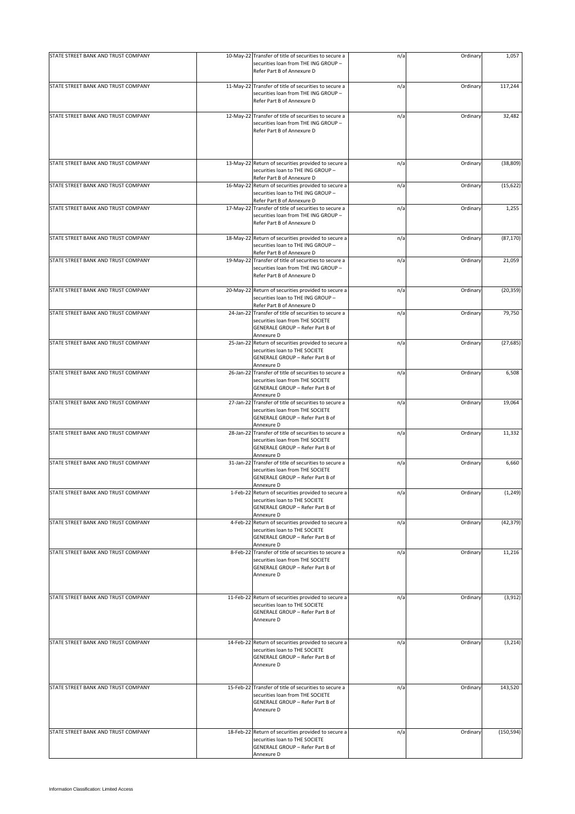| STATE STREET BANK AND TRUST COMPANY |                                                                                                                                             |     | Ordinary | 1,057      |
|-------------------------------------|---------------------------------------------------------------------------------------------------------------------------------------------|-----|----------|------------|
|                                     | 10-May-22 Transfer of title of securities to secure a<br>securities loan from THE ING GROUP -<br>Refer Part B of Annexure D                 | n/a |          |            |
| STATE STREET BANK AND TRUST COMPANY | 11-May-22 Transfer of title of securities to secure a<br>securities loan from THE ING GROUP -<br>Refer Part B of Annexure D                 | n/a | Ordinary | 117,244    |
| STATE STREET BANK AND TRUST COMPANY | 12-May-22 Transfer of title of securities to secure a<br>securities loan from THE ING GROUP -<br>Refer Part B of Annexure D                 | n/a | Ordinary | 32,482     |
| STATE STREET BANK AND TRUST COMPANY | 13-May-22 Return of securities provided to secure a<br>securities loan to THE ING GROUP -<br>Refer Part B of Annexure D                     | n/a | Ordinary | (38, 809)  |
| STATE STREET BANK AND TRUST COMPANY | 16-May-22 Return of securities provided to secure a<br>securities loan to THE ING GROUP -<br>Refer Part B of Annexure D                     | n/a | Ordinary | (15, 622)  |
| STATE STREET BANK AND TRUST COMPANY | 17-May-22 Transfer of title of securities to secure a<br>securities loan from THE ING GROUP -<br>Refer Part B of Annexure D                 | n/a | Ordinary | 1,255      |
| STATE STREET BANK AND TRUST COMPANY | 18-May-22 Return of securities provided to secure a<br>securities loan to THE ING GROUP -<br>Refer Part B of Annexure D                     | n/a | Ordinary | (87, 170)  |
| STATE STREET BANK AND TRUST COMPANY | 19-May-22 Transfer of title of securities to secure a<br>securities loan from THE ING GROUP -<br>Refer Part B of Annexure D                 | n/a | Ordinary | 21,059     |
| STATE STREET BANK AND TRUST COMPANY | 20-May-22 Return of securities provided to secure a<br>securities loan to THE ING GROUP -<br>Refer Part B of Annexure D                     | n/a | Ordinary | (20, 359)  |
| STATE STREET BANK AND TRUST COMPANY | 24-Jan-22 Transfer of title of securities to secure a<br>securities loan from THE SOCIETE<br>GENERALE GROUP - Refer Part B of<br>Annexure D | n/a | Ordinary | 79,750     |
| STATE STREET BANK AND TRUST COMPANY | 25-Jan-22 Return of securities provided to secure a<br>securities loan to THE SOCIETE<br>GENERALE GROUP - Refer Part B of<br>Annexure D     | n/a | Ordinary | (27, 685)  |
| STATE STREET BANK AND TRUST COMPANY | 26-Jan-22 Transfer of title of securities to secure a<br>securities loan from THE SOCIETE<br>GENERALE GROUP - Refer Part B of<br>Annexure D | n/a | Ordinary | 6,508      |
| STATE STREET BANK AND TRUST COMPANY | 27-Jan-22 Transfer of title of securities to secure a<br>securities loan from THE SOCIETE<br>GENERALE GROUP - Refer Part B of<br>Annexure D | n/a | Ordinary | 19,064     |
| STATE STREET BANK AND TRUST COMPANY | 28-Jan-22 Transfer of title of securities to secure a<br>securities loan from THE SOCIETE<br>GENERALE GROUP - Refer Part B of<br>Annexure D | n/a | Ordinary | 11,332     |
| STATE STREET BANK AND TRUST COMPANY | 31-Jan-22 Transfer of title of securities to secure a<br>securities loan from THE SOCIETE<br>GENERALE GROUP - Refer Part B of<br>Annexure D | n/a | Ordinary | 6,660      |
| STATE STREET BANK AND TRUST COMPANY | 1-Feb-22 Return of securities provided to secure a<br>securities loan to THE SOCIETE<br>GENERALE GROUP - Refer Part B of<br>Annexure D      | n/a | Ordinary | (1, 249)   |
| STATE STREET BANK AND TRUST COMPANY | 4-Feb-22 Return of securities provided to secure a<br>securities loan to THE SOCIETE<br>GENERALE GROUP - Refer Part B of<br>Annexure D      | n/a | Ordinary | (42, 379)  |
| STATE STREET BANK AND TRUST COMPANY | 8-Feb-22 Transfer of title of securities to secure a<br>securities loan from THE SOCIETE<br>GENERALE GROUP - Refer Part B of<br>Annexure D  | n/a | Ordinary | 11,216     |
| STATE STREET BANK AND TRUST COMPANY | 11-Feb-22 Return of securities provided to secure a<br>securities loan to THE SOCIETE<br>GENERALE GROUP - Refer Part B of<br>Annexure D     | n/a | Ordinary | (3, 912)   |
| STATE STREET BANK AND TRUST COMPANY | 14-Feb-22 Return of securities provided to secure a<br>securities loan to THE SOCIETE<br>GENERALE GROUP - Refer Part B of<br>Annexure D     | n/a | Ordinary | (3, 214)   |
| STATE STREET BANK AND TRUST COMPANY | 15-Feb-22 Transfer of title of securities to secure a<br>securities loan from THE SOCIETE<br>GENERALE GROUP - Refer Part B of<br>Annexure D | n/a | Ordinary | 143,520    |
| STATE STREET BANK AND TRUST COMPANY | 18-Feb-22 Return of securities provided to secure a<br>securities loan to THE SOCIETE<br>GENERALE GROUP - Refer Part B of<br>Annexure D     | n/a | Ordinary | (150, 594) |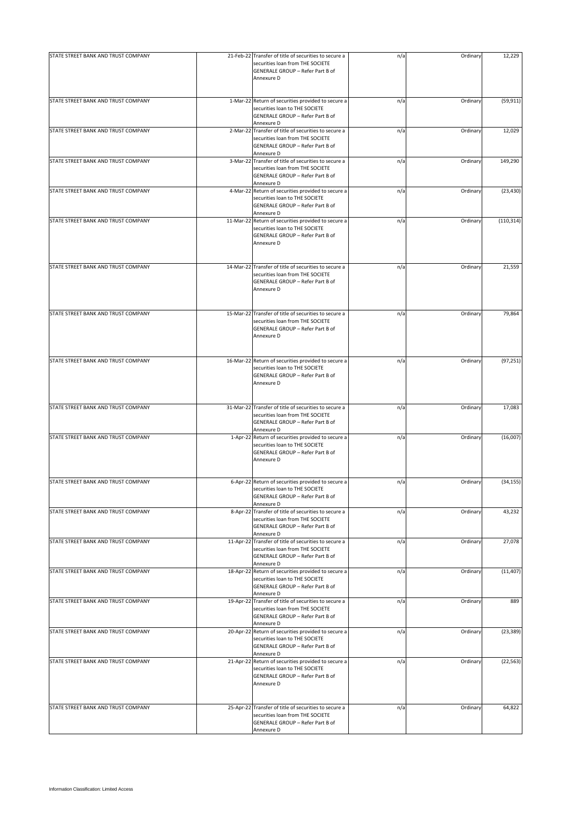| STATE STREET BANK AND TRUST COMPANY | 21-Feb-22 Transfer of title of securities to secure a                                                                                         | n/a | Ordinary | 12,229     |
|-------------------------------------|-----------------------------------------------------------------------------------------------------------------------------------------------|-----|----------|------------|
|                                     | securities loan from THE SOCIETE<br>GENERALE GROUP - Refer Part B of<br>Annexure D                                                            |     |          |            |
| STATE STREET BANK AND TRUST COMPANY | 1-Mar-22 Return of securities provided to secure a<br>securities loan to THE SOCIETE<br>GENERALE GROUP - Refer Part B of<br>Annexure D        | n/a | Ordinary | (59, 911)  |
| STATE STREET BANK AND TRUST COMPANY | 2-Mar-22 Transfer of title of securities to secure a<br>securities loan from THE SOCIETE<br>GENERALE GROUP - Refer Part B of<br>Annexure D    | n/a | Ordinary | 12,029     |
| STATE STREET BANK AND TRUST COMPANY | 3-Mar-22 Transfer of title of securities to secure a<br>securities loan from THE SOCIETE<br>GENERALE GROUP - Refer Part B of<br>Annexure D    | n/a | Ordinary | 149,290    |
| STATE STREET BANK AND TRUST COMPANY | 4-Mar-22 Return of securities provided to secure a<br>securities loan to THE SOCIETE<br>GENERALE GROUP - Refer Part B of<br>Annexure D        | n/a | Ordinary | (23, 430)  |
| STATE STREET BANK AND TRUST COMPANY | 11-Mar-22 Return of securities provided to secure a<br>securities loan to THE SOCIETE<br>GENERALE GROUP - Refer Part B of<br>Annexure D       | n/a | Ordinary | (110, 314) |
| STATE STREET BANK AND TRUST COMPANY | 14-Mar-22 Transfer of title of securities to secure a<br>securities loan from THE SOCIETE<br>GENERALE GROUP - Refer Part B of<br>Annexure D   | n/a | Ordinary | 21,559     |
| STATE STREET BANK AND TRUST COMPANY | 15-Mar-22 Transfer of title of securities to secure a<br>securities loan from THE SOCIETE<br>GENERALE GROUP - Refer Part B of<br>Annexure D   | n/a | Ordinary | 79,864     |
| STATE STREET BANK AND TRUST COMPANY | 16-Mar-22 Return of securities provided to secure a<br>securities loan to THE SOCIETE<br>GENERALE GROUP - Refer Part B of<br>Annexure D       | n/a | Ordinary | (97, 251)  |
| STATE STREET BANK AND TRUST COMPANY | 31-Mar-22 Transfer of title of securities to secure a<br>securities loan from THE SOCIETE<br>GENERALE GROUP - Refer Part B of<br>Annexure D   | n/a | Ordinary | 17,083     |
| STATE STREET BANK AND TRUST COMPANY | 1-Apr-22 Return of securities provided to secure a<br>securities loan to THE SOCIETE<br><b>GENERALE GROUP - Refer Part B of</b><br>Annexure D | n/a | Ordinary | (16,007)   |
| STATE STREET BANK AND TRUST COMPANY | 6-Apr-22 Return of securities provided to secure a<br>securities loan to THE SOCIETE<br>GENERALE GROUP - Refer Part B of<br>Annexure D        | n/a | Ordinary | (34, 155)  |
| STATE STREET BANK AND TRUST COMPANY | 8-Apr-22 Transfer of title of securities to secure a<br>securities loan from THE SOCIETE<br>GENERALE GROUP - Refer Part B of<br>Annexure D    | n/a | Ordinary | 43,232     |
| STATE STREET BANK AND TRUST COMPANY | 11-Apr-22 Transfer of title of securities to secure a<br>securities loan from THE SOCIETE<br>GENERALE GROUP - Refer Part B of<br>Annexure D   | n/a | Ordinary | 27,078     |
| STATE STREET BANK AND TRUST COMPANY | 18-Apr-22 Return of securities provided to secure a<br>securities loan to THE SOCIETE<br>GENERALE GROUP - Refer Part B of<br>Annexure D       | n/a | Ordinary | (11, 407)  |
| STATE STREET BANK AND TRUST COMPANY | 19-Apr-22 Transfer of title of securities to secure a<br>securities loan from THE SOCIETE<br>GENERALE GROUP - Refer Part B of<br>Annexure D   | n/a | Ordinary | 889        |
| STATE STREET BANK AND TRUST COMPANY | 20-Apr-22 Return of securities provided to secure a<br>securities loan to THE SOCIETE<br>GENERALE GROUP - Refer Part B of<br>Annexure D       | n/a | Ordinary | (23, 389)  |
| STATE STREET BANK AND TRUST COMPANY | 21-Apr-22 Return of securities provided to secure a<br>securities loan to THE SOCIETE<br>GENERALE GROUP - Refer Part B of<br>Annexure D       | n/a | Ordinary | (22, 563)  |
| STATE STREET BANK AND TRUST COMPANY | 25-Apr-22 Transfer of title of securities to secure a<br>securities loan from THE SOCIETE<br>GENERALE GROUP - Refer Part B of<br>Annexure D   | n/a | Ordinary | 64,822     |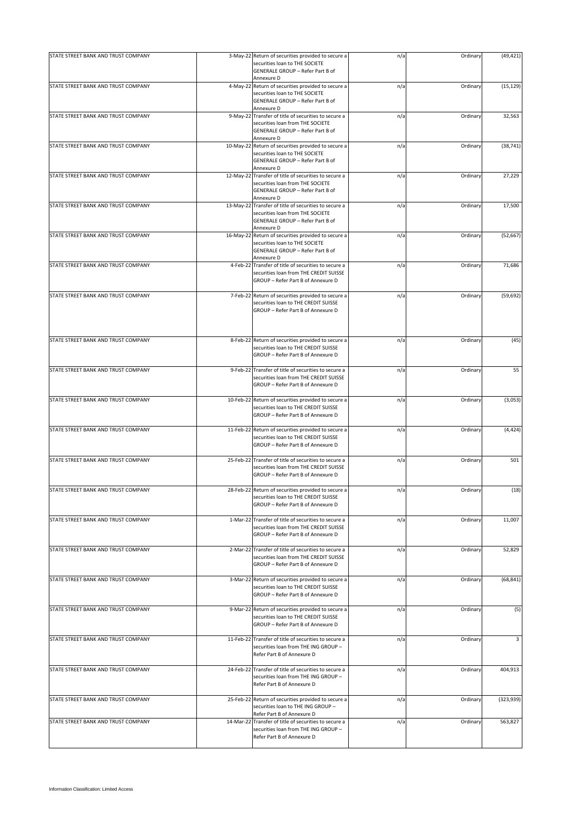| STATE STREET BANK AND TRUST COMPANY |           | 3-May-22 Return of securities provided to secure a                                             | n/a | Ordinary | (49, 421)  |
|-------------------------------------|-----------|------------------------------------------------------------------------------------------------|-----|----------|------------|
|                                     |           | securities loan to THE SOCIETE                                                                 |     |          |            |
|                                     |           | GENERALE GROUP - Refer Part B of                                                               |     |          |            |
|                                     |           | Annexure D                                                                                     |     |          |            |
| STATE STREET BANK AND TRUST COMPANY |           | 4-May-22 Return of securities provided to secure a<br>securities loan to THE SOCIETE           | n/a | Ordinary | (15, 129)  |
|                                     |           | <b>GENERALE GROUP - Refer Part B of</b>                                                        |     |          |            |
|                                     |           | Annexure D                                                                                     |     |          |            |
| STATE STREET BANK AND TRUST COMPANY |           | 9-May-22 Transfer of title of securities to secure a                                           | n/a | Ordinary | 32,563     |
|                                     |           | securities loan from THE SOCIETE                                                               |     |          |            |
|                                     |           | GENERALE GROUP - Refer Part B of                                                               |     |          |            |
|                                     |           | Annexure D                                                                                     |     |          |            |
| STATE STREET BANK AND TRUST COMPANY |           | 10-May-22 Return of securities provided to secure a<br>securities loan to THE SOCIETE          | n/a | Ordinary | (38, 741)  |
|                                     |           | GENERALE GROUP - Refer Part B of                                                               |     |          |            |
|                                     |           | Annexure D                                                                                     |     |          |            |
| STATE STREET BANK AND TRUST COMPANY |           | 12-May-22 Transfer of title of securities to secure a                                          | n/a | Ordinary | 27,229     |
|                                     |           | securities loan from THE SOCIETE                                                               |     |          |            |
|                                     |           | GENERALE GROUP - Refer Part B of                                                               |     |          |            |
| STATE STREET BANK AND TRUST COMPANY |           | Annexure D<br>13-May-22 Transfer of title of securities to secure a                            | n/a | Ordinary | 17,500     |
|                                     |           | securities loan from THE SOCIETE                                                               |     |          |            |
|                                     |           | GENERALE GROUP - Refer Part B of                                                               |     |          |            |
|                                     |           | Annexure D                                                                                     |     |          |            |
| STATE STREET BANK AND TRUST COMPANY |           | 16-May-22 Return of securities provided to secure a                                            | n/a | Ordinary | (52, 667)  |
|                                     |           | securities loan to THE SOCIETE                                                                 |     |          |            |
|                                     |           | GENERALE GROUP - Refer Part B of                                                               |     |          |            |
| STATE STREET BANK AND TRUST COMPANY |           | Annexure D<br>4-Feb-22 Transfer of title of securities to secure a                             | n/a | Ordinary | 71,686     |
|                                     |           | securities loan from THE CREDIT SUISSE                                                         |     |          |            |
|                                     |           | GROUP - Refer Part B of Annexure D                                                             |     |          |            |
|                                     |           |                                                                                                |     |          |            |
| STATE STREET BANK AND TRUST COMPANY |           | 7-Feb-22 Return of securities provided to secure a                                             | n/a | Ordinary | (59, 692)  |
|                                     |           | securities loan to THE CREDIT SUISSE                                                           |     |          |            |
|                                     |           | GROUP - Refer Part B of Annexure D                                                             |     |          |            |
|                                     |           |                                                                                                |     |          |            |
|                                     |           |                                                                                                |     |          |            |
| STATE STREET BANK AND TRUST COMPANY |           | 8-Feb-22 Return of securities provided to secure a                                             | n/a | Ordinary | (45)       |
|                                     |           | securities loan to THE CREDIT SUISSE                                                           |     |          |            |
|                                     |           | GROUP - Refer Part B of Annexure D                                                             |     |          |            |
|                                     |           |                                                                                                |     |          |            |
| STATE STREET BANK AND TRUST COMPANY |           | 9-Feb-22 Transfer of title of securities to secure a<br>securities loan from THE CREDIT SUISSE | n/a | Ordinary | 55         |
|                                     |           | GROUP - Refer Part B of Annexure D                                                             |     |          |            |
|                                     |           |                                                                                                |     |          |            |
| STATE STREET BANK AND TRUST COMPANY |           | 10-Feb-22 Return of securities provided to secure a                                            | n/a | Ordinary | (3,053)    |
|                                     |           | securities loan to THE CREDIT SUISSE                                                           |     |          |            |
|                                     |           | GROUP - Refer Part B of Annexure D                                                             |     |          |            |
| STATE STREET BANK AND TRUST COMPANY |           | 11-Feb-22 Return of securities provided to secure a                                            |     |          |            |
|                                     |           | securities loan to THE CREDIT SUISSE                                                           | n/a | Ordinary | (4, 424)   |
|                                     |           | GROUP - Refer Part B of Annexure D                                                             |     |          |            |
|                                     |           |                                                                                                |     |          |            |
| STATE STREET BANK AND TRUST COMPANY |           | 25-Feb-22 Transfer of title of securities to secure a                                          | n/a | Ordinary | 501        |
|                                     |           | securities loan from THE CREDIT SUISSE                                                         |     |          |            |
|                                     |           | GROUP - Refer Part B of Annexure D                                                             |     |          |            |
| STATE STREET BANK AND TRUST COMPANY | 28-Feb-22 | Return of securities provided to secure a                                                      | n/a | Ordinary | (18)       |
|                                     |           | securities loan to THE CREDIT SUISSE                                                           |     |          |            |
|                                     |           | GROUP - Refer Part B of Annexure D                                                             |     |          |            |
|                                     |           |                                                                                                |     |          |            |
| STATE STREET BANK AND TRUST COMPANY |           | 1-Mar-22 Transfer of title of securities to secure a                                           | n/a | Ordinary | 11,007     |
|                                     |           | securities loan from THE CREDIT SUISSE                                                         |     |          |            |
|                                     |           | GROUP - Refer Part B of Annexure D                                                             |     |          |            |
| STATE STREET BANK AND TRUST COMPANY |           | 2-Mar-22 Transfer of title of securities to secure a                                           | n/a | Ordinary | 52,829     |
|                                     |           | securities loan from THE CREDIT SUISSE                                                         |     |          |            |
|                                     |           | GROUP - Refer Part B of Annexure D                                                             |     |          |            |
|                                     |           |                                                                                                |     |          |            |
| STATE STREET BANK AND TRUST COMPANY |           | 3-Mar-22 Return of securities provided to secure a                                             | n/a | Ordinary | (68, 841)  |
|                                     |           | securities loan to THE CREDIT SUISSE<br>GROUP - Refer Part B of Annexure D                     |     |          |            |
|                                     |           |                                                                                                |     |          |            |
| STATE STREET BANK AND TRUST COMPANY |           | 9-Mar-22 Return of securities provided to secure a                                             | n/a | Ordinary | (5)        |
|                                     |           | securities loan to THE CREDIT SUISSE                                                           |     |          |            |
|                                     |           | GROUP - Refer Part B of Annexure D                                                             |     |          |            |
|                                     |           |                                                                                                |     |          |            |
| STATE STREET BANK AND TRUST COMPANY |           | 11-Feb-22 Transfer of title of securities to secure a                                          | n/a | Ordinary | 3          |
|                                     |           | securities loan from THE ING GROUP -<br>Refer Part B of Annexure D                             |     |          |            |
|                                     |           |                                                                                                |     |          |            |
| STATE STREET BANK AND TRUST COMPANY |           | 24-Feb-22 Transfer of title of securities to secure a                                          | n/a | Ordinary | 404,913    |
|                                     |           | securities loan from THE ING GROUP -                                                           |     |          |            |
|                                     |           | Refer Part B of Annexure D                                                                     |     |          |            |
| STATE STREET BANK AND TRUST COMPANY |           |                                                                                                |     |          |            |
|                                     |           | 25-Feb-22 Return of securities provided to secure a<br>securities loan to THE ING GROUP -      | n/a | Ordinary | (323, 939) |
|                                     |           | Refer Part B of Annexure D                                                                     |     |          |            |
| STATE STREET BANK AND TRUST COMPANY |           | 14-Mar-22 Transfer of title of securities to secure a                                          | n/a | Ordinary | 563,827    |
|                                     |           | securities loan from THE ING GROUP -                                                           |     |          |            |
|                                     |           | Refer Part B of Annexure D                                                                     |     |          |            |
|                                     |           |                                                                                                |     |          |            |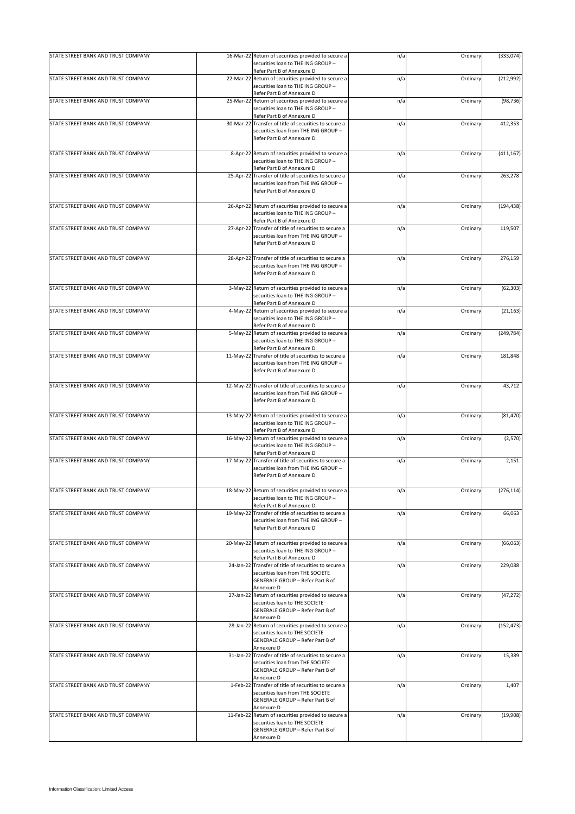| STATE STREET BANK AND TRUST COMPANY | 16-Mar-22 Return of securities provided to secure a<br>securities loan to THE ING GROUP -                                                   | n/a | Ordinary | (333,074)  |
|-------------------------------------|---------------------------------------------------------------------------------------------------------------------------------------------|-----|----------|------------|
|                                     | Refer Part B of Annexure D                                                                                                                  |     |          |            |
| STATE STREET BANK AND TRUST COMPANY | 22-Mar-22 Return of securities provided to secure a<br>securities loan to THE ING GROUP -<br>Refer Part B of Annexure D                     | n/a | Ordinary | (212, 992) |
| STATE STREET BANK AND TRUST COMPANY | 25-Mar-22 Return of securities provided to secure a<br>securities loan to THE ING GROUP -                                                   | n/a | Ordinary | (98, 736)  |
| STATE STREET BANK AND TRUST COMPANY | Refer Part B of Annexure D<br>30-Mar-22 Transfer of title of securities to secure a                                                         | n/a | Ordinary | 412,353    |
|                                     | securities loan from THE ING GROUP -<br>Refer Part B of Annexure D                                                                          |     |          |            |
| STATE STREET BANK AND TRUST COMPANY | 8-Apr-22 Return of securities provided to secure a<br>securities loan to THE ING GROUP -<br>Refer Part B of Annexure D                      | n/a | Ordinary | (411, 167) |
| STATE STREET BANK AND TRUST COMPANY | 25-Apr-22 Transfer of title of securities to secure a<br>securities loan from THE ING GROUP -<br>Refer Part B of Annexure D                 | n/a | Ordinary | 263,278    |
| STATE STREET BANK AND TRUST COMPANY | 26-Apr-22 Return of securities provided to secure a<br>securities loan to THE ING GROUP -<br>Refer Part B of Annexure D                     | n/a | Ordinary | (194, 438) |
| STATE STREET BANK AND TRUST COMPANY | 27-Apr-22 Transfer of title of securities to secure a<br>securities loan from THE ING GROUP -<br>Refer Part B of Annexure D                 | n/a | Ordinary | 119,507    |
| STATE STREET BANK AND TRUST COMPANY | 28-Apr-22 Transfer of title of securities to secure a<br>securities loan from THE ING GROUP -<br>Refer Part B of Annexure D                 | n/a | Ordinary | 276,159    |
| STATE STREET BANK AND TRUST COMPANY | 3-May-22 Return of securities provided to secure a<br>securities loan to THE ING GROUP -<br>Refer Part B of Annexure D                      | n/a | Ordinary | (62, 303)  |
| STATE STREET BANK AND TRUST COMPANY | 4-May-22 Return of securities provided to secure a<br>securities loan to THE ING GROUP -<br>Refer Part B of Annexure D                      | n/a | Ordinary | (21, 163)  |
| STATE STREET BANK AND TRUST COMPANY | 5-May-22 Return of securities provided to secure a<br>securities loan to THE ING GROUP -<br>Refer Part B of Annexure D                      | n/a | Ordinary | (249, 784) |
| STATE STREET BANK AND TRUST COMPANY | 11-May-22 Transfer of title of securities to secure a<br>securities loan from THE ING GROUP -<br>Refer Part B of Annexure D                 | n/a | Ordinary | 181,848    |
| STATE STREET BANK AND TRUST COMPANY | 12-May-22 Transfer of title of securities to secure a<br>securities loan from THE ING GROUP -<br>Refer Part B of Annexure D                 | n/a | Ordinary | 43,712     |
| STATE STREET BANK AND TRUST COMPANY | 13-May-22 Return of securities provided to secure a<br>securities loan to THE ING GROUP -<br>Refer Part B of Annexure D                     | n/a | Ordinary | (81, 470)  |
| STATE STREET BANK AND TRUST COMPANY | 16-May-22 Return of securities provided to secure a<br>securities loan to THE ING GROUP -<br>Refer Part B of Annexure D                     | n/a | Ordinary | (2,570)    |
| STATE STREET BANK AND TRUST COMPANY | 17-May-22 Transfer of title of securities to secure a<br>securities loan from THE ING GROUP -<br>Refer Part B of Annexure D                 | n/a | Ordinary | 2,151      |
| STATE STREET BANK AND TRUST COMPANY | 18-May-22 Return of securities provided to secure a<br>securities loan to THE ING GROUP -<br>Refer Part B of Annexure D                     | n/a | Ordinary | (276, 114) |
| STATE STREET BANK AND TRUST COMPANY | 19-May-22 Transfer of title of securities to secure a<br>securities loan from THE ING GROUP -<br>Refer Part B of Annexure D                 | n/a | Ordinary | 66,063     |
| STATE STREET BANK AND TRUST COMPANY | 20-May-22 Return of securities provided to secure a<br>securities loan to THE ING GROUP -<br>Refer Part B of Annexure D                     | n/a | Ordinary | (66, 063)  |
| STATE STREET BANK AND TRUST COMPANY | 24-Jan-22 Transfer of title of securities to secure a<br>securities loan from THE SOCIETE<br>GENERALE GROUP - Refer Part B of<br>Annexure D | n/a | Ordinary | 229,088    |
| STATE STREET BANK AND TRUST COMPANY | 27-Jan-22 Return of securities provided to secure a<br>securities loan to THE SOCIETE<br>GENERALE GROUP - Refer Part B of<br>Annexure D     | n/a | Ordinary | (47, 272)  |
| STATE STREET BANK AND TRUST COMPANY | 28-Jan-22 Return of securities provided to secure a<br>securities loan to THE SOCIETE<br>GENERALE GROUP - Refer Part B of<br>Annexure D     | n/a | Ordinary | (152, 473) |
| STATE STREET BANK AND TRUST COMPANY | 31-Jan-22 Transfer of title of securities to secure a<br>securities loan from THE SOCIETE<br>GENERALE GROUP - Refer Part B of<br>Annexure D | n/a | Ordinary | 15,389     |
| STATE STREET BANK AND TRUST COMPANY | 1-Feb-22 Transfer of title of securities to secure a<br>securities loan from THE SOCIETE<br>GENERALE GROUP - Refer Part B of<br>Annexure D  | n/a | Ordinary | 1,407      |
| STATE STREET BANK AND TRUST COMPANY | 11-Feb-22 Return of securities provided to secure a<br>securities loan to THE SOCIETE<br>GENERALE GROUP - Refer Part B of<br>Annexure D     | n/a | Ordinary | (19,908)   |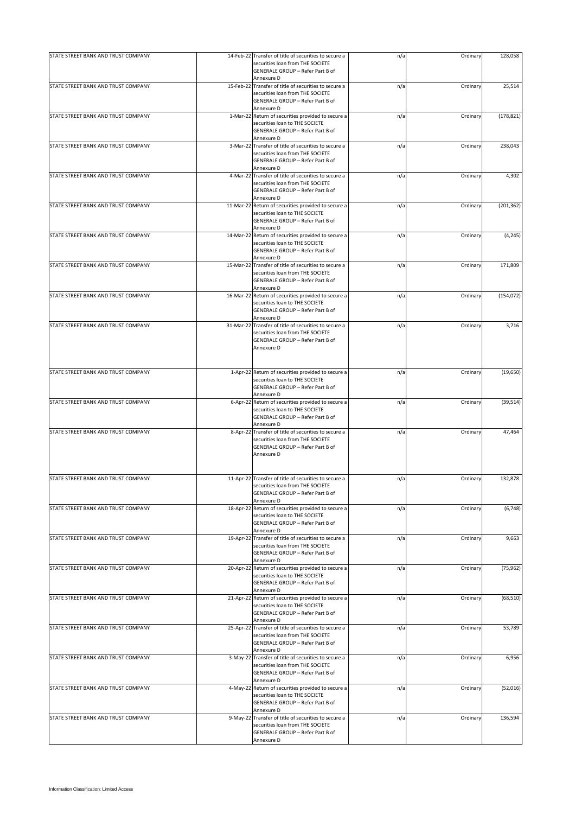| STATE STREET BANK AND TRUST COMPANY<br>14-Feb-22 Transfer of title of securities to secure a<br>Ordinary<br>n/a<br>securities loan from THE SOCIETE<br>GENERALE GROUP - Refer Part B of<br>Annexure D<br>STATE STREET BANK AND TRUST COMPANY<br>15-Feb-22 Transfer of title of securities to secure a<br>n/a<br>Ordinary<br>securities loan from THE SOCIETE<br>GENERALE GROUP - Refer Part B of<br>Annexure D<br>STATE STREET BANK AND TRUST COMPANY<br>1-Mar-22 Return of securities provided to secure a<br>n/a<br>Ordinary<br>securities loan to THE SOCIETE<br>GENERALE GROUP - Refer Part B of<br>Annexure D<br>STATE STREET BANK AND TRUST COMPANY<br>3-Mar-22 Transfer of title of securities to secure a<br>n/a<br>Ordinary<br>securities loan from THE SOCIETE | 128,058<br>25,514<br>(178, 821)<br>238,043 |
|--------------------------------------------------------------------------------------------------------------------------------------------------------------------------------------------------------------------------------------------------------------------------------------------------------------------------------------------------------------------------------------------------------------------------------------------------------------------------------------------------------------------------------------------------------------------------------------------------------------------------------------------------------------------------------------------------------------------------------------------------------------------------|--------------------------------------------|
|                                                                                                                                                                                                                                                                                                                                                                                                                                                                                                                                                                                                                                                                                                                                                                          |                                            |
|                                                                                                                                                                                                                                                                                                                                                                                                                                                                                                                                                                                                                                                                                                                                                                          |                                            |
|                                                                                                                                                                                                                                                                                                                                                                                                                                                                                                                                                                                                                                                                                                                                                                          |                                            |
|                                                                                                                                                                                                                                                                                                                                                                                                                                                                                                                                                                                                                                                                                                                                                                          |                                            |
|                                                                                                                                                                                                                                                                                                                                                                                                                                                                                                                                                                                                                                                                                                                                                                          |                                            |
|                                                                                                                                                                                                                                                                                                                                                                                                                                                                                                                                                                                                                                                                                                                                                                          |                                            |
|                                                                                                                                                                                                                                                                                                                                                                                                                                                                                                                                                                                                                                                                                                                                                                          |                                            |
|                                                                                                                                                                                                                                                                                                                                                                                                                                                                                                                                                                                                                                                                                                                                                                          |                                            |
|                                                                                                                                                                                                                                                                                                                                                                                                                                                                                                                                                                                                                                                                                                                                                                          |                                            |
|                                                                                                                                                                                                                                                                                                                                                                                                                                                                                                                                                                                                                                                                                                                                                                          |                                            |
|                                                                                                                                                                                                                                                                                                                                                                                                                                                                                                                                                                                                                                                                                                                                                                          |                                            |
| GENERALE GROUP - Refer Part B of                                                                                                                                                                                                                                                                                                                                                                                                                                                                                                                                                                                                                                                                                                                                         |                                            |
| Annexure D                                                                                                                                                                                                                                                                                                                                                                                                                                                                                                                                                                                                                                                                                                                                                               |                                            |
| STATE STREET BANK AND TRUST COMPANY<br>4-Mar-22 Transfer of title of securities to secure a<br>n/a<br>Ordinary                                                                                                                                                                                                                                                                                                                                                                                                                                                                                                                                                                                                                                                           | 4,302                                      |
|                                                                                                                                                                                                                                                                                                                                                                                                                                                                                                                                                                                                                                                                                                                                                                          |                                            |
| securities loan from THE SOCIETE                                                                                                                                                                                                                                                                                                                                                                                                                                                                                                                                                                                                                                                                                                                                         |                                            |
| GENERALE GROUP - Refer Part B of                                                                                                                                                                                                                                                                                                                                                                                                                                                                                                                                                                                                                                                                                                                                         |                                            |
| Annexure D                                                                                                                                                                                                                                                                                                                                                                                                                                                                                                                                                                                                                                                                                                                                                               |                                            |
| STATE STREET BANK AND TRUST COMPANY<br>11-Mar-22 Return of securities provided to secure a<br>Ordinary<br>n/a                                                                                                                                                                                                                                                                                                                                                                                                                                                                                                                                                                                                                                                            | (201, 362)                                 |
| securities loan to THE SOCIETE                                                                                                                                                                                                                                                                                                                                                                                                                                                                                                                                                                                                                                                                                                                                           |                                            |
| GENERALE GROUP - Refer Part B of                                                                                                                                                                                                                                                                                                                                                                                                                                                                                                                                                                                                                                                                                                                                         |                                            |
| Annexure D                                                                                                                                                                                                                                                                                                                                                                                                                                                                                                                                                                                                                                                                                                                                                               |                                            |
|                                                                                                                                                                                                                                                                                                                                                                                                                                                                                                                                                                                                                                                                                                                                                                          |                                            |
| STATE STREET BANK AND TRUST COMPANY<br>14-Mar-22 Return of securities provided to secure a<br>Ordinary<br>n/a                                                                                                                                                                                                                                                                                                                                                                                                                                                                                                                                                                                                                                                            | (4, 245)                                   |
| securities loan to THE SOCIETE                                                                                                                                                                                                                                                                                                                                                                                                                                                                                                                                                                                                                                                                                                                                           |                                            |
| GENERALE GROUP - Refer Part B of                                                                                                                                                                                                                                                                                                                                                                                                                                                                                                                                                                                                                                                                                                                                         |                                            |
| Annexure D                                                                                                                                                                                                                                                                                                                                                                                                                                                                                                                                                                                                                                                                                                                                                               |                                            |
| 15-Mar-22 Transfer of title of securities to secure a<br>STATE STREET BANK AND TRUST COMPANY<br>n/a<br>Ordinary                                                                                                                                                                                                                                                                                                                                                                                                                                                                                                                                                                                                                                                          | 171,809                                    |
| securities loan from THE SOCIETE                                                                                                                                                                                                                                                                                                                                                                                                                                                                                                                                                                                                                                                                                                                                         |                                            |
| GENERALE GROUP - Refer Part B of                                                                                                                                                                                                                                                                                                                                                                                                                                                                                                                                                                                                                                                                                                                                         |                                            |
|                                                                                                                                                                                                                                                                                                                                                                                                                                                                                                                                                                                                                                                                                                                                                                          |                                            |
| Annexure D                                                                                                                                                                                                                                                                                                                                                                                                                                                                                                                                                                                                                                                                                                                                                               |                                            |
| STATE STREET BANK AND TRUST COMPANY<br>16-Mar-22 Return of securities provided to secure a<br>n/a<br>Ordinary                                                                                                                                                                                                                                                                                                                                                                                                                                                                                                                                                                                                                                                            | (154, 072)                                 |
| securities loan to THE SOCIETE                                                                                                                                                                                                                                                                                                                                                                                                                                                                                                                                                                                                                                                                                                                                           |                                            |
| GENERALE GROUP - Refer Part B of                                                                                                                                                                                                                                                                                                                                                                                                                                                                                                                                                                                                                                                                                                                                         |                                            |
| Annexure D                                                                                                                                                                                                                                                                                                                                                                                                                                                                                                                                                                                                                                                                                                                                                               |                                            |
| STATE STREET BANK AND TRUST COMPANY<br>31-Mar-22 Transfer of title of securities to secure a<br>Ordinary<br>n/a                                                                                                                                                                                                                                                                                                                                                                                                                                                                                                                                                                                                                                                          | 3,716                                      |
|                                                                                                                                                                                                                                                                                                                                                                                                                                                                                                                                                                                                                                                                                                                                                                          |                                            |
| securities loan from THE SOCIETE                                                                                                                                                                                                                                                                                                                                                                                                                                                                                                                                                                                                                                                                                                                                         |                                            |
| GENERALE GROUP - Refer Part B of                                                                                                                                                                                                                                                                                                                                                                                                                                                                                                                                                                                                                                                                                                                                         |                                            |
| Annexure D                                                                                                                                                                                                                                                                                                                                                                                                                                                                                                                                                                                                                                                                                                                                                               |                                            |
|                                                                                                                                                                                                                                                                                                                                                                                                                                                                                                                                                                                                                                                                                                                                                                          |                                            |
|                                                                                                                                                                                                                                                                                                                                                                                                                                                                                                                                                                                                                                                                                                                                                                          |                                            |
|                                                                                                                                                                                                                                                                                                                                                                                                                                                                                                                                                                                                                                                                                                                                                                          |                                            |
|                                                                                                                                                                                                                                                                                                                                                                                                                                                                                                                                                                                                                                                                                                                                                                          |                                            |
| STATE STREET BANK AND TRUST COMPANY<br>1-Apr-22 Return of securities provided to secure a<br>n/a<br>Ordinary                                                                                                                                                                                                                                                                                                                                                                                                                                                                                                                                                                                                                                                             | (19, 650)                                  |
| securities loan to THE SOCIETE                                                                                                                                                                                                                                                                                                                                                                                                                                                                                                                                                                                                                                                                                                                                           |                                            |
| GENERALE GROUP - Refer Part B of                                                                                                                                                                                                                                                                                                                                                                                                                                                                                                                                                                                                                                                                                                                                         |                                            |
| Annexure D                                                                                                                                                                                                                                                                                                                                                                                                                                                                                                                                                                                                                                                                                                                                                               |                                            |
|                                                                                                                                                                                                                                                                                                                                                                                                                                                                                                                                                                                                                                                                                                                                                                          |                                            |
| STATE STREET BANK AND TRUST COMPANY<br>6-Apr-22 Return of securities provided to secure a<br>Ordinary<br>n/a                                                                                                                                                                                                                                                                                                                                                                                                                                                                                                                                                                                                                                                             | (39, 514)                                  |
| securities loan to THE SOCIETE                                                                                                                                                                                                                                                                                                                                                                                                                                                                                                                                                                                                                                                                                                                                           |                                            |
| GENERALE GROUP - Refer Part B of                                                                                                                                                                                                                                                                                                                                                                                                                                                                                                                                                                                                                                                                                                                                         |                                            |
| Annexure D                                                                                                                                                                                                                                                                                                                                                                                                                                                                                                                                                                                                                                                                                                                                                               |                                            |
| STATE STREET BANK AND TRUST COMPANY<br>8-Apr-22 Transfer of title of securities to secure a<br>n/a<br>Ordinary                                                                                                                                                                                                                                                                                                                                                                                                                                                                                                                                                                                                                                                           | 47,464                                     |
| securities loan from THE SOCIETE                                                                                                                                                                                                                                                                                                                                                                                                                                                                                                                                                                                                                                                                                                                                         |                                            |
|                                                                                                                                                                                                                                                                                                                                                                                                                                                                                                                                                                                                                                                                                                                                                                          |                                            |
| GENERALE GROUP - Refer Part B of                                                                                                                                                                                                                                                                                                                                                                                                                                                                                                                                                                                                                                                                                                                                         |                                            |
| Annexure D                                                                                                                                                                                                                                                                                                                                                                                                                                                                                                                                                                                                                                                                                                                                                               |                                            |
|                                                                                                                                                                                                                                                                                                                                                                                                                                                                                                                                                                                                                                                                                                                                                                          |                                            |
|                                                                                                                                                                                                                                                                                                                                                                                                                                                                                                                                                                                                                                                                                                                                                                          |                                            |
| STATE STREET BANK AND TRUST COMPANY<br>11-Apr-22 Transfer of title of securities to secure a<br>Ordinary<br>n/a                                                                                                                                                                                                                                                                                                                                                                                                                                                                                                                                                                                                                                                          | 132,878                                    |
|                                                                                                                                                                                                                                                                                                                                                                                                                                                                                                                                                                                                                                                                                                                                                                          |                                            |
| securities loan from THE SOCIETE                                                                                                                                                                                                                                                                                                                                                                                                                                                                                                                                                                                                                                                                                                                                         |                                            |
| GENERALE GROUP - Refer Part B of                                                                                                                                                                                                                                                                                                                                                                                                                                                                                                                                                                                                                                                                                                                                         |                                            |
| Annexure D                                                                                                                                                                                                                                                                                                                                                                                                                                                                                                                                                                                                                                                                                                                                                               |                                            |
| 18-Apr-22 Return of securities provided to secure a<br>STATE STREET BANK AND TRUST COMPANY<br>Ordinary<br>n/a                                                                                                                                                                                                                                                                                                                                                                                                                                                                                                                                                                                                                                                            | (6,748)                                    |
| securities loan to THE SOCIETE                                                                                                                                                                                                                                                                                                                                                                                                                                                                                                                                                                                                                                                                                                                                           |                                            |
| GENERALE GROUP - Refer Part B of                                                                                                                                                                                                                                                                                                                                                                                                                                                                                                                                                                                                                                                                                                                                         |                                            |
| Annexure D                                                                                                                                                                                                                                                                                                                                                                                                                                                                                                                                                                                                                                                                                                                                                               |                                            |
| STATE STREET BANK AND TRUST COMPANY<br>19-Apr-22 Transfer of title of securities to secure a<br>n/a<br>Ordinary                                                                                                                                                                                                                                                                                                                                                                                                                                                                                                                                                                                                                                                          | 9,663                                      |
| securities loan from THE SOCIETE                                                                                                                                                                                                                                                                                                                                                                                                                                                                                                                                                                                                                                                                                                                                         |                                            |
| GENERALE GROUP - Refer Part B of                                                                                                                                                                                                                                                                                                                                                                                                                                                                                                                                                                                                                                                                                                                                         |                                            |
|                                                                                                                                                                                                                                                                                                                                                                                                                                                                                                                                                                                                                                                                                                                                                                          |                                            |
| Annexure D                                                                                                                                                                                                                                                                                                                                                                                                                                                                                                                                                                                                                                                                                                                                                               |                                            |
| STATE STREET BANK AND TRUST COMPANY<br>20-Apr-22 Return of securities provided to secure a<br>n/a<br>Ordinary                                                                                                                                                                                                                                                                                                                                                                                                                                                                                                                                                                                                                                                            | (75, 962)                                  |
| securities loan to THE SOCIETE                                                                                                                                                                                                                                                                                                                                                                                                                                                                                                                                                                                                                                                                                                                                           |                                            |
| GENERALE GROUP - Refer Part B of                                                                                                                                                                                                                                                                                                                                                                                                                                                                                                                                                                                                                                                                                                                                         |                                            |
| Annexure D                                                                                                                                                                                                                                                                                                                                                                                                                                                                                                                                                                                                                                                                                                                                                               |                                            |
|                                                                                                                                                                                                                                                                                                                                                                                                                                                                                                                                                                                                                                                                                                                                                                          |                                            |
| STATE STREET BANK AND TRUST COMPANY<br>21-Apr-22 Return of securities provided to secure a<br>Ordinary<br>n/a                                                                                                                                                                                                                                                                                                                                                                                                                                                                                                                                                                                                                                                            | (68, 510)                                  |
| securities loan to THE SOCIETE                                                                                                                                                                                                                                                                                                                                                                                                                                                                                                                                                                                                                                                                                                                                           |                                            |
| GENERALE GROUP - Refer Part B of                                                                                                                                                                                                                                                                                                                                                                                                                                                                                                                                                                                                                                                                                                                                         |                                            |
| Annexure D                                                                                                                                                                                                                                                                                                                                                                                                                                                                                                                                                                                                                                                                                                                                                               |                                            |
| STATE STREET BANK AND TRUST COMPANY<br>25-Apr-22 Transfer of title of securities to secure a<br>n/a<br>Ordinary                                                                                                                                                                                                                                                                                                                                                                                                                                                                                                                                                                                                                                                          | 53,789                                     |
| securities loan from THE SOCIETE                                                                                                                                                                                                                                                                                                                                                                                                                                                                                                                                                                                                                                                                                                                                         |                                            |
| GENERALE GROUP - Refer Part B of                                                                                                                                                                                                                                                                                                                                                                                                                                                                                                                                                                                                                                                                                                                                         |                                            |
|                                                                                                                                                                                                                                                                                                                                                                                                                                                                                                                                                                                                                                                                                                                                                                          |                                            |
| Annexure D                                                                                                                                                                                                                                                                                                                                                                                                                                                                                                                                                                                                                                                                                                                                                               |                                            |
| STATE STREET BANK AND TRUST COMPANY<br>3-May-22 Transfer of title of securities to secure a<br>n/a<br>Ordinary                                                                                                                                                                                                                                                                                                                                                                                                                                                                                                                                                                                                                                                           | 6,956                                      |
| securities loan from THE SOCIETE                                                                                                                                                                                                                                                                                                                                                                                                                                                                                                                                                                                                                                                                                                                                         |                                            |
| GENERALE GROUP - Refer Part B of                                                                                                                                                                                                                                                                                                                                                                                                                                                                                                                                                                                                                                                                                                                                         |                                            |
| Annexure D                                                                                                                                                                                                                                                                                                                                                                                                                                                                                                                                                                                                                                                                                                                                                               |                                            |
|                                                                                                                                                                                                                                                                                                                                                                                                                                                                                                                                                                                                                                                                                                                                                                          |                                            |
| STATE STREET BANK AND TRUST COMPANY<br>4-May-22 Return of securities provided to secure a<br>Ordinary<br>n/a                                                                                                                                                                                                                                                                                                                                                                                                                                                                                                                                                                                                                                                             | (52,016)                                   |
| securities loan to THE SOCIETE                                                                                                                                                                                                                                                                                                                                                                                                                                                                                                                                                                                                                                                                                                                                           |                                            |
| GENERALE GROUP - Refer Part B of                                                                                                                                                                                                                                                                                                                                                                                                                                                                                                                                                                                                                                                                                                                                         |                                            |
| Annexure D                                                                                                                                                                                                                                                                                                                                                                                                                                                                                                                                                                                                                                                                                                                                                               |                                            |
| STATE STREET BANK AND TRUST COMPANY<br>9-May-22 Transfer of title of securities to secure a<br>n/a<br>Ordinary                                                                                                                                                                                                                                                                                                                                                                                                                                                                                                                                                                                                                                                           | 136,594                                    |
| securities loan from THE SOCIETE                                                                                                                                                                                                                                                                                                                                                                                                                                                                                                                                                                                                                                                                                                                                         |                                            |
| GENERALE GROUP - Refer Part B of                                                                                                                                                                                                                                                                                                                                                                                                                                                                                                                                                                                                                                                                                                                                         |                                            |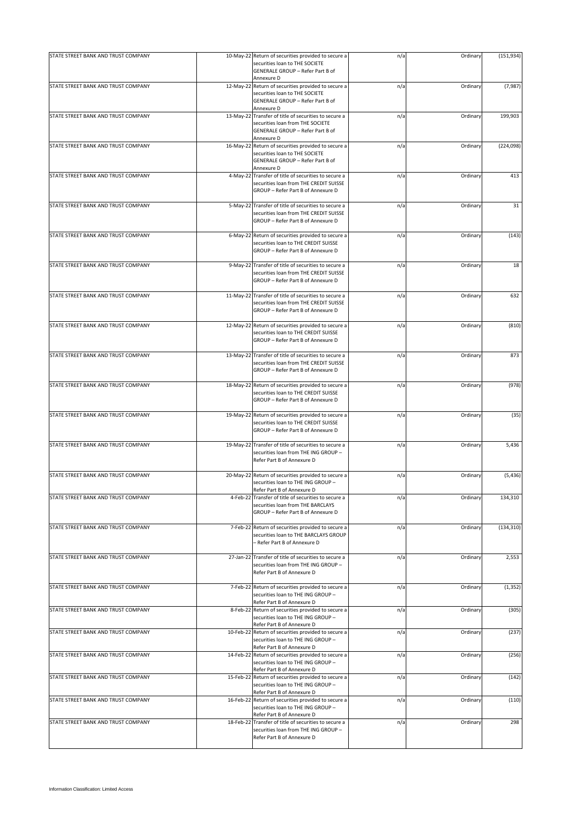| STATE STREET BANK AND TRUST COMPANY | 10-May-22 Return of securities provided to secure a   | n/a | Ordinary | (151, 934) |
|-------------------------------------|-------------------------------------------------------|-----|----------|------------|
|                                     | securities loan to THE SOCIETE                        |     |          |            |
|                                     |                                                       |     |          |            |
|                                     | GENERALE GROUP - Refer Part B of                      |     |          |            |
|                                     | Annexure D                                            |     |          |            |
| STATE STREET BANK AND TRUST COMPANY | 12-May-22 Return of securities provided to secure a   | n/a | Ordinary | (7,987)    |
|                                     | securities loan to THE SOCIETE                        |     |          |            |
|                                     | <b>GENERALE GROUP - Refer Part B of</b>               |     |          |            |
|                                     | Annexure D                                            |     |          |            |
| STATE STREET BANK AND TRUST COMPANY | 13-May-22 Transfer of title of securities to secure a | n/a | Ordinary | 199,903    |
|                                     | securities loan from THE SOCIETE                      |     |          |            |
|                                     | GENERALE GROUP - Refer Part B of                      |     |          |            |
|                                     |                                                       |     |          |            |
|                                     | Annexure D                                            |     |          |            |
| STATE STREET BANK AND TRUST COMPANY | 16-May-22 Return of securities provided to secure a   | n/a | Ordinary | (224, 098) |
|                                     | securities loan to THE SOCIETE                        |     |          |            |
|                                     | GENERALE GROUP - Refer Part B of                      |     |          |            |
|                                     | Annexure D                                            |     |          |            |
| STATE STREET BANK AND TRUST COMPANY | 4-May-22 Transfer of title of securities to secure a  | n/a | Ordinary | 413        |
|                                     | securities loan from THE CREDIT SUISSE                |     |          |            |
|                                     | GROUP - Refer Part B of Annexure D                    |     |          |            |
|                                     |                                                       |     |          |            |
|                                     |                                                       |     |          |            |
| STATE STREET BANK AND TRUST COMPANY | 5-May-22 Transfer of title of securities to secure a  | n/a | Ordinary | 31         |
|                                     | securities loan from THE CREDIT SUISSE                |     |          |            |
|                                     | GROUP - Refer Part B of Annexure D                    |     |          |            |
|                                     |                                                       |     |          |            |
| STATE STREET BANK AND TRUST COMPANY | 6-May-22 Return of securities provided to secure a    | n/a | Ordinary | (143)      |
|                                     | securities loan to THE CREDIT SUISSE                  |     |          |            |
|                                     |                                                       |     |          |            |
|                                     | GROUP - Refer Part B of Annexure D                    |     |          |            |
|                                     |                                                       |     |          |            |
| STATE STREET BANK AND TRUST COMPANY | 9-May-22 Transfer of title of securities to secure a  | n/a | Ordinary | 18         |
|                                     | securities loan from THE CREDIT SUISSE                |     |          |            |
|                                     | GROUP - Refer Part B of Annexure D                    |     |          |            |
|                                     |                                                       |     |          |            |
| STATE STREET BANK AND TRUST COMPANY |                                                       |     |          |            |
|                                     | 11-May-22 Transfer of title of securities to secure a | n/a | Ordinary | 632        |
|                                     | securities loan from THE CREDIT SUISSE                |     |          |            |
|                                     | GROUP - Refer Part B of Annexure D                    |     |          |            |
|                                     |                                                       |     |          |            |
| STATE STREET BANK AND TRUST COMPANY | 12-May-22 Return of securities provided to secure a   | n/a | Ordinary | (810)      |
|                                     | securities loan to THE CREDIT SUISSE                  |     |          |            |
|                                     | GROUP - Refer Part B of Annexure D                    |     |          |            |
|                                     |                                                       |     |          |            |
|                                     |                                                       |     |          |            |
| STATE STREET BANK AND TRUST COMPANY | 13-May-22 Transfer of title of securities to secure a | n/a | Ordinary | 873        |
|                                     | securities loan from THE CREDIT SUISSE                |     |          |            |
|                                     | GROUP - Refer Part B of Annexure D                    |     |          |            |
|                                     |                                                       |     |          |            |
| STATE STREET BANK AND TRUST COMPANY | 18-May-22 Return of securities provided to secure a   | n/a | Ordinary | (978)      |
|                                     |                                                       |     |          |            |
|                                     | securities loan to THE CREDIT SUISSE                  |     |          |            |
|                                     | GROUP - Refer Part B of Annexure D                    |     |          |            |
|                                     |                                                       |     |          |            |
| STATE STREET BANK AND TRUST COMPANY | 19-May-22 Return of securities provided to secure a   | n/a | Ordinary | (35)       |
|                                     | securities loan to THE CREDIT SUISSE                  |     |          |            |
|                                     | GROUP - Refer Part B of Annexure D                    |     |          |            |
|                                     |                                                       |     |          |            |
|                                     |                                                       |     |          |            |
| STATE STREET BANK AND TRUST COMPANY | 19-May-22 Transfer of title of securities to secure a | n/a | Ordinary | 5,436      |
|                                     | securities loan from THE ING GROUP -                  |     |          |            |
|                                     | Refer Part B of Annexure D                            |     |          |            |
|                                     |                                                       |     |          |            |
| STATE STREET BANK AND TRUST COMPANY | 20-May-22 Return of securities provided to secure a   | n/a | Ordinary | (5, 436)   |
|                                     | securities loan to THE ING GROUP -                    |     |          |            |
|                                     | Refer Part B of Annexure D                            |     |          |            |
|                                     |                                                       |     |          |            |
| STATE STREET BANK AND TRUST COMPANY | 4-Feb-22 Transfer of title of securities to secure a  | n/a | Ordinary | 134,310    |
|                                     | securities loan from THE BARCLAYS                     |     |          |            |
|                                     | GROUP - Refer Part B of Annexure D                    |     |          |            |
|                                     |                                                       |     |          |            |
| STATE STREET BANK AND TRUST COMPANY | 7-Feb-22 Return of securities provided to secure a    | n/a | Ordinary | (134, 310) |
|                                     | securities loan to THE BARCLAYS GROUP                 |     |          |            |
|                                     |                                                       |     |          |            |
|                                     | - Refer Part B of Annexure D                          |     |          |            |
|                                     |                                                       |     |          |            |
| STATE STREET BANK AND TRUST COMPANY | 27-Jan-22 Transfer of title of securities to secure a | n/a | Ordinary | 2,553      |
|                                     | securities loan from THE ING GROUP -                  |     |          |            |
|                                     | Refer Part B of Annexure D                            |     |          |            |
|                                     |                                                       |     |          |            |
| STATE STREET BANK AND TRUST COMPANY | 7-Feb-22 Return of securities provided to secure a    | n/a | Ordinary | (1, 352)   |
|                                     |                                                       |     |          |            |
|                                     | securities loan to THE ING GROUP -                    |     |          |            |
|                                     | Refer Part B of Annexure D                            |     |          |            |
| STATE STREET BANK AND TRUST COMPANY | 8-Feb-22 Return of securities provided to secure a    | n/a | Ordinary | (305)      |
|                                     | securities loan to THE ING GROUP -                    |     |          |            |
|                                     | Refer Part B of Annexure D                            |     |          |            |
| STATE STREET BANK AND TRUST COMPANY | 10-Feb-22 Return of securities provided to secure a   | n/a | Ordinary | (237)      |
|                                     | securities loan to THE ING GROUP -                    |     |          |            |
|                                     |                                                       |     |          |            |
|                                     | Refer Part B of Annexure D                            |     |          |            |
| STATE STREET BANK AND TRUST COMPANY | 14-Feb-22 Return of securities provided to secure a   | n/a | Ordinary | (256)      |
|                                     | securities loan to THE ING GROUP -                    |     |          |            |
|                                     | Refer Part B of Annexure D                            |     |          |            |
| STATE STREET BANK AND TRUST COMPANY | 15-Feb-22 Return of securities provided to secure a   | n/a | Ordinary | (142)      |
|                                     | securities loan to THE ING GROUP -                    |     |          |            |
|                                     | Refer Part B of Annexure D                            |     |          |            |
|                                     |                                                       |     |          |            |
| STATE STREET BANK AND TRUST COMPANY | 16-Feb-22 Return of securities provided to secure a   | n/a | Ordinary | (110)      |
|                                     | securities loan to THE ING GROUP -                    |     |          |            |
|                                     | Refer Part B of Annexure D                            |     |          |            |
| STATE STREET BANK AND TRUST COMPANY | 18-Feb-22 Transfer of title of securities to secure a | n/a | Ordinary | 298        |
|                                     | securities loan from THE ING GROUP -                  |     |          |            |
|                                     | Refer Part B of Annexure D                            |     |          |            |
|                                     |                                                       |     |          |            |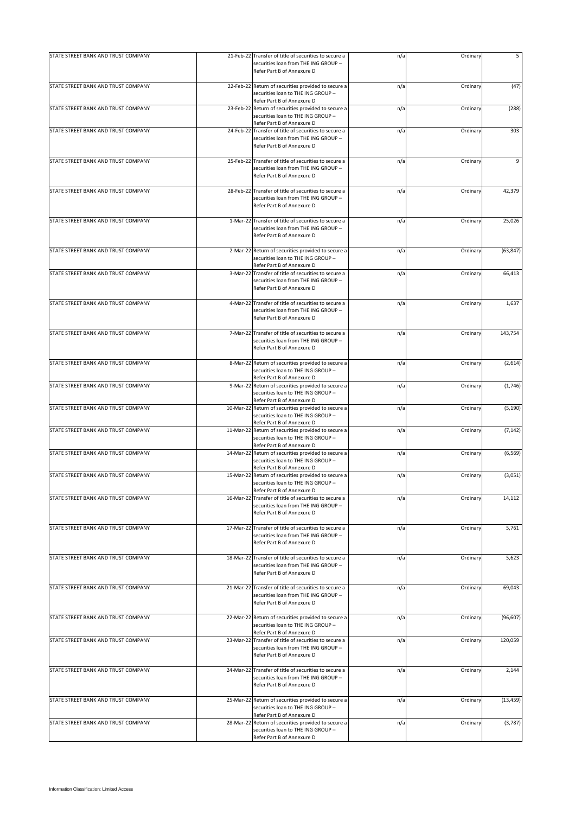| STATE STREET BANK AND TRUST COMPANY | 21-Feb-22 Transfer of title of securities to secure a<br>securities loan from THE ING GROUP -<br>Refer Part B of Annexure D | n/a | Ordinary | 5         |
|-------------------------------------|-----------------------------------------------------------------------------------------------------------------------------|-----|----------|-----------|
| STATE STREET BANK AND TRUST COMPANY | 22-Feb-22 Return of securities provided to secure a<br>securities loan to THE ING GROUP -<br>Refer Part B of Annexure D     | n/a | Ordinary | (47)      |
| STATE STREET BANK AND TRUST COMPANY | 23-Feb-22 Return of securities provided to secure a<br>securities loan to THE ING GROUP -<br>Refer Part B of Annexure D     | n/a | Ordinary | (288)     |
| STATE STREET BANK AND TRUST COMPANY | 24-Feb-22 Transfer of title of securities to secure a<br>securities loan from THE ING GROUP -<br>Refer Part B of Annexure D | n/a | Ordinary | 303       |
| STATE STREET BANK AND TRUST COMPANY | 25-Feb-22 Transfer of title of securities to secure a<br>securities loan from THE ING GROUP -<br>Refer Part B of Annexure D | n/a | Ordinary | 9         |
| STATE STREET BANK AND TRUST COMPANY | 28-Feb-22 Transfer of title of securities to secure a<br>securities loan from THE ING GROUP -<br>Refer Part B of Annexure D | n/a | Ordinary | 42,379    |
| STATE STREET BANK AND TRUST COMPANY | 1-Mar-22 Transfer of title of securities to secure a<br>securities loan from THE ING GROUP -<br>Refer Part B of Annexure D  | n/a | Ordinary | 25,026    |
| STATE STREET BANK AND TRUST COMPANY | 2-Mar-22 Return of securities provided to secure a<br>securities loan to THE ING GROUP -<br>Refer Part B of Annexure D      | n/a | Ordinary | (63, 847) |
| STATE STREET BANK AND TRUST COMPANY | 3-Mar-22 Transfer of title of securities to secure a<br>securities loan from THE ING GROUP -<br>Refer Part B of Annexure D  | n/a | Ordinary | 66,413    |
| STATE STREET BANK AND TRUST COMPANY | 4-Mar-22 Transfer of title of securities to secure a<br>securities loan from THE ING GROUP -<br>Refer Part B of Annexure D  | n/a | Ordinary | 1,637     |
| STATE STREET BANK AND TRUST COMPANY | 7-Mar-22 Transfer of title of securities to secure a<br>securities loan from THE ING GROUP -<br>Refer Part B of Annexure D  | n/a | Ordinary | 143,754   |
| STATE STREET BANK AND TRUST COMPANY | 8-Mar-22 Return of securities provided to secure a<br>securities loan to THE ING GROUP -<br>Refer Part B of Annexure D      | n/a | Ordinary | (2,614)   |
| STATE STREET BANK AND TRUST COMPANY | 9-Mar-22 Return of securities provided to secure a<br>securities loan to THE ING GROUP -<br>Refer Part B of Annexure D      | n/a | Ordinary | (1,746)   |
| STATE STREET BANK AND TRUST COMPANY | 10-Mar-22 Return of securities provided to secure a<br>securities loan to THE ING GROUP -<br>Refer Part B of Annexure D     | n/a | Ordinary | (5, 190)  |
| STATE STREET BANK AND TRUST COMPANY | 11-Mar-22 Return of securities provided to secure a<br>securities loan to THE ING GROUP -<br>Refer Part B of Annexure D     | n/a | Ordinary | (7, 142)  |
| STATE STREET BANK AND TRUST COMPANY | 14-Mar-22 Return of securities provided to secure a<br>securities loan to THE ING GROUP -<br>Refer Part B of Annexure D     | n/a | Ordinary | (6, 569)  |
| STATE STREET BANK AND TRUST COMPANY | 15-Mar-22 Return of securities provided to secure a<br>securities loan to THE ING GROUP -<br>Refer Part B of Annexure D     | n/a | Ordinary | (3,051)   |
| STATE STREET BANK AND TRUST COMPANY | 16-Mar-22 Transfer of title of securities to secure a<br>securities loan from THE ING GROUP -<br>Refer Part B of Annexure D | n/a | Ordinary | 14,112    |
| STATE STREET BANK AND TRUST COMPANY | 17-Mar-22 Transfer of title of securities to secure a<br>securities loan from THE ING GROUP -<br>Refer Part B of Annexure D | n/a | Ordinary | 5,761     |
| STATE STREET BANK AND TRUST COMPANY | 18-Mar-22 Transfer of title of securities to secure a<br>securities loan from THE ING GROUP -<br>Refer Part B of Annexure D | n/a | Ordinary | 5,623     |
| STATE STREET BANK AND TRUST COMPANY | 21-Mar-22 Transfer of title of securities to secure a<br>securities loan from THE ING GROUP -<br>Refer Part B of Annexure D | n/a | Ordinary | 69,043    |
| STATE STREET BANK AND TRUST COMPANY | 22-Mar-22 Return of securities provided to secure a<br>securities loan to THE ING GROUP -<br>Refer Part B of Annexure D     | n/a | Ordinary | (96, 607) |
| STATE STREET BANK AND TRUST COMPANY | 23-Mar-22 Transfer of title of securities to secure a<br>securities loan from THE ING GROUP -<br>Refer Part B of Annexure D | n/a | Ordinary | 120,059   |
| STATE STREET BANK AND TRUST COMPANY | 24-Mar-22 Transfer of title of securities to secure a<br>securities loan from THE ING GROUP -<br>Refer Part B of Annexure D | n/a | Ordinary | 2,144     |
| STATE STREET BANK AND TRUST COMPANY | 25-Mar-22 Return of securities provided to secure a<br>securities loan to THE ING GROUP -<br>Refer Part B of Annexure D     | n/a | Ordinary | (13, 459) |
| STATE STREET BANK AND TRUST COMPANY | 28-Mar-22 Return of securities provided to secure a<br>securities loan to THE ING GROUP -<br>Refer Part B of Annexure D     | n/a | Ordinary | (3,787)   |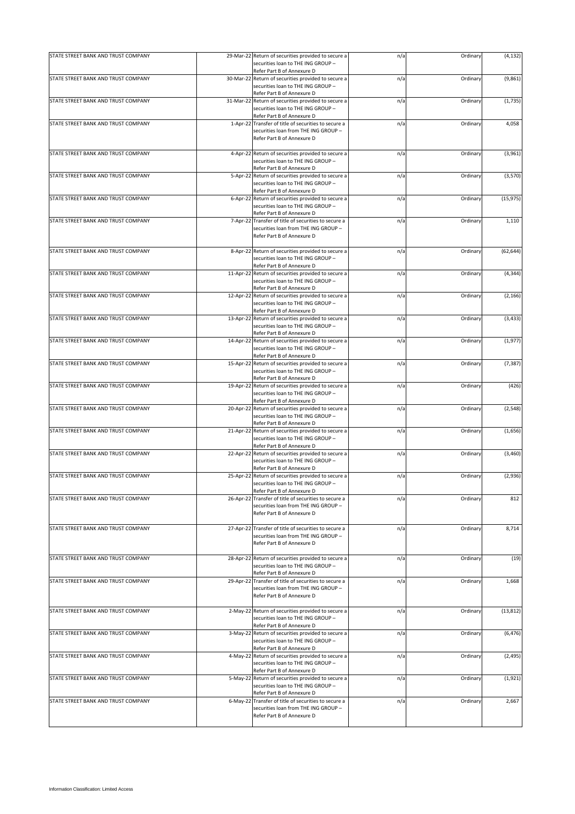| STATE STREET BANK AND TRUST COMPANY | 29-Mar-22 Return of securities provided to secure a<br>securities loan to THE ING GROUP - | n/a | Ordinary | (4, 132)  |
|-------------------------------------|-------------------------------------------------------------------------------------------|-----|----------|-----------|
|                                     | Refer Part B of Annexure D                                                                |     |          |           |
| STATE STREET BANK AND TRUST COMPANY | 30-Mar-22 Return of securities provided to secure a                                       | n/a | Ordinary | (9,861)   |
|                                     | securities loan to THE ING GROUP -                                                        |     |          |           |
|                                     | Refer Part B of Annexure D                                                                |     |          |           |
| STATE STREET BANK AND TRUST COMPANY | 31-Mar-22 Return of securities provided to secure a                                       | n/a | Ordinary | (1,735)   |
|                                     | securities loan to THE ING GROUP -                                                        |     |          |           |
|                                     | Refer Part B of Annexure D                                                                |     |          |           |
| STATE STREET BANK AND TRUST COMPANY | 1-Apr-22 Transfer of title of securities to secure a                                      | n/a | Ordinary | 4,058     |
|                                     | securities loan from THE ING GROUP -                                                      |     |          |           |
|                                     | Refer Part B of Annexure D                                                                |     |          |           |
|                                     |                                                                                           |     |          |           |
| STATE STREET BANK AND TRUST COMPANY | 4-Apr-22 Return of securities provided to secure a                                        | n/a | Ordinary | (3,961)   |
|                                     | securities loan to THE ING GROUP -                                                        |     |          |           |
|                                     | Refer Part B of Annexure D                                                                |     |          |           |
| STATE STREET BANK AND TRUST COMPANY | 5-Apr-22 Return of securities provided to secure a                                        | n/a | Ordinary | (3,570)   |
|                                     | securities loan to THE ING GROUP -                                                        |     |          |           |
|                                     | Refer Part B of Annexure D                                                                |     |          |           |
|                                     |                                                                                           |     |          |           |
| STATE STREET BANK AND TRUST COMPANY | 6-Apr-22 Return of securities provided to secure a                                        | n/a | Ordinary | (15, 975) |
|                                     | securities loan to THE ING GROUP -                                                        |     |          |           |
|                                     | Refer Part B of Annexure D                                                                |     |          |           |
| STATE STREET BANK AND TRUST COMPANY | 7-Apr-22 Transfer of title of securities to secure a                                      | n/a | Ordinary | 1,110     |
|                                     | securities loan from THE ING GROUP -                                                      |     |          |           |
|                                     | Refer Part B of Annexure D                                                                |     |          |           |
|                                     |                                                                                           |     |          |           |
| STATE STREET BANK AND TRUST COMPANY | 8-Apr-22 Return of securities provided to secure a                                        | n/a | Ordinary | (62, 644) |
|                                     | securities loan to THE ING GROUP -                                                        |     |          |           |
|                                     | Refer Part B of Annexure D                                                                |     |          |           |
| STATE STREET BANK AND TRUST COMPANY | 11-Apr-22 Return of securities provided to secure a                                       | n/a | Ordinary | (4, 344)  |
|                                     | securities loan to THE ING GROUP -                                                        |     |          |           |
|                                     | Refer Part B of Annexure D                                                                |     |          |           |
| STATE STREET BANK AND TRUST COMPANY | 12-Apr-22 Return of securities provided to secure a                                       | n/a | Ordinary | (2, 166)  |
|                                     | securities loan to THE ING GROUP -                                                        |     |          |           |
|                                     | Refer Part B of Annexure D                                                                |     |          |           |
| STATE STREET BANK AND TRUST COMPANY | 13-Apr-22 Return of securities provided to secure a                                       | n/a | Ordinary | (3, 433)  |
|                                     | securities loan to THE ING GROUP -                                                        |     |          |           |
|                                     | Refer Part B of Annexure D                                                                |     |          |           |
| STATE STREET BANK AND TRUST COMPANY | 14-Apr-22 Return of securities provided to secure a                                       | n/a | Ordinary | (1, 977)  |
|                                     | securities loan to THE ING GROUP -                                                        |     |          |           |
|                                     | Refer Part B of Annexure D                                                                |     |          |           |
| STATE STREET BANK AND TRUST COMPANY | 15-Apr-22 Return of securities provided to secure a                                       | n/a | Ordinary | (7, 387)  |
|                                     | securities loan to THE ING GROUP -                                                        |     |          |           |
|                                     | Refer Part B of Annexure D                                                                |     |          |           |
| STATE STREET BANK AND TRUST COMPANY |                                                                                           |     |          |           |
|                                     | 19-Apr-22 Return of securities provided to secure a                                       | n/a | Ordinary | (426)     |
|                                     | securities loan to THE ING GROUP -                                                        |     |          |           |
|                                     | Refer Part B of Annexure D                                                                |     |          |           |
| STATE STREET BANK AND TRUST COMPANY | 20-Apr-22 Return of securities provided to secure a                                       | n/a | Ordinary | (2, 548)  |
|                                     | securities loan to THE ING GROUP -                                                        |     |          |           |
|                                     | Refer Part B of Annexure D                                                                |     |          |           |
| STATE STREET BANK AND TRUST COMPANY | 21-Apr-22 Return of securities provided to secure a                                       | n/a | Ordinary | (1,656)   |
|                                     | securities loan to THE ING GROUP -                                                        |     |          |           |
|                                     | Refer Part B of Annexure D                                                                |     |          |           |
| STATE STREET BANK AND TRUST COMPANY | 22-Apr-22 Return of securities provided to secure a                                       | n/a | Ordinary | (3,460)   |
|                                     | securities loan to THE ING GROUP -                                                        |     |          |           |
|                                     | Refer Part B of Annexure D                                                                |     |          |           |
| STATE STREET BANK AND TRUST COMPANY | 25-Apr-22 Return of securities provided to secure a                                       | n/a | Ordinary | (2,936)   |
|                                     | securities loan to THE ING GROUP -                                                        |     |          |           |
|                                     | Refer Part B of Annexure D                                                                |     |          |           |
| STATE STREET BANK AND TRUST COMPANY | 26-Apr-22 Transfer of title of securities to secure a                                     | n/a | Ordinary | 812       |
|                                     | securities loan from THE ING GROUP -                                                      |     |          |           |
|                                     | Refer Part B of Annexure D                                                                |     |          |           |
|                                     |                                                                                           |     |          |           |
| STATE STREET BANK AND TRUST COMPANY | 27-Apr-22 Transfer of title of securities to secure a                                     | n/a | Ordinary | 8,714     |
|                                     | securities loan from THE ING GROUP -                                                      |     |          |           |
|                                     | Refer Part B of Annexure D                                                                |     |          |           |
|                                     |                                                                                           |     |          |           |
| STATE STREET BANK AND TRUST COMPANY | 28-Apr-22 Return of securities provided to secure a                                       | n/a | Ordinary | (19)      |
|                                     | securities loan to THE ING GROUP -                                                        |     |          |           |
|                                     | Refer Part B of Annexure D                                                                |     |          |           |
| STATE STREET BANK AND TRUST COMPANY | 29-Apr-22 Transfer of title of securities to secure a                                     | n/a | Ordinary | 1,668     |
|                                     | securities loan from THE ING GROUP -                                                      |     |          |           |
|                                     | Refer Part B of Annexure D                                                                |     |          |           |
|                                     |                                                                                           |     |          |           |
|                                     |                                                                                           |     |          |           |
| STATE STREET BANK AND TRUST COMPANY | 2-May-22 Return of securities provided to secure a                                        | n/a | Ordinary | (13, 812) |
|                                     | securities loan to THE ING GROUP -                                                        |     |          |           |
|                                     | Refer Part B of Annexure D                                                                |     |          |           |
| STATE STREET BANK AND TRUST COMPANY | 3-May-22 Return of securities provided to secure a                                        | n/a | Ordinary | (6, 476)  |
|                                     | securities loan to THE ING GROUP -                                                        |     |          |           |
|                                     | Refer Part B of Annexure D                                                                |     |          |           |
| STATE STREET BANK AND TRUST COMPANY | 4-May-22 Return of securities provided to secure a                                        | n/a | Ordinary | (2, 495)  |
|                                     | securities loan to THE ING GROUP -                                                        |     |          |           |
|                                     | Refer Part B of Annexure D                                                                |     |          |           |
| STATE STREET BANK AND TRUST COMPANY | 5-May-22 Return of securities provided to secure a                                        | n/a | Ordinary | (1,921)   |
|                                     | securities loan to THE ING GROUP -                                                        |     |          |           |
|                                     | Refer Part B of Annexure D                                                                |     |          |           |
| STATE STREET BANK AND TRUST COMPANY | 6-May-22 Transfer of title of securities to secure a                                      | n/a | Ordinary | 2,667     |
|                                     | securities loan from THE ING GROUP -                                                      |     |          |           |
|                                     | Refer Part B of Annexure D                                                                |     |          |           |
|                                     |                                                                                           |     |          |           |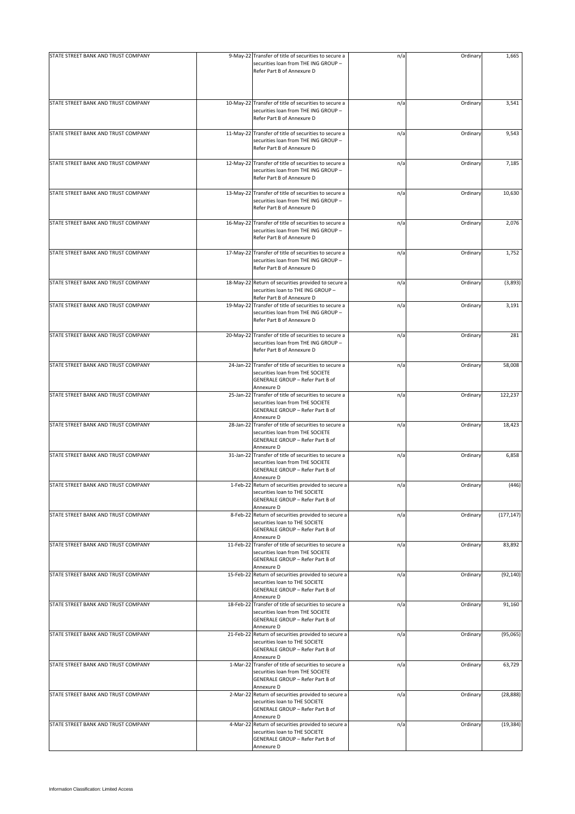| STATE STREET BANK AND TRUST COMPANY | 9-May-22 Transfer of title of securities to secure a                                          | n/a | Ordinary | 1,665      |
|-------------------------------------|-----------------------------------------------------------------------------------------------|-----|----------|------------|
|                                     | securities loan from THE ING GROUP -                                                          |     |          |            |
|                                     | Refer Part B of Annexure D                                                                    |     |          |            |
|                                     |                                                                                               |     |          |            |
|                                     |                                                                                               |     |          |            |
|                                     |                                                                                               |     |          |            |
| STATE STREET BANK AND TRUST COMPANY | 10-May-22 Transfer of title of securities to secure a                                         | n/a | Ordinary | 3,541      |
|                                     | securities loan from THE ING GROUP -<br>Refer Part B of Annexure D                            |     |          |            |
|                                     |                                                                                               |     |          |            |
| STATE STREET BANK AND TRUST COMPANY | 11-May-22 Transfer of title of securities to secure a                                         | n/a | Ordinary | 9,543      |
|                                     | securities loan from THE ING GROUP -                                                          |     |          |            |
|                                     | Refer Part B of Annexure D                                                                    |     |          |            |
| STATE STREET BANK AND TRUST COMPANY |                                                                                               |     |          |            |
|                                     | 12-May-22 Transfer of title of securities to secure a<br>securities loan from THE ING GROUP - | n/a | Ordinary | 7,185      |
|                                     | Refer Part B of Annexure D                                                                    |     |          |            |
|                                     |                                                                                               |     |          |            |
| STATE STREET BANK AND TRUST COMPANY | 13-May-22 Transfer of title of securities to secure a                                         | n/a | Ordinary | 10,630     |
|                                     | securities loan from THE ING GROUP -                                                          |     |          |            |
|                                     | Refer Part B of Annexure D                                                                    |     |          |            |
| STATE STREET BANK AND TRUST COMPANY | 16-May-22 Transfer of title of securities to secure a                                         | n/a | Ordinary | 2,076      |
|                                     | securities loan from THE ING GROUP -                                                          |     |          |            |
|                                     | Refer Part B of Annexure D                                                                    |     |          |            |
|                                     |                                                                                               |     |          |            |
| STATE STREET BANK AND TRUST COMPANY | 17-May-22 Transfer of title of securities to secure a                                         | n/a | Ordinary | 1,752      |
|                                     | securities loan from THE ING GROUP -                                                          |     |          |            |
|                                     | Refer Part B of Annexure D                                                                    |     |          |            |
| STATE STREET BANK AND TRUST COMPANY | 18-May-22 Return of securities provided to secure a                                           | n/a | Ordinary | (3,893)    |
|                                     | securities loan to THE ING GROUP -                                                            |     |          |            |
|                                     | Refer Part B of Annexure D                                                                    |     |          |            |
| STATE STREET BANK AND TRUST COMPANY | 19-May-22 Transfer of title of securities to secure a                                         | n/a | Ordinary | 3,191      |
|                                     | securities loan from THE ING GROUP -                                                          |     |          |            |
|                                     | Refer Part B of Annexure D                                                                    |     |          |            |
| STATE STREET BANK AND TRUST COMPANY | 20-May-22 Transfer of title of securities to secure a                                         |     | Ordinary | 281        |
|                                     | securities loan from THE ING GROUP -                                                          | n/a |          |            |
|                                     | Refer Part B of Annexure D                                                                    |     |          |            |
|                                     |                                                                                               |     |          |            |
| STATE STREET BANK AND TRUST COMPANY | 24-Jan-22 Transfer of title of securities to secure a                                         | n/a | Ordinary | 58,008     |
|                                     | securities loan from THE SOCIETE                                                              |     |          |            |
|                                     | GENERALE GROUP - Refer Part B of                                                              |     |          |            |
| STATE STREET BANK AND TRUST COMPANY | Annexure D<br>25-Jan-22 Transfer of title of securities to secure a                           | n/a | Ordinary | 122,237    |
|                                     | securities loan from THE SOCIETE                                                              |     |          |            |
|                                     | GENERALE GROUP - Refer Part B of                                                              |     |          |            |
|                                     | Annexure D                                                                                    |     |          |            |
| STATE STREET BANK AND TRUST COMPANY | 28-Jan-22 Transfer of title of securities to secure a                                         | n/a | Ordinary | 18,423     |
|                                     | securities loan from THE SOCIETE                                                              |     |          |            |
|                                     | GENERALE GROUP - Refer Part B of<br>Annexure D                                                |     |          |            |
| STATE STREET BANK AND TRUST COMPANY | 31-Jan-22 Transfer of title of securities to secure a                                         | n/a | Ordinary | 6,858      |
|                                     | securities loan from THE SOCIETE                                                              |     |          |            |
|                                     | GENERALE GROUP - Refer Part B of                                                              |     |          |            |
|                                     | Annexure D                                                                                    |     |          |            |
| STATE STREET BANK AND TRUST COMPANY | 1-Feb-22 Return of securities provided to secure a                                            | n/a | Ordinary |            |
|                                     | securities loan to THE SOCIETE<br>GENERALE GROUP - Refer Part B of                            |     |          |            |
|                                     | Annexure D                                                                                    |     |          |            |
| STATE STREET BANK AND TRUST COMPANY | 8-Feb-22 Return of securities provided to secure a                                            | n/a | Ordinary | (177, 147) |
|                                     | securities loan to THE SOCIETE                                                                |     |          |            |
|                                     | GENERALE GROUP - Refer Part B of                                                              |     |          |            |
| STATE STREET BANK AND TRUST COMPANY | Annexure D<br>11-Feb-22 Transfer of title of securities to secure a                           |     |          |            |
|                                     | securities loan from THE SOCIETE                                                              | n/a | Ordinary | 83,892     |
|                                     | GENERALE GROUP - Refer Part B of                                                              |     |          |            |
|                                     | Annexure D                                                                                    |     |          |            |
| STATE STREET BANK AND TRUST COMPANY | 15-Feb-22 Return of securities provided to secure a                                           | n/a | Ordinary | (92, 140)  |
|                                     | securities loan to THE SOCIETE                                                                |     |          |            |
|                                     | GENERALE GROUP - Refer Part B of                                                              |     |          |            |
| STATE STREET BANK AND TRUST COMPANY | Annexure D                                                                                    |     |          | 91,160     |
|                                     | 18-Feb-22 Transfer of title of securities to secure a<br>securities loan from THE SOCIETE     | n/a | Ordinary |            |
|                                     | GENERALE GROUP - Refer Part B of                                                              |     |          |            |
|                                     | Annexure D                                                                                    |     |          |            |
| STATE STREET BANK AND TRUST COMPANY | 21-Feb-22 Return of securities provided to secure a                                           | n/a | Ordinary | (95,065)   |
|                                     | securities loan to THE SOCIETE                                                                |     |          |            |
|                                     | GENERALE GROUP - Refer Part B of<br>Annexure D                                                |     |          |            |
| STATE STREET BANK AND TRUST COMPANY | 1-Mar-22 Transfer of title of securities to secure a                                          | n/a | Ordinary | 63,729     |
|                                     | securities loan from THE SOCIETE                                                              |     |          |            |
|                                     | GENERALE GROUP - Refer Part B of                                                              |     |          |            |
|                                     | Annexure D                                                                                    |     |          |            |
| STATE STREET BANK AND TRUST COMPANY | 2-Mar-22 Return of securities provided to secure a                                            | n/a | Ordinary | (28, 888)  |
|                                     | securities loan to THE SOCIETE                                                                |     |          |            |
|                                     | GENERALE GROUP - Refer Part B of<br>Annexure D                                                |     |          |            |
| STATE STREET BANK AND TRUST COMPANY | 4-Mar-22 Return of securities provided to secure a                                            | n/a | Ordinary | (19, 384)  |
|                                     | securities loan to THE SOCIETE                                                                |     |          |            |
|                                     | GENERALE GROUP - Refer Part B of                                                              |     |          |            |
|                                     | Annexure D                                                                                    |     |          |            |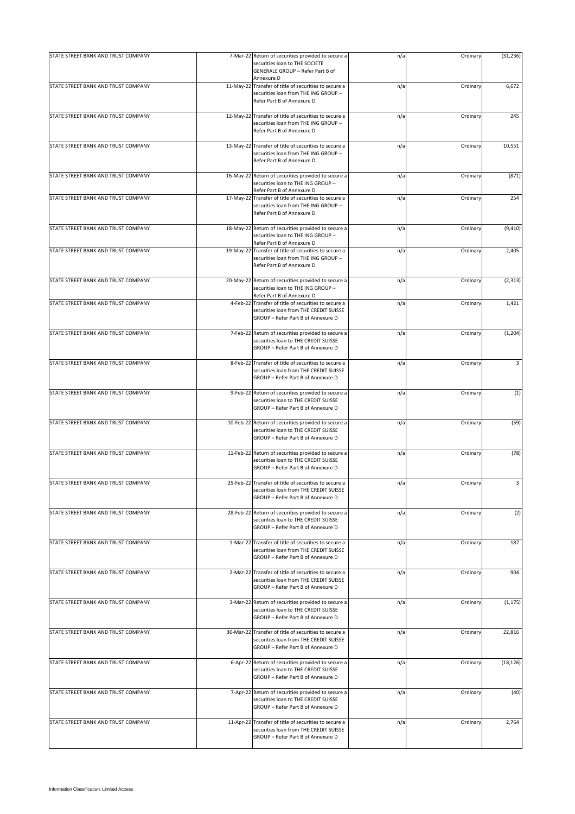| STATE STREET BANK AND TRUST COMPANY | 7-Mar-22 Return of securities provided to secure a                                                                          | n/a | Ordinary | (31, 236) |
|-------------------------------------|-----------------------------------------------------------------------------------------------------------------------------|-----|----------|-----------|
|                                     | securities loan to THE SOCIETE<br>GENERALE GROUP - Refer Part B of<br>Annexure D                                            |     |          |           |
| STATE STREET BANK AND TRUST COMPANY | 11-May-22 Transfer of title of securities to secure a                                                                       | n/a | Ordinary | 6,672     |
|                                     | securities loan from THE ING GROUP -<br>Refer Part B of Annexure D                                                          |     |          |           |
| STATE STREET BANK AND TRUST COMPANY | 12-May-22 Transfer of title of securities to secure a                                                                       | n/a | Ordinary | 245       |
|                                     | securities loan from THE ING GROUP -<br>Refer Part B of Annexure D                                                          |     |          |           |
| STATE STREET BANK AND TRUST COMPANY | 13-May-22 Transfer of title of securities to secure a                                                                       | n/a | Ordinary | 10,551    |
|                                     | securities loan from THE ING GROUP -<br>Refer Part B of Annexure D                                                          |     |          |           |
| STATE STREET BANK AND TRUST COMPANY | 16-May-22 Return of securities provided to secure a<br>securities loan to THE ING GROUP -<br>Refer Part B of Annexure D     | n/a | Ordinary | (871)     |
| STATE STREET BANK AND TRUST COMPANY | 17-May-22 Transfer of title of securities to secure a<br>securities loan from THE ING GROUP -<br>Refer Part B of Annexure D | n/a | Ordinary | 254       |
| STATE STREET BANK AND TRUST COMPANY | 18-May-22 Return of securities provided to secure a<br>securities loan to THE ING GROUP -                                   | n/a | Ordinary | (9, 410)  |
| STATE STREET BANK AND TRUST COMPANY | Refer Part B of Annexure D<br>19-May-22 Transfer of title of securities to secure a                                         | n/a | Ordinary | 2,405     |
|                                     | securities loan from THE ING GROUP -<br>Refer Part B of Annexure D                                                          |     |          |           |
| STATE STREET BANK AND TRUST COMPANY | 20-May-22 Return of securities provided to secure a                                                                         | n/a | Ordinary | (2, 313)  |
|                                     | securities loan to THE ING GROUP -<br>Refer Part B of Annexure D                                                            |     |          |           |
| STATE STREET BANK AND TRUST COMPANY | 4-Feb-22 Transfer of title of securities to secure a<br>securities loan from THE CREDIT SUISSE                              | n/a | Ordinary | 1,421     |
|                                     | GROUP - Refer Part B of Annexure D                                                                                          |     |          |           |
| STATE STREET BANK AND TRUST COMPANY | 7-Feb-22 Return of securities provided to secure a                                                                          | n/a | Ordinary | (1, 204)  |
|                                     | securities loan to THE CREDIT SUISSE<br>GROUP - Refer Part B of Annexure D                                                  |     |          |           |
| STATE STREET BANK AND TRUST COMPANY | 8-Feb-22 Transfer of title of securities to secure a                                                                        | n/a | Ordinary | 3         |
|                                     | securities loan from THE CREDIT SUISSE<br>GROUP - Refer Part B of Annexure D                                                |     |          |           |
| STATE STREET BANK AND TRUST COMPANY | 9-Feb-22 Return of securities provided to secure a                                                                          | n/a | Ordinary | (1)       |
|                                     | securities loan to THE CREDIT SUISSE<br>GROUP - Refer Part B of Annexure D                                                  |     |          |           |
| STATE STREET BANK AND TRUST COMPANY | 10-Feb-22 Return of securities provided to secure a<br>securities loan to THE CREDIT SUISSE                                 | n/a | Ordinary | (59)      |
|                                     | GROUP - Refer Part B of Annexure D                                                                                          |     |          |           |
| STATE STREET BANK AND TRUST COMPANY | 11-Feb-22 Return of securities provided to secure a                                                                         | n/a | Ordinary | (78)      |
|                                     | securities loan to THE CREDIT SUISSE<br>GROUP - Refer Part B of Annexure D                                                  |     |          |           |
| STATE STREET BANK AND TRUST COMPANY | 25-Feb-22 Transfer of title of securities to secure a                                                                       | n/a | Ordinary | 3         |
|                                     | securities loan from THE CREDIT SUISSE<br>GROUP - Refer Part B of Annexure D                                                |     |          |           |
| STATE STREET BANK AND TRUST COMPANY | 28-Feb-22 Return of securities provided to secure a                                                                         | n/a | Ordinary | (2)       |
|                                     | securities loan to THE CREDIT SUISSE<br>GROUP - Refer Part B of Annexure D                                                  |     |          |           |
| STATE STREET BANK AND TRUST COMPANY | 1-Mar-22 Transfer of title of securities to secure a                                                                        | n/a | Ordinary | 187       |
|                                     | securities loan from THE CREDIT SUISSE<br>GROUP - Refer Part B of Annexure D                                                |     |          |           |
| STATE STREET BANK AND TRUST COMPANY | 2-Mar-22 Transfer of title of securities to secure a<br>securities loan from THE CREDIT SUISSE                              | n/a | Ordinary | 904       |
|                                     | GROUP - Refer Part B of Annexure D                                                                                          |     |          |           |
| STATE STREET BANK AND TRUST COMPANY | 3-Mar-22 Return of securities provided to secure a<br>securities loan to THE CREDIT SUISSE                                  | n/a | Ordinary | (1, 175)  |
|                                     | GROUP - Refer Part B of Annexure D                                                                                          |     |          |           |
| STATE STREET BANK AND TRUST COMPANY | 30-Mar-22 Transfer of title of securities to secure a<br>securities loan from THE CREDIT SUISSE                             | n/a | Ordinary | 22,816    |
|                                     | GROUP - Refer Part B of Annexure D                                                                                          |     |          |           |
| STATE STREET BANK AND TRUST COMPANY | 6-Apr-22 Return of securities provided to secure a<br>securities loan to THE CREDIT SUISSE                                  | n/a | Ordinary | (18, 126) |
|                                     | GROUP - Refer Part B of Annexure D                                                                                          |     |          |           |
| STATE STREET BANK AND TRUST COMPANY | 7-Apr-22 Return of securities provided to secure a                                                                          | n/a | Ordinary | (40)      |
|                                     | securities loan to THE CREDIT SUISSE<br>GROUP - Refer Part B of Annexure D                                                  |     |          |           |
| STATE STREET BANK AND TRUST COMPANY | 11-Apr-22 Transfer of title of securities to secure a                                                                       | n/a | Ordinary | 2,764     |
|                                     | securities loan from THE CREDIT SUISSE<br>GROUP - Refer Part B of Annexure D                                                |     |          |           |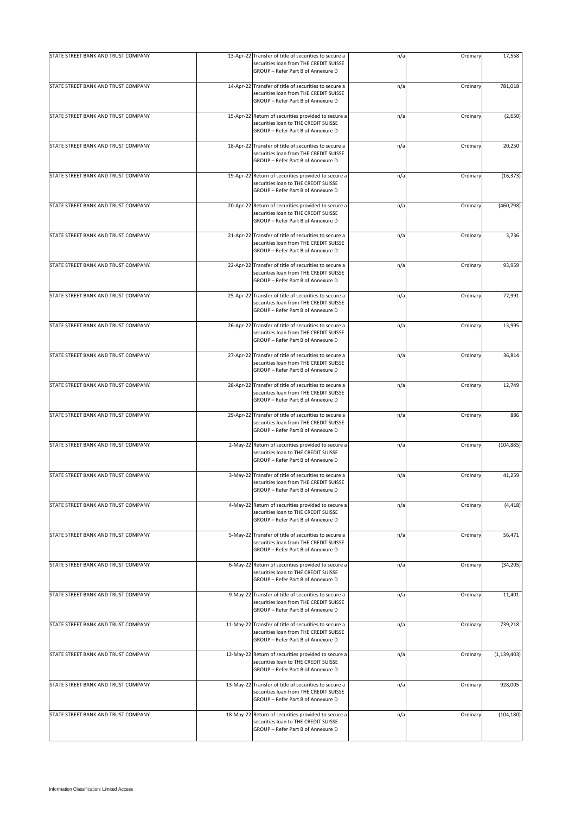| STATE STREET BANK AND TRUST COMPANY |           | 13-Apr-22 Transfer of title of securities to secure a<br>securities loan from THE CREDIT SUISSE<br>GROUP - Refer Part B of Annexure D | n/a | Ordinary | 17,558        |
|-------------------------------------|-----------|---------------------------------------------------------------------------------------------------------------------------------------|-----|----------|---------------|
| STATE STREET BANK AND TRUST COMPANY |           | 14-Apr-22 Transfer of title of securities to secure a<br>securities loan from THE CREDIT SUISSE<br>GROUP - Refer Part B of Annexure D | n/a | Ordinary | 781,018       |
| STATE STREET BANK AND TRUST COMPANY |           | 15-Apr-22 Return of securities provided to secure a<br>securities loan to THE CREDIT SUISSE<br>GROUP - Refer Part B of Annexure D     | n/a | Ordinary | (2,650)       |
| STATE STREET BANK AND TRUST COMPANY |           | 18-Apr-22 Transfer of title of securities to secure a<br>securities loan from THE CREDIT SUISSE<br>GROUP - Refer Part B of Annexure D | n/a | Ordinary | 20,250        |
| STATE STREET BANK AND TRUST COMPANY |           | 19-Apr-22 Return of securities provided to secure a<br>securities loan to THE CREDIT SUISSE<br>GROUP - Refer Part B of Annexure D     | n/a | Ordinary | (16, 373)     |
| STATE STREET BANK AND TRUST COMPANY |           | 20-Apr-22 Return of securities provided to secure a<br>securities loan to THE CREDIT SUISSE<br>GROUP - Refer Part B of Annexure D     | n/a | Ordinary | (460, 798)    |
| STATE STREET BANK AND TRUST COMPANY |           | 21-Apr-22 Transfer of title of securities to secure a<br>securities loan from THE CREDIT SUISSE<br>GROUP - Refer Part B of Annexure D | n/a | Ordinary | 3,736         |
| STATE STREET BANK AND TRUST COMPANY |           | 22-Apr-22 Transfer of title of securities to secure a<br>securities loan from THE CREDIT SUISSE<br>GROUP - Refer Part B of Annexure D | n/a | Ordinary | 93,959        |
| STATE STREET BANK AND TRUST COMPANY |           | 25-Apr-22 Transfer of title of securities to secure a<br>securities loan from THE CREDIT SUISSE<br>GROUP - Refer Part B of Annexure D | n/a | Ordinary | 77,991        |
| STATE STREET BANK AND TRUST COMPANY |           | 26-Apr-22 Transfer of title of securities to secure a<br>securities loan from THE CREDIT SUISSE<br>GROUP - Refer Part B of Annexure D | n/a | Ordinary | 13,995        |
| STATE STREET BANK AND TRUST COMPANY |           | 27-Apr-22 Transfer of title of securities to secure a<br>securities loan from THE CREDIT SUISSE<br>GROUP - Refer Part B of Annexure D | n/a | Ordinary | 36,814        |
| STATE STREET BANK AND TRUST COMPANY |           | 28-Apr-22 Transfer of title of securities to secure a<br>securities loan from THE CREDIT SUISSE<br>GROUP - Refer Part B of Annexure D | n/a | Ordinary | 12,749        |
| STATE STREET BANK AND TRUST COMPANY |           | 29-Apr-22 Transfer of title of securities to secure a<br>securities loan from THE CREDIT SUISSE<br>GROUP - Refer Part B of Annexure D | n/a | Ordinary | 886           |
| STATE STREET BANK AND TRUST COMPANY |           | 2-May-22 Return of securities provided to secure a<br>securities loan to THE CREDIT SUISSE<br>GROUP - Refer Part B of Annexure D      | n/a | Ordinary | (104, 885)    |
| STATE STREET BANK AND TRUST COMPANY |           | 3-May-22 Transfer of title of securities to secure a<br>securities loan from THE CREDIT SUISSE<br>GROUP - Refer Part B of Annexure D  | n/a | Ordinary | 41,259        |
| STATE STREET BANK AND TRUST COMPANY |           | 4-May-22 Return of securities provided to secure a<br>securities loan to THE CREDIT SUISSE<br>GROUP - Refer Part B of Annexure D      | n/a | Ordinary | (4, 418)      |
| STATE STREET BANK AND TRUST COMPANY |           | 5-May-22 Transfer of title of securities to secure a<br>securities loan from THE CREDIT SUISSE<br>GROUP - Refer Part B of Annexure D  | n/a | Ordinary | 56,471        |
| STATE STREET BANK AND TRUST COMPANY |           | 6-May-22 Return of securities provided to secure a<br>securities loan to THE CREDIT SUISSE<br>GROUP - Refer Part B of Annexure D      | n/a | Ordinary | (34, 205)     |
| STATE STREET BANK AND TRUST COMPANY |           | 9-May-22 Transfer of title of securities to secure a<br>securities loan from THE CREDIT SUISSE<br>GROUP - Refer Part B of Annexure D  | n/a | Ordinary | 11,401        |
| STATE STREET BANK AND TRUST COMPANY |           | 11-May-22 Transfer of title of securities to secure a<br>securities loan from THE CREDIT SUISSE<br>GROUP - Refer Part B of Annexure D | n/a | Ordinary | 739,218       |
| STATE STREET BANK AND TRUST COMPANY |           | 12-May-22 Return of securities provided to secure a<br>securities loan to THE CREDIT SUISSE<br>GROUP - Refer Part B of Annexure D     | n/a | Ordinary | (1, 139, 403) |
| STATE STREET BANK AND TRUST COMPANY | 13-May-22 | Transfer of title of securities to secure a<br>securities loan from THE CREDIT SUISSE<br>GROUP - Refer Part B of Annexure D           | n/a | Ordinary | 928,005       |
| STATE STREET BANK AND TRUST COMPANY |           | 18-May-22 Return of securities provided to secure a<br>securities loan to THE CREDIT SUISSE<br>GROUP - Refer Part B of Annexure D     | n/a | Ordinary | (104, 180)    |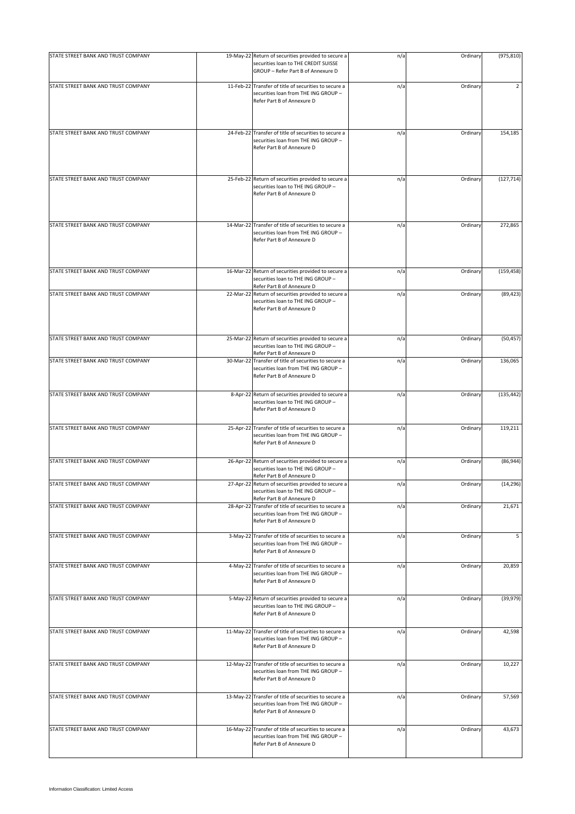| STATE STREET BANK AND TRUST COMPANY |           | 19-May-22 Return of securities provided to secure a<br>securities loan to THE CREDIT SUISSE<br>GROUP - Refer Part B of Annexure D | n/a | Ordinary | (975, 810)     |
|-------------------------------------|-----------|-----------------------------------------------------------------------------------------------------------------------------------|-----|----------|----------------|
| STATE STREET BANK AND TRUST COMPANY |           | 11-Feb-22 Transfer of title of securities to secure a<br>securities loan from THE ING GROUP -<br>Refer Part B of Annexure D       | n/a | Ordinary | $\overline{2}$ |
| STATE STREET BANK AND TRUST COMPANY | 24-Feb-22 | Transfer of title of securities to secure a<br>securities loan from THE ING GROUP -<br>Refer Part B of Annexure D                 | n/a | Ordinary | 154,185        |
| STATE STREET BANK AND TRUST COMPANY |           | 25-Feb-22 Return of securities provided to secure a<br>securities loan to THE ING GROUP -<br>Refer Part B of Annexure D           | n/a | Ordinary | (127, 714)     |
| STATE STREET BANK AND TRUST COMPANY |           | 14-Mar-22 Transfer of title of securities to secure a<br>securities loan from THE ING GROUP -<br>Refer Part B of Annexure D       | n/a | Ordinary | 272,865        |
| STATE STREET BANK AND TRUST COMPANY |           | 16-Mar-22 Return of securities provided to secure a<br>securities loan to THE ING GROUP -<br>Refer Part B of Annexure D           | n/a | Ordinary | (159, 458)     |
| STATE STREET BANK AND TRUST COMPANY |           | 22-Mar-22 Return of securities provided to secure a<br>securities loan to THE ING GROUP -<br>Refer Part B of Annexure D           | n/a | Ordinary | (89, 423)      |
| STATE STREET BANK AND TRUST COMPANY |           | 25-Mar-22 Return of securities provided to secure a<br>securities loan to THE ING GROUP -<br>Refer Part B of Annexure D           | n/a | Ordinary | (50, 457)      |
| STATE STREET BANK AND TRUST COMPANY |           | 30-Mar-22 Transfer of title of securities to secure a<br>securities loan from THE ING GROUP -<br>Refer Part B of Annexure D       | n/a | Ordinary | 136,065        |
| STATE STREET BANK AND TRUST COMPANY |           | 8-Apr-22 Return of securities provided to secure a<br>securities loan to THE ING GROUP -<br>Refer Part B of Annexure D            | n/a | Ordinary | (135, 442)     |
| STATE STREET BANK AND TRUST COMPANY |           | 25-Apr-22 Transfer of title of securities to secure a<br>securities loan from THE ING GROUP -<br>Refer Part B of Annexure D       | n/a | Ordinary | 119,211        |
| STATE STREET BANK AND TRUST COMPANY |           | 26-Apr-22 Return of securities provided to secure a<br>securities loan to THE ING GROUP -<br>Refer Part B of Annexure D           | n/a | Ordinary | (86, 944)      |
| STATE STREET BANK AND TRUST COMPANY |           | Return of securities provided to secure a<br>securities loan to THE ING GROUP -<br>Refer Part B of Annexure D                     | n/a | Ordinary | (14, 296)      |
| STATE STREET BANK AND TRUST COMPANY |           | 28-Apr-22 Transfer of title of securities to secure a<br>securities loan from THE ING GROUP -<br>Refer Part B of Annexure D       | n/a | Ordinary | 21,671         |
| STATE STREET BANK AND TRUST COMPANY |           | 3-May-22 Transfer of title of securities to secure a<br>securities loan from THE ING GROUP -<br>Refer Part B of Annexure D        | n/a | Ordinary | 5              |
| STATE STREET BANK AND TRUST COMPANY |           | 4-May-22 Transfer of title of securities to secure a<br>securities loan from THE ING GROUP -<br>Refer Part B of Annexure D        | n/a | Ordinary | 20,859         |
| STATE STREET BANK AND TRUST COMPANY |           | 5-May-22 Return of securities provided to secure a<br>securities loan to THE ING GROUP -<br>Refer Part B of Annexure D            | n/a | Ordinary | (39, 979)      |
| STATE STREET BANK AND TRUST COMPANY |           | 11-May-22 Transfer of title of securities to secure a<br>securities loan from THE ING GROUP -<br>Refer Part B of Annexure D       | n/a | Ordinary | 42,598         |
| STATE STREET BANK AND TRUST COMPANY |           | 12-May-22 Transfer of title of securities to secure a<br>securities loan from THE ING GROUP -<br>Refer Part B of Annexure D       | n/a | Ordinary | 10,227         |
| STATE STREET BANK AND TRUST COMPANY |           | 13-May-22 Transfer of title of securities to secure a<br>securities loan from THE ING GROUP -<br>Refer Part B of Annexure D       | n/a | Ordinary | 57,569         |
| STATE STREET BANK AND TRUST COMPANY |           | 16-May-22 Transfer of title of securities to secure a<br>securities loan from THE ING GROUP -<br>Refer Part B of Annexure D       | n/a | Ordinary | 43,673         |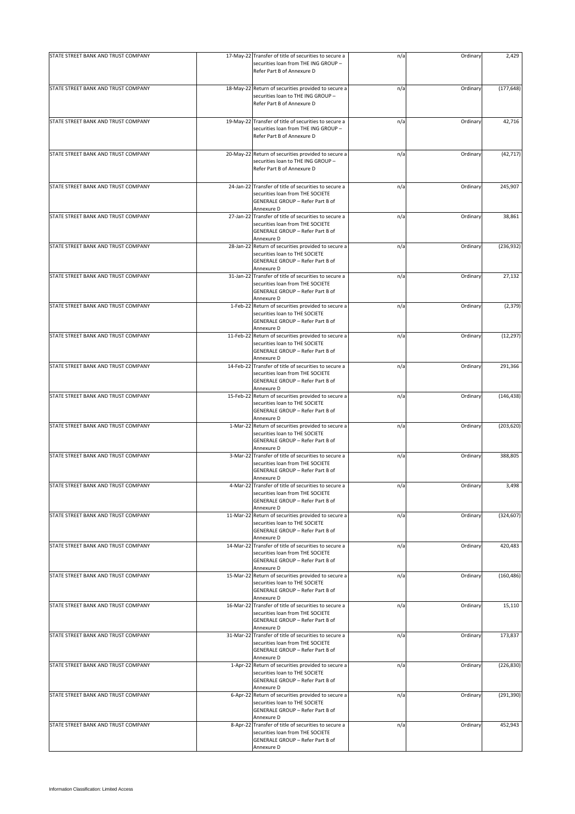| STATE STREET BANK AND TRUST COMPANY | 17-May-22 Transfer of title of securities to secure a<br>securities loan from THE ING GROUP -<br>Refer Part B of Annexure D                    | n/a | Ordinary | 2,429      |
|-------------------------------------|------------------------------------------------------------------------------------------------------------------------------------------------|-----|----------|------------|
| STATE STREET BANK AND TRUST COMPANY | 18-May-22 Return of securities provided to secure a<br>securities loan to THE ING GROUP -<br>Refer Part B of Annexure D                        | n/a | Ordinary | (177, 648) |
| STATE STREET BANK AND TRUST COMPANY | 19-May-22 Transfer of title of securities to secure a<br>securities loan from THE ING GROUP -<br>Refer Part B of Annexure D                    | n/a | Ordinary | 42,716     |
| STATE STREET BANK AND TRUST COMPANY | 20-May-22 Return of securities provided to secure a<br>securities loan to THE ING GROUP -<br>Refer Part B of Annexure D                        | n/a | Ordinary | (42, 717)  |
| STATE STREET BANK AND TRUST COMPANY | 24-Jan-22 Transfer of title of securities to secure a<br>securities loan from THE SOCIETE<br>GENERALE GROUP - Refer Part B of<br>Annexure D    | n/a | Ordinary | 245,907    |
| STATE STREET BANK AND TRUST COMPANY | 27-Jan-22 Transfer of title of securities to secure a<br>securities loan from THE SOCIETE<br>GENERALE GROUP - Refer Part B of<br>Annexure D    | n/a | Ordinary | 38,861     |
| STATE STREET BANK AND TRUST COMPANY | 28-Jan-22 Return of securities provided to secure a<br>securities loan to THE SOCIETE<br><b>GENERALE GROUP - Refer Part B of</b><br>Annexure D | n/a | Ordinary | (236, 932) |
| STATE STREET BANK AND TRUST COMPANY | 31-Jan-22 Transfer of title of securities to secure a<br>securities loan from THE SOCIETE<br>GENERALE GROUP - Refer Part B of<br>Annexure D    | n/a | Ordinary | 27,132     |
| STATE STREET BANK AND TRUST COMPANY | 1-Feb-22 Return of securities provided to secure a<br>securities loan to THE SOCIETE<br>GENERALE GROUP - Refer Part B of<br>Annexure D         | n/a | Ordinary | (2, 379)   |
| STATE STREET BANK AND TRUST COMPANY | 11-Feb-22 Return of securities provided to secure a<br>securities loan to THE SOCIETE<br>GENERALE GROUP - Refer Part B of<br>Annexure D        | n/a | Ordinary | (12, 297)  |
| STATE STREET BANK AND TRUST COMPANY | 14-Feb-22 Transfer of title of securities to secure a<br>securities loan from THE SOCIETE<br>GENERALE GROUP - Refer Part B of<br>Annexure D    | n/a | Ordinary | 291,366    |
| STATE STREET BANK AND TRUST COMPANY | 15-Feb-22 Return of securities provided to secure a<br>securities loan to THE SOCIETE<br>GENERALE GROUP - Refer Part B of<br>Annexure D        | n/a | Ordinary | (146, 438) |
| STATE STREET BANK AND TRUST COMPANY | 1-Mar-22 Return of securities provided to secure a<br>securities loan to THE SOCIETE<br>GENERALE GROUP - Refer Part B of<br>Annexure D         | n/a | Ordinary | (203, 620) |
| STATE STREET BANK AND TRUST COMPANY | 3-Mar-22 Transfer of title of securities to secure a<br>securities loan from THE SOCIETE<br>GENERALE GROUP - Refer Part B of<br>Annexure D     | n/a | Ordinary | 388,805    |
| STATE STREET BANK AND TRUST COMPANY | 4-Mar-22 Transfer of title of securities to secure a<br>securities loan from THE SOCIETE<br>GENERALE GROUP - Refer Part B of<br>Annexure D     | n/a | Ordinary | 3,498      |
| STATE STREET BANK AND TRUST COMPANY | 11-Mar-22 Return of securities provided to secure a<br>securities loan to THE SOCIETE<br>GENERALE GROUP - Refer Part B of<br>Annexure D        | n/a | Ordinary | (324, 607) |
| STATE STREET BANK AND TRUST COMPANY | 14-Mar-22 Transfer of title of securities to secure a<br>securities loan from THE SOCIETE<br>GENERALE GROUP - Refer Part B of<br>Annexure D    | n/a | Ordinary | 420,483    |
| STATE STREET BANK AND TRUST COMPANY | 15-Mar-22 Return of securities provided to secure a<br>securities loan to THE SOCIETE<br>GENERALE GROUP - Refer Part B of<br>Annexure D        | n/a | Ordinary | (160, 486) |
| STATE STREET BANK AND TRUST COMPANY | 16-Mar-22 Transfer of title of securities to secure a<br>securities loan from THE SOCIETE<br>GENERALE GROUP - Refer Part B of<br>Annexure D    | n/a | Ordinary | 15,110     |
| STATE STREET BANK AND TRUST COMPANY | 31-Mar-22 Transfer of title of securities to secure a<br>securities loan from THE SOCIETE<br>GENERALE GROUP - Refer Part B of<br>Annexure D    | n/a | Ordinary | 173,837    |
| STATE STREET BANK AND TRUST COMPANY | 1-Apr-22 Return of securities provided to secure a<br>securities loan to THE SOCIETE<br>GENERALE GROUP - Refer Part B of<br>Annexure D         | n/a | Ordinary | (226, 830) |
| STATE STREET BANK AND TRUST COMPANY | 6-Apr-22 Return of securities provided to secure a<br>securities loan to THE SOCIETE<br>GENERALE GROUP - Refer Part B of<br>Annexure D         | n/a | Ordinary | (291, 390) |
| STATE STREET BANK AND TRUST COMPANY | 8-Apr-22 Transfer of title of securities to secure a<br>securities loan from THE SOCIETE<br>GENERALE GROUP - Refer Part B of<br>Annexure D     | n/a | Ordinary | 452,943    |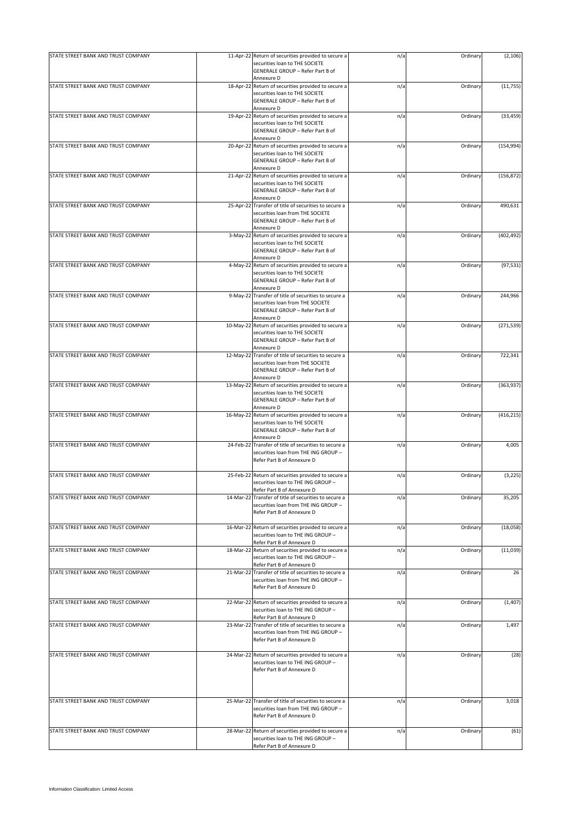| STATE STREET BANK AND TRUST COMPANY |           | 11-Apr-22 Return of securities provided to secure a<br>securities loan to THE SOCIETE<br>GENERALE GROUP - Refer Part B of   | n/a | Ordinary | (2, 106)   |
|-------------------------------------|-----------|-----------------------------------------------------------------------------------------------------------------------------|-----|----------|------------|
|                                     |           | Annexure D                                                                                                                  |     |          |            |
| STATE STREET BANK AND TRUST COMPANY |           | 18-Apr-22 Return of securities provided to secure a<br>securities loan to THE SOCIETE<br>GENERALE GROUP - Refer Part B of   | n/a | Ordinary | (11, 755)  |
|                                     |           | Annexure D                                                                                                                  |     |          |            |
| STATE STREET BANK AND TRUST COMPANY | 19-Apr-22 | Return of securities provided to secure a<br>securities loan to THE SOCIETE<br>GENERALE GROUP - Refer Part B of             | n/a | Ordinary | (33, 459)  |
|                                     |           |                                                                                                                             |     |          |            |
|                                     |           | Annexure D                                                                                                                  |     |          |            |
| STATE STREET BANK AND TRUST COMPANY |           | 20-Apr-22 Return of securities provided to secure a                                                                         | n/a | Ordinary | (154, 994) |
|                                     |           | securities loan to THE SOCIETE<br>GENERALE GROUP - Refer Part B of<br>Annexure D                                            |     |          |            |
| STATE STREET BANK AND TRUST COMPANY |           | 21-Apr-22 Return of securities provided to secure a                                                                         | n/a | Ordinary | (156, 872) |
|                                     |           | securities loan to THE SOCIETE<br>GENERALE GROUP - Refer Part B of<br>Annexure D                                            |     |          |            |
| STATE STREET BANK AND TRUST COMPANY |           | 25-Apr-22 Transfer of title of securities to secure a                                                                       | n/a | Ordinary | 490,631    |
|                                     |           | securities loan from THE SOCIETE<br>GENERALE GROUP - Refer Part B of<br>Annexure D                                          |     |          |            |
| STATE STREET BANK AND TRUST COMPANY |           | 3-May-22 Return of securities provided to secure a                                                                          | n/a | Ordinary | (402, 492) |
|                                     |           | securities loan to THE SOCIETE<br>GENERALE GROUP - Refer Part B of<br>Annexure D                                            |     |          |            |
| STATE STREET BANK AND TRUST COMPANY |           | 4-May-22 Return of securities provided to secure a                                                                          | n/a | Ordinary | (97, 531)  |
|                                     |           | securities loan to THE SOCIETE<br>GENERALE GROUP - Refer Part B of<br>Annexure D                                            |     |          |            |
| STATE STREET BANK AND TRUST COMPANY |           | 9-May-22 Transfer of title of securities to secure a                                                                        |     |          |            |
|                                     |           | securities loan from THE SOCIETE<br><b>GENERALE GROUP - Refer Part B of</b><br>Annexure D                                   | n/a | Ordinary | 244,966    |
| STATE STREET BANK AND TRUST COMPANY |           | 10-May-22 Return of securities provided to secure a                                                                         | n/a | Ordinary | (271, 539) |
|                                     |           | securities loan to THE SOCIETE<br>GENERALE GROUP - Refer Part B of<br>Annexure D                                            |     |          |            |
| STATE STREET BANK AND TRUST COMPANY |           | 12-May-22 Transfer of title of securities to secure a                                                                       | n/a | Ordinary | 722,341    |
|                                     |           | securities loan from THE SOCIETE<br>GENERALE GROUP - Refer Part B of<br>Annexure D                                          |     |          |            |
| STATE STREET BANK AND TRUST COMPANY |           | 13-May-22 Return of securities provided to secure a                                                                         | n/a | Ordinary | (363,937)  |
|                                     |           | securities loan to THE SOCIETE<br>GENERALE GROUP - Refer Part B of<br>Annexure D                                            |     |          |            |
| STATE STREET BANK AND TRUST COMPANY |           | 16-May-22 Return of securities provided to secure a                                                                         | n/a | Ordinary | (416, 215) |
|                                     |           | securities loan to THE SOCIETE<br>GENERALE GROUP - Refer Part B of<br>Annexure D                                            |     |          |            |
| STATE STREET BANK AND TRUST COMPANY |           | 24-Feb-22 Transfer of title of securities to secure a<br>securities loan from THE ING GROUP -<br>Refer Part B of Annexure D | n/a | Ordinary | 4,005      |
|                                     |           |                                                                                                                             |     |          |            |
| STATE STREET BANK AND TRUST COMPANY |           | 25-Feb-22 Return of securities provided to secure a<br>securities loan to THE ING GROUP -<br>Refer Part B of Annexure D     | n/a | Ordinary | (3, 225)   |
| STATE STREET BANK AND TRUST COMPANY |           | 14-Mar-22 Transfer of title of securities to secure a<br>securities loan from THE ING GROUP -<br>Refer Part B of Annexure D | n/a | Ordinary | 35,205     |
|                                     |           |                                                                                                                             |     |          |            |
| STATE STREET BANK AND TRUST COMPANY |           | 16-Mar-22 Return of securities provided to secure a<br>securities loan to THE ING GROUP -<br>Refer Part B of Annexure D     | n/a | Ordinary | (18,058)   |
| STATE STREET BANK AND TRUST COMPANY |           | 18-Mar-22 Return of securities provided to secure a<br>securities loan to THE ING GROUP -<br>Refer Part B of Annexure D     | n/a | Ordinary | (11,039)   |
| STATE STREET BANK AND TRUST COMPANY |           | 21-Mar-22 Transfer of title of securities to secure a                                                                       | n/a | Ordinary | 26         |
|                                     |           | securities loan from THE ING GROUP -<br>Refer Part B of Annexure D                                                          |     |          |            |
| STATE STREET BANK AND TRUST COMPANY |           | 22-Mar-22 Return of securities provided to secure a                                                                         | n/a | Ordinary | (1, 407)   |
|                                     |           | securities loan to THE ING GROUP -<br>Refer Part B of Annexure D                                                            |     |          |            |
| STATE STREET BANK AND TRUST COMPANY |           | 23-Mar-22 Transfer of title of securities to secure a<br>securities loan from THE ING GROUP -<br>Refer Part B of Annexure D | n/a | Ordinary | 1,497      |
|                                     |           |                                                                                                                             |     |          |            |
| STATE STREET BANK AND TRUST COMPANY |           | 24-Mar-22 Return of securities provided to secure a<br>securities loan to THE ING GROUP -<br>Refer Part B of Annexure D     | n/a | Ordinary | (28)       |
|                                     |           |                                                                                                                             |     |          |            |
|                                     |           |                                                                                                                             |     |          |            |
| STATE STREET BANK AND TRUST COMPANY |           | 25-Mar-22 Transfer of title of securities to secure a<br>securities loan from THE ING GROUP -<br>Refer Part B of Annexure D | n/a | Ordinary | 3,018      |
|                                     |           |                                                                                                                             |     |          |            |
| STATE STREET BANK AND TRUST COMPANY |           | 28-Mar-22 Return of securities provided to secure a<br>securities loan to THE ING GROUP -<br>Refer Part B of Annexure D     | n/a | Ordinary | (61)       |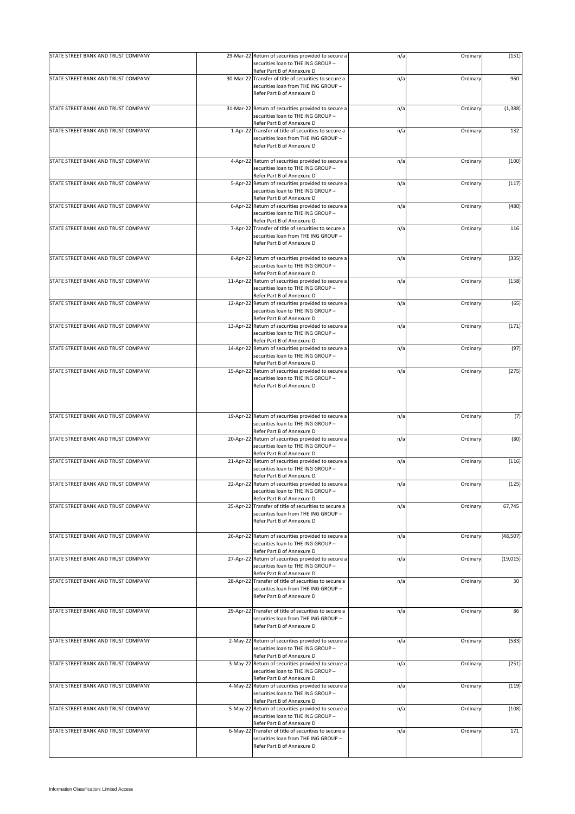| STATE STREET BANK AND TRUST COMPANY | 29-Mar-22 Return of securities provided to secure a<br>securities loan to THE ING GROUP -                                                                | n/a | Ordinary | (151)     |
|-------------------------------------|----------------------------------------------------------------------------------------------------------------------------------------------------------|-----|----------|-----------|
| STATE STREET BANK AND TRUST COMPANY | Refer Part B of Annexure D<br>30-Mar-22 Transfer of title of securities to secure a                                                                      | n/a | Ordinary | 960       |
|                                     | securities loan from THE ING GROUP -<br>Refer Part B of Annexure D                                                                                       |     |          |           |
| STATE STREET BANK AND TRUST COMPANY | 31-Mar-22 Return of securities provided to secure a<br>securities loan to THE ING GROUP -<br>Refer Part B of Annexure D                                  | n/a | Ordinary | (1, 388)  |
| STATE STREET BANK AND TRUST COMPANY | 1-Apr-22 Transfer of title of securities to secure a<br>securities loan from THE ING GROUP -<br>Refer Part B of Annexure D                               | n/a | Ordinary | 132       |
| STATE STREET BANK AND TRUST COMPANY | 4-Apr-22 Return of securities provided to secure a<br>securities loan to THE ING GROUP -<br>Refer Part B of Annexure D                                   | n/a | Ordinary | (100)     |
| STATE STREET BANK AND TRUST COMPANY | 5-Apr-22 Return of securities provided to secure a<br>securities loan to THE ING GROUP -                                                                 | n/a | Ordinary | (117)     |
| STATE STREET BANK AND TRUST COMPANY | Refer Part B of Annexure D<br>6-Apr-22 Return of securities provided to secure a<br>securities loan to THE ING GROUP -                                   | n/a | Ordinary | (480)     |
| STATE STREET BANK AND TRUST COMPANY | Refer Part B of Annexure D<br>7-Apr-22 Transfer of title of securities to secure a<br>securities loan from THE ING GROUP -<br>Refer Part B of Annexure D | n/a | Ordinary | 116       |
| STATE STREET BANK AND TRUST COMPANY | 8-Apr-22 Return of securities provided to secure a<br>securities loan to THE ING GROUP -<br>Refer Part B of Annexure D                                   | n/a | Ordinary | (335)     |
| STATE STREET BANK AND TRUST COMPANY | 11-Apr-22 Return of securities provided to secure a<br>securities loan to THE ING GROUP -<br>Refer Part B of Annexure D                                  | n/a | Ordinary | (158)     |
| STATE STREET BANK AND TRUST COMPANY | 12-Apr-22 Return of securities provided to secure a<br>securities loan to THE ING GROUP -<br>Refer Part B of Annexure D                                  | n/a | Ordinary | (65)      |
| STATE STREET BANK AND TRUST COMPANY | 13-Apr-22 Return of securities provided to secure a<br>securities loan to THE ING GROUP -<br>Refer Part B of Annexure D                                  | n/a | Ordinary | (171)     |
| STATE STREET BANK AND TRUST COMPANY | 14-Apr-22 Return of securities provided to secure a<br>securities loan to THE ING GROUP -<br>Refer Part B of Annexure D                                  | n/a | Ordinary | (97)      |
| STATE STREET BANK AND TRUST COMPANY | 15-Apr-22 Return of securities provided to secure a<br>securities loan to THE ING GROUP -<br>Refer Part B of Annexure D                                  | n/a | Ordinary | (275)     |
| STATE STREET BANK AND TRUST COMPANY | 19-Apr-22 Return of securities provided to secure a<br>securities loan to THE ING GROUP -                                                                | n/a | Ordinary | (7)       |
| STATE STREET BANK AND TRUST COMPANY | Refer Part B of Annexure D<br>20-Apr-22 Return of securities provided to secure a<br>securities loan to THE ING GROUP -                                  | n/a | Ordinary | (80)      |
| STATE STREET BANK AND TRUST COMPANY | Refer Part B of Annexure D<br>21-Apr-22 Return of securities provided to secure a<br>securities loan to THE ING GROUP -<br>Refer Part B of Annexure D    | n/a | Ordinary | (116)     |
| STATE STREET BANK AND TRUST COMPANY | 22-Apr-22 Return of securities provided to secure a<br>securities loan to THE ING GROUP -<br>Refer Part B of Annexure D                                  | n/a | Ordinary | (125)     |
| STATE STREET BANK AND TRUST COMPANY | 25-Apr-22 Transfer of title of securities to secure a<br>securities loan from THE ING GROUP -<br>Refer Part B of Annexure D                              | n/a | Ordinary | 67,745    |
| STATE STREET BANK AND TRUST COMPANY | 26-Apr-22 Return of securities provided to secure a<br>securities loan to THE ING GROUP -<br>Refer Part B of Annexure D                                  | n/a | Ordinary | (48, 507) |
| STATE STREET BANK AND TRUST COMPANY | 27-Apr-22 Return of securities provided to secure a<br>securities loan to THE ING GROUP -<br>Refer Part B of Annexure D                                  | n/a | Ordinary | (19, 015) |
| STATE STREET BANK AND TRUST COMPANY | 28-Apr-22 Transfer of title of securities to secure a<br>securities loan from THE ING GROUP -<br>Refer Part B of Annexure D                              | n/a | Ordinary | 30        |
| STATE STREET BANK AND TRUST COMPANY | 29-Apr-22 Transfer of title of securities to secure a<br>securities loan from THE ING GROUP -<br>Refer Part B of Annexure D                              | n/a | Ordinary | 86        |
| STATE STREET BANK AND TRUST COMPANY | 2-May-22 Return of securities provided to secure a<br>securities loan to THE ING GROUP -<br>Refer Part B of Annexure D                                   | n/a | Ordinary | (583)     |
| STATE STREET BANK AND TRUST COMPANY | 3-May-22 Return of securities provided to secure a<br>securities loan to THE ING GROUP -<br>Refer Part B of Annexure D                                   | n/a | Ordinary | (251)     |
| STATE STREET BANK AND TRUST COMPANY | 4-May-22 Return of securities provided to secure a<br>securities loan to THE ING GROUP -<br>Refer Part B of Annexure D                                   | n/a | Ordinary | (119)     |
| STATE STREET BANK AND TRUST COMPANY | 5-May-22 Return of securities provided to secure a<br>securities loan to THE ING GROUP -<br>Refer Part B of Annexure D                                   | n/a | Ordinary | (108)     |
| STATE STREET BANK AND TRUST COMPANY | 6-May-22 Transfer of title of securities to secure a<br>securities loan from THE ING GROUP -<br>Refer Part B of Annexure D                               | n/a | Ordinary | 171       |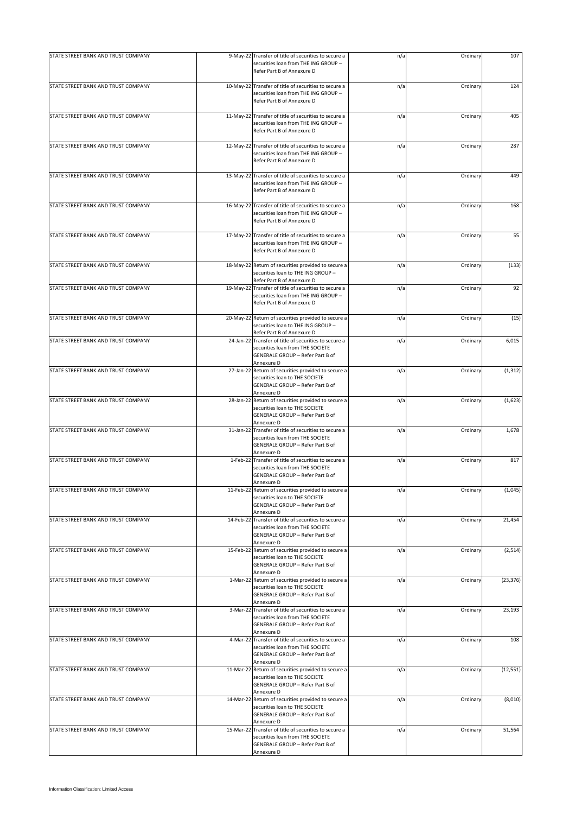| STATE STREET BANK AND TRUST COMPANY                                        | 9-May-22 Transfer of title of securities to secure a<br>securities loan from THE ING GROUP -<br>Refer Part B of Annexure D                                                       | n/a        | Ordinary             | 107           |
|----------------------------------------------------------------------------|----------------------------------------------------------------------------------------------------------------------------------------------------------------------------------|------------|----------------------|---------------|
| STATE STREET BANK AND TRUST COMPANY                                        | 10-May-22 Transfer of title of securities to secure a<br>securities loan from THE ING GROUP -<br>Refer Part B of Annexure D                                                      | n/a        | Ordinary             | 124           |
| STATE STREET BANK AND TRUST COMPANY                                        | 11-May-22 Transfer of title of securities to secure a<br>securities loan from THE ING GROUP -<br>Refer Part B of Annexure D                                                      | n/a        | Ordinary             | 405           |
| STATE STREET BANK AND TRUST COMPANY                                        | 12-May-22 Transfer of title of securities to secure a<br>securities loan from THE ING GROUP -<br>Refer Part B of Annexure D                                                      | n/a        | Ordinary             | 287           |
| STATE STREET BANK AND TRUST COMPANY                                        | 13-May-22 Transfer of title of securities to secure a<br>securities loan from THE ING GROUP -<br>Refer Part B of Annexure D                                                      | n/a        | Ordinary             | 449           |
| STATE STREET BANK AND TRUST COMPANY                                        | 16-May-22 Transfer of title of securities to secure a<br>securities loan from THE ING GROUP -<br>Refer Part B of Annexure D                                                      | n/a        | Ordinary             | 168           |
| STATE STREET BANK AND TRUST COMPANY                                        | 17-May-22 Transfer of title of securities to secure a<br>securities loan from THE ING GROUP -<br>Refer Part B of Annexure D                                                      | n/a        | Ordinary             | 55            |
| STATE STREET BANK AND TRUST COMPANY<br>STATE STREET BANK AND TRUST COMPANY | 18-May-22 Return of securities provided to secure a<br>securities loan to THE ING GROUP -<br>Refer Part B of Annexure D<br>19-May-22 Transfer of title of securities to secure a | n/a<br>n/a | Ordinary<br>Ordinary | (133)<br>92   |
|                                                                            | securities loan from THE ING GROUP -<br>Refer Part B of Annexure D                                                                                                               |            |                      |               |
| STATE STREET BANK AND TRUST COMPANY<br>STATE STREET BANK AND TRUST COMPANY | 20-May-22 Return of securities provided to secure a<br>securities loan to THE ING GROUP -<br>Refer Part B of Annexure D<br>24-Jan-22 Transfer of title of securities to secure a | n/a<br>n/a | Ordinary<br>Ordinary | (15)<br>6,015 |
|                                                                            | securities loan from THE SOCIETE<br>GENERALE GROUP - Refer Part B of<br>Annexure D                                                                                               |            |                      |               |
| STATE STREET BANK AND TRUST COMPANY                                        | 27-Jan-22 Return of securities provided to secure a<br>securities loan to THE SOCIETE<br>GENERALE GROUP - Refer Part B of<br>Annexure D                                          | n/a        | Ordinary             | (1, 312)      |
| STATE STREET BANK AND TRUST COMPANY                                        | 28-Jan-22 Return of securities provided to secure a<br>securities loan to THE SOCIETE<br>GENERALE GROUP - Refer Part B of<br>Annexure D                                          | n/a        | Ordinary             | (1,623)       |
| STATE STREET BANK AND TRUST COMPANY                                        | 31-Jan-22 Transfer of title of securities to secure a<br>securities loan from THE SOCIETE<br>GENERALE GROUP - Refer Part B of<br>Annexure D                                      | n/a        | Ordinary             | 1,678         |
| STATE STREET BANK AND TRUST COMPANY                                        | 1-Feb-22 Transfer of title of securities to secure a<br>securities loan from THE SOCIETE<br>GENERALE GROUP - Refer Part B of<br>Annexure D                                       | n/a        | Ordinary             | 817           |
| STATE STREET BANK AND TRUST COMPANY                                        | 11-Feb-22 Return of securities provided to secure a<br>securities loan to THE SOCIETE<br>GENERALE GROUP - Refer Part B of<br>Annexure D                                          | n/a        | Ordinary             | (1,045)       |
| STATE STREET BANK AND TRUST COMPANY                                        | 14-Feb-22 Transfer of title of securities to secure a<br>securities loan from THE SOCIETE<br>GENERALE GROUP - Refer Part B of<br>Annexure D                                      | n/a        | Ordinary             | 21,454        |
| STATE STREET BANK AND TRUST COMPANY                                        | 15-Feb-22 Return of securities provided to secure a<br>securities loan to THE SOCIETE<br>GENERALE GROUP - Refer Part B of<br>Annexure D                                          | n/a        | Ordinary             | (2, 514)      |
| STATE STREET BANK AND TRUST COMPANY                                        | 1-Mar-22 Return of securities provided to secure a<br>securities loan to THE SOCIETE<br>GENERALE GROUP - Refer Part B of<br>Annexure D                                           | n/a        | Ordinary             | (23, 376)     |
| STATE STREET BANK AND TRUST COMPANY                                        | 3-Mar-22 Transfer of title of securities to secure a<br>securities loan from THE SOCIETE<br>GENERALE GROUP - Refer Part B of<br>Annexure D                                       | n/a        | Ordinary             | 23,193        |
| STATE STREET BANK AND TRUST COMPANY                                        | 4-Mar-22 Transfer of title of securities to secure a<br>securities loan from THE SOCIETE<br>GENERALE GROUP - Refer Part B of<br>Annexure D                                       | n/a        | Ordinary             | 108           |
| STATE STREET BANK AND TRUST COMPANY                                        | 11-Mar-22 Return of securities provided to secure a<br>securities loan to THE SOCIETE<br>GENERALE GROUP - Refer Part B of<br>Annexure D                                          | n/a        | Ordinary             | (12, 551)     |
| STATE STREET BANK AND TRUST COMPANY                                        | 14-Mar-22 Return of securities provided to secure a<br>securities loan to THE SOCIETE<br>GENERALE GROUP - Refer Part B of<br>Annexure D                                          | n/a        | Ordinary             | (8,010)       |
| STATE STREET BANK AND TRUST COMPANY                                        | 15-Mar-22 Transfer of title of securities to secure a<br>securities loan from THE SOCIETE<br>GENERALE GROUP - Refer Part B of<br>Annexure D                                      | n/a        | Ordinary             | 51,564        |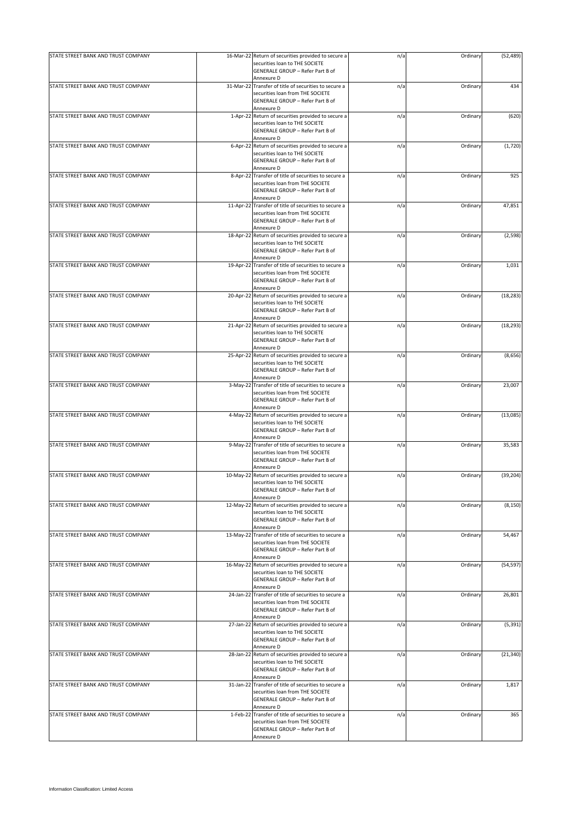| STATE STREET BANK AND TRUST COMPANY | 16-Mar-22 Return of securities provided to secure a<br>securities loan to THE SOCIETE<br>GENERALE GROUP - Refer Part B of | n/a | Ordinary | (52, 489) |
|-------------------------------------|---------------------------------------------------------------------------------------------------------------------------|-----|----------|-----------|
|                                     | Annexure D                                                                                                                |     |          |           |
| STATE STREET BANK AND TRUST COMPANY | 31-Mar-22 Transfer of title of securities to secure a                                                                     | n/a | Ordinary | 434       |
|                                     | securities loan from THE SOCIETE<br>GENERALE GROUP - Refer Part B of                                                      |     |          |           |
|                                     | Annexure D                                                                                                                |     |          |           |
| STATE STREET BANK AND TRUST COMPANY | 1-Apr-22 Return of securities provided to secure a                                                                        | n/a | Ordinary | (620)     |
|                                     | securities loan to THE SOCIETE                                                                                            |     |          |           |
|                                     | GENERALE GROUP - Refer Part B of                                                                                          |     |          |           |
|                                     | Annexure D                                                                                                                |     |          |           |
| STATE STREET BANK AND TRUST COMPANY | 6-Apr-22 Return of securities provided to secure a                                                                        | n/a | Ordinary | (1,720)   |
|                                     | securities loan to THE SOCIETE                                                                                            |     |          |           |
|                                     | GENERALE GROUP - Refer Part B of                                                                                          |     |          |           |
|                                     | Annexure D                                                                                                                |     |          |           |
| STATE STREET BANK AND TRUST COMPANY | 8-Apr-22 Transfer of title of securities to secure a                                                                      | n/a | Ordinary | 925       |
|                                     | securities loan from THE SOCIETE                                                                                          |     |          |           |
|                                     | GENERALE GROUP - Refer Part B of                                                                                          |     |          |           |
|                                     | Annexure D                                                                                                                |     |          |           |
| STATE STREET BANK AND TRUST COMPANY | 11-Apr-22 Transfer of title of securities to secure a                                                                     | n/a | Ordinary | 47,851    |
|                                     | securities loan from THE SOCIETE                                                                                          |     |          |           |
|                                     | GENERALE GROUP - Refer Part B of                                                                                          |     |          |           |
|                                     | Annexure D                                                                                                                |     |          |           |
| STATE STREET BANK AND TRUST COMPANY | 18-Apr-22 Return of securities provided to secure a                                                                       | n/a | Ordinary | (2, 598)  |
|                                     | securities loan to THE SOCIETE                                                                                            |     |          |           |
|                                     | GENERALE GROUP - Refer Part B of                                                                                          |     |          |           |
|                                     | Annexure D                                                                                                                |     |          |           |
| STATE STREET BANK AND TRUST COMPANY | 19-Apr-22 Transfer of title of securities to secure a                                                                     | n/a | Ordinary | 1,031     |
|                                     | securities loan from THE SOCIETE                                                                                          |     |          |           |
|                                     | GENERALE GROUP - Refer Part B of                                                                                          |     |          |           |
|                                     | Annexure D                                                                                                                |     |          |           |
| STATE STREET BANK AND TRUST COMPANY | 20-Apr-22 Return of securities provided to secure a                                                                       | n/a | Ordinary | (18, 283) |
|                                     | securities loan to THE SOCIETE                                                                                            |     |          |           |
|                                     | GENERALE GROUP - Refer Part B of                                                                                          |     |          |           |
|                                     | Annexure D                                                                                                                |     |          |           |
| STATE STREET BANK AND TRUST COMPANY | 21-Apr-22 Return of securities provided to secure a                                                                       | n/a | Ordinary | (18, 293) |
|                                     |                                                                                                                           |     |          |           |
|                                     | securities loan to THE SOCIETE                                                                                            |     |          |           |
|                                     | GENERALE GROUP - Refer Part B of                                                                                          |     |          |           |
|                                     | Annexure D                                                                                                                |     |          |           |
| STATE STREET BANK AND TRUST COMPANY | 25-Apr-22 Return of securities provided to secure a                                                                       | n/a | Ordinary | (8,656)   |
|                                     | securities loan to THE SOCIETE                                                                                            |     |          |           |
|                                     | GENERALE GROUP - Refer Part B of                                                                                          |     |          |           |
|                                     | Annexure D                                                                                                                |     |          |           |
| STATE STREET BANK AND TRUST COMPANY | 3-May-22 Transfer of title of securities to secure a                                                                      | n/a | Ordinary | 23,007    |
|                                     | securities loan from THE SOCIETE                                                                                          |     |          |           |
|                                     | GENERALE GROUP - Refer Part B of                                                                                          |     |          |           |
|                                     | Annexure D                                                                                                                |     |          |           |
| STATE STREET BANK AND TRUST COMPANY | 4-May-22 Return of securities provided to secure a                                                                        | n/a | Ordinary | (13,085)  |
|                                     | securities loan to THE SOCIETE                                                                                            |     |          |           |
|                                     | GENERALE GROUP - Refer Part B of                                                                                          |     |          |           |
|                                     | Annexure D                                                                                                                |     |          |           |
| STATE STREET BANK AND TRUST COMPANY | 9-May-22 Transfer of title of securities to secure a                                                                      | n/a | Ordinary | 35,583    |
|                                     | securities loan from THE SOCIETE                                                                                          |     |          |           |
|                                     | GENERALE GROUP - Refer Part B of                                                                                          |     |          |           |
|                                     | Annexure D                                                                                                                |     |          |           |
| STATE STREET BANK AND TRUST COMPANY | 10-May-22 Return of securities provided to secure a                                                                       | n/a | Ordinary | (39, 204) |
|                                     | securities loan to THE SOCIETE                                                                                            |     |          |           |
|                                     | GENERALE GROUP - Refer Part B of                                                                                          |     |          |           |
|                                     | Annexure D                                                                                                                |     |          |           |
| STATE STREET BANK AND TRUST COMPANY | 12-May-22 Return of securities provided to secure a                                                                       | n/a | Ordinary | (8, 150)  |
|                                     | securities loan to THE SOCIETE                                                                                            |     |          |           |
|                                     | GENERALE GROUP - Refer Part B of                                                                                          |     |          |           |
|                                     | Annexure D                                                                                                                |     |          |           |
| STATE STREET BANK AND TRUST COMPANY | 13-May-22 Transfer of title of securities to secure a                                                                     | n/a | Ordinary | 54,467    |
|                                     | securities loan from THE SOCIETE                                                                                          |     |          |           |
|                                     | GENERALE GROUP - Refer Part B of                                                                                          |     |          |           |
|                                     | Annexure D                                                                                                                |     |          |           |
| STATE STREET BANK AND TRUST COMPANY | 16-May-22 Return of securities provided to secure a                                                                       | n/a | Ordinary | (54, 597) |
|                                     | securities loan to THE SOCIETE                                                                                            |     |          |           |
|                                     | GENERALE GROUP - Refer Part B of                                                                                          |     |          |           |
|                                     | Annexure D                                                                                                                |     |          |           |
| STATE STREET BANK AND TRUST COMPANY | 24-Jan-22 Transfer of title of securities to secure a                                                                     | n/a | Ordinary | 26,801    |
|                                     | securities loan from THE SOCIETE                                                                                          |     |          |           |
|                                     |                                                                                                                           |     |          |           |
|                                     | GENERALE GROUP - Refer Part B of<br>Annexure D                                                                            |     |          |           |
|                                     |                                                                                                                           |     |          |           |
| STATE STREET BANK AND TRUST COMPANY | 27-Jan-22 Return of securities provided to secure a                                                                       | n/a | Ordinary | (5, 391)  |
|                                     | securities loan to THE SOCIETE                                                                                            |     |          |           |
|                                     | GENERALE GROUP - Refer Part B of                                                                                          |     |          |           |
|                                     | Annexure D                                                                                                                |     |          |           |
| STATE STREET BANK AND TRUST COMPANY | 28-Jan-22 Return of securities provided to secure a                                                                       | n/a | Ordinary | (21, 340) |
|                                     | securities loan to THE SOCIETE                                                                                            |     |          |           |
|                                     | GENERALE GROUP - Refer Part B of                                                                                          |     |          |           |
|                                     | Annexure D                                                                                                                |     |          |           |
| STATE STREET BANK AND TRUST COMPANY | 31-Jan-22 Transfer of title of securities to secure a                                                                     | n/a | Ordinary | 1,817     |
|                                     | securities loan from THE SOCIETE                                                                                          |     |          |           |
|                                     | GENERALE GROUP - Refer Part B of                                                                                          |     |          |           |
|                                     | Annexure D                                                                                                                |     |          |           |
| STATE STREET BANK AND TRUST COMPANY | 1-Feb-22 Transfer of title of securities to secure a                                                                      | n/a | Ordinary | 365       |
|                                     | securities loan from THE SOCIETE                                                                                          |     |          |           |
|                                     | GENERALE GROUP - Refer Part B of                                                                                          |     |          |           |
|                                     | Annexure D                                                                                                                |     |          |           |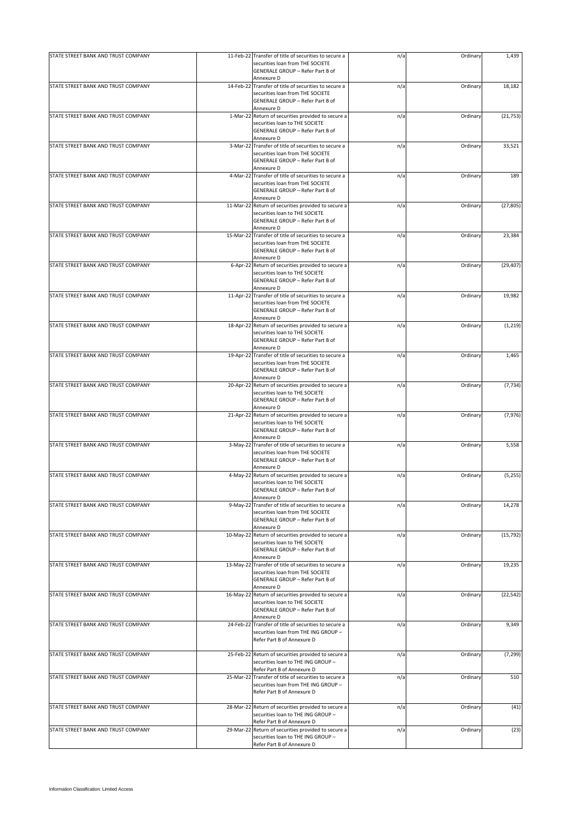| STATE STREET BANK AND TRUST COMPANY | 11-Feb-22 Transfer of title of securities to secure a                                                                                       | n/a | Ordinary | 1,439     |
|-------------------------------------|---------------------------------------------------------------------------------------------------------------------------------------------|-----|----------|-----------|
|                                     | securities loan from THE SOCIETE<br>GENERALE GROUP - Refer Part B of                                                                        |     |          |           |
|                                     | Annexure D                                                                                                                                  |     |          |           |
| STATE STREET BANK AND TRUST COMPANY | 14-Feb-22 Transfer of title of securities to secure a<br>securities loan from THE SOCIETE<br>GENERALE GROUP - Refer Part B of<br>Annexure D | n/a | Ordinary | 18,182    |
| STATE STREET BANK AND TRUST COMPANY | 1-Mar-22 Return of securities provided to secure a                                                                                          | n/a | Ordinary | (21, 753) |
|                                     | securities loan to THE SOCIETE<br>GENERALE GROUP - Refer Part B of<br>Annexure D                                                            |     |          |           |
| STATE STREET BANK AND TRUST COMPANY | 3-Mar-22 Transfer of title of securities to secure a                                                                                        | n/a | Ordinary | 33,521    |
|                                     | securities loan from THE SOCIETE<br>GENERALE GROUP - Refer Part B of                                                                        |     |          |           |
| STATE STREET BANK AND TRUST COMPANY | Annexure D<br>4-Mar-22 Transfer of title of securities to secure a                                                                          | n/a | Ordinary | 189       |
|                                     | securities loan from THE SOCIETE<br>GENERALE GROUP - Refer Part B of<br>Annexure D                                                          |     |          |           |
| STATE STREET BANK AND TRUST COMPANY | 11-Mar-22 Return of securities provided to secure a<br>securities loan to THE SOCIETE<br>GENERALE GROUP - Refer Part B of                   | n/a | Ordinary | (27, 805) |
| STATE STREET BANK AND TRUST COMPANY | Annexure D<br>15-Mar-22 Transfer of title of securities to secure a                                                                         | n/a | Ordinary | 23,384    |
|                                     | securities loan from THE SOCIETE<br>GENERALE GROUP - Refer Part B of<br>Annexure D                                                          |     |          |           |
| STATE STREET BANK AND TRUST COMPANY | 6-Apr-22 Return of securities provided to secure a                                                                                          | n/a | Ordinary | (29, 407) |
|                                     | securities loan to THE SOCIETE<br>GENERALE GROUP - Refer Part B of<br>Annexure D                                                            |     |          |           |
| STATE STREET BANK AND TRUST COMPANY | 11-Apr-22 Transfer of title of securities to secure a                                                                                       | n/a | Ordinary | 19,982    |
|                                     | securities loan from THE SOCIETE<br>GENERALE GROUP - Refer Part B of<br>Annexure D                                                          |     |          |           |
| STATE STREET BANK AND TRUST COMPANY | 18-Apr-22 Return of securities provided to secure a                                                                                         | n/a | Ordinary | (1, 219)  |
|                                     | securities loan to THE SOCIETE<br>GENERALE GROUP - Refer Part B of<br>Annexure D                                                            |     |          |           |
| STATE STREET BANK AND TRUST COMPANY | 19-Apr-22 Transfer of title of securities to secure a                                                                                       | n/a | Ordinary | 1,465     |
|                                     | securities loan from THE SOCIETE<br>GENERALE GROUP - Refer Part B of<br>Annexure D                                                          |     |          |           |
| STATE STREET BANK AND TRUST COMPANY | 20-Apr-22 Return of securities provided to secure a                                                                                         | n/a | Ordinary | (7, 734)  |
|                                     | securities loan to THE SOCIETE<br>GENERALE GROUP - Refer Part B of<br>Annexure D                                                            |     |          |           |
| STATE STREET BANK AND TRUST COMPANY | 21-Apr-22 Return of securities provided to secure a                                                                                         | n/a | Ordinary | (7, 976)  |
|                                     | securities loan to THE SOCIETE<br>GENERALE GROUP - Refer Part B of<br>Annexure D                                                            |     |          |           |
| STATE STREET BANK AND TRUST COMPANY | 3-May-22 Transfer of title of securities to secure a<br>securities loan from THE SOCIETE<br>GENERALE GROUP - Refer Part B of                | n/a | Ordinary | 5,558     |
|                                     | Annexure D                                                                                                                                  |     |          |           |
| STATE STREET BANK AND TRUST COMPANY | 4-May-22 Return of securities provided to secure a<br>securities loan to THE SOCIETE<br>GENERALE GROUP - Refer Part B of                    | n/a | Ordinary | (5,255)   |
|                                     | Annexure D                                                                                                                                  |     |          |           |
| STATE STREET BANK AND TRUST COMPANY | 9-May-22 Transfer of title of securities to secure a<br>securities loan from THE SOCIETE<br>GENERALE GROUP - Refer Part B of                | n/a | Ordinary | 14,278    |
| STATE STREET BANK AND TRUST COMPANY | Annexure D<br>10-May-22 Return of securities provided to secure a                                                                           | n/a | Ordinary | (15, 792) |
|                                     | securities loan to THE SOCIETE<br>GENERALE GROUP - Refer Part B of<br>Annexure D                                                            |     |          |           |
| STATE STREET BANK AND TRUST COMPANY | 13-May-22 Transfer of title of securities to secure a                                                                                       | n/a | Ordinary | 19,235    |
|                                     | securities loan from THE SOCIETE<br>GENERALE GROUP - Refer Part B of<br>Annexure D                                                          |     |          |           |
| STATE STREET BANK AND TRUST COMPANY | 16-May-22 Return of securities provided to secure a                                                                                         | n/a | Ordinary | (22, 542) |
|                                     | securities loan to THE SOCIETE<br>GENERALE GROUP - Refer Part B of<br>Annexure D                                                            |     |          |           |
| STATE STREET BANK AND TRUST COMPANY | 24-Feb-22 Transfer of title of securities to secure a                                                                                       | n/a | Ordinary | 9,349     |
|                                     | securities loan from THE ING GROUP -<br>Refer Part B of Annexure D                                                                          |     |          |           |
| STATE STREET BANK AND TRUST COMPANY | 25-Feb-22 Return of securities provided to secure a                                                                                         | n/a | Ordinary | (7, 299)  |
|                                     | securities loan to THE ING GROUP -<br>Refer Part B of Annexure D<br>25-Mar-22 Transfer of title of securities to secure a                   |     | Ordinary | 510       |
| STATE STREET BANK AND TRUST COMPANY | securities loan from THE ING GROUP -<br>Refer Part B of Annexure D                                                                          | n/a |          |           |
| STATE STREET BANK AND TRUST COMPANY | 28-Mar-22 Return of securities provided to secure a<br>securities loan to THE ING GROUP -<br>Refer Part B of Annexure D                     | n/a | Ordinary | (41)      |
| STATE STREET BANK AND TRUST COMPANY | 29-Mar-22 Return of securities provided to secure a<br>securities loan to THE ING GROUP -<br>Refer Part B of Annexure D                     | n/a | Ordinary | (23)      |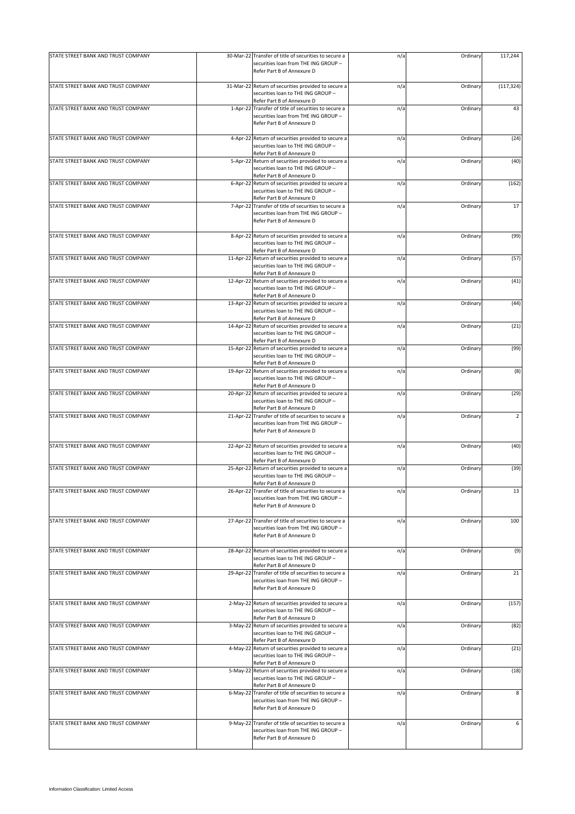| STATE STREET BANK AND TRUST COMPANY | 30-Mar-22 Transfer of title of securities to secure a<br>securities loan from THE ING GROUP -<br>Refer Part B of Annexure D | n/a | Ordinary | 117,244        |
|-------------------------------------|-----------------------------------------------------------------------------------------------------------------------------|-----|----------|----------------|
| STATE STREET BANK AND TRUST COMPANY | 31-Mar-22 Return of securities provided to secure a<br>securities loan to THE ING GROUP -<br>Refer Part B of Annexure D     | n/a | Ordinary | (117, 324)     |
| STATE STREET BANK AND TRUST COMPANY | 1-Apr-22 Transfer of title of securities to secure a<br>securities loan from THE ING GROUP -<br>Refer Part B of Annexure D  | n/a | Ordinary | 43             |
| STATE STREET BANK AND TRUST COMPANY | 4-Apr-22 Return of securities provided to secure a<br>securities loan to THE ING GROUP -<br>Refer Part B of Annexure D      | n/a | Ordinary | (24)           |
| STATE STREET BANK AND TRUST COMPANY | 5-Apr-22 Return of securities provided to secure a<br>securities loan to THE ING GROUP -<br>Refer Part B of Annexure D      | n/a | Ordinary | (40)           |
| STATE STREET BANK AND TRUST COMPANY | 6-Apr-22 Return of securities provided to secure a<br>securities loan to THE ING GROUP -<br>Refer Part B of Annexure D      | n/a | Ordinary | (162)          |
| STATE STREET BANK AND TRUST COMPANY | 7-Apr-22 Transfer of title of securities to secure a<br>securities loan from THE ING GROUP -<br>Refer Part B of Annexure D  | n/a | Ordinary | 17             |
| STATE STREET BANK AND TRUST COMPANY | 8-Apr-22 Return of securities provided to secure a<br>securities loan to THE ING GROUP -<br>Refer Part B of Annexure D      | n/a | Ordinary | (99)           |
| STATE STREET BANK AND TRUST COMPANY | 11-Apr-22 Return of securities provided to secure a<br>securities loan to THE ING GROUP -<br>Refer Part B of Annexure D     | n/a | Ordinary | (57)           |
| STATE STREET BANK AND TRUST COMPANY | 12-Apr-22 Return of securities provided to secure a<br>securities loan to THE ING GROUP -<br>Refer Part B of Annexure D     | n/a | Ordinary | (41)           |
| STATE STREET BANK AND TRUST COMPANY | 13-Apr-22 Return of securities provided to secure a<br>securities loan to THE ING GROUP -<br>Refer Part B of Annexure D     | n/a | Ordinary | (44)           |
| STATE STREET BANK AND TRUST COMPANY | 14-Apr-22 Return of securities provided to secure a<br>securities loan to THE ING GROUP -<br>Refer Part B of Annexure D     | n/a | Ordinary | (21)           |
| STATE STREET BANK AND TRUST COMPANY | 15-Apr-22 Return of securities provided to secure a<br>securities loan to THE ING GROUP -<br>Refer Part B of Annexure D     | n/a | Ordinary | (99)           |
| STATE STREET BANK AND TRUST COMPANY | 19-Apr-22 Return of securities provided to secure a<br>securities loan to THE ING GROUP -<br>Refer Part B of Annexure D     | n/a | Ordinary | (8)            |
| STATE STREET BANK AND TRUST COMPANY | 20-Apr-22 Return of securities provided to secure a<br>securities loan to THE ING GROUP -<br>Refer Part B of Annexure D     | n/a | Ordinary | (29)           |
| STATE STREET BANK AND TRUST COMPANY | 21-Apr-22 Transfer of title of securities to secure a<br>securities loan from THE ING GROUP -<br>Refer Part B of Annexure D | n/a | Ordinary | $\overline{2}$ |
| STATE STREET BANK AND TRUST COMPANY | 22-Apr-22 Return of securities provided to secure a<br>securities loan to THE ING GROUP -<br>Refer Part B of Annexure D     | n/a | Ordinary | (40)           |
| STATE STREET BANK AND TRUST COMPANY | 25-Apr-22 Return of securities provided to secure a<br>securities loan to THE ING GROUP -<br>Refer Part B of Annexure D     | n/a | Ordinary | (39)           |
| STATE STREET BANK AND TRUST COMPANY | 26-Apr-22 Transfer of title of securities to secure a<br>securities loan from THE ING GROUP -<br>Refer Part B of Annexure D | n/a | Ordinary | 13             |
| STATE STREET BANK AND TRUST COMPANY | 27-Apr-22 Transfer of title of securities to secure a<br>securities loan from THE ING GROUP -<br>Refer Part B of Annexure D | n/a | Ordinary | 100            |
| STATE STREET BANK AND TRUST COMPANY | 28-Apr-22 Return of securities provided to secure a<br>securities loan to THE ING GROUP -<br>Refer Part B of Annexure D     | n/a | Ordinary | (9)            |
| STATE STREET BANK AND TRUST COMPANY | 29-Apr-22 Transfer of title of securities to secure a<br>securities loan from THE ING GROUP -<br>Refer Part B of Annexure D | n/a | Ordinary | 21             |
| STATE STREET BANK AND TRUST COMPANY | 2-May-22 Return of securities provided to secure a<br>securities loan to THE ING GROUP -<br>Refer Part B of Annexure D      | n/a | Ordinary | (157)          |
| STATE STREET BANK AND TRUST COMPANY | 3-May-22 Return of securities provided to secure a<br>securities loan to THE ING GROUP -<br>Refer Part B of Annexure D      | n/a | Ordinary | (82)           |
| STATE STREET BANK AND TRUST COMPANY | 4-May-22 Return of securities provided to secure a<br>securities loan to THE ING GROUP -<br>Refer Part B of Annexure D      | n/a | Ordinary | (21)           |
| STATE STREET BANK AND TRUST COMPANY | 5-May-22 Return of securities provided to secure a<br>securities loan to THE ING GROUP -<br>Refer Part B of Annexure D      | n/a | Ordinary | (18)           |
| STATE STREET BANK AND TRUST COMPANY | 6-May-22 Transfer of title of securities to secure a<br>securities loan from THE ING GROUP -<br>Refer Part B of Annexure D  | n/a | Ordinary | 8              |
| STATE STREET BANK AND TRUST COMPANY | 9-May-22 Transfer of title of securities to secure a<br>securities loan from THE ING GROUP -<br>Refer Part B of Annexure D  | n/a | Ordinary | 6              |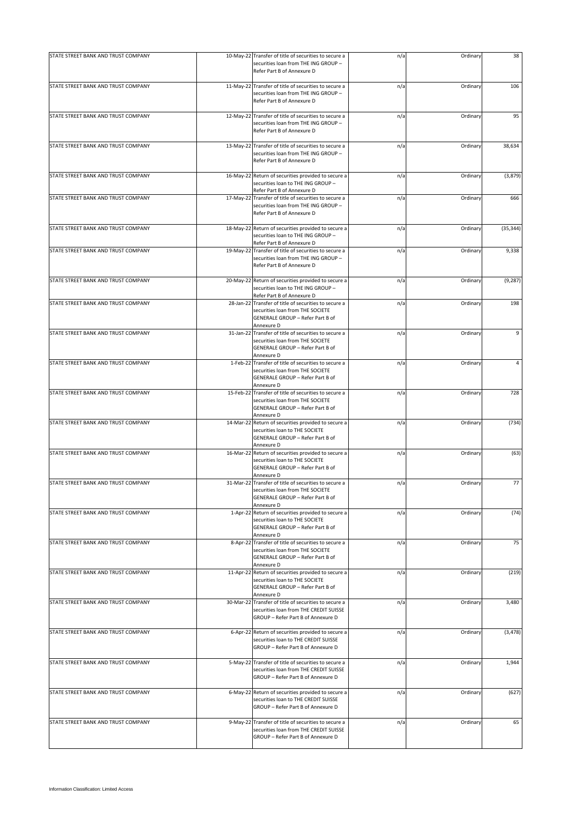| STATE STREET BANK AND TRUST COMPANY | 10-May-22 Transfer of title of securities to secure a<br>securities loan from THE ING GROUP -<br>Refer Part B of Annexure D                 | n/a | Ordinary | 38        |
|-------------------------------------|---------------------------------------------------------------------------------------------------------------------------------------------|-----|----------|-----------|
|                                     |                                                                                                                                             |     |          |           |
| STATE STREET BANK AND TRUST COMPANY | 11-May-22 Transfer of title of securities to secure a<br>securities loan from THE ING GROUP -<br>Refer Part B of Annexure D                 | n/a | Ordinary | 106       |
| STATE STREET BANK AND TRUST COMPANY | 12-May-22 Transfer of title of securities to secure a<br>securities loan from THE ING GROUP -<br>Refer Part B of Annexure D                 | n/a | Ordinary | 95        |
| STATE STREET BANK AND TRUST COMPANY | 13-May-22 Transfer of title of securities to secure a<br>securities loan from THE ING GROUP -<br>Refer Part B of Annexure D                 | n/a | Ordinary | 38,634    |
| STATE STREET BANK AND TRUST COMPANY | 16-May-22 Return of securities provided to secure a<br>securities loan to THE ING GROUP -<br>Refer Part B of Annexure D                     | n/a | Ordinary | (3,879)   |
| STATE STREET BANK AND TRUST COMPANY | 17-May-22 Transfer of title of securities to secure a<br>securities loan from THE ING GROUP -<br>Refer Part B of Annexure D                 | n/a | Ordinary | 666       |
| STATE STREET BANK AND TRUST COMPANY | 18-May-22 Return of securities provided to secure a<br>securities loan to THE ING GROUP -<br>Refer Part B of Annexure D                     | n/a | Ordinary | (35, 344) |
| STATE STREET BANK AND TRUST COMPANY | 19-May-22 Transfer of title of securities to secure a<br>securities loan from THE ING GROUP -<br>Refer Part B of Annexure D                 | n/a | Ordinary | 9,338     |
| STATE STREET BANK AND TRUST COMPANY | 20-May-22 Return of securities provided to secure a<br>securities loan to THE ING GROUP -<br>Refer Part B of Annexure D                     | n/a | Ordinary | (9, 287)  |
| STATE STREET BANK AND TRUST COMPANY | 28-Jan-22 Transfer of title of securities to secure a<br>securities loan from THE SOCIETE<br>GENERALE GROUP - Refer Part B of<br>Annexure D | n/a | Ordinary | 198       |
| STATE STREET BANK AND TRUST COMPANY | 31-Jan-22 Transfer of title of securities to secure a<br>securities loan from THE SOCIETE<br>GENERALE GROUP - Refer Part B of<br>Annexure D | n/a | Ordinary | 9         |
| STATE STREET BANK AND TRUST COMPANY | 1-Feb-22 Transfer of title of securities to secure a<br>securities loan from THE SOCIETE<br>GENERALE GROUP - Refer Part B of<br>Annexure D  | n/a | Ordinary | 4         |
| STATE STREET BANK AND TRUST COMPANY | 15-Feb-22 Transfer of title of securities to secure a<br>securities loan from THE SOCIETE<br>GENERALE GROUP - Refer Part B of<br>Annexure D | n/a | Ordinary | 728       |
| STATE STREET BANK AND TRUST COMPANY | 14-Mar-22 Return of securities provided to secure a<br>securities loan to THE SOCIETE<br>GENERALE GROUP - Refer Part B of<br>Annexure D     | n/a | Ordinary | (734)     |
| STATE STREET BANK AND TRUST COMPANY | 16-Mar-22 Return of securities provided to secure a<br>securities loan to THE SOCIETE<br>GENERALE GROUP - Refer Part B of<br>Annexure D     | n/a | Ordinary | (63)      |
| STATE STREET BANK AND TRUST COMPANY | 31-Mar-22 Transfer of title of securities to secure a<br>securities loan from THE SOCIETE<br>GENERALE GROUP - Refer Part B of<br>Annexure D | n/a | Ordinary | 77        |
| STATE STREET BANK AND TRUST COMPANY | 1-Apr-22 Return of securities provided to secure a<br>securities loan to THE SOCIETE<br>GENERALE GROUP - Refer Part B of<br>Annexure D      | n/a | Ordinary | (74)      |
| STATE STREET BANK AND TRUST COMPANY | 8-Apr-22 Transfer of title of securities to secure a<br>securities loan from THE SOCIETE<br>GENERALE GROUP - Refer Part B of<br>Annexure D  | n/a | Ordinary | 75        |
| STATE STREET BANK AND TRUST COMPANY | 11-Apr-22 Return of securities provided to secure a<br>securities loan to THE SOCIETE<br>GENERALE GROUP - Refer Part B of<br>Annexure D     | n/a | Ordinary | (219)     |
| STATE STREET BANK AND TRUST COMPANY | 30-Mar-22 Transfer of title of securities to secure a<br>securities loan from THE CREDIT SUISSE<br>GROUP - Refer Part B of Annexure D       | n/a | Ordinary | 3,480     |
| STATE STREET BANK AND TRUST COMPANY | 6-Apr-22 Return of securities provided to secure a<br>securities loan to THE CREDIT SUISSE<br>GROUP - Refer Part B of Annexure D            | n/a | Ordinary | (3, 478)  |
| STATE STREET BANK AND TRUST COMPANY | 5-May-22 Transfer of title of securities to secure a<br>securities loan from THE CREDIT SUISSE<br>GROUP - Refer Part B of Annexure D        | n/a | Ordinary | 1,944     |
| STATE STREET BANK AND TRUST COMPANY | 6-May-22 Return of securities provided to secure a<br>securities loan to THE CREDIT SUISSE<br>GROUP - Refer Part B of Annexure D            | n/a | Ordinary | (627)     |
| STATE STREET BANK AND TRUST COMPANY | 9-May-22 Transfer of title of securities to secure a<br>securities loan from THE CREDIT SUISSE<br>GROUP - Refer Part B of Annexure D        | n/a | Ordinary | 65        |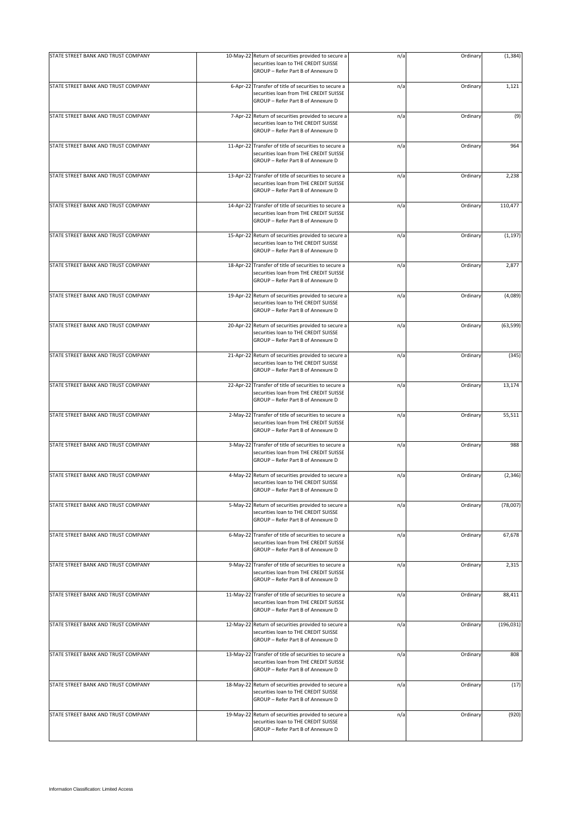| STATE STREET BANK AND TRUST COMPANY | 10-May-22 Return of securities provided to secure a<br>securities loan to THE CREDIT SUISSE<br>GROUP - Refer Part B of Annexure D     | n/a | Ordinary | (1, 384)   |
|-------------------------------------|---------------------------------------------------------------------------------------------------------------------------------------|-----|----------|------------|
| STATE STREET BANK AND TRUST COMPANY | 6-Apr-22 Transfer of title of securities to secure a<br>securities loan from THE CREDIT SUISSE<br>GROUP - Refer Part B of Annexure D  | n/a | Ordinary | 1,121      |
| STATE STREET BANK AND TRUST COMPANY | 7-Apr-22 Return of securities provided to secure a<br>securities loan to THE CREDIT SUISSE<br>GROUP - Refer Part B of Annexure D      | n/a | Ordinary | (9)        |
| STATE STREET BANK AND TRUST COMPANY | 11-Apr-22 Transfer of title of securities to secure a<br>securities loan from THE CREDIT SUISSE<br>GROUP - Refer Part B of Annexure D | n/a | Ordinary | 964        |
| STATE STREET BANK AND TRUST COMPANY | 13-Apr-22 Transfer of title of securities to secure a<br>securities loan from THE CREDIT SUISSE<br>GROUP - Refer Part B of Annexure D | n/a | Ordinary | 2,238      |
| STATE STREET BANK AND TRUST COMPANY | 14-Apr-22 Transfer of title of securities to secure a<br>securities loan from THE CREDIT SUISSE<br>GROUP - Refer Part B of Annexure D | n/a | Ordinary | 110,477    |
| STATE STREET BANK AND TRUST COMPANY | 15-Apr-22 Return of securities provided to secure a<br>securities loan to THE CREDIT SUISSE<br>GROUP - Refer Part B of Annexure D     | n/a | Ordinary | (1, 197)   |
| STATE STREET BANK AND TRUST COMPANY | 18-Apr-22 Transfer of title of securities to secure a<br>securities loan from THE CREDIT SUISSE<br>GROUP - Refer Part B of Annexure D | n/a | Ordinary | 2,877      |
| STATE STREET BANK AND TRUST COMPANY | 19-Apr-22 Return of securities provided to secure a<br>securities loan to THE CREDIT SUISSE<br>GROUP - Refer Part B of Annexure D     | n/a | Ordinary | (4,089)    |
| STATE STREET BANK AND TRUST COMPANY | 20-Apr-22 Return of securities provided to secure a<br>securities loan to THE CREDIT SUISSE<br>GROUP - Refer Part B of Annexure D     | n/a | Ordinary | (63, 599)  |
| STATE STREET BANK AND TRUST COMPANY | 21-Apr-22 Return of securities provided to secure a<br>securities loan to THE CREDIT SUISSE<br>GROUP - Refer Part B of Annexure D     | n/a | Ordinary | (345)      |
| STATE STREET BANK AND TRUST COMPANY | 22-Apr-22 Transfer of title of securities to secure a<br>securities loan from THE CREDIT SUISSE<br>GROUP - Refer Part B of Annexure D | n/a | Ordinary | 13,174     |
| STATE STREET BANK AND TRUST COMPANY | 2-May-22 Transfer of title of securities to secure a<br>securities loan from THE CREDIT SUISSE<br>GROUP - Refer Part B of Annexure D  | n/a | Ordinary | 55,511     |
| STATE STREET BANK AND TRUST COMPANY | 3-May-22 Transfer of title of securities to secure a<br>securities loan from THE CREDIT SUISSE<br>GROUP - Refer Part B of Annexure D  | n/a | Ordinary | 988        |
| STATE STREET BANK AND TRUST COMPANY | 4-May-22 Return of securities provided to secure a<br>securities loan to THE CREDIT SUISSE<br>GROUP - Refer Part B of Annexure D      | n/a | Ordinary | (2, 346)   |
| STATE STREET BANK AND TRUST COMPANY | 5-May-22 Return of securities provided to secure a<br>securities loan to THE CREDIT SUISSE<br>GROUP - Refer Part B of Annexure D      | n/a | Ordinary | (78,007)   |
| STATE STREET BANK AND TRUST COMPANY | 6-May-22 Transfer of title of securities to secure a<br>securities loan from THE CREDIT SUISSE<br>GROUP - Refer Part B of Annexure D  | n/a | Ordinary | 67,678     |
| STATE STREET BANK AND TRUST COMPANY | 9-May-22 Transfer of title of securities to secure a<br>securities loan from THE CREDIT SUISSE<br>GROUP - Refer Part B of Annexure D  | n/a | Ordinary | 2,315      |
| STATE STREET BANK AND TRUST COMPANY | 11-May-22 Transfer of title of securities to secure a<br>securities loan from THE CREDIT SUISSE<br>GROUP - Refer Part B of Annexure D | n/a | Ordinary | 88,411     |
| STATE STREET BANK AND TRUST COMPANY | 12-May-22 Return of securities provided to secure a<br>securities loan to THE CREDIT SUISSE<br>GROUP - Refer Part B of Annexure D     | n/a | Ordinary | (196, 031) |
| STATE STREET BANK AND TRUST COMPANY | 13-May-22 Transfer of title of securities to secure a<br>securities loan from THE CREDIT SUISSE<br>GROUP - Refer Part B of Annexure D | n/a | Ordinary | 808        |
| STATE STREET BANK AND TRUST COMPANY | 18-May-22 Return of securities provided to secure a<br>securities loan to THE CREDIT SUISSE<br>GROUP - Refer Part B of Annexure D     | n/a | Ordinary | (17)       |
| STATE STREET BANK AND TRUST COMPANY | 19-May-22 Return of securities provided to secure a<br>securities loan to THE CREDIT SUISSE<br>GROUP - Refer Part B of Annexure D     | n/a | Ordinary | (920)      |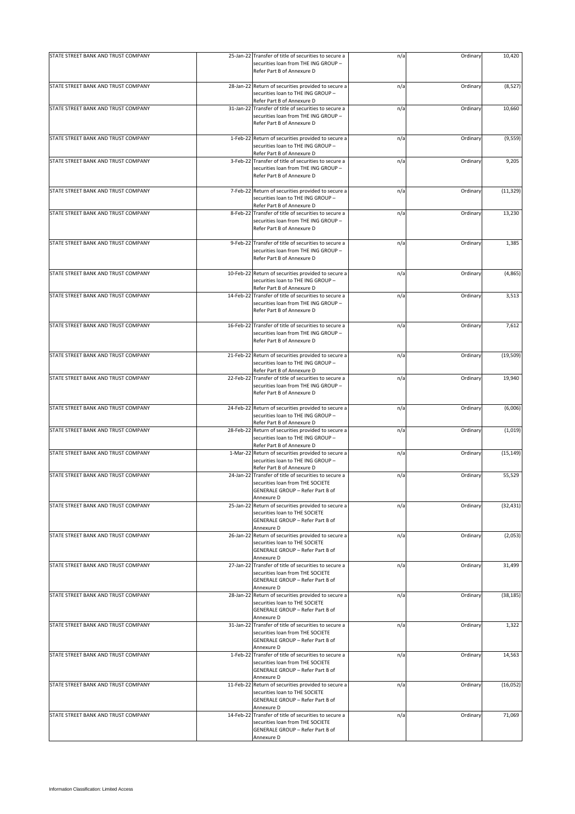| STATE STREET BANK AND TRUST COMPANY | 25-Jan-22 Transfer of title of securities to secure a<br>securities loan from THE ING GROUP -<br>Refer Part B of Annexure D                        | n/a | Ordinary | 10,420    |
|-------------------------------------|----------------------------------------------------------------------------------------------------------------------------------------------------|-----|----------|-----------|
| STATE STREET BANK AND TRUST COMPANY | 28-Jan-22 Return of securities provided to secure a<br>securities loan to THE ING GROUP -<br>Refer Part B of Annexure D                            | n/a | Ordinary | (8, 527)  |
| STATE STREET BANK AND TRUST COMPANY | 31-Jan-22 Transfer of title of securities to secure a<br>securities loan from THE ING GROUP -<br>Refer Part B of Annexure D                        | n/a | Ordinary | 10,660    |
| STATE STREET BANK AND TRUST COMPANY | 1-Feb-22 Return of securities provided to secure a<br>securities loan to THE ING GROUP -<br>Refer Part B of Annexure D                             | n/a | Ordinary | (9, 559)  |
| STATE STREET BANK AND TRUST COMPANY | 3-Feb-22 Transfer of title of securities to secure a<br>securities loan from THE ING GROUP -<br>Refer Part B of Annexure D                         | n/a | Ordinary | 9,205     |
| STATE STREET BANK AND TRUST COMPANY | 7-Feb-22 Return of securities provided to secure a<br>securities loan to THE ING GROUP -<br>Refer Part B of Annexure D                             | n/a | Ordinary | (11, 329) |
| STATE STREET BANK AND TRUST COMPANY | 8-Feb-22 Transfer of title of securities to secure a<br>securities loan from THE ING GROUP -<br>Refer Part B of Annexure D                         | n/a | Ordinary | 13,230    |
| STATE STREET BANK AND TRUST COMPANY | 9-Feb-22 Transfer of title of securities to secure a<br>securities loan from THE ING GROUP -<br>Refer Part B of Annexure D                         | n/a | Ordinary | 1,385     |
| STATE STREET BANK AND TRUST COMPANY | 10-Feb-22 Return of securities provided to secure a<br>securities loan to THE ING GROUP -<br>Refer Part B of Annexure D                            | n/a | Ordinary | (4, 865)  |
| STATE STREET BANK AND TRUST COMPANY | 14-Feb-22 Transfer of title of securities to secure a<br>securities loan from THE ING GROUP -<br>Refer Part B of Annexure D                        | n/a | Ordinary | 3,513     |
| STATE STREET BANK AND TRUST COMPANY | 16-Feb-22 Transfer of title of securities to secure a<br>securities loan from THE ING GROUP -<br>Refer Part B of Annexure D                        | n/a | Ordinary | 7,612     |
| STATE STREET BANK AND TRUST COMPANY | 21-Feb-22 Return of securities provided to secure a<br>securities loan to THE ING GROUP -<br>Refer Part B of Annexure D                            | n/a | Ordinary | (19, 509) |
| STATE STREET BANK AND TRUST COMPANY | 22-Feb-22 Transfer of title of securities to secure a<br>securities loan from THE ING GROUP -<br>Refer Part B of Annexure D                        | n/a | Ordinary | 19,940    |
| STATE STREET BANK AND TRUST COMPANY | 24-Feb-22 Return of securities provided to secure a<br>securities loan to THE ING GROUP -<br>Refer Part B of Annexure D                            | n/a | Ordinary | (6,006)   |
| STATE STREET BANK AND TRUST COMPANY | 28-Feb-22 Return of securities provided to secure a<br>securities loan to THE ING GROUP -<br>Refer Part B of Annexure D                            | n/a | Ordinary | (1,019)   |
| STATE STREET BANK AND TRUST COMPANY | 1-Mar-22 Return of securities provided to secure a<br>securities loan to THE ING GROUP -<br>Refer Part B of Annexure D                             | n/a | Ordinary | (15, 149) |
| STATE STREET BANK AND TRUST COMPANY | 24-Jan-22 Transfer of title of securities to secure a<br>securities loan from THE SOCIETE<br>GENERALE GROUP - Refer Part B of<br>Annexure D        | n/a | Ordinary | 55,529    |
| STATE STREET BANK AND TRUST COMPANY | 25-Jan-22 Return of securities provided to secure a<br>securities loan to THE SOCIETE<br>GENERALE GROUP - Refer Part B of<br>Annexure D            | n/a | Ordinary | (32, 431) |
| STATE STREET BANK AND TRUST COMPANY | 26-Jan-22 Return of securities provided to secure a<br>securities loan to THE SOCIETE<br>GENERALE GROUP - Refer Part B of<br>Annexure D            | n/a | Ordinary | (2,053)   |
| STATE STREET BANK AND TRUST COMPANY | 27-Jan-22 Transfer of title of securities to secure a<br>securities loan from THE SOCIETE<br><b>GENERALE GROUP - Refer Part B of</b><br>Annexure D | n/a | Ordinary | 31,499    |
| STATE STREET BANK AND TRUST COMPANY | 28-Jan-22 Return of securities provided to secure a<br>securities loan to THE SOCIETE<br>GENERALE GROUP - Refer Part B of<br>Annexure D            | n/a | Ordinary | (38, 185) |
| STATE STREET BANK AND TRUST COMPANY | 31-Jan-22 Transfer of title of securities to secure a<br>securities loan from THE SOCIETE<br>GENERALE GROUP - Refer Part B of<br>Annexure D        | n/a | Ordinary | 1,322     |
| STATE STREET BANK AND TRUST COMPANY | 1-Feb-22 Transfer of title of securities to secure a<br>securities loan from THE SOCIETE<br>GENERALE GROUP - Refer Part B of<br>Annexure D         | n/a | Ordinary | 14,563    |
| STATE STREET BANK AND TRUST COMPANY | 11-Feb-22 Return of securities provided to secure a<br>securities loan to THE SOCIETE<br>GENERALE GROUP - Refer Part B of<br>Annexure D            | n/a | Ordinary | (16, 052) |
| STATE STREET BANK AND TRUST COMPANY | 14-Feb-22 Transfer of title of securities to secure a<br>securities loan from THE SOCIETE<br>GENERALE GROUP - Refer Part B of<br>Annexure D        | n/a | Ordinary | 71,069    |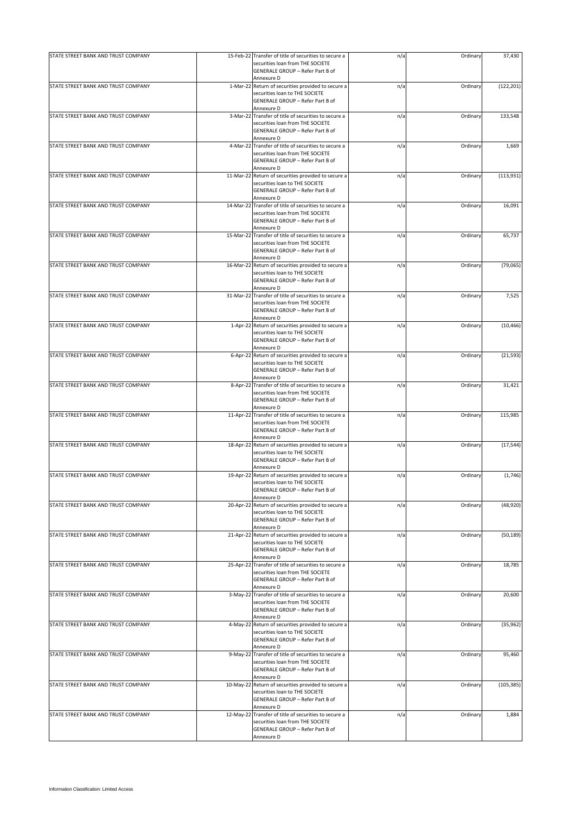| STATE STREET BANK AND TRUST COMPANY | 15-Feb-22 Transfer of title of securities to secure a<br>securities loan from THE SOCIETE<br>GENERALE GROUP - Refer Part B of | n/a | Ordinary | 37,430     |
|-------------------------------------|-------------------------------------------------------------------------------------------------------------------------------|-----|----------|------------|
|                                     | Annexure D                                                                                                                    |     |          |            |
| STATE STREET BANK AND TRUST COMPANY | 1-Mar-22 Return of securities provided to secure a                                                                            | n/a | Ordinary | (122, 201) |
|                                     | securities loan to THE SOCIETE<br>GENERALE GROUP - Refer Part B of                                                            |     |          |            |
|                                     | Annexure D                                                                                                                    |     |          |            |
| STATE STREET BANK AND TRUST COMPANY | 3-Mar-22 Transfer of title of securities to secure a                                                                          | n/a | Ordinary | 133,548    |
|                                     | securities loan from THE SOCIETE                                                                                              |     |          |            |
|                                     |                                                                                                                               |     |          |            |
|                                     | GENERALE GROUP - Refer Part B of                                                                                              |     |          |            |
|                                     | Annexure D                                                                                                                    |     |          |            |
| STATE STREET BANK AND TRUST COMPANY | 4-Mar-22 Transfer of title of securities to secure a                                                                          | n/a | Ordinary | 1,669      |
|                                     | securities loan from THE SOCIETE                                                                                              |     |          |            |
|                                     | GENERALE GROUP - Refer Part B of                                                                                              |     |          |            |
|                                     | Annexure D                                                                                                                    |     |          |            |
| STATE STREET BANK AND TRUST COMPANY | 11-Mar-22 Return of securities provided to secure a                                                                           | n/a | Ordinary | (113, 931) |
|                                     | securities loan to THE SOCIETE                                                                                                |     |          |            |
|                                     | GENERALE GROUP - Refer Part B of                                                                                              |     |          |            |
|                                     | Annexure D                                                                                                                    |     |          |            |
| STATE STREET BANK AND TRUST COMPANY | 14-Mar-22 Transfer of title of securities to secure a                                                                         | n/a | Ordinary | 16,091     |
|                                     | securities loan from THE SOCIETE                                                                                              |     |          |            |
|                                     |                                                                                                                               |     |          |            |
|                                     | GENERALE GROUP - Refer Part B of                                                                                              |     |          |            |
|                                     | Annexure D                                                                                                                    |     |          |            |
| STATE STREET BANK AND TRUST COMPANY | 15-Mar-22 Transfer of title of securities to secure a                                                                         | n/a | Ordinary | 65,737     |
|                                     | securities loan from THE SOCIETE                                                                                              |     |          |            |
|                                     | GENERALE GROUP - Refer Part B of                                                                                              |     |          |            |
|                                     | Annexure D                                                                                                                    |     |          |            |
| STATE STREET BANK AND TRUST COMPANY | 16-Mar-22 Return of securities provided to secure a                                                                           | n/a | Ordinary | (79,065)   |
|                                     |                                                                                                                               |     |          |            |
|                                     | securities loan to THE SOCIETE                                                                                                |     |          |            |
|                                     | GENERALE GROUP - Refer Part B of                                                                                              |     |          |            |
|                                     | Annexure D                                                                                                                    |     |          |            |
| STATE STREET BANK AND TRUST COMPANY | 31-Mar-22 Transfer of title of securities to secure a                                                                         | n/a | Ordinary | 7,525      |
|                                     | securities loan from THE SOCIETE                                                                                              |     |          |            |
|                                     | GENERALE GROUP - Refer Part B of                                                                                              |     |          |            |
|                                     | Annexure D                                                                                                                    |     |          |            |
| STATE STREET BANK AND TRUST COMPANY | 1-Apr-22 Return of securities provided to secure a                                                                            | n/a | Ordinary | (10, 466)  |
|                                     |                                                                                                                               |     |          |            |
|                                     | securities loan to THE SOCIETE                                                                                                |     |          |            |
|                                     | GENERALE GROUP - Refer Part B of                                                                                              |     |          |            |
|                                     | Annexure D                                                                                                                    |     |          |            |
| STATE STREET BANK AND TRUST COMPANY | 6-Apr-22 Return of securities provided to secure a                                                                            | n/a | Ordinary | (21, 593)  |
|                                     | securities loan to THE SOCIETE                                                                                                |     |          |            |
|                                     | GENERALE GROUP - Refer Part B of                                                                                              |     |          |            |
|                                     | Annexure D                                                                                                                    |     |          |            |
|                                     |                                                                                                                               |     |          |            |
| STATE STREET BANK AND TRUST COMPANY | 8-Apr-22 Transfer of title of securities to secure a                                                                          | n/a | Ordinary | 31,421     |
|                                     | securities loan from THE SOCIETE                                                                                              |     |          |            |
|                                     | GENERALE GROUP - Refer Part B of                                                                                              |     |          |            |
|                                     | Annexure D                                                                                                                    |     |          |            |
| STATE STREET BANK AND TRUST COMPANY | 11-Apr-22 Transfer of title of securities to secure a                                                                         | n/a | Ordinary | 115,985    |
|                                     | securities loan from THE SOCIETE                                                                                              |     |          |            |
|                                     | GENERALE GROUP - Refer Part B of                                                                                              |     |          |            |
|                                     |                                                                                                                               |     |          |            |
|                                     | Annexure D                                                                                                                    |     |          |            |
| STATE STREET BANK AND TRUST COMPANY | 18-Apr-22 Return of securities provided to secure a                                                                           | n/a | Ordinary | (17, 544)  |
|                                     | securities loan to THE SOCIETE                                                                                                |     |          |            |
|                                     | GENERALE GROUP - Refer Part B of                                                                                              |     |          |            |
|                                     | Annexure D                                                                                                                    |     |          |            |
| STATE STREET BANK AND TRUST COMPANY | 19-Apr-22 Return of securities provided to secure a                                                                           | n/a | Ordinary | (1,746)    |
|                                     | securities loan to THE SOCIETE                                                                                                |     |          |            |
|                                     | GENERALE GROUP - Refer Part B of                                                                                              |     |          |            |
|                                     | Annexure D                                                                                                                    |     |          |            |
|                                     |                                                                                                                               |     |          |            |
| STATE STREET BANK AND TRUST COMPANY | 20-Apr-22 Return of securities provided to secure a                                                                           | n/a | Ordinary | (48, 920)  |
|                                     | securities loan to THE SOCIETE                                                                                                |     |          |            |
|                                     | GENERALE GROUP - Refer Part B of                                                                                              |     |          |            |
|                                     | Annexure D                                                                                                                    |     |          |            |
| STATE STREET BANK AND TRUST COMPANY | 21-Apr-22 Return of securities provided to secure a                                                                           | n/a | Ordinary | (50, 189)  |
|                                     | securities loan to THE SOCIETE                                                                                                |     |          |            |
|                                     | GENERALE GROUP - Refer Part B of                                                                                              |     |          |            |
|                                     | Annexure D                                                                                                                    |     |          |            |
|                                     |                                                                                                                               |     |          |            |
| STATE STREET BANK AND TRUST COMPANY | 25-Apr-22 Transfer of title of securities to secure a                                                                         | n/a | Ordinary | 18,785     |
|                                     | securities loan from THE SOCIETE                                                                                              |     |          |            |
|                                     | GENERALE GROUP - Refer Part B of                                                                                              |     |          |            |
|                                     | Annexure D                                                                                                                    |     |          |            |
| STATE STREET BANK AND TRUST COMPANY | 3-May-22 Transfer of title of securities to secure a                                                                          | n/a | Ordinary | 20,600     |
|                                     | securities loan from THE SOCIETE                                                                                              |     |          |            |
|                                     | GENERALE GROUP - Refer Part B of                                                                                              |     |          |            |
|                                     | Annexure D                                                                                                                    |     |          |            |
|                                     |                                                                                                                               |     |          |            |
| STATE STREET BANK AND TRUST COMPANY | 4-May-22 Return of securities provided to secure a                                                                            | n/a | Ordinary | (35, 962)  |
|                                     | securities loan to THE SOCIETE                                                                                                |     |          |            |
|                                     | GENERALE GROUP - Refer Part B of                                                                                              |     |          |            |
|                                     | Annexure D                                                                                                                    |     |          |            |
| STATE STREET BANK AND TRUST COMPANY | 9-May-22 Transfer of title of securities to secure a                                                                          | n/a | Ordinary | 95,460     |
|                                     | securities loan from THE SOCIETE                                                                                              |     |          |            |
|                                     |                                                                                                                               |     |          |            |
|                                     | GENERALE GROUP - Refer Part B of                                                                                              |     |          |            |
|                                     | Annexure D                                                                                                                    |     |          |            |
| STATE STREET BANK AND TRUST COMPANY | 10-May-22 Return of securities provided to secure a                                                                           | n/a | Ordinary | (105, 385) |
|                                     | securities loan to THE SOCIETE                                                                                                |     |          |            |
|                                     | GENERALE GROUP - Refer Part B of                                                                                              |     |          |            |
|                                     | Annexure D                                                                                                                    |     |          |            |
| STATE STREET BANK AND TRUST COMPANY | 12-May-22 Transfer of title of securities to secure a                                                                         | n/a | Ordinary | 1,884      |
|                                     | securities loan from THE SOCIETE                                                                                              |     |          |            |
|                                     |                                                                                                                               |     |          |            |
|                                     | GENERALE GROUP - Refer Part B of                                                                                              |     |          |            |
|                                     | Annexure D                                                                                                                    |     |          |            |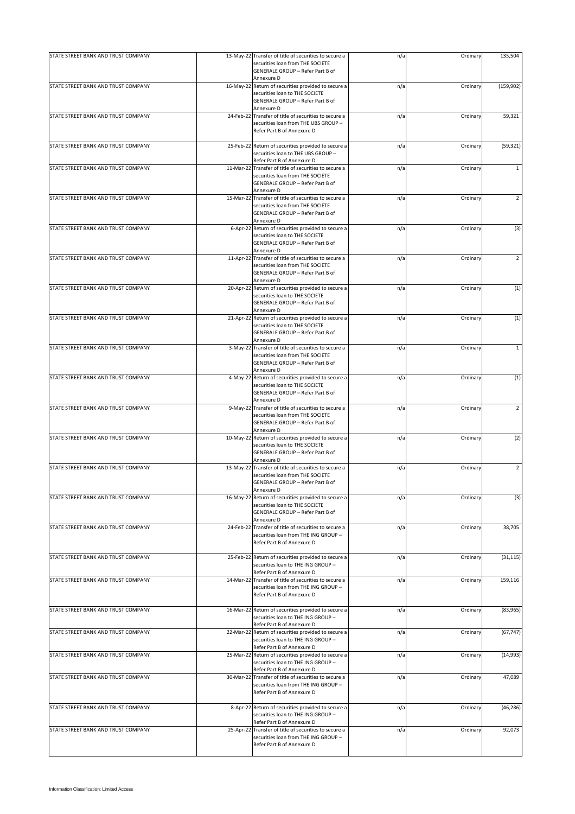| STATE STREET BANK AND TRUST COMPANY |           | 13-May-22 Transfer of title of securities to secure a                                     | n/a | Ordinary | 135,504        |
|-------------------------------------|-----------|-------------------------------------------------------------------------------------------|-----|----------|----------------|
|                                     |           | securities loan from THE SOCIETE<br>GENERALE GROUP - Refer Part B of<br>Annexure D        |     |          |                |
| STATE STREET BANK AND TRUST COMPANY |           | 16-May-22 Return of securities provided to secure a                                       | n/a | Ordinary | (159, 902)     |
|                                     |           | securities loan to THE SOCIETE<br>GENERALE GROUP - Refer Part B of<br>Annexure D          |     |          |                |
| STATE STREET BANK AND TRUST COMPANY |           | 24-Feb-22 Transfer of title of securities to secure a                                     | n/a | Ordinary | 59,321         |
|                                     |           | securities loan from THE UBS GROUP -<br>Refer Part B of Annexure D                        |     |          |                |
| STATE STREET BANK AND TRUST COMPANY |           | 25-Feb-22 Return of securities provided to secure a<br>securities loan to THE UBS GROUP - | n/a | Ordinary | (59, 321)      |
|                                     |           | Refer Part B of Annexure D                                                                |     |          |                |
| STATE STREET BANK AND TRUST COMPANY |           | 11-Mar-22 Transfer of title of securities to secure a<br>securities loan from THE SOCIETE | n/a | Ordinary | 1              |
|                                     |           | GENERALE GROUP - Refer Part B of<br>Annexure D                                            |     |          |                |
| STATE STREET BANK AND TRUST COMPANY |           | 15-Mar-22 Transfer of title of securities to secure a<br>securities loan from THE SOCIETE | n/a | Ordinary | 2              |
|                                     |           | GENERALE GROUP - Refer Part B of<br>Annexure D                                            |     |          |                |
| STATE STREET BANK AND TRUST COMPANY |           | 6-Apr-22 Return of securities provided to secure a<br>securities loan to THE SOCIETE      | n/a | Ordinary | (3)            |
|                                     |           | GENERALE GROUP - Refer Part B of<br>Annexure D                                            |     |          |                |
| STATE STREET BANK AND TRUST COMPANY |           | 11-Apr-22 Transfer of title of securities to secure a                                     | n/a | Ordinary | 2              |
|                                     |           | securities loan from THE SOCIETE<br>GENERALE GROUP - Refer Part B of<br>Annexure D        |     |          |                |
| STATE STREET BANK AND TRUST COMPANY |           | 20-Apr-22 Return of securities provided to secure a                                       | n/a | Ordinary | (1)            |
|                                     |           | securities loan to THE SOCIETE<br>GENERALE GROUP - Refer Part B of<br>Annexure D          |     |          |                |
| STATE STREET BANK AND TRUST COMPANY |           | 21-Apr-22 Return of securities provided to secure a                                       | n/a | Ordinary | (1)            |
|                                     |           | securities loan to THE SOCIETE<br>GENERALE GROUP - Refer Part B of                        |     |          |                |
|                                     |           | Annexure D                                                                                |     |          |                |
| STATE STREET BANK AND TRUST COMPANY |           | 3-May-22 Transfer of title of securities to secure a<br>securities loan from THE SOCIETE  | n/a | Ordinary | $\mathbf{1}$   |
|                                     |           | GENERALE GROUP - Refer Part B of                                                          |     |          |                |
| STATE STREET BANK AND TRUST COMPANY |           | Annexure D<br>4-May-22 Return of securities provided to secure a                          | n/a | Ordinary | (1)            |
|                                     |           | securities loan to THE SOCIETE                                                            |     |          |                |
|                                     |           | GENERALE GROUP - Refer Part B of<br>Annexure D                                            |     |          |                |
| STATE STREET BANK AND TRUST COMPANY |           | 9-May-22 Transfer of title of securities to secure a                                      | n/a | Ordinary | $\overline{2}$ |
|                                     |           | securities loan from THE SOCIETE<br>GENERALE GROUP - Refer Part B of<br>Annexure D        |     |          |                |
| STATE STREET BANK AND TRUST COMPANY |           | 10-May-22 Return of securities provided to secure a                                       | n/a | Ordinary | (2)            |
|                                     |           | securities loan to THE SOCIETE<br>GENERALE GROUP - Refer Part B of<br>Annexure D          |     |          |                |
| STATE STREET BANK AND TRUST COMPANY |           | 13-May-22 Transfer of title of securities to secure a                                     | n/a | Ordinary | 2              |
|                                     |           | securities loan from THE SOCIETE<br>GENERALE GROUP - Refer Part B of<br>Annexure D        |     |          |                |
| STATE STREET BANK AND TRUST COMPANY | 16-May-22 | Return of securities provided to secure a                                                 | n/a | Ordinary | (3)            |
|                                     |           | securities loan to THE SOCIETE<br>GENERALE GROUP - Refer Part B of                        |     |          |                |
| STATE STREET BANK AND TRUST COMPANY |           | Annexure D<br>24-Feb-22 Transfer of title of securities to secure a                       | n/a | Ordinary | 38,705         |
|                                     |           | securities loan from THE ING GROUP -<br>Refer Part B of Annexure D                        |     |          |                |
| STATE STREET BANK AND TRUST COMPANY |           | 25-Feb-22 Return of securities provided to secure a                                       | n/a | Ordinary | (31, 115)      |
|                                     |           | securities loan to THE ING GROUP -<br>Refer Part B of Annexure D                          |     |          |                |
| STATE STREET BANK AND TRUST COMPANY |           | 14-Mar-22 Transfer of title of securities to secure a                                     | n/a | Ordinary | 159,116        |
|                                     |           | securities loan from THE ING GROUP -<br>Refer Part B of Annexure D                        |     |          |                |
| STATE STREET BANK AND TRUST COMPANY |           | 16-Mar-22 Return of securities provided to secure a                                       | n/a | Ordinary | (83, 965)      |
|                                     |           | securities loan to THE ING GROUP -<br>Refer Part B of Annexure D                          |     |          |                |
| STATE STREET BANK AND TRUST COMPANY |           | 22-Mar-22 Return of securities provided to secure a<br>securities loan to THE ING GROUP - | n/a | Ordinary | (67, 747)      |
|                                     |           | Refer Part B of Annexure D                                                                |     |          |                |
| STATE STREET BANK AND TRUST COMPANY |           | 25-Mar-22 Return of securities provided to secure a<br>securities loan to THE ING GROUP - | n/a | Ordinary | (14, 993)      |
| STATE STREET BANK AND TRUST COMPANY |           | Refer Part B of Annexure D<br>30-Mar-22 Transfer of title of securities to secure a       | n/a | Ordinary | 47,089         |
|                                     |           | securities loan from THE ING GROUP -<br>Refer Part B of Annexure D                        |     |          |                |
| STATE STREET BANK AND TRUST COMPANY |           | 8-Apr-22 Return of securities provided to secure a                                        | n/a | Ordinary | (46, 286)      |
|                                     |           | securities loan to THE ING GROUP -<br>Refer Part B of Annexure D                          |     |          |                |
| STATE STREET BANK AND TRUST COMPANY |           | 25-Apr-22 Transfer of title of securities to secure a                                     | n/a | Ordinary | 92,073         |
|                                     |           | securities loan from THE ING GROUP -<br>Refer Part B of Annexure D                        |     |          |                |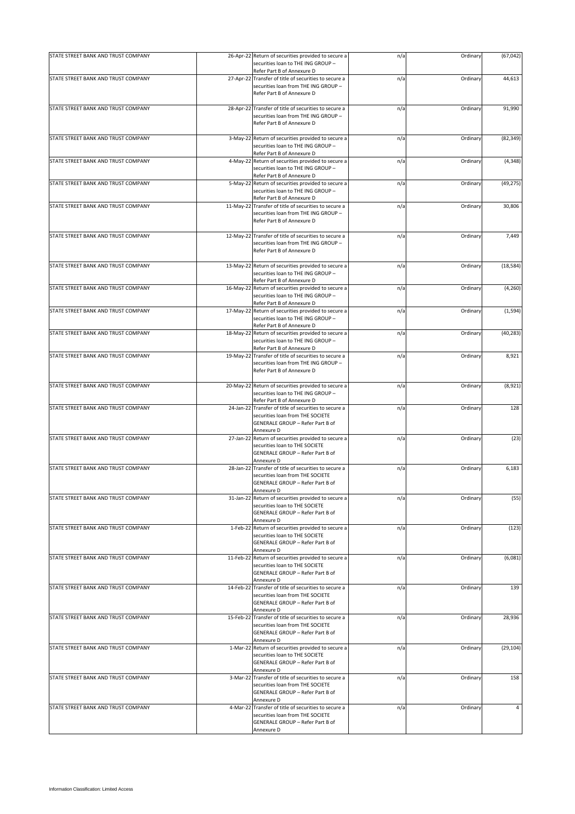| STATE STREET BANK AND TRUST COMPANY | 26-Apr-22 Return of securities provided to secure a<br>securities loan to THE ING GROUP -                                                            | n/a | Ordinary | (67, 042) |
|-------------------------------------|------------------------------------------------------------------------------------------------------------------------------------------------------|-----|----------|-----------|
|                                     | Refer Part B of Annexure D                                                                                                                           |     |          |           |
| STATE STREET BANK AND TRUST COMPANY | 27-Apr-22 Transfer of title of securities to secure a<br>securities loan from THE ING GROUP -<br>Refer Part B of Annexure D                          | n/a | Ordinary | 44,613    |
| STATE STREET BANK AND TRUST COMPANY | 28-Apr-22 Transfer of title of securities to secure a<br>securities loan from THE ING GROUP -<br>Refer Part B of Annexure D                          | n/a | Ordinary | 91,990    |
| STATE STREET BANK AND TRUST COMPANY | 3-May-22 Return of securities provided to secure a<br>securities loan to THE ING GROUP -<br>Refer Part B of Annexure D                               | n/a | Ordinary | (82, 349) |
| STATE STREET BANK AND TRUST COMPANY | 4-May-22 Return of securities provided to secure a<br>securities loan to THE ING GROUP -<br>Refer Part B of Annexure D                               | n/a | Ordinary | (4, 348)  |
| STATE STREET BANK AND TRUST COMPANY | 5-May-22 Return of securities provided to secure a<br>securities loan to THE ING GROUP -<br>Refer Part B of Annexure D                               | n/a | Ordinary | (49, 275) |
| STATE STREET BANK AND TRUST COMPANY | 11-May-22 Transfer of title of securities to secure a<br>securities loan from THE ING GROUP -<br>Refer Part B of Annexure D                          | n/a | Ordinary | 30,806    |
| STATE STREET BANK AND TRUST COMPANY | 12-May-22 Transfer of title of securities to secure a<br>securities loan from THE ING GROUP -<br>Refer Part B of Annexure D                          | n/a | Ordinary | 7,449     |
| STATE STREET BANK AND TRUST COMPANY | 13-May-22 Return of securities provided to secure a<br>securities loan to THE ING GROUP -<br>Refer Part B of Annexure D                              | n/a | Ordinary | (18, 584) |
| STATE STREET BANK AND TRUST COMPANY | 16-May-22 Return of securities provided to secure a<br>securities loan to THE ING GROUP -<br>Refer Part B of Annexure D                              | n/a | Ordinary | (4, 260)  |
| STATE STREET BANK AND TRUST COMPANY | 17-May-22 Return of securities provided to secure a<br>securities loan to THE ING GROUP -<br>Refer Part B of Annexure D                              | n/a | Ordinary | (1, 594)  |
| STATE STREET BANK AND TRUST COMPANY | 18-May-22 Return of securities provided to secure a<br>securities loan to THE ING GROUP -<br>Refer Part B of Annexure D                              | n/a | Ordinary | (40, 283) |
| STATE STREET BANK AND TRUST COMPANY | 19-May-22 Transfer of title of securities to secure a<br>securities loan from THE ING GROUP -<br>Refer Part B of Annexure D                          | n/a | Ordinary | 8,921     |
| STATE STREET BANK AND TRUST COMPANY | 20-May-22 Return of securities provided to secure a<br>securities loan to THE ING GROUP -<br>Refer Part B of Annexure D                              | n/a | Ordinary | (8,921)   |
| STATE STREET BANK AND TRUST COMPANY | 24-Jan-22 Transfer of title of securities to secure a<br>securities loan from THE SOCIETE<br>GENERALE GROUP - Refer Part B of<br>Annexure D          | n/a | Ordinary | 128       |
| STATE STREET BANK AND TRUST COMPANY | 27-Jan-22 Return of securities provided to secure a<br>securities loan to THE SOCIETE<br>GENERALE GROUP - Refer Part B of<br>Annexure D              | n/a | Ordinary | (23)      |
| STATE STREET BANK AND TRUST COMPANY | 28-Jan-22 Transfer of title of securities to secure a<br>securities loan from THE SOCIETE<br>GENERALE GROUP - Refer Part B of<br>Annexure D          | n/a | Ordinary | 6,183     |
| STATE STREET BANK AND TRUST COMPANY | 31-Jan-22 Return of securities provided to secure a<br>securities loan to THE SOCIETE<br>GENERALE GROUP - Refer Part B of                            | n/a | Ordinary | (55)      |
| STATE STREET BANK AND TRUST COMPANY | Annexure D<br>1-Feb-22 Return of securities provided to secure a<br>securities loan to THE SOCIETE<br>GENERALE GROUP - Refer Part B of<br>Annexure D | n/a | Ordinary | (123)     |
| STATE STREET BANK AND TRUST COMPANY | 11-Feb-22 Return of securities provided to secure a<br>securities loan to THE SOCIETE<br>GENERALE GROUP - Refer Part B of<br>Annexure D              | n/a | Ordinary | (6,081)   |
| STATE STREET BANK AND TRUST COMPANY | 14-Feb-22 Transfer of title of securities to secure a<br>securities loan from THE SOCIETE<br>GENERALE GROUP - Refer Part B of<br>Annexure D          | n/a | Ordinary | 139       |
| STATE STREET BANK AND TRUST COMPANY | 15-Feb-22 Transfer of title of securities to secure a<br>securities loan from THE SOCIETE<br>GENERALE GROUP - Refer Part B of<br>Annexure D          | n/a | Ordinary | 28,936    |
| STATE STREET BANK AND TRUST COMPANY | 1-Mar-22 Return of securities provided to secure a<br>securities loan to THE SOCIETE<br>GENERALE GROUP - Refer Part B of<br>Annexure D               | n/a | Ordinary | (29, 104) |
| STATE STREET BANK AND TRUST COMPANY | 3-Mar-22 Transfer of title of securities to secure a<br>securities loan from THE SOCIETE<br>GENERALE GROUP - Refer Part B of<br>Annexure D           | n/a | Ordinary | 158       |
| STATE STREET BANK AND TRUST COMPANY | 4-Mar-22 Transfer of title of securities to secure a<br>securities loan from THE SOCIETE<br>GENERALE GROUP - Refer Part B of<br>Annexure D           | n/a | Ordinary | 4         |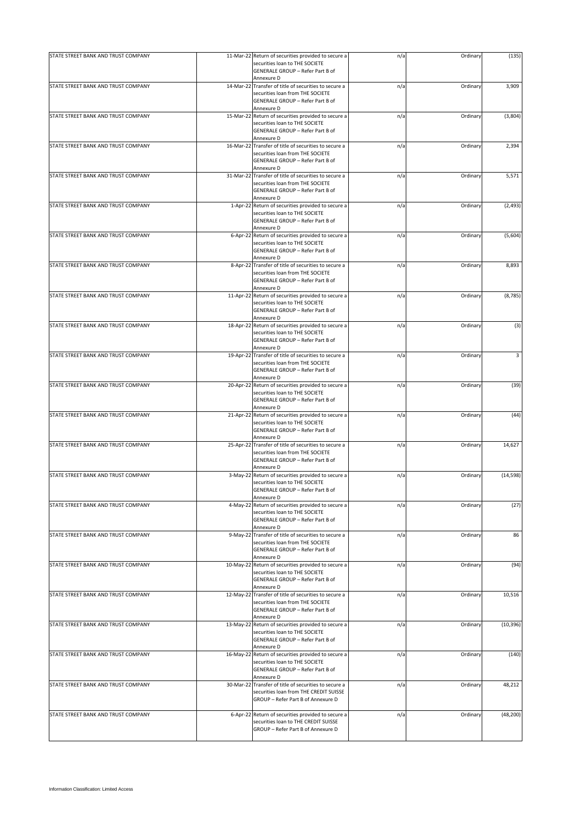| STATE STREET BANK AND TRUST COMPANY |           | 11-Mar-22 Return of securities provided to secure a<br>securities loan to THE SOCIETE<br>GENERALE GROUP - Refer Part B of                   | n/a | Ordinary | (135)     |
|-------------------------------------|-----------|---------------------------------------------------------------------------------------------------------------------------------------------|-----|----------|-----------|
|                                     |           | Annexure D                                                                                                                                  |     |          |           |
| STATE STREET BANK AND TRUST COMPANY |           | 14-Mar-22 Transfer of title of securities to secure a<br>securities loan from THE SOCIETE<br>GENERALE GROUP - Refer Part B of<br>Annexure D | n/a | Ordinary | 3,909     |
| STATE STREET BANK AND TRUST COMPANY | 15-Mar-22 | Return of securities provided to secure a                                                                                                   | n/a | Ordinary | (3,804)   |
|                                     |           | securities loan to THE SOCIETE<br>GENERALE GROUP - Refer Part B of<br>Annexure D                                                            |     |          |           |
| STATE STREET BANK AND TRUST COMPANY |           | 16-Mar-22 Transfer of title of securities to secure a<br>securities loan from THE SOCIETE<br>GENERALE GROUP - Refer Part B of               | n/a | Ordinary | 2,394     |
| STATE STREET BANK AND TRUST COMPANY |           | Annexure D<br>31-Mar-22 Transfer of title of securities to secure a<br>securities loan from THE SOCIETE<br>GENERALE GROUP - Refer Part B of | n/a | Ordinary | 5,571     |
|                                     |           | Annexure D                                                                                                                                  |     |          |           |
| STATE STREET BANK AND TRUST COMPANY |           | 1-Apr-22 Return of securities provided to secure a<br>securities loan to THE SOCIETE<br>GENERALE GROUP - Refer Part B of<br>Annexure D      | n/a | Ordinary | (2, 493)  |
| STATE STREET BANK AND TRUST COMPANY |           | 6-Apr-22 Return of securities provided to secure a<br>securities loan to THE SOCIETE<br>GENERALE GROUP - Refer Part B of<br>Annexure D      | n/a | Ordinary | (5,604)   |
| STATE STREET BANK AND TRUST COMPANY |           | 8-Apr-22 Transfer of title of securities to secure a<br>securities loan from THE SOCIETE<br>GENERALE GROUP - Refer Part B of<br>Annexure D  | n/a | Ordinary | 8,893     |
| STATE STREET BANK AND TRUST COMPANY |           | 11-Apr-22 Return of securities provided to secure a<br>securities loan to THE SOCIETE<br>GENERALE GROUP - Refer Part B of<br>Annexure D     | n/a | Ordinary | (8, 785)  |
| STATE STREET BANK AND TRUST COMPANY |           | 18-Apr-22 Return of securities provided to secure a<br>securities loan to THE SOCIETE<br>GENERALE GROUP - Refer Part B of                   | n/a | Ordinary | (3)       |
| STATE STREET BANK AND TRUST COMPANY |           | Annexure D<br>19-Apr-22 Transfer of title of securities to secure a<br>securities loan from THE SOCIETE<br>GENERALE GROUP - Refer Part B of | n/a | Ordinary | 3         |
|                                     |           | Annexure D                                                                                                                                  |     |          |           |
| STATE STREET BANK AND TRUST COMPANY |           | 20-Apr-22 Return of securities provided to secure a<br>securities loan to THE SOCIETE<br>GENERALE GROUP - Refer Part B of<br>Annexure D     | n/a | Ordinary | (39)      |
| STATE STREET BANK AND TRUST COMPANY |           | 21-Apr-22 Return of securities provided to secure a<br>securities loan to THE SOCIETE<br>GENERALE GROUP - Refer Part B of<br>Annexure D     | n/a | Ordinary | (44)      |
| STATE STREET BANK AND TRUST COMPANY |           | 25-Apr-22 Transfer of title of securities to secure a<br>securities loan from THE SOCIETE<br>GENERALE GROUP - Refer Part B of<br>Annexure D | n/a | Ordinary | 14,627    |
| STATE STREET BANK AND TRUST COMPANY |           | 3-May-22 Return of securities provided to secure a<br>securities loan to THE SOCIETE<br>GENERALE GROUP - Refer Part B of<br>Annexure D      | n/a | Ordinary | (14, 598) |
| STATE STREET BANK AND TRUST COMPANY |           | 4-May-22 Return of securities provided to secure a<br>securities loan to THE SOCIETE<br>GENERALE GROUP - Refer Part B of<br>Annexure D      | n/a | Ordinary | (27)      |
| STATE STREET BANK AND TRUST COMPANY |           | 9-May-22 Transfer of title of securities to secure a<br>securities loan from THE SOCIETE<br>GENERALE GROUP - Refer Part B of<br>Annexure D  | n/a | Ordinary | 86        |
| STATE STREET BANK AND TRUST COMPANY |           | 10-May-22 Return of securities provided to secure a<br>securities loan to THE SOCIETE<br>GENERALE GROUP - Refer Part B of<br>Annexure D     | n/a | Ordinary | (94)      |
| STATE STREET BANK AND TRUST COMPANY |           | 12-May-22 Transfer of title of securities to secure a<br>securities loan from THE SOCIETE<br>GENERALE GROUP - Refer Part B of<br>Annexure D | n/a | Ordinary | 10,516    |
| STATE STREET BANK AND TRUST COMPANY |           | 13-May-22 Return of securities provided to secure a<br>securities loan to THE SOCIETE<br>GENERALE GROUP - Refer Part B of<br>Annexure D     | n/a | Ordinary | (10, 396) |
| STATE STREET BANK AND TRUST COMPANY |           | 16-May-22 Return of securities provided to secure a<br>securities loan to THE SOCIETE<br>GENERALE GROUP - Refer Part B of<br>Annexure D     | n/a | Ordinary | (140)     |
| STATE STREET BANK AND TRUST COMPANY |           | 30-Mar-22 Transfer of title of securities to secure a<br>securities loan from THE CREDIT SUISSE<br>GROUP - Refer Part B of Annexure D       | n/a | Ordinary | 48,212    |
| STATE STREET BANK AND TRUST COMPANY |           | 6-Apr-22 Return of securities provided to secure a<br>securities loan to THE CREDIT SUISSE<br>GROUP - Refer Part B of Annexure D            | n/a | Ordinary | (48, 200) |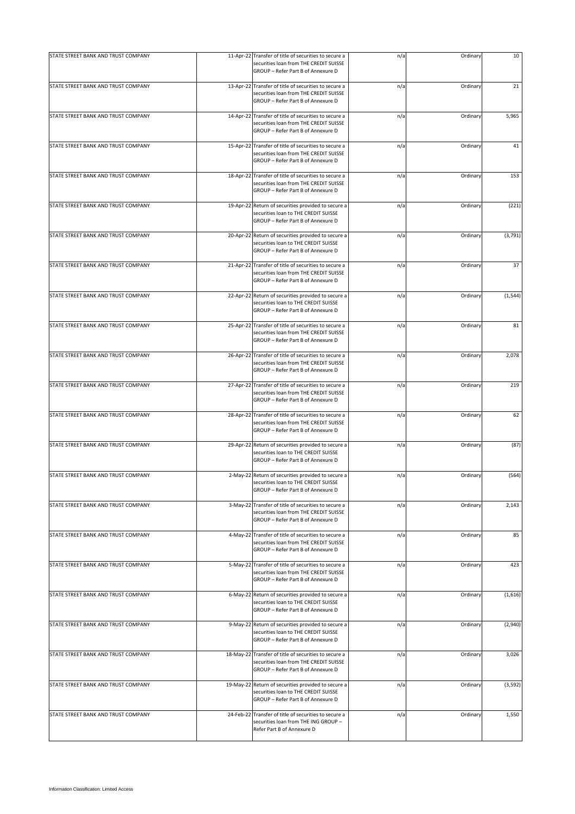| STATE STREET BANK AND TRUST COMPANY | 11-Apr-22 Transfer of title of securities to secure a<br>securities loan from THE CREDIT SUISSE<br>GROUP - Refer Part B of Annexure D | n/a | Ordinary | 10       |
|-------------------------------------|---------------------------------------------------------------------------------------------------------------------------------------|-----|----------|----------|
| STATE STREET BANK AND TRUST COMPANY | 13-Apr-22 Transfer of title of securities to secure a<br>securities loan from THE CREDIT SUISSE<br>GROUP - Refer Part B of Annexure D | n/a | Ordinary | 21       |
| STATE STREET BANK AND TRUST COMPANY | 14-Apr-22 Transfer of title of securities to secure a<br>securities loan from THE CREDIT SUISSE<br>GROUP - Refer Part B of Annexure D | n/a | Ordinary | 5,965    |
| STATE STREET BANK AND TRUST COMPANY | 15-Apr-22 Transfer of title of securities to secure a<br>securities loan from THE CREDIT SUISSE<br>GROUP - Refer Part B of Annexure D | n/a | Ordinary | 41       |
| STATE STREET BANK AND TRUST COMPANY | 18-Apr-22 Transfer of title of securities to secure a<br>securities loan from THE CREDIT SUISSE<br>GROUP - Refer Part B of Annexure D | n/a | Ordinary | 153      |
| STATE STREET BANK AND TRUST COMPANY | 19-Apr-22 Return of securities provided to secure a<br>securities loan to THE CREDIT SUISSE<br>GROUP - Refer Part B of Annexure D     | n/a | Ordinary | (221)    |
| STATE STREET BANK AND TRUST COMPANY | 20-Apr-22 Return of securities provided to secure a<br>securities loan to THE CREDIT SUISSE<br>GROUP - Refer Part B of Annexure D     | n/a | Ordinary | (3,791)  |
| STATE STREET BANK AND TRUST COMPANY | 21-Apr-22 Transfer of title of securities to secure a<br>securities loan from THE CREDIT SUISSE<br>GROUP - Refer Part B of Annexure D | n/a | Ordinary | 37       |
| STATE STREET BANK AND TRUST COMPANY | 22-Apr-22 Return of securities provided to secure a<br>securities loan to THE CREDIT SUISSE<br>GROUP - Refer Part B of Annexure D     | n/a | Ordinary | (1, 544) |
| STATE STREET BANK AND TRUST COMPANY | 25-Apr-22 Transfer of title of securities to secure a<br>securities loan from THE CREDIT SUISSE<br>GROUP - Refer Part B of Annexure D | n/a | Ordinary | 81       |
| STATE STREET BANK AND TRUST COMPANY | 26-Apr-22 Transfer of title of securities to secure a<br>securities loan from THE CREDIT SUISSE<br>GROUP - Refer Part B of Annexure D | n/a | Ordinary | 2,078    |
| STATE STREET BANK AND TRUST COMPANY | 27-Apr-22 Transfer of title of securities to secure a<br>securities loan from THE CREDIT SUISSE<br>GROUP - Refer Part B of Annexure D | n/a | Ordinary | 219      |
| STATE STREET BANK AND TRUST COMPANY | 28-Apr-22 Transfer of title of securities to secure a<br>securities loan from THE CREDIT SUISSE<br>GROUP - Refer Part B of Annexure D | n/a | Ordinary | 62       |
| STATE STREET BANK AND TRUST COMPANY | 29-Apr-22 Return of securities provided to secure a<br>securities loan to THE CREDIT SUISSE<br>GROUP - Refer Part B of Annexure D     | n/a | Ordinary | (87)     |
| STATE STREET BANK AND TRUST COMPANY | 2-May-22 Return of securities provided to secure a<br>securities loan to THE CREDIT SUISSE<br>GROUP - Refer Part B of Annexure D      | n/a | Ordinary | (564)    |
| STATE STREET BANK AND TRUST COMPANY | 3-May-22 Transfer of title of securities to secure a<br>securities loan from THE CREDIT SUISSE<br>GROUP - Refer Part B of Annexure D  | n/a | Ordinary | 2,143    |
| STATE STREET BANK AND TRUST COMPANY | 4-May-22 Transfer of title of securities to secure a<br>securities loan from THE CREDIT SUISSE<br>GROUP - Refer Part B of Annexure D  | n/a | Ordinary | 85       |
| STATE STREET BANK AND TRUST COMPANY | 5-May-22 Transfer of title of securities to secure a<br>securities loan from THE CREDIT SUISSE<br>GROUP - Refer Part B of Annexure D  | n/a | Ordinary | 423      |
| STATE STREET BANK AND TRUST COMPANY | 6-May-22 Return of securities provided to secure a<br>securities loan to THE CREDIT SUISSE<br>GROUP - Refer Part B of Annexure D      | n/a | Ordinary | (1,616)  |
| STATE STREET BANK AND TRUST COMPANY | 9-May-22 Return of securities provided to secure a<br>securities loan to THE CREDIT SUISSE<br>GROUP - Refer Part B of Annexure D      | n/a | Ordinary | (2,940)  |
| STATE STREET BANK AND TRUST COMPANY | 18-May-22 Transfer of title of securities to secure a<br>securities loan from THE CREDIT SUISSE<br>GROUP - Refer Part B of Annexure D | n/a | Ordinary | 3,026    |
| STATE STREET BANK AND TRUST COMPANY | 19-May-22 Return of securities provided to secure a<br>securities loan to THE CREDIT SUISSE<br>GROUP - Refer Part B of Annexure D     | n/a | Ordinary | (3, 592) |
| STATE STREET BANK AND TRUST COMPANY | 24-Feb-22 Transfer of title of securities to secure a<br>securities loan from THE ING GROUP -<br>Refer Part B of Annexure D           | n/a | Ordinary | 1,550    |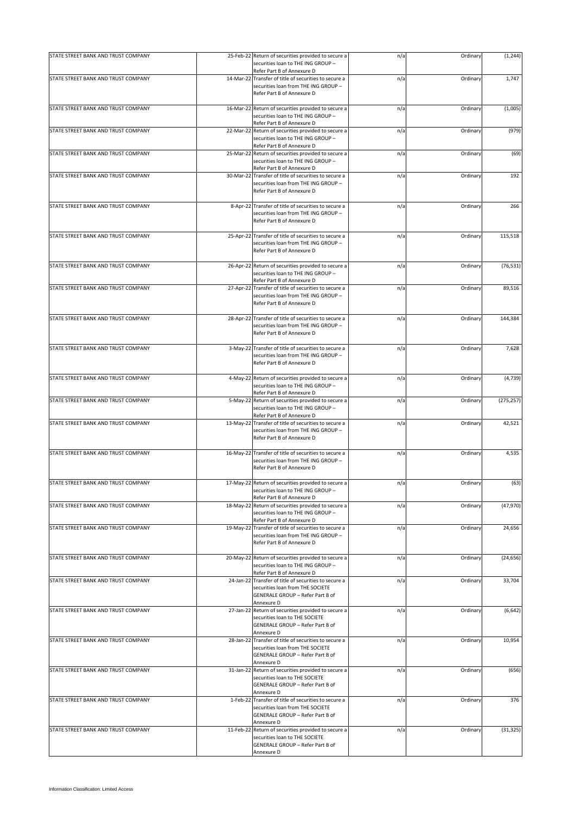| STATE STREET BANK AND TRUST COMPANY | 25-Feb-22 Return of securities provided to secure a<br>securities loan to THE ING GROUP -<br>Refer Part B of Annexure D                     | n/a | Ordinary | (1, 244)   |
|-------------------------------------|---------------------------------------------------------------------------------------------------------------------------------------------|-----|----------|------------|
| STATE STREET BANK AND TRUST COMPANY | 14-Mar-22 Transfer of title of securities to secure a<br>securities loan from THE ING GROUP -<br>Refer Part B of Annexure D                 | n/a | Ordinary | 1,747      |
| STATE STREET BANK AND TRUST COMPANY | 16-Mar-22 Return of securities provided to secure a<br>securities loan to THE ING GROUP -<br>Refer Part B of Annexure D                     | n/a | Ordinary | (1,005)    |
| STATE STREET BANK AND TRUST COMPANY | 22-Mar-22 Return of securities provided to secure a<br>securities loan to THE ING GROUP -<br>Refer Part B of Annexure D                     | n/a | Ordinary | (979)      |
| STATE STREET BANK AND TRUST COMPANY | 25-Mar-22 Return of securities provided to secure a<br>securities loan to THE ING GROUP -<br>Refer Part B of Annexure D                     | n/a | Ordinary | (69)       |
| STATE STREET BANK AND TRUST COMPANY | 30-Mar-22 Transfer of title of securities to secure a<br>securities loan from THE ING GROUP -<br>Refer Part B of Annexure D                 | n/a | Ordinary | 192        |
| STATE STREET BANK AND TRUST COMPANY | 8-Apr-22 Transfer of title of securities to secure a<br>securities loan from THE ING GROUP -<br>Refer Part B of Annexure D                  | n/a | Ordinary | 266        |
| STATE STREET BANK AND TRUST COMPANY | 25-Apr-22 Transfer of title of securities to secure a<br>securities loan from THE ING GROUP -<br>Refer Part B of Annexure D                 | n/a | Ordinary | 115,518    |
| STATE STREET BANK AND TRUST COMPANY | 26-Apr-22 Return of securities provided to secure a<br>securities loan to THE ING GROUP -<br>Refer Part B of Annexure D                     | n/a | Ordinary | (76, 531)  |
| STATE STREET BANK AND TRUST COMPANY | 27-Apr-22 Transfer of title of securities to secure a<br>securities loan from THE ING GROUP -<br>Refer Part B of Annexure D                 | n/a | Ordinary | 89,516     |
| STATE STREET BANK AND TRUST COMPANY | 28-Apr-22 Transfer of title of securities to secure a<br>securities loan from THE ING GROUP -<br>Refer Part B of Annexure D                 | n/a | Ordinary | 144,384    |
| STATE STREET BANK AND TRUST COMPANY | 3-May-22 Transfer of title of securities to secure a<br>securities loan from THE ING GROUP -<br>Refer Part B of Annexure D                  | n/a | Ordinary | 7,628      |
| STATE STREET BANK AND TRUST COMPANY | 4-May-22 Return of securities provided to secure a<br>securities loan to THE ING GROUP -<br>Refer Part B of Annexure D                      | n/a | Ordinary | (4, 739)   |
| STATE STREET BANK AND TRUST COMPANY | 5-May-22 Return of securities provided to secure a<br>securities loan to THE ING GROUP -<br>Refer Part B of Annexure D                      | n/a | Ordinary | (275, 257) |
| STATE STREET BANK AND TRUST COMPANY | 13-May-22 Transfer of title of securities to secure a<br>securities loan from THE ING GROUP -<br>Refer Part B of Annexure D                 | n/a | Ordinary | 42,521     |
| STATE STREET BANK AND TRUST COMPANY | 16-May-22 Transfer of title of securities to secure a<br>securities loan from THE ING GROUP -<br>Refer Part B of Annexure D                 | n/a | Ordinary | 4,535      |
| STATE STREET BANK AND TRUST COMPANY | 17-May-22 Return of securities provided to secure a<br>securities loan to THE ING GROUP -<br>Refer Part B of Annexure D                     | n/a | Ordinary | (63)       |
| STATE STREET BANK AND TRUST COMPANY | 18-May-22 Return of securities provided to secure a<br>securities loan to THE ING GROUP -<br>Refer Part B of Annexure D                     | n/a | Ordinary | (47, 970)  |
| STATE STREET BANK AND TRUST COMPANY | 19-May-22 Transfer of title of securities to secure a<br>securities loan from THE ING GROUP -<br>Refer Part B of Annexure D                 | n/a | Ordinary | 24,656     |
| STATE STREET BANK AND TRUST COMPANY | 20-May-22 Return of securities provided to secure a<br>securities loan to THE ING GROUP -<br>Refer Part B of Annexure D                     | n/a | Ordinary | (24, 656)  |
| STATE STREET BANK AND TRUST COMPANY | 24-Jan-22 Transfer of title of securities to secure a<br>securities loan from THE SOCIETE<br>GENERALE GROUP - Refer Part B of<br>Annexure D | n/a | Ordinary | 33,704     |
| STATE STREET BANK AND TRUST COMPANY | 27-Jan-22 Return of securities provided to secure a<br>securities loan to THE SOCIETE<br>GENERALE GROUP - Refer Part B of<br>Annexure D     | n/a | Ordinary | (6, 642)   |
| STATE STREET BANK AND TRUST COMPANY | 28-Jan-22 Transfer of title of securities to secure a<br>securities loan from THE SOCIETE<br>GENERALE GROUP - Refer Part B of<br>Annexure D | n/a | Ordinary | 10,954     |
| STATE STREET BANK AND TRUST COMPANY | 31-Jan-22 Return of securities provided to secure a<br>securities loan to THE SOCIETE<br>GENERALE GROUP - Refer Part B of<br>Annexure D     | n/a | Ordinary | (656)      |
| STATE STREET BANK AND TRUST COMPANY | 1-Feb-22 Transfer of title of securities to secure a<br>securities loan from THE SOCIETE<br>GENERALE GROUP - Refer Part B of<br>Annexure D  | n/a | Ordinary | 376        |
| STATE STREET BANK AND TRUST COMPANY | 11-Feb-22 Return of securities provided to secure a<br>securities loan to THE SOCIETE<br>GENERALE GROUP - Refer Part B of<br>Annexure D     | n/a | Ordinary | (31, 325)  |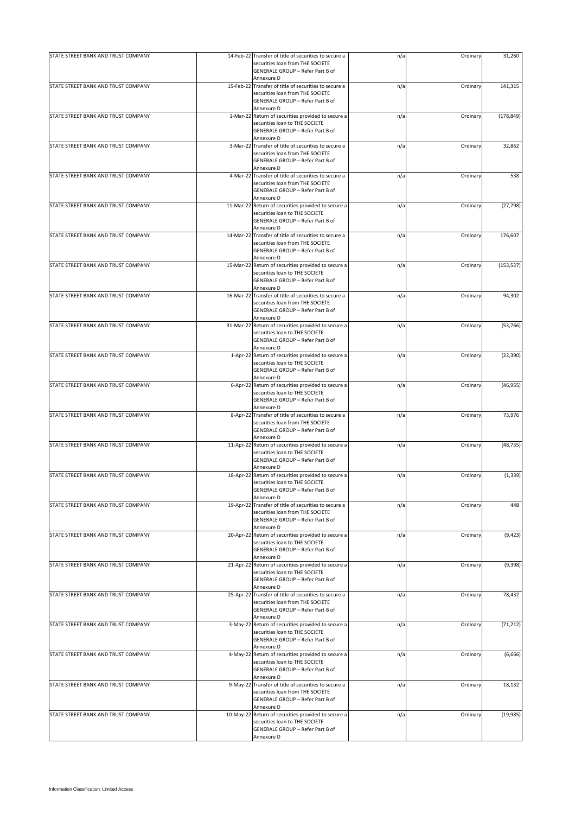| STATE STREET BANK AND TRUST COMPANY |          | 14-Feb-22 Transfer of title of securities to secure a<br>securities loan from THE SOCIETE | n/a | Ordinary | 31,260     |
|-------------------------------------|----------|-------------------------------------------------------------------------------------------|-----|----------|------------|
|                                     |          | GENERALE GROUP - Refer Part B of<br>Annexure D                                            |     |          |            |
| STATE STREET BANK AND TRUST COMPANY |          | 15-Feb-22 Transfer of title of securities to secure a                                     | n/a | Ordinary | 141,315    |
|                                     |          | securities loan from THE SOCIETE<br>GENERALE GROUP - Refer Part B of                      |     |          |            |
|                                     |          | Annexure D                                                                                |     |          |            |
| STATE STREET BANK AND TRUST COMPANY | 1-Mar-22 | Return of securities provided to secure a<br>securities loan to THE SOCIETE               | n/a | Ordinary | (178, 849) |
|                                     |          | GENERALE GROUP - Refer Part B of                                                          |     |          |            |
|                                     |          | Annexure D                                                                                |     |          |            |
| STATE STREET BANK AND TRUST COMPANY |          | 3-Mar-22 Transfer of title of securities to secure a                                      | n/a | Ordinary | 32,862     |
|                                     |          | securities loan from THE SOCIETE                                                          |     |          |            |
|                                     |          | GENERALE GROUP - Refer Part B of<br>Annexure D                                            |     |          |            |
| STATE STREET BANK AND TRUST COMPANY |          | 4-Mar-22 Transfer of title of securities to secure a                                      | n/a | Ordinary | 538        |
|                                     |          | securities loan from THE SOCIETE                                                          |     |          |            |
|                                     |          | GENERALE GROUP - Refer Part B of                                                          |     |          |            |
| STATE STREET BANK AND TRUST COMPANY |          | Annexure D                                                                                |     |          |            |
|                                     |          | 11-Mar-22 Return of securities provided to secure a<br>securities loan to THE SOCIETE     | n/a | Ordinary | (27, 798)  |
|                                     |          | GENERALE GROUP - Refer Part B of                                                          |     |          |            |
|                                     |          | Annexure D                                                                                |     |          |            |
| STATE STREET BANK AND TRUST COMPANY |          | 14-Mar-22 Transfer of title of securities to secure a                                     | n/a | Ordinary | 176,607    |
|                                     |          | securities loan from THE SOCIETE                                                          |     |          |            |
|                                     |          | GENERALE GROUP - Refer Part B of<br>Annexure D                                            |     |          |            |
| STATE STREET BANK AND TRUST COMPANY |          | 15-Mar-22 Return of securities provided to secure a                                       | n/a | Ordinary | (153, 537) |
|                                     |          | securities loan to THE SOCIETE                                                            |     |          |            |
|                                     |          | GENERALE GROUP - Refer Part B of                                                          |     |          |            |
|                                     |          | Annexure D                                                                                |     |          |            |
| STATE STREET BANK AND TRUST COMPANY |          | 16-Mar-22 Transfer of title of securities to secure a                                     | n/a | Ordinary | 94,302     |
|                                     |          | securities loan from THE SOCIETE<br>GENERALE GROUP - Refer Part B of                      |     |          |            |
|                                     |          | Annexure D                                                                                |     |          |            |
| STATE STREET BANK AND TRUST COMPANY |          | 31-Mar-22 Return of securities provided to secure a                                       | n/a | Ordinary | (53, 766)  |
|                                     |          | securities loan to THE SOCIETE                                                            |     |          |            |
|                                     |          | GENERALE GROUP - Refer Part B of                                                          |     |          |            |
|                                     |          | Annexure D                                                                                |     |          |            |
| STATE STREET BANK AND TRUST COMPANY |          | 1-Apr-22 Return of securities provided to secure a<br>securities loan to THE SOCIETE      | n/a | Ordinary | (22, 390)  |
|                                     |          | GENERALE GROUP - Refer Part B of                                                          |     |          |            |
|                                     |          | Annexure D                                                                                |     |          |            |
| STATE STREET BANK AND TRUST COMPANY |          | 6-Apr-22 Return of securities provided to secure a                                        | n/a | Ordinary | (46, 955)  |
|                                     |          | securities loan to THE SOCIETE                                                            |     |          |            |
|                                     |          | GENERALE GROUP - Refer Part B of<br>Annexure D                                            |     |          |            |
| STATE STREET BANK AND TRUST COMPANY |          | 8-Apr-22 Transfer of title of securities to secure a                                      | n/a | Ordinary | 73,976     |
|                                     |          | securities loan from THE SOCIETE                                                          |     |          |            |
|                                     |          | GENERALE GROUP - Refer Part B of                                                          |     |          |            |
|                                     |          | Annexure D                                                                                |     |          |            |
| STATE STREET BANK AND TRUST COMPANY |          | 11-Apr-22 Return of securities provided to secure a                                       | n/a | Ordinary | (48, 755)  |
|                                     |          | securities loan to THE SOCIETE<br>GENERALE GROUP - Refer Part B of                        |     |          |            |
|                                     |          | Annexure D                                                                                |     |          |            |
| STATE STREET BANK AND TRUST COMPANY |          | 18-Apr-22 Return of securities provided to secure a                                       | n/a | Ordinary | (1, 339)   |
|                                     |          | securities loan to THE SOCIETE                                                            |     |          |            |
|                                     |          | GENERALE GROUP - Refer Part B of                                                          |     |          |            |
| STATE STREET BANK AND TRUST COMPANY |          | Annexure D<br>19-Apr-22 Transfer of title of securities to secure a                       | n/a | Ordinary | 448        |
|                                     |          | securities loan from THE SOCIETE                                                          |     |          |            |
|                                     |          | GENERALE GROUP - Refer Part B of                                                          |     |          |            |
|                                     |          | Annexure D                                                                                |     |          |            |
| STATE STREET BANK AND TRUST COMPANY |          | 20-Apr-22 Return of securities provided to secure a<br>securities loan to THE SOCIETE     | n/a | Ordinary | (9, 423)   |
|                                     |          | GENERALE GROUP - Refer Part B of                                                          |     |          |            |
|                                     |          | Annexure D                                                                                |     |          |            |
| STATE STREET BANK AND TRUST COMPANY |          | 21-Apr-22 Return of securities provided to secure a                                       | n/a | Ordinary | (9, 398)   |
|                                     |          | securities loan to THE SOCIETE                                                            |     |          |            |
|                                     |          | GENERALE GROUP - Refer Part B of<br>Annexure D                                            |     |          |            |
| STATE STREET BANK AND TRUST COMPANY |          | 25-Apr-22 Transfer of title of securities to secure a                                     | n/a | Ordinary | 78,432     |
|                                     |          | securities loan from THE SOCIETE                                                          |     |          |            |
|                                     |          | GENERALE GROUP - Refer Part B of                                                          |     |          |            |
|                                     |          | Annexure D                                                                                |     |          |            |
| STATE STREET BANK AND TRUST COMPANY |          | 3-May-22 Return of securities provided to secure a                                        | n/a | Ordinary | (71, 212)  |
|                                     |          | securities loan to THE SOCIETE<br>GENERALE GROUP - Refer Part B of                        |     |          |            |
|                                     |          | Annexure D                                                                                |     |          |            |
| STATE STREET BANK AND TRUST COMPANY |          | 4-May-22 Return of securities provided to secure a                                        | n/a | Ordinary | (6,666)    |
|                                     |          | securities loan to THE SOCIETE                                                            |     |          |            |
|                                     |          | GENERALE GROUP - Refer Part B of                                                          |     |          |            |
|                                     |          | Annexure D                                                                                |     |          |            |
| STATE STREET BANK AND TRUST COMPANY |          | 9-May-22 Transfer of title of securities to secure a<br>securities loan from THE SOCIETE  | n/a | Ordinary | 18,132     |
|                                     |          | GENERALE GROUP - Refer Part B of                                                          |     |          |            |
|                                     |          | Annexure D                                                                                |     |          |            |
| STATE STREET BANK AND TRUST COMPANY |          | 10-May-22 Return of securities provided to secure a                                       | n/a | Ordinary | (19, 985)  |
|                                     |          | securities loan to THE SOCIETE                                                            |     |          |            |
|                                     |          | GENERALE GROUP - Refer Part B of<br>Annexure D                                            |     |          |            |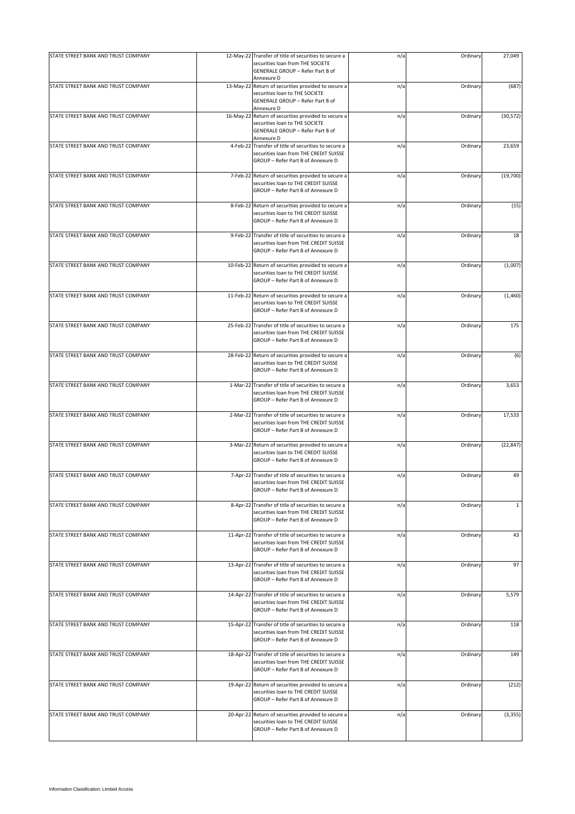| STATE STREET BANK AND TRUST COMPANY | 12-May-22 Transfer of title of securities to secure a<br>securities loan from THE SOCIETE                                               | n/a | Ordinary | 27,049       |
|-------------------------------------|-----------------------------------------------------------------------------------------------------------------------------------------|-----|----------|--------------|
|                                     | GENERALE GROUP - Refer Part B of<br>Annexure D                                                                                          |     |          |              |
| STATE STREET BANK AND TRUST COMPANY | 13-May-22 Return of securities provided to secure a<br>securities loan to THE SOCIETE<br>GENERALE GROUP - Refer Part B of<br>Annexure D | n/a | Ordinary | (687)        |
| STATE STREET BANK AND TRUST COMPANY | 16-May-22 Return of securities provided to secure a<br>securities loan to THE SOCIETE<br>GENERALE GROUP - Refer Part B of<br>Annexure D | n/a | Ordinary | (30, 572)    |
| STATE STREET BANK AND TRUST COMPANY | 4-Feb-22 Transfer of title of securities to secure a<br>securities loan from THE CREDIT SUISSE<br>GROUP - Refer Part B of Annexure D    | n/a | Ordinary | 23,659       |
| STATE STREET BANK AND TRUST COMPANY | 7-Feb-22 Return of securities provided to secure a<br>securities loan to THE CREDIT SUISSE<br>GROUP - Refer Part B of Annexure D        | n/a | Ordinary | (19,700)     |
| STATE STREET BANK AND TRUST COMPANY | 8-Feb-22 Return of securities provided to secure a<br>securities loan to THE CREDIT SUISSE<br>GROUP - Refer Part B of Annexure D        | n/a | Ordinary | (15)         |
| STATE STREET BANK AND TRUST COMPANY | 9-Feb-22 Transfer of title of securities to secure a<br>securities loan from THE CREDIT SUISSE<br>GROUP - Refer Part B of Annexure D    | n/a | Ordinary | 18           |
| STATE STREET BANK AND TRUST COMPANY | 10-Feb-22 Return of securities provided to secure a<br>securities loan to THE CREDIT SUISSE<br>GROUP - Refer Part B of Annexure D       | n/a | Ordinary | (1,007)      |
| STATE STREET BANK AND TRUST COMPANY | 11-Feb-22 Return of securities provided to secure a<br>securities loan to THE CREDIT SUISSE<br>GROUP - Refer Part B of Annexure D       | n/a | Ordinary | (1,460)      |
| STATE STREET BANK AND TRUST COMPANY | 25-Feb-22 Transfer of title of securities to secure a<br>securities loan from THE CREDIT SUISSE<br>GROUP - Refer Part B of Annexure D   | n/a | Ordinary | 175          |
| STATE STREET BANK AND TRUST COMPANY | 28-Feb-22 Return of securities provided to secure a<br>securities loan to THE CREDIT SUISSE<br>GROUP - Refer Part B of Annexure D       | n/a | Ordinary | (6)          |
| STATE STREET BANK AND TRUST COMPANY | 1-Mar-22 Transfer of title of securities to secure a<br>securities loan from THE CREDIT SUISSE<br>GROUP - Refer Part B of Annexure D    | n/a | Ordinary | 3,653        |
| STATE STREET BANK AND TRUST COMPANY | 2-Mar-22 Transfer of title of securities to secure a<br>securities loan from THE CREDIT SUISSE<br>GROUP - Refer Part B of Annexure D    | n/a | Ordinary | 17,533       |
| STATE STREET BANK AND TRUST COMPANY | 3-Mar-22 Return of securities provided to secure a<br>securities loan to THE CREDIT SUISSE<br>GROUP - Refer Part B of Annexure D        | n/a | Ordinary | (22, 847)    |
| STATE STREET BANK AND TRUST COMPANY | 7-Apr-22 Transfer of title of securities to secure a<br>securities loan from THE CREDIT SUISSE<br>GROUP - Refer Part B of Annexure D    | n/a | Ordinary | 49           |
| STATE STREET BANK AND TRUST COMPANY | 8-Apr-22 Transfer of title of securities to secure a<br>securities loan from THE CREDIT SUISSE<br>GROUP - Refer Part B of Annexure D    | n/a | Ordinary | $\mathbf{1}$ |
| STATE STREET BANK AND TRUST COMPANY | 11-Apr-22 Transfer of title of securities to secure a<br>securities loan from THE CREDIT SUISSE<br>GROUP - Refer Part B of Annexure D   | n/a | Ordinary | 43           |
| STATE STREET BANK AND TRUST COMPANY | 13-Apr-22 Transfer of title of securities to secure a<br>securities loan from THE CREDIT SUISSE<br>GROUP - Refer Part B of Annexure D   | n/a | Ordinary | 97           |
| STATE STREET BANK AND TRUST COMPANY | 14-Apr-22 Transfer of title of securities to secure a<br>securities loan from THE CREDIT SUISSE<br>GROUP - Refer Part B of Annexure D   | n/a | Ordinary | 5,579        |
| STATE STREET BANK AND TRUST COMPANY | 15-Apr-22 Transfer of title of securities to secure a<br>securities loan from THE CREDIT SUISSE<br>GROUP - Refer Part B of Annexure D   | n/a | Ordinary | 118          |
| STATE STREET BANK AND TRUST COMPANY | 18-Apr-22 Transfer of title of securities to secure a<br>securities loan from THE CREDIT SUISSE<br>GROUP - Refer Part B of Annexure D   | n/a | Ordinary | 149          |
| STATE STREET BANK AND TRUST COMPANY | 19-Apr-22 Return of securities provided to secure a<br>securities loan to THE CREDIT SUISSE<br>GROUP - Refer Part B of Annexure D       | n/a | Ordinary | (212)        |
| STATE STREET BANK AND TRUST COMPANY | 20-Apr-22 Return of securities provided to secure a<br>securities loan to THE CREDIT SUISSE<br>GROUP - Refer Part B of Annexure D       | n/a | Ordinary | (3, 355)     |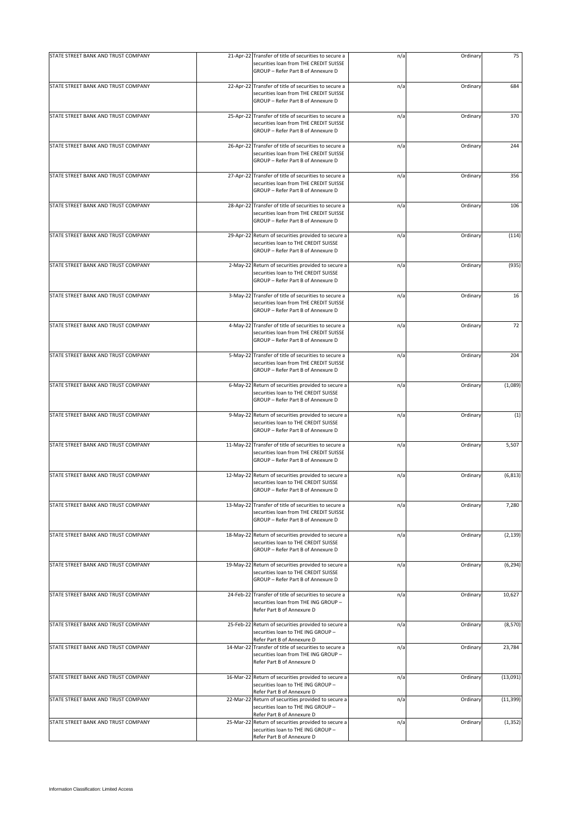| STATE STREET BANK AND TRUST COMPANY |          | 21-Apr-22 Transfer of title of securities to secure a<br>securities loan from THE CREDIT SUISSE<br>GROUP - Refer Part B of Annexure D | n/a | Ordinary | 75        |
|-------------------------------------|----------|---------------------------------------------------------------------------------------------------------------------------------------|-----|----------|-----------|
|                                     |          |                                                                                                                                       |     |          |           |
| STATE STREET BANK AND TRUST COMPANY |          | 22-Apr-22 Transfer of title of securities to secure a<br>securities loan from THE CREDIT SUISSE<br>GROUP - Refer Part B of Annexure D | n/a | Ordinary | 684       |
| STATE STREET BANK AND TRUST COMPANY |          | 25-Apr-22 Transfer of title of securities to secure a<br>securities loan from THE CREDIT SUISSE<br>GROUP - Refer Part B of Annexure D | n/a | Ordinary | 370       |
| STATE STREET BANK AND TRUST COMPANY |          | 26-Apr-22 Transfer of title of securities to secure a<br>securities loan from THE CREDIT SUISSE<br>GROUP - Refer Part B of Annexure D | n/a | Ordinary | 244       |
| STATE STREET BANK AND TRUST COMPANY |          | 27-Apr-22 Transfer of title of securities to secure a<br>securities loan from THE CREDIT SUISSE<br>GROUP - Refer Part B of Annexure D | n/a | Ordinary | 356       |
| STATE STREET BANK AND TRUST COMPANY |          | 28-Apr-22 Transfer of title of securities to secure a<br>securities loan from THE CREDIT SUISSE<br>GROUP - Refer Part B of Annexure D | n/a | Ordinary | 106       |
| STATE STREET BANK AND TRUST COMPANY |          | 29-Apr-22 Return of securities provided to secure a<br>securities loan to THE CREDIT SUISSE<br>GROUP - Refer Part B of Annexure D     | n/a | Ordinary | (114)     |
| STATE STREET BANK AND TRUST COMPANY |          | 2-May-22 Return of securities provided to secure a<br>securities loan to THE CREDIT SUISSE<br>GROUP - Refer Part B of Annexure D      | n/a | Ordinary | (935)     |
| STATE STREET BANK AND TRUST COMPANY |          | 3-May-22 Transfer of title of securities to secure a<br>securities loan from THE CREDIT SUISSE<br>GROUP - Refer Part B of Annexure D  | n/a | Ordinary | 16        |
| STATE STREET BANK AND TRUST COMPANY | 4-May-22 | Transfer of title of securities to secure a<br>securities loan from THE CREDIT SUISSE<br>GROUP - Refer Part B of Annexure D           | n/a | Ordinary | 72        |
| STATE STREET BANK AND TRUST COMPANY |          | 5-May-22 Transfer of title of securities to secure a<br>securities loan from THE CREDIT SUISSE<br>GROUP - Refer Part B of Annexure D  | n/a | Ordinary | 204       |
| STATE STREET BANK AND TRUST COMPANY |          | 6-May-22 Return of securities provided to secure a<br>securities loan to THE CREDIT SUISSE<br>GROUP - Refer Part B of Annexure D      | n/a | Ordinary | (1,089)   |
| STATE STREET BANK AND TRUST COMPANY |          | 9-May-22 Return of securities provided to secure a<br>securities loan to THE CREDIT SUISSE<br>GROUP - Refer Part B of Annexure D      | n/a | Ordinary | (1)       |
| STATE STREET BANK AND TRUST COMPANY |          | 11-May-22 Transfer of title of securities to secure a<br>securities loan from THE CREDIT SUISSE<br>GROUP - Refer Part B of Annexure D | n/a | Ordinary | 5,507     |
| STATE STREET BANK AND TRUST COMPANY |          | 12-May-22 Return of securities provided to secure a<br>securities loan to THE CREDIT SUISSE<br>GROUP - Refer Part B of Annexure D     | n/a | Ordinary | (6, 813)  |
| STATE STREET BANK AND TRUST COMPANY |          | 13-May-22 Transfer of title of securities to secure a<br>securities loan from THE CREDIT SUISSE<br>GROUP - Refer Part B of Annexure D | n/a | Ordinary | 7,280     |
| STATE STREET BANK AND TRUST COMPANY |          | 18-May-22 Return of securities provided to secure a<br>securities loan to THE CREDIT SUISSE<br>GROUP - Refer Part B of Annexure D     | n/a | Ordinary | (2, 139)  |
| STATE STREET BANK AND TRUST COMPANY |          | 19-May-22 Return of securities provided to secure a<br>securities loan to THE CREDIT SUISSE<br>GROUP - Refer Part B of Annexure D     | n/a | Ordinary | (6, 294)  |
| STATE STREET BANK AND TRUST COMPANY |          | 24-Feb-22 Transfer of title of securities to secure a<br>securities loan from THE ING GROUP -<br>Refer Part B of Annexure D           | n/a | Ordinary | 10,627    |
| STATE STREET BANK AND TRUST COMPANY |          | 25-Feb-22 Return of securities provided to secure a<br>securities loan to THE ING GROUP -<br>Refer Part B of Annexure D               | n/a | Ordinary | (8,570)   |
| STATE STREET BANK AND TRUST COMPANY |          | 14-Mar-22 Transfer of title of securities to secure a<br>securities loan from THE ING GROUP -<br>Refer Part B of Annexure D           | n/a | Ordinary | 23,784    |
| STATE STREET BANK AND TRUST COMPANY |          | 16-Mar-22 Return of securities provided to secure a<br>securities loan to THE ING GROUP -<br>Refer Part B of Annexure D               | n/a | Ordinary | (13,091)  |
| STATE STREET BANK AND TRUST COMPANY |          | 22-Mar-22 Return of securities provided to secure a<br>securities loan to THE ING GROUP -<br>Refer Part B of Annexure D               | n/a | Ordinary | (11, 399) |
| STATE STREET BANK AND TRUST COMPANY |          | 25-Mar-22 Return of securities provided to secure a<br>securities loan to THE ING GROUP -<br>Refer Part B of Annexure D               | n/a | Ordinary | (1, 352)  |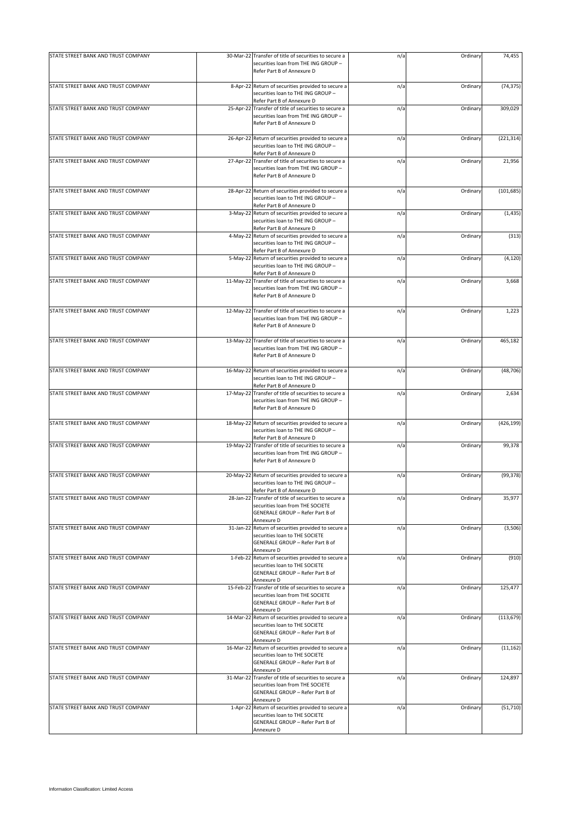| STATE STREET BANK AND TRUST COMPANY | 30-Mar-22 Transfer of title of securities to secure a<br>securities loan from THE ING GROUP -<br>Refer Part B of Annexure D                 | n/a | Ordinary | 74,455     |
|-------------------------------------|---------------------------------------------------------------------------------------------------------------------------------------------|-----|----------|------------|
| STATE STREET BANK AND TRUST COMPANY | 8-Apr-22 Return of securities provided to secure a<br>securities loan to THE ING GROUP -<br>Refer Part B of Annexure D                      | n/a | Ordinary | (74, 375)  |
| STATE STREET BANK AND TRUST COMPANY | 25-Apr-22 Transfer of title of securities to secure a<br>securities loan from THE ING GROUP -<br>Refer Part B of Annexure D                 | n/a | Ordinary | 309,029    |
| STATE STREET BANK AND TRUST COMPANY | 26-Apr-22 Return of securities provided to secure a<br>securities loan to THE ING GROUP -<br>Refer Part B of Annexure D                     | n/a | Ordinary | (221, 314) |
| STATE STREET BANK AND TRUST COMPANY | 27-Apr-22 Transfer of title of securities to secure a<br>securities loan from THE ING GROUP -<br>Refer Part B of Annexure D                 | n/a | Ordinary | 21,956     |
| STATE STREET BANK AND TRUST COMPANY | 28-Apr-22 Return of securities provided to secure a<br>securities loan to THE ING GROUP -<br>Refer Part B of Annexure D                     | n/a | Ordinary | (101, 685) |
| STATE STREET BANK AND TRUST COMPANY | 3-May-22 Return of securities provided to secure a<br>securities loan to THE ING GROUP -<br>Refer Part B of Annexure D                      | n/a | Ordinary | (1, 435)   |
| STATE STREET BANK AND TRUST COMPANY | 4-May-22 Return of securities provided to secure a<br>securities loan to THE ING GROUP -<br>Refer Part B of Annexure D                      | n/a | Ordinary | (313)      |
| STATE STREET BANK AND TRUST COMPANY | 5-May-22 Return of securities provided to secure a<br>securities loan to THE ING GROUP -<br>Refer Part B of Annexure D                      | n/a | Ordinary | (4, 120)   |
| STATE STREET BANK AND TRUST COMPANY | 11-May-22 Transfer of title of securities to secure a<br>securities loan from THE ING GROUP -<br>Refer Part B of Annexure D                 | n/a | Ordinary | 3,668      |
| STATE STREET BANK AND TRUST COMPANY | 12-May-22 Transfer of title of securities to secure a<br>securities loan from THE ING GROUP -<br>Refer Part B of Annexure D                 | n/a | Ordinary | 1,223      |
| STATE STREET BANK AND TRUST COMPANY | 13-May-22 Transfer of title of securities to secure a<br>securities loan from THE ING GROUP -<br>Refer Part B of Annexure D                 | n/a | Ordinary | 465,182    |
| STATE STREET BANK AND TRUST COMPANY | 16-May-22 Return of securities provided to secure a<br>securities loan to THE ING GROUP -<br>Refer Part B of Annexure D                     | n/a | Ordinary | (48, 706)  |
| STATE STREET BANK AND TRUST COMPANY | 17-May-22 Transfer of title of securities to secure a<br>securities loan from THE ING GROUP -<br>Refer Part B of Annexure D                 | n/a | Ordinary | 2,634      |
| STATE STREET BANK AND TRUST COMPANY | 18-May-22 Return of securities provided to secure a<br>securities loan to THE ING GROUP -<br>Refer Part B of Annexure D                     | n/a | Ordinary | (426, 199) |
| STATE STREET BANK AND TRUST COMPANY | 19-May-22 Transfer of title of securities to secure a<br>securities loan from THE ING GROUP -<br>Refer Part B of Annexure D                 | n/a | Ordinary | 99,378     |
| STATE STREET BANK AND TRUST COMPANY | 20-May-22 Return of securities provided to secure a<br>securities loan to THE ING GROUP -<br>Refer Part B of Annexure D                     | n/a | Ordinary | (99, 378)  |
| STATE STREET BANK AND TRUST COMPANY | 28-Jan-22 Transfer of title of securities to secure a<br>securities loan from THE SOCIETE<br>GENERALE GROUP - Refer Part B of<br>Annexure D | n/a | Ordinary | 35,977     |
| STATE STREET BANK AND TRUST COMPANY | 31-Jan-22 Return of securities provided to secure a<br>securities loan to THE SOCIETE<br>GENERALE GROUP - Refer Part B of<br>Annexure D     | n/a | Ordinary | (3,506)    |
| STATE STREET BANK AND TRUST COMPANY | 1-Feb-22 Return of securities provided to secure a<br>securities loan to THE SOCIETE<br>GENERALE GROUP - Refer Part B of<br>Annexure D      | n/a | Ordinary | (910)      |
| STATE STREET BANK AND TRUST COMPANY | 15-Feb-22 Transfer of title of securities to secure a<br>securities loan from THE SOCIETE<br>GENERALE GROUP - Refer Part B of<br>Annexure D | n/a | Ordinary | 125,477    |
| STATE STREET BANK AND TRUST COMPANY | 14-Mar-22 Return of securities provided to secure a<br>securities loan to THE SOCIETE<br>GENERALE GROUP - Refer Part B of<br>Annexure D     | n/a | Ordinary | (113, 679) |
| STATE STREET BANK AND TRUST COMPANY | 16-Mar-22 Return of securities provided to secure a<br>securities loan to THE SOCIETE<br>GENERALE GROUP - Refer Part B of<br>Annexure D     | n/a | Ordinary | (11, 162)  |
| STATE STREET BANK AND TRUST COMPANY | 31-Mar-22 Transfer of title of securities to secure a<br>securities loan from THE SOCIETE<br>GENERALE GROUP - Refer Part B of<br>Annexure D | n/a | Ordinary | 124,897    |
| STATE STREET BANK AND TRUST COMPANY | 1-Apr-22 Return of securities provided to secure a<br>securities loan to THE SOCIETE<br>GENERALE GROUP - Refer Part B of<br>Annexure D      | n/a | Ordinary | (51, 710)  |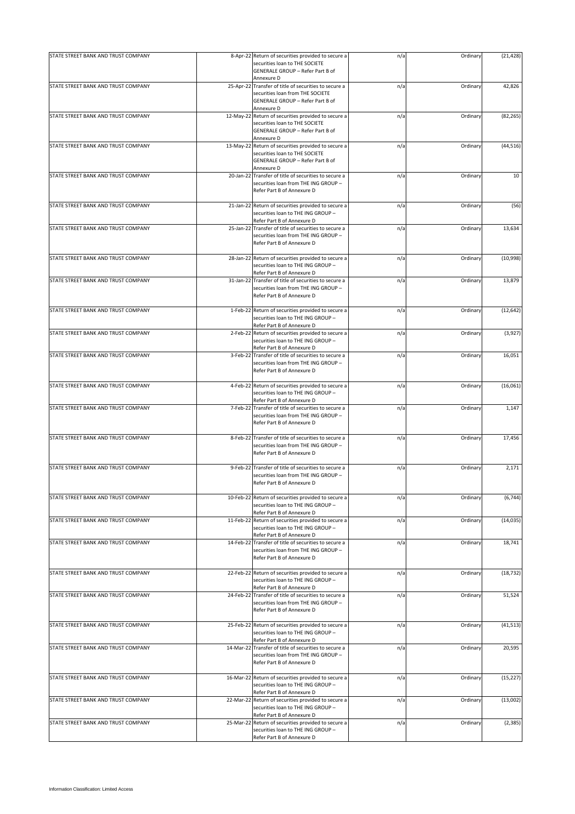| STATE STREET BANK AND TRUST COMPANY | 8-Apr-22 Return of securities provided to secure a<br>securities loan to THE SOCIETE<br>GENERALE GROUP - Refer Part B of | n/a | Ordinary | (21, 428) |
|-------------------------------------|--------------------------------------------------------------------------------------------------------------------------|-----|----------|-----------|
|                                     |                                                                                                                          |     |          |           |
|                                     | Annexure D                                                                                                               |     |          |           |
| STATE STREET BANK AND TRUST COMPANY | 25-Apr-22 Transfer of title of securities to secure a                                                                    | n/a | Ordinary | 42,826    |
|                                     | securities loan from THE SOCIETE                                                                                         |     |          |           |
|                                     | <b>GENERALE GROUP - Refer Part B of</b>                                                                                  |     |          |           |
|                                     | Annexure D                                                                                                               |     |          |           |
| STATE STREET BANK AND TRUST COMPANY | 12-May-22 Return of securities provided to secure a                                                                      | n/a | Ordinary | (82, 265) |
|                                     | securities loan to THE SOCIETE                                                                                           |     |          |           |
|                                     | GENERALE GROUP - Refer Part B of                                                                                         |     |          |           |
|                                     | Annexure D                                                                                                               |     |          |           |
| STATE STREET BANK AND TRUST COMPANY | 13-May-22 Return of securities provided to secure a                                                                      | n/a | Ordinary | (44, 516) |
|                                     | securities loan to THE SOCIETE                                                                                           |     |          |           |
|                                     | GENERALE GROUP - Refer Part B of                                                                                         |     |          |           |
|                                     | Annexure D                                                                                                               |     |          |           |
| STATE STREET BANK AND TRUST COMPANY | 20-Jan-22 Transfer of title of securities to secure a                                                                    | n/a | Ordinary | 10        |
|                                     | securities loan from THE ING GROUP -                                                                                     |     |          |           |
|                                     | Refer Part B of Annexure D                                                                                               |     |          |           |
|                                     |                                                                                                                          |     |          |           |
| STATE STREET BANK AND TRUST COMPANY | 21-Jan-22 Return of securities provided to secure a                                                                      | n/a | Ordinary | (56)      |
|                                     | securities loan to THE ING GROUP -                                                                                       |     |          |           |
|                                     | Refer Part B of Annexure D                                                                                               |     |          |           |
| STATE STREET BANK AND TRUST COMPANY | 25-Jan-22 Transfer of title of securities to secure a                                                                    | n/a | Ordinary | 13,634    |
|                                     | securities loan from THE ING GROUP -                                                                                     |     |          |           |
|                                     | Refer Part B of Annexure D                                                                                               |     |          |           |
|                                     |                                                                                                                          |     |          |           |
| STATE STREET BANK AND TRUST COMPANY | 28-Jan-22 Return of securities provided to secure a                                                                      | n/a | Ordinary | (10, 998) |
|                                     | securities loan to THE ING GROUP -                                                                                       |     |          |           |
|                                     | Refer Part B of Annexure D                                                                                               |     |          |           |
| STATE STREET BANK AND TRUST COMPANY | 31-Jan-22 Transfer of title of securities to secure a                                                                    | n/a | Ordinary | 13,879    |
|                                     | securities loan from THE ING GROUP -                                                                                     |     |          |           |
|                                     | Refer Part B of Annexure D                                                                                               |     |          |           |
|                                     |                                                                                                                          |     |          |           |
| STATE STREET BANK AND TRUST COMPANY | 1-Feb-22 Return of securities provided to secure a                                                                       | n/a | Ordinary | (12, 642) |
|                                     | securities loan to THE ING GROUP -                                                                                       |     |          |           |
|                                     | Refer Part B of Annexure D                                                                                               |     |          |           |
| STATE STREET BANK AND TRUST COMPANY | 2-Feb-22 Return of securities provided to secure a                                                                       | n/a | Ordinary | (3,927)   |
|                                     | securities loan to THE ING GROUP -                                                                                       |     |          |           |
|                                     | Refer Part B of Annexure D                                                                                               |     |          |           |
| STATE STREET BANK AND TRUST COMPANY | 3-Feb-22 Transfer of title of securities to secure a                                                                     |     | Ordinary | 16,051    |
|                                     |                                                                                                                          | n/a |          |           |
|                                     | securities loan from THE ING GROUP -                                                                                     |     |          |           |
|                                     | Refer Part B of Annexure D                                                                                               |     |          |           |
| STATE STREET BANK AND TRUST COMPANY |                                                                                                                          |     |          | (16,061)  |
|                                     | 4-Feb-22 Return of securities provided to secure a                                                                       | n/a | Ordinary |           |
|                                     | securities loan to THE ING GROUP -                                                                                       |     |          |           |
|                                     | Refer Part B of Annexure D                                                                                               |     |          |           |
| STATE STREET BANK AND TRUST COMPANY | 7-Feb-22 Transfer of title of securities to secure a<br>securities loan from THE ING GROUP -                             | n/a | Ordinary | 1,147     |
|                                     | Refer Part B of Annexure D                                                                                               |     |          |           |
|                                     |                                                                                                                          |     |          |           |
| STATE STREET BANK AND TRUST COMPANY | 8-Feb-22 Transfer of title of securities to secure a                                                                     | n/a | Ordinary | 17,456    |
|                                     | securities loan from THE ING GROUP -                                                                                     |     |          |           |
|                                     | Refer Part B of Annexure D                                                                                               |     |          |           |
|                                     |                                                                                                                          |     |          |           |
| STATE STREET BANK AND TRUST COMPANY | 9-Feb-22 Transfer of title of securities to secure a                                                                     | n/a | Ordinary | 2,171     |
|                                     | securities loan from THE ING GROUP -                                                                                     |     |          |           |
|                                     | Refer Part B of Annexure D                                                                                               |     |          |           |
|                                     |                                                                                                                          |     |          |           |
| STATE STREET BANK AND TRUST COMPANY | 10-Feb-22 Return of securities provided to secure a                                                                      | n/a | Ordinary | (6,744)   |
|                                     | securities loan to THE ING GROUP -                                                                                       |     |          |           |
|                                     | Refer Part B of Annexure D                                                                                               |     |          |           |
| STATE STREET BANK AND TRUST COMPANY | 11-Feb-22 Return of securities provided to secure a                                                                      |     |          |           |
|                                     |                                                                                                                          | n/a | Ordinary | (14, 035) |
|                                     | securities loan to THE ING GROUP -<br>Refer Part B of Annexure D                                                         |     |          |           |
|                                     |                                                                                                                          |     |          |           |
| STATE STREET BANK AND TRUST COMPANY | 14-Feb-22 Transfer of title of securities to secure a                                                                    | n/a | Ordinary | 18,741    |
|                                     | securities loan from THE ING GROUP -                                                                                     |     |          |           |
|                                     | Refer Part B of Annexure D                                                                                               |     |          |           |
|                                     |                                                                                                                          |     |          |           |
| STATE STREET BANK AND TRUST COMPANY | 22-Feb-22 Return of securities provided to secure a                                                                      | n/a | Ordinary | (18, 732) |
|                                     | securities loan to THE ING GROUP -                                                                                       |     |          |           |
|                                     | Refer Part B of Annexure D                                                                                               |     |          |           |
| STATE STREET BANK AND TRUST COMPANY | 24-Feb-22 Transfer of title of securities to secure a                                                                    | n/a | Ordinary | 51,524    |
|                                     | securities loan from THE ING GROUP -                                                                                     |     |          |           |
|                                     | Refer Part B of Annexure D                                                                                               |     |          |           |
|                                     |                                                                                                                          |     |          |           |
| STATE STREET BANK AND TRUST COMPANY | 25-Feb-22 Return of securities provided to secure a                                                                      | n/a | Ordinary | (41, 513) |
|                                     | securities loan to THE ING GROUP -                                                                                       |     |          |           |
|                                     | Refer Part B of Annexure D                                                                                               |     |          |           |
| STATE STREET BANK AND TRUST COMPANY | 14-Mar-22 Transfer of title of securities to secure a                                                                    | n/a | Ordinary | 20,595    |
|                                     | securities loan from THE ING GROUP -                                                                                     |     |          |           |
|                                     | Refer Part B of Annexure D                                                                                               |     |          |           |
|                                     |                                                                                                                          |     |          |           |
| STATE STREET BANK AND TRUST COMPANY | 16-Mar-22 Return of securities provided to secure a                                                                      | n/a | Ordinary | (15, 227) |
|                                     | securities loan to THE ING GROUP -                                                                                       |     |          |           |
|                                     | Refer Part B of Annexure D                                                                                               |     |          |           |
| STATE STREET BANK AND TRUST COMPANY | 22-Mar-22 Return of securities provided to secure a                                                                      | n/a | Ordinary | (13,002)  |
|                                     | securities loan to THE ING GROUP -                                                                                       |     |          |           |
|                                     | Refer Part B of Annexure D                                                                                               |     |          |           |
| STATE STREET BANK AND TRUST COMPANY | 25-Mar-22 Return of securities provided to secure a                                                                      | n/a | Ordinary | (2, 385)  |
|                                     | securities loan to THE ING GROUP -                                                                                       |     |          |           |
|                                     | Refer Part B of Annexure D                                                                                               |     |          |           |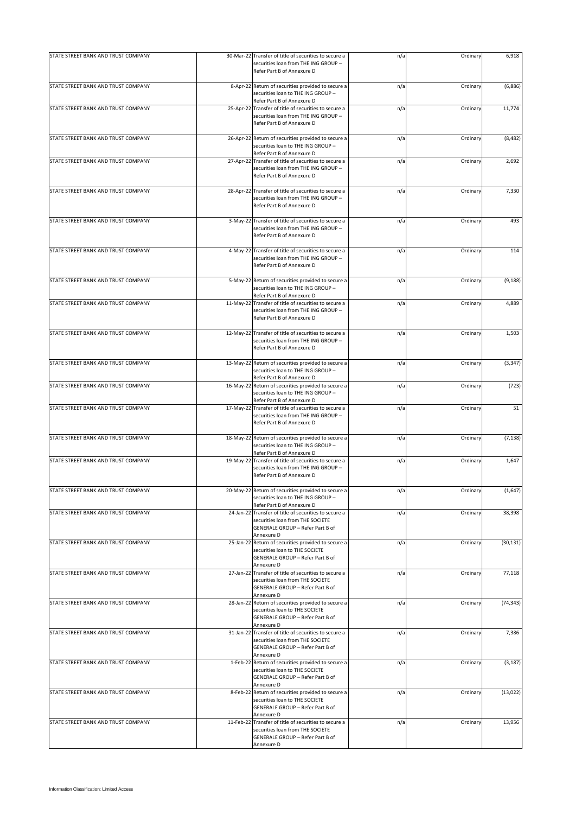| STATE STREET BANK AND TRUST COMPANY | 30-Mar-22 Transfer of title of securities to secure a<br>securities loan from THE ING GROUP -<br>Refer Part B of Annexure D                 | n/a | Ordinary | 6,918     |
|-------------------------------------|---------------------------------------------------------------------------------------------------------------------------------------------|-----|----------|-----------|
| STATE STREET BANK AND TRUST COMPANY | 8-Apr-22 Return of securities provided to secure a<br>securities loan to THE ING GROUP -<br>Refer Part B of Annexure D                      | n/a | Ordinary | (6,886)   |
| STATE STREET BANK AND TRUST COMPANY | 25-Apr-22 Transfer of title of securities to secure a<br>securities loan from THE ING GROUP -<br>Refer Part B of Annexure D                 | n/a | Ordinary | 11,774    |
| STATE STREET BANK AND TRUST COMPANY | 26-Apr-22 Return of securities provided to secure a<br>securities loan to THE ING GROUP -<br>Refer Part B of Annexure D                     | n/a | Ordinary | (8, 482)  |
| STATE STREET BANK AND TRUST COMPANY | 27-Apr-22 Transfer of title of securities to secure a<br>securities loan from THE ING GROUP -<br>Refer Part B of Annexure D                 | n/a | Ordinary | 2,692     |
| STATE STREET BANK AND TRUST COMPANY | 28-Apr-22 Transfer of title of securities to secure a<br>securities loan from THE ING GROUP -<br>Refer Part B of Annexure D                 | n/a | Ordinary | 7,330     |
| STATE STREET BANK AND TRUST COMPANY | 3-May-22 Transfer of title of securities to secure a<br>securities loan from THE ING GROUP -<br>Refer Part B of Annexure D                  | n/a | Ordinary | 493       |
| STATE STREET BANK AND TRUST COMPANY | 4-May-22 Transfer of title of securities to secure a<br>securities loan from THE ING GROUP -<br>Refer Part B of Annexure D                  | n/a | Ordinary | 114       |
| STATE STREET BANK AND TRUST COMPANY | 5-May-22 Return of securities provided to secure a<br>securities loan to THE ING GROUP -<br>Refer Part B of Annexure D                      | n/a | Ordinary | (9, 188)  |
| STATE STREET BANK AND TRUST COMPANY | 11-May-22 Transfer of title of securities to secure a<br>securities loan from THE ING GROUP -<br>Refer Part B of Annexure D                 | n/a | Ordinary | 4,889     |
| STATE STREET BANK AND TRUST COMPANY | 12-May-22 Transfer of title of securities to secure a<br>securities loan from THE ING GROUP -<br>Refer Part B of Annexure D                 | n/a | Ordinary | 1,503     |
| STATE STREET BANK AND TRUST COMPANY | 13-May-22 Return of securities provided to secure a<br>securities loan to THE ING GROUP -<br>Refer Part B of Annexure D                     | n/a | Ordinary | (3, 347)  |
| STATE STREET BANK AND TRUST COMPANY | 16-May-22 Return of securities provided to secure a<br>securities loan to THE ING GROUP -<br>Refer Part B of Annexure D                     | n/a | Ordinary | (723)     |
| STATE STREET BANK AND TRUST COMPANY | 17-May-22 Transfer of title of securities to secure a<br>securities loan from THE ING GROUP -<br>Refer Part B of Annexure D                 | n/a | Ordinary | 51        |
| STATE STREET BANK AND TRUST COMPANY | 18-May-22 Return of securities provided to secure a<br>securities loan to THE ING GROUP -<br>Refer Part B of Annexure D                     | n/a | Ordinary | (7, 138)  |
| STATE STREET BANK AND TRUST COMPANY | 19-May-22 Transfer of title of securities to secure a<br>securities loan from THE ING GROUP -<br>Refer Part B of Annexure D                 | n/a | Ordinary | 1,647     |
| STATE STREET BANK AND TRUST COMPANY | 20-May-22 Return of securities provided to secure a<br>securities loan to THE ING GROUP -<br>Refer Part B of Annexure D                     | n/a | Ordinary | (1,647)   |
| STATE STREET BANK AND TRUST COMPANY | 24-Jan-22 Transfer of title of securities to secure a<br>securities loan from THE SOCIETE<br>GENERALE GROUP - Refer Part B of<br>Annexure D | n/a | Ordinary | 38,398    |
| STATE STREET BANK AND TRUST COMPANY | 25-Jan-22 Return of securities provided to secure a<br>securities loan to THE SOCIETE<br>GENERALE GROUP - Refer Part B of<br>Annexure D     | n/a | Ordinary | (30, 131) |
| STATE STREET BANK AND TRUST COMPANY | 27-Jan-22 Transfer of title of securities to secure a<br>securities loan from THE SOCIETE<br>GENERALE GROUP - Refer Part B of<br>Annexure D | n/a | Ordinary | 77,118    |
| STATE STREET BANK AND TRUST COMPANY | 28-Jan-22 Return of securities provided to secure a<br>securities loan to THE SOCIETE<br>GENERALE GROUP - Refer Part B of<br>Annexure D     | n/a | Ordinary | (74, 343) |
| STATE STREET BANK AND TRUST COMPANY | 31-Jan-22 Transfer of title of securities to secure a<br>securities loan from THE SOCIETE<br>GENERALE GROUP - Refer Part B of<br>Annexure D | n/a | Ordinary | 7,386     |
| STATE STREET BANK AND TRUST COMPANY | 1-Feb-22 Return of securities provided to secure a<br>securities loan to THE SOCIETE<br>GENERALE GROUP - Refer Part B of<br>Annexure D      | n/a | Ordinary | (3, 187)  |
| STATE STREET BANK AND TRUST COMPANY | 8-Feb-22 Return of securities provided to secure a<br>securities loan to THE SOCIETE<br>GENERALE GROUP - Refer Part B of<br>Annexure D      | n/a | Ordinary | (13, 022) |
| STATE STREET BANK AND TRUST COMPANY | 11-Feb-22 Transfer of title of securities to secure a<br>securities loan from THE SOCIETE<br>GENERALE GROUP - Refer Part B of<br>Annexure D | n/a | Ordinary | 13,956    |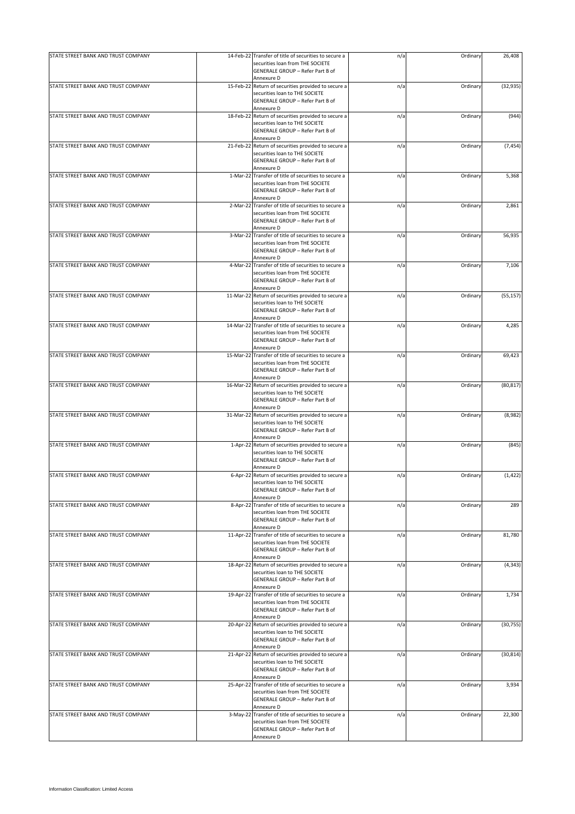| STATE STREET BANK AND TRUST COMPANY | 14-Feb-22 Transfer of title of securities to secure a<br>securities loan from THE SOCIETE | n/a | Ordinary | 26,408    |
|-------------------------------------|-------------------------------------------------------------------------------------------|-----|----------|-----------|
|                                     | GENERALE GROUP - Refer Part B of<br>Annexure D                                            |     |          |           |
| STATE STREET BANK AND TRUST COMPANY | 15-Feb-22 Return of securities provided to secure a                                       | n/a | Ordinary | (32, 935) |
|                                     | securities loan to THE SOCIETE<br>GENERALE GROUP - Refer Part B of                        |     |          |           |
|                                     | Annexure D                                                                                |     |          |           |
| STATE STREET BANK AND TRUST COMPANY | 18-Feb-22 Return of securities provided to secure a<br>securities loan to THE SOCIETE     | n/a | Ordinary | (944)     |
|                                     | GENERALE GROUP - Refer Part B of                                                          |     |          |           |
| STATE STREET BANK AND TRUST COMPANY | Annexure D<br>21-Feb-22 Return of securities provided to secure a                         | n/a | Ordinary | (7, 454)  |
|                                     | securities loan to THE SOCIETE                                                            |     |          |           |
|                                     | GENERALE GROUP - Refer Part B of<br>Annexure D                                            |     |          |           |
| STATE STREET BANK AND TRUST COMPANY | 1-Mar-22 Transfer of title of securities to secure a                                      | n/a | Ordinary | 5,368     |
|                                     | securities loan from THE SOCIETE                                                          |     |          |           |
|                                     | GENERALE GROUP - Refer Part B of<br>Annexure D                                            |     |          |           |
| STATE STREET BANK AND TRUST COMPANY | 2-Mar-22 Transfer of title of securities to secure a                                      | n/a | Ordinary | 2,861     |
|                                     | securities loan from THE SOCIETE<br>GENERALE GROUP - Refer Part B of                      |     |          |           |
|                                     | Annexure D                                                                                |     |          |           |
| STATE STREET BANK AND TRUST COMPANY | 3-Mar-22 Transfer of title of securities to secure a<br>securities loan from THE SOCIETE  | n/a | Ordinary | 56,935    |
|                                     | GENERALE GROUP - Refer Part B of                                                          |     |          |           |
|                                     | Annexure D                                                                                |     |          |           |
| STATE STREET BANK AND TRUST COMPANY | 4-Mar-22 Transfer of title of securities to secure a<br>securities loan from THE SOCIETE  | n/a | Ordinary | 7,106     |
|                                     | GENERALE GROUP - Refer Part B of                                                          |     |          |           |
| STATE STREET BANK AND TRUST COMPANY | Annexure D<br>11-Mar-22 Return of securities provided to secure a                         | n/a | Ordinary | (55, 157) |
|                                     | securities loan to THE SOCIETE                                                            |     |          |           |
|                                     | GENERALE GROUP - Refer Part B of<br>Annexure D                                            |     |          |           |
| STATE STREET BANK AND TRUST COMPANY | 14-Mar-22 Transfer of title of securities to secure a                                     | n/a | Ordinary | 4,285     |
|                                     | securities loan from THE SOCIETE<br>GENERALE GROUP - Refer Part B of                      |     |          |           |
|                                     | Annexure D                                                                                |     |          |           |
| STATE STREET BANK AND TRUST COMPANY | 15-Mar-22 Transfer of title of securities to secure a                                     | n/a | Ordinary | 69,423    |
|                                     | securities loan from THE SOCIETE<br>GENERALE GROUP - Refer Part B of                      |     |          |           |
|                                     | Annexure D                                                                                |     |          |           |
| STATE STREET BANK AND TRUST COMPANY | 16-Mar-22 Return of securities provided to secure a<br>securities loan to THE SOCIETE     | n/a | Ordinary | (80, 817) |
|                                     | GENERALE GROUP - Refer Part B of                                                          |     |          |           |
| STATE STREET BANK AND TRUST COMPANY | Annexure D<br>31-Mar-22 Return of securities provided to secure a                         | n/a | Ordinary | (8,982)   |
|                                     | securities loan to THE SOCIETE                                                            |     |          |           |
|                                     | GENERALE GROUP - Refer Part B of<br>Annexure D                                            |     |          |           |
| STATE STREET BANK AND TRUST COMPANY | 1-Apr-22 Return of securities provided to secure a                                        | n/a | Ordinary | (845)     |
|                                     | securities loan to THE SOCIETE<br>GENERALE GROUP - Refer Part B of                        |     |          |           |
|                                     | Annexure D                                                                                |     |          |           |
| STATE STREET BANK AND TRUST COMPANY | 6-Apr-22 Return of securities provided to secure a                                        | n/a | Ordinary | (1, 422)  |
|                                     | securities loan to THE SOCIETE<br>GENERALE GROUP - Refer Part B of                        |     |          |           |
|                                     | Annexure D                                                                                |     |          |           |
| STATE STREET BANK AND TRUST COMPANY | 8-Apr-22 Transfer of title of securities to secure a<br>securities loan from THE SOCIETE  | n/a | Ordinary | 289       |
|                                     | GENERALE GROUP - Refer Part B of                                                          |     |          |           |
| STATE STREET BANK AND TRUST COMPANY | Annexure D<br>11-Apr-22 Transfer of title of securities to secure a                       | n/a | Ordinary | 81,780    |
|                                     | securities loan from THE SOCIETE                                                          |     |          |           |
|                                     | GENERALE GROUP - Refer Part B of<br>Annexure D                                            |     |          |           |
| STATE STREET BANK AND TRUST COMPANY | 18-Apr-22 Return of securities provided to secure a                                       | n/a | Ordinary | (4, 343)  |
|                                     | securities loan to THE SOCIETE                                                            |     |          |           |
|                                     | GENERALE GROUP - Refer Part B of<br>Annexure D                                            |     |          |           |
| STATE STREET BANK AND TRUST COMPANY | 19-Apr-22 Transfer of title of securities to secure a                                     | n/a | Ordinary | 1,734     |
|                                     | securities loan from THE SOCIETE<br>GENERALE GROUP - Refer Part B of                      |     |          |           |
|                                     | Annexure D                                                                                |     |          |           |
| STATE STREET BANK AND TRUST COMPANY | 20-Apr-22 Return of securities provided to secure a<br>securities loan to THE SOCIETE     | n/a | Ordinary | (30, 755) |
|                                     | GENERALE GROUP - Refer Part B of                                                          |     |          |           |
|                                     | Annexure D                                                                                |     |          |           |
| STATE STREET BANK AND TRUST COMPANY | 21-Apr-22 Return of securities provided to secure a<br>securities loan to THE SOCIETE     | n/a | Ordinary | (30, 814) |
|                                     | GENERALE GROUP - Refer Part B of                                                          |     |          |           |
| STATE STREET BANK AND TRUST COMPANY | Annexure D<br>25-Apr-22 Transfer of title of securities to secure a                       | n/a | Ordinary | 3,934     |
|                                     | securities loan from THE SOCIETE                                                          |     |          |           |
|                                     | GENERALE GROUP - Refer Part B of<br>Annexure D                                            |     |          |           |
| STATE STREET BANK AND TRUST COMPANY | 3-May-22 Transfer of title of securities to secure a                                      | n/a | Ordinary | 22,300    |
|                                     | securities loan from THE SOCIETE<br>GENERALE GROUP - Refer Part B of                      |     |          |           |
|                                     | Annexure D                                                                                |     |          |           |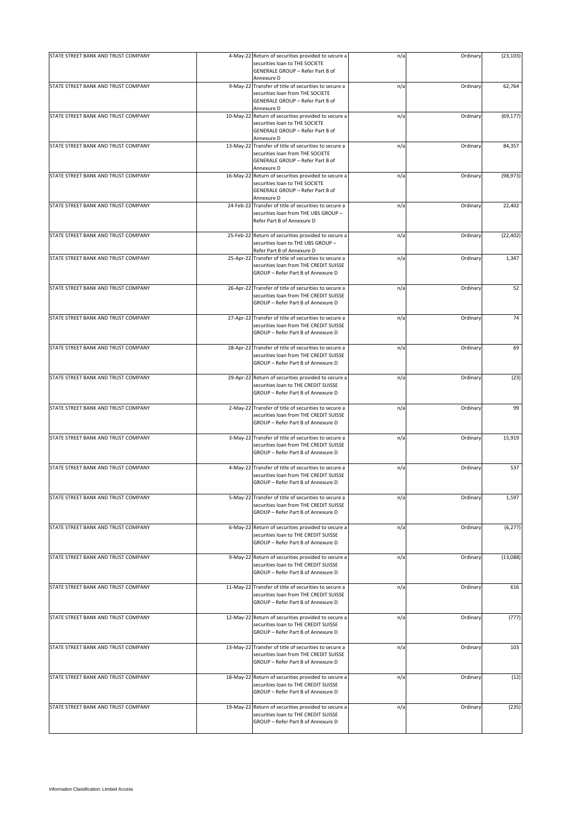| STATE STREET BANK AND TRUST COMPANY |          | 4-May-22 Return of securities provided to secure a<br>securities loan to THE SOCIETE<br>GENERALE GROUP - Refer Part B of<br>Annexure D      | n/a | Ordinary | (23, 103) |
|-------------------------------------|----------|---------------------------------------------------------------------------------------------------------------------------------------------|-----|----------|-----------|
|                                     |          |                                                                                                                                             |     |          |           |
| STATE STREET BANK AND TRUST COMPANY |          | 9-May-22 Transfer of title of securities to secure a<br>securities loan from THE SOCIETE<br>GENERALE GROUP - Refer Part B of<br>Annexure D  | n/a | Ordinary | 62,764    |
| STATE STREET BANK AND TRUST COMPANY |          | 10-May-22 Return of securities provided to secure a<br>securities loan to THE SOCIETE<br>GENERALE GROUP - Refer Part B of<br>Annexure D     | n/a | Ordinary | (69, 177) |
| STATE STREET BANK AND TRUST COMPANY |          | 13-May-22 Transfer of title of securities to secure a<br>securities loan from THE SOCIETE<br>GENERALE GROUP - Refer Part B of<br>Annexure D | n/a | Ordinary | 84,357    |
| STATE STREET BANK AND TRUST COMPANY |          | 16-May-22 Return of securities provided to secure a<br>securities loan to THE SOCIETE<br>GENERALE GROUP - Refer Part B of<br>Annexure D     | n/a | Ordinary | (98, 973) |
| STATE STREET BANK AND TRUST COMPANY |          | 24-Feb-22 Transfer of title of securities to secure a<br>securities loan from THE UBS GROUP -<br>Refer Part B of Annexure D                 | n/a | Ordinary | 22,402    |
| STATE STREET BANK AND TRUST COMPANY |          | 25-Feb-22 Return of securities provided to secure a<br>securities loan to THE UBS GROUP -<br>Refer Part B of Annexure D                     | n/a | Ordinary | (22, 402) |
| STATE STREET BANK AND TRUST COMPANY |          | 25-Apr-22 Transfer of title of securities to secure a<br>securities loan from THE CREDIT SUISSE<br>GROUP - Refer Part B of Annexure D       | n/a | Ordinary | 1,347     |
| STATE STREET BANK AND TRUST COMPANY |          | 26-Apr-22 Transfer of title of securities to secure a<br>securities loan from THE CREDIT SUISSE<br>GROUP - Refer Part B of Annexure D       | n/a | Ordinary | 52        |
| STATE STREET BANK AND TRUST COMPANY |          | 27-Apr-22 Transfer of title of securities to secure a<br>securities loan from THE CREDIT SUISSE<br>GROUP - Refer Part B of Annexure D       | n/a | Ordinary | 74        |
| STATE STREET BANK AND TRUST COMPANY |          | 28-Apr-22 Transfer of title of securities to secure a<br>securities loan from THE CREDIT SUISSE<br>GROUP - Refer Part B of Annexure D       | n/a | Ordinary | 69        |
| STATE STREET BANK AND TRUST COMPANY |          | 29-Apr-22 Return of securities provided to secure a<br>securities loan to THE CREDIT SUISSE<br>GROUP - Refer Part B of Annexure D           | n/a | Ordinary | (23)      |
| STATE STREET BANK AND TRUST COMPANY |          | 2-May-22 Transfer of title of securities to secure a<br>securities loan from THE CREDIT SUISSE<br>GROUP - Refer Part B of Annexure D        | n/a | Ordinary | 99        |
| STATE STREET BANK AND TRUST COMPANY | 3-May-22 | Transfer of title of securities to secure a<br>securities loan from THE CREDIT SUISSE<br>GROUP - Refer Part B of Annexure D                 | n/a | Ordinary | 15,919    |
| STATE STREET BANK AND TRUST COMPANY |          | 4-May-22 Transfer of title of securities to secure a<br>securities loan from THE CREDIT SUISSE<br>GROUP - Refer Part B of Annexure D        | n/a | Ordinary | 537       |
| STATE STREET BANK AND TRUST COMPANY |          | 5-May-22 Transfer of title of securities to secure a<br>securities loan from THE CREDIT SUISSE<br>GROUP - Refer Part B of Annexure D        | n/a | Ordinary | 1,597     |
| STATE STREET BANK AND TRUST COMPANY |          | 6-May-22 Return of securities provided to secure a<br>securities loan to THE CREDIT SUISSE<br>GROUP - Refer Part B of Annexure D            | n/a | Ordinary | (6, 277)  |
| STATE STREET BANK AND TRUST COMPANY |          | 9-May-22 Return of securities provided to secure a<br>securities loan to THE CREDIT SUISSE<br>GROUP - Refer Part B of Annexure D            | n/a | Ordinary | (13,088)  |
| STATE STREET BANK AND TRUST COMPANY |          | 11-May-22 Transfer of title of securities to secure a<br>securities loan from THE CREDIT SUISSE<br>GROUP - Refer Part B of Annexure D       | n/a | Ordinary | 616       |
| STATE STREET BANK AND TRUST COMPANY |          | 12-May-22 Return of securities provided to secure a<br>securities loan to THE CREDIT SUISSE<br>GROUP - Refer Part B of Annexure D           | n/a | Ordinary | (777)     |
| STATE STREET BANK AND TRUST COMPANY |          | 13-May-22 Transfer of title of securities to secure a<br>securities loan from THE CREDIT SUISSE<br>GROUP - Refer Part B of Annexure D       | n/a | Ordinary | 103       |
| STATE STREET BANK AND TRUST COMPANY |          | 18-May-22 Return of securities provided to secure a<br>securities loan to THE CREDIT SUISSE<br>GROUP - Refer Part B of Annexure D           | n/a | Ordinary | (12)      |
| STATE STREET BANK AND TRUST COMPANY |          | 19-May-22 Return of securities provided to secure a<br>securities loan to THE CREDIT SUISSE<br>GROUP - Refer Part B of Annexure D           | n/a | Ordinary | (235)     |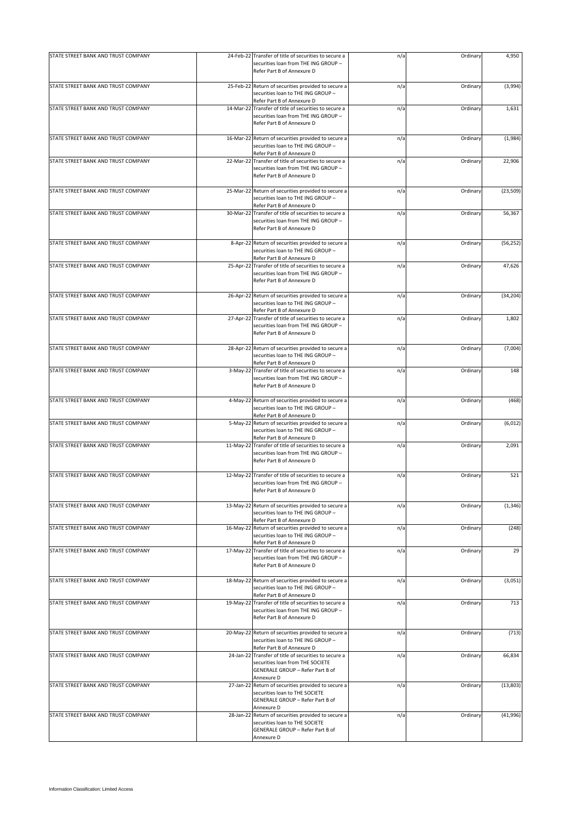| STATE STREET BANK AND TRUST COMPANY | 24-Feb-22 Transfer of title of securities to secure a<br>securities loan from THE ING GROUP -<br>Refer Part B of Annexure D                 | n/a | Ordinary | 4,950     |
|-------------------------------------|---------------------------------------------------------------------------------------------------------------------------------------------|-----|----------|-----------|
| STATE STREET BANK AND TRUST COMPANY | 25-Feb-22 Return of securities provided to secure a<br>securities loan to THE ING GROUP -<br>Refer Part B of Annexure D                     | n/a | Ordinary | (3,994)   |
| STATE STREET BANK AND TRUST COMPANY | 14-Mar-22 Transfer of title of securities to secure a<br>securities loan from THE ING GROUP -<br>Refer Part B of Annexure D                 | n/a | Ordinary | 1,631     |
| STATE STREET BANK AND TRUST COMPANY | 16-Mar-22 Return of securities provided to secure a<br>securities loan to THE ING GROUP -<br>Refer Part B of Annexure D                     | n/a | Ordinary | (1,984)   |
| STATE STREET BANK AND TRUST COMPANY | 22-Mar-22 Transfer of title of securities to secure a<br>securities loan from THE ING GROUP -<br>Refer Part B of Annexure D                 | n/a | Ordinary | 22,906    |
| STATE STREET BANK AND TRUST COMPANY | 25-Mar-22 Return of securities provided to secure a<br>securities loan to THE ING GROUP -<br>Refer Part B of Annexure D                     | n/a | Ordinary | (23, 509) |
| STATE STREET BANK AND TRUST COMPANY | 30-Mar-22 Transfer of title of securities to secure a<br>securities loan from THE ING GROUP -<br>Refer Part B of Annexure D                 | n/a | Ordinary | 56,367    |
| STATE STREET BANK AND TRUST COMPANY | 8-Apr-22 Return of securities provided to secure a<br>securities loan to THE ING GROUP -<br>Refer Part B of Annexure D                      | n/a | Ordinary | (56, 252) |
| STATE STREET BANK AND TRUST COMPANY | 25-Apr-22 Transfer of title of securities to secure a<br>securities loan from THE ING GROUP -<br>Refer Part B of Annexure D                 | n/a | Ordinary | 47,626    |
| STATE STREET BANK AND TRUST COMPANY | 26-Apr-22 Return of securities provided to secure a<br>securities loan to THE ING GROUP -<br>Refer Part B of Annexure D                     | n/a | Ordinary | (34, 204) |
| STATE STREET BANK AND TRUST COMPANY | 27-Apr-22 Transfer of title of securities to secure a<br>securities loan from THE ING GROUP -<br>Refer Part B of Annexure D                 | n/a | Ordinary | 1,802     |
| STATE STREET BANK AND TRUST COMPANY | 28-Apr-22 Return of securities provided to secure a<br>securities loan to THE ING GROUP -<br>Refer Part B of Annexure D                     | n/a | Ordinary | (7,004)   |
| STATE STREET BANK AND TRUST COMPANY | 3-May-22 Transfer of title of securities to secure a<br>securities loan from THE ING GROUP -<br>Refer Part B of Annexure D                  | n/a | Ordinary | 148       |
| STATE STREET BANK AND TRUST COMPANY | 4-May-22 Return of securities provided to secure a<br>securities loan to THE ING GROUP -<br>Refer Part B of Annexure D                      | n/a | Ordinary | (468)     |
| STATE STREET BANK AND TRUST COMPANY | 5-May-22 Return of securities provided to secure a<br>securities loan to THE ING GROUP -<br>Refer Part B of Annexure D                      | n/a | Ordinary | (6,012)   |
| STATE STREET BANK AND TRUST COMPANY | 11-May-22 Transfer of title of securities to secure a<br>securities loan from THE ING GROUP -<br>Refer Part B of Annexure D                 | n/a | Ordinary | 2,091     |
| STATE STREET BANK AND TRUST COMPANY | 12-May-22 Transfer of title of securities to secure a<br>securities loan from THE ING GROUP -<br>Refer Part B of Annexure D                 | n/a | Ordinary | 521       |
| STATE STREET BANK AND TRUST COMPANY | 13-May-22 Return of securities provided to secure a<br>securities loan to THE ING GROUP -<br>Refer Part B of Annexure D                     | n/a | Ordinary | (1, 346)  |
| STATE STREET BANK AND TRUST COMPANY | 16-May-22 Return of securities provided to secure a<br>securities loan to THE ING GROUP -<br>Refer Part B of Annexure D                     | n/a | Ordinary | (248)     |
| STATE STREET BANK AND TRUST COMPANY | 17-May-22 Transfer of title of securities to secure a<br>securities loan from THE ING GROUP -<br>Refer Part B of Annexure D                 | n/a | Ordinary | 29        |
| STATE STREET BANK AND TRUST COMPANY | 18-May-22 Return of securities provided to secure a<br>securities loan to THE ING GROUP -<br>Refer Part B of Annexure D                     | n/a | Ordinary | (3,051)   |
| STATE STREET BANK AND TRUST COMPANY | 19-May-22 Transfer of title of securities to secure a<br>securities loan from THE ING GROUP -<br>Refer Part B of Annexure D                 | n/a | Ordinary | 713       |
| STATE STREET BANK AND TRUST COMPANY | 20-May-22 Return of securities provided to secure a<br>securities loan to THE ING GROUP -<br>Refer Part B of Annexure D                     | n/a | Ordinary | (713)     |
| STATE STREET BANK AND TRUST COMPANY | 24-Jan-22 Transfer of title of securities to secure a<br>securities loan from THE SOCIETE<br>GENERALE GROUP - Refer Part B of<br>Annexure D | n/a | Ordinary | 66,834    |
| STATE STREET BANK AND TRUST COMPANY | 27-Jan-22 Return of securities provided to secure a<br>securities loan to THE SOCIETE<br>GENERALE GROUP - Refer Part B of<br>Annexure D     | n/a | Ordinary | (13,803)  |
| STATE STREET BANK AND TRUST COMPANY | 28-Jan-22 Return of securities provided to secure a<br>securities loan to THE SOCIETE<br>GENERALE GROUP - Refer Part B of<br>Annexure D     | n/a | Ordinary | (41,996)  |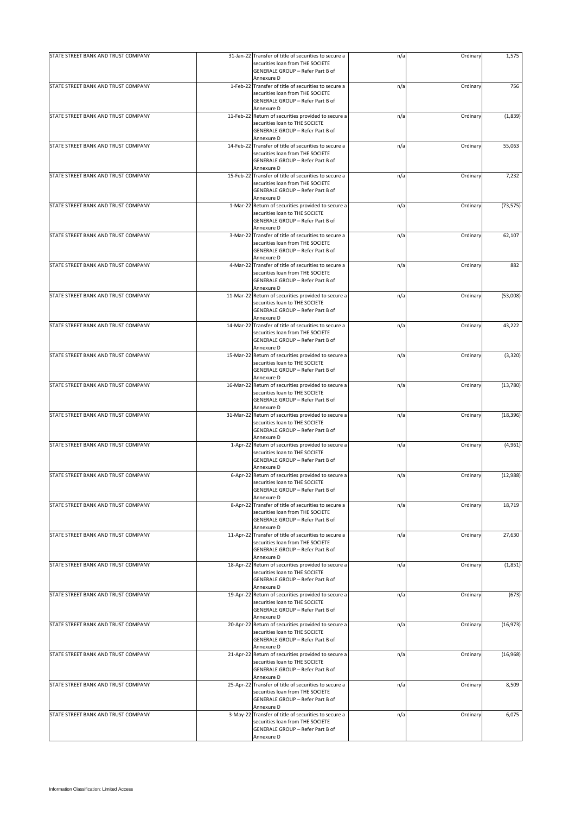| STATE STREET BANK AND TRUST COMPANY | 31-Jan-22 Transfer of title of securities to secure a<br>securities loan from THE SOCIETE | n/a | Ordinary | 1,575     |
|-------------------------------------|-------------------------------------------------------------------------------------------|-----|----------|-----------|
|                                     | GENERALE GROUP - Refer Part B of<br>Annexure D                                            |     |          |           |
| STATE STREET BANK AND TRUST COMPANY | 1-Feb-22 Transfer of title of securities to secure a                                      |     |          | 756       |
|                                     | securities loan from THE SOCIETE                                                          | n/a | Ordinary |           |
|                                     | GENERALE GROUP - Refer Part B of                                                          |     |          |           |
|                                     | Annexure D                                                                                |     |          |           |
| STATE STREET BANK AND TRUST COMPANY | 11-Feb-22 Return of securities provided to secure a                                       | n/a | Ordinary | (1,839)   |
|                                     | securities loan to THE SOCIETE                                                            |     |          |           |
|                                     | GENERALE GROUP - Refer Part B of                                                          |     |          |           |
|                                     | Annexure D                                                                                |     |          |           |
| STATE STREET BANK AND TRUST COMPANY | 14-Feb-22 Transfer of title of securities to secure a                                     | n/a | Ordinary | 55,063    |
|                                     | securities loan from THE SOCIETE                                                          |     |          |           |
|                                     | GENERALE GROUP - Refer Part B of                                                          |     |          |           |
|                                     | Annexure D                                                                                |     |          |           |
| STATE STREET BANK AND TRUST COMPANY | 15-Feb-22 Transfer of title of securities to secure a                                     | n/a | Ordinary | 7,232     |
|                                     | securities loan from THE SOCIETE                                                          |     |          |           |
|                                     | GENERALE GROUP - Refer Part B of                                                          |     |          |           |
|                                     | Annexure D                                                                                |     |          |           |
| STATE STREET BANK AND TRUST COMPANY | 1-Mar-22 Return of securities provided to secure a                                        | n/a | Ordinary | (73, 575) |
|                                     | securities loan to THE SOCIETE                                                            |     |          |           |
|                                     | GENERALE GROUP - Refer Part B of                                                          |     |          |           |
|                                     | Annexure D                                                                                |     |          |           |
| STATE STREET BANK AND TRUST COMPANY | 3-Mar-22 Transfer of title of securities to secure a                                      | n/a | Ordinary | 62,107    |
|                                     | securities loan from THE SOCIETE                                                          |     |          |           |
|                                     | GENERALE GROUP - Refer Part B of                                                          |     |          |           |
|                                     | Annexure D                                                                                |     |          |           |
| STATE STREET BANK AND TRUST COMPANY | 4-Mar-22 Transfer of title of securities to secure a                                      | n/a | Ordinary | 882       |
|                                     | securities loan from THE SOCIETE                                                          |     |          |           |
|                                     | GENERALE GROUP - Refer Part B of                                                          |     |          |           |
|                                     | Annexure D                                                                                |     |          |           |
| STATE STREET BANK AND TRUST COMPANY | 11-Mar-22 Return of securities provided to secure a                                       | n/a | Ordinary | (53,008)  |
|                                     | securities loan to THE SOCIETE                                                            |     |          |           |
|                                     | GENERALE GROUP - Refer Part B of                                                          |     |          |           |
|                                     | Annexure D                                                                                |     |          |           |
| STATE STREET BANK AND TRUST COMPANY | 14-Mar-22 Transfer of title of securities to secure a                                     | n/a | Ordinary | 43,222    |
|                                     | securities loan from THE SOCIETE                                                          |     |          |           |
|                                     | GENERALE GROUP - Refer Part B of                                                          |     |          |           |
|                                     | Annexure D                                                                                |     |          |           |
| STATE STREET BANK AND TRUST COMPANY | 15-Mar-22 Return of securities provided to secure a                                       | n/a | Ordinary | (3, 320)  |
|                                     | securities loan to THE SOCIETE                                                            |     |          |           |
|                                     | GENERALE GROUP - Refer Part B of                                                          |     |          |           |
|                                     | Annexure D                                                                                |     |          |           |
| STATE STREET BANK AND TRUST COMPANY | 16-Mar-22 Return of securities provided to secure a                                       | n/a | Ordinary | (13,780)  |
|                                     | securities loan to THE SOCIETE                                                            |     |          |           |
|                                     | GENERALE GROUP - Refer Part B of                                                          |     |          |           |
|                                     | Annexure D                                                                                |     |          |           |
| STATE STREET BANK AND TRUST COMPANY | 31-Mar-22 Return of securities provided to secure a                                       | n/a | Ordinary | (18, 396) |
|                                     | securities loan to THE SOCIETE                                                            |     |          |           |
|                                     | GENERALE GROUP - Refer Part B of                                                          |     |          |           |
|                                     | Annexure D                                                                                |     |          |           |
| STATE STREET BANK AND TRUST COMPANY | 1-Apr-22 Return of securities provided to secure a                                        | n/a | Ordinary | (4,961)   |
|                                     | securities loan to THE SOCIETE                                                            |     |          |           |
|                                     | GENERALE GROUP - Refer Part B of                                                          |     |          |           |
|                                     | Annexure D                                                                                |     |          |           |
| STATE STREET BANK AND TRUST COMPANY | 6-Apr-22 Return of securities provided to secure a                                        | n/a | Ordinary | (12,988)  |
|                                     | securities loan to THE SOCIETE                                                            |     |          |           |
|                                     | GENERALE GROUP - Refer Part B of                                                          |     |          |           |
|                                     | Annexure D                                                                                |     |          |           |
| STATE STREET BANK AND TRUST COMPANY | 8-Apr-22 Transfer of title of securities to secure a                                      | n/a | Ordinary | 18,719    |
|                                     | securities loan from THE SOCIETE                                                          |     |          |           |
|                                     | GENERALE GROUP - Refer Part B of                                                          |     |          |           |
|                                     | Annexure D                                                                                |     |          |           |
| STATE STREET BANK AND TRUST COMPANY | 11-Apr-22 Transfer of title of securities to secure a                                     | n/a | Ordinary | 27,630    |
|                                     | securities loan from THE SOCIETE                                                          |     |          |           |
|                                     | GENERALE GROUP - Refer Part B of                                                          |     |          |           |
|                                     | Annexure D                                                                                |     |          |           |
| STATE STREET BANK AND TRUST COMPANY | 18-Apr-22 Return of securities provided to secure a                                       | n/a | Ordinary | (1,851)   |
|                                     | securities loan to THE SOCIETE                                                            |     |          |           |
|                                     | GENERALE GROUP - Refer Part B of                                                          |     |          |           |
|                                     | Annexure D                                                                                |     |          |           |
| STATE STREET BANK AND TRUST COMPANY | 19-Apr-22 Return of securities provided to secure a                                       | n/a | Ordinary | (673)     |
|                                     | securities loan to THE SOCIETE                                                            |     |          |           |
|                                     |                                                                                           |     |          |           |
|                                     | GENERALE GROUP - Refer Part B of<br>Annexure D                                            |     |          |           |
|                                     | 20-Apr-22 Return of securities provided to secure a                                       |     |          |           |
| STATE STREET BANK AND TRUST COMPANY |                                                                                           | n/a | Ordinary | (16, 973) |
|                                     | securities loan to THE SOCIETE                                                            |     |          |           |
|                                     | GENERALE GROUP - Refer Part B of                                                          |     |          |           |
|                                     | Annexure D                                                                                |     |          |           |
| STATE STREET BANK AND TRUST COMPANY | 21-Apr-22 Return of securities provided to secure a                                       | n/a | Ordinary | (16,968)  |
|                                     | securities loan to THE SOCIETE                                                            |     |          |           |
|                                     | GENERALE GROUP - Refer Part B of                                                          |     |          |           |
|                                     | Annexure D                                                                                |     |          |           |
| STATE STREET BANK AND TRUST COMPANY | 25-Apr-22 Transfer of title of securities to secure a                                     | n/a | Ordinary | 8,509     |
|                                     | securities loan from THE SOCIETE                                                          |     |          |           |
|                                     | GENERALE GROUP - Refer Part B of                                                          |     |          |           |
|                                     | Annexure D                                                                                |     |          |           |
| STATE STREET BANK AND TRUST COMPANY | 3-May-22 Transfer of title of securities to secure a                                      | n/a | Ordinary | 6,075     |
|                                     | securities loan from THE SOCIETE                                                          |     |          |           |
|                                     | GENERALE GROUP - Refer Part B of                                                          |     |          |           |
|                                     | Annexure D                                                                                |     |          |           |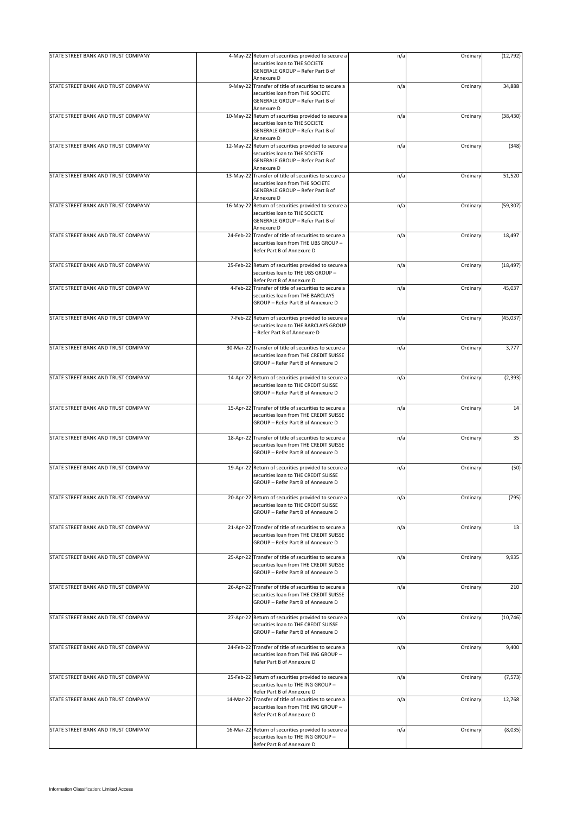| STATE STREET BANK AND TRUST COMPANY |           | 4-May-22 Return of securities provided to secure a<br>securities loan to THE SOCIETE<br>GENERALE GROUP - Refer Part B of | n/a | Ordinary | (12, 792) |
|-------------------------------------|-----------|--------------------------------------------------------------------------------------------------------------------------|-----|----------|-----------|
|                                     |           | Annexure D                                                                                                               |     |          |           |
| STATE STREET BANK AND TRUST COMPANY |           | 9-May-22 Transfer of title of securities to secure a                                                                     | n/a | Ordinary | 34,888    |
|                                     |           | securities loan from THE SOCIETE<br>GENERALE GROUP - Refer Part B of                                                     |     |          |           |
|                                     |           | Annexure D                                                                                                               |     |          |           |
| STATE STREET BANK AND TRUST COMPANY | 10-May-22 | Return of securities provided to secure a                                                                                | n/a | Ordinary | (38, 430) |
|                                     |           | securities loan to THE SOCIETE                                                                                           |     |          |           |
|                                     |           | GENERALE GROUP - Refer Part B of                                                                                         |     |          |           |
|                                     |           | Annexure D                                                                                                               |     |          |           |
| STATE STREET BANK AND TRUST COMPANY |           | 12-May-22 Return of securities provided to secure a                                                                      | n/a | Ordinary | (348)     |
|                                     |           | securities loan to THE SOCIETE                                                                                           |     |          |           |
|                                     |           | GENERALE GROUP - Refer Part B of<br>Annexure D                                                                           |     |          |           |
| STATE STREET BANK AND TRUST COMPANY |           | 13-May-22 Transfer of title of securities to secure a                                                                    | n/a | Ordinary | 51,520    |
|                                     |           | securities loan from THE SOCIETE                                                                                         |     |          |           |
|                                     |           | GENERALE GROUP - Refer Part B of                                                                                         |     |          |           |
|                                     |           | Annexure D                                                                                                               |     |          |           |
| STATE STREET BANK AND TRUST COMPANY |           | 16-May-22 Return of securities provided to secure a                                                                      | n/a | Ordinary | (59, 307) |
|                                     |           | securities loan to THE SOCIETE                                                                                           |     |          |           |
|                                     |           | GENERALE GROUP - Refer Part B of                                                                                         |     |          |           |
|                                     |           | Annexure D                                                                                                               |     |          |           |
| STATE STREET BANK AND TRUST COMPANY |           | 24-Feb-22 Transfer of title of securities to secure a                                                                    | n/a | Ordinary | 18,497    |
|                                     |           | securities loan from THE UBS GROUP -<br>Refer Part B of Annexure D                                                       |     |          |           |
|                                     |           |                                                                                                                          |     |          |           |
| STATE STREET BANK AND TRUST COMPANY |           | 25-Feb-22 Return of securities provided to secure a                                                                      | n/a | Ordinary | (18, 497) |
|                                     |           | securities loan to THE UBS GROUP -                                                                                       |     |          |           |
|                                     |           | Refer Part B of Annexure D                                                                                               |     |          |           |
| STATE STREET BANK AND TRUST COMPANY |           | 4-Feb-22 Transfer of title of securities to secure a                                                                     | n/a | Ordinary | 45,037    |
|                                     |           | securities loan from THE BARCLAYS                                                                                        |     |          |           |
|                                     |           | GROUP - Refer Part B of Annexure D                                                                                       |     |          |           |
|                                     |           |                                                                                                                          |     |          |           |
| STATE STREET BANK AND TRUST COMPANY |           | 7-Feb-22 Return of securities provided to secure a                                                                       | n/a | Ordinary | (45,037)  |
|                                     |           | securities loan to THE BARCLAYS GROUP                                                                                    |     |          |           |
|                                     |           | - Refer Part B of Annexure D                                                                                             |     |          |           |
|                                     |           |                                                                                                                          |     |          |           |
| STATE STREET BANK AND TRUST COMPANY |           | 30-Mar-22 Transfer of title of securities to secure a                                                                    | n/a | Ordinary | 3,777     |
|                                     |           | securities loan from THE CREDIT SUISSE                                                                                   |     |          |           |
|                                     |           | GROUP - Refer Part B of Annexure D                                                                                       |     |          |           |
| STATE STREET BANK AND TRUST COMPANY |           | 14-Apr-22 Return of securities provided to secure a                                                                      | n/a | Ordinary | (2, 393)  |
|                                     |           | securities loan to THE CREDIT SUISSE                                                                                     |     |          |           |
|                                     |           | GROUP - Refer Part B of Annexure D                                                                                       |     |          |           |
|                                     |           |                                                                                                                          |     |          |           |
| STATE STREET BANK AND TRUST COMPANY |           | 15-Apr-22 Transfer of title of securities to secure a                                                                    | n/a | Ordinary | 14        |
|                                     |           | securities loan from THE CREDIT SUISSE                                                                                   |     |          |           |
|                                     |           | GROUP - Refer Part B of Annexure D                                                                                       |     |          |           |
|                                     |           |                                                                                                                          |     |          |           |
| STATE STREET BANK AND TRUST COMPANY |           | 18-Apr-22 Transfer of title of securities to secure a                                                                    | n/a | Ordinary | 35        |
|                                     |           | securities loan from THE CREDIT SUISSE                                                                                   |     |          |           |
|                                     |           | GROUP - Refer Part B of Annexure D                                                                                       |     |          |           |
| STATE STREET BANK AND TRUST COMPANY |           | 19-Apr-22 Return of securities provided to secure a                                                                      | n/a | Ordinary | (50)      |
|                                     |           | securities loan to THE CREDIT SUISSE                                                                                     |     |          |           |
|                                     |           | GROUP - Refer Part B of Annexure D                                                                                       |     |          |           |
|                                     |           |                                                                                                                          |     |          |           |
| STATE STREET BANK AND TRUST COMPANY |           | 20-Apr-22 Return of securities provided to secure a                                                                      | n/a | Ordinary | (795)     |
|                                     |           | securities loan to THE CREDIT SUISSE                                                                                     |     |          |           |
|                                     |           | GROUP - Refer Part B of Annexure D                                                                                       |     |          |           |
|                                     |           |                                                                                                                          |     |          |           |
| STATE STREET BANK AND TRUST COMPANY |           | 21-Apr-22 Transfer of title of securities to secure a                                                                    | n/a | Ordinary | 13        |
|                                     |           | securities loan from THE CREDIT SUISSE                                                                                   |     |          |           |
|                                     |           | GROUP - Refer Part B of Annexure D                                                                                       |     |          |           |
| STATE STREET BANK AND TRUST COMPANY |           | 25-Apr-22 Transfer of title of securities to secure a                                                                    | n/a | Ordinary | 9,935     |
|                                     |           | securities loan from THE CREDIT SUISSE                                                                                   |     |          |           |
|                                     |           | GROUP - Refer Part B of Annexure D                                                                                       |     |          |           |
|                                     |           |                                                                                                                          |     |          |           |
| STATE STREET BANK AND TRUST COMPANY |           | 26-Apr-22 Transfer of title of securities to secure a                                                                    | n/a | Ordinary | 210       |
|                                     |           | securities loan from THE CREDIT SUISSE                                                                                   |     |          |           |
|                                     |           | GROUP - Refer Part B of Annexure D                                                                                       |     |          |           |
|                                     |           |                                                                                                                          |     |          |           |
| STATE STREET BANK AND TRUST COMPANY |           | 27-Apr-22 Return of securities provided to secure a                                                                      | n/a | Ordinary | (10, 746) |
|                                     |           | securities loan to THE CREDIT SUISSE                                                                                     |     |          |           |
|                                     |           | GROUP - Refer Part B of Annexure D                                                                                       |     |          |           |
|                                     |           |                                                                                                                          |     |          |           |
| STATE STREET BANK AND TRUST COMPANY |           | 24-Feb-22 Transfer of title of securities to secure a                                                                    | n/a | Ordinary | 9,400     |
|                                     |           | securities loan from THE ING GROUP -<br>Refer Part B of Annexure D                                                       |     |          |           |
|                                     |           |                                                                                                                          |     |          |           |
| STATE STREET BANK AND TRUST COMPANY |           | 25-Feb-22 Return of securities provided to secure a                                                                      | n/a | Ordinary | (7, 573)  |
|                                     |           | securities loan to THE ING GROUP -                                                                                       |     |          |           |
|                                     |           | Refer Part B of Annexure D                                                                                               |     |          |           |
| STATE STREET BANK AND TRUST COMPANY |           | 14-Mar-22 Transfer of title of securities to secure a                                                                    | n/a | Ordinary | 12,768    |
|                                     |           | securities loan from THE ING GROUP -                                                                                     |     |          |           |
|                                     |           | Refer Part B of Annexure D                                                                                               |     |          |           |
|                                     |           |                                                                                                                          |     |          |           |
| STATE STREET BANK AND TRUST COMPANY |           | 16-Mar-22 Return of securities provided to secure a                                                                      | n/a | Ordinary | (8,035)   |
|                                     |           | securities loan to THE ING GROUP -                                                                                       |     |          |           |
|                                     |           | Refer Part B of Annexure D                                                                                               |     |          |           |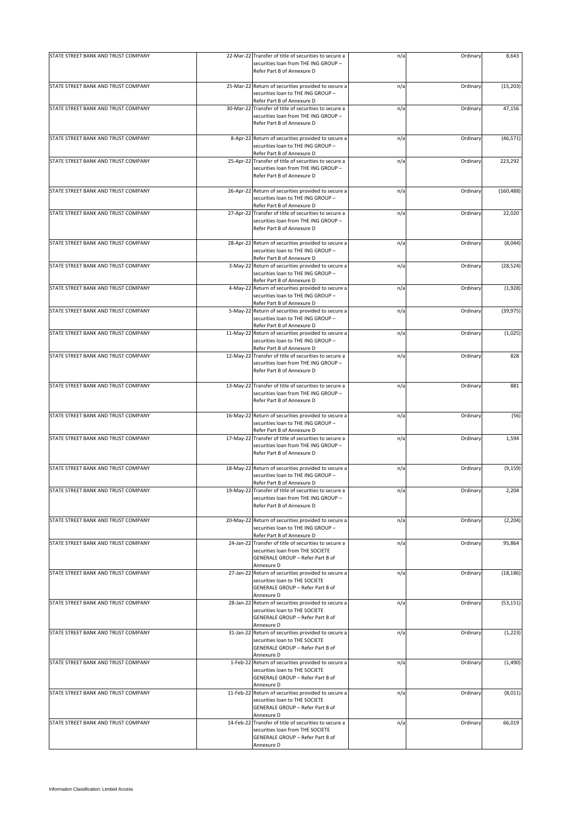| STATE STREET BANK AND TRUST COMPANY |                                                                                                                                             |     |          |            |
|-------------------------------------|---------------------------------------------------------------------------------------------------------------------------------------------|-----|----------|------------|
|                                     | 22-Mar-22 Transfer of title of securities to secure a<br>securities loan from THE ING GROUP -<br>Refer Part B of Annexure D                 | n/a | Ordinary | 8,643      |
| STATE STREET BANK AND TRUST COMPANY | 25-Mar-22 Return of securities provided to secure a<br>securities loan to THE ING GROUP -<br>Refer Part B of Annexure D                     | n/a | Ordinary | (15, 203)  |
| STATE STREET BANK AND TRUST COMPANY | 30-Mar-22 Transfer of title of securities to secure a<br>securities loan from THE ING GROUP -<br>Refer Part B of Annexure D                 | n/a | Ordinary | 47,156     |
| STATE STREET BANK AND TRUST COMPANY | 8-Apr-22 Return of securities provided to secure a<br>securities loan to THE ING GROUP -<br>Refer Part B of Annexure D                      | n/a | Ordinary | (46, 571)  |
| STATE STREET BANK AND TRUST COMPANY | 25-Apr-22 Transfer of title of securities to secure a<br>securities loan from THE ING GROUP -<br>Refer Part B of Annexure D                 | n/a | Ordinary | 223,292    |
| STATE STREET BANK AND TRUST COMPANY | 26-Apr-22 Return of securities provided to secure a<br>securities loan to THE ING GROUP -<br>Refer Part B of Annexure D                     | n/a | Ordinary | (160, 488) |
| STATE STREET BANK AND TRUST COMPANY | 27-Apr-22 Transfer of title of securities to secure a<br>securities loan from THE ING GROUP -<br>Refer Part B of Annexure D                 | n/a | Ordinary | 22,020     |
| STATE STREET BANK AND TRUST COMPANY | 28-Apr-22 Return of securities provided to secure a<br>securities loan to THE ING GROUP -<br>Refer Part B of Annexure D                     | n/a | Ordinary | (8,044)    |
| STATE STREET BANK AND TRUST COMPANY | 3-May-22 Return of securities provided to secure a<br>securities loan to THE ING GROUP -<br>Refer Part B of Annexure D                      | n/a | Ordinary | (28, 524)  |
| STATE STREET BANK AND TRUST COMPANY | 4-May-22 Return of securities provided to secure a<br>securities loan to THE ING GROUP -<br>Refer Part B of Annexure D                      | n/a | Ordinary | (1,928)    |
| STATE STREET BANK AND TRUST COMPANY | 5-May-22 Return of securities provided to secure a<br>securities loan to THE ING GROUP -<br>Refer Part B of Annexure D                      | n/a | Ordinary | (39, 975)  |
| STATE STREET BANK AND TRUST COMPANY | 11-May-22 Return of securities provided to secure a<br>securities loan to THE ING GROUP -<br>Refer Part B of Annexure D                     | n/a | Ordinary | (1,025)    |
| STATE STREET BANK AND TRUST COMPANY | 12-May-22 Transfer of title of securities to secure a<br>securities loan from THE ING GROUP -<br>Refer Part B of Annexure D                 | n/a | Ordinary | 828        |
| STATE STREET BANK AND TRUST COMPANY | 13-May-22 Transfer of title of securities to secure a<br>securities loan from THE ING GROUP -<br>Refer Part B of Annexure D                 | n/a | Ordinary | 881        |
| STATE STREET BANK AND TRUST COMPANY | 16-May-22 Return of securities provided to secure a<br>securities loan to THE ING GROUP -<br>Refer Part B of Annexure D                     | n/a | Ordinary | (56)       |
| STATE STREET BANK AND TRUST COMPANY | 17-May-22 Transfer of title of securities to secure a<br>securities loan from THE ING GROUP -<br>Refer Part B of Annexure D                 | n/a | Ordinary | 1,594      |
| STATE STREET BANK AND TRUST COMPANY | 18-May-22 Return of securities provided to secure a<br>securities loan to THE ING GROUP -<br>Refer Part B of Annexure D                     | n/a | Ordinary | (9, 159)   |
| STATE STREET BANK AND TRUST COMPANY | 19-May-22 Transfer of title of securities to secure a<br>securities loan from THE ING GROUP -<br>Refer Part B of Annexure D                 | n/a | Ordinary | 2,204      |
| STATE STREET BANK AND TRUST COMPANY | 20-May-22 Return of securities provided to secure a<br>securities loan to THE ING GROUP -<br>Refer Part B of Annexure D                     | n/a | Ordinary | (2, 204)   |
| STATE STREET BANK AND TRUST COMPANY | 24-Jan-22 Transfer of title of securities to secure a<br>securities loan from THE SOCIETE<br>GENERALE GROUP - Refer Part B of<br>Annexure D | n/a | Ordinary | 95,864     |
| STATE STREET BANK AND TRUST COMPANY | 27-Jan-22 Return of securities provided to secure a<br>securities loan to THE SOCIETE<br>GENERALE GROUP - Refer Part B of<br>Annexure D     | n/a | Ordinary | (18, 186)  |
| STATE STREET BANK AND TRUST COMPANY | 28-Jan-22 Return of securities provided to secure a<br>securities loan to THE SOCIETE<br>GENERALE GROUP - Refer Part B of<br>Annexure D     | n/a | Ordinary | (53, 151)  |
| STATE STREET BANK AND TRUST COMPANY | 31-Jan-22 Return of securities provided to secure a<br>securities loan to THE SOCIETE<br>GENERALE GROUP - Refer Part B of<br>Annexure D     | n/a | Ordinary | (1, 223)   |
| STATE STREET BANK AND TRUST COMPANY | 1-Feb-22 Return of securities provided to secure a<br>securities loan to THE SOCIETE<br>GENERALE GROUP - Refer Part B of<br>Annexure D      | n/a | Ordinary | (1,490)    |
| STATE STREET BANK AND TRUST COMPANY | 11-Feb-22 Return of securities provided to secure a<br>securities loan to THE SOCIETE<br>GENERALE GROUP - Refer Part B of<br>Annexure D     | n/a | Ordinary | (8,011)    |
| STATE STREET BANK AND TRUST COMPANY | 14-Feb-22 Transfer of title of securities to secure a<br>securities loan from THE SOCIETE<br>GENERALE GROUP - Refer Part B of<br>Annexure D | n/a | Ordinary | 66,019     |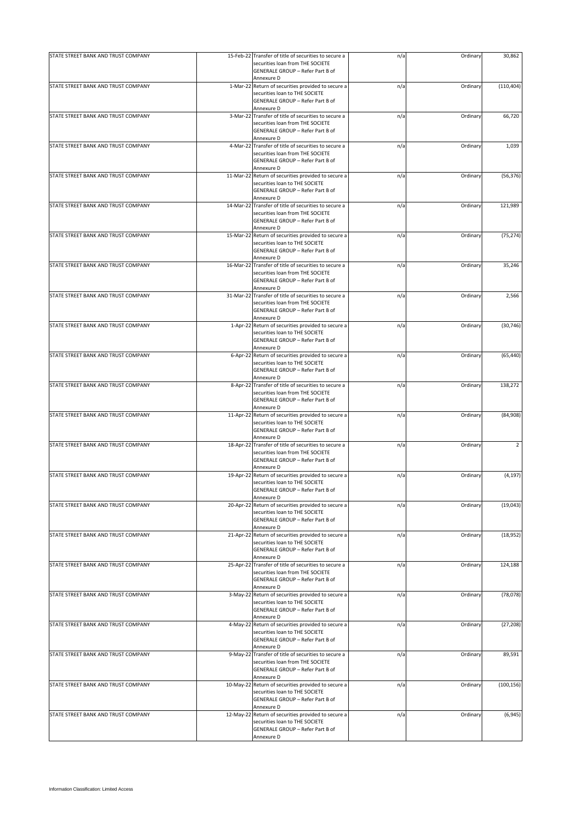| STATE STREET BANK AND TRUST COMPANY | 15-Feb-22 Transfer of title of securities to secure a<br>securities loan from THE SOCIETE | n/a | Ordinary | 30,862     |
|-------------------------------------|-------------------------------------------------------------------------------------------|-----|----------|------------|
|                                     | GENERALE GROUP - Refer Part B of<br>Annexure D                                            |     |          |            |
| STATE STREET BANK AND TRUST COMPANY | 1-Mar-22 Return of securities provided to secure a                                        | n/a | Ordinary | (110, 404) |
|                                     | securities loan to THE SOCIETE<br>GENERALE GROUP - Refer Part B of                        |     |          |            |
|                                     | Annexure D                                                                                |     |          |            |
| STATE STREET BANK AND TRUST COMPANY | 3-Mar-22 Transfer of title of securities to secure a                                      | n/a | Ordinary | 66,720     |
|                                     | securities loan from THE SOCIETE<br>GENERALE GROUP - Refer Part B of                      |     |          |            |
|                                     | Annexure D                                                                                |     |          |            |
| STATE STREET BANK AND TRUST COMPANY | 4-Mar-22 Transfer of title of securities to secure a<br>securities loan from THE SOCIETE  | n/a | Ordinary | 1,039      |
|                                     | GENERALE GROUP - Refer Part B of                                                          |     |          |            |
| STATE STREET BANK AND TRUST COMPANY | Annexure D<br>11-Mar-22 Return of securities provided to secure a                         | n/a | Ordinary | (56, 376)  |
|                                     | securities loan to THE SOCIETE                                                            |     |          |            |
|                                     | <b>GENERALE GROUP - Refer Part B of</b><br>Annexure D                                     |     |          |            |
| STATE STREET BANK AND TRUST COMPANY | 14-Mar-22 Transfer of title of securities to secure a                                     | n/a | Ordinary | 121,989    |
|                                     | securities loan from THE SOCIETE                                                          |     |          |            |
|                                     | GENERALE GROUP - Refer Part B of<br>Annexure D                                            |     |          |            |
| STATE STREET BANK AND TRUST COMPANY | 15-Mar-22 Return of securities provided to secure a                                       | n/a | Ordinary | (75, 274)  |
|                                     | securities loan to THE SOCIETE<br>GENERALE GROUP - Refer Part B of                        |     |          |            |
|                                     | Annexure D                                                                                |     |          |            |
| STATE STREET BANK AND TRUST COMPANY | 16-Mar-22 Transfer of title of securities to secure a<br>securities loan from THE SOCIETE | n/a | Ordinary | 35,246     |
|                                     | GENERALE GROUP - Refer Part B of                                                          |     |          |            |
|                                     | Annexure D                                                                                |     |          |            |
| STATE STREET BANK AND TRUST COMPANY | 31-Mar-22 Transfer of title of securities to secure a<br>securities loan from THE SOCIETE | n/a | Ordinary | 2,566      |
|                                     | GENERALE GROUP - Refer Part B of                                                          |     |          |            |
| STATE STREET BANK AND TRUST COMPANY | Annexure D<br>1-Apr-22 Return of securities provided to secure a                          | n/a | Ordinary | (30, 746)  |
|                                     | securities loan to THE SOCIETE                                                            |     |          |            |
|                                     | GENERALE GROUP - Refer Part B of<br>Annexure D                                            |     |          |            |
| STATE STREET BANK AND TRUST COMPANY | 6-Apr-22 Return of securities provided to secure a                                        | n/a | Ordinary | (65, 440)  |
|                                     | securities loan to THE SOCIETE                                                            |     |          |            |
|                                     | GENERALE GROUP - Refer Part B of<br>Annexure D                                            |     |          |            |
| STATE STREET BANK AND TRUST COMPANY | 8-Apr-22 Transfer of title of securities to secure a                                      | n/a | Ordinary | 138,272    |
|                                     | securities loan from THE SOCIETE<br>GENERALE GROUP - Refer Part B of                      |     |          |            |
|                                     | Annexure D                                                                                |     |          |            |
| STATE STREET BANK AND TRUST COMPANY | 11-Apr-22 Return of securities provided to secure a<br>securities loan to THE SOCIETE     | n/a | Ordinary | (84,908)   |
|                                     | GENERALE GROUP - Refer Part B of                                                          |     |          |            |
| STATE STREET BANK AND TRUST COMPANY | Annexure D<br>18-Apr-22 Transfer of title of securities to secure a                       | n/a | Ordinary | 2          |
|                                     | securities loan from THE SOCIETE                                                          |     |          |            |
|                                     | GENERALE GROUP - Refer Part B of<br>Annexure D                                            |     |          |            |
| STATE STREET BANK AND TRUST COMPANY | 19-Apr-22 Return of securities provided to secure a                                       | n/a | Ordinary | (4, 197)   |
|                                     | securities loan to THE SOCIETE<br>GENERALE GROUP - Refer Part B of                        |     |          |            |
|                                     | Annexure D                                                                                |     |          |            |
| STATE STREET BANK AND TRUST COMPANY | 20-Apr-22 Return of securities provided to secure a                                       | n/a | Ordinary | (19, 043)  |
|                                     | securities loan to THE SOCIETE<br>GENERALE GROUP - Refer Part B of                        |     |          |            |
|                                     | Annexure D                                                                                |     |          |            |
| STATE STREET BANK AND TRUST COMPANY | 21-Apr-22 Return of securities provided to secure a<br>securities loan to THE SOCIETE     | n/a | Ordinary | (18, 952)  |
|                                     | GENERALE GROUP - Refer Part B of                                                          |     |          |            |
| STATE STREET BANK AND TRUST COMPANY | Annexure D<br>25-Apr-22 Transfer of title of securities to secure a                       | n/a | Ordinary | 124,188    |
|                                     | securities loan from THE SOCIETE                                                          |     |          |            |
|                                     | GENERALE GROUP - Refer Part B of                                                          |     |          |            |
| STATE STREET BANK AND TRUST COMPANY | Annexure D<br>3-May-22 Return of securities provided to secure a                          | n/a | Ordinary | (78, 078)  |
|                                     | securities loan to THE SOCIETE                                                            |     |          |            |
|                                     | GENERALE GROUP - Refer Part B of<br>Annexure D                                            |     |          |            |
| STATE STREET BANK AND TRUST COMPANY | 4-May-22 Return of securities provided to secure a                                        | n/a | Ordinary | (27, 208)  |
|                                     | securities loan to THE SOCIETE<br>GENERALE GROUP - Refer Part B of                        |     |          |            |
|                                     | Annexure D                                                                                |     |          |            |
| STATE STREET BANK AND TRUST COMPANY | 9-May-22 Transfer of title of securities to secure a<br>securities loan from THE SOCIETE  | n/a | Ordinary | 89,591     |
|                                     | GENERALE GROUP - Refer Part B of                                                          |     |          |            |
|                                     | Annexure D                                                                                |     |          |            |
| STATE STREET BANK AND TRUST COMPANY | 10-May-22 Return of securities provided to secure a<br>securities loan to THE SOCIETE     | n/a | Ordinary | (100, 156) |
|                                     | GENERALE GROUP - Refer Part B of                                                          |     |          |            |
| STATE STREET BANK AND TRUST COMPANY | Annexure D<br>12-May-22 Return of securities provided to secure a                         | n/a | Ordinary | (6, 945)   |
|                                     | securities loan to THE SOCIETE                                                            |     |          |            |
|                                     | GENERALE GROUP - Refer Part B of<br>Annexure D                                            |     |          |            |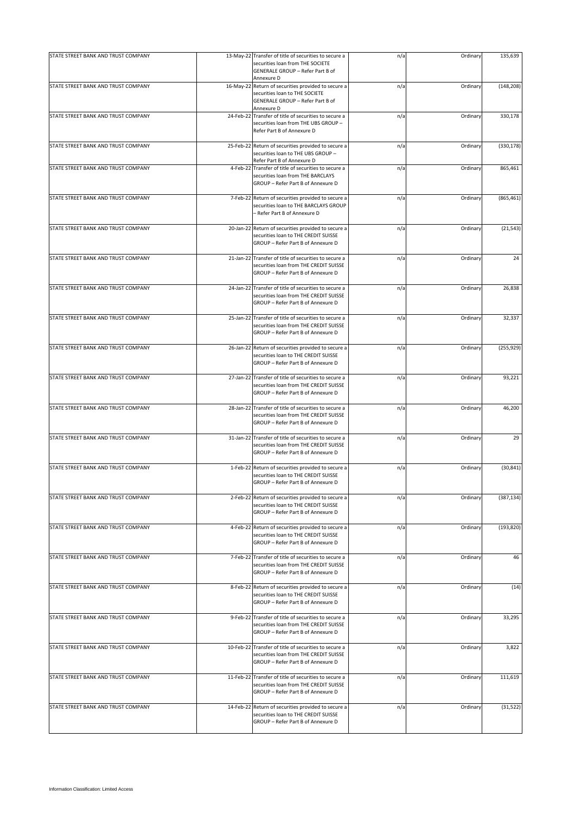| STATE STREET BANK AND TRUST COMPANY | 13-May-22 Transfer of title of securities to secure a<br>securities loan from THE SOCIETE<br>GENERALE GROUP - Refer Part B of           | n/a | Ordinary | 135,639    |
|-------------------------------------|-----------------------------------------------------------------------------------------------------------------------------------------|-----|----------|------------|
|                                     | Annexure D                                                                                                                              |     |          |            |
| STATE STREET BANK AND TRUST COMPANY | 16-May-22 Return of securities provided to secure a<br>securities loan to THE SOCIETE<br>GENERALE GROUP - Refer Part B of<br>Annexure D | n/a | Ordinary | (148, 208) |
| STATE STREET BANK AND TRUST COMPANY | 24-Feb-22 Transfer of title of securities to secure a<br>securities loan from THE UBS GROUP -<br>Refer Part B of Annexure D             | n/a | Ordinary | 330,178    |
| STATE STREET BANK AND TRUST COMPANY | 25-Feb-22 Return of securities provided to secure a<br>securities loan to THE UBS GROUP -<br>Refer Part B of Annexure D                 | n/a | Ordinary | (330, 178) |
| STATE STREET BANK AND TRUST COMPANY | 4-Feb-22 Transfer of title of securities to secure a<br>securities loan from THE BARCLAYS<br>GROUP - Refer Part B of Annexure D         | n/a | Ordinary | 865,461    |
| STATE STREET BANK AND TRUST COMPANY | 7-Feb-22 Return of securities provided to secure a<br>securities loan to THE BARCLAYS GROUP<br>- Refer Part B of Annexure D             | n/a | Ordinary | (865, 461) |
| STATE STREET BANK AND TRUST COMPANY | 20-Jan-22 Return of securities provided to secure a<br>securities loan to THE CREDIT SUISSE<br>GROUP - Refer Part B of Annexure D       | n/a | Ordinary | (21, 543)  |
| STATE STREET BANK AND TRUST COMPANY | 21-Jan-22 Transfer of title of securities to secure a<br>securities loan from THE CREDIT SUISSE<br>GROUP - Refer Part B of Annexure D   | n/a | Ordinary | 24         |
| STATE STREET BANK AND TRUST COMPANY | 24-Jan-22 Transfer of title of securities to secure a<br>securities loan from THE CREDIT SUISSE<br>GROUP - Refer Part B of Annexure D   | n/a | Ordinary | 26,838     |
| STATE STREET BANK AND TRUST COMPANY | 25-Jan-22 Transfer of title of securities to secure a<br>securities loan from THE CREDIT SUISSE<br>GROUP - Refer Part B of Annexure D   | n/a | Ordinary | 32,337     |
| STATE STREET BANK AND TRUST COMPANY | 26-Jan-22 Return of securities provided to secure a<br>securities loan to THE CREDIT SUISSE<br>GROUP - Refer Part B of Annexure D       | n/a | Ordinary | (255, 929) |
| STATE STREET BANK AND TRUST COMPANY | 27-Jan-22 Transfer of title of securities to secure a<br>securities loan from THE CREDIT SUISSE<br>GROUP - Refer Part B of Annexure D   | n/a | Ordinary | 93,221     |
| STATE STREET BANK AND TRUST COMPANY | 28-Jan-22 Transfer of title of securities to secure a<br>securities loan from THE CREDIT SUISSE<br>GROUP - Refer Part B of Annexure D   | n/a | Ordinary | 46,200     |
| STATE STREET BANK AND TRUST COMPANY | 31-Jan-22 Transfer of title of securities to secure a<br>securities loan from THE CREDIT SUISSE<br>GROUP - Refer Part B of Annexure D   | n/a | Ordinary | 29         |
| STATE STREET BANK AND TRUST COMPANY | 1-Feb-22 Return of securities provided to secure a<br>securities loan to THE CREDIT SUISSE<br>GROUP - Refer Part B of Annexure D        | n/a | Ordinary | (30, 841)  |
| STATE STREET BANK AND TRUST COMPANY | 2-Feb-22 Return of securities provided to secure a<br>securities loan to THE CREDIT SUISSE<br>GROUP - Refer Part B of Annexure D        | n/a | Ordinary | (387, 134) |
| STATE STREET BANK AND TRUST COMPANY | 4-Feb-22 Return of securities provided to secure a<br>securities loan to THE CREDIT SUISSE<br>GROUP - Refer Part B of Annexure D        | n/a | Ordinary | (193, 820) |
| STATE STREET BANK AND TRUST COMPANY | 7-Feb-22 Transfer of title of securities to secure a<br>securities loan from THE CREDIT SUISSE<br>GROUP - Refer Part B of Annexure D    | n/a | Ordinary | 46         |
| STATE STREET BANK AND TRUST COMPANY | 8-Feb-22 Return of securities provided to secure a<br>securities loan to THE CREDIT SUISSE<br>GROUP - Refer Part B of Annexure D        | n/a | Ordinary | (14)       |
| STATE STREET BANK AND TRUST COMPANY | 9-Feb-22 Transfer of title of securities to secure a<br>securities loan from THE CREDIT SUISSE<br>GROUP - Refer Part B of Annexure D    | n/a | Ordinary | 33,295     |
| STATE STREET BANK AND TRUST COMPANY | 10-Feb-22 Transfer of title of securities to secure a<br>securities loan from THE CREDIT SUISSE<br>GROUP - Refer Part B of Annexure D   | n/a | Ordinary | 3,822      |
| STATE STREET BANK AND TRUST COMPANY | 11-Feb-22 Transfer of title of securities to secure a<br>securities loan from THE CREDIT SUISSE<br>GROUP - Refer Part B of Annexure D   | n/a | Ordinary | 111,619    |
| STATE STREET BANK AND TRUST COMPANY | 14-Feb-22 Return of securities provided to secure a<br>securities loan to THE CREDIT SUISSE<br>GROUP - Refer Part B of Annexure D       | n/a | Ordinary | (31, 522)  |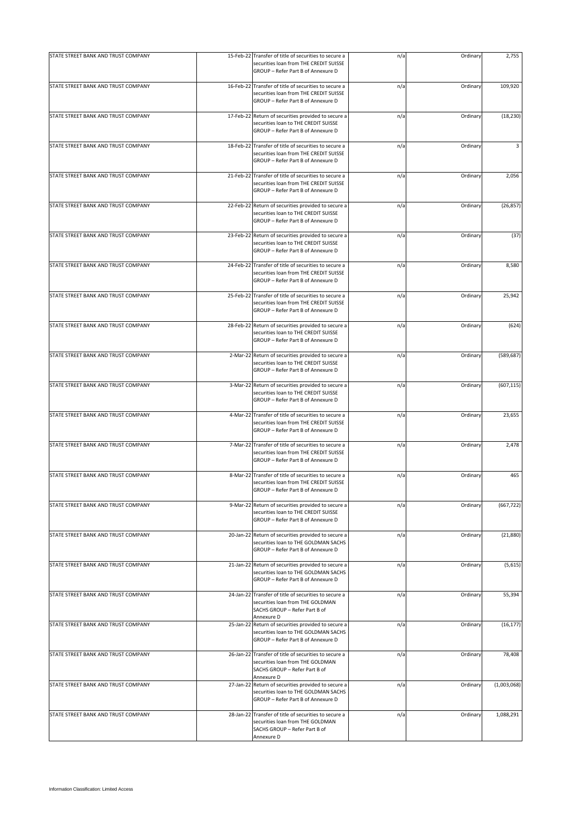| STATE STREET BANK AND TRUST COMPANY | 15-Feb-22 Transfer of title of securities to secure a<br>securities loan from THE CREDIT SUISSE<br>GROUP - Refer Part B of Annexure D    | n/a | Ordinary | 2,755       |
|-------------------------------------|------------------------------------------------------------------------------------------------------------------------------------------|-----|----------|-------------|
| STATE STREET BANK AND TRUST COMPANY | 16-Feb-22 Transfer of title of securities to secure a<br>securities loan from THE CREDIT SUISSE<br>GROUP - Refer Part B of Annexure D    | n/a | Ordinary | 109,920     |
| STATE STREET BANK AND TRUST COMPANY | 17-Feb-22 Return of securities provided to secure a<br>securities loan to THE CREDIT SUISSE<br>GROUP - Refer Part B of Annexure D        | n/a | Ordinary | (18, 230)   |
| STATE STREET BANK AND TRUST COMPANY | 18-Feb-22 Transfer of title of securities to secure a<br>securities loan from THE CREDIT SUISSE<br>GROUP - Refer Part B of Annexure D    | n/a | Ordinary | 3           |
| STATE STREET BANK AND TRUST COMPANY | 21-Feb-22 Transfer of title of securities to secure a<br>securities loan from THE CREDIT SUISSE<br>GROUP - Refer Part B of Annexure D    | n/a | Ordinary | 2,056       |
| STATE STREET BANK AND TRUST COMPANY | 22-Feb-22 Return of securities provided to secure a<br>securities loan to THE CREDIT SUISSE<br>GROUP - Refer Part B of Annexure D        | n/a | Ordinary | (26, 857)   |
| STATE STREET BANK AND TRUST COMPANY | 23-Feb-22 Return of securities provided to secure a<br>securities loan to THE CREDIT SUISSE<br>GROUP - Refer Part B of Annexure D        | n/a | Ordinary | (37)        |
| STATE STREET BANK AND TRUST COMPANY | 24-Feb-22 Transfer of title of securities to secure a<br>securities loan from THE CREDIT SUISSE<br>GROUP - Refer Part B of Annexure D    | n/a | Ordinary | 8,580       |
| STATE STREET BANK AND TRUST COMPANY | 25-Feb-22 Transfer of title of securities to secure a<br>securities loan from THE CREDIT SUISSE<br>GROUP - Refer Part B of Annexure D    | n/a | Ordinary | 25,942      |
| STATE STREET BANK AND TRUST COMPANY | 28-Feb-22 Return of securities provided to secure a<br>securities loan to THE CREDIT SUISSE<br>GROUP - Refer Part B of Annexure D        | n/a | Ordinary | (624)       |
| STATE STREET BANK AND TRUST COMPANY | 2-Mar-22 Return of securities provided to secure a<br>securities loan to THE CREDIT SUISSE<br>GROUP - Refer Part B of Annexure D         | n/a | Ordinary | (589, 687)  |
| STATE STREET BANK AND TRUST COMPANY | 3-Mar-22 Return of securities provided to secure a<br>securities loan to THE CREDIT SUISSE<br>GROUP - Refer Part B of Annexure D         | n/a | Ordinary | (607, 115)  |
| STATE STREET BANK AND TRUST COMPANY | 4-Mar-22 Transfer of title of securities to secure a<br>securities loan from THE CREDIT SUISSE<br>GROUP - Refer Part B of Annexure D     | n/a | Ordinary | 23,655      |
| STATE STREET BANK AND TRUST COMPANY | 7-Mar-22 Transfer of title of securities to secure a<br>securities loan from THE CREDIT SUISSE<br>GROUP - Refer Part B of Annexure D     | n/a | Ordinary | 2,478       |
| STATE STREET BANK AND TRUST COMPANY | 8-Mar-22 Transfer of title of securities to secure a<br>securities loan from THE CREDIT SUISSE<br>GROUP - Refer Part B of Annexure D     | n/a | Ordinary | 465         |
| STATE STREET BANK AND TRUST COMPANY | 9-Mar-22 Return of securities provided to secure a<br>securities loan to THE CREDIT SUISSE<br>GROUP - Refer Part B of Annexure D         | n/a | Ordinary | (667, 722)  |
| STATE STREET BANK AND TRUST COMPANY | 20-Jan-22 Return of securities provided to secure a<br>securities loan to THE GOLDMAN SACHS<br>GROUP - Refer Part B of Annexure D        | n/a | Ordinary | (21, 880)   |
| STATE STREET BANK AND TRUST COMPANY | 21-Jan-22 Return of securities provided to secure a<br>securities loan to THE GOLDMAN SACHS<br>GROUP - Refer Part B of Annexure D        | n/a | Ordinary | (5,615)     |
| STATE STREET BANK AND TRUST COMPANY | 24-Jan-22 Transfer of title of securities to secure a<br>securities loan from THE GOLDMAN<br>SACHS GROUP - Refer Part B of<br>Annexure D | n/a | Ordinary | 55,394      |
| STATE STREET BANK AND TRUST COMPANY | 25-Jan-22 Return of securities provided to secure a<br>securities loan to THE GOLDMAN SACHS<br>GROUP - Refer Part B of Annexure D        | n/a | Ordinary | (16, 177)   |
| STATE STREET BANK AND TRUST COMPANY | 26-Jan-22 Transfer of title of securities to secure a<br>securities loan from THE GOLDMAN<br>SACHS GROUP - Refer Part B of<br>Annexure D | n/a | Ordinary | 78,408      |
| STATE STREET BANK AND TRUST COMPANY | 27-Jan-22 Return of securities provided to secure a<br>securities loan to THE GOLDMAN SACHS<br>GROUP - Refer Part B of Annexure D        | n/a | Ordinary | (1,003,068) |
| STATE STREET BANK AND TRUST COMPANY | 28-Jan-22 Transfer of title of securities to secure a<br>securities loan from THE GOLDMAN<br>SACHS GROUP - Refer Part B of<br>Annexure D | n/a | Ordinary | 1,088,291   |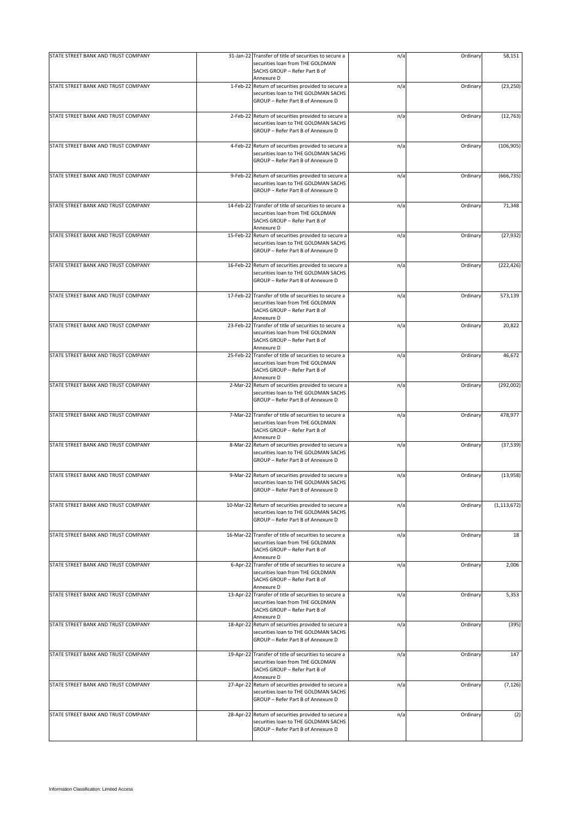| STATE STREET BANK AND TRUST COMPANY | 31-Jan-22 Transfer of title of securities to secure a<br>securities loan from THE GOLDMAN<br>SACHS GROUP - Refer Part B of               | n/a | Ordinary | 58,151        |
|-------------------------------------|------------------------------------------------------------------------------------------------------------------------------------------|-----|----------|---------------|
|                                     | Annexure D                                                                                                                               |     |          |               |
| STATE STREET BANK AND TRUST COMPANY | 1-Feb-22 Return of securities provided to secure a<br>securities loan to THE GOLDMAN SACHS<br>GROUP - Refer Part B of Annexure D         | n/a | Ordinary | (23, 250)     |
| STATE STREET BANK AND TRUST COMPANY | 2-Feb-22 Return of securities provided to secure a<br>securities loan to THE GOLDMAN SACHS<br>GROUP - Refer Part B of Annexure D         | n/a | Ordinary | (12, 763)     |
| STATE STREET BANK AND TRUST COMPANY | 4-Feb-22 Return of securities provided to secure a<br>securities loan to THE GOLDMAN SACHS<br>GROUP - Refer Part B of Annexure D         | n/a | Ordinary | (106, 905)    |
| STATE STREET BANK AND TRUST COMPANY | 9-Feb-22 Return of securities provided to secure a<br>securities loan to THE GOLDMAN SACHS<br>GROUP - Refer Part B of Annexure D         | n/a | Ordinary | (666, 735)    |
| STATE STREET BANK AND TRUST COMPANY | 14-Feb-22 Transfer of title of securities to secure a<br>securities loan from THE GOLDMAN<br>SACHS GROUP - Refer Part B of<br>Annexure D | n/a | Ordinary | 71,348        |
| STATE STREET BANK AND TRUST COMPANY | 15-Feb-22 Return of securities provided to secure a<br>securities loan to THE GOLDMAN SACHS<br>GROUP - Refer Part B of Annexure D        | n/a | Ordinary | (27, 932)     |
| STATE STREET BANK AND TRUST COMPANY | 16-Feb-22 Return of securities provided to secure a<br>securities loan to THE GOLDMAN SACHS<br>GROUP - Refer Part B of Annexure D        | n/a | Ordinary | (222, 426)    |
| STATE STREET BANK AND TRUST COMPANY | 17-Feb-22 Transfer of title of securities to secure a<br>securities loan from THE GOLDMAN<br>SACHS GROUP - Refer Part B of<br>Annexure D | n/a | Ordinary | 573,139       |
| STATE STREET BANK AND TRUST COMPANY | 23-Feb-22 Transfer of title of securities to secure a<br>securities loan from THE GOLDMAN<br>SACHS GROUP - Refer Part B of<br>Annexure D | n/a | Ordinary | 20,822        |
| STATE STREET BANK AND TRUST COMPANY | 25-Feb-22 Transfer of title of securities to secure a<br>securities loan from THE GOLDMAN<br>SACHS GROUP - Refer Part B of<br>Annexure D | n/a | Ordinary | 46,672        |
| STATE STREET BANK AND TRUST COMPANY | 2-Mar-22 Return of securities provided to secure a<br>securities loan to THE GOLDMAN SACHS<br>GROUP - Refer Part B of Annexure D         | n/a | Ordinary | (292,002)     |
| STATE STREET BANK AND TRUST COMPANY | 7-Mar-22 Transfer of title of securities to secure a<br>securities loan from THE GOLDMAN<br>SACHS GROUP - Refer Part B of<br>Annexure D  | n/a | Ordinary | 478,977       |
| STATE STREET BANK AND TRUST COMPANY | 8-Mar-22 Return of securities provided to secure a<br>securities loan to THE GOLDMAN SACHS<br>GROUP - Refer Part B of Annexure D         | n/a | Ordinary | (37, 539)     |
| STATE STREET BANK AND TRUST COMPANY | 9-Mar-22 Return of securities provided to secure a<br>securities loan to THE GOLDMAN SACHS<br>GROUP - Refer Part B of Annexure D         | n/a | Ordinary | (13,958)      |
| STATE STREET BANK AND TRUST COMPANY | 10-Mar-22 Return of securities provided to secure a<br>securities loan to THE GOLDMAN SACHS<br>GROUP - Refer Part B of Annexure D        | n/a | Ordinary | (1, 113, 672) |
| STATE STREET BANK AND TRUST COMPANY | 16-Mar-22 Transfer of title of securities to secure a<br>securities loan from THE GOLDMAN<br>SACHS GROUP - Refer Part B of<br>Annexure D | n/a | Ordinary | 18            |
| STATE STREET BANK AND TRUST COMPANY | 6-Apr-22 Transfer of title of securities to secure a<br>securities loan from THE GOLDMAN<br>SACHS GROUP - Refer Part B of<br>Annexure D  | n/a | Ordinary | 2,006         |
| STATE STREET BANK AND TRUST COMPANY | 13-Apr-22 Transfer of title of securities to secure a<br>securities loan from THE GOLDMAN<br>SACHS GROUP - Refer Part B of<br>Annexure D | n/a | Ordinary | 5,353         |
| STATE STREET BANK AND TRUST COMPANY | 18-Apr-22 Return of securities provided to secure a<br>securities loan to THE GOLDMAN SACHS<br>GROUP - Refer Part B of Annexure D        | n/a | Ordinary | (395)         |
| STATE STREET BANK AND TRUST COMPANY | 19-Apr-22 Transfer of title of securities to secure a<br>securities loan from THE GOLDMAN<br>SACHS GROUP - Refer Part B of<br>Annexure D | n/a | Ordinary | 147           |
| STATE STREET BANK AND TRUST COMPANY | 27-Apr-22 Return of securities provided to secure a<br>securities loan to THE GOLDMAN SACHS<br>GROUP - Refer Part B of Annexure D        | n/a | Ordinary | (7, 126)      |
| STATE STREET BANK AND TRUST COMPANY | 28-Apr-22 Return of securities provided to secure a<br>securities loan to THE GOLDMAN SACHS<br>GROUP - Refer Part B of Annexure D        | n/a | Ordinary | (2)           |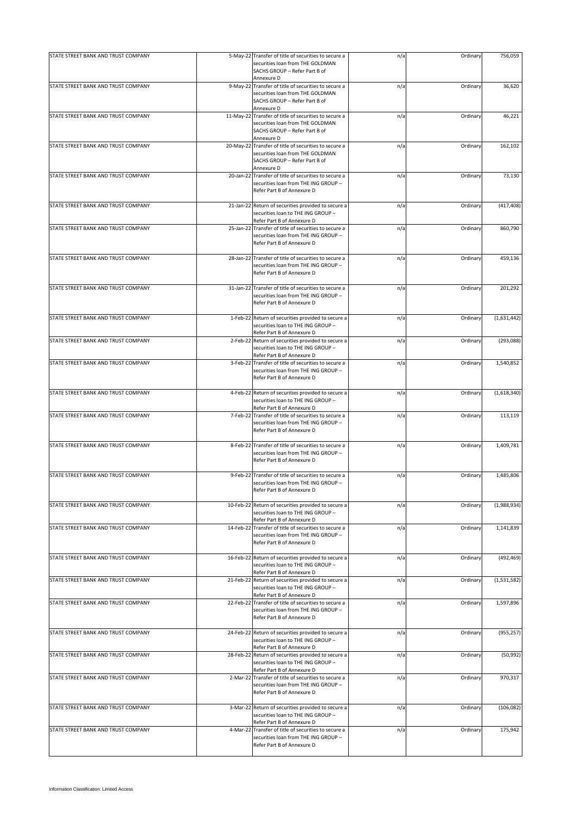| STATE STREET BANK AND TRUST COMPANY | 5-May-22 Transfer of title of securities to secure a                                                                        | n/a | Ordinary | 756,059     |
|-------------------------------------|-----------------------------------------------------------------------------------------------------------------------------|-----|----------|-------------|
|                                     | securities loan from THE GOLDMAN<br>SACHS GROUP - Refer Part B of                                                           |     |          |             |
| STATE STREET BANK AND TRUST COMPANY | Annexure D<br>9-May-22 Transfer of title of securities to secure a                                                          | n/a | Ordinary | 36,620      |
|                                     | securities loan from THE GOLDMAN<br>SACHS GROUP - Refer Part B of<br>Annexure D                                             |     |          |             |
| STATE STREET BANK AND TRUST COMPANY | 11-May-22 Transfer of title of securities to secure a                                                                       | n/a | Ordinary | 46,221      |
|                                     | securities loan from THE GOLDMAN<br>SACHS GROUP - Refer Part B of<br>Annexure D                                             |     |          |             |
| STATE STREET BANK AND TRUST COMPANY | 20-May-22 Transfer of title of securities to secure a                                                                       | n/a | Ordinary | 162,102     |
|                                     | securities loan from THE GOLDMAN<br>SACHS GROUP - Refer Part B of<br>Annexure D                                             |     |          |             |
| STATE STREET BANK AND TRUST COMPANY | 20-Jan-22 Transfer of title of securities to secure a                                                                       | n/a | Ordinary | 73,130      |
|                                     | securities loan from THE ING GROUP -<br>Refer Part B of Annexure D                                                          |     |          |             |
| STATE STREET BANK AND TRUST COMPANY | 21-Jan-22 Return of securities provided to secure a<br>securities loan to THE ING GROUP -<br>Refer Part B of Annexure D     | n/a | Ordinary | (417, 408)  |
| STATE STREET BANK AND TRUST COMPANY | 25-Jan-22 Transfer of title of securities to secure a<br>securities loan from THE ING GROUP -<br>Refer Part B of Annexure D | n/a | Ordinary | 860,790     |
| STATE STREET BANK AND TRUST COMPANY | 28-Jan-22 Transfer of title of securities to secure a<br>securities loan from THE ING GROUP -<br>Refer Part B of Annexure D | n/a | Ordinary | 459,136     |
| STATE STREET BANK AND TRUST COMPANY | 31-Jan-22 Transfer of title of securities to secure a<br>securities loan from THE ING GROUP -<br>Refer Part B of Annexure D | n/a | Ordinary | 201,292     |
| STATE STREET BANK AND TRUST COMPANY | 1-Feb-22 Return of securities provided to secure a<br>securities loan to THE ING GROUP -<br>Refer Part B of Annexure D      | n/a | Ordinary | (1,631,442) |
| STATE STREET BANK AND TRUST COMPANY | 2-Feb-22 Return of securities provided to secure a                                                                          | n/a | Ordinary | (293, 088)  |
|                                     | securities loan to THE ING GROUP -                                                                                          |     |          |             |
|                                     | Refer Part B of Annexure D                                                                                                  |     |          |             |
| STATE STREET BANK AND TRUST COMPANY | 3-Feb-22 Transfer of title of securities to secure a<br>securities loan from THE ING GROUP -<br>Refer Part B of Annexure D  | n/a | Ordinary | 1,540,852   |
| STATE STREET BANK AND TRUST COMPANY | 4-Feb-22 Return of securities provided to secure a<br>securities loan to THE ING GROUP -<br>Refer Part B of Annexure D      | n/a | Ordinary | (1,618,340) |
| STATE STREET BANK AND TRUST COMPANY | 7-Feb-22 Transfer of title of securities to secure a<br>securities loan from THE ING GROUP -<br>Refer Part B of Annexure D  | n/a | Ordinary | 113,119     |
| STATE STREET BANK AND TRUST COMPANY | 8-Feb-22 Transfer of title of securities to secure a<br>securities loan from THE ING GROUP -<br>Refer Part B of Annexure D  | n/a | Ordinary | 1,409,781   |
| STATE STREET BANK AND TRUST COMPANY | 9-Feb-22 Transfer of title of securities to secure a<br>securities loan from THE ING GROUP -<br>Refer Part B of Annexure D  | n/a | Ordinary | 1,485,806   |
| STATE STREET BANK AND TRUST COMPANY | 10-Feb-22 Return of securities provided to secure a<br>securities loan to THE ING GROUP -<br>Refer Part B of Annexure D     | n/a | Ordinary | (1,988,934) |
| STATE STREET BANK AND TRUST COMPANY | 14-Feb-22 Transfer of title of securities to secure a<br>securities loan from THE ING GROUP -<br>Refer Part B of Annexure D | n/a | Ordinary | 1,141,839   |
| STATE STREET BANK AND TRUST COMPANY | 16-Feb-22 Return of securities provided to secure a<br>securities loan to THE ING GROUP -<br>Refer Part B of Annexure D     | n/a | Ordinary | (492, 469)  |
| STATE STREET BANK AND TRUST COMPANY | 21-Feb-22 Return of securities provided to secure a<br>securities loan to THE ING GROUP -<br>Refer Part B of Annexure D     | n/a | Ordinary | (1,531,582) |
| STATE STREET BANK AND TRUST COMPANY | 22-Feb-22 Transfer of title of securities to secure a<br>securities loan from THE ING GROUP -<br>Refer Part B of Annexure D | n/a | Ordinary | 1,597,896   |
| STATE STREET BANK AND TRUST COMPANY | 24-Feb-22 Return of securities provided to secure a<br>securities loan to THE ING GROUP -<br>Refer Part B of Annexure D     | n/a | Ordinary | (955, 257)  |
| STATE STREET BANK AND TRUST COMPANY | 28-Feb-22 Return of securities provided to secure a<br>securities loan to THE ING GROUP -<br>Refer Part B of Annexure D     | n/a | Ordinary | (50, 992)   |
| STATE STREET BANK AND TRUST COMPANY | 2-Mar-22 Transfer of title of securities to secure a<br>securities loan from THE ING GROUP -<br>Refer Part B of Annexure D  | n/a | Ordinary | 970,317     |
| STATE STREET BANK AND TRUST COMPANY | 3-Mar-22 Return of securities provided to secure a<br>securities loan to THE ING GROUP -<br>Refer Part B of Annexure D      | n/a | Ordinary | (106, 082)  |
| STATE STREET BANK AND TRUST COMPANY | 4-Mar-22 Transfer of title of securities to secure a<br>securities loan from THE ING GROUP -<br>Refer Part B of Annexure D  | n/a | Ordinary | 175,942     |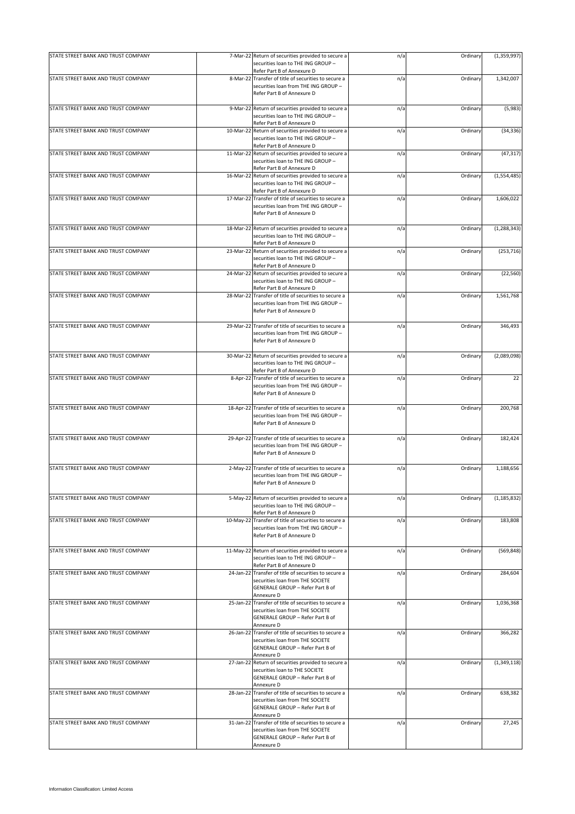| STATE STREET BANK AND TRUST COMPANY |           | 7-Mar-22 Return of securities provided to secure a<br>securities loan to THE ING GROUP -                                                    | n/a | Ordinary | (1,359,997)   |
|-------------------------------------|-----------|---------------------------------------------------------------------------------------------------------------------------------------------|-----|----------|---------------|
|                                     |           | Refer Part B of Annexure D                                                                                                                  |     |          |               |
| STATE STREET BANK AND TRUST COMPANY |           | 8-Mar-22 Transfer of title of securities to secure a<br>securities loan from THE ING GROUP -<br>Refer Part B of Annexure D                  | n/a | Ordinary | 1,342,007     |
| STATE STREET BANK AND TRUST COMPANY |           | 9-Mar-22 Return of securities provided to secure a<br>securities loan to THE ING GROUP -<br>Refer Part B of Annexure D                      | n/a | Ordinary | (5,983)       |
| STATE STREET BANK AND TRUST COMPANY | 10-Mar-22 | Return of securities provided to secure a<br>securities loan to THE ING GROUP -<br>Refer Part B of Annexure D                               | n/a | Ordinary | (34, 336)     |
| STATE STREET BANK AND TRUST COMPANY |           | 11-Mar-22 Return of securities provided to secure a<br>securities loan to THE ING GROUP -<br>Refer Part B of Annexure D                     | n/a | Ordinary | (47, 317)     |
| STATE STREET BANK AND TRUST COMPANY |           | 16-Mar-22 Return of securities provided to secure a<br>securities loan to THE ING GROUP -<br>Refer Part B of Annexure D                     | n/a | Ordinary | (1,554,485)   |
| STATE STREET BANK AND TRUST COMPANY |           | 17-Mar-22 Transfer of title of securities to secure a<br>securities loan from THE ING GROUP -<br>Refer Part B of Annexure D                 | n/a | Ordinary | 1,606,022     |
| STATE STREET BANK AND TRUST COMPANY |           | 18-Mar-22 Return of securities provided to secure a<br>securities loan to THE ING GROUP -<br>Refer Part B of Annexure D                     | n/a | Ordinary | (1, 288, 343) |
| STATE STREET BANK AND TRUST COMPANY |           | 23-Mar-22 Return of securities provided to secure a<br>securities loan to THE ING GROUP -<br>Refer Part B of Annexure D                     | n/a | Ordinary | (253, 716)    |
| STATE STREET BANK AND TRUST COMPANY |           | 24-Mar-22 Return of securities provided to secure a<br>securities loan to THE ING GROUP -<br>Refer Part B of Annexure D                     | n/a | Ordinary | (22, 560)     |
| STATE STREET BANK AND TRUST COMPANY |           | 28-Mar-22 Transfer of title of securities to secure a<br>securities loan from THE ING GROUP -<br>Refer Part B of Annexure D                 | n/a | Ordinary | 1,561,768     |
| STATE STREET BANK AND TRUST COMPANY |           | 29-Mar-22 Transfer of title of securities to secure a<br>securities loan from THE ING GROUP -<br>Refer Part B of Annexure D                 | n/a | Ordinary | 346,493       |
| STATE STREET BANK AND TRUST COMPANY |           | 30-Mar-22 Return of securities provided to secure a<br>securities loan to THE ING GROUP -<br>Refer Part B of Annexure D                     | n/a | Ordinary | (2,089,098)   |
| STATE STREET BANK AND TRUST COMPANY |           | 8-Apr-22 Transfer of title of securities to secure a<br>securities loan from THE ING GROUP -<br>Refer Part B of Annexure D                  | n/a | Ordinary | 22            |
| STATE STREET BANK AND TRUST COMPANY |           | 18-Apr-22 Transfer of title of securities to secure a<br>securities loan from THE ING GROUP -<br>Refer Part B of Annexure D                 | n/a | Ordinary | 200,768       |
| STATE STREET BANK AND TRUST COMPANY |           | 29-Apr-22 Transfer of title of securities to secure a<br>securities loan from THE ING GROUP -<br>Refer Part B of Annexure D                 | n/a | Ordinary | 182,424       |
| STATE STREET BANK AND TRUST COMPANY |           | 2-May-22 Transfer of title of securities to secure a<br>securities loan from THE ING GROUP -<br>Refer Part B of Annexure D                  | n/a | Ordinary | 1,188,656     |
| STATE STREET BANK AND TRUST COMPANY |           | 5-May-22 Return of securities provided to secure a<br>securities loan to THE ING GROUP -<br>Refer Part B of Annexure D                      | n/a | Ordinary | (1, 185, 832) |
| STATE STREET BANK AND TRUST COMPANY |           | 10-May-22 Transfer of title of securities to secure a<br>securities loan from THE ING GROUP -<br>Refer Part B of Annexure D                 | n/a | Ordinary | 183,808       |
| STATE STREET BANK AND TRUST COMPANY |           | 11-May-22 Return of securities provided to secure a<br>securities loan to THE ING GROUP -<br>Refer Part B of Annexure D                     | n/a | Ordinary | (569, 848)    |
| STATE STREET BANK AND TRUST COMPANY |           | 24-Jan-22 Transfer of title of securities to secure a<br>securities loan from THE SOCIETE<br>GENERALE GROUP - Refer Part B of<br>Annexure D | n/a | Ordinary | 284,604       |
| STATE STREET BANK AND TRUST COMPANY |           | 25-Jan-22 Transfer of title of securities to secure a<br>securities loan from THE SOCIETE<br>GENERALE GROUP - Refer Part B of<br>Annexure D | n/a | Ordinary | 1,036,368     |
| STATE STREET BANK AND TRUST COMPANY |           | 26-Jan-22 Transfer of title of securities to secure a<br>securities loan from THE SOCIETE<br>GENERALE GROUP - Refer Part B of<br>Annexure D | n/a | Ordinary | 366,282       |
| STATE STREET BANK AND TRUST COMPANY |           | 27-Jan-22 Return of securities provided to secure a<br>securities loan to THE SOCIETE<br>GENERALE GROUP - Refer Part B of<br>Annexure D     | n/a | Ordinary | (1,349,118)   |
| STATE STREET BANK AND TRUST COMPANY |           | 28-Jan-22 Transfer of title of securities to secure a<br>securities loan from THE SOCIETE<br>GENERALE GROUP - Refer Part B of<br>Annexure D | n/a | Ordinary | 638,382       |
| STATE STREET BANK AND TRUST COMPANY |           | 31-Jan-22 Transfer of title of securities to secure a<br>securities loan from THE SOCIETE<br>GENERALE GROUP - Refer Part B of<br>Annexure D | n/a | Ordinary | 27,245        |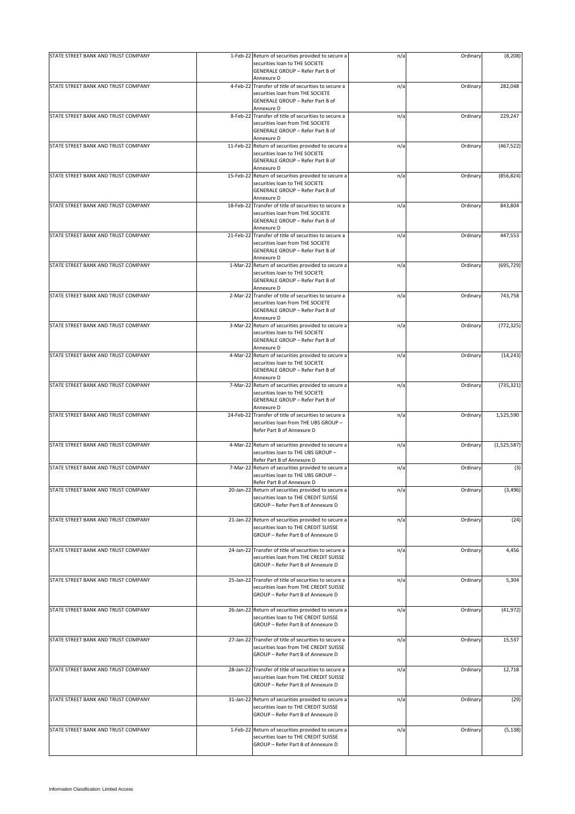| STATE STREET BANK AND TRUST COMPANY | 1-Feb-22 Return of securities provided to secure a<br>securities loan to THE SOCIETE        | n/a | Ordinary | (8, 208)    |
|-------------------------------------|---------------------------------------------------------------------------------------------|-----|----------|-------------|
|                                     | GENERALE GROUP - Refer Part B of<br>Annexure D                                              |     |          |             |
| STATE STREET BANK AND TRUST COMPANY | 4-Feb-22 Transfer of title of securities to secure a                                        | n/a | Ordinary | 282,048     |
|                                     | securities loan from THE SOCIETE                                                            |     |          |             |
|                                     | GENERALE GROUP - Refer Part B of                                                            |     |          |             |
| STATE STREET BANK AND TRUST COMPANY | Annexure D<br>8-Feb-22 Transfer of title of securities to secure a                          | n/a | Ordinary | 229,247     |
|                                     | securities loan from THE SOCIETE                                                            |     |          |             |
|                                     | GENERALE GROUP - Refer Part B of                                                            |     |          |             |
|                                     | Annexure D                                                                                  |     |          |             |
| STATE STREET BANK AND TRUST COMPANY | 11-Feb-22 Return of securities provided to secure a                                         | n/a | Ordinary | (467, 522)  |
|                                     | securities loan to THE SOCIETE                                                              |     |          |             |
|                                     | GENERALE GROUP - Refer Part B of<br>Annexure D                                              |     |          |             |
| STATE STREET BANK AND TRUST COMPANY | 15-Feb-22 Return of securities provided to secure a                                         | n/a | Ordinary | (856, 824)  |
|                                     | securities loan to THE SOCIETE                                                              |     |          |             |
|                                     | GENERALE GROUP - Refer Part B of                                                            |     |          |             |
|                                     | Annexure D                                                                                  |     |          |             |
| STATE STREET BANK AND TRUST COMPANY | 18-Feb-22 Transfer of title of securities to secure a                                       | n/a | Ordinary | 843,804     |
|                                     | securities loan from THE SOCIETE<br>GENERALE GROUP - Refer Part B of                        |     |          |             |
|                                     | Annexure D                                                                                  |     |          |             |
| STATE STREET BANK AND TRUST COMPANY | 21-Feb-22 Transfer of title of securities to secure a                                       | n/a | Ordinary | 447,553     |
|                                     | securities loan from THE SOCIETE                                                            |     |          |             |
|                                     | GENERALE GROUP - Refer Part B of                                                            |     |          |             |
|                                     | Annexure D                                                                                  |     |          |             |
| STATE STREET BANK AND TRUST COMPANY | 1-Mar-22 Return of securities provided to secure a<br>securities loan to THE SOCIETE        | n/a | Ordinary | (695, 729)  |
|                                     | GENERALE GROUP - Refer Part B of                                                            |     |          |             |
|                                     | Annexure D                                                                                  |     |          |             |
| STATE STREET BANK AND TRUST COMPANY | 2-Mar-22 Transfer of title of securities to secure a                                        | n/a | Ordinary | 743,758     |
|                                     | securities loan from THE SOCIETE                                                            |     |          |             |
|                                     | GENERALE GROUP - Refer Part B of                                                            |     |          |             |
|                                     | Annexure D                                                                                  |     |          |             |
| STATE STREET BANK AND TRUST COMPANY | 3-Mar-22 Return of securities provided to secure a<br>securities loan to THE SOCIETE        | n/a | Ordinary | (772, 325)  |
|                                     | GENERALE GROUP - Refer Part B of                                                            |     |          |             |
|                                     | Annexure D                                                                                  |     |          |             |
| STATE STREET BANK AND TRUST COMPANY | 4-Mar-22 Return of securities provided to secure a                                          | n/a | Ordinary | (14, 243)   |
|                                     | securities loan to THE SOCIETE                                                              |     |          |             |
|                                     | GENERALE GROUP - Refer Part B of                                                            |     |          |             |
| STATE STREET BANK AND TRUST COMPANY | Annexure D                                                                                  |     |          |             |
|                                     | 7-Mar-22 Return of securities provided to secure a<br>securities loan to THE SOCIETE        | n/a | Ordinary | (735, 321)  |
|                                     | GENERALE GROUP - Refer Part B of                                                            |     |          |             |
|                                     | Annexure D                                                                                  |     |          |             |
| STATE STREET BANK AND TRUST COMPANY | 24-Feb-22 Transfer of title of securities to secure a                                       | n/a | Ordinary | 1,525,590   |
|                                     | securities loan from THE UBS GROUP -                                                        |     |          |             |
|                                     | Refer Part B of Annexure D                                                                  |     |          |             |
| STATE STREET BANK AND TRUST COMPANY | 4-Mar-22 Return of securities provided to secure a                                          | n/a | Ordinary | (1,525,587) |
|                                     | securities loan to THE UBS GROUP -                                                          |     |          |             |
|                                     | Refer Part B of Annexure D                                                                  |     |          |             |
| STATE STREET BANK AND TRUST COMPANY | 7-Mar-22 Return of securities provided to secure a                                          | n/a | Ordinary | (3)         |
|                                     | securities loan to THE UBS GROUP -                                                          |     |          |             |
| STATE STREET BANK AND TRUST COMPANY | Refer Part B of Annexure D<br>20-Jan-22 Return of securities provided to secure a           | n/a | Ordinary | (3, 496)    |
|                                     | securities loan to THE CREDIT SUISSE                                                        |     |          |             |
|                                     | GROUP - Refer Part B of Annexure D                                                          |     |          |             |
|                                     |                                                                                             |     |          |             |
| STATE STREET BANK AND TRUST COMPANY | 21-Jan-22 Return of securities provided to secure a                                         | n/a | Ordinary | (24)        |
|                                     | securities loan to THE CREDIT SUISSE                                                        |     |          |             |
|                                     | GROUP - Refer Part B of Annexure D                                                          |     |          |             |
| STATE STREET BANK AND TRUST COMPANY | 24-Jan-22 Transfer of title of securities to secure a                                       | n/a | Ordinary | 4,456       |
|                                     | securities loan from THE CREDIT SUISSE                                                      |     |          |             |
|                                     | GROUP - Refer Part B of Annexure D                                                          |     |          |             |
|                                     |                                                                                             |     |          |             |
| STATE STREET BANK AND TRUST COMPANY | 25-Jan-22 Transfer of title of securities to secure a                                       | n/a | Ordinary | 5,304       |
|                                     | securities loan from THE CREDIT SUISSE                                                      |     |          |             |
|                                     | GROUP - Refer Part B of Annexure D                                                          |     |          |             |
| STATE STREET BANK AND TRUST COMPANY | 26-Jan-22 Return of securities provided to secure a                                         | n/a | Ordinary | (41, 972)   |
|                                     | securities loan to THE CREDIT SUISSE                                                        |     |          |             |
|                                     | GROUP - Refer Part B of Annexure D                                                          |     |          |             |
|                                     |                                                                                             |     |          |             |
| STATE STREET BANK AND TRUST COMPANY | 27-Jan-22 Transfer of title of securities to secure a                                       | n/a | Ordinary | 15,537      |
|                                     | securities loan from THE CREDIT SUISSE<br>GROUP - Refer Part B of Annexure D                |     |          |             |
|                                     |                                                                                             |     |          |             |
| STATE STREET BANK AND TRUST COMPANY | 28-Jan-22 Transfer of title of securities to secure a                                       | n/a | Ordinary | 12,718      |
|                                     | securities loan from THE CREDIT SUISSE                                                      |     |          |             |
|                                     | GROUP - Refer Part B of Annexure D                                                          |     |          |             |
|                                     |                                                                                             |     |          |             |
| STATE STREET BANK AND TRUST COMPANY | 31-Jan-22 Return of securities provided to secure a<br>securities loan to THE CREDIT SUISSE | n/a | Ordinary | (29)        |
|                                     | GROUP - Refer Part B of Annexure D                                                          |     |          |             |
|                                     |                                                                                             |     |          |             |
| STATE STREET BANK AND TRUST COMPANY | 1-Feb-22 Return of securities provided to secure a                                          | n/a | Ordinary | (5, 138)    |
|                                     | securities loan to THE CREDIT SUISSE                                                        |     |          |             |
|                                     | GROUP - Refer Part B of Annexure D                                                          |     |          |             |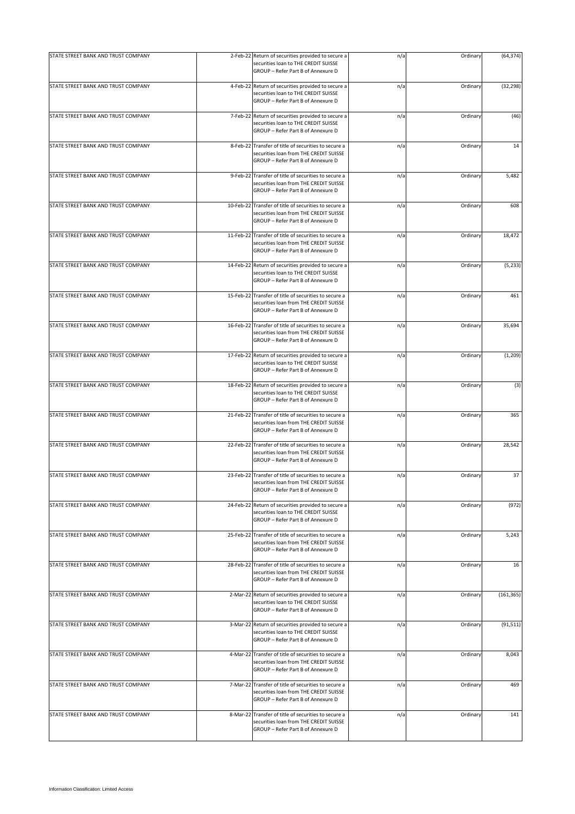| STATE STREET BANK AND TRUST COMPANY | 2-Feb-22 Return of securities provided to secure a                                                                                    | n/a | Ordinary | (64, 374)  |
|-------------------------------------|---------------------------------------------------------------------------------------------------------------------------------------|-----|----------|------------|
|                                     | securities loan to THE CREDIT SUISSE<br>GROUP - Refer Part B of Annexure D                                                            |     |          |            |
| STATE STREET BANK AND TRUST COMPANY | 4-Feb-22 Return of securities provided to secure a<br>securities loan to THE CREDIT SUISSE<br>GROUP - Refer Part B of Annexure D      | n/a | Ordinary | (32, 298)  |
| STATE STREET BANK AND TRUST COMPANY | 7-Feb-22 Return of securities provided to secure a<br>securities loan to THE CREDIT SUISSE<br>GROUP - Refer Part B of Annexure D      | n/a | Ordinary | (46)       |
| STATE STREET BANK AND TRUST COMPANY | 8-Feb-22 Transfer of title of securities to secure a<br>securities loan from THE CREDIT SUISSE<br>GROUP - Refer Part B of Annexure D  | n/a | Ordinary | 14         |
| STATE STREET BANK AND TRUST COMPANY | 9-Feb-22 Transfer of title of securities to secure a<br>securities loan from THE CREDIT SUISSE<br>GROUP - Refer Part B of Annexure D  | n/a | Ordinary | 5,482      |
| STATE STREET BANK AND TRUST COMPANY | 10-Feb-22 Transfer of title of securities to secure a<br>securities loan from THE CREDIT SUISSE<br>GROUP - Refer Part B of Annexure D | n/a | Ordinary | 608        |
| STATE STREET BANK AND TRUST COMPANY | 11-Feb-22 Transfer of title of securities to secure a<br>securities loan from THE CREDIT SUISSE<br>GROUP - Refer Part B of Annexure D | n/a | Ordinary | 18,472     |
| STATE STREET BANK AND TRUST COMPANY | 14-Feb-22 Return of securities provided to secure a<br>securities loan to THE CREDIT SUISSE<br>GROUP - Refer Part B of Annexure D     | n/a | Ordinary | (5, 233)   |
| STATE STREET BANK AND TRUST COMPANY | 15-Feb-22 Transfer of title of securities to secure a<br>securities loan from THE CREDIT SUISSE<br>GROUP - Refer Part B of Annexure D | n/a | Ordinary | 461        |
| STATE STREET BANK AND TRUST COMPANY | 16-Feb-22 Transfer of title of securities to secure a<br>securities loan from THE CREDIT SUISSE<br>GROUP - Refer Part B of Annexure D | n/a | Ordinary | 35,694     |
| STATE STREET BANK AND TRUST COMPANY | 17-Feb-22 Return of securities provided to secure a<br>securities loan to THE CREDIT SUISSE<br>GROUP - Refer Part B of Annexure D     | n/a | Ordinary | (1, 209)   |
| STATE STREET BANK AND TRUST COMPANY | 18-Feb-22 Return of securities provided to secure a<br>securities loan to THE CREDIT SUISSE<br>GROUP - Refer Part B of Annexure D     | n/a | Ordinary | (3)        |
| STATE STREET BANK AND TRUST COMPANY | 21-Feb-22 Transfer of title of securities to secure a<br>securities loan from THE CREDIT SUISSE<br>GROUP - Refer Part B of Annexure D | n/a | Ordinary | 365        |
| STATE STREET BANK AND TRUST COMPANY | 22-Feb-22 Transfer of title of securities to secure a<br>securities loan from THE CREDIT SUISSE<br>GROUP - Refer Part B of Annexure D | n/a | Ordinary | 28,542     |
| STATE STREET BANK AND TRUST COMPANY | 23-Feb-22 Transfer of title of securities to secure a<br>securities loan from THE CREDIT SUISSE<br>GROUP - Refer Part B of Annexure D | n/a | Ordinary | 37         |
| STATE STREET BANK AND TRUST COMPANY | 24-Feb-22 Return of securities provided to secure a<br>securities loan to THE CREDIT SUISSE<br>GROUP - Refer Part B of Annexure D     | n/a | Ordinary | (972)      |
| STATE STREET BANK AND TRUST COMPANY | 25-Feb-22 Transfer of title of securities to secure a<br>securities loan from THE CREDIT SUISSE<br>GROUP - Refer Part B of Annexure D | n/a | Ordinary | 5,243      |
| STATE STREET BANK AND TRUST COMPANY | 28-Feb-22 Transfer of title of securities to secure a<br>securities loan from THE CREDIT SUISSE<br>GROUP - Refer Part B of Annexure D | n/a | Ordinary | 16         |
| STATE STREET BANK AND TRUST COMPANY | 2-Mar-22 Return of securities provided to secure a<br>securities loan to THE CREDIT SUISSE<br>GROUP - Refer Part B of Annexure D      | n/a | Ordinary | (161, 365) |
| STATE STREET BANK AND TRUST COMPANY | 3-Mar-22 Return of securities provided to secure a<br>securities loan to THE CREDIT SUISSE<br>GROUP - Refer Part B of Annexure D      | n/a | Ordinary | (91, 511)  |
| STATE STREET BANK AND TRUST COMPANY | 4-Mar-22 Transfer of title of securities to secure a<br>securities loan from THE CREDIT SUISSE<br>GROUP - Refer Part B of Annexure D  | n/a | Ordinary | 8,043      |
| STATE STREET BANK AND TRUST COMPANY | 7-Mar-22 Transfer of title of securities to secure a<br>securities loan from THE CREDIT SUISSE<br>GROUP - Refer Part B of Annexure D  | n/a | Ordinary | 469        |
| STATE STREET BANK AND TRUST COMPANY | 8-Mar-22 Transfer of title of securities to secure a<br>securities loan from THE CREDIT SUISSE<br>GROUP - Refer Part B of Annexure D  | n/a | Ordinary | 141        |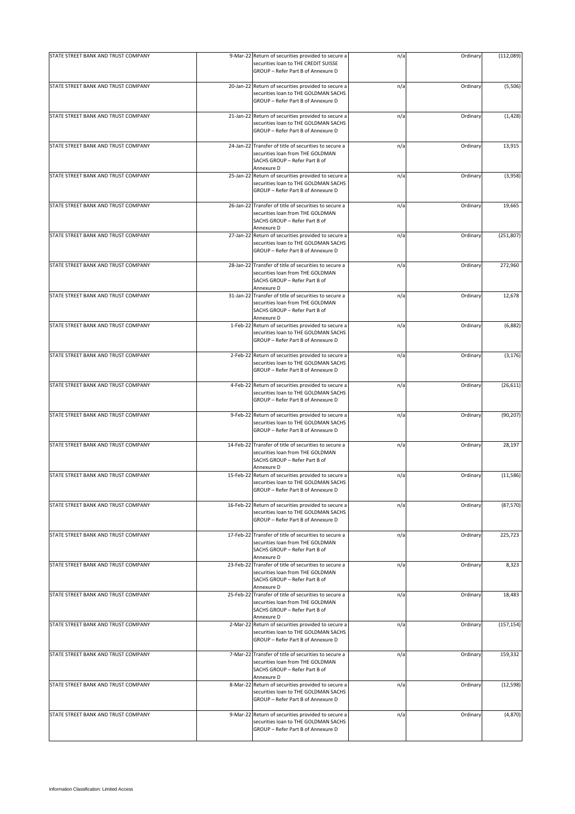|                                     |                                                                                                                                          |     |          | (112,089)  |
|-------------------------------------|------------------------------------------------------------------------------------------------------------------------------------------|-----|----------|------------|
| STATE STREET BANK AND TRUST COMPANY | 9-Mar-22 Return of securities provided to secure a<br>securities loan to THE CREDIT SUISSE<br>GROUP - Refer Part B of Annexure D         | n/a | Ordinary |            |
| STATE STREET BANK AND TRUST COMPANY | 20-Jan-22 Return of securities provided to secure a<br>securities loan to THE GOLDMAN SACHS<br>GROUP - Refer Part B of Annexure D        | n/a | Ordinary | (5,506)    |
| STATE STREET BANK AND TRUST COMPANY | 21-Jan-22 Return of securities provided to secure a<br>securities loan to THE GOLDMAN SACHS<br>GROUP - Refer Part B of Annexure D        | n/a | Ordinary | (1, 428)   |
| STATE STREET BANK AND TRUST COMPANY | 24-Jan-22 Transfer of title of securities to secure a<br>securities loan from THE GOLDMAN<br>SACHS GROUP - Refer Part B of<br>Annexure D | n/a | Ordinary | 13,915     |
| STATE STREET BANK AND TRUST COMPANY | 25-Jan-22 Return of securities provided to secure a<br>securities loan to THE GOLDMAN SACHS<br>GROUP - Refer Part B of Annexure D        | n/a | Ordinary | (3,958)    |
| STATE STREET BANK AND TRUST COMPANY | 26-Jan-22 Transfer of title of securities to secure a<br>securities loan from THE GOLDMAN<br>SACHS GROUP - Refer Part B of<br>Annexure D | n/a | Ordinary | 19,665     |
| STATE STREET BANK AND TRUST COMPANY | 27-Jan-22 Return of securities provided to secure a<br>securities loan to THE GOLDMAN SACHS<br>GROUP - Refer Part B of Annexure D        | n/a | Ordinary | (251, 807) |
| STATE STREET BANK AND TRUST COMPANY | 28-Jan-22 Transfer of title of securities to secure a<br>securities loan from THE GOLDMAN<br>SACHS GROUP - Refer Part B of<br>Annexure D | n/a | Ordinary | 272,960    |
| STATE STREET BANK AND TRUST COMPANY | 31-Jan-22 Transfer of title of securities to secure a<br>securities loan from THE GOLDMAN<br>SACHS GROUP - Refer Part B of<br>Annexure D | n/a | Ordinary | 12,678     |
| STATE STREET BANK AND TRUST COMPANY | 1-Feb-22 Return of securities provided to secure a<br>securities loan to THE GOLDMAN SACHS<br>GROUP - Refer Part B of Annexure D         | n/a | Ordinary | (6,882)    |
| STATE STREET BANK AND TRUST COMPANY | 2-Feb-22 Return of securities provided to secure a<br>securities loan to THE GOLDMAN SACHS<br>GROUP - Refer Part B of Annexure D         | n/a | Ordinary | (3, 176)   |
| STATE STREET BANK AND TRUST COMPANY | 4-Feb-22 Return of securities provided to secure a<br>securities loan to THE GOLDMAN SACHS<br>GROUP - Refer Part B of Annexure D         | n/a | Ordinary | (26, 611)  |
| STATE STREET BANK AND TRUST COMPANY | 9-Feb-22 Return of securities provided to secure a<br>securities loan to THE GOLDMAN SACHS<br>GROUP - Refer Part B of Annexure D         | n/a | Ordinary | (90, 207)  |
| STATE STREET BANK AND TRUST COMPANY | 14-Feb-22 Transfer of title of securities to secure a<br>securities loan from THE GOLDMAN<br>SACHS GROUP - Refer Part B of<br>Annexure D | n/a | Ordinary | 28,197     |
| STATE STREET BANK AND TRUST COMPANY | 15-Feb-22 Return of securities provided to secure a<br>securities loan to THE GOLDMAN SACHS<br>GROUP - Refer Part B of Annexure D        | n/a | Ordinary | (11, 586)  |
| STATE STREET BANK AND TRUST COMPANY | 16-Feb-22 Return of securities provided to secure a<br>securities loan to THE GOLDMAN SACHS<br>GROUP - Refer Part B of Annexure D        | n/a | Ordinary | (87, 570)  |
| STATE STREET BANK AND TRUST COMPANY | 17-Feb-22 Transfer of title of securities to secure a<br>securities loan from THE GOLDMAN<br>SACHS GROUP - Refer Part B of<br>Annexure D | n/a | Ordinary | 225,723    |
| STATE STREET BANK AND TRUST COMPANY | 23-Feb-22 Transfer of title of securities to secure a<br>securities loan from THE GOLDMAN<br>SACHS GROUP - Refer Part B of<br>Annexure D | n/a | Ordinary | 8,323      |
| STATE STREET BANK AND TRUST COMPANY | 25-Feb-22 Transfer of title of securities to secure a<br>securities loan from THE GOLDMAN<br>SACHS GROUP - Refer Part B of<br>Annexure D | n/a | Ordinary | 18,483     |
| STATE STREET BANK AND TRUST COMPANY | 2-Mar-22 Return of securities provided to secure a<br>securities loan to THE GOLDMAN SACHS<br>GROUP - Refer Part B of Annexure D         | n/a | Ordinary | (157, 154) |
| STATE STREET BANK AND TRUST COMPANY | 7-Mar-22 Transfer of title of securities to secure a<br>securities loan from THE GOLDMAN<br>SACHS GROUP - Refer Part B of<br>Annexure D  | n/a | Ordinary | 159,332    |
| STATE STREET BANK AND TRUST COMPANY | 8-Mar-22 Return of securities provided to secure a<br>securities loan to THE GOLDMAN SACHS<br>GROUP - Refer Part B of Annexure D         | n/a | Ordinary | (12, 598)  |
| STATE STREET BANK AND TRUST COMPANY | 9-Mar-22 Return of securities provided to secure a<br>securities loan to THE GOLDMAN SACHS<br>GROUP - Refer Part B of Annexure D         | n/a | Ordinary | (4,870)    |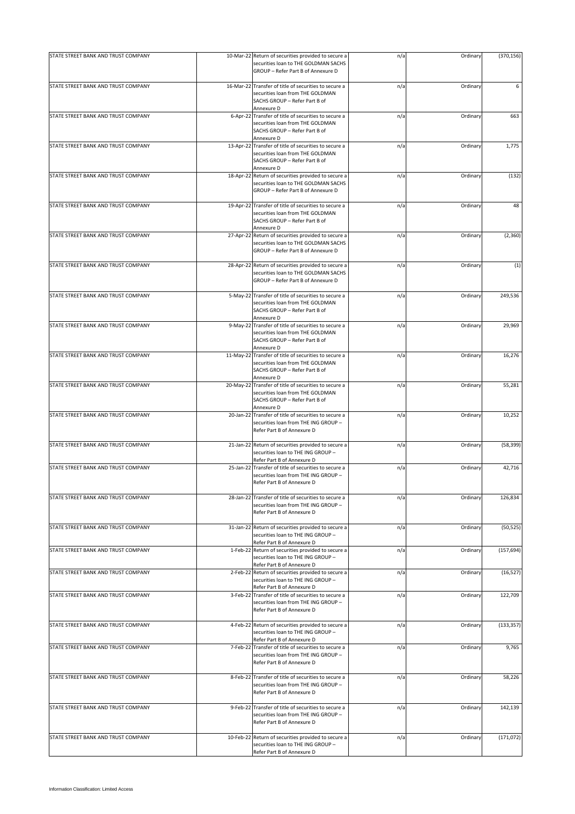| STATE STREET BANK AND TRUST COMPANY | 10-Mar-22 Return of securities provided to secure a<br>securities loan to THE GOLDMAN SACHS<br>GROUP - Refer Part B of Annexure D        | n/a | Ordinary | (370, 156) |
|-------------------------------------|------------------------------------------------------------------------------------------------------------------------------------------|-----|----------|------------|
|                                     |                                                                                                                                          |     |          |            |
| STATE STREET BANK AND TRUST COMPANY | 16-Mar-22 Transfer of title of securities to secure a<br>securities loan from THE GOLDMAN<br>SACHS GROUP - Refer Part B of<br>Annexure D | n/a | Ordinary | 6          |
| STATE STREET BANK AND TRUST COMPANY | 6-Apr-22 Transfer of title of securities to secure a<br>securities loan from THE GOLDMAN<br>SACHS GROUP - Refer Part B of<br>Annexure D  | n/a | Ordinary | 663        |
| STATE STREET BANK AND TRUST COMPANY | 13-Apr-22 Transfer of title of securities to secure a<br>securities loan from THE GOLDMAN<br>SACHS GROUP - Refer Part B of<br>Annexure D | n/a | Ordinary | 1,775      |
| STATE STREET BANK AND TRUST COMPANY | 18-Apr-22 Return of securities provided to secure a<br>securities loan to THE GOLDMAN SACHS<br>GROUP - Refer Part B of Annexure D        | n/a | Ordinary | (132)      |
| STATE STREET BANK AND TRUST COMPANY | 19-Apr-22 Transfer of title of securities to secure a<br>securities loan from THE GOLDMAN<br>SACHS GROUP - Refer Part B of<br>Annexure D | n/a | Ordinary | 48         |
| STATE STREET BANK AND TRUST COMPANY | 27-Apr-22 Return of securities provided to secure a<br>securities loan to THE GOLDMAN SACHS<br>GROUP - Refer Part B of Annexure D        | n/a | Ordinary | (2,360)    |
| STATE STREET BANK AND TRUST COMPANY | 28-Apr-22 Return of securities provided to secure a<br>securities loan to THE GOLDMAN SACHS<br>GROUP - Refer Part B of Annexure D        | n/a | Ordinary | (1)        |
| STATE STREET BANK AND TRUST COMPANY | 5-May-22 Transfer of title of securities to secure a<br>securities loan from THE GOLDMAN<br>SACHS GROUP - Refer Part B of<br>Annexure D  | n/a | Ordinary | 249,536    |
| STATE STREET BANK AND TRUST COMPANY | 9-May-22 Transfer of title of securities to secure a<br>securities loan from THE GOLDMAN<br>SACHS GROUP - Refer Part B of<br>Annexure D  | n/a | Ordinary | 29,969     |
| STATE STREET BANK AND TRUST COMPANY | 11-May-22 Transfer of title of securities to secure a<br>securities loan from THE GOLDMAN<br>SACHS GROUP - Refer Part B of<br>Annexure D | n/a | Ordinary | 16,276     |
| STATE STREET BANK AND TRUST COMPANY | 20-May-22 Transfer of title of securities to secure a<br>securities loan from THE GOLDMAN<br>SACHS GROUP - Refer Part B of<br>Annexure D | n/a | Ordinary | 55,281     |
| STATE STREET BANK AND TRUST COMPANY | 20-Jan-22 Transfer of title of securities to secure a<br>securities loan from THE ING GROUP -<br>Refer Part B of Annexure D              | n/a | Ordinary | 10,252     |
| STATE STREET BANK AND TRUST COMPANY | 21-Jan-22 Return of securities provided to secure a<br>securities loan to THE ING GROUP -<br>Refer Part B of Annexure D                  | n/a | Ordinary | (58, 399)  |
| STATE STREET BANK AND TRUST COMPANY | 25-Jan-22 Transfer of title of securities to secure a<br>securities loan from THE ING GROUP -<br>Refer Part B of Annexure D              | n/a | Ordinary | 42,716     |
| STATE STREET BANK AND TRUST COMPANY | 28-Jan-22 Transfer of title of securities to secure a<br>securities loan from THE ING GROUP -<br>Refer Part B of Annexure D              | n/a | Ordinary | 126,834    |
| STATE STREET BANK AND TRUST COMPANY | 31-Jan-22 Return of securities provided to secure a<br>securities loan to THE ING GROUP -<br>Refer Part B of Annexure D                  | n/a | Ordinary | (50, 525)  |
| STATE STREET BANK AND TRUST COMPANY | 1-Feb-22 Return of securities provided to secure a<br>securities loan to THE ING GROUP -<br>Refer Part B of Annexure D                   | n/a | Ordinary | (157, 694) |
| STATE STREET BANK AND TRUST COMPANY | 2-Feb-22 Return of securities provided to secure a<br>securities loan to THE ING GROUP -<br>Refer Part B of Annexure D                   | n/a | Ordinary | (16, 527)  |
| STATE STREET BANK AND TRUST COMPANY | 3-Feb-22 Transfer of title of securities to secure a<br>securities loan from THE ING GROUP -<br>Refer Part B of Annexure D               | n/a | Ordinary | 122,709    |
| STATE STREET BANK AND TRUST COMPANY | 4-Feb-22 Return of securities provided to secure a<br>securities loan to THE ING GROUP -<br>Refer Part B of Annexure D                   | n/a | Ordinary | (133, 357) |
| STATE STREET BANK AND TRUST COMPANY | 7-Feb-22 Transfer of title of securities to secure a<br>securities loan from THE ING GROUP -<br>Refer Part B of Annexure D               | n/a | Ordinary | 9,765      |
| STATE STREET BANK AND TRUST COMPANY | 8-Feb-22 Transfer of title of securities to secure a<br>securities loan from THE ING GROUP -<br>Refer Part B of Annexure D               | n/a | Ordinary | 58,226     |
| STATE STREET BANK AND TRUST COMPANY | 9-Feb-22 Transfer of title of securities to secure a<br>securities loan from THE ING GROUP -<br>Refer Part B of Annexure D               | n/a | Ordinary | 142,139    |
| STATE STREET BANK AND TRUST COMPANY | 10-Feb-22 Return of securities provided to secure a<br>securities loan to THE ING GROUP -<br>Refer Part B of Annexure D                  | n/a | Ordinary | (171, 072) |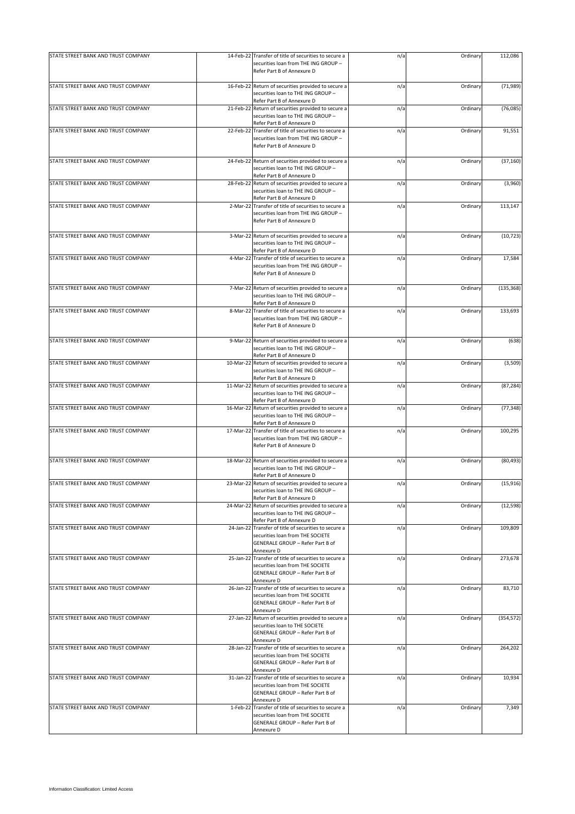| STATE STREET BANK AND TRUST COMPANY |           | 14-Feb-22 Transfer of title of securities to secure a<br>securities loan from THE ING GROUP -<br>Refer Part B of Annexure D                 | n/a | Ordinary | 112,086    |
|-------------------------------------|-----------|---------------------------------------------------------------------------------------------------------------------------------------------|-----|----------|------------|
|                                     |           |                                                                                                                                             |     |          |            |
| STATE STREET BANK AND TRUST COMPANY |           | 16-Feb-22 Return of securities provided to secure a<br>securities loan to THE ING GROUP -<br>Refer Part B of Annexure D                     | n/a | Ordinary | (71, 989)  |
| STATE STREET BANK AND TRUST COMPANY |           | 21-Feb-22 Return of securities provided to secure a<br>securities loan to THE ING GROUP -<br>Refer Part B of Annexure D                     | n/a | Ordinary | (76,085)   |
| STATE STREET BANK AND TRUST COMPANY | 22-Feb-22 | Transfer of title of securities to secure a                                                                                                 | n/a | Ordinary | 91,551     |
|                                     |           | securities loan from THE ING GROUP -<br>Refer Part B of Annexure D                                                                          |     |          |            |
| STATE STREET BANK AND TRUST COMPANY |           | 24-Feb-22 Return of securities provided to secure a                                                                                         | n/a | Ordinary | (37, 160)  |
|                                     |           | securities loan to THE ING GROUP -<br>Refer Part B of Annexure D                                                                            |     |          |            |
| STATE STREET BANK AND TRUST COMPANY |           | 28-Feb-22 Return of securities provided to secure a<br>securities loan to THE ING GROUP -<br>Refer Part B of Annexure D                     | n/a | Ordinary | (3,960)    |
| STATE STREET BANK AND TRUST COMPANY |           | 2-Mar-22 Transfer of title of securities to secure a<br>securities loan from THE ING GROUP -<br>Refer Part B of Annexure D                  | n/a | Ordinary | 113,147    |
| STATE STREET BANK AND TRUST COMPANY |           | 3-Mar-22 Return of securities provided to secure a<br>securities loan to THE ING GROUP -<br>Refer Part B of Annexure D                      | n/a | Ordinary | (10, 723)  |
| STATE STREET BANK AND TRUST COMPANY | 4-Mar-22  | Transfer of title of securities to secure a                                                                                                 | n/a | Ordinary | 17,584     |
|                                     |           | securities loan from THE ING GROUP -<br>Refer Part B of Annexure D                                                                          |     |          |            |
| STATE STREET BANK AND TRUST COMPANY |           | 7-Mar-22 Return of securities provided to secure a<br>securities loan to THE ING GROUP -                                                    | n/a | Ordinary | (135, 368) |
| STATE STREET BANK AND TRUST COMPANY |           | Refer Part B of Annexure D<br>8-Mar-22 Transfer of title of securities to secure a                                                          | n/a | Ordinary | 133,693    |
|                                     |           | securities loan from THE ING GROUP -<br>Refer Part B of Annexure D                                                                          |     |          |            |
| STATE STREET BANK AND TRUST COMPANY |           | 9-Mar-22 Return of securities provided to secure a<br>securities loan to THE ING GROUP -<br>Refer Part B of Annexure D                      | n/a | Ordinary | (638)      |
| STATE STREET BANK AND TRUST COMPANY |           | 10-Mar-22 Return of securities provided to secure a<br>securities loan to THE ING GROUP -<br>Refer Part B of Annexure D                     | n/a | Ordinary | (3,509)    |
| STATE STREET BANK AND TRUST COMPANY |           | 11-Mar-22 Return of securities provided to secure a                                                                                         | n/a | Ordinary | (87, 284)  |
|                                     |           | securities loan to THE ING GROUP -<br>Refer Part B of Annexure D                                                                            |     |          |            |
| STATE STREET BANK AND TRUST COMPANY |           | 16-Mar-22 Return of securities provided to secure a<br>securities loan to THE ING GROUP -<br>Refer Part B of Annexure D                     | n/a | Ordinary | (77, 348)  |
| STATE STREET BANK AND TRUST COMPANY |           | 17-Mar-22 Transfer of title of securities to secure a<br>securities loan from THE ING GROUP -<br>Refer Part B of Annexure D                 | n/a | Ordinary | 100,295    |
| STATE STREET BANK AND TRUST COMPANY |           | 18-Mar-22 Return of securities provided to secure a<br>securities loan to THE ING GROUP -<br>Refer Part B of Annexure D                     | n/a | Ordinary | (80, 493)  |
| STATE STREET BANK AND TRUST COMPANY |           | 23-Mar-22 Return of securities provided to secure a<br>securities loan to THE ING GROUP -                                                   | n/a | Ordinary | (15, 916)  |
| STATE STREET BANK AND TRUST COMPANY |           | Refer Part B of Annexure D<br>24-Mar-22 Return of securities provided to secure a                                                           | n/a | Ordinary | (12, 598)  |
|                                     |           | securities loan to THE ING GROUP -<br>Refer Part B of Annexure D                                                                            |     |          |            |
| STATE STREET BANK AND TRUST COMPANY |           | 24-Jan-22 Transfer of title of securities to secure a                                                                                       | n/a | Ordinary | 109,809    |
|                                     |           | securities loan from THE SOCIETE<br>GENERALE GROUP - Refer Part B of<br>Annexure D                                                          |     |          |            |
| STATE STREET BANK AND TRUST COMPANY |           | 25-Jan-22 Transfer of title of securities to secure a                                                                                       | n/a | Ordinary | 273,678    |
|                                     |           | securities loan from THE SOCIETE<br>GENERALE GROUP - Refer Part B of<br>Annexure D                                                          |     |          |            |
| STATE STREET BANK AND TRUST COMPANY |           | 26-Jan-22 Transfer of title of securities to secure a                                                                                       | n/a | Ordinary | 83,710     |
|                                     |           | securities loan from THE SOCIETE<br>GENERALE GROUP - Refer Part B of<br>Annexure D                                                          |     |          |            |
| STATE STREET BANK AND TRUST COMPANY |           | 27-Jan-22 Return of securities provided to secure a                                                                                         | n/a | Ordinary | (354, 572) |
|                                     |           | securities loan to THE SOCIETE<br>GENERALE GROUP - Refer Part B of<br>Annexure D                                                            |     |          |            |
| STATE STREET BANK AND TRUST COMPANY |           | 28-Jan-22 Transfer of title of securities to secure a<br>securities loan from THE SOCIETE<br>GENERALE GROUP - Refer Part B of<br>Annexure D | n/a | Ordinary | 264,202    |
| STATE STREET BANK AND TRUST COMPANY |           | 31-Jan-22 Transfer of title of securities to secure a<br>securities loan from THE SOCIETE<br>GENERALE GROUP - Refer Part B of<br>Annexure D | n/a | Ordinary | 10,934     |
| STATE STREET BANK AND TRUST COMPANY |           | 1-Feb-22 Transfer of title of securities to secure a<br>securities loan from THE SOCIETE<br>GENERALE GROUP - Refer Part B of<br>Annexure D  | n/a | Ordinary | 7,349      |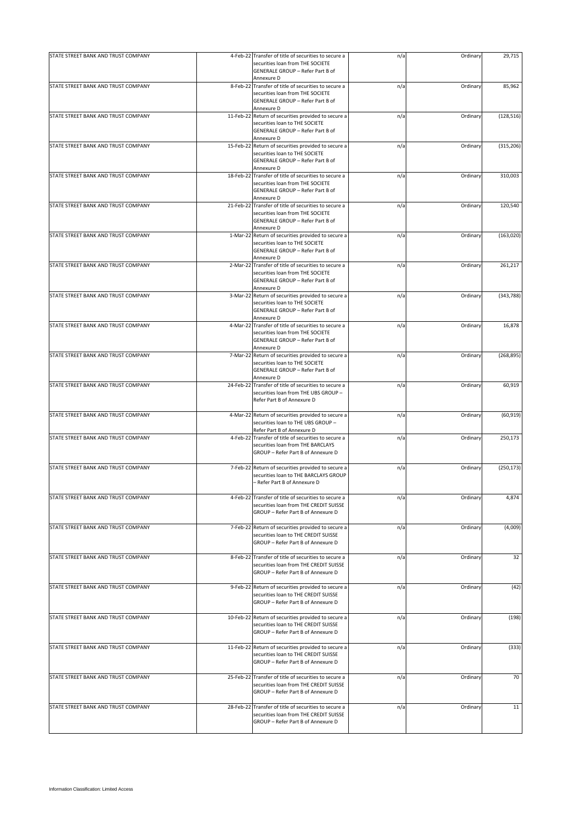| STATE STREET BANK AND TRUST COMPANY | 4-Feb-22 Transfer of title of securities to secure a                                            | n/a | Ordinary | 29,715     |
|-------------------------------------|-------------------------------------------------------------------------------------------------|-----|----------|------------|
|                                     | securities loan from THE SOCIETE<br>GENERALE GROUP - Refer Part B of                            |     |          |            |
| STATE STREET BANK AND TRUST COMPANY | Annexure D<br>8-Feb-22 Transfer of title of securities to secure a                              | n/a | Ordinary | 85,962     |
|                                     | securities loan from THE SOCIETE                                                                |     |          |            |
|                                     | GENERALE GROUP - Refer Part B of                                                                |     |          |            |
|                                     | Annexure D                                                                                      |     |          |            |
| STATE STREET BANK AND TRUST COMPANY | 11-Feb-22 Return of securities provided to secure a                                             | n/a | Ordinary | (128, 516) |
|                                     | securities loan to THE SOCIETE<br>GENERALE GROUP - Refer Part B of                              |     |          |            |
|                                     | Annexure D                                                                                      |     |          |            |
| STATE STREET BANK AND TRUST COMPANY | 15-Feb-22 Return of securities provided to secure a                                             | n/a | Ordinary | (315, 206) |
|                                     | securities loan to THE SOCIETE                                                                  |     |          |            |
|                                     | GENERALE GROUP - Refer Part B of                                                                |     |          |            |
|                                     | Annexure D                                                                                      |     |          |            |
| STATE STREET BANK AND TRUST COMPANY | 18-Feb-22 Transfer of title of securities to secure a                                           | n/a | Ordinary | 310,003    |
|                                     | securities loan from THE SOCIETE<br>GENERALE GROUP - Refer Part B of                            |     |          |            |
|                                     | Annexure D                                                                                      |     |          |            |
| STATE STREET BANK AND TRUST COMPANY | 21-Feb-22 Transfer of title of securities to secure a                                           | n/a | Ordinary | 120,540    |
|                                     | securities loan from THE SOCIETE                                                                |     |          |            |
|                                     | GENERALE GROUP - Refer Part B of                                                                |     |          |            |
|                                     | Annexure D                                                                                      |     |          |            |
| STATE STREET BANK AND TRUST COMPANY | 1-Mar-22 Return of securities provided to secure a                                              | n/a | Ordinary | (163, 020) |
|                                     | securities loan to THE SOCIETE                                                                  |     |          |            |
|                                     | GENERALE GROUP - Refer Part B of<br>Annexure D                                                  |     |          |            |
| STATE STREET BANK AND TRUST COMPANY | 2-Mar-22 Transfer of title of securities to secure a                                            | n/a | Ordinary | 261,217    |
|                                     | securities loan from THE SOCIETE                                                                |     |          |            |
|                                     | GENERALE GROUP - Refer Part B of                                                                |     |          |            |
|                                     | Annexure D                                                                                      |     |          |            |
| STATE STREET BANK AND TRUST COMPANY | 3-Mar-22 Return of securities provided to secure a                                              | n/a | Ordinary | (343, 788) |
|                                     | securities loan to THE SOCIETE                                                                  |     |          |            |
|                                     | <b>GENERALE GROUP - Refer Part B of</b><br>Annexure D                                           |     |          |            |
| STATE STREET BANK AND TRUST COMPANY | 4-Mar-22 Transfer of title of securities to secure a                                            | n/a | Ordinary | 16,878     |
|                                     | securities loan from THE SOCIETE                                                                |     |          |            |
|                                     | GENERALE GROUP - Refer Part B of                                                                |     |          |            |
|                                     | Annexure D                                                                                      |     |          |            |
| STATE STREET BANK AND TRUST COMPANY | 7-Mar-22 Return of securities provided to secure a                                              | n/a | Ordinary | (268, 895) |
|                                     | securities loan to THE SOCIETE                                                                  |     |          |            |
|                                     | GENERALE GROUP - Refer Part B of                                                                |     |          |            |
| STATE STREET BANK AND TRUST COMPANY | Annexure D<br>24-Feb-22 Transfer of title of securities to secure a                             | n/a | Ordinary | 60,919     |
|                                     | securities loan from THE UBS GROUP -                                                            |     |          |            |
|                                     | Refer Part B of Annexure D                                                                      |     |          |            |
|                                     |                                                                                                 |     |          |            |
| STATE STREET BANK AND TRUST COMPANY | 4-Mar-22 Return of securities provided to secure a                                              | n/a | Ordinary | (60, 919)  |
|                                     | securities loan to THE UBS GROUP -                                                              |     |          |            |
| STATE STREET BANK AND TRUST COMPANY | Refer Part B of Annexure D                                                                      |     |          |            |
|                                     | 4-Feb-22 Transfer of title of securities to secure a<br>securities loan from THE BARCLAYS       | n/a | Ordinary | 250,173    |
|                                     | GROUP - Refer Part B of Annexure D                                                              |     |          |            |
|                                     |                                                                                                 |     |          |            |
| STATE STREET BANK AND TRUST COMPANY | 7-Feb-22 Return of securities provided to secure a                                              | n/a | Ordinary | (250, 173) |
|                                     | securities loan to THE BARCLAYS GROUP                                                           |     |          |            |
|                                     | - Refer Part B of Annexure D                                                                    |     |          |            |
| STATE STREET BANK AND TRUST COMPANY | 4-Feb-22 Transfer of title of securities to secure a                                            |     | Ordinary | 4,874      |
|                                     | securities loan from THE CREDIT SUISSE                                                          | n/a |          |            |
|                                     | GROUP - Refer Part B of Annexure D                                                              |     |          |            |
|                                     |                                                                                                 |     |          |            |
| STATE STREET BANK AND TRUST COMPANY | 7-Feb-22 Return of securities provided to secure a                                              | n/a | Ordinary | (4,009)    |
|                                     | securities loan to THE CREDIT SUISSE                                                            |     |          |            |
|                                     | GROUP - Refer Part B of Annexure D                                                              |     |          |            |
| STATE STREET BANK AND TRUST COMPANY | 8-Feb-22 Transfer of title of securities to secure a                                            |     | Ordinary | 32         |
|                                     | securities loan from THE CREDIT SUISSE                                                          | n/a |          |            |
|                                     | GROUP - Refer Part B of Annexure D                                                              |     |          |            |
|                                     |                                                                                                 |     |          |            |
| STATE STREET BANK AND TRUST COMPANY | 9-Feb-22 Return of securities provided to secure a                                              | n/a | Ordinary | (42)       |
|                                     | securities loan to THE CREDIT SUISSE                                                            |     |          |            |
|                                     | GROUP - Refer Part B of Annexure D                                                              |     |          |            |
|                                     |                                                                                                 |     |          |            |
| STATE STREET BANK AND TRUST COMPANY | 10-Feb-22 Return of securities provided to secure a<br>securities loan to THE CREDIT SUISSE     | n/a | Ordinary | (198)      |
|                                     | GROUP - Refer Part B of Annexure D                                                              |     |          |            |
|                                     |                                                                                                 |     |          |            |
| STATE STREET BANK AND TRUST COMPANY | 11-Feb-22 Return of securities provided to secure a                                             | n/a | Ordinary | (333)      |
|                                     | securities loan to THE CREDIT SUISSE                                                            |     |          |            |
|                                     | GROUP - Refer Part B of Annexure D                                                              |     |          |            |
|                                     |                                                                                                 |     |          |            |
| STATE STREET BANK AND TRUST COMPANY | 25-Feb-22 Transfer of title of securities to secure a<br>securities loan from THE CREDIT SUISSE | n/a | Ordinary | 70         |
|                                     | GROUP - Refer Part B of Annexure D                                                              |     |          |            |
|                                     |                                                                                                 |     |          |            |
| STATE STREET BANK AND TRUST COMPANY | 28-Feb-22 Transfer of title of securities to secure a                                           | n/a | Ordinary | 11         |
|                                     | securities loan from THE CREDIT SUISSE                                                          |     |          |            |
|                                     | GROUP - Refer Part B of Annexure D                                                              |     |          |            |
|                                     |                                                                                                 |     |          |            |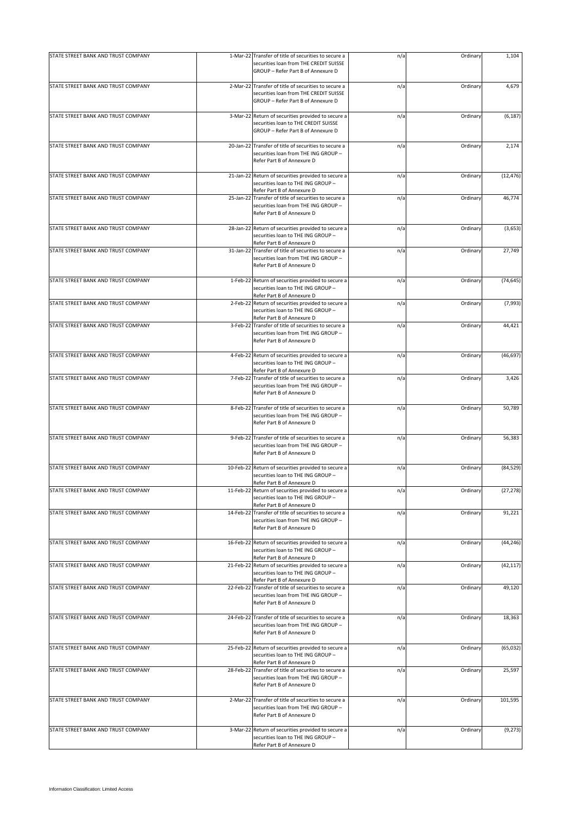| STATE STREET BANK AND TRUST COMPANY | 1-Mar-22 Transfer of title of securities to secure a                                          |     | Ordinary | 1,104     |
|-------------------------------------|-----------------------------------------------------------------------------------------------|-----|----------|-----------|
|                                     | securities loan from THE CREDIT SUISSE<br>GROUP - Refer Part B of Annexure D                  | n/a |          |           |
| STATE STREET BANK AND TRUST COMPANY | 2-Mar-22 Transfer of title of securities to secure a                                          | n/a | Ordinary | 4,679     |
|                                     | securities loan from THE CREDIT SUISSE<br>GROUP - Refer Part B of Annexure D                  |     |          |           |
| STATE STREET BANK AND TRUST COMPANY | 3-Mar-22 Return of securities provided to secure a                                            | n/a | Ordinary | (6, 187)  |
|                                     | securities loan to THE CREDIT SUISSE<br>GROUP - Refer Part B of Annexure D                    |     |          |           |
| STATE STREET BANK AND TRUST COMPANY | 20-Jan-22 Transfer of title of securities to secure a                                         | n/a | Ordinary | 2,174     |
|                                     | securities loan from THE ING GROUP -<br>Refer Part B of Annexure D                            |     |          |           |
| STATE STREET BANK AND TRUST COMPANY | 21-Jan-22 Return of securities provided to secure a                                           | n/a | Ordinary | (12, 476) |
|                                     | securities loan to THE ING GROUP -<br>Refer Part B of Annexure D                              |     |          |           |
| STATE STREET BANK AND TRUST COMPANY | 25-Jan-22 Transfer of title of securities to secure a                                         | n/a | Ordinary | 46,774    |
|                                     | securities loan from THE ING GROUP -<br>Refer Part B of Annexure D                            |     |          |           |
| STATE STREET BANK AND TRUST COMPANY | 28-Jan-22 Return of securities provided to secure a                                           | n/a | Ordinary | (3,653)   |
|                                     | securities loan to THE ING GROUP -<br>Refer Part B of Annexure D                              |     |          |           |
| STATE STREET BANK AND TRUST COMPANY | 31-Jan-22 Transfer of title of securities to secure a                                         | n/a | Ordinary | 27,749    |
|                                     | securities loan from THE ING GROUP -                                                          |     |          |           |
|                                     | Refer Part B of Annexure D                                                                    |     |          |           |
| STATE STREET BANK AND TRUST COMPANY | 1-Feb-22 Return of securities provided to secure a                                            | n/a | Ordinary | (74, 645) |
|                                     | securities loan to THE ING GROUP -                                                            |     |          |           |
|                                     | Refer Part B of Annexure D                                                                    |     |          |           |
| STATE STREET BANK AND TRUST COMPANY | 2-Feb-22 Return of securities provided to secure a<br>securities loan to THE ING GROUP -      | n/a | Ordinary | (7,993)   |
|                                     | Refer Part B of Annexure D                                                                    |     |          |           |
| STATE STREET BANK AND TRUST COMPANY | 3-Feb-22 Transfer of title of securities to secure a                                          | n/a | Ordinary | 44,421    |
|                                     | securities loan from THE ING GROUP -<br>Refer Part B of Annexure D                            |     |          |           |
| STATE STREET BANK AND TRUST COMPANY | 4-Feb-22 Return of securities provided to secure a                                            | n/a | Ordinary | (46, 697) |
|                                     | securities loan to THE ING GROUP -                                                            |     |          |           |
| STATE STREET BANK AND TRUST COMPANY | Refer Part B of Annexure D<br>7-Feb-22 Transfer of title of securities to secure a            | n/a | Ordinary | 3,426     |
|                                     | securities loan from THE ING GROUP -<br>Refer Part B of Annexure D                            |     |          |           |
| STATE STREET BANK AND TRUST COMPANY | 8-Feb-22 Transfer of title of securities to secure a                                          | n/a | Ordinary | 50,789    |
|                                     | securities loan from THE ING GROUP -<br>Refer Part B of Annexure D                            |     |          |           |
| STATE STREET BANK AND TRUST COMPANY | 9-Feb-22 Transfer of title of securities to secure a                                          | n/a | Ordinary | 56,383    |
|                                     | securities loan from THE ING GROUP -<br>Refer Part B of Annexure D                            |     |          |           |
| STATE STREET BANK AND TRUST COMPANY | 10-Feb-22 Return of securities provided to secure a                                           | n/a | Ordinary | (84, 529) |
|                                     | securities loan to THE ING GROUP -<br>Refer Part B of Annexure D                              |     |          |           |
| STATE STREET BANK AND TRUST COMPANY | 11-Feb-22 Return of securities provided to secure a                                           | n/a | Ordinary | (27, 278) |
|                                     | securities loan to THE ING GROUP -                                                            |     |          |           |
|                                     | Refer Part B of Annexure D                                                                    |     |          |           |
| STATE STREET BANK AND TRUST COMPANY | 14-Feb-22 Transfer of title of securities to secure a<br>securities loan from THE ING GROUP - | n/a | Ordinary | 91,221    |
|                                     | Refer Part B of Annexure D                                                                    |     |          |           |
|                                     |                                                                                               |     |          |           |
| STATE STREET BANK AND TRUST COMPANY | 16-Feb-22 Return of securities provided to secure a<br>securities loan to THE ING GROUP -     | n/a | Ordinary | (44, 246) |
|                                     | Refer Part B of Annexure D                                                                    |     |          |           |
| STATE STREET BANK AND TRUST COMPANY | 21-Feb-22 Return of securities provided to secure a<br>securities loan to THE ING GROUP -     | n/a | Ordinary | (42, 117) |
| STATE STREET BANK AND TRUST COMPANY | Refer Part B of Annexure D<br>22-Feb-22 Transfer of title of securities to secure a           | n/a | Ordinary | 49,120    |
|                                     | securities loan from THE ING GROUP -<br>Refer Part B of Annexure D                            |     |          |           |
| STATE STREET BANK AND TRUST COMPANY | 24-Feb-22 Transfer of title of securities to secure a                                         | n/a | Ordinary | 18,363    |
|                                     | securities loan from THE ING GROUP -<br>Refer Part B of Annexure D                            |     |          |           |
| STATE STREET BANK AND TRUST COMPANY | 25-Feb-22 Return of securities provided to secure a                                           | n/a | Ordinary | (65, 032) |
|                                     | securities loan to THE ING GROUP -                                                            |     |          |           |
| STATE STREET BANK AND TRUST COMPANY | Refer Part B of Annexure D<br>28-Feb-22 Transfer of title of securities to secure a           | n/a | Ordinary | 25,597    |
|                                     | securities loan from THE ING GROUP -<br>Refer Part B of Annexure D                            |     |          |           |
| STATE STREET BANK AND TRUST COMPANY | 2-Mar-22 Transfer of title of securities to secure a                                          |     | Ordinary | 101,595   |
|                                     | securities loan from THE ING GROUP -<br>Refer Part B of Annexure D                            | n/a |          |           |
| STATE STREET BANK AND TRUST COMPANY | 3-Mar-22 Return of securities provided to secure a                                            | n/a | Ordinary | (9, 273)  |
|                                     | securities loan to THE ING GROUP -<br>Refer Part B of Annexure D                              |     |          |           |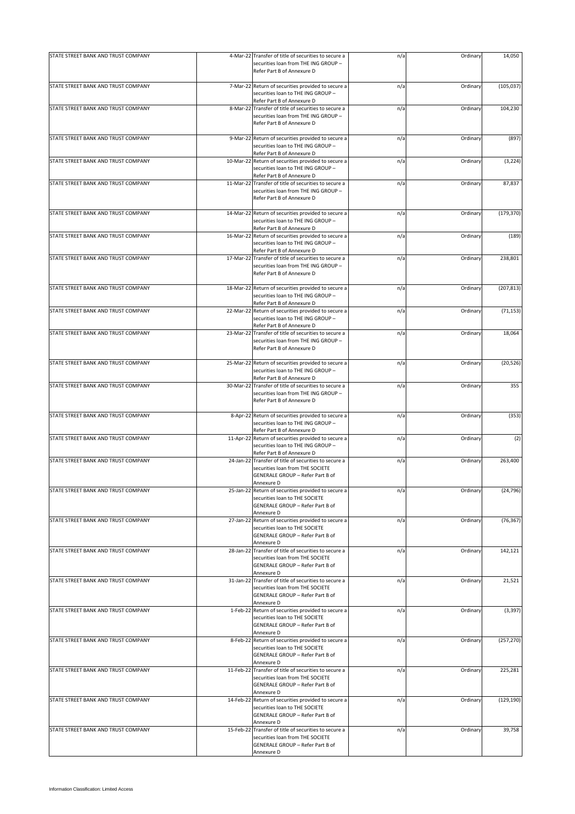| STATE STREET BANK AND TRUST COMPANY | 4-Mar-22 Transfer of title of securities to secure a                                                                                               | n/a | Ordinary | 14,050     |
|-------------------------------------|----------------------------------------------------------------------------------------------------------------------------------------------------|-----|----------|------------|
|                                     | securities loan from THE ING GROUP -<br>Refer Part B of Annexure D                                                                                 |     |          |            |
| STATE STREET BANK AND TRUST COMPANY | 7-Mar-22 Return of securities provided to secure a<br>securities loan to THE ING GROUP -<br>Refer Part B of Annexure D                             | n/a | Ordinary | (105, 037) |
| STATE STREET BANK AND TRUST COMPANY | 8-Mar-22 Transfer of title of securities to secure a<br>securities loan from THE ING GROUP -<br>Refer Part B of Annexure D                         | n/a | Ordinary | 104,230    |
| STATE STREET BANK AND TRUST COMPANY | 9-Mar-22 Return of securities provided to secure a<br>securities loan to THE ING GROUP -<br>Refer Part B of Annexure D                             | n/a | Ordinary | (897)      |
| STATE STREET BANK AND TRUST COMPANY | 10-Mar-22 Return of securities provided to secure a<br>securities loan to THE ING GROUP -<br>Refer Part B of Annexure D                            | n/a | Ordinary | (3, 224)   |
| STATE STREET BANK AND TRUST COMPANY | 11-Mar-22 Transfer of title of securities to secure a<br>securities loan from THE ING GROUP -<br>Refer Part B of Annexure D                        | n/a | Ordinary | 87,837     |
| STATE STREET BANK AND TRUST COMPANY | 14-Mar-22 Return of securities provided to secure a<br>securities loan to THE ING GROUP -<br>Refer Part B of Annexure D                            | n/a | Ordinary | (179, 370) |
| STATE STREET BANK AND TRUST COMPANY | 16-Mar-22 Return of securities provided to secure a<br>securities loan to THE ING GROUP -<br>Refer Part B of Annexure D                            | n/a | Ordinary | (189)      |
| STATE STREET BANK AND TRUST COMPANY | 17-Mar-22 Transfer of title of securities to secure a<br>securities loan from THE ING GROUP -<br>Refer Part B of Annexure D                        | n/a | Ordinary | 238,801    |
| STATE STREET BANK AND TRUST COMPANY | 18-Mar-22 Return of securities provided to secure a<br>securities loan to THE ING GROUP -<br>Refer Part B of Annexure D                            | n/a | Ordinary | (207, 813) |
| STATE STREET BANK AND TRUST COMPANY | 22-Mar-22 Return of securities provided to secure a<br>securities loan to THE ING GROUP -<br>Refer Part B of Annexure D                            | n/a | Ordinary | (71, 153)  |
| STATE STREET BANK AND TRUST COMPANY | 23-Mar-22 Transfer of title of securities to secure a<br>securities loan from THE ING GROUP -<br>Refer Part B of Annexure D                        | n/a | Ordinary | 18,064     |
| STATE STREET BANK AND TRUST COMPANY | 25-Mar-22 Return of securities provided to secure a<br>securities loan to THE ING GROUP -<br>Refer Part B of Annexure D                            | n/a | Ordinary | (20, 526)  |
| STATE STREET BANK AND TRUST COMPANY | 30-Mar-22 Transfer of title of securities to secure a<br>securities loan from THE ING GROUP -<br>Refer Part B of Annexure D                        | n/a | Ordinary | 355        |
| STATE STREET BANK AND TRUST COMPANY | 8-Apr-22 Return of securities provided to secure a<br>securities loan to THE ING GROUP -<br>Refer Part B of Annexure D                             | n/a | Ordinary | (353)      |
| STATE STREET BANK AND TRUST COMPANY | 11-Apr-22 Return of securities provided to secure a<br>securities loan to THE ING GROUP -<br>Refer Part B of Annexure D                            | n/a | Ordinary | (2)        |
| STATE STREET BANK AND TRUST COMPANY | 24-Jan-22 Transfer of title of securities to secure a<br>securities loan from THE SOCIETE<br><b>GENERALE GROUP - Refer Part B of</b><br>Annexure D | n/a | Ordinary | 263,400    |
| STATE STREET BANK AND TRUST COMPANY | 25-Jan-22 Return of securities provided to secure a<br>securities loan to THE SOCIETE<br>GENERALE GROUP - Refer Part B of<br>Annexure D            | n/a | Ordinary | (24, 796)  |
| STATE STREET BANK AND TRUST COMPANY | 27-Jan-22 Return of securities provided to secure a<br>securities loan to THE SOCIETE<br>GENERALE GROUP - Refer Part B of<br>Annexure D            | n/a | Ordinary | (76, 367)  |
| STATE STREET BANK AND TRUST COMPANY | 28-Jan-22 Transfer of title of securities to secure a<br>securities loan from THE SOCIETE<br>GENERALE GROUP - Refer Part B of<br>Annexure D        | n/a | Ordinary | 142,121    |
| STATE STREET BANK AND TRUST COMPANY | 31-Jan-22 Transfer of title of securities to secure a<br>securities loan from THE SOCIETE<br>GENERALE GROUP - Refer Part B of<br>Annexure D        | n/a | Ordinary | 21,521     |
| STATE STREET BANK AND TRUST COMPANY | 1-Feb-22 Return of securities provided to secure a<br>securities loan to THE SOCIETE<br>GENERALE GROUP - Refer Part B of<br>Annexure D             | n/a | Ordinary | (3, 397)   |
| STATE STREET BANK AND TRUST COMPANY | 8-Feb-22 Return of securities provided to secure a<br>securities loan to THE SOCIETE<br>GENERALE GROUP - Refer Part B of<br>Annexure D             | n/a | Ordinary | (257, 270) |
| STATE STREET BANK AND TRUST COMPANY | 11-Feb-22 Transfer of title of securities to secure a<br>securities loan from THE SOCIETE<br>GENERALE GROUP - Refer Part B of<br>Annexure D        | n/a | Ordinary | 225,281    |
| STATE STREET BANK AND TRUST COMPANY | 14-Feb-22 Return of securities provided to secure a<br>securities loan to THE SOCIETE<br>GENERALE GROUP - Refer Part B of<br>Annexure D            | n/a | Ordinary | (129, 190) |
| STATE STREET BANK AND TRUST COMPANY | 15-Feb-22 Transfer of title of securities to secure a<br>securities loan from THE SOCIETE<br>GENERALE GROUP - Refer Part B of<br>Annexure D        | n/a | Ordinary | 39,758     |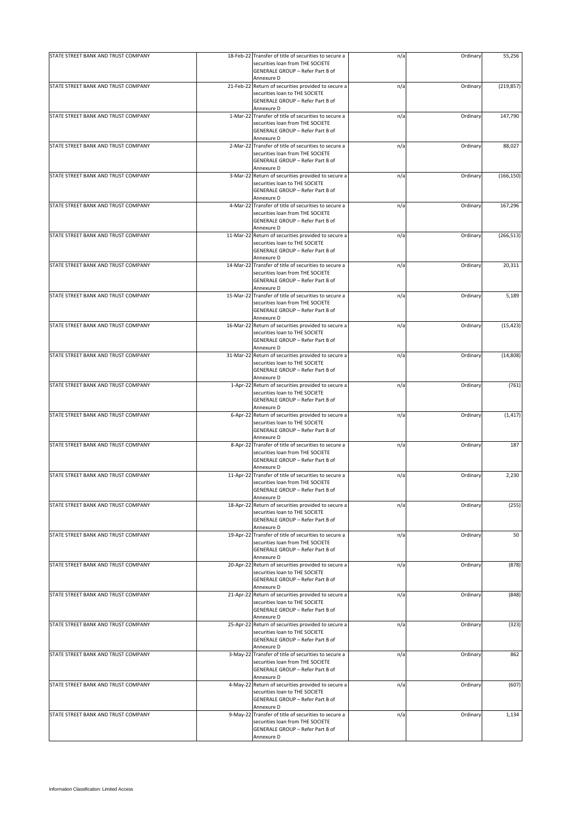| STATE STREET BANK AND TRUST COMPANY | 18-Feb-22 Transfer of title of securities to secure a<br>securities loan from THE SOCIETE | n/a | Ordinary | 55,256     |
|-------------------------------------|-------------------------------------------------------------------------------------------|-----|----------|------------|
|                                     | GENERALE GROUP - Refer Part B of<br>Annexure D                                            |     |          |            |
| STATE STREET BANK AND TRUST COMPANY | 21-Feb-22 Return of securities provided to secure a                                       | n/a | Ordinary | (219, 857) |
|                                     | securities loan to THE SOCIETE<br>GENERALE GROUP - Refer Part B of                        |     |          |            |
|                                     | Annexure D                                                                                |     |          |            |
| STATE STREET BANK AND TRUST COMPANY | 1-Mar-22 Transfer of title of securities to secure a                                      | n/a | Ordinary | 147,790    |
|                                     | securities loan from THE SOCIETE<br>GENERALE GROUP - Refer Part B of                      |     |          |            |
|                                     | Annexure D                                                                                |     |          |            |
| STATE STREET BANK AND TRUST COMPANY | 2-Mar-22 Transfer of title of securities to secure a                                      | n/a | Ordinary | 88,027     |
|                                     | securities loan from THE SOCIETE<br>GENERALE GROUP - Refer Part B of                      |     |          |            |
|                                     | Annexure D                                                                                |     |          |            |
| STATE STREET BANK AND TRUST COMPANY | 3-Mar-22 Return of securities provided to secure a                                        | n/a | Ordinary | (166, 150) |
|                                     | securities loan to THE SOCIETE<br><b>GENERALE GROUP - Refer Part B of</b>                 |     |          |            |
|                                     | Annexure D                                                                                |     |          |            |
| STATE STREET BANK AND TRUST COMPANY | 4-Mar-22 Transfer of title of securities to secure a                                      | n/a | Ordinary | 167,296    |
|                                     | securities loan from THE SOCIETE<br>GENERALE GROUP - Refer Part B of                      |     |          |            |
|                                     | Annexure D                                                                                |     |          |            |
| STATE STREET BANK AND TRUST COMPANY | 11-Mar-22 Return of securities provided to secure a                                       | n/a | Ordinary | (266, 513) |
|                                     | securities loan to THE SOCIETE<br>GENERALE GROUP - Refer Part B of                        |     |          |            |
|                                     | Annexure D                                                                                |     |          |            |
| STATE STREET BANK AND TRUST COMPANY | 14-Mar-22 Transfer of title of securities to secure a                                     | n/a | Ordinary | 20,311     |
|                                     | securities loan from THE SOCIETE<br>GENERALE GROUP - Refer Part B of                      |     |          |            |
|                                     | Annexure D                                                                                |     |          |            |
| STATE STREET BANK AND TRUST COMPANY | 15-Mar-22 Transfer of title of securities to secure a                                     | n/a | Ordinary | 5,189      |
|                                     | securities loan from THE SOCIETE<br>GENERALE GROUP - Refer Part B of                      |     |          |            |
|                                     | Annexure D                                                                                |     |          |            |
| STATE STREET BANK AND TRUST COMPANY | 16-Mar-22 Return of securities provided to secure a                                       | n/a | Ordinary | (15, 423)  |
|                                     | securities loan to THE SOCIETE<br>GENERALE GROUP - Refer Part B of                        |     |          |            |
|                                     | Annexure D                                                                                |     |          |            |
| STATE STREET BANK AND TRUST COMPANY | 31-Mar-22 Return of securities provided to secure a                                       | n/a | Ordinary | (14,808)   |
|                                     | securities loan to THE SOCIETE                                                            |     |          |            |
|                                     | GENERALE GROUP - Refer Part B of<br>Annexure D                                            |     |          |            |
| STATE STREET BANK AND TRUST COMPANY | 1-Apr-22 Return of securities provided to secure a                                        | n/a | Ordinary | (761)      |
|                                     | securities loan to THE SOCIETE                                                            |     |          |            |
|                                     | GENERALE GROUP - Refer Part B of<br>Annexure D                                            |     |          |            |
| STATE STREET BANK AND TRUST COMPANY | 6-Apr-22 Return of securities provided to secure a                                        | n/a | Ordinary | (1, 417)   |
|                                     | securities loan to THE SOCIETE                                                            |     |          |            |
|                                     | GENERALE GROUP - Refer Part B of<br>Annexure D                                            |     |          |            |
| STATE STREET BANK AND TRUST COMPANY | 8-Apr-22 Transfer of title of securities to secure a                                      | n/a | Ordinary | 187        |
|                                     | securities loan from THE SOCIETE                                                          |     |          |            |
|                                     | GENERALE GROUP - Refer Part B of<br>Annexure D                                            |     |          |            |
| STATE STREET BANK AND TRUST COMPANY | 11-Apr-22 Transfer of title of securities to secure a                                     | n/a | Ordinary | 2,230      |
|                                     | securities loan from THE SOCIETE<br>GENERALE GROUP - Refer Part B of                      |     |          |            |
|                                     | Annexure D                                                                                |     |          |            |
| STATE STREET BANK AND TRUST COMPANY | 18-Apr-22 Return of securities provided to secure a                                       | n/a | Ordinary | (255)      |
|                                     | securities loan to THE SOCIETE<br>GENERALE GROUP - Refer Part B of                        |     |          |            |
|                                     | Annexure D                                                                                |     |          |            |
| STATE STREET BANK AND TRUST COMPANY | 19-Apr-22 Transfer of title of securities to secure a                                     | n/a | Ordinary | 50         |
|                                     | securities loan from THE SOCIETE<br>GENERALE GROUP - Refer Part B of                      |     |          |            |
|                                     | Annexure D                                                                                |     |          |            |
| STATE STREET BANK AND TRUST COMPANY | 20-Apr-22 Return of securities provided to secure a                                       | n/a | Ordinary | (878)      |
|                                     | securities loan to THE SOCIETE<br>GENERALE GROUP - Refer Part B of                        |     |          |            |
|                                     | Annexure D                                                                                |     |          |            |
| STATE STREET BANK AND TRUST COMPANY | 21-Apr-22 Return of securities provided to secure a                                       | n/a | Ordinary | (848)      |
|                                     | securities loan to THE SOCIETE                                                            |     |          |            |
|                                     | GENERALE GROUP - Refer Part B of<br>Annexure D                                            |     |          |            |
| STATE STREET BANK AND TRUST COMPANY | 25-Apr-22 Return of securities provided to secure a                                       | n/a | Ordinary | (323)      |
|                                     | securities loan to THE SOCIETE                                                            |     |          |            |
|                                     | GENERALE GROUP - Refer Part B of<br>Annexure D                                            |     |          |            |
| STATE STREET BANK AND TRUST COMPANY | 3-May-22 Transfer of title of securities to secure a                                      | n/a | Ordinary | 862        |
|                                     | securities loan from THE SOCIETE                                                          |     |          |            |
|                                     | GENERALE GROUP - Refer Part B of<br>Annexure D                                            |     |          |            |
| STATE STREET BANK AND TRUST COMPANY | 4-May-22 Return of securities provided to secure a                                        | n/a | Ordinary | (607)      |
|                                     | securities loan to THE SOCIETE                                                            |     |          |            |
|                                     | GENERALE GROUP - Refer Part B of<br>Annexure D                                            |     |          |            |
| STATE STREET BANK AND TRUST COMPANY | 9-May-22 Transfer of title of securities to secure a                                      | n/a | Ordinary | 1,134      |
|                                     | securities loan from THE SOCIETE                                                          |     |          |            |
|                                     | GENERALE GROUP - Refer Part B of<br>Annexure D                                            |     |          |            |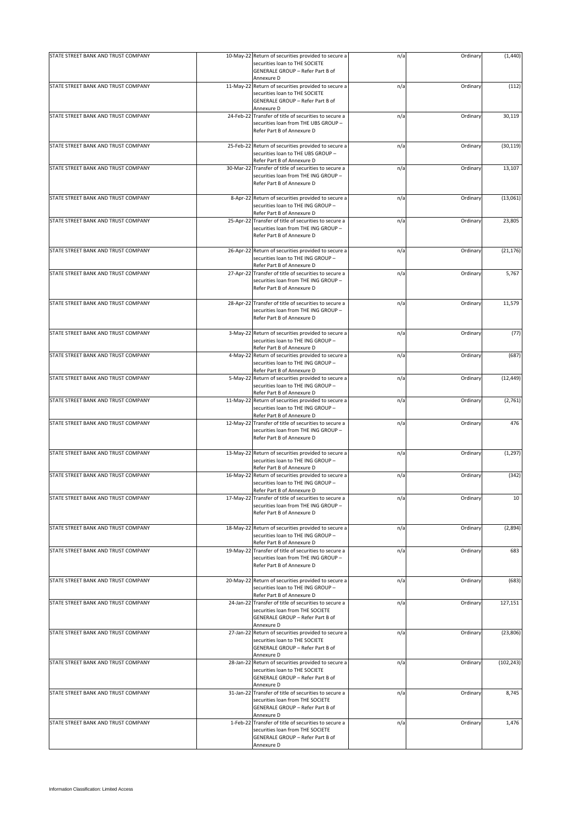| STATE STREET BANK AND TRUST COMPANY | 10-May-22 Return of securities provided to secure a<br>securities loan to THE SOCIETE<br>GENERALE GROUP - Refer Part B of | n/a | Ordinary | (1, 440)   |
|-------------------------------------|---------------------------------------------------------------------------------------------------------------------------|-----|----------|------------|
|                                     | Annexure D                                                                                                                |     |          |            |
| STATE STREET BANK AND TRUST COMPANY | 11-May-22 Return of securities provided to secure a                                                                       | n/a | Ordinary | (112)      |
|                                     | securities loan to THE SOCIETE                                                                                            |     |          |            |
|                                     | GENERALE GROUP - Refer Part B of                                                                                          |     |          |            |
|                                     | Annexure D                                                                                                                |     |          |            |
| STATE STREET BANK AND TRUST COMPANY | 24-Feb-22 Transfer of title of securities to secure a                                                                     | n/a | Ordinary | 30,119     |
|                                     | securities loan from THE UBS GROUP -                                                                                      |     |          |            |
|                                     | Refer Part B of Annexure D                                                                                                |     |          |            |
|                                     |                                                                                                                           |     |          |            |
| STATE STREET BANK AND TRUST COMPANY | 25-Feb-22 Return of securities provided to secure a                                                                       | n/a | Ordinary | (30, 119)  |
|                                     | securities loan to THE UBS GROUP -                                                                                        |     |          |            |
|                                     | Refer Part B of Annexure D                                                                                                |     |          |            |
| STATE STREET BANK AND TRUST COMPANY | 30-Mar-22 Transfer of title of securities to secure a                                                                     | n/a | Ordinary | 13,107     |
|                                     | securities loan from THE ING GROUP -                                                                                      |     |          |            |
|                                     | Refer Part B of Annexure D                                                                                                |     |          |            |
|                                     |                                                                                                                           |     |          |            |
|                                     |                                                                                                                           |     |          |            |
| STATE STREET BANK AND TRUST COMPANY | 8-Apr-22 Return of securities provided to secure a                                                                        | n/a | Ordinary | (13,061)   |
|                                     | securities loan to THE ING GROUP -                                                                                        |     |          |            |
|                                     | Refer Part B of Annexure D                                                                                                |     |          |            |
| STATE STREET BANK AND TRUST COMPANY | 25-Apr-22 Transfer of title of securities to secure a                                                                     | n/a | Ordinary | 23,805     |
|                                     | securities loan from THE ING GROUP -                                                                                      |     |          |            |
|                                     | Refer Part B of Annexure D                                                                                                |     |          |            |
|                                     |                                                                                                                           |     |          |            |
| STATE STREET BANK AND TRUST COMPANY | 26-Apr-22 Return of securities provided to secure a                                                                       | n/a | Ordinary | (21, 176)  |
|                                     | securities loan to THE ING GROUP -                                                                                        |     |          |            |
|                                     | Refer Part B of Annexure D                                                                                                |     |          |            |
| STATE STREET BANK AND TRUST COMPANY | 27-Apr-22 Transfer of title of securities to secure a                                                                     | n/a | Ordinary | 5,767      |
|                                     | securities loan from THE ING GROUP -                                                                                      |     |          |            |
|                                     | Refer Part B of Annexure D                                                                                                |     |          |            |
|                                     |                                                                                                                           |     |          |            |
| STATE STREET BANK AND TRUST COMPANY | 28-Apr-22 Transfer of title of securities to secure a                                                                     | n/a | Ordinary | 11,579     |
|                                     | securities loan from THE ING GROUP -                                                                                      |     |          |            |
|                                     | Refer Part B of Annexure D                                                                                                |     |          |            |
|                                     |                                                                                                                           |     |          |            |
| STATE STREET BANK AND TRUST COMPANY | 3-May-22 Return of securities provided to secure a                                                                        | n/a | Ordinary | (77)       |
|                                     | securities loan to THE ING GROUP -                                                                                        |     |          |            |
|                                     | Refer Part B of Annexure D                                                                                                |     |          |            |
| STATE STREET BANK AND TRUST COMPANY | 4-May-22 Return of securities provided to secure a                                                                        |     | Ordinary | (687)      |
|                                     | securities loan to THE ING GROUP -                                                                                        | n/a |          |            |
|                                     |                                                                                                                           |     |          |            |
|                                     | Refer Part B of Annexure D                                                                                                |     |          |            |
| STATE STREET BANK AND TRUST COMPANY | 5-May-22 Return of securities provided to secure a                                                                        | n/a | Ordinary | (12, 449)  |
|                                     | securities loan to THE ING GROUP -                                                                                        |     |          |            |
|                                     | Refer Part B of Annexure D                                                                                                |     |          |            |
| STATE STREET BANK AND TRUST COMPANY | 11-May-22 Return of securities provided to secure a                                                                       | n/a | Ordinary | (2,761)    |
|                                     | securities loan to THE ING GROUP -                                                                                        |     |          |            |
|                                     | Refer Part B of Annexure D                                                                                                |     |          |            |
| STATE STREET BANK AND TRUST COMPANY | 12-May-22 Transfer of title of securities to secure a                                                                     | n/a | Ordinary | 476        |
|                                     | securities loan from THE ING GROUP -                                                                                      |     |          |            |
|                                     | Refer Part B of Annexure D                                                                                                |     |          |            |
|                                     |                                                                                                                           |     |          |            |
| STATE STREET BANK AND TRUST COMPANY | 13-May-22 Return of securities provided to secure a                                                                       | n/a | Ordinary | (1, 297)   |
|                                     | securities loan to THE ING GROUP -                                                                                        |     |          |            |
|                                     | Refer Part B of Annexure D                                                                                                |     |          |            |
| STATE STREET BANK AND TRUST COMPANY | 16-May-22 Return of securities provided to secure a                                                                       | n/a | Ordinary | (342)      |
|                                     | securities loan to THE ING GROUP -                                                                                        |     |          |            |
|                                     | Refer Part B of Annexure D                                                                                                |     |          |            |
| STATE STREET BANK AND TRUST COMPANY | 17-May-22 Transfer of title of securities to secure a                                                                     | n/a | Ordinary | 10         |
|                                     | securities loan from THE ING GROUP -                                                                                      |     |          |            |
|                                     | Refer Part B of Annexure D                                                                                                |     |          |            |
|                                     |                                                                                                                           |     |          |            |
| STATE STREET BANK AND TRUST COMPANY | 18-May-22 Return of securities provided to secure a                                                                       | n/a | Ordinary | (2,894)    |
|                                     | securities loan to THE ING GROUP -                                                                                        |     |          |            |
|                                     | Refer Part B of Annexure D                                                                                                |     |          |            |
| STATE STREET BANK AND TRUST COMPANY | 19-May-22 Transfer of title of securities to secure a                                                                     | n/a | Ordinary | 683        |
|                                     |                                                                                                                           |     |          |            |
|                                     | securities loan from THE ING GROUP -                                                                                      |     |          |            |
|                                     | Refer Part B of Annexure D                                                                                                |     |          |            |
|                                     |                                                                                                                           |     |          |            |
| STATE STREET BANK AND TRUST COMPANY | 20-May-22 Return of securities provided to secure a                                                                       | n/a | Ordinary | (683)      |
|                                     | securities loan to THE ING GROUP -                                                                                        |     |          |            |
|                                     | Refer Part B of Annexure D                                                                                                |     |          |            |
| STATE STREET BANK AND TRUST COMPANY | 24-Jan-22 Transfer of title of securities to secure a                                                                     | n/a | Ordinary | 127,151    |
|                                     | securities loan from THE SOCIETE                                                                                          |     |          |            |
|                                     | GENERALE GROUP - Refer Part B of                                                                                          |     |          |            |
|                                     | Annexure D                                                                                                                |     |          |            |
| STATE STREET BANK AND TRUST COMPANY | 27-Jan-22 Return of securities provided to secure a                                                                       | n/a | Ordinary | (23, 806)  |
|                                     | securities loan to THE SOCIETE                                                                                            |     |          |            |
|                                     | GENERALE GROUP - Refer Part B of                                                                                          |     |          |            |
|                                     | Annexure D                                                                                                                |     |          |            |
| STATE STREET BANK AND TRUST COMPANY | 28-Jan-22 Return of securities provided to secure a                                                                       | n/a | Ordinary | (102, 243) |
|                                     | securities loan to THE SOCIETE                                                                                            |     |          |            |
|                                     | GENERALE GROUP - Refer Part B of                                                                                          |     |          |            |
|                                     | Annexure D                                                                                                                |     |          |            |
| STATE STREET BANK AND TRUST COMPANY | 31-Jan-22 Transfer of title of securities to secure a                                                                     | n/a | Ordinary | 8,745      |
|                                     | securities loan from THE SOCIETE                                                                                          |     |          |            |
|                                     | GENERALE GROUP - Refer Part B of                                                                                          |     |          |            |
|                                     | Annexure D                                                                                                                |     |          |            |
| STATE STREET BANK AND TRUST COMPANY | 1-Feb-22 Transfer of title of securities to secure a                                                                      | n/a | Ordinary | 1,476      |
|                                     | securities loan from THE SOCIETE                                                                                          |     |          |            |
|                                     | GENERALE GROUP - Refer Part B of                                                                                          |     |          |            |
|                                     | Annexure D                                                                                                                |     |          |            |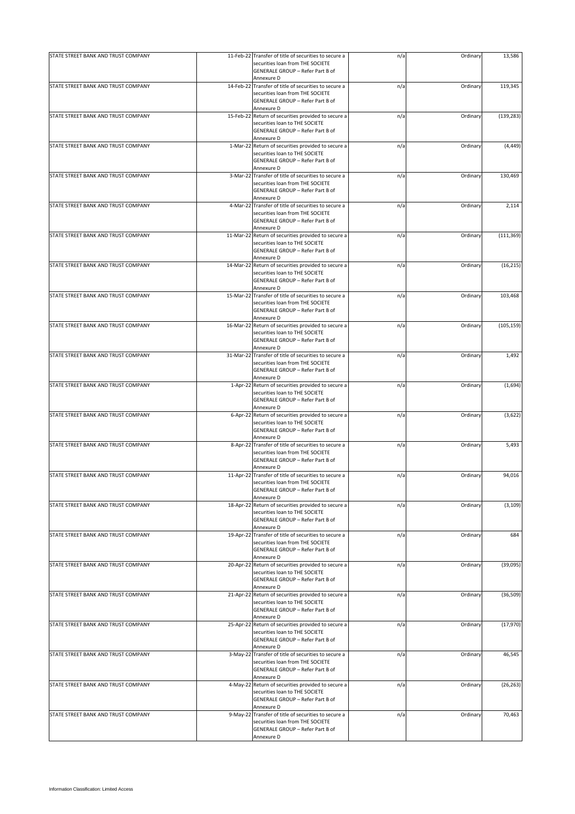| STATE STREET BANK AND TRUST COMPANY | 11-Feb-22 Transfer of title of securities to secure a<br>securities loan from THE SOCIETE | n/a | Ordinary | 13,586     |
|-------------------------------------|-------------------------------------------------------------------------------------------|-----|----------|------------|
|                                     | GENERALE GROUP - Refer Part B of                                                          |     |          |            |
| STATE STREET BANK AND TRUST COMPANY | Annexure D<br>14-Feb-22 Transfer of title of securities to secure a                       |     | Ordinary |            |
|                                     | securities loan from THE SOCIETE                                                          | n/a |          | 119,345    |
|                                     | GENERALE GROUP - Refer Part B of                                                          |     |          |            |
|                                     | Annexure D                                                                                |     |          |            |
| STATE STREET BANK AND TRUST COMPANY | 15-Feb-22 Return of securities provided to secure a                                       | n/a | Ordinary | (139, 283) |
|                                     | securities loan to THE SOCIETE<br>GENERALE GROUP - Refer Part B of                        |     |          |            |
|                                     | Annexure D                                                                                |     |          |            |
| STATE STREET BANK AND TRUST COMPANY | 1-Mar-22 Return of securities provided to secure a                                        | n/a | Ordinary | (4, 449)   |
|                                     | securities loan to THE SOCIETE                                                            |     |          |            |
|                                     | GENERALE GROUP - Refer Part B of                                                          |     |          |            |
|                                     | Annexure D                                                                                |     |          |            |
| STATE STREET BANK AND TRUST COMPANY | 3-Mar-22 Transfer of title of securities to secure a                                      | n/a | Ordinary | 130,469    |
|                                     | securities loan from THE SOCIETE                                                          |     |          |            |
|                                     | GENERALE GROUP - Refer Part B of                                                          |     |          |            |
| STATE STREET BANK AND TRUST COMPANY | Annexure D<br>4-Mar-22 Transfer of title of securities to secure a                        | n/a | Ordinary | 2,114      |
|                                     | securities loan from THE SOCIETE                                                          |     |          |            |
|                                     | GENERALE GROUP - Refer Part B of                                                          |     |          |            |
|                                     | Annexure D                                                                                |     |          |            |
| STATE STREET BANK AND TRUST COMPANY | 11-Mar-22 Return of securities provided to secure a                                       | n/a | Ordinary | (111, 369) |
|                                     | securities loan to THE SOCIETE                                                            |     |          |            |
|                                     | GENERALE GROUP - Refer Part B of                                                          |     |          |            |
|                                     | Annexure D                                                                                |     |          |            |
| STATE STREET BANK AND TRUST COMPANY | 14-Mar-22 Return of securities provided to secure a<br>securities loan to THE SOCIETE     | n/a | Ordinary | (16, 215)  |
|                                     | GENERALE GROUP - Refer Part B of                                                          |     |          |            |
|                                     | Annexure D                                                                                |     |          |            |
| STATE STREET BANK AND TRUST COMPANY | 15-Mar-22 Transfer of title of securities to secure a                                     | n/a | Ordinary | 103,468    |
|                                     | securities loan from THE SOCIETE                                                          |     |          |            |
|                                     | GENERALE GROUP - Refer Part B of                                                          |     |          |            |
|                                     | Annexure D                                                                                |     |          |            |
| STATE STREET BANK AND TRUST COMPANY | 16-Mar-22 Return of securities provided to secure a                                       | n/a | Ordinary | (105, 159) |
|                                     | securities loan to THE SOCIETE                                                            |     |          |            |
|                                     | GENERALE GROUP - Refer Part B of                                                          |     |          |            |
| STATE STREET BANK AND TRUST COMPANY | Annexure D<br>31-Mar-22 Transfer of title of securities to secure a                       | n/a | Ordinary | 1,492      |
|                                     | securities loan from THE SOCIETE                                                          |     |          |            |
|                                     | GENERALE GROUP - Refer Part B of                                                          |     |          |            |
|                                     | Annexure D                                                                                |     |          |            |
| STATE STREET BANK AND TRUST COMPANY | 1-Apr-22 Return of securities provided to secure a                                        | n/a | Ordinary | (1,694)    |
|                                     | securities loan to THE SOCIETE                                                            |     |          |            |
|                                     | GENERALE GROUP - Refer Part B of                                                          |     |          |            |
|                                     | Annexure D                                                                                |     |          |            |
| STATE STREET BANK AND TRUST COMPANY | 6-Apr-22 Return of securities provided to secure a                                        | n/a | Ordinary | (3,622)    |
|                                     | securities loan to THE SOCIETE<br>GENERALE GROUP - Refer Part B of                        |     |          |            |
|                                     | Annexure D                                                                                |     |          |            |
| STATE STREET BANK AND TRUST COMPANY | 8-Apr-22 Transfer of title of securities to secure a                                      | n/a | Ordinary | 5,493      |
|                                     | securities loan from THE SOCIETE                                                          |     |          |            |
|                                     | GENERALE GROUP - Refer Part B of                                                          |     |          |            |
|                                     | Annexure D                                                                                |     |          |            |
| STATE STREET BANK AND TRUST COMPANY | 11-Apr-22 Transfer of title of securities to secure a                                     | n/a | Ordinary | 94,016     |
|                                     | securities loan from THE SOCIETE                                                          |     |          |            |
|                                     | GENERALE GROUP - Refer Part B of<br>Annexure D                                            |     |          |            |
| STATE STREET BANK AND TRUST COMPANY | 18-Apr-22 Return of securities provided to secure a                                       | n/a | Ordinary | (3, 109)   |
|                                     | securities loan to THE SOCIETE                                                            |     |          |            |
|                                     | GENERALE GROUP - Refer Part B of                                                          |     |          |            |
|                                     | Annexure D                                                                                |     |          |            |
| STATE STREET BANK AND TRUST COMPANY | 19-Apr-22 Transfer of title of securities to secure a                                     | n/a | Ordinary | 684        |
|                                     | securities loan from THE SOCIETE                                                          |     |          |            |
|                                     | GENERALE GROUP - Refer Part B of                                                          |     |          |            |
| STATE STREET BANK AND TRUST COMPANY | Annexure D                                                                                |     | Ordinary | (39,095)   |
|                                     | 20-Apr-22 Return of securities provided to secure a<br>securities loan to THE SOCIETE     | n/a |          |            |
|                                     | GENERALE GROUP - Refer Part B of                                                          |     |          |            |
|                                     | Annexure D                                                                                |     |          |            |
| STATE STREET BANK AND TRUST COMPANY | 21-Apr-22 Return of securities provided to secure a                                       | n/a | Ordinary | (36, 509)  |
|                                     | securities loan to THE SOCIETE                                                            |     |          |            |
|                                     | GENERALE GROUP - Refer Part B of                                                          |     |          |            |
|                                     | Annexure D                                                                                |     |          |            |
| STATE STREET BANK AND TRUST COMPANY | 25-Apr-22 Return of securities provided to secure a                                       | n/a | Ordinary | (17, 970)  |
|                                     | securities loan to THE SOCIETE<br>GENERALE GROUP - Refer Part B of                        |     |          |            |
|                                     | Annexure D                                                                                |     |          |            |
| STATE STREET BANK AND TRUST COMPANY | 3-May-22 Transfer of title of securities to secure a                                      | n/a | Ordinary | 46,545     |
|                                     | securities loan from THE SOCIETE                                                          |     |          |            |
|                                     | GENERALE GROUP - Refer Part B of                                                          |     |          |            |
|                                     | Annexure D                                                                                |     |          |            |
| STATE STREET BANK AND TRUST COMPANY | 4-May-22 Return of securities provided to secure a                                        | n/a | Ordinary | (26, 263)  |
|                                     | securities loan to THE SOCIETE                                                            |     |          |            |
|                                     | GENERALE GROUP - Refer Part B of                                                          |     |          |            |
| STATE STREET BANK AND TRUST COMPANY | Annexure D<br>9-May-22 Transfer of title of securities to secure a                        | n/a | Ordinary | 70,463     |
|                                     | securities loan from THE SOCIETE                                                          |     |          |            |
|                                     | GENERALE GROUP - Refer Part B of                                                          |     |          |            |
|                                     | Annexure D                                                                                |     |          |            |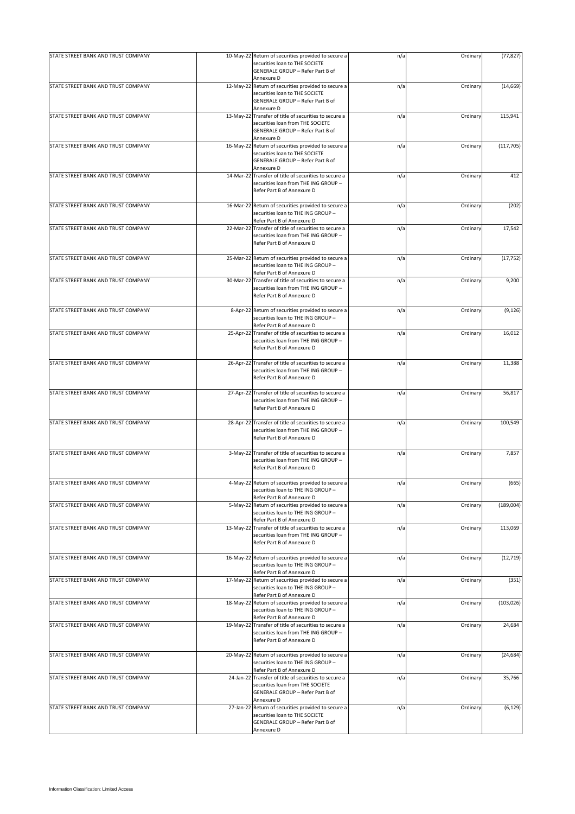| STATE STREET BANK AND TRUST COMPANY | 10-May-22 Return of securities provided to secure a<br>securities loan to THE SOCIETE<br>GENERALE GROUP - Refer Part B of | n/a | Ordinary | (77, 827)  |
|-------------------------------------|---------------------------------------------------------------------------------------------------------------------------|-----|----------|------------|
|                                     | Annexure D                                                                                                                |     |          |            |
| STATE STREET BANK AND TRUST COMPANY | 12-May-22 Return of securities provided to secure a                                                                       | n/a | Ordinary | (14, 669)  |
|                                     | securities loan to THE SOCIETE                                                                                            |     |          |            |
|                                     | GENERALE GROUP - Refer Part B of                                                                                          |     |          |            |
|                                     | Annexure D                                                                                                                |     |          |            |
| STATE STREET BANK AND TRUST COMPANY | 13-May-22 Transfer of title of securities to secure a                                                                     | n/a | Ordinary | 115,941    |
|                                     | securities loan from THE SOCIETE                                                                                          |     |          |            |
|                                     | GENERALE GROUP - Refer Part B of                                                                                          |     |          |            |
|                                     |                                                                                                                           |     |          |            |
|                                     | Annexure D                                                                                                                |     |          |            |
| STATE STREET BANK AND TRUST COMPANY | 16-May-22 Return of securities provided to secure a                                                                       | n/a | Ordinary | (117, 705) |
|                                     | securities loan to THE SOCIETE                                                                                            |     |          |            |
|                                     | GENERALE GROUP - Refer Part B of                                                                                          |     |          |            |
|                                     | Annexure D                                                                                                                |     |          |            |
| STATE STREET BANK AND TRUST COMPANY | 14-Mar-22 Transfer of title of securities to secure a                                                                     | n/a | Ordinary | 412        |
|                                     | securities loan from THE ING GROUP -                                                                                      |     |          |            |
|                                     |                                                                                                                           |     |          |            |
|                                     | Refer Part B of Annexure D                                                                                                |     |          |            |
|                                     |                                                                                                                           |     |          |            |
| STATE STREET BANK AND TRUST COMPANY | 16-Mar-22 Return of securities provided to secure a                                                                       | n/a | Ordinary | (202)      |
|                                     | securities loan to THE ING GROUP -                                                                                        |     |          |            |
|                                     | Refer Part B of Annexure D                                                                                                |     |          |            |
| STATE STREET BANK AND TRUST COMPANY | 22-Mar-22 Transfer of title of securities to secure a                                                                     | n/a | Ordinary | 17,542     |
|                                     | securities loan from THE ING GROUP -                                                                                      |     |          |            |
|                                     |                                                                                                                           |     |          |            |
|                                     | Refer Part B of Annexure D                                                                                                |     |          |            |
|                                     |                                                                                                                           |     |          |            |
| STATE STREET BANK AND TRUST COMPANY | 25-Mar-22 Return of securities provided to secure a                                                                       | n/a | Ordinary | (17, 752)  |
|                                     | securities loan to THE ING GROUP -                                                                                        |     |          |            |
|                                     | Refer Part B of Annexure D                                                                                                |     |          |            |
| STATE STREET BANK AND TRUST COMPANY | 30-Mar-22 Transfer of title of securities to secure a                                                                     | n/a | Ordinary | 9,200      |
|                                     |                                                                                                                           |     |          |            |
|                                     | securities loan from THE ING GROUP -                                                                                      |     |          |            |
|                                     | Refer Part B of Annexure D                                                                                                |     |          |            |
|                                     |                                                                                                                           |     |          |            |
| STATE STREET BANK AND TRUST COMPANY | 8-Apr-22 Return of securities provided to secure a                                                                        | n/a | Ordinary | (9, 126)   |
|                                     | securities loan to THE ING GROUP -                                                                                        |     |          |            |
|                                     | Refer Part B of Annexure D                                                                                                |     |          |            |
| STATE STREET BANK AND TRUST COMPANY | 25-Apr-22 Transfer of title of securities to secure a                                                                     |     |          | 16,012     |
|                                     |                                                                                                                           | n/a | Ordinary |            |
|                                     | securities loan from THE ING GROUP -                                                                                      |     |          |            |
|                                     | Refer Part B of Annexure D                                                                                                |     |          |            |
|                                     |                                                                                                                           |     |          |            |
| STATE STREET BANK AND TRUST COMPANY | 26-Apr-22 Transfer of title of securities to secure a                                                                     | n/a | Ordinary | 11,388     |
|                                     | securities loan from THE ING GROUP -                                                                                      |     |          |            |
|                                     |                                                                                                                           |     |          |            |
|                                     | Refer Part B of Annexure D                                                                                                |     |          |            |
|                                     |                                                                                                                           |     |          |            |
| STATE STREET BANK AND TRUST COMPANY | 27-Apr-22 Transfer of title of securities to secure a                                                                     | n/a | Ordinary | 56,817     |
|                                     | securities loan from THE ING GROUP -                                                                                      |     |          |            |
|                                     | Refer Part B of Annexure D                                                                                                |     |          |            |
|                                     |                                                                                                                           |     |          |            |
| STATE STREET BANK AND TRUST COMPANY | 28-Apr-22 Transfer of title of securities to secure a                                                                     |     |          | 100,549    |
|                                     |                                                                                                                           | n/a | Ordinary |            |
|                                     | securities loan from THE ING GROUP -                                                                                      |     |          |            |
|                                     | Refer Part B of Annexure D                                                                                                |     |          |            |
|                                     |                                                                                                                           |     |          |            |
| STATE STREET BANK AND TRUST COMPANY | 3-May-22 Transfer of title of securities to secure a                                                                      | n/a | Ordinary | 7,857      |
|                                     | securities loan from THE ING GROUP -                                                                                      |     |          |            |
|                                     |                                                                                                                           |     |          |            |
|                                     | Refer Part B of Annexure D                                                                                                |     |          |            |
|                                     |                                                                                                                           |     |          |            |
| STATE STREET BANK AND TRUST COMPANY | 4-May-22 Return of securities provided to secure a                                                                        | n/a | Ordinary | (665)      |
|                                     | securities loan to THE ING GROUP -                                                                                        |     |          |            |
|                                     | Refer Part B of Annexure D                                                                                                |     |          |            |
| STATE STREET BANK AND TRUST COMPANY | 5-May-22 Return of securities provided to secure a                                                                        | n/a | Ordinary | (189,004)  |
|                                     | securities loan to THE ING GROUP -                                                                                        |     |          |            |
|                                     |                                                                                                                           |     |          |            |
|                                     | Refer Part B of Annexure D                                                                                                |     |          |            |
| STATE STREET BANK AND TRUST COMPANY | 13-May-22 Transfer of title of securities to secure a                                                                     | n/a | Ordinary | 113,069    |
|                                     | securities loan from THE ING GROUP -                                                                                      |     |          |            |
|                                     | Refer Part B of Annexure D                                                                                                |     |          |            |
|                                     |                                                                                                                           |     |          |            |
| STATE STREET BANK AND TRUST COMPANY | 16-May-22 Return of securities provided to secure a                                                                       | n/a | Ordinary | (12, 719)  |
|                                     |                                                                                                                           |     |          |            |
|                                     | securities loan to THE ING GROUP -                                                                                        |     |          |            |
|                                     | Refer Part B of Annexure D                                                                                                |     |          |            |
| STATE STREET BANK AND TRUST COMPANY | 17-May-22 Return of securities provided to secure a                                                                       | n/a | Ordinary | (351)      |
|                                     | securities loan to THE ING GROUP -                                                                                        |     |          |            |
|                                     | Refer Part B of Annexure D                                                                                                |     |          |            |
| STATE STREET BANK AND TRUST COMPANY | 18-May-22 Return of securities provided to secure a                                                                       | n/a | Ordinary | (103, 026) |
|                                     | securities loan to THE ING GROUP -                                                                                        |     |          |            |
|                                     |                                                                                                                           |     |          |            |
|                                     | Refer Part B of Annexure D                                                                                                |     |          |            |
| STATE STREET BANK AND TRUST COMPANY | 19-May-22 Transfer of title of securities to secure a                                                                     | n/a | Ordinary | 24,684     |
|                                     | securities loan from THE ING GROUP -                                                                                      |     |          |            |
|                                     | Refer Part B of Annexure D                                                                                                |     |          |            |
|                                     |                                                                                                                           |     |          |            |
| STATE STREET BANK AND TRUST COMPANY | 20-May-22 Return of securities provided to secure a                                                                       |     |          |            |
|                                     |                                                                                                                           | n/a | Ordinary | (24, 684)  |
|                                     | securities loan to THE ING GROUP -                                                                                        |     |          |            |
|                                     | Refer Part B of Annexure D                                                                                                |     |          |            |
| STATE STREET BANK AND TRUST COMPANY | 24-Jan-22 Transfer of title of securities to secure a                                                                     | n/a | Ordinary | 35,766     |
|                                     | securities loan from THE SOCIETE                                                                                          |     |          |            |
|                                     | GENERALE GROUP - Refer Part B of                                                                                          |     |          |            |
|                                     |                                                                                                                           |     |          |            |
|                                     | Annexure D                                                                                                                |     |          |            |
| STATE STREET BANK AND TRUST COMPANY | 27-Jan-22 Return of securities provided to secure a                                                                       | n/a | Ordinary | (6, 129)   |
|                                     | securities loan to THE SOCIETE                                                                                            |     |          |            |
|                                     | GENERALE GROUP - Refer Part B of                                                                                          |     |          |            |
|                                     | Annexure D                                                                                                                |     |          |            |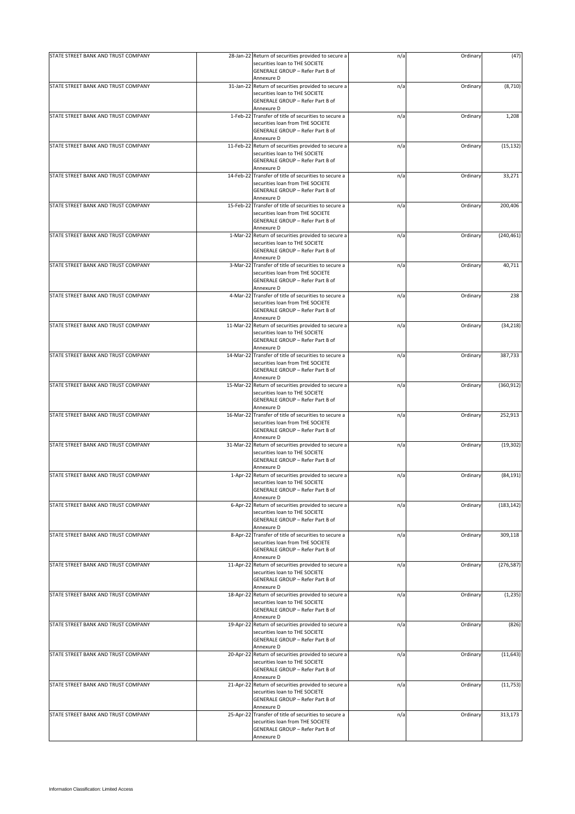| STATE STREET BANK AND TRUST COMPANY | 28-Jan-22 Return of securities provided to secure a<br>securities loan to THE SOCIETE<br>GENERALE GROUP - Refer Part B of              | n/a | Ordinary | (47)       |
|-------------------------------------|----------------------------------------------------------------------------------------------------------------------------------------|-----|----------|------------|
|                                     | Annexure D                                                                                                                             |     |          |            |
| STATE STREET BANK AND TRUST COMPANY | 31-Jan-22 Return of securities provided to secure a<br>securities loan to THE SOCIETE<br>GENERALE GROUP - Refer Part B of              | n/a | Ordinary | (8,710)    |
|                                     | Annexure D                                                                                                                             |     |          |            |
| STATE STREET BANK AND TRUST COMPANY | 1-Feb-22 Transfer of title of securities to secure a<br>securities loan from THE SOCIETE                                               | n/a | Ordinary | 1,208      |
|                                     | GENERALE GROUP - Refer Part B of                                                                                                       |     |          |            |
| STATE STREET BANK AND TRUST COMPANY | Annexure D<br>11-Feb-22 Return of securities provided to secure a                                                                      | n/a | Ordinary | (15, 132)  |
|                                     | securities loan to THE SOCIETE<br>GENERALE GROUP - Refer Part B of                                                                     |     |          |            |
| STATE STREET BANK AND TRUST COMPANY | Annexure D<br>14-Feb-22 Transfer of title of securities to secure a                                                                    | n/a | Ordinary | 33,271     |
|                                     | securities loan from THE SOCIETE<br>GENERALE GROUP - Refer Part B of<br>Annexure D                                                     |     |          |            |
| STATE STREET BANK AND TRUST COMPANY | 15-Feb-22 Transfer of title of securities to secure a                                                                                  | n/a | Ordinary | 200,406    |
|                                     | securities loan from THE SOCIETE<br>GENERALE GROUP - Refer Part B of<br>Annexure D                                                     |     |          |            |
| STATE STREET BANK AND TRUST COMPANY | 1-Mar-22 Return of securities provided to secure a                                                                                     | n/a | Ordinary | (240, 461) |
|                                     | securities loan to THE SOCIETE<br>GENERALE GROUP - Refer Part B of<br>Annexure D                                                       |     |          |            |
| STATE STREET BANK AND TRUST COMPANY | 3-Mar-22 Transfer of title of securities to secure a                                                                                   | n/a | Ordinary | 40,711     |
|                                     | securities loan from THE SOCIETE<br>GENERALE GROUP - Refer Part B of<br>Annexure D                                                     |     |          |            |
| STATE STREET BANK AND TRUST COMPANY | 4-Mar-22 Transfer of title of securities to secure a                                                                                   | n/a | Ordinary | 238        |
|                                     | securities loan from THE SOCIETE<br>GENERALE GROUP - Refer Part B of<br>Annexure D                                                     |     |          |            |
| STATE STREET BANK AND TRUST COMPANY | 11-Mar-22 Return of securities provided to secure a                                                                                    | n/a | Ordinary | (34, 218)  |
|                                     | securities loan to THE SOCIETE<br>GENERALE GROUP - Refer Part B of<br>Annexure D                                                       |     |          |            |
| STATE STREET BANK AND TRUST COMPANY | 14-Mar-22 Transfer of title of securities to secure a                                                                                  | n/a | Ordinary | 387,733    |
|                                     | securities loan from THE SOCIETE<br>GENERALE GROUP - Refer Part B of<br>Annexure D                                                     |     |          |            |
| STATE STREET BANK AND TRUST COMPANY | 15-Mar-22 Return of securities provided to secure a                                                                                    | n/a | Ordinary | (360, 912) |
|                                     | securities loan to THE SOCIETE<br>GENERALE GROUP - Refer Part B of                                                                     |     |          |            |
| STATE STREET BANK AND TRUST COMPANY | Annexure D                                                                                                                             |     |          |            |
|                                     | 16-Mar-22 Transfer of title of securities to secure a<br>securities loan from THE SOCIETE<br>GENERALE GROUP - Refer Part B of          | n/a | Ordinary | 252,913    |
| STATE STREET BANK AND TRUST COMPANY | Annexure D<br>31-Mar-22 Return of securities provided to secure a                                                                      | n/a | Ordinary | (19, 302)  |
|                                     | securities loan to THE SOCIETE<br>GENERALE GROUP - Refer Part B of                                                                     |     |          |            |
| STATE STREET BANK AND TRUST COMPANY | Annexure D<br>1-Apr-22 Return of securities provided to secure a                                                                       | n/a | Ordinary | (84, 191)  |
|                                     | securities loan to THE SOCIETE                                                                                                         |     |          |            |
|                                     | GENERALE GROUP - Refer Part B of                                                                                                       |     |          |            |
|                                     | Annexure D                                                                                                                             |     |          |            |
| STATE STREET BANK AND TRUST COMPANY | 6-Apr-22 Return of securities provided to secure a<br>securities loan to THE SOCIETE<br>GENERALE GROUP - Refer Part B of<br>Annexure D | n/a | Ordinary | (183, 142) |
| STATE STREET BANK AND TRUST COMPANY | 8-Apr-22 Transfer of title of securities to secure a                                                                                   | n/a | Ordinary | 309,118    |
|                                     | securities loan from THE SOCIETE<br>GENERALE GROUP - Refer Part B of<br>Annexure D                                                     |     |          |            |
| STATE STREET BANK AND TRUST COMPANY | 11-Apr-22 Return of securities provided to secure a                                                                                    | n/a | Ordinary | (276, 587) |
|                                     | securities loan to THE SOCIETE<br>GENERALE GROUP - Refer Part B of<br>Annexure D                                                       |     |          |            |
| STATE STREET BANK AND TRUST COMPANY | 18-Apr-22 Return of securities provided to secure a                                                                                    | n/a | Ordinary | (1, 235)   |
|                                     | securities loan to THE SOCIETE<br>GENERALE GROUP - Refer Part B of<br>Annexure D                                                       |     |          |            |
| STATE STREET BANK AND TRUST COMPANY | 19-Apr-22 Return of securities provided to secure a                                                                                    | n/a | Ordinary | (826)      |
|                                     | securities loan to THE SOCIETE<br>GENERALE GROUP - Refer Part B of<br>Annexure D                                                       |     |          |            |
| STATE STREET BANK AND TRUST COMPANY | 20-Apr-22 Return of securities provided to secure a                                                                                    | n/a | Ordinary | (11, 643)  |
|                                     | securities loan to THE SOCIETE<br>GENERALE GROUP - Refer Part B of<br>Annexure D                                                       |     |          |            |
| STATE STREET BANK AND TRUST COMPANY | 21-Apr-22 Return of securities provided to secure a                                                                                    | n/a | Ordinary | (11, 753)  |
|                                     | securities loan to THE SOCIETE<br>GENERALE GROUP - Refer Part B of<br>Annexure D                                                       |     |          |            |
| STATE STREET BANK AND TRUST COMPANY | 25-Apr-22 Transfer of title of securities to secure a                                                                                  | n/a | Ordinary | 313,173    |
|                                     | securities loan from THE SOCIETE<br>GENERALE GROUP - Refer Part B of<br>Annexure D                                                     |     |          |            |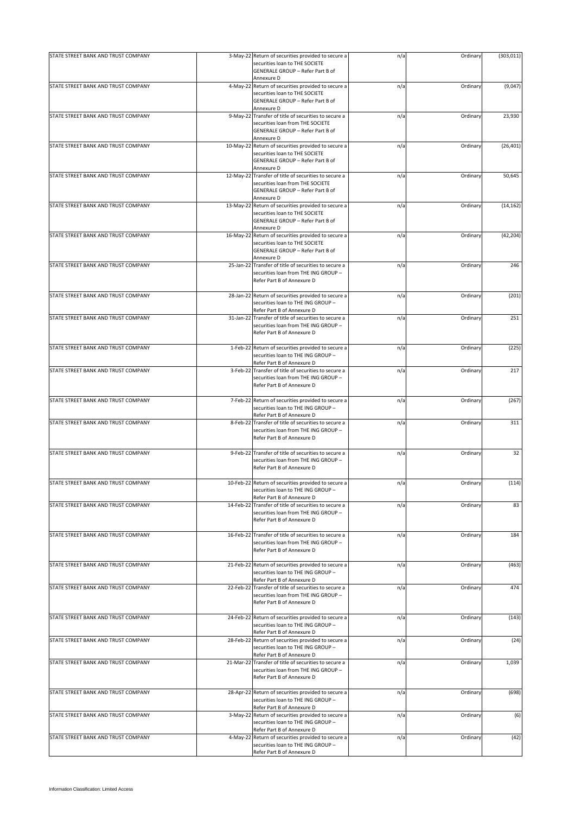| STATE STREET BANK AND TRUST COMPANY | 3-May-22 Return of securities provided to secure a<br>securities loan to THE SOCIETE<br>GENERALE GROUP - Refer Part B of                    | n/a | Ordinary | (303, 011) |
|-------------------------------------|---------------------------------------------------------------------------------------------------------------------------------------------|-----|----------|------------|
|                                     | Annexure D                                                                                                                                  |     |          |            |
| STATE STREET BANK AND TRUST COMPANY | 4-May-22 Return of securities provided to secure a<br>securities loan to THE SOCIETE<br><b>GENERALE GROUP - Refer Part B of</b>             | n/a | Ordinary | (9,047)    |
|                                     |                                                                                                                                             |     |          |            |
| STATE STREET BANK AND TRUST COMPANY | Annexure D<br>9-May-22 Transfer of title of securities to secure a<br>securities loan from THE SOCIETE                                      | n/a | Ordinary | 23,930     |
|                                     | GENERALE GROUP - Refer Part B of                                                                                                            |     |          |            |
|                                     | Annexure D                                                                                                                                  |     |          |            |
| STATE STREET BANK AND TRUST COMPANY | 10-May-22 Return of securities provided to secure a<br>securities loan to THE SOCIETE<br>GENERALE GROUP - Refer Part B of                   | n/a | Ordinary | (26, 401)  |
|                                     |                                                                                                                                             |     |          |            |
|                                     | Annexure D                                                                                                                                  |     |          |            |
| STATE STREET BANK AND TRUST COMPANY | 12-May-22 Transfer of title of securities to secure a<br>securities loan from THE SOCIETE<br>GENERALE GROUP - Refer Part B of<br>Annexure D | n/a | Ordinary | 50,645     |
|                                     |                                                                                                                                             |     |          |            |
| STATE STREET BANK AND TRUST COMPANY | 13-May-22 Return of securities provided to secure a<br>securities loan to THE SOCIETE<br>GENERALE GROUP - Refer Part B of<br>Annexure D     | n/a | Ordinary | (14, 162)  |
|                                     |                                                                                                                                             |     |          |            |
| STATE STREET BANK AND TRUST COMPANY | 16-May-22 Return of securities provided to secure a<br>securities loan to THE SOCIETE<br>GENERALE GROUP - Refer Part B of<br>Annexure D     | n/a | Ordinary | (42, 204)  |
|                                     |                                                                                                                                             |     |          |            |
| STATE STREET BANK AND TRUST COMPANY | 25-Jan-22 Transfer of title of securities to secure a<br>securities loan from THE ING GROUP -<br>Refer Part B of Annexure D                 | n/a | Ordinary | 246        |
| STATE STREET BANK AND TRUST COMPANY | 28-Jan-22 Return of securities provided to secure a                                                                                         |     |          | (201)      |
|                                     | securities loan to THE ING GROUP -<br>Refer Part B of Annexure D                                                                            | n/a | Ordinary |            |
| STATE STREET BANK AND TRUST COMPANY | 31-Jan-22 Transfer of title of securities to secure a<br>securities loan from THE ING GROUP -<br>Refer Part B of Annexure D                 | n/a | Ordinary | 251        |
|                                     |                                                                                                                                             |     |          |            |
| STATE STREET BANK AND TRUST COMPANY | 1-Feb-22 Return of securities provided to secure a<br>securities loan to THE ING GROUP -                                                    | n/a | Ordinary | (225)      |
|                                     | Refer Part B of Annexure D                                                                                                                  |     |          |            |
| STATE STREET BANK AND TRUST COMPANY | 3-Feb-22 Transfer of title of securities to secure a                                                                                        | n/a | Ordinary | 217        |
|                                     | securities loan from THE ING GROUP -<br>Refer Part B of Annexure D                                                                          |     |          |            |
| STATE STREET BANK AND TRUST COMPANY | 7-Feb-22 Return of securities provided to secure a                                                                                          | n/a | Ordinary | (267)      |
|                                     | securities loan to THE ING GROUP -<br>Refer Part B of Annexure D                                                                            |     |          |            |
| STATE STREET BANK AND TRUST COMPANY | 8-Feb-22 Transfer of title of securities to secure a<br>securities loan from THE ING GROUP -<br>Refer Part B of Annexure D                  | n/a | Ordinary | 311        |
| STATE STREET BANK AND TRUST COMPANY | 9-Feb-22 Transfer of title of securities to secure a                                                                                        | n/a | Ordinary | 32         |
|                                     | securities loan from THE ING GROUP -<br>Refer Part B of Annexure D                                                                          |     |          |            |
| STATE STREET BANK AND TRUST COMPANY | 10-Feb-22 Return of securities provided to secure a                                                                                         | n/a | Ordinary | (114)      |
|                                     | securities loan to THE ING GROUP -<br>Refer Part B of Annexure D                                                                            |     |          |            |
| STATE STREET BANK AND TRUST COMPANY | 14-Feb-22 Transfer of title of securities to secure a<br>securities loan from THE ING GROUP -<br>Refer Part B of Annexure D                 | n/a | Ordinary | 83         |
|                                     |                                                                                                                                             |     |          |            |
| STATE STREET BANK AND TRUST COMPANY | 16-Feb-22 Transfer of title of securities to secure a<br>securities loan from THE ING GROUP -<br>Refer Part B of Annexure D                 | n/a | Ordinary | 184        |
|                                     |                                                                                                                                             |     |          |            |
| STATE STREET BANK AND TRUST COMPANY | 21-Feb-22 Return of securities provided to secure a<br>securities loan to THE ING GROUP -<br>Refer Part B of Annexure D                     | n/a | Ordinary | (463)      |
| STATE STREET BANK AND TRUST COMPANY | 22-Feb-22 Transfer of title of securities to secure a                                                                                       | n/a | Ordinary | 474        |
|                                     | securities loan from THE ING GROUP -<br>Refer Part B of Annexure D                                                                          |     |          |            |
| STATE STREET BANK AND TRUST COMPANY | 24-Feb-22 Return of securities provided to secure a                                                                                         | n/a | Ordinary | (143)      |
|                                     | securities loan to THE ING GROUP -<br>Refer Part B of Annexure D                                                                            |     |          |            |
| STATE STREET BANK AND TRUST COMPANY | 28-Feb-22 Return of securities provided to secure a<br>securities loan to THE ING GROUP -<br>Refer Part B of Annexure D                     | n/a | Ordinary | (24)       |
| STATE STREET BANK AND TRUST COMPANY | 21-Mar-22 Transfer of title of securities to secure a                                                                                       | n/a | Ordinary | 1,039      |
|                                     | securities loan from THE ING GROUP -<br>Refer Part B of Annexure D                                                                          |     |          |            |
| STATE STREET BANK AND TRUST COMPANY | 28-Apr-22 Return of securities provided to secure a                                                                                         | n/a | Ordinary | (698)      |
|                                     | securities loan to THE ING GROUP -<br>Refer Part B of Annexure D                                                                            |     |          |            |
| STATE STREET BANK AND TRUST COMPANY | 3-May-22 Return of securities provided to secure a                                                                                          | n/a | Ordinary | (6)        |
| STATE STREET BANK AND TRUST COMPANY | securities loan to THE ING GROUP -<br>Refer Part B of Annexure D<br>4-May-22 Return of securities provided to secure a                      |     | Ordinary | (42)       |
|                                     | securities loan to THE ING GROUP -<br>Refer Part B of Annexure D                                                                            | n/a |          |            |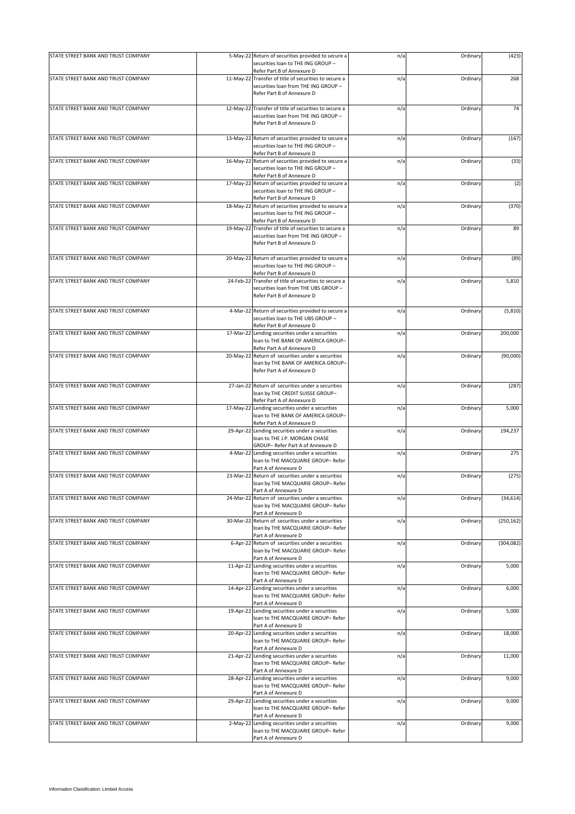| STATE STREET BANK AND TRUST COMPANY |                                                                                                                             | n/a | Ordinary | (423)      |
|-------------------------------------|-----------------------------------------------------------------------------------------------------------------------------|-----|----------|------------|
|                                     | 5-May-22 Return of securities provided to secure a<br>securities loan to THE ING GROUP -<br>Refer Part B of Annexure D      |     |          |            |
| STATE STREET BANK AND TRUST COMPANY | 11-May-22 Transfer of title of securities to secure a                                                                       | n/a | Ordinary | 268        |
|                                     | securities loan from THE ING GROUP -<br>Refer Part B of Annexure D                                                          |     |          |            |
| STATE STREET BANK AND TRUST COMPANY | 12-May-22 Transfer of title of securities to secure a<br>securities loan from THE ING GROUP -<br>Refer Part B of Annexure D | n/a | Ordinary | 74         |
| STATE STREET BANK AND TRUST COMPANY | 13-May-22 Return of securities provided to secure a<br>securities loan to THE ING GROUP -<br>Refer Part B of Annexure D     | n/a | Ordinary | (167)      |
| STATE STREET BANK AND TRUST COMPANY | 16-May-22 Return of securities provided to secure a<br>securities loan to THE ING GROUP -<br>Refer Part B of Annexure D     | n/a | Ordinary | (33)       |
| STATE STREET BANK AND TRUST COMPANY | 17-May-22 Return of securities provided to secure a<br>securities loan to THE ING GROUP -<br>Refer Part B of Annexure D     | n/a | Ordinary | (2)        |
| STATE STREET BANK AND TRUST COMPANY | 18-May-22 Return of securities provided to secure a<br>securities loan to THE ING GROUP -<br>Refer Part B of Annexure D     | n/a | Ordinary | (370)      |
| STATE STREET BANK AND TRUST COMPANY | 19-May-22 Transfer of title of securities to secure a<br>securities loan from THE ING GROUP -<br>Refer Part B of Annexure D | n/a | Ordinary | 89         |
| STATE STREET BANK AND TRUST COMPANY | 20-May-22 Return of securities provided to secure a<br>securities loan to THE ING GROUP -<br>Refer Part B of Annexure D     | n/a | Ordinary | (89)       |
| STATE STREET BANK AND TRUST COMPANY | 24-Feb-22 Transfer of title of securities to secure a<br>securities loan from THE UBS GROUP -<br>Refer Part B of Annexure D | n/a | Ordinary | 5,810      |
| STATE STREET BANK AND TRUST COMPANY | 4-Mar-22 Return of securities provided to secure a<br>securities loan to THE UBS GROUP -<br>Refer Part B of Annexure D      | n/a | Ordinary | (5,810)    |
| STATE STREET BANK AND TRUST COMPANY | 17-Mar-22 Lending securities under a securities<br>loan to THE BANK OF AMERICA GROUP-<br>Refer Part A of Annexure D         | n/a | Ordinary | 200,000    |
| STATE STREET BANK AND TRUST COMPANY | 20-May-22 Return of securities under a securities<br>loan by THE BANK OF AMERICA GROUP-<br>Refer Part A of Annexure D       | n/a | Ordinary | (90,000)   |
| STATE STREET BANK AND TRUST COMPANY | 27-Jan-22 Return of securities under a securities<br>loan by THE CREDIT SUISSE GROUP-<br>Refer Part A of Annexure D         | n/a | Ordinary | (287)      |
| STATE STREET BANK AND TRUST COMPANY | 17-May-22 Lending securities under a securities<br>loan to THE BANK OF AMERICA GROUP-<br>Refer Part A of Annexure D         | n/a | Ordinary | 5,000      |
| STATE STREET BANK AND TRUST COMPANY | 29-Apr-22 Lending securities under a securities<br>loan to THE J.P. MORGAN CHASE<br>GROUP-Refer Part A of Annexure D        | n/a | Ordinary | 194,237    |
| STATE STREET BANK AND TRUST COMPANY | 4-Mar-22 Lending securities under a securities<br>loan to THE MACQUARIE GROUP- Refer<br>Part A of Annexure D                | n/a | Ordinary | 275        |
| STATE STREET BANK AND TRUST COMPANY | 23-Mar-22 Return of securities under a securities<br>loan by THE MACQUARIE GROUP- Refer<br>Part A of Annexure D             | n/a | Ordinary | (275)      |
| STATE STREET BANK AND TRUST COMPANY | 24-Mar-22 Return of securities under a securities<br>loan by THE MACQUARIE GROUP- Refer<br>Part A of Annexure D             | n/a | Ordinary | (34, 614)  |
| STATE STREET BANK AND TRUST COMPANY | 30-Mar-22 Return of securities under a securities<br>loan by THE MACQUARIE GROUP- Refer<br>Part A of Annexure D             | n/a | Ordinary | (250, 162) |
| STATE STREET BANK AND TRUST COMPANY | 6-Apr-22 Return of securities under a securities<br>loan by THE MACQUARIE GROUP- Refer<br>Part A of Annexure D              | n/a | Ordinary | (304, 082) |
| STATE STREET BANK AND TRUST COMPANY | 11-Apr-22 Lending securities under a securities<br>loan to THE MACQUARIE GROUP- Refer<br>Part A of Annexure D               | n/a | Ordinary | 5,000      |
| STATE STREET BANK AND TRUST COMPANY | 14-Apr-22 Lending securities under a securities<br>loan to THE MACQUARIE GROUP- Refer<br>Part A of Annexure D               | n/a | Ordinary | 6,000      |
| STATE STREET BANK AND TRUST COMPANY | 19-Apr-22 Lending securities under a securities<br>loan to THE MACQUARIE GROUP- Refer<br>Part A of Annexure D               | n/a | Ordinary | 5,000      |
| STATE STREET BANK AND TRUST COMPANY | 20-Apr-22 Lending securities under a securities<br>loan to THE MACQUARIE GROUP- Refer<br>Part A of Annexure D               | n/a | Ordinary | 18,000     |
| STATE STREET BANK AND TRUST COMPANY | 21-Apr-22 Lending securities under a securities<br>loan to THE MACQUARIE GROUP- Refer<br>Part A of Annexure D               | n/a | Ordinary | 11,000     |
| STATE STREET BANK AND TRUST COMPANY | 28-Apr-22 Lending securities under a securities<br>loan to THE MACQUARIE GROUP- Refer<br>Part A of Annexure D               | n/a | Ordinary | 9,000      |
| STATE STREET BANK AND TRUST COMPANY | 29-Apr-22 Lending securities under a securities<br>loan to THE MACQUARIE GROUP- Refer<br>Part A of Annexure D               | n/a | Ordinary | 9,000      |
| STATE STREET BANK AND TRUST COMPANY | 2-May-22 Lending securities under a securities<br>loan to THE MACQUARIE GROUP- Refer<br>Part A of Annexure D                | n/a | Ordinary | 9,000      |
|                                     |                                                                                                                             |     |          |            |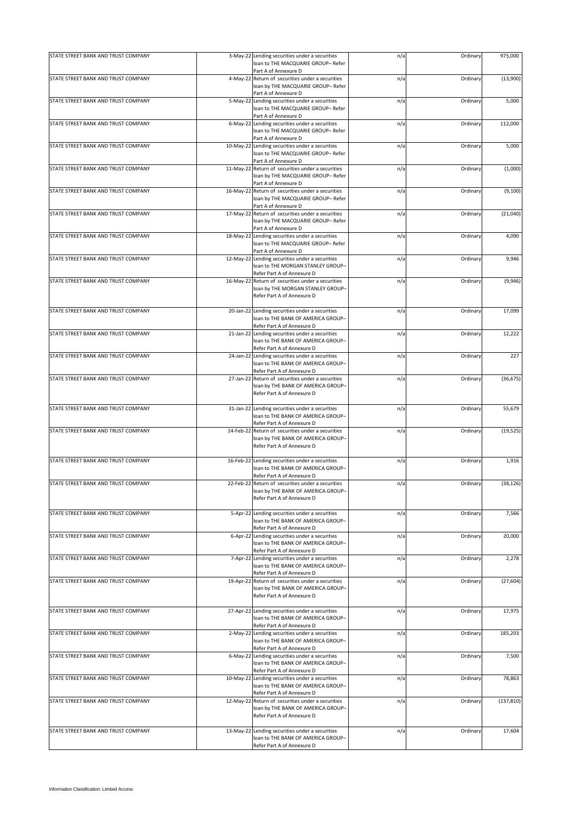| STATE STREET BANK AND TRUST COMPANY | 3-May-22 Lending securities under a securities<br>loan to THE MACQUARIE GROUP- Refer                                  | n/a | Ordinary | 975,000    |
|-------------------------------------|-----------------------------------------------------------------------------------------------------------------------|-----|----------|------------|
|                                     | Part A of Annexure D                                                                                                  |     |          |            |
| STATE STREET BANK AND TRUST COMPANY | 4-May-22 Return of securities under a securities<br>loan by THE MACQUARIE GROUP- Refer<br>Part A of Annexure D        | n/a | Ordinary | (13,900)   |
| STATE STREET BANK AND TRUST COMPANY | 5-May-22 Lending securities under a securities<br>loan to THE MACQUARIE GROUP- Refer<br>Part A of Annexure D          | n/a | Ordinary | 5,000      |
| STATE STREET BANK AND TRUST COMPANY | 6-May-22 Lending securities under a securities<br>loan to THE MACQUARIE GROUP- Refer                                  | n/a | Ordinary | 112,000    |
| STATE STREET BANK AND TRUST COMPANY | Part A of Annexure D<br>10-May-22 Lending securities under a securities<br>loan to THE MACQUARIE GROUP- Refer         | n/a | Ordinary | 5,000      |
| STATE STREET BANK AND TRUST COMPANY | Part A of Annexure D<br>11-May-22 Return of securities under a securities<br>loan by THE MACQUARIE GROUP- Refer       | n/a | Ordinary | (1,000)    |
|                                     | Part A of Annexure D                                                                                                  |     |          |            |
| STATE STREET BANK AND TRUST COMPANY | 16-May-22 Return of securities under a securities<br>loan by THE MACQUARIE GROUP- Refer<br>Part A of Annexure D       | n/a | Ordinary | (9, 100)   |
| STATE STREET BANK AND TRUST COMPANY | 17-May-22 Return of securities under a securities<br>loan by THE MACQUARIE GROUP- Refer<br>Part A of Annexure D       | n/a | Ordinary | (21,040)   |
| STATE STREET BANK AND TRUST COMPANY | 18-May-22 Lending securities under a securities<br>loan to THE MACQUARIE GROUP- Refer<br>Part A of Annexure D         | n/a | Ordinary | 4,090      |
| STATE STREET BANK AND TRUST COMPANY | 12-May-22 Lending securities under a securities<br>loan to THE MORGAN STANLEY GROUP-<br>Refer Part A of Annexure D    | n/a | Ordinary | 9,946      |
| STATE STREET BANK AND TRUST COMPANY | 16-May-22 Return of securities under a securities                                                                     | n/a | Ordinary | (9,946)    |
|                                     | loan by THE MORGAN STANLEY GROUP-<br>Refer Part A of Annexure D                                                       |     |          |            |
| STATE STREET BANK AND TRUST COMPANY | 20-Jan-22 Lending securities under a securities<br>loan to THE BANK OF AMERICA GROUP-<br>Refer Part A of Annexure D   | n/a | Ordinary | 17,099     |
| STATE STREET BANK AND TRUST COMPANY | 21-Jan-22 Lending securities under a securities<br>loan to THE BANK OF AMERICA GROUP-<br>Refer Part A of Annexure D   | n/a | Ordinary | 12,222     |
| STATE STREET BANK AND TRUST COMPANY | 24-Jan-22 Lending securities under a securities<br>loan to THE BANK OF AMERICA GROUP-<br>Refer Part A of Annexure D   | n/a | Ordinary | 227        |
| STATE STREET BANK AND TRUST COMPANY | 27-Jan-22 Return of securities under a securities<br>loan by THE BANK OF AMERICA GROUP-<br>Refer Part A of Annexure D | n/a | Ordinary | (36, 675)  |
| STATE STREET BANK AND TRUST COMPANY | 31-Jan-22 Lending securities under a securities<br>loan to THE BANK OF AMERICA GROUP-<br>Refer Part A of Annexure D   | n/a | Ordinary | 55,679     |
| STATE STREET BANK AND TRUST COMPANY | 14-Feb-22 Return of securities under a securities<br>loan by THE BANK OF AMERICA GROUP-<br>Refer Part A of Annexure D | n/a | Ordinary | (19, 525)  |
| STATE STREET BANK AND TRUST COMPANY | 16-Feb-22 Lending securities under a securities<br>loan to THE BANK OF AMERICA GROUP-<br>Refer Part A of Annexure D   | n/a | Ordinary | 1,916      |
| STATE STREET BANK AND TRUST COMPANY | 22-Feb-22 Return of securities under a securities<br>loan by THE BANK OF AMERICA GROUP-<br>Refer Part A of Annexure D | n/a | Ordinary | (38, 126)  |
| STATE STREET BANK AND TRUST COMPANY | 5-Apr-22 Lending securities under a securities<br>loan to THE BANK OF AMERICA GROUP-<br>Refer Part A of Annexure D    | n/a | Ordinary | 7,566      |
| STATE STREET BANK AND TRUST COMPANY | 6-Apr-22 Lending securities under a securities<br>loan to THE BANK OF AMERICA GROUP-<br>Refer Part A of Annexure D    | n/a | Ordinary | 20,000     |
| STATE STREET BANK AND TRUST COMPANY | 7-Apr-22 Lending securities under a securities<br>loan to THE BANK OF AMERICA GROUP-<br>Refer Part A of Annexure D    | n/a | Ordinary | 2,278      |
| STATE STREET BANK AND TRUST COMPANY | 19-Apr-22 Return of securities under a securities<br>loan by THE BANK OF AMERICA GROUP-<br>Refer Part A of Annexure D | n/a | Ordinary | (27, 604)  |
| STATE STREET BANK AND TRUST COMPANY | 27-Apr-22 Lending securities under a securities<br>loan to THE BANK OF AMERICA GROUP-<br>Refer Part A of Annexure D   | n/a | Ordinary | 17,975     |
| STATE STREET BANK AND TRUST COMPANY | 2-May-22 Lending securities under a securities<br>loan to THE BANK OF AMERICA GROUP-<br>Refer Part A of Annexure D    | n/a | Ordinary | 185,203    |
| STATE STREET BANK AND TRUST COMPANY | 6-May-22 Lending securities under a securities<br>loan to THE BANK OF AMERICA GROUP-<br>Refer Part A of Annexure D    | n/a | Ordinary | 7,500      |
| STATE STREET BANK AND TRUST COMPANY | 10-May-22 Lending securities under a securities<br>loan to THE BANK OF AMERICA GROUP-<br>Refer Part A of Annexure D   | n/a | Ordinary | 78,863     |
| STATE STREET BANK AND TRUST COMPANY | 12-May-22 Return of securities under a securities<br>loan by THE BANK OF AMERICA GROUP-<br>Refer Part A of Annexure D | n/a | Ordinary | (137, 810) |
| STATE STREET BANK AND TRUST COMPANY | 13-May-22 Lending securities under a securities<br>loan to THE BANK OF AMERICA GROUP-<br>Refer Part A of Annexure D   | n/a | Ordinary | 17,604     |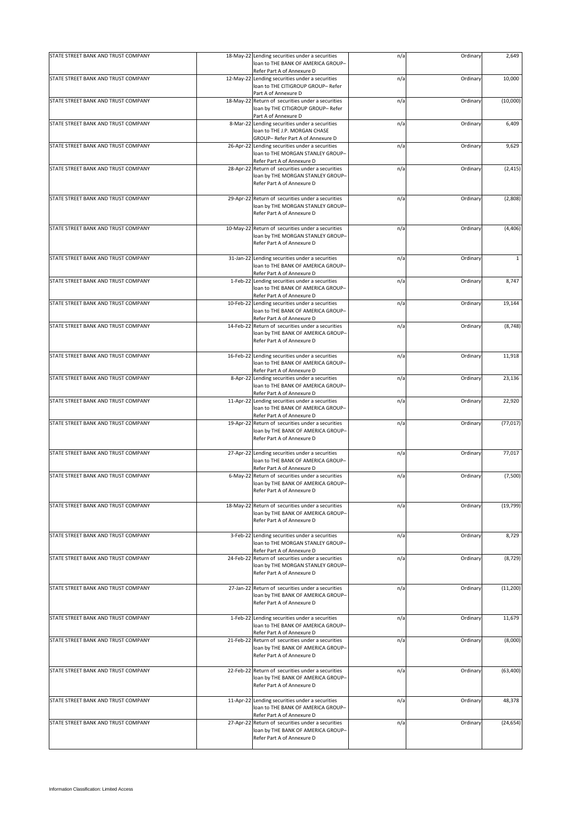| STATE STREET BANK AND TRUST COMPANY |           | 18-May-22 Lending securities under a securities                                                                                                    | n/a | Ordinary | 2,649        |
|-------------------------------------|-----------|----------------------------------------------------------------------------------------------------------------------------------------------------|-----|----------|--------------|
|                                     |           | loan to THE BANK OF AMERICA GROUP-                                                                                                                 |     |          |              |
|                                     |           | Refer Part A of Annexure D                                                                                                                         |     |          |              |
| STATE STREET BANK AND TRUST COMPANY |           | 12-May-22 Lending securities under a securities<br>loan to THE CITIGROUP GROUP- Refer<br>Part A of Annexure D                                      | n/a | Ordinary | 10,000       |
| STATE STREET BANK AND TRUST COMPANY |           | 18-May-22 Return of securities under a securities<br>loan by THE CITIGROUP GROUP- Refer                                                            | n/a | Ordinary | (10,000)     |
| STATE STREET BANK AND TRUST COMPANY |           | Part A of Annexure D<br>8-Mar-22 Lending securities under a securities<br>loan to THE J.P. MORGAN CHASE                                            | n/a | Ordinary | 6,409        |
| STATE STREET BANK AND TRUST COMPANY |           | GROUP- Refer Part A of Annexure D<br>26-Apr-22 Lending securities under a securities<br>loan to THE MORGAN STANLEY GROUP-                          | n/a | Ordinary | 9,629        |
| STATE STREET BANK AND TRUST COMPANY |           | Refer Part A of Annexure D<br>28-Apr-22 Return of securities under a securities<br>loan by THE MORGAN STANLEY GROUP-<br>Refer Part A of Annexure D | n/a | Ordinary | (2, 415)     |
| STATE STREET BANK AND TRUST COMPANY |           | 29-Apr-22 Return of securities under a securities<br>loan by THE MORGAN STANLEY GROUP-<br>Refer Part A of Annexure D                               | n/a | Ordinary | (2,808)      |
| STATE STREET BANK AND TRUST COMPANY |           | 10-May-22 Return of securities under a securities<br>loan by THE MORGAN STANLEY GROUP-<br>Refer Part A of Annexure D                               | n/a | Ordinary | (4, 406)     |
| STATE STREET BANK AND TRUST COMPANY |           | 31-Jan-22 Lending securities under a securities<br>loan to THE BANK OF AMERICA GROUP-<br>Refer Part A of Annexure D                                | n/a | Ordinary | $\mathbf{1}$ |
| STATE STREET BANK AND TRUST COMPANY |           | 1-Feb-22 Lending securities under a securities<br>loan to THE BANK OF AMERICA GROUP-<br>Refer Part A of Annexure D                                 | n/a | Ordinary | 8,747        |
| STATE STREET BANK AND TRUST COMPANY |           | 10-Feb-22 Lending securities under a securities<br>loan to THE BANK OF AMERICA GROUP-<br>Refer Part A of Annexure D                                | n/a | Ordinary | 19,144       |
| STATE STREET BANK AND TRUST COMPANY | 14-Feb-22 | Return of securities under a securities<br>loan by THE BANK OF AMERICA GROUP-<br>Refer Part A of Annexure D                                        | n/a | Ordinary | (8, 748)     |
| STATE STREET BANK AND TRUST COMPANY |           | 16-Feb-22 Lending securities under a securities<br>loan to THE BANK OF AMERICA GROUP-<br>Refer Part A of Annexure D                                | n/a | Ordinary | 11,918       |
| STATE STREET BANK AND TRUST COMPANY |           | 8-Apr-22 Lending securities under a securities<br>loan to THE BANK OF AMERICA GROUP-<br>Refer Part A of Annexure D                                 | n/a | Ordinary | 23,136       |
| STATE STREET BANK AND TRUST COMPANY |           | 11-Apr-22 Lending securities under a securities<br>loan to THE BANK OF AMERICA GROUP-<br>Refer Part A of Annexure D                                | n/a | Ordinary | 22,920       |
| STATE STREET BANK AND TRUST COMPANY | 19-Apr-22 | Return of securities under a securities<br>loan by THE BANK OF AMERICA GROUP-<br>Refer Part A of Annexure D                                        | n/a | Ordinary | (77, 017)    |
| STATE STREET BANK AND TRUST COMPANY |           | 27-Apr-22 Lending securities under a securities<br>loan to THE BANK OF AMERICA GROUP-<br>Refer Part A of Annexure D                                | n/a | Ordinary | 77,017       |
| STATE STREET BANK AND TRUST COMPANY |           | 6-May-22 Return of securities under a securities<br>loan by THE BANK OF AMERICA GROUP-<br>Refer Part A of Annexure D                               | n/a | Ordinary | (7,500)      |
| STATE STREET BANK AND TRUST COMPANY |           | 18-May-22 Return of securities under a securities<br>loan by THE BANK OF AMERICA GROUP-<br>Refer Part A of Annexure D                              | n/a | Ordinary | (19, 799)    |
| STATE STREET BANK AND TRUST COMPANY |           | 3-Feb-22 Lending securities under a securities<br>loan to THE MORGAN STANLEY GROUP-<br>Refer Part A of Annexure D                                  | n/a | Ordinary | 8,729        |
| STATE STREET BANK AND TRUST COMPANY | 24-Feb-22 | Return of securities under a securities<br>loan by THE MORGAN STANLEY GROUP-<br>Refer Part A of Annexure D                                         | n/a | Ordinary | (8, 729)     |
| STATE STREET BANK AND TRUST COMPANY |           | 27-Jan-22 Return of securities under a securities<br>loan by THE BANK OF AMERICA GROUP-<br>Refer Part A of Annexure D                              | n/a | Ordinary | (11, 200)    |
| STATE STREET BANK AND TRUST COMPANY |           | 1-Feb-22 Lending securities under a securities<br>loan to THE BANK OF AMERICA GROUP-<br>Refer Part A of Annexure D                                 | n/a | Ordinary | 11,679       |
| STATE STREET BANK AND TRUST COMPANY |           | 21-Feb-22 Return of securities under a securities<br>loan by THE BANK OF AMERICA GROUP-<br>Refer Part A of Annexure D                              | n/a | Ordinary | (8,000)      |
| STATE STREET BANK AND TRUST COMPANY |           | 22-Feb-22 Return of securities under a securities<br>loan by THE BANK OF AMERICA GROUP-<br>Refer Part A of Annexure D                              | n/a | Ordinary | (63, 400)    |
| STATE STREET BANK AND TRUST COMPANY |           | 11-Apr-22 Lending securities under a securities<br>loan to THE BANK OF AMERICA GROUP-<br>Refer Part A of Annexure D                                | n/a | Ordinary | 48,378       |
| STATE STREET BANK AND TRUST COMPANY |           | 27-Apr-22 Return of securities under a securities<br>loan by THE BANK OF AMERICA GROUP-<br>Refer Part A of Annexure D                              | n/a | Ordinary | (24, 654)    |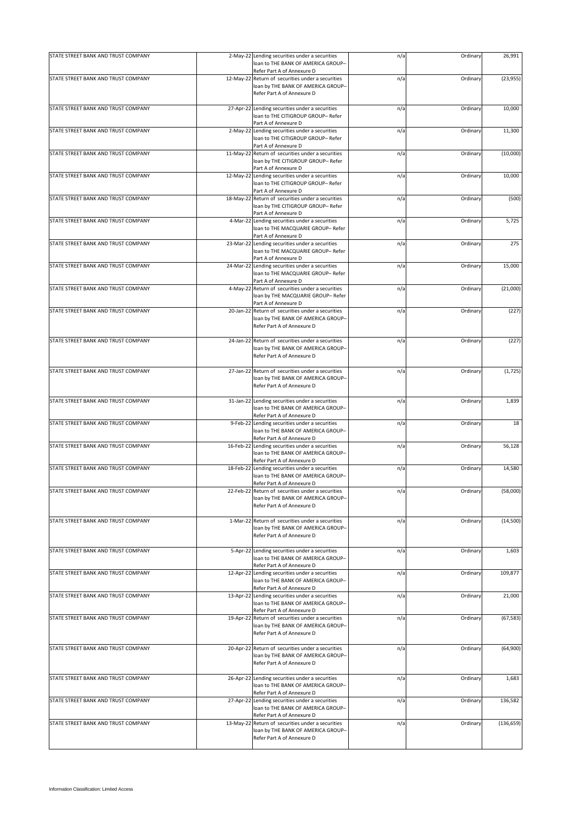| STATE STREET BANK AND TRUST COMPANY | 2-May-22 Lending securities under a securities                                                                                          | n/a | Ordinary | 26,991     |
|-------------------------------------|-----------------------------------------------------------------------------------------------------------------------------------------|-----|----------|------------|
|                                     | loan to THE BANK OF AMERICA GROUP-                                                                                                      |     |          |            |
|                                     | Refer Part A of Annexure D                                                                                                              |     |          |            |
| STATE STREET BANK AND TRUST COMPANY | 12-May-22 Return of securities under a securities<br>loan by THE BANK OF AMERICA GROUP-<br>Refer Part A of Annexure D                   | n/a | Ordinary | (23, 955)  |
| STATE STREET BANK AND TRUST COMPANY | 27-Apr-22 Lending securities under a securities<br>loan to THE CITIGROUP GROUP- Refer<br>Part A of Annexure D                           | n/a | Ordinary | 10,000     |
| STATE STREET BANK AND TRUST COMPANY | 2-May-22 Lending securities under a securities<br>loan to THE CITIGROUP GROUP- Refer                                                    | n/a | Ordinary | 11,300     |
| STATE STREET BANK AND TRUST COMPANY | Part A of Annexure D<br>11-May-22 Return of securities under a securities<br>loan by THE CITIGROUP GROUP- Refer<br>Part A of Annexure D | n/a | Ordinary | (10,000)   |
| STATE STREET BANK AND TRUST COMPANY | 12-May-22 Lending securities under a securities<br>loan to THE CITIGROUP GROUP- Refer<br>Part A of Annexure D                           | n/a | Ordinary | 10,000     |
| STATE STREET BANK AND TRUST COMPANY | 18-May-22 Return of securities under a securities<br>loan by THE CITIGROUP GROUP- Refer<br>Part A of Annexure D                         | n/a | Ordinary | (500)      |
| STATE STREET BANK AND TRUST COMPANY | 4-Mar-22 Lending securities under a securities<br>loan to THE MACQUARIE GROUP- Refer<br>Part A of Annexure D                            | n/a | Ordinary | 5,725      |
| STATE STREET BANK AND TRUST COMPANY | 23-Mar-22 Lending securities under a securities<br>loan to THE MACQUARIE GROUP- Refer<br>Part A of Annexure D                           | n/a | Ordinary | 275        |
| STATE STREET BANK AND TRUST COMPANY | 24-Mar-22 Lending securities under a securities<br>loan to THE MACQUARIE GROUP- Refer<br>Part A of Annexure D                           | n/a | Ordinary | 15,000     |
| STATE STREET BANK AND TRUST COMPANY | 4-May-22 Return of securities under a securities<br>loan by THE MACQUARIE GROUP- Refer<br>Part A of Annexure D                          | n/a | Ordinary | (21,000)   |
| STATE STREET BANK AND TRUST COMPANY | 20-Jan-22 Return of securities under a securities<br>loan by THE BANK OF AMERICA GROUP-<br>Refer Part A of Annexure D                   | n/a | Ordinary | (227)      |
| STATE STREET BANK AND TRUST COMPANY | 24-Jan-22 Return of securities under a securities<br>loan by THE BANK OF AMERICA GROUP-<br>Refer Part A of Annexure D                   | n/a | Ordinary | (227)      |
| STATE STREET BANK AND TRUST COMPANY | 27-Jan-22 Return of securities under a securities<br>loan by THE BANK OF AMERICA GROUP-<br>Refer Part A of Annexure D                   | n/a | Ordinary | (1, 725)   |
| STATE STREET BANK AND TRUST COMPANY | 31-Jan-22 Lending securities under a securities<br>loan to THE BANK OF AMERICA GROUP-<br>Refer Part A of Annexure D                     | n/a | Ordinary | 1,839      |
| STATE STREET BANK AND TRUST COMPANY | 9-Feb-22 Lending securities under a securities<br>loan to THE BANK OF AMERICA GROUP-<br>Refer Part A of Annexure D                      | n/a | Ordinary | 18         |
| STATE STREET BANK AND TRUST COMPANY | 16-Feb-22 Lending securities under a securities<br>loan to THE BANK OF AMERICA GROUP-<br>Refer Part A of Annexure D                     | n/a | Ordinary | 56,128     |
| STATE STREET BANK AND TRUST COMPANY | 18-Feb-22 Lending securities under a securities<br>loan to THE BANK OF AMERICA GROUP-<br>Refer Part A of Annexure D                     | n/a | Ordinary | 14,580     |
| STATE STREET BANK AND TRUST COMPANY | 22-Feb-22 Return of securities under a securities<br>loan by THE BANK OF AMERICA GROUP-<br>Refer Part A of Annexure D                   | n/a | Ordinary | (58,000)   |
| STATE STREET BANK AND TRUST COMPANY | 1-Mar-22 Return of securities under a securities<br>loan by THE BANK OF AMERICA GROUP-<br>Refer Part A of Annexure D                    | n/a | Ordinary | (14, 500)  |
| STATE STREET BANK AND TRUST COMPANY | 5-Apr-22 Lending securities under a securities<br>loan to THE BANK OF AMERICA GROUP-<br>Refer Part A of Annexure D                      | n/a | Ordinary | 1,603      |
| STATE STREET BANK AND TRUST COMPANY | 12-Apr-22 Lending securities under a securities<br>loan to THE BANK OF AMERICA GROUP-<br>Refer Part A of Annexure D                     | n/a | Ordinary | 109,877    |
| STATE STREET BANK AND TRUST COMPANY | 13-Apr-22 Lending securities under a securities<br>loan to THE BANK OF AMERICA GROUP-<br>Refer Part A of Annexure D                     | n/a | Ordinary | 21,000     |
| STATE STREET BANK AND TRUST COMPANY | 19-Apr-22 Return of securities under a securities<br>loan by THE BANK OF AMERICA GROUP-<br>Refer Part A of Annexure D                   | n/a | Ordinary | (67, 583)  |
| STATE STREET BANK AND TRUST COMPANY | 20-Apr-22 Return of securities under a securities<br>loan by THE BANK OF AMERICA GROUP-<br>Refer Part A of Annexure D                   | n/a | Ordinary | (64,900)   |
| STATE STREET BANK AND TRUST COMPANY | 26-Apr-22 Lending securities under a securities<br>loan to THE BANK OF AMERICA GROUP-<br>Refer Part A of Annexure D                     | n/a | Ordinary | 1,683      |
| STATE STREET BANK AND TRUST COMPANY | 27-Apr-22 Lending securities under a securities<br>loan to THE BANK OF AMERICA GROUP-<br>Refer Part A of Annexure D                     | n/a | Ordinary | 136,582    |
| STATE STREET BANK AND TRUST COMPANY | 13-May-22 Return of securities under a securities<br>loan by THE BANK OF AMERICA GROUP-<br>Refer Part A of Annexure D                   | n/a | Ordinary | (136, 659) |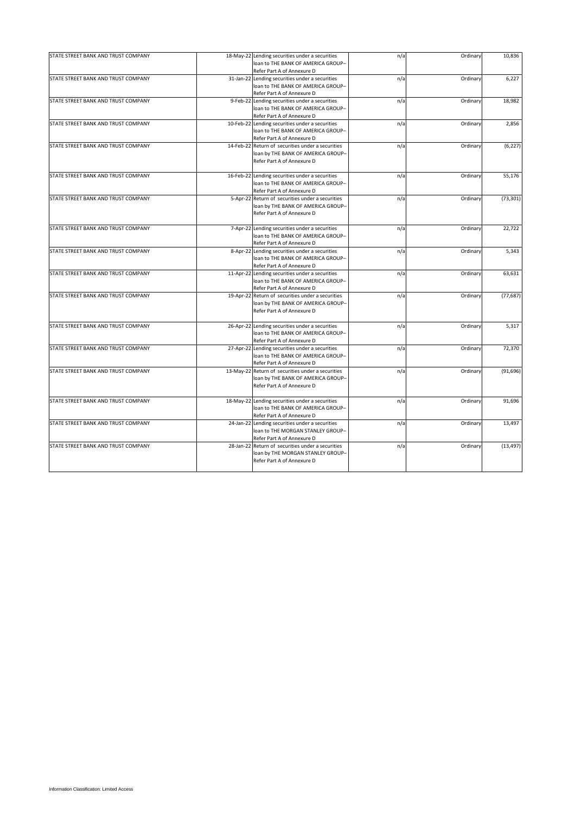| STATE STREET BANK AND TRUST COMPANY | 18-May-22 Lending securities under a securities<br>loan to THE BANK OF AMERICA GROUP-                                                             | n/a | Ordinary | 10,836    |
|-------------------------------------|---------------------------------------------------------------------------------------------------------------------------------------------------|-----|----------|-----------|
| STATE STREET BANK AND TRUST COMPANY | Refer Part A of Annexure D<br>31-Jan-22 Lending securities under a securities<br>loan to THE BANK OF AMERICA GROUP-<br>Refer Part A of Annexure D | n/a | Ordinary | 6,227     |
| STATE STREET BANK AND TRUST COMPANY | 9-Feb-22 Lending securities under a securities<br>loan to THE BANK OF AMERICA GROUP-<br>Refer Part A of Annexure D                                | n/a | Ordinary | 18,982    |
| STATE STREET BANK AND TRUST COMPANY | 10-Feb-22 Lending securities under a securities<br>loan to THE BANK OF AMERICA GROUP-<br>Refer Part A of Annexure D                               | n/a | Ordinary | 2,856     |
| STATE STREET BANK AND TRUST COMPANY | 14-Feb-22 Return of securities under a securities<br>loan by THE BANK OF AMERICA GROUP-<br>Refer Part A of Annexure D                             | n/a | Ordinary | (6, 227)  |
| STATE STREET BANK AND TRUST COMPANY | 16-Feb-22 Lending securities under a securities<br>loan to THE BANK OF AMERICA GROUP-<br>Refer Part A of Annexure D                               | n/a | Ordinary | 55,176    |
| STATE STREET BANK AND TRUST COMPANY | 5-Apr-22 Return of securities under a securities<br>loan by THE BANK OF AMERICA GROUP-<br>Refer Part A of Annexure D                              | n/a | Ordinary | (73, 301) |
| STATE STREET BANK AND TRUST COMPANY | 7-Apr-22 Lending securities under a securities<br>loan to THE BANK OF AMERICA GROUP-<br>Refer Part A of Annexure D                                | n/a | Ordinary | 22,722    |
| STATE STREET BANK AND TRUST COMPANY | 8-Apr-22 Lending securities under a securities<br>loan to THE BANK OF AMERICA GROUP-<br>Refer Part A of Annexure D                                | n/a | Ordinary | 5,343     |
| STATE STREET BANK AND TRUST COMPANY | 11-Apr-22 Lending securities under a securities<br>loan to THE BANK OF AMERICA GROUP-<br>Refer Part A of Annexure D                               | n/a | Ordinary | 63,631    |
| STATE STREET BANK AND TRUST COMPANY | 19-Apr-22 Return of securities under a securities<br>loan by THE BANK OF AMERICA GROUP-<br>Refer Part A of Annexure D                             | n/a | Ordinary | (77, 687) |
| STATE STREET BANK AND TRUST COMPANY | 26-Apr-22 Lending securities under a securities<br>loan to THE BANK OF AMERICA GROUP-<br>Refer Part A of Annexure D                               | n/a | Ordinary | 5,317     |
| STATE STREET BANK AND TRUST COMPANY | 27-Apr-22 Lending securities under a securities<br>loan to THE BANK OF AMERICA GROUP-<br>Refer Part A of Annexure D                               | n/a | Ordinary | 72,370    |
| STATE STREET BANK AND TRUST COMPANY | 13-May-22 Return of securities under a securities<br>loan by THE BANK OF AMERICA GROUP-<br>Refer Part A of Annexure D                             | n/a | Ordinary | (91, 696) |
| STATE STREET BANK AND TRUST COMPANY | 18-May-22 Lending securities under a securities<br>loan to THE BANK OF AMERICA GROUP-<br>Refer Part A of Annexure D                               | n/a | Ordinary | 91,696    |
| STATE STREET BANK AND TRUST COMPANY | 24-Jan-22 Lending securities under a securities<br>loan to THE MORGAN STANLEY GROUP-<br>Refer Part A of Annexure D                                | n/a | Ordinary | 13,497    |
| STATE STREET BANK AND TRUST COMPANY | 28-Jan-22 Return of securities under a securities<br>loan by THE MORGAN STANLEY GROUP-<br>Refer Part A of Annexure D                              | n/a | Ordinary | (13, 497) |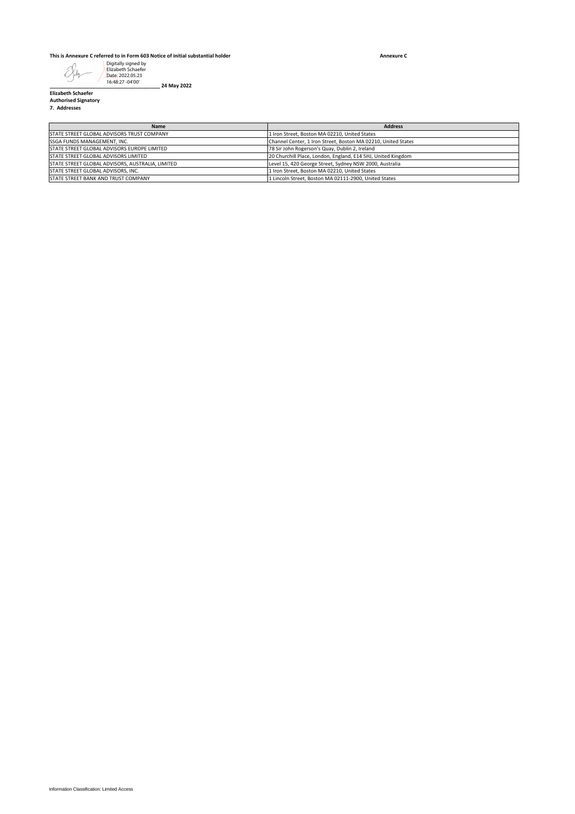## **This is Annexure C referred to in Form 603 Notice of initial substantial holder**

**Annexure C**

|                                                                                        | Digitally signed by<br>Elizabeth Schaefer<br>Date: 2022.05.23<br>16:48:27 -04'00' |                                                                                                                |                |
|----------------------------------------------------------------------------------------|-----------------------------------------------------------------------------------|----------------------------------------------------------------------------------------------------------------|----------------|
| <b>Elizabeth Schaefer</b><br><b>Authorised Signatory</b>                               | 24 May 2022                                                                       |                                                                                                                |                |
| 7. Addresses                                                                           |                                                                                   |                                                                                                                |                |
| STATE STREET GLOBAL ADVISORS TRUST COMPANY                                             | Name                                                                              | 1 Iron Street, Boston MA 02210, United States                                                                  | <b>Address</b> |
| SSGA FUNDS MANAGEMENT, INC.                                                            |                                                                                   | Channel Center, 1 Iron Street, Boston MA 02210, United States                                                  |                |
| STATE STREET GLOBAL ADVISORS EUROPE LIMITED<br>STATE STREET GLOBAL ADVISORS LIMITED    |                                                                                   | 78 Sir John Rogerson's Quay, Dublin 2, Ireland<br>20 Churchill Place, London, England, E14 5HJ, United Kingdom |                |
| STATE STREET GLOBAL ADVISORS, AUSTRALIA, LIMITED<br>STATE STREET GLOBAL ADVISORS, INC. |                                                                                   | Level 15, 420 George Street, Sydney NSW 2000, Australia<br>1 Iron Street, Boston MA 02210, United States       |                |
| STATE STREET BANK AND TRUST COMPANY                                                    |                                                                                   | 1 Lincoln Street, Boston MA 02111-2900, United States                                                          |                |
|                                                                                        |                                                                                   |                                                                                                                |                |
|                                                                                        |                                                                                   |                                                                                                                |                |
|                                                                                        |                                                                                   |                                                                                                                |                |
|                                                                                        |                                                                                   |                                                                                                                |                |
|                                                                                        |                                                                                   |                                                                                                                |                |
|                                                                                        |                                                                                   |                                                                                                                |                |
|                                                                                        |                                                                                   |                                                                                                                |                |
|                                                                                        |                                                                                   |                                                                                                                |                |
|                                                                                        |                                                                                   |                                                                                                                |                |
|                                                                                        |                                                                                   |                                                                                                                |                |
|                                                                                        |                                                                                   |                                                                                                                |                |
|                                                                                        |                                                                                   |                                                                                                                |                |
|                                                                                        |                                                                                   |                                                                                                                |                |
|                                                                                        |                                                                                   |                                                                                                                |                |
|                                                                                        |                                                                                   |                                                                                                                |                |
|                                                                                        |                                                                                   |                                                                                                                |                |
|                                                                                        |                                                                                   |                                                                                                                |                |
|                                                                                        |                                                                                   |                                                                                                                |                |
|                                                                                        |                                                                                   |                                                                                                                |                |
|                                                                                        |                                                                                   |                                                                                                                |                |
|                                                                                        |                                                                                   |                                                                                                                |                |
|                                                                                        |                                                                                   |                                                                                                                |                |
|                                                                                        |                                                                                   |                                                                                                                |                |
|                                                                                        |                                                                                   |                                                                                                                |                |
|                                                                                        |                                                                                   |                                                                                                                |                |
|                                                                                        |                                                                                   |                                                                                                                |                |
|                                                                                        |                                                                                   |                                                                                                                |                |
|                                                                                        |                                                                                   |                                                                                                                |                |
|                                                                                        |                                                                                   |                                                                                                                |                |
|                                                                                        |                                                                                   |                                                                                                                |                |
|                                                                                        |                                                                                   |                                                                                                                |                |
|                                                                                        |                                                                                   |                                                                                                                |                |
|                                                                                        |                                                                                   |                                                                                                                |                |
|                                                                                        |                                                                                   |                                                                                                                |                |
|                                                                                        |                                                                                   |                                                                                                                |                |
|                                                                                        |                                                                                   |                                                                                                                |                |
|                                                                                        |                                                                                   |                                                                                                                |                |
|                                                                                        |                                                                                   |                                                                                                                |                |
|                                                                                        |                                                                                   |                                                                                                                |                |
|                                                                                        |                                                                                   |                                                                                                                |                |
|                                                                                        |                                                                                   |                                                                                                                |                |
|                                                                                        |                                                                                   |                                                                                                                |                |
|                                                                                        |                                                                                   |                                                                                                                |                |
|                                                                                        |                                                                                   |                                                                                                                |                |
|                                                                                        |                                                                                   |                                                                                                                |                |
| Information Classification: Limited Access                                             |                                                                                   |                                                                                                                |                |